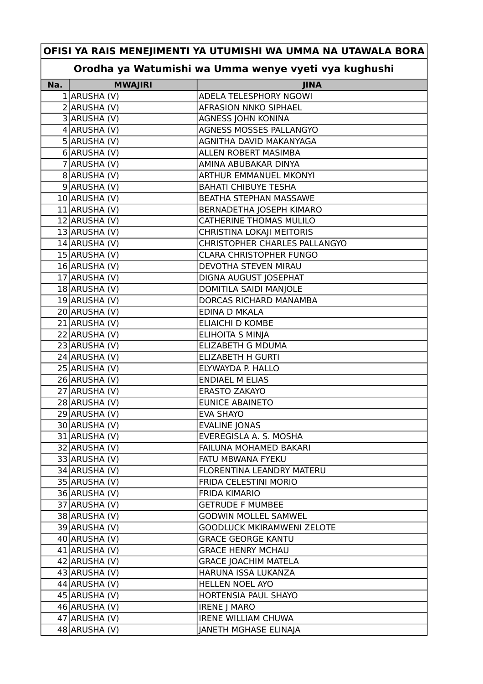## **OFISI YA RAIS MENEJIMENTI YA UTUMISHI WA UMMA NA UTAWALA BORA**

## **Orodha ya Watumishi wa Umma wenye vyeti vya kughushi**

| Na. | <b>MWAJIRI</b>   | <b>JINA</b>                       |
|-----|------------------|-----------------------------------|
|     | 1 ARUSHA (V)     | ADELA TELESPHORY NGOWI            |
|     | $2$ ARUSHA (V)   | AFRASION NNKO SIPHAEL             |
|     | 3 ARUSHA (V)     | AGNESS JOHN KONINA                |
|     | $4$ ARUSHA (V)   | AGNESS MOSSES PALLANGYO           |
|     | $5$ ARUSHA (V)   | AGNITHA DAVID MAKANYAGA           |
|     | 6 ARUSHA (V)     | ALLEN ROBERT MASIMBA              |
|     | 7 ARUSHA (V)     | AMINA ABUBAKAR DINYA              |
|     | 8 ARUSHA (V)     | ARTHUR EMMANUEL MKONYI            |
|     | $9$ ARUSHA (V)   | <b>BAHATI CHIBUYE TESHA</b>       |
|     | 10 ARUSHA (V)    | BEATHA STEPHAN MASSAWE            |
|     | $11$ ARUSHA (V)  | BERNADETHA JOSEPH KIMARO          |
|     | 12 ARUSHA (V)    | <b>CATHERINE THOMAS MULILO</b>    |
|     | 13 ARUSHA (V)    | CHRISTINA LOKAJI MEITORIS         |
|     | $14$ ARUSHA (V)  | CHRISTOPHER CHARLES PALLANGYO     |
|     | 15 ARUSHA (V)    | <b>CLARA CHRISTOPHER FUNGO</b>    |
|     | 16 ARUSHA (V)    | DEVOTHA STEVEN MIRAU              |
|     | 17 ARUSHA (V)    | DIGNA AUGUST JOSEPHAT             |
|     | 18 ARUSHA (V)    | DOMITILA SAIDI MANJOLE            |
|     | 19 ARUSHA (V)    | DORCAS RICHARD MANAMBA            |
|     | 20 ARUSHA (V)    | EDINA D MKALA                     |
|     | 21 ARUSHA (V)    | <b>ELIAICHI D KOMBE</b>           |
|     | 22 ARUSHA (V)    | ELIHOITA S MINJA                  |
|     | 23 ARUSHA (V)    | <b>ELIZABETH G MDUMA</b>          |
|     | 24 ARUSHA (V)    | <b>ELIZABETH H GURTI</b>          |
|     | 25 ARUSHA (V)    | ELYWAYDA P. HALLO                 |
|     | 26 ARUSHA (V)    | <b>ENDIAEL M ELIAS</b>            |
|     | 27 ARUSHA (V)    | <b>ERASTO ZAKAYO</b>              |
|     | 28 ARUSHA (V)    | <b>EUNICE ABAINETO</b>            |
|     | 29 ARUSHA (V)    | <b>EVA SHAYO</b>                  |
|     | 30 ARUSHA (V)    | <b>EVALINE JONAS</b>              |
|     | 31 ARUSHA (V)    | EVEREGISLA A. S. MOSHA            |
|     | 32 ARUSHA (V)    | FAILUNA MOHAMED BAKARI            |
|     | 33 ARUSHA (V)    | FATU MBWANA FYEKU                 |
|     | 34 ARUSHA (V)    | FLORENTINA LEANDRY MATERU         |
|     | 35 ARUSHA (V)    | FRIDA CELESTINI MORIO             |
|     | 36 ARUSHA (V)    | <b>FRIDA KIMARIO</b>              |
|     | 37 ARUSHA (V)    | <b>GETRUDE F MUMBEE</b>           |
|     | 38 ARUSHA (V)    | <b>GODWIN MOLLEL SAMWEL</b>       |
|     | 39 ARUSHA (V)    | <b>GOODLUCK MKIRAMWENI ZELOTE</b> |
|     | $40$  ARUSHA (V) | <b>GRACE GEORGE KANTU</b>         |
|     | 41 ARUSHA (V)    | <b>GRACE HENRY MCHAU</b>          |
|     | $42$ ARUSHA (V)  | <b>GRACE JOACHIM MATELA</b>       |
|     | 43 ARUSHA (V)    | HARUNA ISSA LUKANZA               |
|     | 44 ARUSHA (V)    | HELLEN NOEL AYO                   |
|     | 45 ARUSHA (V)    | HORTENSIA PAUL SHAYO              |
|     | $46$ ARUSHA (V)  | <b>IRENE J MARO</b>               |
|     | 47 ARUSHA (V)    | <b>IRENE WILLIAM CHUWA</b>        |
|     | 48 ARUSHA (V)    | JANETH MGHASE ELINAJA             |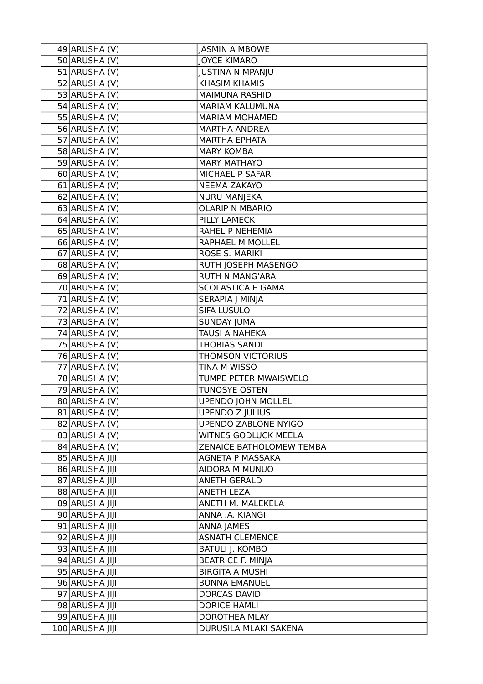| 49 ARUSHA (V)   | <b>JASMIN A MBOWE</b>       |
|-----------------|-----------------------------|
| 50 ARUSHA (V)   | <b>JOYCE KIMARO</b>         |
| 51 ARUSHA (V)   | <b>JUSTINA N MPANJU</b>     |
| 52 ARUSHA (V)   | <b>KHASIM KHAMIS</b>        |
| 53 ARUSHA (V)   | <b>MAIMUNA RASHID</b>       |
| 54 ARUSHA (V)   | MARIAM KALUMUNA             |
| $55$ ARUSHA (V) | <b>MARIAM MOHAMED</b>       |
| 56 ARUSHA (V)   | <b>MARTHA ANDREA</b>        |
| 57 ARUSHA (V)   | <b>MARTHA EPHATA</b>        |
| 58 ARUSHA (V)   | <b>MARY KOMBA</b>           |
| 59 ARUSHA (V)   | <b>MARY MATHAYO</b>         |
| 60 ARUSHA (V)   | MICHAEL P SAFARI            |
| $61$ ARUSHA (V) | <b>NEEMA ZAKAYO</b>         |
| 62 ARUSHA (V)   | NURU MANJEKA                |
| $63$ ARUSHA (V) | <b>OLARIP N MBARIO</b>      |
| 64 ARUSHA (V)   | PILLY LAMECK                |
| $65$ ARUSHA (V) | RAHEL P NEHEMIA             |
| 66 ARUSHA (V)   | RAPHAEL M MOLLEL            |
| 67 ARUSHA (V)   | ROSE S. MARIKI              |
| 68 ARUSHA (V)   | RUTH JOSEPH MASENGO         |
| 69 ARUSHA (V)   | <b>RUTH N MANG'ARA</b>      |
| 70 ARUSHA (V)   | <b>SCOLASTICA E GAMA</b>    |
| 71 ARUSHA (V)   | SERAPIA J MINJA             |
| 72 ARUSHA (V)   | SIFA LUSULO                 |
| 73 ARUSHA (V)   | <b>SUNDAY JUMA</b>          |
| 74 ARUSHA (V)   | TAUSI A NAHEKA              |
| 75 ARUSHA (V)   | <b>THOBIAS SANDI</b>        |
| 76 ARUSHA (V)   | <b>THOMSON VICTORIUS</b>    |
| 77 ARUSHA (V)   | TINA M WISSO                |
| 78 ARUSHA (V)   | TUMPE PETER MWAISWELO       |
| 79 ARUSHA (V)   | <b>TUNOSYE OSTEN</b>        |
| 80 ARUSHA (V)   | <b>UPENDO JOHN MOLLEL</b>   |
| 81 ARUSHA (V)   | <b>UPENDO Z JULIUS</b>      |
| 82 ARUSHA (V)   | <b>UPENDO ZABLONE NYIGO</b> |
| 83 ARUSHA (V)   | WITNES GODLUCK MEELA        |
| 84 ARUSHA (V)   | ZENAICE BATHOLOMEW TEMBA    |
| 85 ARUSHA JIJI  | AGNETA P MASSAKA            |
| 86 ARUSHA JIJI  | AIDORA M MUNUO              |
| 87 ARUSHA JIJI  | <b>ANETH GERALD</b>         |
| 88 ARUSHA JIJI  | <b>ANETH LEZA</b>           |
| 89 ARUSHA JIJI  | ANETH M. MALEKELA           |
| 90 ARUSHA JIJI  | ANNA .A. KIANGI             |
| 91 ARUSHA JIJI  | <b>ANNA JAMES</b>           |
| 92 ARUSHA JIJI  | <b>ASNATH CLEMENCE</b>      |
| 93 ARUSHA JIJI  | <b>BATULI J. KOMBO</b>      |
| 94 ARUSHA JIJI  | <b>BEATRICE F. MINJA</b>    |
| 95 ARUSHA JIJI  | <b>BIRGITA A MUSHI</b>      |
| 96 ARUSHA JIJI  | <b>BONNA EMANUEL</b>        |
| 97 ARUSHA JIJI  | <b>DORCAS DAVID</b>         |
| 98 ARUSHA JIJI  | <b>DORICE HAMLI</b>         |
| 99 ARUSHA JIJI  | DOROTHEA MLAY               |
| 100 ARUSHA JIJI | DURUSILA MLAKI SAKENA       |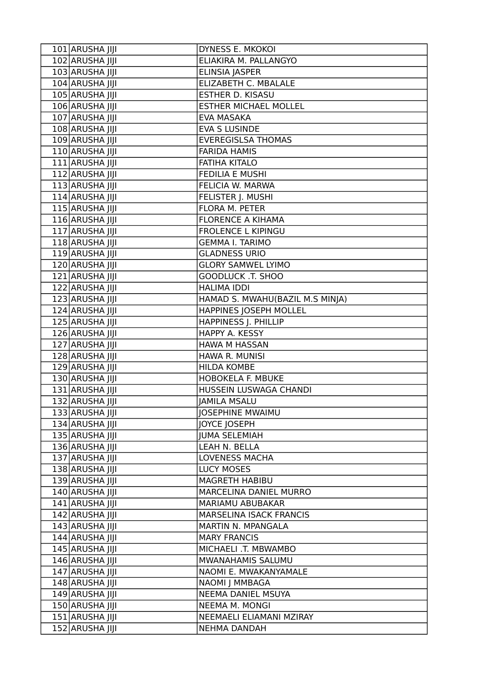| 101 ARUSHA JIJI | DYNESS E. MKOKOI                |
|-----------------|---------------------------------|
| 102 ARUSHA JIJI | ELIAKIRA M. PALLANGYO           |
| 103 ARUSHA JIJI | ELINSIA JASPER                  |
| 104 ARUSHA JIJI | ELIZABETH C. MBALALE            |
| 105 ARUSHA JIJI | ESTHER D. KISASU                |
| 106 ARUSHA JIJI | <b>ESTHER MICHAEL MOLLEL</b>    |
| 107 ARUSHA JIJI | EVA MASAKA                      |
| 108 ARUSHA JIJI | <b>EVA S LUSINDE</b>            |
| 109 ARUSHA JIJI | <b>EVEREGISLSA THOMAS</b>       |
| 110 ARUSHA JIJI | <b>FARIDA HAMIS</b>             |
| 111 ARUSHA JIJI | <b>FATIHA KITALO</b>            |
| 112 ARUSHA JIJI | <b>FEDILIA E MUSHI</b>          |
| 113 ARUSHA JIJI | FELICIA W. MARWA                |
| 114 ARUSHA JIJI | FELISTER J. MUSHI               |
| 115 ARUSHA JIJI | FLORA M. PETER                  |
| 116 ARUSHA JIJI | <b>FLORENCE A KIHAMA</b>        |
| 117 ARUSHA JIJI | <b>FROLENCE L KIPINGU</b>       |
| 118 ARUSHA JIJI | <b>GEMMA I. TARIMO</b>          |
| 119 ARUSHA JIJI | <b>GLADNESS URIO</b>            |
| 120 ARUSHA JIJI | <b>GLORY SAMWEL LYIMO</b>       |
| 121 ARUSHA JIJI | GOODLUCK .T. SHOO               |
| 122 ARUSHA JIJI | <b>HALIMA IDDI</b>              |
| 123 ARUSHA JIJI | HAMAD S. MWAHU(BAZIL M.S MINJA) |
| 124 ARUSHA JIJI | HAPPINES JOSEPH MOLLEL          |
| 125 ARUSHA JIJI | HAPPINESS J. PHILLIP            |
| 126 ARUSHA JIJI | HAPPY A. KESSY                  |
| 127 ARUSHA JIJI | HAWA M HASSAN                   |
| 128 ARUSHA JIJI | HAWA R. MUNISI                  |
| 129 ARUSHA JIJI | <b>HILDA KOMBE</b>              |
| 130 ARUSHA JIJI | HOBOKELA F. MBUKE               |
| 131 ARUSHA JIJI | HUSSEIN LUSWAGA CHANDI          |
| 132 ARUSHA JIJI | <b>JAMILA MSALU</b>             |
| 133 ARUSHA JIJI | <b>JOSEPHINE MWAIMU</b>         |
| 134 ARUSHA JIJI | JOYCE JOSEPH                    |
| 135 ARUSHA JIJI | <b>JUMA SELEMIAH</b>            |
| 136 ARUSHA JIJI | LEAH N. BELLA                   |
| 137 ARUSHA JIJI | <b>LOVENESS MACHA</b>           |
| 138 ARUSHA JIJI | <b>LUCY MOSES</b>               |
| 139 ARUSHA JIJI | MAGRETH HABIBU                  |
| 140 ARUSHA JIJI | MARCELINA DANIEL MURRO          |
| 141 ARUSHA JIJI | MARIAMU ABUBAKAR                |
| 142 ARUSHA JIJI | <b>MARSELINA ISACK FRANCIS</b>  |
| 143 ARUSHA JIJI | MARTIN N. MPANGALA              |
| 144 ARUSHA JIJI | <b>MARY FRANCIS</b>             |
| 145 ARUSHA JIJI | MICHAELI .T. MBWAMBO            |
| 146 ARUSHA JIJI | MWANAHAMIS SALUMU               |
| 147 ARUSHA JIJI | NAOMI E. MWAKANYAMALE           |
| 148 ARUSHA JIJI | NAOMI J MMBAGA                  |
| 149 ARUSHA JIJI | NEEMA DANIEL MSUYA              |
| 150 ARUSHA JIJI | NEEMA M. MONGI                  |
| 151 ARUSHA JIJI | NEEMAELI ELIAMANI MZIRAY        |
| 152 ARUSHA JIJI | NEHMA DANDAH                    |
|                 |                                 |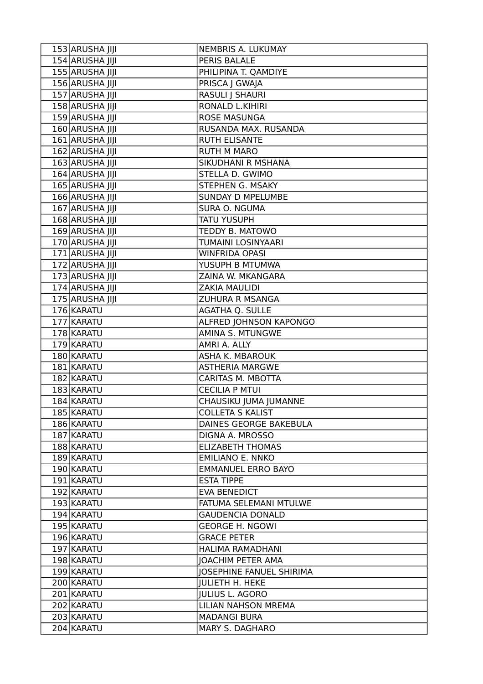| 153 ARUSHA JIJI | NEMBRIS A. LUKUMAY              |
|-----------------|---------------------------------|
| 154 ARUSHA JIJI | PERIS BALALE                    |
| 155 ARUSHA JIJI | PHILIPINA T. QAMDIYE            |
| 156 ARUSHA JIJI | PRISCA   GWAJA                  |
| 157 ARUSHA JIJI | <b>RASULI   SHAURI</b>          |
| 158 ARUSHA JIJI | RONALD L.KIHIRI                 |
| 159 ARUSHA JIJI | <b>ROSE MASUNGA</b>             |
| 160 ARUSHA JIJI | RUSANDA MAX. RUSANDA            |
| 161 ARUSHA JIJI | <b>RUTH ELISANTE</b>            |
| 162 ARUSHA JIJI | <b>RUTH M MARO</b>              |
| 163 ARUSHA JIJI | SIKUDHANI R MSHANA              |
| 164 ARUSHA JIJI | STELLA D. GWIMO                 |
| 165 ARUSHA JIJI | STEPHEN G. MSAKY                |
| 166 ARUSHA JIJI | <b>SUNDAY D MPELUMBE</b>        |
| 167 ARUSHA JIJI | SURA O. NGUMA                   |
| 168 ARUSHA JIJI | <b>TATU YUSUPH</b>              |
| 169 ARUSHA JIJI | TEDDY B. MATOWO                 |
| 170 ARUSHA JIJI | TUMAINI LOSINYAARI              |
| 171 ARUSHA JIJI | <b>WINFRIDA OPASI</b>           |
| 172 ARUSHA JIJI | YUSUPH B MTUMWA                 |
| 173 ARUSHA JIJI | ZAINA W. MKANGARA               |
| 174 ARUSHA JIJI | <b>ZAKIA MAULIDI</b>            |
| 175 ARUSHA JIJI | <b>ZUHURA R MSANGA</b>          |
| 176 KARATU      | <b>AGATHA Q. SULLE</b>          |
| 177 KARATU      | ALFRED JOHNSON KAPONGO          |
| 178 KARATU      | AMINA S. MTUNGWE                |
| 179 KARATU      | AMRI A. ALLY                    |
| 180 KARATU      | ASHA K. MBAROUK                 |
| 181 KARATU      | <b>ASTHERIA MARGWE</b>          |
| 182 KARATU      | CARITAS M. MBOTTA               |
| 183 KARATU      | <b>CECILIA P MTUI</b>           |
| 184 KARATU      | CHAUSIKU JUMA JUMANNE           |
| 185 KARATU      | <b>COLLETA S KALIST</b>         |
| 186 KARATU      | DAINES GEORGE BAKEBULA          |
| 187 KARATU      | DIGNA A. MROSSO                 |
| 188 KARATU      | <b>ELIZABETH THOMAS</b>         |
| 189 KARATU      | <b>EMILIANO E. NNKO</b>         |
| 190 KARATU      | <b>EMMANUEL ERRO BAYO</b>       |
| 191 KARATU      | <b>ESTA TIPPE</b>               |
| 192 KARATU      | <b>EVA BENEDICT</b>             |
| 193 KARATU      | FATUMA SELEMANI MTULWE          |
| 194 KARATU      | <b>GAUDENCIA DONALD</b>         |
| 195 KARATU      | <b>GEORGE H. NGOWI</b>          |
| 196 KARATU      | <b>GRACE PETER</b>              |
| 197 KARATU      | HALIMA RAMADHANI                |
| 198 KARATU      | <b>JOACHIM PETER AMA</b>        |
| 199 KARATU      | <b>JOSEPHINE FANUEL SHIRIMA</b> |
| 200 KARATU      | <b>JULIETH H. HEKE</b>          |
| 201 KARATU      | <b>JULIUS L. AGORO</b>          |
| 202 KARATU      | LILIAN NAHSON MREMA             |
| 203 KARATU      | <b>MADANGI BURA</b>             |
| 204 KARATU      | MARY S. DAGHARO                 |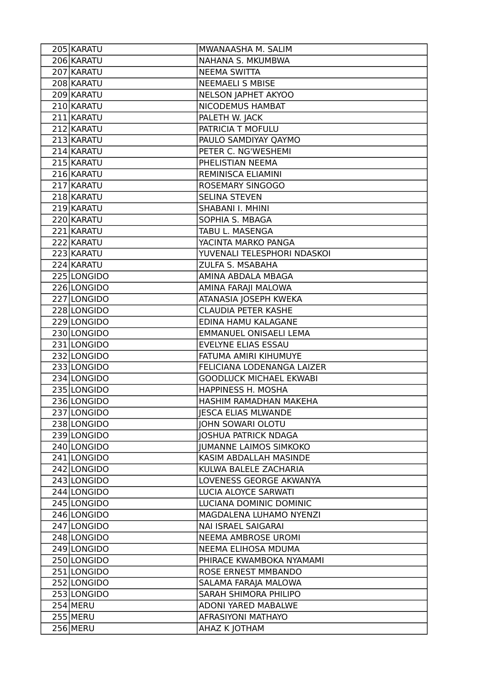| 205 KARATU  | MWANAASHA M. SALIM             |
|-------------|--------------------------------|
| 206 KARATU  | NAHANA S. MKUMBWA              |
| 207 KARATU  | <b>NEEMA SWITTA</b>            |
| 208 KARATU  | <b>NEEMAELI S MBISE</b>        |
| 209 KARATU  | NELSON JAPHET AKYOO            |
| 210 KARATU  | NICODEMUS HAMBAT               |
| 211 KARATU  | PALETH W. JACK                 |
| 212 KARATU  | PATRICIA T MOFULU              |
| 213 KARATU  | PAULO SAMDIYAY QAYMO           |
| 214 KARATU  | PETER C. NG'WESHEMI            |
| 215 KARATU  | PHELISTIAN NEEMA               |
| 216 KARATU  | REMINISCA ELIAMINI             |
| 217 KARATU  | ROSEMARY SINGOGO               |
| 218 KARATU  | <b>SELINA STEVEN</b>           |
| 219 KARATU  | SHABANI I. MHINI               |
| 220 KARATU  | SOPHIA S. MBAGA                |
| 221 KARATU  | TABU L. MASENGA                |
| 222 KARATU  | YACINTA MARKO PANGA            |
| 223 KARATU  | YUVENALI TELESPHORI NDASKOI    |
| 224 KARATU  | ZULFA S. MSABAHA               |
| 225 LONGIDO | AMINA ABDALA MBAGA             |
| 226 LONGIDO | AMINA FARAJI MALOWA            |
| 227 LONGIDO | ATANASIA JOSEPH KWEKA          |
| 228 LONGIDO | <b>CLAUDIA PETER KASHE</b>     |
| 229 LONGIDO | EDINA HAMU KALAGANE            |
| 230 LONGIDO | EMMANUEL ONISAELI LEMA         |
| 231 LONGIDO | EVELYNE ELIAS ESSAU            |
| 232 LONGIDO | FATUMA AMIRI KIHUMUYE          |
| 233 LONGIDO | FELICIANA LODENANGA LAIZER     |
| 234 LONGIDO | <b>GOODLUCK MICHAEL EKWABI</b> |
| 235 LONGIDO | HAPPINESS H. MOSHA             |
| 236 LONGIDO | HASHIM RAMADHAN MAKEHA         |
| 237 LONGIDO | <b>JESCA ELIAS MLWANDE</b>     |
| 238 LONGIDO | JOHN SOWARI OLOTU              |
| 239 LONGIDO | <b>JOSHUA PATRICK NDAGA</b>    |
| 240 LONGIDO | <b>JUMANNE LAIMOS SIMKOKO</b>  |
| 241 LONGIDO | KASIM ABDALLAH MASINDE         |
| 242 LONGIDO | KULWA BALELE ZACHARIA          |
| 243 LONGIDO | LOVENESS GEORGE AKWANYA        |
| 244 LONGIDO | LUCIA ALOYCE SARWATI           |
| 245 LONGIDO | LUCIANA DOMINIC DOMINIC        |
| 246 LONGIDO | MAGDALENA LUHAMO NYENZI        |
| 247 LONGIDO | NAI ISRAEL SAIGARAI            |
| 248 LONGIDO | <b>NEEMA AMBROSE UROMI</b>     |
| 249 LONGIDO | NEEMA ELIHOSA MDUMA            |
| 250 LONGIDO | PHIRACE KWAMBOKA NYAMAMI       |
| 251 LONGIDO | ROSE ERNEST MMBANDO            |
| 252 LONGIDO | SALAMA FARAJA MALOWA           |
| 253 LONGIDO | SARAH SHIMORA PHILIPO          |
| $254$ MERU  | ADONI YARED MABALWE            |
| 255 MERU    | AFRASIYONI MATHAYO             |
| 256 MERU    | AHAZ K JOTHAM                  |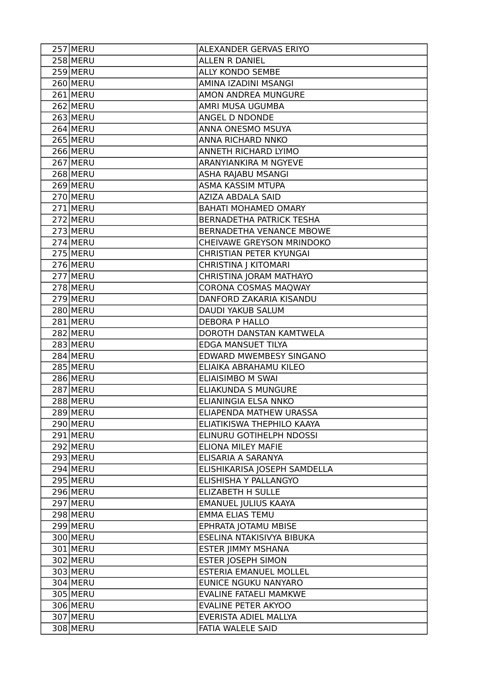| 257 MERU   | ALEXANDER GERVAS ERIYO        |
|------------|-------------------------------|
| $258$ MERU | <b>ALLEN R DANIEL</b>         |
| 259 MERU   | <b>ALLY KONDO SEMBE</b>       |
| 260 MERU   | AMINA IZADINI MSANGI          |
| $261$ MERU | <b>AMON ANDREA MUNGURE</b>    |
| $262$ MERU | AMRI MUSA UGUMBA              |
| 263 MERU   | ANGEL D NDONDE                |
| $264$ MERU | ANNA ONESMO MSUYA             |
| 265 MERU   | ANNA RICHARD NNKO             |
| 266 MERU   | ANNETH RICHARD LYIMO          |
| $267$ MERU | ARANYIANKIRA M NGYEVE         |
| 268 MERU   | ASHA RAJABU MSANGI            |
| 269 MERU   | ASMA KASSIM MTUPA             |
| 270 MERU   | AZIZA ABDALA SAID             |
| 271 MERU   | <b>BAHATI MOHAMED OMARY</b>   |
| 272 MERU   | BERNADETHA PATRICK TESHA      |
| 273 MERU   | BERNADETHA VENANCE MBOWE      |
| 274 MERU   | CHEIVAWE GREYSON MRINDOKO     |
| $275$ MERU | CHRISTIAN PETER KYUNGAI       |
| $276$ MERU | CHRISTINA J KITOMARI          |
| 277 MERU   | CHRISTINA JORAM MATHAYO       |
| 278 MERU   | CORONA COSMAS MAQWAY          |
| $279$ MERU | DANFORD ZAKARIA KISANDU       |
| 280 MERU   | DAUDI YAKUB SALUM             |
| 281 MERU   | <b>DEBORA P HALLO</b>         |
| 282 MERU   | DOROTH DANSTAN KAMTWELA       |
| 283 MERU   | EDGA MANSUET TILYA            |
| 284 MERU   | EDWARD MWEMBESY SINGANO       |
| 285 MERU   | ELIAIKA ABRAHAMU KILEO        |
| 286 MERU   | ELIAISIMBO M SWAI             |
| 287 MERU   | <b>ELIAKUNDA S MUNGURE</b>    |
| 288 MERU   | ELIANINGIA ELSA NNKO          |
| 289 MERU   | ELIAPENDA MATHEW URASSA       |
| 290 MERU   | ELIATIKISWA THEPHILO KAAYA    |
| 291 MERU   | ELINURU GOTIHELPH NDOSSI      |
| 292 MERU   | <b>ELIONA MILEY MAFIE</b>     |
| $293$ MERU | ELISARIA A SARANYA            |
| 294 MERU   | ELISHIKARISA JOSEPH SAMDELLA  |
| 295 MERU   | ELISHISHA Y PALLANGYO         |
| $296$ MERU | <b>ELIZABETH H SULLE</b>      |
| 297 MERU   | EMANUEL JULIUS KAAYA          |
| 298 MERU   | <b>EMMA ELIAS TEMU</b>        |
| 299 MERU   | EPHRATA JOTAMU MBISE          |
| 300 MERU   | ESELINA NTAKISIVYA BIBUKA     |
| 301 MERU   | ESTER JIMMY MSHANA            |
| 302 MERU   | <b>ESTER JOSEPH SIMON</b>     |
| 303 MERU   | <b>ESTERIA EMANUEL MOLLEL</b> |
| 304 MERU   | EUNICE NGUKU NANYARO          |
| 305 MERU   | EVALINE FATAELI MAMKWE        |
| 306 MERU   | EVALINE PETER AKYOO           |
| 307 MERU   | EVERISTA ADIEL MALLYA         |
| 308 MERU   | FATIA WALELE SAID             |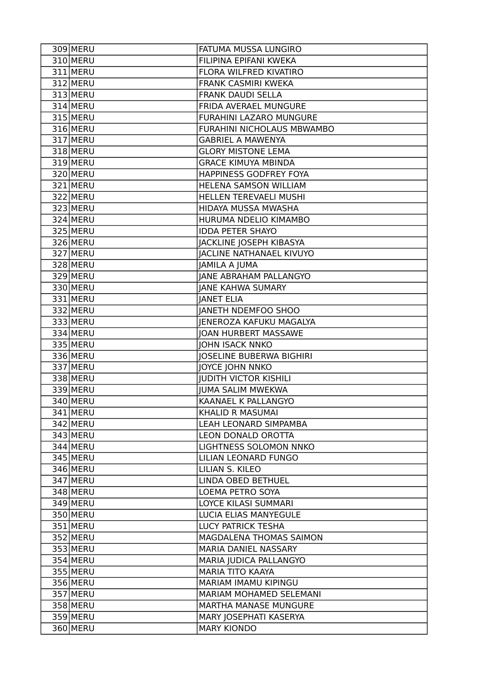| 309 MERU   | FATUMA MUSSA LUNGIRO            |
|------------|---------------------------------|
| 310 MERU   | FILIPINA EPIFANI KWEKA          |
| 311 MERU   | FLORA WILFRED KIVATIRO          |
| 312 MERU   | <b>FRANK CASMIRI KWEKA</b>      |
| 313 MERU   | <b>FRANK DAUDI SELLA</b>        |
| 314 MERU   | FRIDA AVERAEL MUNGURE           |
| 315 MERU   | FURAHINI LAZARO MUNGURE         |
| 316 MERU   | FURAHINI NICHOLAUS MBWAMBO      |
| 317 MERU   | <b>GABRIEL A MAWENYA</b>        |
| 318 MERU   | <b>GLORY MISTONE LEMA</b>       |
| 319 MERU   | <b>GRACE KIMUYA MBINDA</b>      |
| 320 MERU   | HAPPINESS GODFREY FOYA          |
| 321 MERU   | HELENA SAMSON WILLIAM           |
| 322 MERU   | HELLEN TEREVAELI MUSHI          |
| 323 MERU   | HIDAYA MUSSA MWASHA             |
| 324 MERU   | HURUMA NDELIO KIMAMBO           |
| 325 MERU   | <b>IDDA PETER SHAYO</b>         |
| 326 MERU   | JACKLINE JOSEPH KIBASYA         |
| 327 MERU   | <b>JACLINE NATHANAEL KIVUYO</b> |
| 328 MERU   | JAMILA A JUMA                   |
| 329 MERU   | <b>JANE ABRAHAM PALLANGYO</b>   |
| 330 MERU   | <b>JANE KAHWA SUMARY</b>        |
| 331 MERU   | <b>JANET ELIA</b>               |
| 332 MERU   | <b>JANETH NDEMFOO SHOO</b>      |
| 333 MERU   | JENEROZA KAFUKU MAGALYA         |
| 334 MERU   | <b>JOAN HURBERT MASSAWE</b>     |
| 335 MERU   | <b>JOHN ISACK NNKO</b>          |
| 336 MERU   | <b>JOSELINE BUBERWA BIGHIRI</b> |
| 337 MERU   | JOYCE JOHN NNKO                 |
| 338 MERU   | <b>JUDITH VICTOR KISHILI</b>    |
| 339 MERU   | <b>JUMA SALIM MWEKWA</b>        |
| 340 MERU   | KAANAEL K PALLANGYO             |
| 341 MERU   | KHALID R MASUMAI                |
| 342 MERU   | LEAH LEONARD SIMPAMBA           |
| 343 MERU   | LEON DONALD OROTTA              |
| 344 MERU   | LIGHTNESS SOLOMON NNKO          |
| 345 MERU   | LILIAN LEONARD FUNGO            |
| 346 MERU   | LILIAN S. KILEO                 |
| 347 MERU   | LINDA OBED BETHUEL              |
| 348 MERU   | LOEMA PETRO SOYA                |
| 349 MERU   | LOYCE KILASI SUMMARI            |
| 350 MERU   | LUCIA ELIAS MANYEGULE           |
| 351 MERU   | LUCY PATRICK TESHA              |
| 352 MERU   | MAGDALENA THOMAS SAIMON         |
| $353$ MERU | MARIA DANIEL NASSARY            |
| 354 MERU   | MARIA JUDICA PALLANGYO          |
| 355 MERU   | <b>MARIA TITO KAAYA</b>         |
| 356 MERU   | MARIAM IMAMU KIPINGU            |
| 357 MERU   | MARIAM MOHAMED SELEMANI         |
| 358 MERU   | <b>MARTHA MANASE MUNGURE</b>    |
| 359 MERU   | MARY JOSEPHATI KASERYA          |
| 360 MERU   | <b>MARY KIONDO</b>              |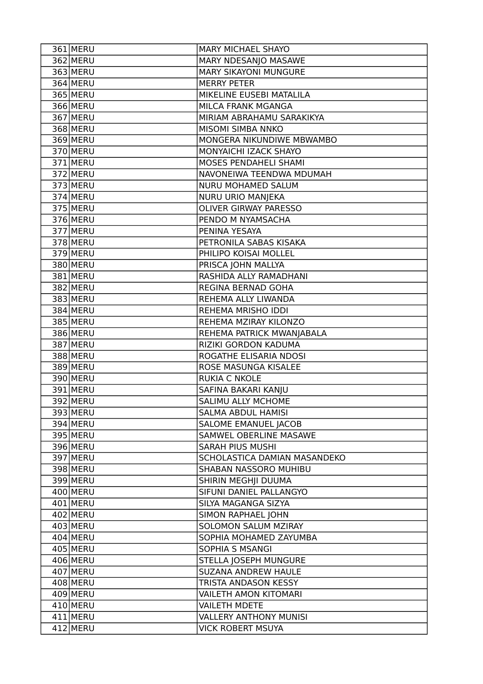| 361 MERU   | MARY MICHAEL SHAYO            |
|------------|-------------------------------|
| 362 MERU   | MARY NDESANJO MASAWE          |
| 363 MERU   | <b>MARY SIKAYONI MUNGURE</b>  |
| 364 MERU   | <b>MERRY PETER</b>            |
| 365 MERU   | MIKELINE EUSEBI MATALILA      |
| 366 MERU   | MILCA FRANK MGANGA            |
| 367 MERU   | MIRIAM ABRAHAMU SARAKIKYA     |
| $368$ MERU | MISOMI SIMBA NNKO             |
| 369 MERU   | MONGERA NIKUNDIWE MBWAMBO     |
| 370 MERU   | MONYAICHI IZACK SHAYO         |
| 371 MERU   | MOSES PENDAHELI SHAMI         |
| 372 MERU   | NAVONEIWA TEENDWA MDUMAH      |
| 373 MERU   | NURU MOHAMED SALUM            |
| 374 MERU   | NURU URIO MANJEKA             |
| 375 MERU   | <b>OLIVER GIRWAY PARESSO</b>  |
| 376 MERU   | PENDO M NYAMSACHA             |
| 377 MERU   | PENINA YESAYA                 |
| 378 MERU   | PETRONILA SABAS KISAKA        |
| 379 MERU   | PHILIPO KOISAI MOLLEL         |
| 380 MERU   | PRISCA JOHN MALLYA            |
| 381 MERU   | RASHIDA ALLY RAMADHANI        |
| 382 MERU   | REGINA BERNAD GOHA            |
| 383 MERU   | REHEMA ALLY LIWANDA           |
| 384 MERU   | REHEMA MRISHO IDDI            |
| 385 MERU   | REHEMA MZIRAY KILONZO         |
| 386 MERU   | REHEMA PATRICK MWANJABALA     |
| 387 MERU   | RIZIKI GORDON KADUMA          |
| 388 MERU   | ROGATHE ELISARIA NDOSI        |
| 389 MERU   | ROSE MASUNGA KISALEE          |
| 390 MERU   | <b>RUKIA C NKOLE</b>          |
| 391 MERU   | SAFINA BAKARI KANJU           |
| 392 MERU   | SALIMU ALLY MCHOME            |
| 393 MERU   | SALMA ABDUL HAMISI            |
| 394 MERU   | <b>SALOME EMANUEL JACOB</b>   |
| 395 MERU   | SAMWEL OBERLINE MASAWE        |
| 396 MERU   | SARAH PIUS MUSHI              |
| 397 MERU   | SCHOLASTICA DAMIAN MASANDEKO  |
| 398 MERU   | SHABAN NASSORO MUHIBU         |
| 399 MERU   | SHIRIN MEGHJI DUUMA           |
| $400$ MERU | SIFUNI DANIEL PALLANGYO       |
| 401 MERU   | SILYA MAGANGA SIZYA           |
| 402 MERU   | SIMON RAPHAEL JOHN            |
| 403 MERU   | SOLOMON SALUM MZIRAY          |
| $404$ MERU | SOPHIA MOHAMED ZAYUMBA        |
| $405$ MERU | SOPHIA S MSANGI               |
| 406 MERU   | STELLA JOSEPH MUNGURE         |
| 407 MERU   | SUZANA ANDREW HAULE           |
| 408 MERU   | TRISTA ANDASON KESSY          |
| 409 MERU   | <b>VAILETH AMON KITOMARI</b>  |
| $410$ MERU | <b>VAILETH MDETE</b>          |
| $411$ MERU | <b>VALLERY ANTHONY MUNISI</b> |
| 412 MERU   | <b>VICK ROBERT MSUYA</b>      |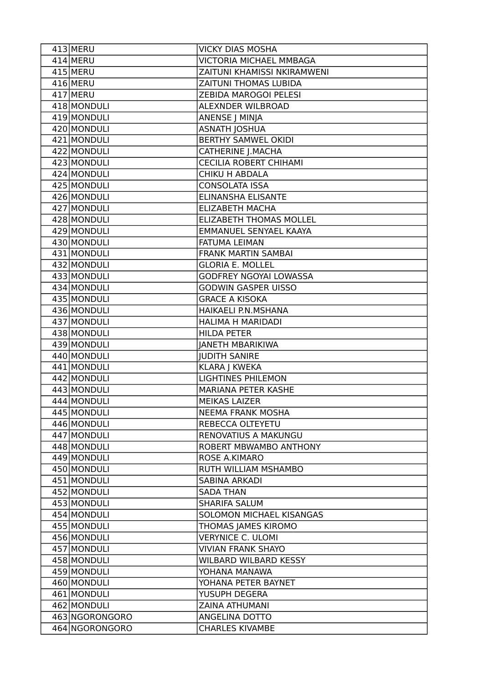| 413 MERU                   | <b>VICKY DIAS MOSHA</b>                    |
|----------------------------|--------------------------------------------|
| 414 MERU                   | VICTORIA MICHAEL MMBAGA                    |
| $415$ MERU                 | ZAITUNI KHAMISSI NKIRAMWENI                |
| 416 MERU                   | ZAITUNI THOMAS LUBIDA                      |
| 417 MERU                   | ZEBIDA MAROGOI PELESI                      |
| 418 MONDULI                | ALEXNDER WILBROAD                          |
| 419 MONDULI                | ANENSE J MINJA                             |
| 420 MONDULI                | <b>ASNATH JOSHUA</b>                       |
| 421 MONDULI                | <b>BERTHY SAMWEL OKIDI</b>                 |
| 422 MONDULI                | <b>CATHERINE J.MACHA</b>                   |
| 423 MONDULI                | <b>CECILIA ROBERT CHIHAMI</b>              |
| 424 MONDULI                | <b>CHIKU H ABDALA</b>                      |
| 425 MONDULI                | <b>CONSOLATA ISSA</b>                      |
| 426 MONDULI                | ELINANSHA ELISANTE                         |
| 427 MONDULI                | <b>ELIZABETH MACHA</b>                     |
| 428 MONDULI                | <b>ELIZABETH THOMAS MOLLEL</b>             |
| 429 MONDULI                | EMMANUEL SENYAEL KAAYA                     |
| 430 MONDULI                | FATUMA LEIMAN                              |
| 431 MONDULI                | <b>FRANK MARTIN SAMBAI</b>                 |
| 432 MONDULI                | <b>GLORIA E. MOLLEL</b>                    |
| 433 MONDULI                | GODFREY NGOYAI LOWASSA                     |
| 434 MONDULI                | <b>GODWIN GASPER UISSO</b>                 |
| 435 MONDULI                | <b>GRACE A KISOKA</b>                      |
| 436 MONDULI                | HAIKAELI P.N.MSHANA                        |
| 437 MONDULI                | HALIMA H MARIDADI                          |
| 438 MONDULI                | <b>HILDA PETER</b>                         |
| 439 MONDULI                | <b>JANETH MBARIKIWA</b>                    |
| 440 MONDULI                | <b>JUDITH SANIRE</b>                       |
| 441 MONDULI<br>442 MONDULI | KLARA J KWEKA<br><b>LIGHTINES PHILEMON</b> |
| 443 MONDULI                | <b>MARIANA PETER KASHE</b>                 |
| 444 MONDULI                | <b>MEIKAS LAIZER</b>                       |
| 445 MONDULI                | <b>NEEMA FRANK MOSHA</b>                   |
| 446 MONDULI                | REBECCA OLTEYETU                           |
| 447 MONDULI                | RENOVATIUS A MAKUNGU                       |
| 448 MONDULI                | ROBERT MBWAMBO ANTHONY                     |
| 449 MONDULI                | ROSE A.KIMARO                              |
| 450 MONDULI                | <b>RUTH WILLIAM MSHAMBO</b>                |
| 451 MONDULI                | SABINA ARKADI                              |
| 452 MONDULI                | <b>SADA THAN</b>                           |
| 453 MONDULI                | <b>SHARIFA SALUM</b>                       |
| 454 MONDULI                | SOLOMON MICHAEL KISANGAS                   |
| 455 MONDULI                | THOMAS JAMES KIROMO                        |
| 456 MONDULI                | <b>VERYNICE C. ULOMI</b>                   |
| 457 MONDULI                | <b>VIVIAN FRANK SHAYO</b>                  |
| 458 MONDULI                | <b>WILBARD WILBARD KESSY</b>               |
| 459 MONDULI                | YOHANA MANAWA                              |
| 460 MONDULI                | YOHANA PETER BAYNET                        |
| 461 MONDULI                | YUSUPH DEGERA                              |
| 462 MONDULI                | ZAINA ATHUMANI                             |
| 463 NGORONGORO             | ANGELINA DOTTO                             |
| 464 NGORONGORO             | <b>CHARLES KIVAMBE</b>                     |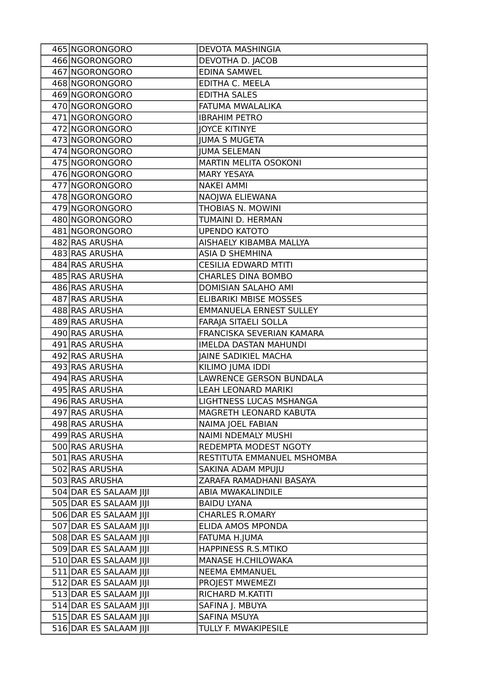| 465 NGORONGORO         | <b>DEVOTA MASHINGIA</b>        |
|------------------------|--------------------------------|
| 466 NGORONGORO         | DEVOTHA D. JACOB               |
| 467 NGORONGORO         | <b>EDINA SAMWEL</b>            |
| 468 NGORONGORO         | EDITHA C. MEELA                |
| 469 NGORONGORO         | <b>EDITHA SALES</b>            |
| 470 NGORONGORO         | FATUMA MWALALIKA               |
| 471 NGORONGORO         | <b>IBRAHIM PETRO</b>           |
| 472 NGORONGORO         | <b>JOYCE KITINYE</b>           |
| 473 NGORONGORO         | <b>JUMA S MUGETA</b>           |
| 474 NGORONGORO         | <b>JUMA SELEMAN</b>            |
| 475 NGORONGORO         | MARTIN MELITA OSOKONI          |
| 476 NGORONGORO         | <b>MARY YESAYA</b>             |
| 477 NGORONGORO         | <b>NAKEI AMMI</b>              |
| 478 NGORONGORO         | NAOJWA ELIEWANA                |
| 479 NGORONGORO         | THOBIAS N. MOWINI              |
| 480 NGORONGORO         | TUMAINI D. HERMAN              |
| 481 NGORONGORO         | <b>UPENDO KATOTO</b>           |
| 482 RAS ARUSHA         | AISHAELY KIBAMBA MALLYA        |
| 483 RAS ARUSHA         | <b>ASIA D SHEMHINA</b>         |
| 484 RAS ARUSHA         | <b>CESILIA EDWARD MTITI</b>    |
| 485 RAS ARUSHA         | <b>CHARLES DINA BOMBO</b>      |
| 486 RAS ARUSHA         | <b>DOMISIAN SALAHO AMI</b>     |
| 487 RAS ARUSHA         | <b>ELIBARIKI MBISE MOSSES</b>  |
| 488 RAS ARUSHA         | <b>EMMANUELA ERNEST SULLEY</b> |
| 489 RAS ARUSHA         | FARAJA SITAELI SOLLA           |
| 490 RAS ARUSHA         | FRANCISKA SEVERIAN KAMARA      |
| 491 RAS ARUSHA         | <b>IMELDA DASTAN MAHUNDI</b>   |
| 492 RAS ARUSHA         | <b>JAINE SADIKIEL MACHA</b>    |
| 493 RAS ARUSHA         | KILIMO JUMA IDDI               |
| 494 RAS ARUSHA         | LAWRENCE GERSON BUNDALA        |
| 495 RAS ARUSHA         | <b>LEAH LEONARD MARIKI</b>     |
| 496 RAS ARUSHA         | LIGHTNESS LUCAS MSHANGA        |
| 497 RAS ARUSHA         | MAGRETH LEONARD KABUTA         |
| 498 RAS ARUSHA         | NAIMA JOEL FABIAN              |
| 499 RAS ARUSHA         | <b>NAIMI NDEMALY MUSHI</b>     |
| 500 RAS ARUSHA         | REDEMPTA MODEST NGOTY          |
| 501 RAS ARUSHA         | RESTITUTA EMMANUEL MSHOMBA     |
| 502 RAS ARUSHA         | SAKINA ADAM MPUJU              |
| 503 RAS ARUSHA         | ZARAFA RAMADHANI BASAYA        |
| 504 DAR ES SALAAM JIJI | ABIA MWAKALINDILE              |
| 505 DAR ES SALAAM JIJI | <b>BAIDU LYANA</b>             |
| 506 DAR ES SALAAM JIJI | <b>CHARLES R.OMARY</b>         |
| 507 DAR ES SALAAM JIJI | ELIDA AMOS MPONDA              |
| 508 DAR ES SALAAM JIJI | FATUMA H.JUMA                  |
| 509 DAR ES SALAAM JIJI | HAPPINESS R.S.MTIKO            |
| 510 DAR ES SALAAM JIJI | MANASE H.CHILOWAKA             |
| 511 DAR ES SALAAM JIJI | <b>NEEMA EMMANUEL</b>          |
| 512 DAR ES SALAAM JIJI | PROJEST MWEMEZI                |
| 513 DAR ES SALAAM JIJI | RICHARD M.KATITI               |
| 514 DAR ES SALAAM JIJI | SAFINA J. MBUYA                |
| 515 DAR ES SALAAM JIJI | SAFINA MSUYA                   |
| 516 DAR ES SALAAM JIJI | TULLY F. MWAKIPESILE           |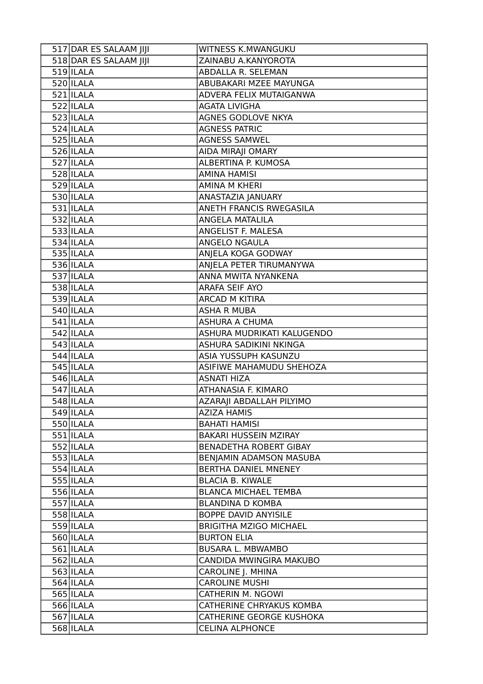| 517 DAR ES SALAAM JIJI | WITNESS K.MWANGUKU              |
|------------------------|---------------------------------|
| 518 DAR ES SALAAM JIJI | ZAINABU A.KANYOROTA             |
| $519$  ILALA           | ABDALLA R. SELEMAN              |
| $520$  ILALA           | ABUBAKARI MZEE MAYUNGA          |
| $521$  ILALA           | ADVERA FELIX MUTAIGANWA         |
| $522$  ILALA           | <b>AGATA LIVIGHA</b>            |
| 523 ILALA              | AGNES GODLOVE NKYA              |
| $524$  ILALA           | <b>AGNESS PATRIC</b>            |
| $525$  ILALA           | <b>AGNESS SAMWEL</b>            |
| 526 ILALA              | AIDA MIRAJI OMARY               |
| 527 ILALA              | ALBERTINA P. KUMOSA             |
| 528 ILALA              | <b>AMINA HAMISI</b>             |
| 529 ILALA              | <b>AMINA M KHERI</b>            |
| 530 ILALA              | ANASTAZIA JANUARY               |
| $531$  ILALA           | ANETH FRANCIS RWEGASILA         |
| $532$  ILALA           | ANGELA MATALILA                 |
| 533 ILALA              | ANGELIST F. MALESA              |
| $534$  ILALA           | ANGELO NGAULA                   |
| $535$  ILALA           | ANJELA KOGA GODWAY              |
| $536$  ILALA           | ANJELA PETER TIRUMANYWA         |
| 537 ILALA              | ANNA MWITA NYANKENA             |
| 538 ILALA              | ARAFA SEIF AYO                  |
| 539 ILALA              | <b>ARCAD M KITIRA</b>           |
| 540 ILALA              | <b>ASHA R MUBA</b>              |
| $541$  ILALA           | <b>ASHURA A CHUMA</b>           |
| $542$  ILALA           | ASHURA MUDRIKATI KALUGENDO      |
| $543$  ILALA           | ASHURA SADIKINI NKINGA          |
| 544 ILALA              | ASIA YUSSUPH KASUNZU            |
| 545 ILALA              | ASIFIWE MAHAMUDU SHEHOZA        |
| 546 ILALA              | <b>ASNATI HIZA</b>              |
| $547$ ILALA            | ATHANASIA F. KIMARO             |
| 548 ILALA              | AZARAJI ABDALLAH PILYIMO        |
| $549$  ILALA           | <b>AZIZA HAMIS</b>              |
| $550$  ILALA           | <b>BAHATI HAMISI</b>            |
| $551$  ILALA           | BAKARI HUSSEIN MZIRAY           |
| $552$  ILALA           | <b>BENADETHA ROBERT GIBAY</b>   |
| $553$  ILALA           | BENJAMIN ADAMSON MASUBA         |
| $554$  ILALA           | BERTHA DANIEL MNENEY            |
| $555$  ILALA           | <b>BLACIA B. KIWALE</b>         |
| 556 ILALA              | <b>BLANCA MICHAEL TEMBA</b>     |
| $557$  ILALA           | <b>BLANDINA D KOMBA</b>         |
| $558$  ILALA           | BOPPE DAVID ANYISILE            |
| 559 ILALA              | <b>BRIGITHA MZIGO MICHAEL</b>   |
| $560$  ILALA           | <b>BURTON ELIA</b>              |
| $561$  ILALA           | <b>BUSARA L. MBWAMBO</b>        |
| $562$  ILALA           | CANDIDA MWINGIRA MAKUBO         |
| $563$  ILALA           | CAROLINE J. MHINA               |
| $564$  ILALA           | <b>CAROLINE MUSHI</b>           |
| $565$  ILALA           | <b>CATHERIN M. NGOWI</b>        |
| $566$  ILALA           | <b>CATHERINE CHRYAKUS KOMBA</b> |
| $567$  ILALA           | CATHERINE GEORGE KUSHOKA        |
| 568 ILALA              | <b>CELINA ALPHONCE</b>          |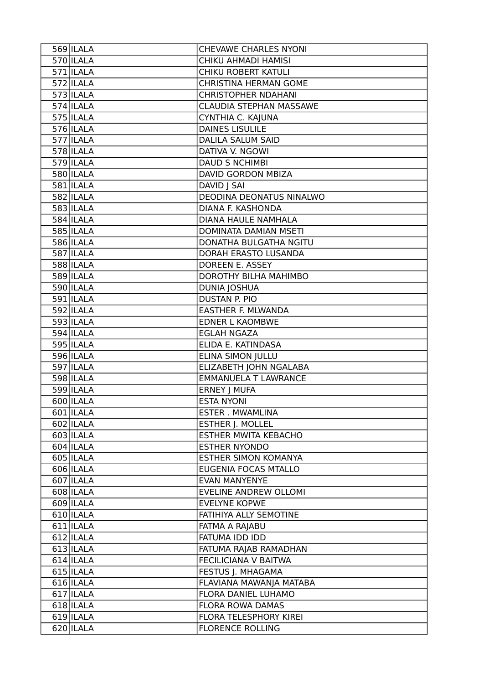| 569 ILALA    | <b>CHEVAWE CHARLES NYONI</b> |
|--------------|------------------------------|
| $570$  ILALA | CHIKU AHMADI HAMISI          |
| $571$  ILALA | CHIKU ROBERT KATULI          |
| $572$  ILALA | CHRISTINA HERMAN GOME        |
| $573$  ILALA | <b>CHRISTOPHER NDAHANI</b>   |
| $574$  ILALA | CLAUDIA STEPHAN MASSAWE      |
| $575$  ILALA | CYNTHIA C. KAJUNA            |
| $576$  ILALA | <b>DAINES LISULILE</b>       |
| 577 ILALA    | <b>DALILA SALUM SAID</b>     |
| 578 ILALA    | DATIVA V. NGOWI              |
| $579$  ILALA | <b>DAUD S NCHIMBI</b>        |
| 580 ILALA    | DAVID GORDON MBIZA           |
| 581 ILALA    | DAVID J SAI                  |
| 582 ILALA    | DEODINA DEONATUS NINALWO     |
| 583 ILALA    | DIANA F. KASHONDA            |
| 584 ILALA    | DIANA HAULE NAMHALA          |
| 585 ILALA    | DOMINATA DAMIAN MSETI        |
| 586 ILALA    | DONATHA BULGATHA NGITU       |
| 587 ILALA    | DORAH ERASTO LUSANDA         |
| 588 ILALA    | DOREEN E. ASSEY              |
| 589 ILALA    | DOROTHY BILHA MAHIMBO        |
| 590 ILALA    | <b>DUNIA JOSHUA</b>          |
| 591 ILALA    | DUSTAN P. PIO                |
| $592$  ILALA | <b>EASTHER F. MLWANDA</b>    |
| 593 ILALA    | <b>EDNER L KAOMBWE</b>       |
| $594$  ILALA | <b>EGLAH NGAZA</b>           |
| 595 ILALA    | ELIDA E. KATINDASA           |
| 596 ILALA    | <b>ELINA SIMON JULLU</b>     |
| 597 ILALA    | ELIZABETH JOHN NGALABA       |
| $598$  ILALA | <b>EMMANUELA T LAWRANCE</b>  |
| $599$  ILALA | ERNEY J MUFA                 |
| 600 ILALA    | <b>ESTA NYONI</b>            |
| 601 ILALA    | <b>ESTER. MWAMLINA</b>       |
| $602$  ILALA | <b>ESTHER J. MOLLEL</b>      |
| $603$  ILALA | <b>ESTHER MWITA KEBACHO</b>  |
| $604$  ILALA | <b>ESTHER NYONDO</b>         |
| 605 ILALA    | <b>ESTHER SIMON KOMANYA</b>  |
| 606 ILALA    | EUGENIA FOCAS MTALLO         |
| $607$  ILALA | <b>EVAN MANYENYE</b>         |
| 608 ILALA    | <b>EVELINE ANDREW OLLOMI</b> |
| 609 ILALA    | EVELYNE KOPWE                |
| $610$  ILALA | FATIHIYA ALLY SEMOTINE       |
| $611$  ILALA | FATMA A RAJABU               |
| $612$  ILALA | FATUMA IDD IDD               |
| $613$  ILALA | FATUMA RAJAB RAMADHAN        |
| $614$  ILALA | <b>FECILICIANA V BAITWA</b>  |
| $615$  ILALA | FESTUS J. MHAGAMA            |
| $616$  ILALA | FLAVIANA MAWANJA MATABA      |
| $617$  ILALA | FLORA DANIEL LUHAMO          |
| $618$  ILALA | <b>FLORA ROWA DAMAS</b>      |
| $619$  ILALA | FLORA TELESPHORY KIREI       |
| $620$  ILALA | <b>FLORENCE ROLLING</b>      |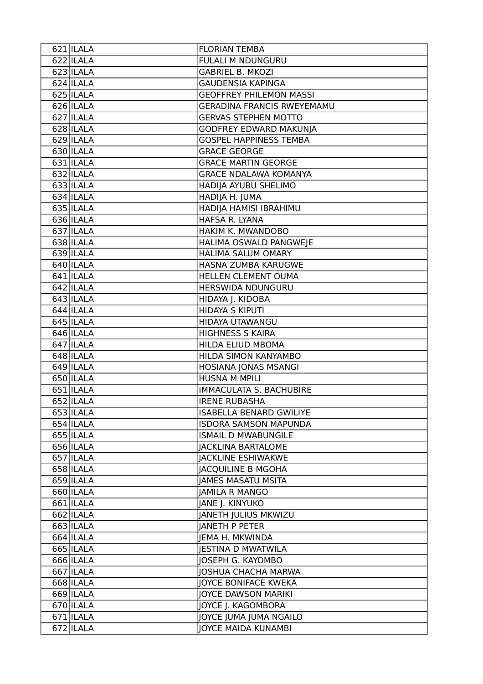| $\overline{621}$ ILALA  | <b>FLORIAN TEMBA</b>              |
|-------------------------|-----------------------------------|
| $622$ ILALA             | <b>FULALI M NDUNGURU</b>          |
| $623$  ILALA            | <b>GABRIEL B. MKOZI</b>           |
| 624 ILALA               | <b>GAUDENSIA KAPINGA</b>          |
| 625 ILALA               | <b>GEOFFREY PHILEMON MASSI</b>    |
| 626 ILALA               | <b>GERADINA FRANCIS RWEYEMAMU</b> |
| 627 ILALA               | <b>GERVAS STEPHEN MOTTO</b>       |
| $628$  ILALA            | <b>GODFREY EDWARD MAKUNJA</b>     |
| $629$  ILALA            | <b>GOSPEL HAPPINESS TEMBA</b>     |
| $630$  ILALA            | <b>GRACE GEORGE</b>               |
| 631 ILALA               | <b>GRACE MARTIN GEORGE</b>        |
| $632$  ILALA            | <b>GRACE NDALAWA KOMANYA</b>      |
| 633 ILALA               | HADIJA AYUBU SHELIMO              |
| 634 ILALA               | HADIJA H. JUMA                    |
| $635$  ILALA            | HADIJA HAMISI IBRAHIMU            |
| 636 ILALA               | HAFSA R. LYANA                    |
| $\overline{637}$  ILALA | HAKIM K. MWANDOBO                 |
| 638 ILALA               | HALIMA OSWALD PANGWEJE            |
| $639$  ILALA            | HALIMA SALUM OMARY                |
| 640 ILALA               | HASNA ZUMBA KARUGWE               |
| $641$  ILALA            | HELLEN CLEMENT OUMA               |
| $642$  ILALA            | HERSWIDA NDUNGURU                 |
| $643$  ILALA            | HIDAYA J. KIDOBA                  |
| $644$  ILALA            | <b>HIDAYA S KIPUTI</b>            |
| $\overline{645}$  ILALA | HIDAYA UTAWANGU                   |
| 646 ILALA               | <b>HIGHNESS S KAIRA</b>           |
| 647 ILALA               | HILDA ELIUD MBOMA                 |
| $\overline{648}$  ILALA | HILDA SIMON KANYAMBO              |
| 649 ILALA               | HOSIANA JONAS MSANGI              |
| 650 ILALA               | HUSNA M MPILI                     |
| $651$  ILALA            | IMMACULATA S. BACHUBIRE           |
| 652 ILALA               | <b>IRENE RUBASHA</b>              |
| 653 ILALA               | <b>ISABELLA BENARD GWILIYE</b>    |
| $654$  ILALA            | <b>ISDORA SAMSON MAPUNDA</b>      |
| $655$  ILALA            | <b>ISMAIL D MWABUNGILE</b>        |
| $656$  ILALA            | <b>JACKLINA BARTALOME</b>         |
| 657 ILALA               | <b>JACKLINE ESHIWAKWE</b>         |
| $658$  ILALA            | <b>JACQUILINE B MGOHA</b>         |
| $659$  ILALA            | JAMES MASATU MSITA                |
| 660 ILALA               | <b>JAMILA R MANGO</b>             |
| 661 ILALA               | JANE J. KINYUKO                   |
| $662$  ILALA            | JANETH JULIUS MKWIZU              |
| 663 ILALA               | <b>JANETH P PETER</b>             |
| $664$  ILALA            | JEMA H. MKWINDA                   |
| $665$  ILALA            | <b>JESTINA D MWATWILA</b>         |
| 666 ILALA               | JOSEPH G. KAYOMBO                 |
| 667 ILALA               | <b>JOSHUA CHACHA MARWA</b>        |
| 668 ILALA               | <b>JOYCE BONIFACE KWEKA</b>       |
| 669 ILALA               | <b>JOYCE DAWSON MARIKI</b>        |
| 670 ILALA               | JOYCE J. KAGOMBORA                |
| $671$  ILALA            | JOYCE JUMA JUMA NGAILO            |
| $672$  ILALA            | <b>JOYCE MAIDA KUNAMBI</b>        |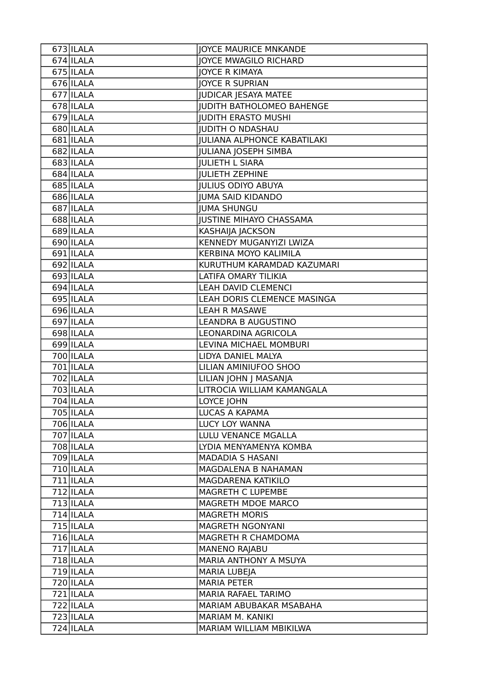| 673 ILALA    | <b>JOYCE MAURICE MNKANDE</b>       |
|--------------|------------------------------------|
| $674$  ILALA | JOYCE MWAGILO RICHARD              |
| $675$  ILALA | <b>JOYCE R KIMAYA</b>              |
| $676$  ILALA | <b>JOYCE R SUPRIAN</b>             |
| 677 ILALA    | <b>JUDICAR JESAYA MATEE</b>        |
| 678 ILALA    | <b>JUDITH BATHOLOMEO BAHENGE</b>   |
| $679$  ILALA | <b>JUDITH ERASTO MUSHI</b>         |
| 680 ILALA    | <b>JUDITH O NDASHAU</b>            |
| 681 ILALA    | <b>JULIANA ALPHONCE KABATILAKI</b> |
| 682 ILALA    | <b>JULIANA JOSEPH SIMBA</b>        |
| 683 ILALA    | <b>IULIETH L SIARA</b>             |
| 684 ILALA    | <b>IULIETH ZEPHINE</b>             |
| 685   ILALA  | <b>JULIUS ODIYO ABUYA</b>          |
| 686 ILALA    | <b>JUMA SAID KIDANDO</b>           |
| 687 ILALA    | <b>JUMA SHUNGU</b>                 |
| 688 ILALA    | <b>JUSTINE MIHAYO CHASSAMA</b>     |
| 689 ILALA    | KASHAIJA JACKSON                   |
| 690 ILALA    | KENNEDY MUGANYIZI LWIZA            |
| 691 ILALA    | KERBINA MOYO KALIMILA              |
| 692 ILALA    | KURUTHUM KARAMDAD KAZUMARI         |
| 693 ILALA    | LATIFA OMARY TILIKIA               |
| 694 ILALA    | <b>LEAH DAVID CLEMENCI</b>         |
| 695 ILALA    | LEAH DORIS CLEMENCE MASINGA        |
| 696 ILALA    | <b>LEAH R MASAWE</b>               |
| 697 ILALA    | <b>LEANDRA B AUGUSTINO</b>         |
| 698 ILALA    | LEONARDINA AGRICOLA                |
| 699 ILALA    | LEVINA MICHAEL MOMBURI             |
| 700 ILALA    | LIDYA DANIEL MALYA                 |
| $701$ ILALA  | LILIAN AMINIUFOO SHOO              |
| 702 ILALA    | LILIAN JOHN J MASANJA              |
| 703 ILALA    | LITROCIA WILLIAM KAMANGALA         |
| 704 ILALA    | LOYCE JOHN                         |
| 705   ILALA  | LUCAS A KAPAMA                     |
| 706 ILALA    | LUCY LOY WANNA                     |
| 707 ILALA    | LULU VENANCE MGALLA                |
| 708 ILALA    | LYDIA MENYAMENYA KOMBA             |
| 709 ILALA    | <b>MADADIA S HASANI</b>            |
| $710$  ILALA | <b>MAGDALENA B NAHAMAN</b>         |
| $711$  ILALA | MAGDARENA KATIKILO                 |
| $712$  ILALA | MAGRETH C LUPEMBE                  |
| $713$ ILALA  | MAGRETH MDOE MARCO                 |
| $714$  ILALA | <b>MAGRETH MORIS</b>               |
| $715$  ILALA | MAGRETH NGONYANI                   |
| $716$  ILALA | MAGRETH R CHAMDOMA                 |
| $717$  ILALA | <b>MANENO RAJABU</b>               |
| $718$  ILALA | MARIA ANTHONY A MSUYA              |
| $719$  ILALA | MARIA LUBEJA                       |
| 720 ILALA    | <b>MARIA PETER</b>                 |
| $721$  ILALA | MARIA RAFAEL TARIMO                |
| $722$  ILALA | MARIAM ABUBAKAR MSABAHA            |
| $723$ ILALA  | MARIAM M. KANIKI                   |
| $724$  ILALA | MARIAM WILLIAM MBIKILWA            |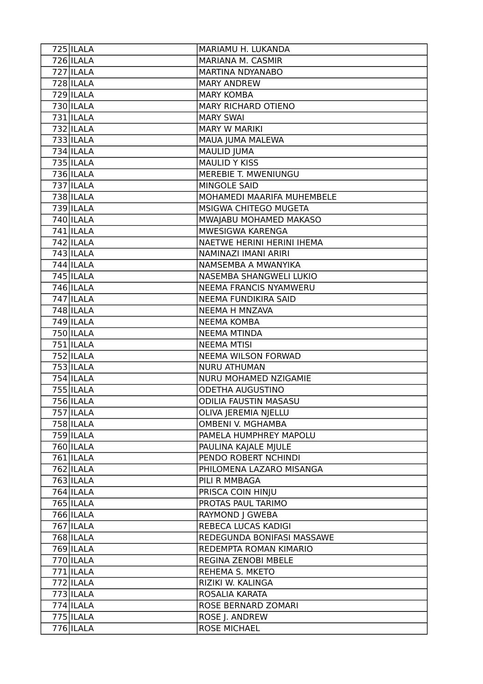| 725 ILALA                    | MARIAMU H. LUKANDA                    |
|------------------------------|---------------------------------------|
| $726$  ILALA                 | MARIANA M. CASMIR                     |
| $727$  ILALA                 | MARTINA NDYANABO                      |
| $728$  ILALA                 | <b>MARY ANDREW</b>                    |
| $729$  ILALA                 | <b>MARY KOMBA</b>                     |
| $730$  ILALA                 | <b>MARY RICHARD OTIENO</b>            |
| $731$  ILALA                 | <b>MARY SWAI</b>                      |
| 732 ILALA                    | <b>MARY W MARIKI</b>                  |
| 733 ILALA                    | MAUA JUMA MALEWA                      |
| $734$  ILALA                 | <b>MAULID JUMA</b>                    |
| $735$ ILALA                  | MAULID Y KISS                         |
| $736$  ILALA                 | MEREBIE T. MWENIUNGU                  |
| 737 ILALA                    | MINGOLE SAID                          |
| 738 ILALA                    | MOHAMEDI MAARIFA MUHEMBELE            |
| 739 ILALA                    | MSIGWA CHITEGO MUGETA                 |
| 740 ILALA                    | MWAJABU MOHAMED MAKASO                |
| $741$  ILALA                 | MWESIGWA KARENGA                      |
| $742$  ILALA                 | NAETWE HERINI HERINI IHEMA            |
| 743 ILALA                    | NAMINAZI IMANI ARIRI                  |
| $744$  ILALA                 | NAMSEMBA A MWANYIKA                   |
| 745 ILALA                    | NASEMBA SHANGWELI LUKIO               |
| $746$  ILALA                 | NEEMA FRANCIS NYAMWERU                |
| $747$  ILALA                 | NEEMA FUNDIKIRA SAID                  |
| 748 ILALA                    | NEEMA H MNZAVA                        |
| 749 ILALA                    | <b>NEEMA KOMBA</b>                    |
| 750 ILALA                    | <b>NEEMA MTINDA</b>                   |
| $751$  ILALA                 | <b>NEEMA MTISI</b>                    |
| $752$  ILALA                 | <b>NEEMA WILSON FORWAD</b>            |
| 753 ILALA                    | <b>NURU ATHUMAN</b>                   |
| $754$ ILALA                  | NURU MOHAMED NZIGAMIE                 |
| $755$  ILALA                 | <b>ODETHA AUGUSTINO</b>               |
|                              |                                       |
| 756 ILALA                    | <b>ODILIA FAUSTIN MASASU</b>          |
| 757 ILALA                    | OLIVA JEREMIA NJELLU                  |
| 758 ILALA                    | <b>OMBENI V. MGHAMBA</b>              |
| 759 ILALA                    | PAMELA HUMPHREY MAPOLU                |
| 760 ILALA                    | PAULINA KAJALE MJULE                  |
| $761$  ILALA                 | PENDO ROBERT NCHINDI                  |
| 762 ILALA                    | PHILOMENA LAZARO MISANGA              |
| $763$  ILALA                 | PILI R MMBAGA                         |
| $764$  ILALA                 | PRISCA COIN HINJU                     |
| $765$  ILALA                 | PROTAS PAUL TARIMO                    |
| 766 ILALA                    | RAYMOND J GWEBA                       |
| 767 ILALA                    | REBECA LUCAS KADIGI                   |
| 768 ILALA                    | REDEGUNDA BONIFASI MASSAWE            |
| $769$  ILALA                 | REDEMPTA ROMAN KIMARIO                |
| $770$  ILALA                 | REGINA ZENOBI MBELE                   |
| $771$  ILALA                 | REHEMA S. MKETO                       |
| $772$  ILALA                 | RIZIKI W. KALINGA                     |
| $\overline{773}$ ILALA       | ROSALIA KARATA                        |
| $774$  ILALA                 | ROSE BERNARD ZOMARI                   |
| $775$  ILALA<br>$776$  ILALA | ROSE J. ANDREW<br><b>ROSE MICHAEL</b> |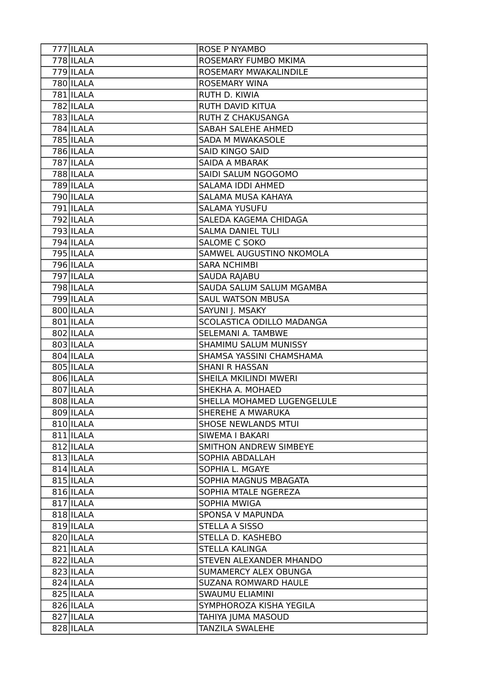| $777$  ILALA | <b>ROSE P NYAMBO</b>        |
|--------------|-----------------------------|
| $778$  ILALA | ROSEMARY FUMBO MKIMA        |
| $779$  ILALA | ROSEMARY MWAKALINDILE       |
| 780   ILALA  | <b>ROSEMARY WINA</b>        |
| 781 ILALA    | RUTH D. KIWIA               |
| 782 ILALA    | RUTH DAVID KITUA            |
| 783 ILALA    | RUTH Z CHAKUSANGA           |
| 784 ILALA    | SABAH SALEHE AHMED          |
| 785 ILALA    | SADA M MWAKASOLE            |
| 786 ILALA    | <b>SAID KINGO SAID</b>      |
| 787 ILALA    | SAIDA A MBARAK              |
| 788 ILALA    | SAIDI SALUM NGOGOMO         |
| 789 ILALA    | SALAMA IDDI AHMED           |
| 790 ILALA    | SALAMA MUSA KAHAYA          |
| 791 ILALA    | <b>SALAMA YUSUFU</b>        |
| 792 ILALA    | SALEDA KAGEMA CHIDAGA       |
| $793$ ILALA  | <b>SALMA DANIEL TULI</b>    |
| 794 ILALA    | <b>SALOME C SOKO</b>        |
| 795 ILALA    | SAMWEL AUGUSTINO NKOMOLA    |
| 796 ILALA    | <b>SARA NCHIMBI</b>         |
| 797 ILALA    | SAUDA RAJABU                |
| 798 ILALA    | SAUDA SALUM SALUM MGAMBA    |
| 799 ILALA    | <b>SAUL WATSON MBUSA</b>    |
| 800 ILALA    | SAYUNI J. MSAKY             |
| 801 ILALA    | SCOLASTICA ODILLO MADANGA   |
| 802 ILALA    | SELEMANI A. TAMBWE          |
| 803 ILALA    | SHAMIMU SALUM MUNISSY       |
| 804 ILALA    | SHAMSA YASSINI CHAMSHAMA    |
| 805 ILALA    | SHANI R HASSAN              |
| 806 ILALA    | SHEILA MKILINDI MWERI       |
| 807 ILALA    | SHEKHA A. MOHAED            |
| 808 ILALA    | SHELLA MOHAMED LUGENGELULE  |
| 809 ILALA    | SHEREHE A MWARUKA           |
| 810 ILALA    | <b>SHOSE NEWLANDS MTUI</b>  |
| 811 ILALA    | SIWEMA I BAKARI             |
| 812 ILALA    | SMITHON ANDREW SIMBEYE      |
| 813 ILALA    | SOPHIA ABDALLAH             |
| $814$  ILALA | SOPHIA L. MGAYE             |
| $815$  ILALA | SOPHIA MAGNUS MBAGATA       |
| $816$  ILALA | SOPHIA MTALE NGEREZA        |
| 817 ILALA    | SOPHIA MWIGA                |
| 818 ILALA    | SPONSA V MAPUNDA            |
| $819$  ILALA | STELLA A SISSO              |
| 820 ILALA    | STELLA D. KASHEBO           |
| $821$  ILALA | <b>STELLA KALINGA</b>       |
| 822 ILALA    | STEVEN ALEXANDER MHANDO     |
| 823 ILALA    | SUMAMERCY ALEX OBUNGA       |
| $824$  ILALA | <b>SUZANA ROMWARD HAULE</b> |
| 825 ILALA    | <b>SWAUMU ELIAMINI</b>      |
| 826 ILALA    | SYMPHOROZA KISHA YEGILA     |
| $827$  ILALA | TAHIYA JUMA MASOUD          |
| 828 ILALA    | TANZILA SWALEHE             |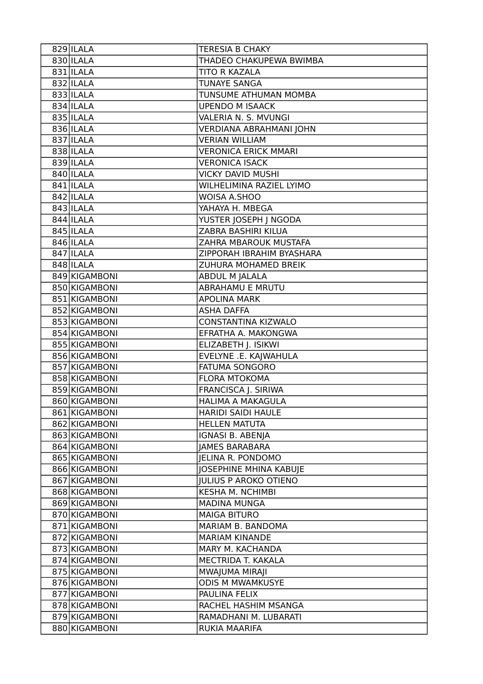| 829 ILALA     | <b>TERESIA B CHAKY</b>       |
|---------------|------------------------------|
| 830 ILALA     | THADEO CHAKUPEWA BWIMBA      |
| $831$  ILALA  | TITO R KAZALA                |
| 832 ILALA     | <b>TUNAYE SANGA</b>          |
| 833 ILALA     | TUNSUME ATHUMAN MOMBA        |
| 834 ILALA     | <b>UPENDO M ISAACK</b>       |
| 835 ILALA     | VALERIA N. S. MVUNGI         |
| 836 ILALA     | VERDIANA ABRAHMANI JOHN      |
| 837 ILALA     | <b>VERIAN WILLIAM</b>        |
| 838 ILALA     | <b>VERONICA ERICK MMARI</b>  |
| 839 ILALA     | <b>VERONICA ISACK</b>        |
| 840 ILALA     | VICKY DAVID MUSHI            |
| 841 ILALA     | WILHELIMINA RAZIEL LYIMO     |
| 842 ILALA     | WOISA A.SHOO                 |
| 843 ILALA     | YAHAYA H. MBEGA              |
| 844 ILALA     | YUSTER JOSEPH J NGODA        |
| 845 ILALA     | ZABRA BASHIRI KILUA          |
| 846 ILALA     | ZAHRA MBAROUK MUSTAFA        |
| 847 ILALA     | ZIPPORAH IBRAHIM BYASHARA    |
| 848 ILALA     | ZUHURA MOHAMED BREIK         |
| 849 KIGAMBONI | ABDUL M JALALA               |
| 850 KIGAMBONI | <b>ABRAHAMU E MRUTU</b>      |
| 851 KIGAMBONI | <b>APOLINA MARK</b>          |
| 852 KIGAMBONI | <b>ASHA DAFFA</b>            |
| 853 KIGAMBONI | CONSTANTINA KIZWALO          |
| 854 KIGAMBONI | EFRATHA A. MAKONGWA          |
| 855 KIGAMBONI | ELIZABETH J. ISIKWI          |
| 856 KIGAMBONI | EVELYNE .E. KAJWAHULA        |
| 857 KIGAMBONI | FATUMA SONGORO               |
| 858 KIGAMBONI | <b>FLORA MTOKOMA</b>         |
| 859 KIGAMBONI | FRANCISCA J. SIRIWA          |
| 860 KIGAMBONI | <b>HALIMA A MAKAGULA</b>     |
| 861 KIGAMBONI | HARIDI SAIDI HAULE           |
| 862 KIGAMBONI | <b>HELLEN MATUTA</b>         |
| 863 KIGAMBONI | IGNASI B. ABENJA             |
| 864 KIGAMBONI | <b>JAMES BARABARA</b>        |
| 865 KIGAMBONI | <b>JELINA R. PONDOMO</b>     |
| 866 KIGAMBONI | JOSEPHINE MHINA KABUJE       |
| 867 KIGAMBONI | <b>JULIUS P AROKO OTIENO</b> |
| 868 KIGAMBONI | <b>KESHA M. NCHIMBI</b>      |
| 869 KIGAMBONI | <b>MADINA MUNGA</b>          |
| 870 KIGAMBONI | <b>MAIGA BITURO</b>          |
| 871 KIGAMBONI | MARIAM B. BANDOMA            |
| 872 KIGAMBONI | <b>MARIAM KINANDE</b>        |
| 873 KIGAMBONI | MARY M. KACHANDA             |
| 874 KIGAMBONI | MECTRIDA T. KAKALA           |
| 875 KIGAMBONI | MWAJUMA MIRAJI               |
| 876 KIGAMBONI | <b>ODIS M MWAMKUSYE</b>      |
| 877 KIGAMBONI | PAULINA FELIX                |
| 878 KIGAMBONI | RACHEL HASHIM MSANGA         |
| 879 KIGAMBONI | RAMADHANI M. LUBARATI        |
| 880 KIGAMBONI | RUKIA MAARIFA                |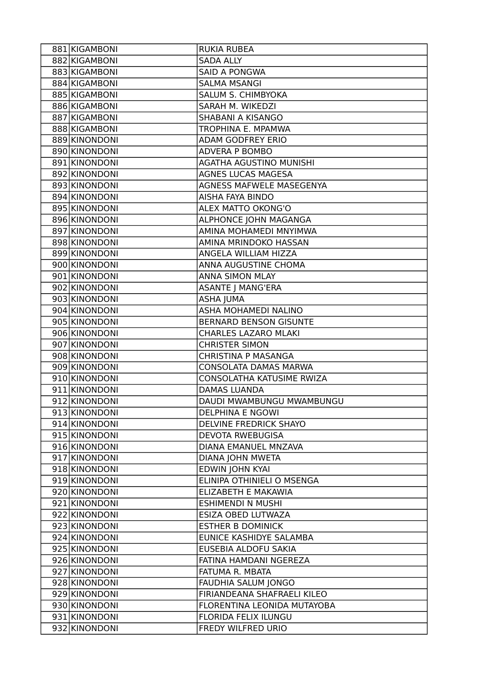| 881 KIGAMBONI | <b>RUKIA RUBEA</b>            |
|---------------|-------------------------------|
| 882 KIGAMBONI | <b>SADA ALLY</b>              |
| 883 KIGAMBONI | <b>SAID A PONGWA</b>          |
| 884 KIGAMBONI | <b>SALMA MSANGI</b>           |
| 885 KIGAMBONI | SALUM S. CHIMBYOKA            |
| 886 KIGAMBONI | SARAH M. WIKEDZI              |
| 887 KIGAMBONI | SHABANI A KISANGO             |
| 888 KIGAMBONI | TROPHINA E. MPAMWA            |
| 889 KINONDONI | <b>ADAM GODFREY ERIO</b>      |
| 890 KINONDONI | ADVERA P BOMBO                |
| 891 KINONDONI | AGATHA AGUSTINO MUNISHI       |
| 892 KINONDONI | <b>AGNES LUCAS MAGESA</b>     |
| 893 KINONDONI | AGNESS MAFWELE MASEGENYA      |
| 894 KINONDONI | AISHA FAYA BINDO              |
| 895 KINONDONI | ALEX MATTO OKONG'O            |
| 896 KINONDONI | ALPHONCE JOHN MAGANGA         |
| 897 KINONDONI | AMINA MOHAMEDI MNYIMWA        |
| 898 KINONDONI | AMINA MRINDOKO HASSAN         |
| 899 KINONDONI | ANGELA WILLIAM HIZZA          |
| 900 KINONDONI | ANNA AUGUSTINE CHOMA          |
| 901 KINONDONI | ANNA SIMON MLAY               |
| 902 KINONDONI | <b>ASANTE J MANG'ERA</b>      |
| 903 KINONDONI | <b>ASHA JUMA</b>              |
| 904 KINONDONI | ASHA MOHAMEDI NALINO          |
| 905 KINONDONI | <b>BERNARD BENSON GISUNTE</b> |
| 906 KINONDONI | <b>CHARLES LAZARO MLAKI</b>   |
| 907 KINONDONI | <b>CHRISTER SIMON</b>         |
| 908 KINONDONI | CHRISTINA P MASANGA           |
| 909 KINONDONI | CONSOLATA DAMAS MARWA         |
| 910 KINONDONI | CONSOLATHA KATUSIME RWIZA     |
| 911 KINONDONI | <b>DAMAS LUANDA</b>           |
| 912 KINONDONI | DAUDI MWAMBUNGU MWAMBUNGU     |
| 913 KINONDONI | <b>DELPHINA E NGOWI</b>       |
| 914 KINONDONI | DELVINE FREDRICK SHAYO        |
| 915 KINONDONI | <b>DEVOTA RWEBUGISA</b>       |
| 916 KINONDONI | DIANA EMANUEL MNZAVA          |
| 917 KINONDONI | <b>DIANA JOHN MWETA</b>       |
| 918 KINONDONI | EDWIN JOHN KYAI               |
| 919 KINONDONI | ELINIPA OTHINIELI O MSENGA    |
| 920 KINONDONI | ELIZABETH E MAKAWIA           |
| 921 KINONDONI | <b>ESHIMENDI N MUSHI</b>      |
| 922 KINONDONI | ESIZA OBED LUTWAZA            |
| 923 KINONDONI | <b>ESTHER B DOMINICK</b>      |
| 924 KINONDONI | EUNICE KASHIDYE SALAMBA       |
| 925 KINONDONI | EUSEBIA ALDOFU SAKIA          |
| 926 KINONDONI | FATINA HAMDANI NGEREZA        |
| 927 KINONDONI | FATUMA R. MBATA               |
| 928 KINONDONI | FAUDHIA SALUM JONGO           |
| 929 KINONDONI | FIRIANDEANA SHAFRAELI KILEO   |
| 930 KINONDONI | FLORENTINA LEONIDA MUTAYOBA   |
| 931 KINONDONI | FLORIDA FELIX ILUNGU          |
| 932 KINONDONI | FREDY WILFRED URIO            |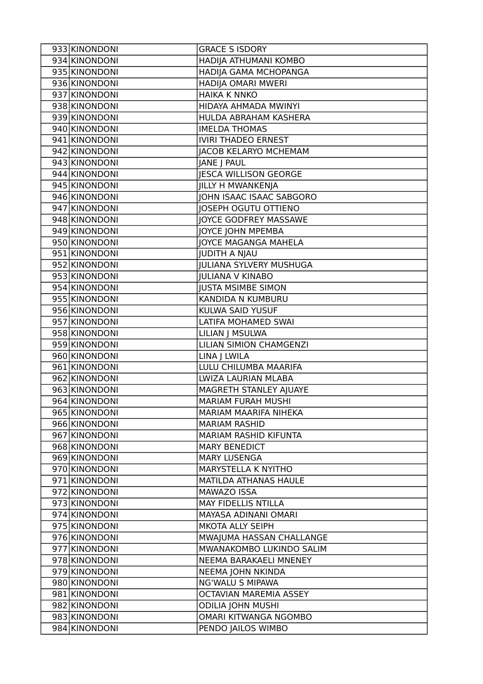| 933 KINONDONI | <b>GRACE S ISDORY</b>          |
|---------------|--------------------------------|
| 934 KINONDONI | HADIJA ATHUMANI KOMBO          |
| 935 KINONDONI | HADIJA GAMA MCHOPANGA          |
| 936 KINONDONI | HADIJA OMARI MWERI             |
| 937 KINONDONI | <b>HAIKA K NNKO</b>            |
| 938 KINONDONI | HIDAYA AHMADA MWINYI           |
| 939 KINONDONI | HULDA ABRAHAM KASHERA          |
| 940 KINONDONI | <b>IMELDA THOMAS</b>           |
| 941 KINONDONI | <b>IVIRI THADEO ERNEST</b>     |
| 942 KINONDONI | <b>JACOB KELARYO MCHEMAM</b>   |
| 943 KINONDONI | JANE J PAUL                    |
| 944 KINONDONI | JESCA WILLISON GEORGE          |
| 945 KINONDONI | JILLY H MWANKENJA              |
| 946 KINONDONI | JOHN ISAAC ISAAC SABGORO       |
| 947 KINONDONI | JOSEPH OGUTU OTTIENO           |
| 948 KINONDONI | JOYCE GODFREY MASSAWE          |
| 949 KINONDONI | JOYCE JOHN MPEMBA              |
| 950 KINONDONI | JOYCE MAGANGA MAHELA           |
| 951 KINONDONI | JUDITH A NJAU                  |
| 952 KINONDONI | <b>JULIANA SYLVERY MUSHUGA</b> |
| 953 KINONDONI | <b>JULIANA V KINABO</b>        |
| 954 KINONDONI | <b>JUSTA MSIMBE SIMON</b>      |
| 955 KINONDONI | KANDIDA N KUMBURU              |
| 956 KINONDONI | KULWA SAID YUSUF               |
| 957 KINONDONI | LATIFA MOHAMED SWAI            |
| 958 KINONDONI | LILIAN J MSULWA                |
| 959 KINONDONI | LILIAN SIMION CHAMGENZI        |
| 960 KINONDONI | LINA J LWILA                   |
| 961 KINONDONI | LULU CHILUMBA MAARIFA          |
| 962 KINONDONI | LWIZA LAURIAN MLABA            |
| 963 KINONDONI | MAGRETH STANLEY AJUAYE         |
| 964 KINONDONI | <b>MARIAM FURAH MUSHI</b>      |
| 965 KINONDONI | MARIAM MAARIFA NIHEKA          |
| 966 KINONDONI | <b>MARIAM RASHID</b>           |
| 967 KINONDONI | MARIAM RASHID KIFUNTA          |
| 968 KINONDONI | <b>MARY BENEDICT</b>           |
| 969 KINONDONI | <b>MARY LUSENGA</b>            |
| 970 KINONDONI | MARYSTELLA K NYITHO            |
| 971 KINONDONI | MATILDA ATHANAS HAULE          |
| 972 KINONDONI | MAWAZO ISSA                    |
| 973 KINONDONI | <b>MAY FIDELLIS NTILLA</b>     |
| 974 KINONDONI | MAYASA ADINANI OMARI           |
| 975 KINONDONI | MKOTA ALLY SEIPH               |
| 976 KINONDONI | MWAJUMA HASSAN CHALLANGE       |
| 977 KINONDONI | MWANAKOMBO LUKINDO SALIM       |
| 978 KINONDONI | NEEMA BARAKAELI MNENEY         |
| 979 KINONDONI | <b>NEEMA JOHN NKINDA</b>       |
| 980 KINONDONI | <b>NG'WALU S MIPAWA</b>        |
| 981 KINONDONI | OCTAVIAN MAREMIA ASSEY         |
| 982 KINONDONI | <b>ODILIA JOHN MUSHI</b>       |
| 983 KINONDONI | OMARI KITWANGA NGOMBO          |
| 984 KINONDONI | PENDO JAILOS WIMBO             |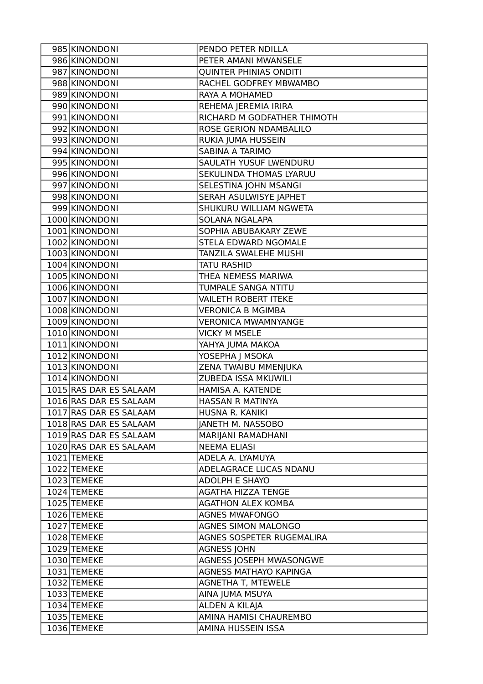| 985 KINONDONI          | PENDO PETER NDILLA            |
|------------------------|-------------------------------|
| 986 KINONDONI          | PETER AMANI MWANSELE          |
| 987 KINONDONI          | <b>QUINTER PHINIAS ONDITI</b> |
| 988 KINONDONI          | RACHEL GODFREY MBWAMBO        |
| 989 KINONDONI          | RAYA A MOHAMED                |
| 990 KINONDONI          | REHEMA JEREMIA IRIRA          |
| 991 KINONDONI          | RICHARD M GODFATHER THIMOTH   |
| 992 KINONDONI          | ROSE GERION NDAMBALILO        |
| 993 KINONDONI          | RUKIA JUMA HUSSEIN            |
| 994 KINONDONI          | SABINA A TARIMO               |
| 995 KINONDONI          | SAULATH YUSUF LWENDURU        |
| 996 KINONDONI          | SEKULINDA THOMAS LYARUU       |
| 997 KINONDONI          | SELESTINA JOHN MSANGI         |
| 998 KINONDONI          | SERAH ASULWISYE JAPHET        |
| 999 KINONDONI          | SHUKURU WILLIAM NGWETA        |
| 1000 KINONDONI         | SOLANA NGALAPA                |
| 1001 KINONDONI         | SOPHIA ABUBAKARY ZEWE         |
| 1002 KINONDONI         | STELA EDWARD NGOMALE          |
| 1003 KINONDONI         | TANZILA SWALEHE MUSHI         |
| 1004 KINONDONI         | <b>TATU RASHID</b>            |
| 1005 KINONDONI         | THEA NEMESS MARIWA            |
| 1006 KINONDONI         | TUMPALE SANGA NTITU           |
| 1007 KINONDONI         | <b>VAILETH ROBERT ITEKE</b>   |
| 1008 KINONDONI         | <b>VERONICA B MGIMBA</b>      |
| 1009 KINONDONI         | <b>VERONICA MWAMNYANGE</b>    |
| 1010 KINONDONI         | <b>VICKY M MSELE</b>          |
| 1011 KINONDONI         | YAHYA JUMA MAKOA              |
| 1012 KINONDONI         | YOSEPHA J MSOKA               |
| 1013 KINONDONI         | ZENA TWAIBU MMENJUKA          |
| 1014 KINONDONI         | ZUBEDA ISSA MKUWILI           |
| 1015 RAS DAR ES SALAAM | HAMISA A. KATENDE             |
| 1016 RAS DAR ES SALAAM | HASSAN R MATINYA              |
| 1017 RAS DAR ES SALAAM | HUSNA R. KANIKI               |
| 1018 RAS DAR ES SALAAM | JANETH M. NASSOBO             |
| 1019 RAS DAR ES SALAAM | MARIJANI RAMADHANI            |
| 1020 RAS DAR ES SALAAM | <b>NEEMA ELIASI</b>           |
| 1021 TEMEKE            | ADELA A. LYAMUYA              |
| 1022 TEMEKE            | ADELAGRACE LUCAS NDANU        |
| 1023 TEMEKE            | ADOLPH E SHAYO                |
| 1024 TEMEKE            | <b>AGATHA HIZZA TENGE</b>     |
| 1025 TEMEKE            | <b>AGATHON ALEX KOMBA</b>     |
| 1026 TEMEKE            | <b>AGNES MWAFONGO</b>         |
| 1027 TEMEKE            | <b>AGNES SIMON MALONGO</b>    |
| 1028 TEMEKE            | AGNES SOSPETER RUGEMALIRA     |
| 1029 TEMEKE            | <b>AGNESS JOHN</b>            |
| 1030 TEMEKE            | AGNESS JOSEPH MWASONGWE       |
| 1031 TEMEKE            | AGNESS MATHAYO KAPINGA        |
| 1032 TEMEKE            | <b>AGNETHA T, MTEWELE</b>     |
| 1033 TEMEKE            | AINA JUMA MSUYA               |
| 1034 TEMEKE            | ALDEN A KILAJA                |
| 1035 TEMEKE            | AMINA HAMISI CHAUREMBO        |
| 1036 TEMEKE            | AMINA HUSSEIN ISSA            |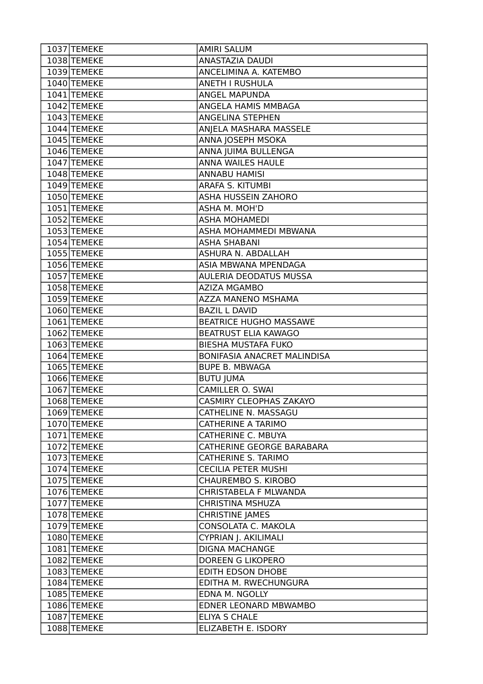| 1037 TEMEKE | <b>AMIRI SALUM</b>            |
|-------------|-------------------------------|
| 1038 TEMEKE | ANASTAZIA DAUDI               |
| 1039 TEMEKE | ANCELIMINA A. KATEMBO         |
| 1040 TEMEKE | <b>ANETH I RUSHULA</b>        |
| 1041 TEMEKE | ANGEL MAPUNDA                 |
| 1042 TEMEKE | ANGELA HAMIS MMBAGA           |
| 1043 TEMEKE | ANGELINA STEPHEN              |
| 1044 TEMEKE | ANJELA MASHARA MASSELE        |
| 1045 TEMEKE | ANNA JOSEPH MSOKA             |
| 1046 TEMEKE | ANNA JUIMA BULLENGA           |
| 1047 TEMEKE | ANNA WAILES HAULE             |
| 1048 TEMEKE | <b>ANNABU HAMISI</b>          |
| 1049 TEMEKE | ARAFA S. KITUMBI              |
| 1050 TEMEKE | ASHA HUSSEIN ZAHORO           |
| 1051 TEMEKE | ASHA M. MOH'D                 |
| 1052 TEMEKE | <b>ASHA MOHAMEDI</b>          |
| 1053 TEMEKE | ASHA MOHAMMEDI MBWANA         |
| 1054 TEMEKE | <b>ASHA SHABANI</b>           |
| 1055 TEMEKE | ASHURA N. ABDALLAH            |
| 1056 TEMEKE | ASIA MBWANA MPENDAGA          |
| 1057 TEMEKE | AULERIA DEODATUS MUSSA        |
| 1058 TEMEKE | <b>AZIZA MGAMBO</b>           |
| 1059 TEMEKE | AZZA MANENO MSHAMA            |
| 1060 TEMEKE | <b>BAZIL L DAVID</b>          |
| 1061 TEMEKE | <b>BEATRICE HUGHO MASSAWE</b> |
| 1062 TEMEKE | <b>BEATRUST ELIA KAWAGO</b>   |
| 1063 TEMEKE | BIESHA MUSTAFA FUKO           |
| 1064 TEMEKE | BONIFASIA ANACRET MALINDISA   |
| 1065 TEMEKE | <b>BUPE B. MBWAGA</b>         |
| 1066 TEMEKE | <b>BUTU JUMA</b>              |
| 1067 TEMEKE | CAMILLER O. SWAI              |
| 1068 TEMEKE | CASMIRY CLEOPHAS ZAKAYO       |
| 1069 TEMEKE | CATHELINE N. MASSAGU          |
| 1070 TEMEKE | CATHERINE A TARIMO            |
| 1071 TEMEKE | CATHERINE C. MBUYA            |
| 1072 TEMEKE | CATHERINE GEORGE BARABARA     |
| 1073 TEMEKE | CATHERINE S. TARIMO           |
| 1074 TEMEKE | <b>CECILIA PETER MUSHI</b>    |
| 1075 TEMEKE | CHAUREMBO S. KIROBO           |
| 1076 TEMEKE | CHRISTABELA F MLWANDA         |
| 1077 TEMEKE | CHRISTINA MSHUZA              |
| 1078 TEMEKE | <b>CHRISTINE JAMES</b>        |
| 1079 TEMEKE | CONSOLATA C. MAKOLA           |
| 1080 TEMEKE | CYPRIAN J. AKILIMALI          |
| 1081 TEMEKE | <b>DIGNA MACHANGE</b>         |
| 1082 TEMEKE | DOREEN G LIKOPERO             |
| 1083 TEMEKE | EDITH EDSON DHOBE             |
| 1084 TEMEKE | EDITHA M. RWECHUNGURA         |
| 1085 TEMEKE | EDNA M. NGOLLY                |
| 1086 TEMEKE | EDNER LEONARD MBWAMBO         |
| 1087 TEMEKE | <b>ELIYA S CHALE</b>          |
| 1088 TEMEKE | ELIZABETH E. ISDORY           |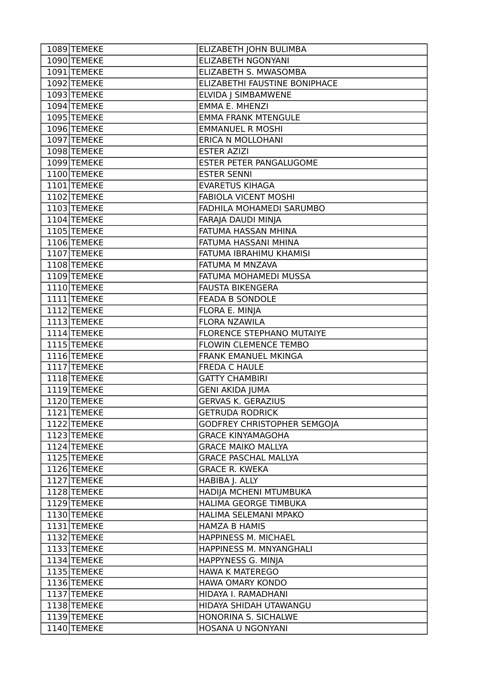| 1089 TEMEKE              | ELIZABETH JOHN BULIMBA             |
|--------------------------|------------------------------------|
| 1090 TEMEKE              | <b>ELIZABETH NGONYANI</b>          |
| 1091 TEMEKE              | ELIZABETH S. MWASOMBA              |
| 1092 TEMEKE              | ELIZABETHI FAUSTINE BONIPHACE      |
| 1093 TEMEKE              | <b>ELVIDA   SIMBAMWENE</b>         |
| 1094 TEMEKE              | <b>EMMA E. MHENZI</b>              |
| 1095 TEMEKE              | <b>EMMA FRANK MTENGULE</b>         |
| 1096 TEMEKE              | <b>EMMANUEL R MOSHI</b>            |
| 1097 TEMEKE              | <b>ERICA N MOLLOHANI</b>           |
| 1098 TEMEKE              | <b>ESTER AZIZI</b>                 |
| 1099 TEMEKE              | <b>ESTER PETER PANGALUGOME</b>     |
| 1100 TEMEKE              | <b>ESTER SENNI</b>                 |
| 1101 TEMEKE              | <b>EVARETUS KIHAGA</b>             |
| 1102 TEMEKE              | <b>FABIOLA VICENT MOSHI</b>        |
| 1103 TEMEKE              | FADHILA MOHAMEDI SARUMBO           |
| 1104 TEMEKE              | FARAJA DAUDI MINJA                 |
| 1105 TEMEKE              | FATUMA HASSAN MHINA                |
| 1106 TEMEKE              | FATUMA HASSANI MHINA               |
| 1107 TEMEKE              | <b>FATUMA IBRAHIMU KHAMISI</b>     |
| 1108 TEMEKE              | FATUMA M MNZAVA                    |
| 1109 TEMEKE              | FATUMA MOHAMEDI MUSSA              |
| 1110 TEMEKE              | <b>FAUSTA BIKENGERA</b>            |
| 1111 TEMEKE              | <b>FEADA B SONDOLE</b>             |
| 1112 TEMEKE              | FLORA E. MINJA                     |
| 1113 TEMEKE              | <b>FLORA NZAWILA</b>               |
| $\overline{11}14$ TEMEKE | <b>FLORENCE STEPHANO MUTAIYE</b>   |
| 1115 TEMEKE              | <b>FLOWIN CLEMENCE TEMBO</b>       |
| 1116 TEMEKE              | FRANK EMANUEL MKINGA               |
| $\overline{11}17$ TEMEKE | <b>FREDA C HAULE</b>               |
| 1118 TEMEKE              | <b>GATTY CHAMBIRI</b>              |
| 1119 TEMEKE              | <b>GENI AKIDA JUMA</b>             |
| 1120 TEMEKE              | <b>GERVAS K. GERAZIUS</b>          |
| 1121 TEMEKE              | <b>GETRUDA RODRICK</b>             |
| 1122 TEMEKE              | <b>GODFREY CHRISTOPHER SEMGOIA</b> |
| 1123 TEMEKE              | <b>GRACE KINYAMAGOHA</b>           |
| 1124 TEMEKE              | <b>GRACE MAIKO MALLYA</b>          |
| 1125 TEMEKE              | <b>GRACE PASCHAL MALLYA</b>        |
| 1126 TEMEKE              | <b>GRACE R. KWEKA</b>              |
| 1127 TEMEKE              | HABIBA J. ALLY                     |
| 1128 TEMEKE              | HADIJA MCHENI MTUMBUKA             |
| 1129 TEMEKE              | HALIMA GEORGE TIMBUKA              |
| 1130 TEMEKE              | HALIMA SELEMANI MPAKO              |
| 1131 TEMEKE              | <b>HAMZA B HAMIS</b>               |
| 1132 TEMEKE              | HAPPINESS M. MICHAEL               |
| 1133 TEMEKE              | HAPPINESS M. MNYANGHALI            |
| 1134 TEMEKE              | HAPPYNESS G. MINJA                 |
| 1135 TEMEKE              | <b>HAWA K MATEREGO</b>             |
| 1136 TEMEKE              | HAWA OMARY KONDO                   |
| 1137 TEMEKE              | HIDAYA I. RAMADHANI                |
| 1138 TEMEKE              | HIDAYA SHIDAH UTAWANGU             |
| 1139 TEMEKE              | HONORINA S. SICHALWE               |
| 1140 TEMEKE              | HOSANA U NGONYANI                  |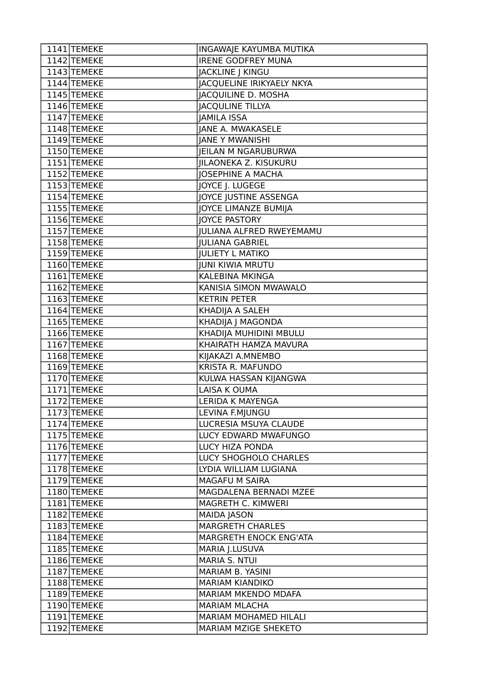| 1141 TEMEKE   | INGAWAJE KAYUMBA MUTIKA          |
|---------------|----------------------------------|
| $1142$ TEMEKE | <b>IRENE GODFREY MUNA</b>        |
| 1143 TEMEKE   | JACKLINE J KINGU                 |
| 1144 TEMEKE   | <b>JACQUELINE IRIKYAELY NKYA</b> |
| 1145 TEMEKE   | JACQUILINE D. MOSHA              |
| 1146 TEMEKE   | <b>JACQULINE TILLYA</b>          |
| 1147 TEMEKE   | <b>JAMILA ISSA</b>               |
| 1148 TEMEKE   | <b>JANE A. MWAKASELE</b>         |
| 1149 TEMEKE   | <b>JANE Y MWANISHI</b>           |
| 1150 TEMEKE   | <b>IEILAN M NGARUBURWA</b>       |
| 1151 TEMEKE   | <b>JILAONEKA Z. KISUKURU</b>     |
| 1152 TEMEKE   | <b>JOSEPHINE A MACHA</b>         |
| 1153 TEMEKE   | JOYCE J. LUGEGE                  |
| 1154 TEMEKE   | JOYCE JUSTINE ASSENGA            |
| 1155 TEMEKE   | JOYCE LIMANZE BUMIJA             |
| 1156 TEMEKE   | <b>JOYCE PASTORY</b>             |
| 1157 TEMEKE   | <b>JULIANA ALFRED RWEYEMAMU</b>  |
| 1158 TEMEKE   | <b>JULIANA GABRIEL</b>           |
| 1159 TEMEKE   | <b>JULIETY L MATIKO</b>          |
| 1160 TEMEKE   | <b>JUNI KIWIA MRUTU</b>          |
| 1161 TEMEKE   | KALEBINA MKINGA                  |
| 1162 TEMEKE   | KANISIA SIMON MWAWALO            |
| 1163 TEMEKE   | <b>KETRIN PETER</b>              |
| 1164 TEMEKE   | KHADIJA A SALEH                  |
| 1165 TEMEKE   | KHADIJA J MAGONDA                |
| 1166 TEMEKE   | KHADIJA MUHIDINI MBULU           |
| 1167 TEMEKE   | KHAIRATH HAMZA MAVURA            |
| 1168 TEMEKE   | KIJAKAZI A.MNEMBO                |
| 1169 TEMEKE   | KRISTA R. MAFUNDO                |
| 1170 TEMEKE   | KULWA HASSAN KIJANGWA            |
| 1171 TEMEKE   | LAISA K OUMA                     |
| 1172 TEMEKE   | <b>LERIDA K MAYENGA</b>          |
| 1173 TEMEKE   | LEVINA F.MJUNGU                  |
| 1174 TEMEKE   | LUCRESIA MSUYA CLAUDE            |
| 1175 TEMEKE   | LUCY EDWARD MWAFUNGO             |
| 1176 TEMEKE   | LUCY HIZA PONDA                  |
| 1177 TEMEKE   | LUCY SHOGHOLO CHARLES            |
| 1178 TEMEKE   | LYDIA WILLIAM LUGIANA            |
| 1179 TEMEKE   | MAGAFU M SAIRA                   |
| 1180 TEMEKE   | MAGDALENA BERNADI MZEE           |
| 1181 TEMEKE   | MAGRETH C. KIMWERI               |
| 1182 TEMEKE   | <b>MAIDA JASON</b>               |
| 1183 TEMEKE   | <b>MARGRETH CHARLES</b>          |
| 1184 TEMEKE   | MARGRETH ENOCK ENG'ATA           |
| 1185 TEMEKE   | MARIA J.LUSUVA                   |
| 1186 TEMEKE   | MARIA S. NTUI                    |
| 1187 TEMEKE   | MARIAM B. YASINI                 |
| 1188 TEMEKE   | <b>MARIAM KIANDIKO</b>           |
| 1189 TEMEKE   | <b>MARIAM MKENDO MDAFA</b>       |
| 1190 TEMEKE   | <b>MARIAM MLACHA</b>             |
| 1191 TEMEKE   | <b>MARIAM MOHAMED HILALI</b>     |
| 1192 TEMEKE   | MARIAM MZIGE SHEKETO             |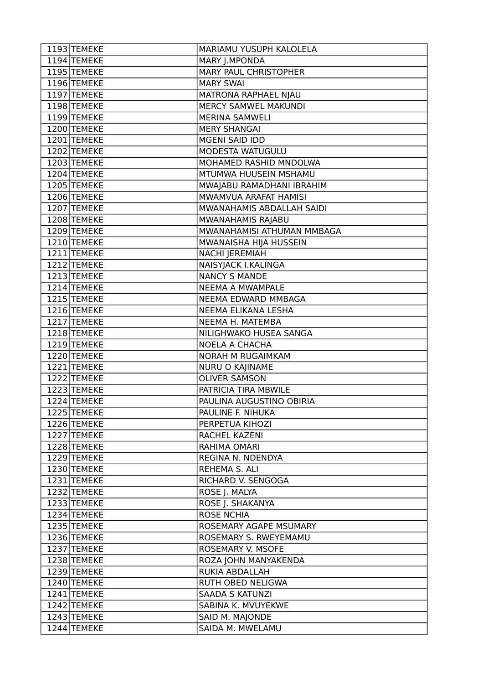| 1193 TEMEKE   | MARIAMU YUSUPH KALOLELA      |
|---------------|------------------------------|
| 1194 TEMEKE   | MARY J.MPONDA                |
| 1195 TEMEKE   | <b>MARY PAUL CHRISTOPHER</b> |
| 1196 TEMEKE   | <b>MARY SWAI</b>             |
| 1197 TEMEKE   | MATRONA RAPHAEL NJAU         |
| 1198 TEMEKE   | MERCY SAMWEL MAKUNDI         |
| 1199 TEMEKE   | <b>MERINA SAMWELI</b>        |
| 1200 TEMEKE   | <b>MERY SHANGAI</b>          |
| 1201 TEMEKE   | <b>MGENI SAID IDD</b>        |
| 1202 TEMEKE   | MODESTA WATUGULU             |
| 1203 TEMEKE   | MOHAMED RASHID MNDOLWA       |
| 1204 TEMEKE   | MTUMWA HUUSEIN MSHAMU        |
| 1205 TEMEKE   | MWAJABU RAMADHANI IBRAHIM    |
| 1206 TEMEKE   | MWAMVUA ARAFAT HAMISI        |
| 1207 TEMEKE   | MWANAHAMIS ABDALLAH SAIDI    |
| 1208 TEMEKE   | MWANAHAMIS RAJABU            |
| 1209 TEMEKE   | MWANAHAMISI ATHUMAN MMBAGA   |
| 1210 TEMEKE   | MWANAISHA HIJA HUSSEIN       |
| 1211 TEMEKE   | NACHI JEREMIAH               |
| 1212 TEMEKE   | NAISYJACK I.KALINGA          |
| 1213 TEMEKE   | <b>NANCY S MANDE</b>         |
| 1214 TEMEKE   | NEEMA A MWAMPALE             |
| 1215 TEMEKE   | NEEMA EDWARD MMBAGA          |
| 1216 TEMEKE   | NEEMA ELIKANA LESHA          |
| 1217 TEMEKE   | NEEMA H. MATEMBA             |
| 1218 TEMEKE   | NILIGHWAKO HUSEA SANGA       |
| 1219 TEMEKE   | <b>NOELA A CHACHA</b>        |
| 1220 TEMEKE   | NORAH M RUGAIMKAM            |
| 1221 TEMEKE   | NURU O KAJINAME              |
| 1222 TEMEKE   | <b>OLIVER SAMSON</b>         |
| 1223 TEMEKE   | PATRICIA TIRA MBWILE         |
| 1224 TEMEKE   | PAULINA AUGUSTINO OBIRIA     |
| 1225 TEMEKE   | PAULINE F. NIHUKA            |
| 1226 TEMEKE   | PERPETUA KIHOZI              |
| 1227 TEMEKE   | RACHEL KAZENI                |
| 1228 TEMEKE   | RAHIMA OMARI                 |
| 1229 TEMEKE   | REGINA N. NDENDYA            |
| 1230 TEMEKE   | REHEMA S. ALI                |
| 1231 TEMEKE   | RICHARD V. SENGOGA           |
| 1232 TEMEKE   | ROSE J. MALYA                |
| $1233$ TEMEKE | ROSE J. SHAKANYA             |
| 1234 TEMEKE   | <b>ROSE NCHIA</b>            |
| 1235 TEMEKE   | ROSEMARY AGAPE MSUMARY       |
| 1236 TEMEKE   | ROSEMARY S. RWEYEMAMU        |
| 1237 TEMEKE   | ROSEMARY V. MSOFE            |
| 1238 TEMEKE   | ROZA JOHN MANYAKENDA         |
| 1239 TEMEKE   | RUKIA ABDALLAH               |
| 1240 TEMEKE   | RUTH OBED NELIGWA            |
| 1241 TEMEKE   | <b>SAADA S KATUNZI</b>       |
| 1242 TEMEKE   | SABINA K. MVUYEKWE           |
| 1243 TEMEKE   | SAID M. MAJONDE              |
| 1244 TEMEKE   | SAIDA M. MWELAMU             |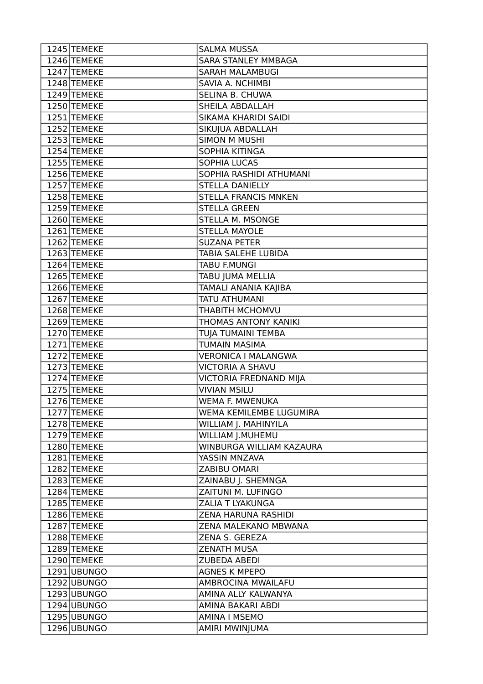| 1245 TEMEKE   | <b>SALMA MUSSA</b>         |
|---------------|----------------------------|
| 1246 TEMEKE   | <b>SARA STANLEY MMBAGA</b> |
| 1247 TEMEKE   | <b>SARAH MALAMBUGI</b>     |
| 1248 TEMEKE   | SAVIA A. NCHIMBI           |
| 1249 TEMEKE   | SELINA B. CHUWA            |
| 1250 TEMEKE   | SHEILA ABDALLAH            |
| 1251 TEMEKE   | SIKAMA KHARIDI SAIDI       |
| 1252 TEMEKE   | SIKUJUA ABDALLAH           |
| 1253 TEMEKE   | <b>SIMON M MUSHI</b>       |
| 1254 TEMEKE   | SOPHIA KITINGA             |
| 1255 TEMEKE   | SOPHIA LUCAS               |
| 1256 TEMEKE   | SOPHIA RASHIDI ATHUMANI    |
| $1257$ TEMEKE | STELLA DANIELLY            |
| 1258 TEMEKE   | STELLA FRANCIS MNKEN       |
| 1259 TEMEKE   | <b>STELLA GREEN</b>        |
| 1260 TEMEKE   | STELLA M. MSONGE           |
| 1261 TEMEKE   | <b>STELLA MAYOLE</b>       |
| 1262 TEMEKE   | <b>SUZANA PETER</b>        |
| 1263 TEMEKE   | <b>TABIA SALEHE LUBIDA</b> |
| 1264 TEMEKE   | TABU F.MUNGI               |
| 1265 TEMEKE   | TABU JUMA MELLIA           |
| 1266 TEMEKE   | TAMALI ANANIA KAJIBA       |
| 1267 TEMEKE   | TATU ATHUMANI              |
| 1268 TEMEKE   | THABITH MCHOMVU            |
| 1269 TEMEKE   | THOMAS ANTONY KANIKI       |
| 1270 TEMEKE   | TUJA TUMAINI TEMBA         |
| 1271 TEMEKE   | TUMAIN MASIMA              |
| 1272 TEMEKE   | <b>VERONICA I MALANGWA</b> |
| 1273 TEMEKE   | VICTORIA A SHAVU           |
| 1274 TEMEKE   | VICTORIA FREDNAND MIJA     |
| $1275$ TEMEKE | <b>VIVIAN MSILU</b>        |
| 1276 TEMEKE   | WEMA F. MWENUKA            |
| 1277 TEMEKE   | WEMA KEMILEMBE LUGUMIRA    |
| 1278 TEMEKE   | WILLIAM J. MAHINYILA       |
| 1279 TEMEKE   | WILLIAM J.MUHEMU           |
| 1280 TEMEKE   | WINBURGA WILLIAM KAZAURA   |
| 1281 TEMEKE   | YASSIN MNZAVA              |
| 1282 TEMEKE   | ZABIBU OMARI               |
| 1283 TEMEKE   | ZAINABU J. SHEMNGA         |
| 1284 TEMEKE   | ZAITUNI M. LUFINGO         |
| 1285 TEMEKE   | ZALIA T LYAKUNGA           |
| 1286 TEMEKE   | ZENA HARUNA RASHIDI        |
| 1287 TEMEKE   | ZENA MALEKANO MBWANA       |
| 1288 TEMEKE   | ZENA S. GEREZA             |
| 1289 TEMEKE   | <b>ZENATH MUSA</b>         |
| 1290 TEMEKE   | <b>ZUBEDA ABEDI</b>        |
| 1291 UBUNGO   | <b>AGNES K MPEPO</b>       |
| 1292 UBUNGO   | AMBROCINA MWAILAFU         |
| 1293 UBUNGO   | AMINA ALLY KALWANYA        |
| 1294 UBUNGO   | AMINA BAKARI ABDI          |
| 1295 UBUNGO   | <b>AMINA I MSEMO</b>       |
| 1296 UBUNGO   | AMIRI MWINJUMA             |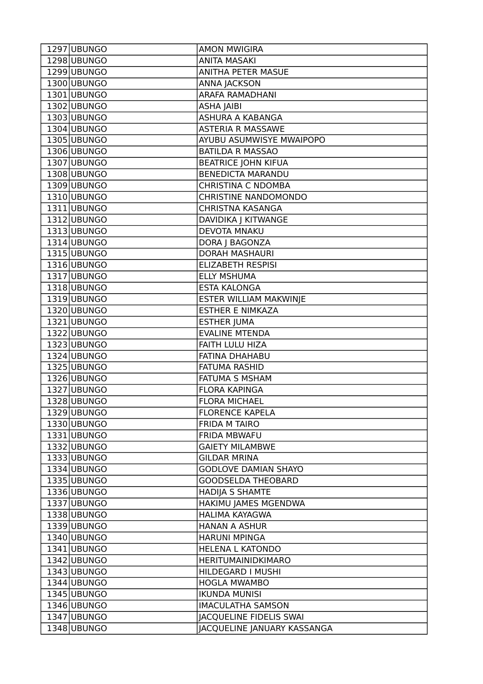| 1297 UBUNGO | <b>AMON MWIGIRA</b>         |
|-------------|-----------------------------|
| 1298 UBUNGO | <b>ANITA MASAKI</b>         |
| 1299 UBUNGO | <b>ANITHA PETER MASUE</b>   |
| 1300 UBUNGO | <b>ANNA JACKSON</b>         |
| 1301 UBUNGO | <b>ARAFA RAMADHANI</b>      |
| 1302 UBUNGO | ASHA JAIBI                  |
| 1303 UBUNGO | ASHURA A KABANGA            |
| 1304 UBUNGO | <b>ASTERIA R MASSAWE</b>    |
| 1305 UBUNGO | AYUBU ASUMWISYE MWAIPOPO    |
| 1306 UBUNGO | <b>BATILDA R MASSAO</b>     |
| 1307 UBUNGO | <b>BEATRICE JOHN KIFUA</b>  |
| 1308 UBUNGO | <b>BENEDICTA MARANDU</b>    |
| 1309 UBUNGO | <b>CHRISTINA C NDOMBA</b>   |
| 1310 UBUNGO | <b>CHRISTINE NANDOMONDO</b> |
| 1311 UBUNGO | CHRISTNA KASANGA            |
| 1312 UBUNGO | DAVIDIKA J KITWANGE         |
| 1313 UBUNGO | <b>DEVOTA MNAKU</b>         |
| 1314 UBUNGO | DORA J BAGONZA              |
| 1315 UBUNGO | <b>DORAH MASHAURI</b>       |
| 1316 UBUNGO | <b>ELIZABETH RESPISI</b>    |
| 1317 UBUNGO | <b>ELLY MSHUMA</b>          |
| 1318 UBUNGO | <b>ESTA KALONGA</b>         |
| 1319 UBUNGO | ESTER WILLIAM MAKWINJE      |
| 1320 UBUNGO | <b>ESTHER E NIMKAZA</b>     |
| 1321 UBUNGO | <b>ESTHER JUMA</b>          |
| 1322 UBUNGO | <b>EVALINE MTENDA</b>       |
| 1323 UBUNGO | FAITH LULU HIZA             |
| 1324 UBUNGO | FATINA DHAHABU              |
| 1325 UBUNGO | <b>FATUMA RASHID</b>        |
| 1326 UBUNGO | <b>FATUMA S MSHAM</b>       |
| 1327 UBUNGO | <b>FLORA KAPINGA</b>        |
| 1328 UBUNGO | <b>FLORA MICHAEL</b>        |
| 1329 UBUNGO | <b>FLORENCE KAPELA</b>      |
| 1330 UBUNGO | <b>FRIDA M TAIRO</b>        |
| 1331 UBUNGO | FRIDA MBWAFU                |
| 1332 UBUNGO | <b>GAIETY MILAMBWE</b>      |
| 1333 UBUNGO | <b>GILDAR MRINA</b>         |
| 1334 UBUNGO | <b>GODLOVE DAMIAN SHAYO</b> |
| 1335 UBUNGO | <b>GOODSELDA THEOBARD</b>   |
| 1336 UBUNGO | <b>HADIJA S SHAMTE</b>      |
| 1337 UBUNGO | HAKIMU JAMES MGENDWA        |
| 1338 UBUNGO | HALIMA KAYAGWA              |
| 1339 UBUNGO | <b>HANAN A ASHUR</b>        |
| 1340 UBUNGO | <b>HARUNI MPINGA</b>        |
| 1341 UBUNGO | <b>HELENA L KATONDO</b>     |
| 1342 UBUNGO | <b>HERITUMAINIDKIMARO</b>   |
| 1343 UBUNGO | HILDEGARD I MUSHI           |
| 1344 UBUNGO | <b>HOGLA MWAMBO</b>         |
| 1345 UBUNGO | <b>IKUNDA MUNISI</b>        |
| 1346 UBUNGO | <b>IMACULATHA SAMSON</b>    |
| 1347 UBUNGO | JACQUELINE FIDELIS SWAI     |
| 1348 UBUNGO | JACQUELINE JANUARY KASSANGA |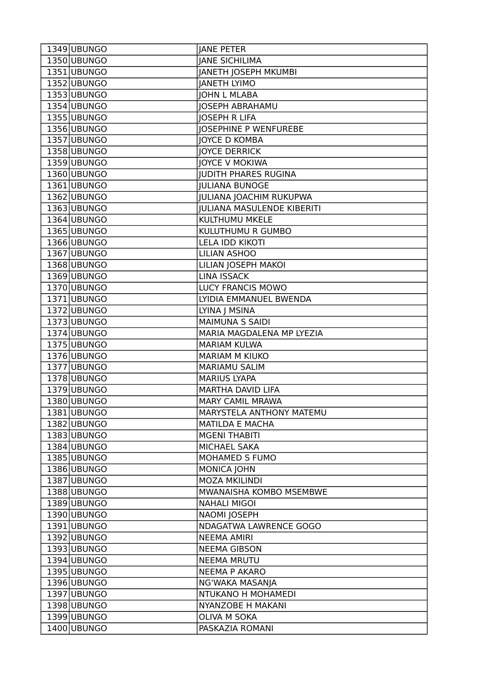| 1349 UBUNGO   | <b>JANE PETER</b>                 |
|---------------|-----------------------------------|
| 1350 UBUNGO   | <b>JANE SICHILIMA</b>             |
| 1351 UBUNGO   | JANETH JOSEPH MKUMBI              |
| 1352 UBUNGO   | <b>JANETH LYIMO</b>               |
| 1353 UBUNGO   | <b>JOHN L MLABA</b>               |
| 1354 UBUNGO   | <b>JOSEPH ABRAHAMU</b>            |
| 1355 UBUNGO   | <b>JOSEPH R LIFA</b>              |
| 1356 UBUNGO   | <b>JOSEPHINE P WENFUREBE</b>      |
| 1357 UBUNGO   | <b>JOYCE D KOMBA</b>              |
| 1358 UBUNGO   | <b>JOYCE DERRICK</b>              |
| 1359 UBUNGO   | <b>JOYCE V MOKIWA</b>             |
| 1360 UBUNGO   | <b>JUDITH PHARES RUGINA</b>       |
| 1361 UBUNGO   | <b>JULIANA BUNOGE</b>             |
| 1362 UBUNGO   | <b>JULIANA JOACHIM RUKUPWA</b>    |
| 1363 UBUNGO   | <b>JULIANA MASULENDE KIBERITI</b> |
| 1364 UBUNGO   | KULTHUMU MKELE                    |
| $1365$ UBUNGO | KULUTHUMU R GUMBO                 |
| 1366 UBUNGO   | LELA IDD KIKOTI                   |
| 1367 UBUNGO   | LILIAN ASHOO                      |
| 1368 UBUNGO   | LILIAN JOSEPH MAKOI               |
| 1369 UBUNGO   | <b>LINA ISSACK</b>                |
| 1370 UBUNGO   | LUCY FRANCIS MOWO                 |
| 1371 UBUNGO   | LYIDIA EMMANUEL BWENDA            |
| 1372 UBUNGO   | LYINA J MSINA                     |
| 1373 UBUNGO   | <b>MAIMUNA S SAIDI</b>            |
| 1374 UBUNGO   | MARIA MAGDALENA MP LYEZIA         |
| 1375 UBUNGO   | <b>MARIAM KULWA</b>               |
| 1376 UBUNGO   | MARIAM M KIUKO                    |
| 1377 UBUNGO   | <b>MARIAMU SALIM</b>              |
| 1378 UBUNGO   | <b>MARIUS LYAPA</b>               |
| $1379$ UBUNGO | MARTHA DAVID LIFA                 |
| 1380 UBUNGO   | <b>MARY CAMIL MRAWA</b>           |
| 1381 UBUNGO   | MARYSTELA ANTHONY MATEMU          |
| 1382 UBUNGO   | <b>MATILDA E MACHA</b>            |
| 1383 UBUNGO   | <b>MGENI THABITI</b>              |
| 1384 UBUNGO   | MICHAEL SAKA                      |
| 1385 UBUNGO   | <b>MOHAMED S FUMO</b>             |
| 1386 UBUNGO   | <b>MONICA JOHN</b>                |
| 1387 UBUNGO   | <b>MOZA MKILINDI</b>              |
| 1388 UBUNGO   | MWANAISHA KOMBO MSEMBWE           |
| 1389 UBUNGO   | <b>NAHALI MIGOI</b>               |
| 1390 UBUNGO   | NAOMI JOSEPH                      |
| 1391 UBUNGO   | NDAGATWA LAWRENCE GOGO            |
| 1392 UBUNGO   | <b>NEEMA AMIRI</b>                |
| 1393 UBUNGO   | <b>NEEMA GIBSON</b>               |
| 1394 UBUNGO   | <b>NEEMA MRUTU</b>                |
| 1395 UBUNGO   | <b>NEEMA P AKARO</b>              |
| 1396 UBUNGO   | NG'WAKA MASANJA                   |
| 1397 UBUNGO   | NTUKANO H MOHAMEDI                |
| 1398 UBUNGO   | NYANZOBE H MAKANI                 |
| 1399 UBUNGO   | OLIVA M SOKA                      |
| 1400 UBUNGO   | PASKAZIA ROMANI                   |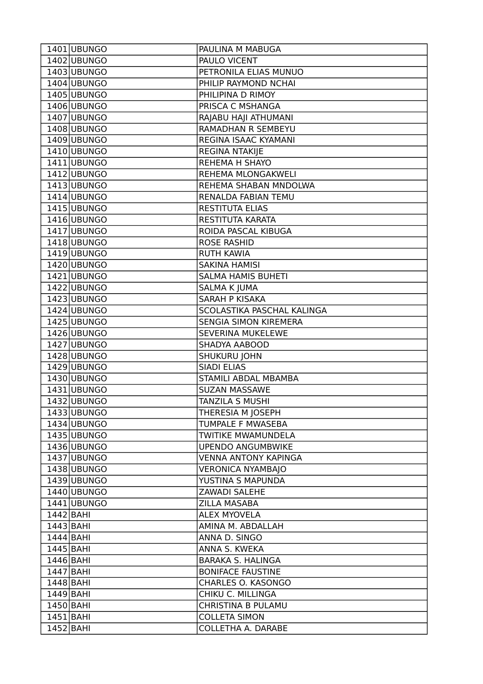| 1401 UBUNGO | PAULINA M MABUGA            |
|-------------|-----------------------------|
| 1402 UBUNGO | PAULO VICENT                |
| 1403 UBUNGO | PETRONILA ELIAS MUNUO       |
| 1404 UBUNGO | PHILIP RAYMOND NCHAI        |
| 1405 UBUNGO | PHILIPINA D RIMOY           |
| 1406 UBUNGO | PRISCA C MSHANGA            |
| 1407 UBUNGO | RAJABU HAJI ATHUMANI        |
| 1408 UBUNGO | RAMADHAN R SEMBEYU          |
| 1409 UBUNGO | REGINA ISAAC KYAMANI        |
| 1410 UBUNGO | REGINA NTAKIJE              |
| 1411 UBUNGO | REHEMA H SHAYO              |
| 1412 UBUNGO | REHEMA MLONGAKWELI          |
| 1413 UBUNGO | REHEMA SHABAN MNDOLWA       |
| 1414 UBUNGO | RENALDA FABIAN TEMU         |
| 1415 UBUNGO | <b>RESTITUTA ELIAS</b>      |
| 1416 UBUNGO | RESTITUTA KARATA            |
| 1417 UBUNGO | ROIDA PASCAL KIBUGA         |
| 1418 UBUNGO | <b>ROSE RASHID</b>          |
| 1419 UBUNGO | <b>RUTH KAWIA</b>           |
| 1420 UBUNGO | <b>SAKINA HAMISI</b>        |
| 1421 UBUNGO | <b>SALMA HAMIS BUHETI</b>   |
| 1422 UBUNGO | <b>SALMA K JUMA</b>         |
| 1423 UBUNGO | SARAH P KISAKA              |
| 1424 UBUNGO | SCOLASTIKA PASCHAL KALINGA  |
| 1425 UBUNGO | SENGIA SIMON KIREMERA       |
| 1426 UBUNGO | SEVERINA MUKELEWE           |
| 1427 UBUNGO | SHADYA AABOOD               |
| 1428 UBUNGO | SHUKURU JOHN                |
| 1429 UBUNGO | <b>SIADI ELIAS</b>          |
| 1430 UBUNGO | STAMILI ABDAL MBAMBA        |
| 1431 UBUNGO | <b>SUZAN MASSAWE</b>        |
| 1432 UBUNGO | TANZILA S MUSHI             |
| 1433 UBUNGO | THERESIA M JOSEPH           |
| 1434 UBUNGO | TUMPALE F MWASEBA           |
| 1435 UBUNGO | <b>TWITIKE MWAMUNDELA</b>   |
| 1436 UBUNGO | <b>UPENDO ANGUMBWIKE</b>    |
| 1437 UBUNGO | <b>VENNA ANTONY KAPINGA</b> |
| 1438 UBUNGO | <b>VERONICA NYAMBAJO</b>    |
| 1439 UBUNGO | YUSTINA S MAPUNDA           |
| 1440 UBUNGO | <b>ZAWADI SALEHE</b>        |
| 1441 UBUNGO | <b>ZILLA MASABA</b>         |
| 1442 BAHI   | <b>ALEX MYOVELA</b>         |
| $1443$ BAHI | AMINA M. ABDALLAH           |
| 1444 BAHI   | ANNA D. SINGO               |
| $1445$ BAHI | ANNA S. KWEKA               |
| $1446$ BAHI | <b>BARAKA S. HALINGA</b>    |
| $1447$ BAHI | <b>BONIFACE FAUSTINE</b>    |
| 1448 BAHI   | CHARLES O. KASONGO          |
| $1449$ BAHI | CHIKU C. MILLINGA           |
| 1450 BAHI   | CHRISTINA B PULAMU          |
| $1451$ BAHI | <b>COLLETA SIMON</b>        |
| $1452$ BAHI | COLLETHA A. DARABE          |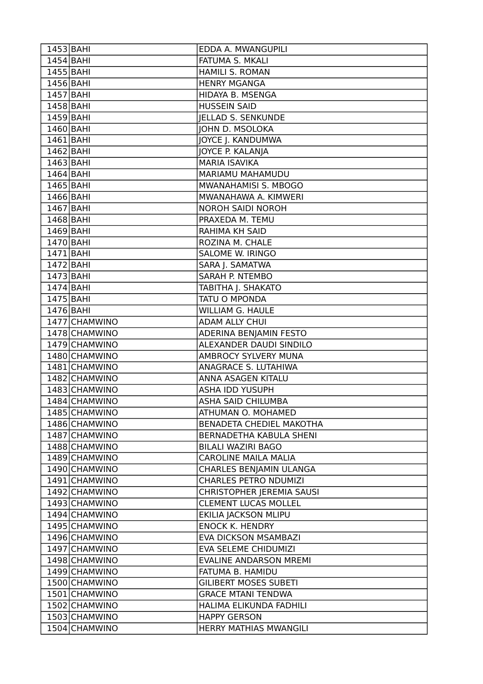| $1453$ BAHI   | EDDA A. MWANGUPILI               |
|---------------|----------------------------------|
| $1454$ BAHI   | <b>FATUMA S. MKALI</b>           |
| 1455 BAHI     | <b>HAMILI S. ROMAN</b>           |
| 1456 BAHI     | <b>HENRY MGANGA</b>              |
| 1457 BAHI     | HIDAYA B. MSENGA                 |
| 1458 BAHI     | <b>HUSSEIN SAID</b>              |
| 1459 BAHI     | <b>JELLAD S. SENKUNDE</b>        |
| 1460 BAHI     | <b>JOHN D. MSOLOKA</b>           |
| $1461$ BAHI   | JOYCE J. KANDUMWA                |
| $1462$ BAHI   | JOYCE P. KALANJA                 |
| $1463$ BAHI   | <b>MARIA ISAVIKA</b>             |
| $1464$ BAHI   | MARIAMU MAHAMUDU                 |
| $1465$ BAHI   | MWANAHAMISI S. MBOGO             |
| $1466$ BAHI   | MWANAHAWA A. KIMWERI             |
| $1467$ BAHI   | NOROH SAIDI NOROH                |
| 1468 BAHI     | PRAXEDA M. TEMU                  |
| $1469$ BAHI   | RAHIMA KH SAID                   |
| 1470 BAHI     | ROZINA M. CHALE                  |
| $1471$ BAHI   | <b>SALOME W. IRINGO</b>          |
| $1472$ BAHI   | SARA J. SAMATWA                  |
| $1473$ BAHI   | <b>SARAH P. NTEMBO</b>           |
| $1474$ BAHI   | TABITHA J. SHAKATO               |
| 1475 BAHI     | TATU O MPONDA                    |
| $1476$ BAHI   | <b>WILLIAM G. HAULE</b>          |
| 1477 CHAMWINO | <b>ADAM ALLY CHUI</b>            |
| 1478 CHAMWINO | ADERINA BENJAMIN FESTO           |
| 1479 CHAMWINO | ALEXANDER DAUDI SINDILO          |
| 1480 CHAMWINO | AMBROCY SYLVERY MUNA             |
| 1481 CHAMWINO | ANAGRACE S. LUTAHIWA             |
| 1482 CHAMWINO | ANNA ASAGEN KITALU               |
| 1483 CHAMWINO | <b>ASHA IDD YUSUPH</b>           |
| 1484 CHAMWINO | <b>ASHA SAID CHILUMBA</b>        |
| 1485 CHAMWINO | ATHUMAN O. MOHAMED               |
| 1486 CHAMWINO | BENADETA CHEDIEL MAKOTHA         |
| 1487 CHAMWINO | BERNADETHA KABULA SHENI          |
| 1488 CHAMWINO | <b>BILALI WAZIRI BAGO</b>        |
| 1489 CHAMWINO | <b>CAROLINE MAILA MALIA</b>      |
| 1490 CHAMWINO | CHARLES BENJAMIN ULANGA          |
| 1491 CHAMWINO | <b>CHARLES PETRO NDUMIZI</b>     |
| 1492 CHAMWINO | <b>CHRISTOPHER JEREMIA SAUSI</b> |
| 1493 CHAMWINO | <b>CLEMENT LUCAS MOLLEL</b>      |
| 1494 CHAMWINO | EKILIA JACKSON MLIPU             |
| 1495 CHAMWINO | <b>ENOCK K. HENDRY</b>           |
| 1496 CHAMWINO | <b>EVA DICKSON MSAMBAZI</b>      |
| 1497 CHAMWINO | EVA SELEME CHIDUMIZI             |
| 1498 CHAMWINO | <b>EVALINE ANDARSON MREMI</b>    |
| 1499 CHAMWINO | FATUMA B. HAMIDU                 |
| 1500 CHAMWINO | <b>GILIBERT MOSES SUBETI</b>     |
| 1501 CHAMWINO | <b>GRACE MTANI TENDWA</b>        |
| 1502 CHAMWINO | HALIMA ELIKUNDA FADHILI          |
| 1503 CHAMWINO | <b>HAPPY GERSON</b>              |
| 1504 CHAMWINO | HERRY MATHIAS MWANGILI           |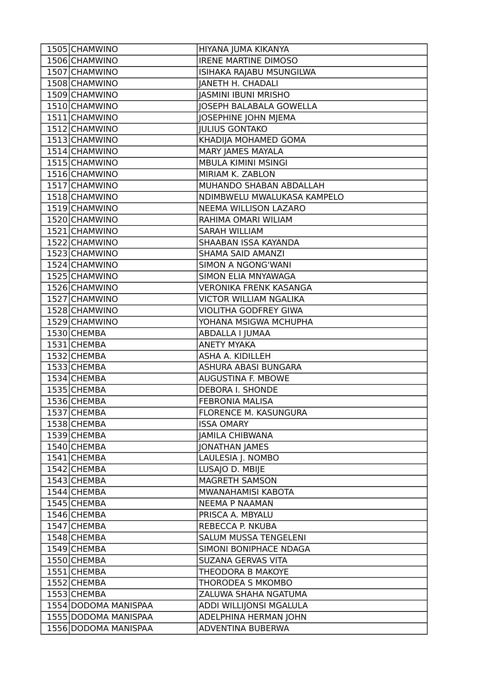| 1505 CHAMWINO        | HIYANA JUMA KIKANYA            |
|----------------------|--------------------------------|
| 1506 CHAMWINO        | <b>IRENE MARTINE DIMOSO</b>    |
| 1507 CHAMWINO        | ISIHAKA RAJABU MSUNGILWA       |
| 1508 CHAMWINO        | <b>JANETH H. CHADALI</b>       |
| 1509 CHAMWINO        | <b>JASMINI IBUNI MRISHO</b>    |
| 1510 CHAMWINO        | <b>JOSEPH BALABALA GOWELLA</b> |
| 1511 CHAMWINO        | JOSEPHINE JOHN MJEMA           |
| 1512 CHAMWINO        | <b>JULIUS GONTAKO</b>          |
| 1513 CHAMWINO        | KHADIJA MOHAMED GOMA           |
| 1514 CHAMWINO        | MARY JAMES MAYALA              |
| 1515 CHAMWINO        | MBULA KIMINI MSINGI            |
| 1516 CHAMWINO        | MIRIAM K. ZABLON               |
| 1517 CHAMWINO        | MUHANDO SHABAN ABDALLAH        |
| 1518 CHAMWINO        | NDIMBWELU MWALUKASA KAMPELO    |
| 1519 CHAMWINO        | NEEMA WILLISON LAZARO          |
| 1520 CHAMWINO        | RAHIMA OMARI WILIAM            |
| 1521 CHAMWINO        | <b>SARAH WILLIAM</b>           |
| 1522 CHAMWINO        | SHAABAN ISSA KAYANDA           |
| 1523 CHAMWINO        | SHAMA SAID AMANZI              |
| 1524 CHAMWINO        | SIMON A NGONG'WANI             |
| 1525 CHAMWINO        | SIMON ELIA MNYAWAGA            |
| 1526 CHAMWINO        | <b>VERONIKA FRENK KASANGA</b>  |
| 1527 CHAMWINO        | <b>VICTOR WILLIAM NGALIKA</b>  |
| 1528 CHAMWINO        | <b>VIOLITHA GODFREY GIWA</b>   |
| 1529 CHAMWINO        | YOHANA MSIGWA MCHUPHA          |
| 1530 CHEMBA          | ABDALLA I JUMAA                |
| 1531 CHEMBA          | <b>ANETY MYAKA</b>             |
| 1532 CHEMBA          | ASHA A. KIDILLEH               |
| 1533 CHEMBA          | ASHURA ABASI BUNGARA           |
| 1534 CHEMBA          | AUGUSTINA F. MBOWE             |
| 1535 CHEMBA          | <b>DEBORA I. SHONDE</b>        |
| 1536 CHEMBA          | <b>FEBRONIA MALISA</b>         |
| 1537 CHEMBA          | FLORENCE M. KASUNGURA          |
| 1538 CHEMBA          | <b>ISSA OMARY</b>              |
| 1539 CHEMBA          | <b>JAMILA CHIBWANA</b>         |
| 1540 CHEMBA          | <b>JONATHAN JAMES</b>          |
| 1541 CHEMBA          | LAULESIA J. NOMBO              |
| 1542 CHEMBA          | LUSAJO D. MBIJE                |
| 1543 CHEMBA          | MAGRETH SAMSON                 |
| 1544 CHEMBA          | MWANAHAMISI KABOTA             |
| 1545 CHEMBA          | <b>NEEMA P NAAMAN</b>          |
| 1546 CHEMBA          | PRISCA A. MBYALU               |
| 1547 CHEMBA          | REBECCA P. NKUBA               |
| 1548 CHEMBA          | SALUM MUSSA TENGELENI          |
| 1549 CHEMBA          | SIMONI BONIPHACE NDAGA         |
| 1550 CHEMBA          | SUZANA GERVAS VITA             |
| 1551 CHEMBA          | THEODORA B MAKOYE              |
| 1552 CHEMBA          | THORODEA S MKOMBO              |
| 1553 CHEMBA          | ZALUWA SHAHA NGATUMA           |
| 1554 DODOMA MANISPAA | ADDI WILLIJONSI MGALULA        |
| 1555 DODOMA MANISPAA | ADELPHINA HERMAN JOHN          |
| 1556 DODOMA MANISPAA | ADVENTINA BUBERWA              |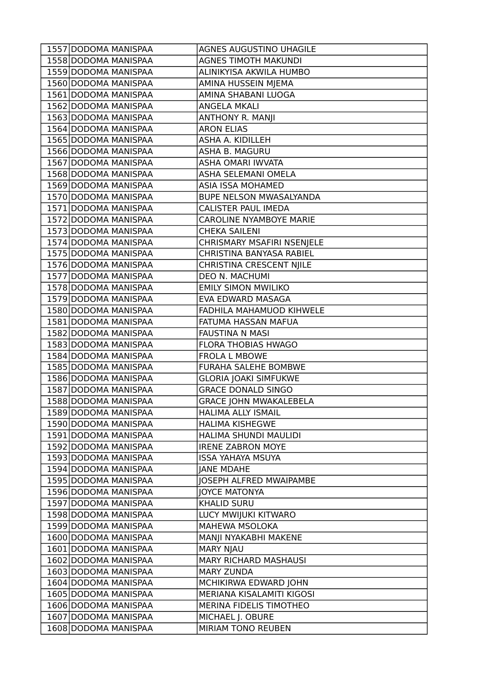| 1557 DODOMA MANISPAA | AGNES AUGUSTINO UHAGILE        |
|----------------------|--------------------------------|
| 1558 DODOMA MANISPAA | <b>AGNES TIMOTH MAKUNDI</b>    |
| 1559 DODOMA MANISPAA | ALINIKYISA AKWILA HUMBO        |
| 1560 DODOMA MANISPAA | AMINA HUSSEIN MJEMA            |
| 1561 DODOMA MANISPAA | AMINA SHABANI LUOGA            |
| 1562 DODOMA MANISPAA | ANGELA MKALI                   |
| 1563 DODOMA MANISPAA | <b>ANTHONY R. MANJI</b>        |
| 1564 DODOMA MANISPAA | <b>ARON ELIAS</b>              |
| 1565 DODOMA MANISPAA | ASHA A. KIDILLEH               |
| 1566 DODOMA MANISPAA | ASHA B. MAGURU                 |
| 1567 DODOMA MANISPAA | ASHA OMARI IWVATA              |
| 1568 DODOMA MANISPAA | ASHA SELEMANI OMELA            |
| 1569 DODOMA MANISPAA | <b>ASIA ISSA MOHAMED</b>       |
| 1570 DODOMA MANISPAA | BUPE NELSON MWASALYANDA        |
| 1571 DODOMA MANISPAA | CALISTER PAUL IMEDA            |
| 1572 DODOMA MANISPAA | <b>CAROLINE NYAMBOYE MARIE</b> |
| 1573 DODOMA MANISPAA | <b>CHEKA SAILENI</b>           |
| 1574 DODOMA MANISPAA | CHRISMARY MSAFIRI NSENJELE     |
| 1575 DODOMA MANISPAA | CHRISTINA BANYASA RABIEL       |
| 1576 DODOMA MANISPAA | CHRISTINA CRESCENT NJILE       |
| 1577 DODOMA MANISPAA | DEO N. MACHUMI                 |
| 1578 DODOMA MANISPAA | <b>EMILY SIMON MWILIKO</b>     |
| 1579 DODOMA MANISPAA | EVA EDWARD MASAGA              |
| 1580 DODOMA MANISPAA | FADHILA MAHAMUOD KIHWELE       |
| 1581 DODOMA MANISPAA | FATUMA HASSAN MAFUA            |
| 1582 DODOMA MANISPAA | <b>FAUSTINA N MASI</b>         |
| 1583 DODOMA MANISPAA | <b>FLORA THOBIAS HWAGO</b>     |
| 1584 DODOMA MANISPAA | <b>FROLA L MBOWE</b>           |
| 1585 DODOMA MANISPAA | FURAHA SALEHE BOMBWE           |
| 1586 DODOMA MANISPAA | <b>GLORIA JOAKI SIMFUKWE</b>   |
| 1587 DODOMA MANISPAA | <b>GRACE DONALD SINGO</b>      |
| 1588 DODOMA MANISPAA | <b>GRACE JOHN MWAKALEBELA</b>  |
| 1589 DODOMA MANISPAA | HALIMA ALLY ISMAIL             |
| 1590 DODOMA MANISPAA | <b>HALIMA KISHEGWE</b>         |
| 1591 DODOMA MANISPAA | HALIMA SHUNDI MAULIDI          |
| 1592 DODOMA MANISPAA | <b>IRENE ZABRON MOYE</b>       |
| 1593 DODOMA MANISPAA | <b>ISSA YAHAYA MSUYA</b>       |
| 1594 DODOMA MANISPAA | <b>JANE MDAHE</b>              |
| 1595 DODOMA MANISPAA | <b>JOSEPH ALFRED MWAIPAMBE</b> |
| 1596 DODOMA MANISPAA | <b>JOYCE MATONYA</b>           |
| 1597 DODOMA MANISPAA | <b>KHALID SURU</b>             |
| 1598 DODOMA MANISPAA | LUCY MWIJUKI KITWARO           |
| 1599 DODOMA MANISPAA | MAHEWA MSOLOKA                 |
| 1600 DODOMA MANISPAA | MANJI NYAKABHI MAKENE          |
| 1601 DODOMA MANISPAA | <b>MARY NJAU</b>               |
| 1602 DODOMA MANISPAA | <b>MARY RICHARD MASHAUSI</b>   |
| 1603 DODOMA MANISPAA | <b>MARY ZUNDA</b>              |
| 1604 DODOMA MANISPAA | MCHIKIRWA EDWARD JOHN          |
| 1605 DODOMA MANISPAA | MERIANA KISALAMITI KIGOSI      |
| 1606 DODOMA MANISPAA | MERINA FIDELIS TIMOTHEO        |
| 1607 DODOMA MANISPAA | MICHAEL J. OBURE               |
| 1608 DODOMA MANISPAA | MIRIAM TONO REUBEN             |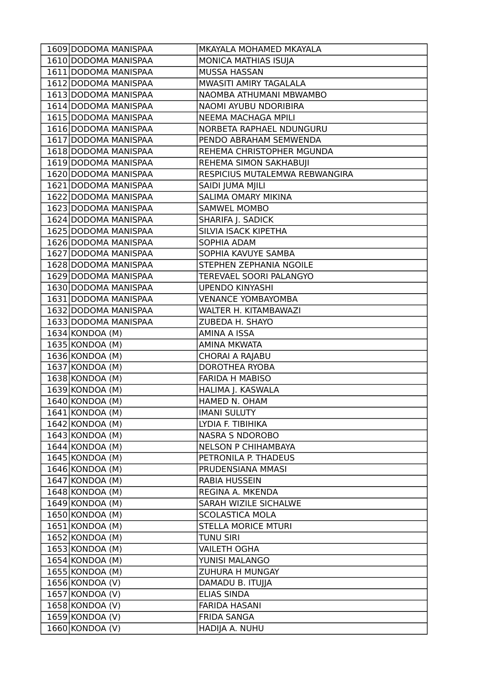|                                         | MKAYALA MOHAMED MKAYALA              |
|-----------------------------------------|--------------------------------------|
| 1610 DODOMA MANISPAA                    | MONICA MATHIAS ISUJA                 |
| 1611 DODOMA MANISPAA                    | <b>MUSSA HASSAN</b>                  |
| 1612 DODOMA MANISPAA                    | MWASITI AMIRY TAGALALA               |
| 1613 DODOMA MANISPAA                    | NAOMBA ATHUMANI MBWAMBO              |
| 1614 DODOMA MANISPAA                    | NAOMI AYUBU NDORIBIRA                |
| 1615 DODOMA MANISPAA                    | NEEMA MACHAGA MPILI                  |
| 1616 DODOMA MANISPAA                    | NORBETA RAPHAEL NDUNGURU             |
| 1617 DODOMA MANISPAA                    | PENDO ABRAHAM SEMWENDA               |
| 1618 DODOMA MANISPAA                    | REHEMA CHRISTOPHER MGUNDA            |
| 1619 DODOMA MANISPAA                    | REHEMA SIMON SAKHABUJI               |
| 1620 DODOMA MANISPAA                    | RESPICIUS MUTALEMWA REBWANGIRA       |
| 1621 DODOMA MANISPAA                    | SAIDI JUMA MJILI                     |
| 1622 DODOMA MANISPAA                    | SALIMA OMARY MIKINA                  |
| 1623 DODOMA MANISPAA                    | <b>SAMWEL MOMBO</b>                  |
| 1624 DODOMA MANISPAA                    | SHARIFA J. SADICK                    |
| 1625 DODOMA MANISPAA                    | SILVIA ISACK KIPETHA                 |
| 1626 DODOMA MANISPAA                    | SOPHIA ADAM                          |
| 1627 DODOMA MANISPAA                    | SOPHIA KAVUYE SAMBA                  |
| 1628 DODOMA MANISPAA                    | STEPHEN ZEPHANIA NGOILE              |
| 1629 DODOMA MANISPAA                    | TEREVAEL SOORI PALANGYO              |
| 1630 DODOMA MANISPAA                    | <b>UPENDO KINYASHI</b>               |
| 1631 DODOMA MANISPAA                    | <b>VENANCE YOMBAYOMBA</b>            |
| 1632 DODOMA MANISPAA                    | WALTER H. KITAMBAWAZI                |
| 1633 DODOMA MANISPAA                    | ZUBEDA H. SHAYO                      |
| $1634$ KONDOA (M)                       | AMINA A ISSA                         |
| 1635 KONDOA (M)                         | <b>AMINA MKWATA</b>                  |
| 1636 KONDOA (M)                         | CHORAI A RAJABU                      |
| $1637$ KONDOA (M)                       | DOROTHEA RYOBA                       |
|                                         |                                      |
| $1638$ KONDOA (M)                       | <b>FARIDA H MABISO</b>               |
| $1639$ KONDOA (M)                       | HALIMA J. KASWALA                    |
| $1640$ KONDOA (M)                       | HAMED N. OHAM                        |
| 1641 KONDOA (M)                         | <b>IMANI SULUTY</b>                  |
| $1642$ KONDOA (M)                       | LYDIA F. TIBIHIKA                    |
| $1643$ KONDOA (M)                       | <b>NASRA S NDOROBO</b>               |
| $1644$ KONDOA (M)                       | <b>NELSON P CHIHAMBAYA</b>           |
| $1645$ KONDOA (M)                       | PETRONILA P. THADEUS                 |
| $1646$ KONDOA (M)                       | PRUDENSIANA MMASI                    |
| $1647$ KONDOA (M)                       | RABIA HUSSEIN                        |
| $1648$ KONDOA (M)                       | REGINA A. MKENDA                     |
| $1649$ KONDOA (M)                       | SARAH WIZILE SICHALWE                |
| $1650 $ KONDOA (M)                      | <b>SCOLASTICA MOLA</b>               |
| $1651 $ KONDOA (M)                      | <b>STELLA MORICE MTURI</b>           |
| $1652$ KONDOA (M)                       | <b>TUNU SIRI</b>                     |
| $1653 $ KONDOA (M)                      | <b>VAILETH OGHA</b>                  |
| $1654$ KONDOA (M)                       | YUNISI MALANGO                       |
| $1655 $ KONDOA (M)                      | ZUHURA H MUNGAY                      |
| $1656$ KONDOA (V)                       | DAMADU B. ITUJJA                     |
| $1657$ KONDOA (V)                       | <b>ELIAS SINDA</b>                   |
| $1658$ KONDOA (V)                       | <b>FARIDA HASANI</b>                 |
| $1659$ KONDOA (V)<br>$1660 $ KONDOA (V) | <b>FRIDA SANGA</b><br>HADIJA A. NUHU |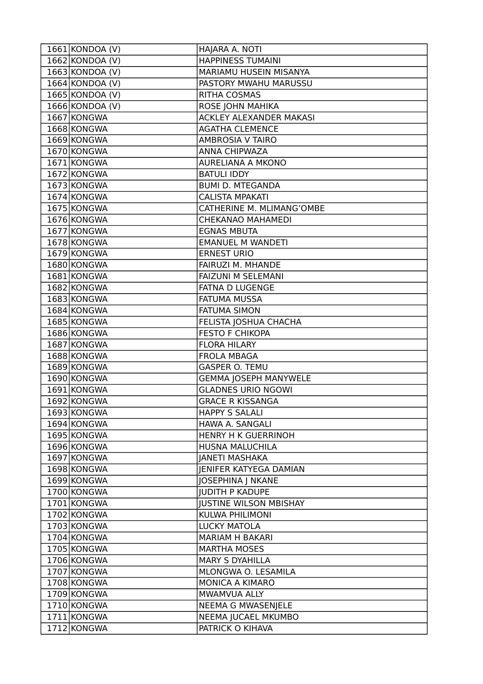| 1661 KONDOA (V)   | HAJARA A. NOTI                 |
|-------------------|--------------------------------|
| $1662$ KONDOA (V) | <b>HAPPINESS TUMAINI</b>       |
| $1663$ KONDOA (V) | MARIAMU HUSEIN MISANYA         |
| $1664$ KONDOA (V) | PASTORY MWAHU MARUSSU          |
| 1665 KONDOA (V)   | <b>RITHA COSMAS</b>            |
| $1666$ KONDOA (V) | ROSE JOHN MAHIKA               |
| 1667 KONGWA       | <b>ACKLEY ALEXANDER MAKASI</b> |
| 1668 KONGWA       | <b>AGATHA CLEMENCE</b>         |
| 1669 KONGWA       | <b>AMBROSIA V TAIRO</b>        |
| 1670 KONGWA       | ANNA CHIPWAZA                  |
| 1671 KONGWA       | <b>AURELIANA A MKONO</b>       |
| 1672 KONGWA       | <b>BATULI IDDY</b>             |
| 1673 KONGWA       | <b>BUMI D. MTEGANDA</b>        |
| 1674 KONGWA       | <b>CALISTA MPAKATI</b>         |
| 1675 KONGWA       | CATHERINE M. MLIMANG'OMBE      |
| 1676 KONGWA       | <b>CHEKANAO MAHAMEDI</b>       |
| 1677 KONGWA       | <b>EGNAS MBUTA</b>             |
| 1678 KONGWA       | <b>EMANUEL M WANDETI</b>       |
| 1679 KONGWA       | <b>ERNEST URIO</b>             |
| 1680 KONGWA       | FAIRUZI M. MHANDE              |
| 1681 KONGWA       | <b>FAIZUNI M SELEMANI</b>      |
| 1682 KONGWA       | FATNA D LUGENGE                |
| 1683 KONGWA       | <b>FATUMA MUSSA</b>            |
| 1684 KONGWA       | <b>FATUMA SIMON</b>            |
| 1685 KONGWA       | FELISTA JOSHUA CHACHA          |
| 1686 KONGWA       | <b>FESTO F CHIKOPA</b>         |
| 1687 KONGWA       | <b>FLORA HILARY</b>            |
| 1688 KONGWA       | <b>FROLA MBAGA</b>             |
| 1689 KONGWA       | <b>GASPER O. TEMU</b>          |
| 1690 KONGWA       | <b>GEMMA JOSEPH MANYWELE</b>   |
| 1691 KONGWA       | <b>GLADNES URIO NGOWI</b>      |
| 1692 KONGWA       | <b>GRACE R KISSANGA</b>        |
| 1693 KONGWA       | <b>HAPPY S SALALI</b>          |
| 1694 KONGWA       | HAWA A. SANGALI                |
| 1695 KONGWA       | HENRY H K GUERRINOH            |
| 1696 KONGWA       | HUSNA MALUCHILA                |
| 1697 KONGWA       | <b>JANETI MASHAKA</b>          |
| 1698 KONGWA       | <b>JENIFER KATYEGA DAMIAN</b>  |
| 1699 KONGWA       | <b>JOSEPHINA J NKANE</b>       |
| 1700 KONGWA       | <b>JUDITH P KADUPE</b>         |
| 1701 KONGWA       | <b>JUSTINE WILSON MBISHAY</b>  |
| 1702 KONGWA       | KULWA PHILIMONI                |
| 1703 KONGWA       | <b>LUCKY MATOLA</b>            |
| 1704 KONGWA       | <b>MARIAM H BAKARI</b>         |
| 1705 KONGWA       | <b>MARTHA MOSES</b>            |
| 1706 KONGWA       | <b>MARY S DYAHILLA</b>         |
| 1707 KONGWA       | MLONGWA O. LESAMILA            |
| 1708 KONGWA       | MONICA A KIMARO                |
| 1709 KONGWA       | MWAMVUA ALLY                   |
| 1710 KONGWA       | NEEMA G MWASENJELE             |
| 1711 KONGWA       | NEEMA JUCAEL MKUMBO            |
| 1712 KONGWA       | PATRICK O KIHAVA               |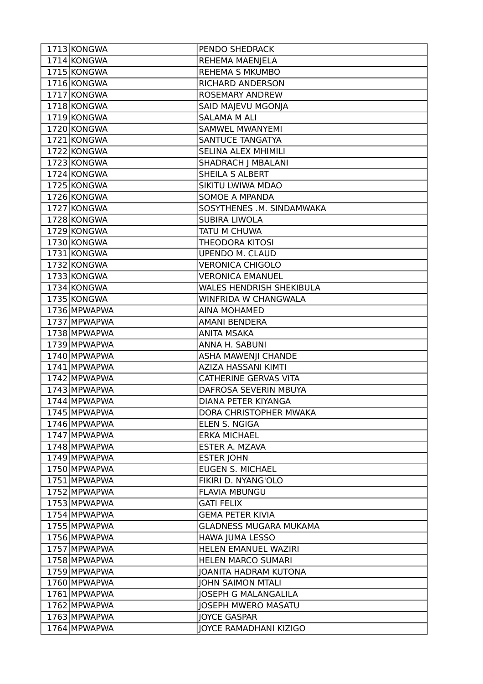| 1713 KONGWA  | PENDO SHEDRACK                  |
|--------------|---------------------------------|
| 1714 KONGWA  | REHEMA MAENJELA                 |
| 1715 KONGWA  | <b>REHEMA S MKUMBO</b>          |
| 1716 KONGWA  | RICHARD ANDERSON                |
| 1717 KONGWA  | <b>ROSEMARY ANDREW</b>          |
| 1718 KONGWA  | SAID MAJEVU MGONJA              |
| 1719 KONGWA  | <b>SALAMA M ALI</b>             |
| 1720 KONGWA  | <b>SAMWEL MWANYEMI</b>          |
| 1721 KONGWA  | SANTUCE TANGATYA                |
| 1722 KONGWA  | SELINA ALEX MHIMILI             |
| 1723 KONGWA  | <b>SHADRACH   MBALANI</b>       |
| 1724 KONGWA  | SHEILA S ALBERT                 |
| 1725 KONGWA  | SIKITU LWIWA MDAO               |
| 1726 KONGWA  | SOMOE A MPANDA                  |
| 1727 KONGWA  | SOSYTHENES .M. SINDAMWAKA       |
| 1728 KONGWA  | <b>SUBIRA LIWOLA</b>            |
| 1729 KONGWA  | TATU M CHUWA                    |
| 1730 KONGWA  | <b>THEODORA KITOSI</b>          |
| 1731 KONGWA  | <b>UPENDO M. CLAUD</b>          |
| 1732 KONGWA  | <b>VERONICA CHIGOLO</b>         |
| 1733 KONGWA  | <b>VERONICA EMANUEL</b>         |
| 1734 KONGWA  | <b>WALES HENDRISH SHEKIBULA</b> |
| 1735 KONGWA  | <b>WINFRIDA W CHANGWALA</b>     |
| 1736 MPWAPWA | <b>AINA MOHAMED</b>             |
| 1737 MPWAPWA | <b>AMANI BENDERA</b>            |
| 1738 MPWAPWA | <b>ANITA MSAKA</b>              |
| 1739 MPWAPWA | ANNA H. SABUNI                  |
| 1740 MPWAPWA | <b>ASHA MAWENJI CHANDE</b>      |
| 1741 MPWAPWA | AZIZA HASSANI KIMTI             |
| 1742 MPWAPWA | CATHERINE GERVAS VITA           |
| 1743 MPWAPWA | DAFROSA SEVERIN MBUYA           |
| 1744 MPWAPWA | DIANA PETER KIYANGA             |
| 1745 MPWAPWA | DORA CHRISTOPHER MWAKA          |
| 1746 MPWAPWA | ELEN S. NGIGA                   |
| 1747 MPWAPWA | <b>ERKA MICHAEL</b>             |
| 1748 MPWAPWA | ESTER A. MZAVA                  |
| 1749 MPWAPWA | <b>ESTER JOHN</b>               |
| 1750 MPWAPWA | <b>EUGEN S. MICHAEL</b>         |
| 1751 MPWAPWA | FIKIRI D. NYANG'OLO             |
| 1752 MPWAPWA | <b>FLAVIA MBUNGU</b>            |
| 1753 MPWAPWA |                                 |
|              | <b>GATI FELIX</b>               |
| 1754 MPWAPWA | <b>GEMA PETER KIVIA</b>         |
| 1755 MPWAPWA | <b>GLADNESS MUGARA MUKAMA</b>   |
| 1756 MPWAPWA | HAWA JUMA LESSO                 |
| 1757 MPWAPWA | HELEN EMANUEL WAZIRI            |
| 1758 MPWAPWA | <b>HELEN MARCO SUMARI</b>       |
| 1759 MPWAPWA | <b>JOANITA HADRAM KUTONA</b>    |
| 1760 MPWAPWA | <b>JOHN SAIMON MTALI</b>        |
| 1761 MPWAPWA | <b>JOSEPH G MALANGALILA</b>     |
| 1762 MPWAPWA | <b>JOSEPH MWERO MASATU</b>      |
| 1763 MPWAPWA | <b>JOYCE GASPAR</b>             |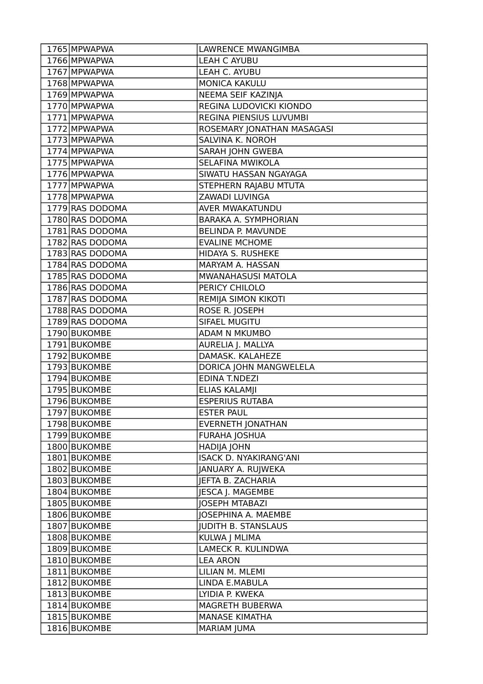| 1765 MPWAPWA    | <b>LAWRENCE MWANGIMBA</b>     |
|-----------------|-------------------------------|
| 1766 MPWAPWA    | <b>LEAH C AYUBU</b>           |
| 1767 MPWAPWA    | LEAH C. AYUBU                 |
| 1768 MPWAPWA    | <b>MONICA KAKULU</b>          |
| 1769 MPWAPWA    | NEEMA SEIF KAZINJA            |
| 1770 MPWAPWA    | REGINA LUDOVICKI KIONDO       |
| 1771 MPWAPWA    | REGINA PIENSIUS LUVUMBI       |
| 1772 MPWAPWA    | ROSEMARY JONATHAN MASAGASI    |
| 1773 MPWAPWA    | SALVINA K. NOROH              |
| 1774 MPWAPWA    | SARAH JOHN GWEBA              |
| 1775 MPWAPWA    | <b>SELAFINA MWIKOLA</b>       |
| 1776 MPWAPWA    | SIWATU HASSAN NGAYAGA         |
| 1777 MPWAPWA    | STEPHERN RAJABU MTUTA         |
| 1778 MPWAPWA    | ZAWADI LUVINGA                |
| 1779 RAS DODOMA | AVER MWAKATUNDU               |
| 1780 RAS DODOMA | BARAKA A. SYMPHORIAN          |
| 1781 RAS DODOMA | <b>BELINDA P. MAVUNDE</b>     |
| 1782 RAS DODOMA | <b>EVALINE MCHOME</b>         |
| 1783 RAS DODOMA | HIDAYA S. RUSHEKE             |
| 1784 RAS DODOMA | MARYAM A. HASSAN              |
| 1785 RAS DODOMA | MWANAHASUSI MATOLA            |
| 1786 RAS DODOMA | PERICY CHILOLO                |
| 1787 RAS DODOMA | REMIJA SIMON KIKOTI           |
| 1788 RAS DODOMA | ROSE R. JOSEPH                |
| 1789 RAS DODOMA | SIFAEL MUGITU                 |
| 1790 BUKOMBE    | ADAM N MKUMBO                 |
| 1791 BUKOMBE    | AURELIA J. MALLYA             |
| $1792$ BUKOMBE  | DAMASK. KALAHEZE              |
| 1793 BUKOMBE    | DORICA JOHN MANGWELELA        |
| 1794 BUKOMBE    | <b>EDINA T.NDEZI</b>          |
| 1795 BUKOMBE    | <b>ELIAS KALAMII</b>          |
| 1796 BUKOMBE    | <b>ESPERIUS RUTABA</b>        |
| 1797 BUKOMBE    | <b>ESTER PAUL</b>             |
| 1798 BUKOMBE    | <b>EVERNETH JONATHAN</b>      |
| 1799 BUKOMBE    | <b>FURAHA JOSHUA</b>          |
| 1800 BUKOMBE    | <b>HADIJA JOHN</b>            |
| 1801 BUKOMBE    | <b>ISACK D. NYAKIRANG'ANI</b> |
| 1802 BUKOMBE    | <b>JANUARY A. RUJWEKA</b>     |
| 1803 BUKOMBE    | JEFTA B. ZACHARIA             |
| 1804 BUKOMBE    | JESCA J. MAGEMBE              |
| 1805 BUKOMBE    | <b>JOSEPH MTABAZI</b>         |
| 1806 BUKOMBE    | JOSEPHINA A. MAEMBE           |
| 1807 BUKOMBE    | <b>JUDITH B. STANSLAUS</b>    |
| 1808 BUKOMBE    | KULWA J MLIMA                 |
| 1809 BUKOMBE    | LAMECK R. KULINDWA            |
| 1810 BUKOMBE    | <b>LEA ARON</b>               |
| 1811 BUKOMBE    | LILIAN M. MLEMI               |
| 1812 BUKOMBE    | LINDA E.MABULA                |
| 1813 BUKOMBE    | LYIDIA P. KWEKA               |
| 1814 BUKOMBE    | MAGRETH BUBERWA               |
| 1815 BUKOMBE    | <b>MANASE KIMATHA</b>         |
| 1816 BUKOMBE    | <b>MARIAM JUMA</b>            |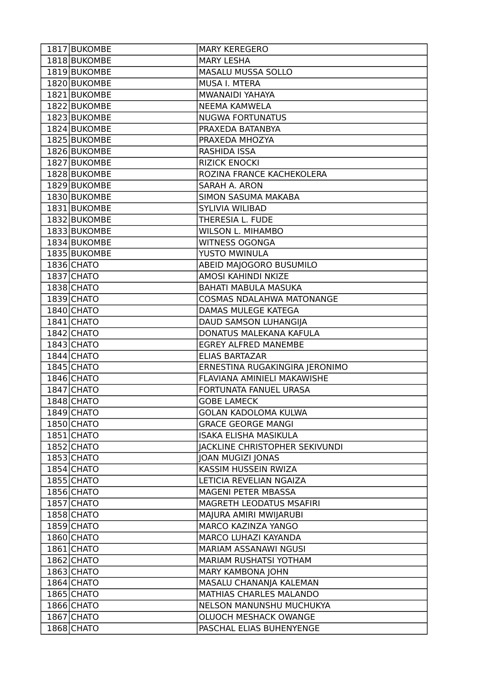| 1817 BUKOMBE | <b>MARY KEREGERO</b>             |
|--------------|----------------------------------|
| 1818 BUKOMBE | <b>MARY LESHA</b>                |
| 1819 BUKOMBE | MASALU MUSSA SOLLO               |
| 1820 BUKOMBE | MUSA I. MTERA                    |
| 1821 BUKOMBE | MWANAIDI YAHAYA                  |
| 1822 BUKOMBE | <b>NEEMA KAMWELA</b>             |
| 1823 BUKOMBE | <b>NUGWA FORTUNATUS</b>          |
| 1824 BUKOMBE | PRAXEDA BATANBYA                 |
| 1825 BUKOMBE | PRAXEDA MHOZYA                   |
| 1826 BUKOMBE | RASHIDA ISSA                     |
| 1827 BUKOMBE | <b>RIZICK ENOCKI</b>             |
| 1828 BUKOMBE | ROZINA FRANCE KACHEKOLERA        |
| 1829 BUKOMBE | SARAH A. ARON                    |
| 1830 BUKOMBE | SIMON SASUMA MAKABA              |
| 1831 BUKOMBE | <b>SYLIVIA WILIBAD</b>           |
| 1832 BUKOMBE | THERESIA L. FUDE                 |
| 1833 BUKOMBE | <b>WILSON L. MIHAMBO</b>         |
| 1834 BUKOMBE | <b>WITNESS OGONGA</b>            |
| 1835 BUKOMBE | YUSTO MWINULA                    |
| 1836 CHATO   | ABEID MAJOGORO BUSUMILO          |
| 1837 CHATO   | AMOSI KAHINDI NKIZE              |
| 1838 CHATO   | <b>BAHATI MABULA MASUKA</b>      |
| $1839$ CHATO | <b>COSMAS NDALAHWA MATONANGE</b> |
| $1840$ CHATO | DAMAS MULEGE KATEGA              |
| 1841 CHATO   | DAUD SAMSON LUHANGIJA            |
| 1842 CHATO   | DONATUS MALEKANA KAFULA          |
| 1843 CHATO   | <b>EGREY ALFRED MANEMBE</b>      |
| 1844 CHATO   | <b>ELIAS BARTAZAR</b>            |
| $1845$ CHATO | ERNESTINA RUGAKINGIRA JERONIMO   |
| 1846 CHATO   | FLAVIANA AMINIELI MAKAWISHE      |
| 1847 CHATO   | FORTUNATA FANUEL URASA           |
| 1848 CHATO   | <b>GOBE LAMECK</b>               |
| 1849 CHATO   | <b>GOLAN KADOLOMA KULWA</b>      |
| 1850 CHATO   | <b>GRACE GEORGE MANGI</b>        |
| 1851 CHATO   | <b>ISAKA ELISHA MASIKULA</b>     |
| $1852$ CHATO | JACKLINE CHRISTOPHER SEKIVUNDI   |
| 1853 CHATO   | JOAN MUGIZI JONAS                |
| $1854$ CHATO | KASSIM HUSSEIN RWIZA             |
| $1855$ CHATO | LETICIA REVELIAN NGAIZA          |
| 1856 CHATO   | MAGENI PETER MBASSA              |
| 1857 CHATO   | MAGRETH LEODATUS MSAFIRI         |
| 1858 CHATO   | MAJURA AMIRI MWIJARUBI           |
| 1859 CHATO   | MARCO KAZINZA YANGO              |
| 1860 CHATO   | MARCO LUHAZI KAYANDA             |
| 1861 CHATO   | MARIAM ASSANAWI NGUSI            |
| 1862 CHATO   | MARIAM RUSHATSI YOTHAM           |
| $1863$ CHATO | MARY KAMBONA JOHN                |
| $1864$ CHATO | MASALU CHANANJA KALEMAN          |
| 1865 CHATO   | MATHIAS CHARLES MALANDO          |
| 1866 CHATO   | NELSON MANUNSHU MUCHUKYA         |
| 1867 CHATO   | OLUOCH MESHACK OWANGE            |
| 1868 CHATO   | PASCHAL ELIAS BUHENYENGE         |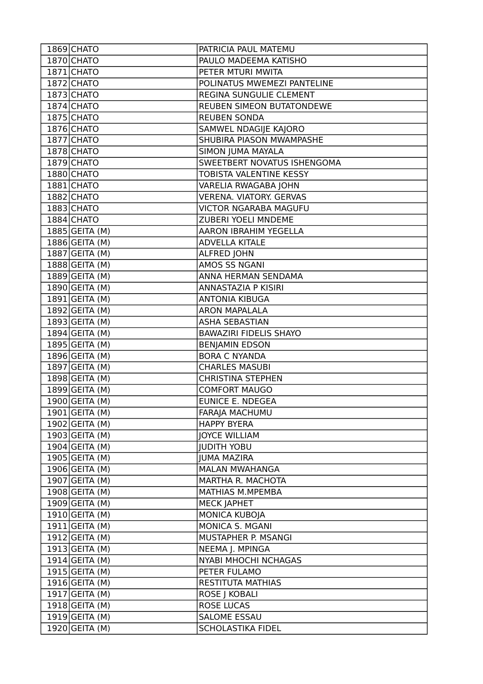| 1869 CHATO       | PATRICIA PAUL MATEMU           |
|------------------|--------------------------------|
| 1870 CHATO       | PAULO MADEEMA KATISHO          |
| 1871 CHATO       | PETER MTURI MWITA              |
| 1872 CHATO       | POLINATUS MWEMEZI PANTELINE    |
| 1873 CHATO       | REGINA SUNGULIE CLEMENT        |
| 1874 CHATO       | REUBEN SIMEON BUTATONDEWE      |
| 1875 CHATO       | <b>REUBEN SONDA</b>            |
| 1876 CHATO       | SAMWEL NDAGIJE KAJORO          |
| 1877 CHATO       | SHUBIRA PIASON MWAMPASHE       |
| 1878 CHATO       | <b>SIMON JUMA MAYALA</b>       |
| 1879 CHATO       | SWEETBERT NOVATUS ISHENGOMA    |
| 1880 CHATO       | TOBISTA VALENTINE KESSY        |
| 1881 CHATO       | VARELIA RWAGABA JOHN           |
| 1882 CHATO       | <b>VERENA. VIATORY. GERVAS</b> |
| 1883 CHATO       | <b>VICTOR NGARABA MAGUFU</b>   |
| 1884 CHATO       | ZUBERI YOELI MNDEME            |
| $1885$ GEITA (M) | <b>AARON IBRAHIM YEGELLA</b>   |
| $1886$ GEITA (M) | <b>ADVELLA KITALE</b>          |
| $1887$ GEITA (M) | <b>ALFRED JOHN</b>             |
| 1888 GEITA (M)   | AMOS SS NGANI                  |
| 1889 GEITA (M)   | ANNA HERMAN SENDAMA            |
| 1890 GEITA (M)   | ANNASTAZIA P KISIRI            |
| $1891$ GEITA (M) | <b>ANTONIA KIBUGA</b>          |
| $1892$ GEITA (M) | <b>ARON MAPALALA</b>           |
| $1893$ GEITA (M) | <b>ASHA SEBASTIAN</b>          |
| $1894$ GEITA (M) | <b>BAWAZIRI FIDELIS SHAYO</b>  |
| 1895 GEITA (M)   | <b>BENJAMIN EDSON</b>          |
| 1896 GEITA (M)   | <b>BORA C NYANDA</b>           |
| $1897$ GEITA (M) | <b>CHARLES MASUBI</b>          |
| $1898$ GEITA (M) | <b>CHRISTINA STEPHEN</b>       |
| $1899$ GEITA (M) | <b>COMFORT MAUGO</b>           |
| 1900 GEITA (M)   | <b>EUNICE E. NDEGEA</b>        |
| $1901$ GEITA (M) | FARAJA MACHUMU                 |
| 1902 GEITA (M)   | <b>HAPPY BYERA</b>             |
| $1903$ GEITA (M) | <b>JOYCE WILLIAM</b>           |
| $1904$ GEITA (M) | <b>JUDITH YOBU</b>             |
| $1905$ GEITA (M) | <b>JUMA MAZIRA</b>             |
| 1906 GEITA (M)   | <b>MALAN MWAHANGA</b>          |
| $1907$ GEITA (M) | MARTHA R. MACHOTA              |
| $1908$ GEITA (M) | MATHIAS M.MPEMBA               |
| $1909$ GEITA (M) | <b>MECK JAPHET</b>             |
| $1910$ GEITA (M) | MONICA KUBOJA                  |
| $1911$ GEITA (M) | MONICA S. MGANI                |
| 1912 GEITA (M)   | MUSTAPHER P. MSANGI            |
| $1913$ GEITA (M) | NEEMA J. MPINGA                |
| $1914$ GEITA (M) | NYABI MHOCHI NCHAGAS           |
| $1915$ GEITA (M) | PETER FULAMO                   |
| $1916$ GEITA (M) | <b>RESTITUTA MATHIAS</b>       |
| $1917$ GEITA (M) | ROSE J KOBALI                  |
| 1918 GEITA (M)   | <b>ROSE LUCAS</b>              |
| $1919$ GEITA (M) | <b>SALOME ESSAU</b>            |
| 1920 GEITA (M)   | <b>SCHOLASTIKA FIDEL</b>       |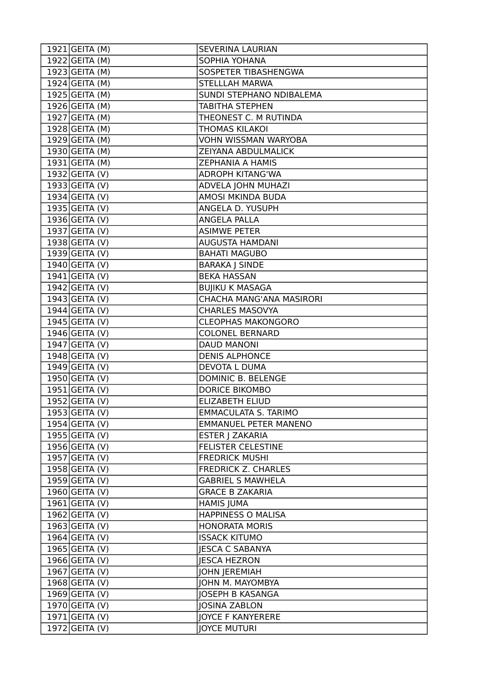| $1921$ GEITA (M) | <b>SEVERINA LAURIAN</b>      |
|------------------|------------------------------|
| 1922 GEITA (M)   | SOPHIA YOHANA                |
| $1923$ GEITA (M) | SOSPETER TIBASHENGWA         |
| 1924 GEITA (M)   | <b>STELLLAH MARWA</b>        |
| $1925$ GEITA (M) | SUNDI STEPHANO NDIBALEMA     |
| $1926$ GEITA (M) | <b>TABITHA STEPHEN</b>       |
| $1927$ GEITA (M) | THEONEST C. M RUTINDA        |
| 1928 GEITA (M)   | THOMAS KILAKOI               |
| $1929$ GEITA (M) | <b>VOHN WISSMAN WARYOBA</b>  |
| 1930 GEITA (M)   | ZEIYANA ABDULMALICK          |
| 1931 GEITA (M)   | ZEPHANIA A HAMIS             |
| $1932$ GEITA (V) | <b>ADROPH KITANG'WA</b>      |
| $1933$ GEITA (V) | ADVELA JOHN MUHAZI           |
| $1934$ GEITA (V) | AMOSI MKINDA BUDA            |
| $1935$ GEITA (V) | ANGELA D. YUSUPH             |
| 1936 GEITA (V)   | <b>ANGELA PALLA</b>          |
| $1937$ GEITA (V) | <b>ASIMWE PETER</b>          |
| $1938$ GEITA (V) | <b>AUGUSTA HAMDANI</b>       |
| $1939$ GEITA (V) | <b>BAHATI MAGUBO</b>         |
| $1940$ GEITA (V) | <b>BARAKA J SINDE</b>        |
| $1941$ GEITA (V) | <b>BEKA HASSAN</b>           |
| 1942 GEITA (V)   | <b>BUJIKU K MASAGA</b>       |
| $1943$ GEITA (V) | CHACHA MANG'ANA MASIRORI     |
| $1944$ GEITA (V) | <b>CHARLES MASOVYA</b>       |
| $1945$ GEITA (V) | <b>CLEOPHAS MAKONGORO</b>    |
| 1946 GEITA (V)   | <b>COLONEL BERNARD</b>       |
| $1947$ GEITA (V) | DAUD MANONI                  |
| $1948$ GEITA (V) | <b>DENIS ALPHONCE</b>        |
| 1949 GEITA (V)   | DEVOTA L DUMA                |
| $1950$ GEITA (V) | <b>DOMINIC B. BELENGE</b>    |
| $1951$ GEITA (V) | <b>DORICE BIKOMBO</b>        |
| $1952$ GEITA (V) | <b>ELIZABETH ELIUD</b>       |
| 1953 GEITA (V)   | <b>EMMACULATA S. TARIMO</b>  |
| $1954$ GEITA (V) | <b>EMMANUEL PETER MANENO</b> |
| 1955 GEITA(V)    | ESTER J ZAKARIA              |
| $1956$ GEITA (V) | <b>FELISTER CELESTINE</b>    |
| 1957 GEITA (V)   | <b>FREDRICK MUSHI</b>        |
| 1958 GEITA (V)   | <b>FREDRICK Z. CHARLES</b>   |
| $1959$ GEITA (V) | <b>GABRIEL S MAWHELA</b>     |
| $1960$ GEITA (V) | <b>GRACE B ZAKARIA</b>       |
| $1961$ GEITA (V) | <b>HAMIS JUMA</b>            |
| $1962$ GEITA (V) | <b>HAPPINESS O MALISA</b>    |
| $1963$ GEITA (V) | <b>HONORATA MORIS</b>        |
| 1964 GEITA (V)   | <b>ISSACK KITUMO</b>         |
| $1965$ GEITA (V) | <b>JESCA C SABANYA</b>       |
| $1966$ GEITA (V) | <b>JESCA HEZRON</b>          |
| $1967$ GEITA (V) | <b>JOHN JEREMIAH</b>         |
| $1968$ GEITA (V) | JOHN M. MAYOMBYA             |
| $1969$ GEITA (V) | <b>JOSEPH B KASANGA</b>      |
| 1970 GEITA (V)   | <b>JOSINA ZABLON</b>         |
| $1971$ GEITA (V) | <b>JOYCE F KANYERERE</b>     |
| $1972$ GEITA (V) | <b>JOYCE MUTURI</b>          |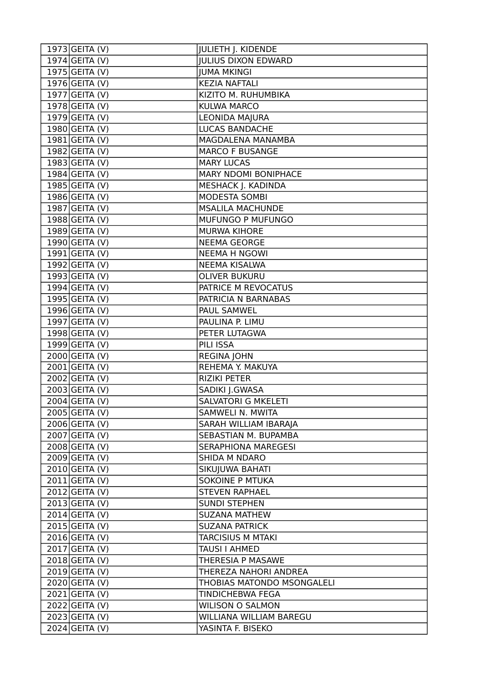| $1973$ GEITA (V) | <b>JULIETH J. KIDENDE</b>   |
|------------------|-----------------------------|
| $1974$ GEITA (V) | <b>JULIUS DIXON EDWARD</b>  |
| $1975$ GEITA (V) | <b>JUMA MKINGI</b>          |
| 1976 GEITA (V)   | <b>KEZIA NAFTALI</b>        |
| 1977 GEITA (V)   | KIZITO M. RUHUMBIKA         |
| $1978$ GEITA (V) | <b>KULWA MARCO</b>          |
| $1979$ GEITA (V) | LEONIDA MAJURA              |
| $1980$ GEITA (V) | <b>LUCAS BANDACHE</b>       |
| $1981$ GEITA (V) | MAGDALENA MANAMBA           |
| $1982$ GEITA (V) | <b>MARCO F BUSANGE</b>      |
| $1983$ GEITA (V) | <b>MARY LUCAS</b>           |
| $1984$ GEITA (V) | MARY NDOMI BONIPHACE        |
| $1985$ GEITA (V) | MESHACK J. KADINDA          |
| $1986$ GEITA (V) | MODESTA SOMBI               |
| $1987$ GEITA (V) | <b>MSALILA MACHUNDE</b>     |
| 1988 GEITA (V)   | MUFUNGO P MUFUNGO           |
| $1989$ GEITA (V) | <b>MURWA KIHORE</b>         |
| 1990 GEITA (V)   | <b>NEEMA GEORGE</b>         |
| $1991$ GEITA (V) | <b>NEEMA H NGOWI</b>        |
| $1992$ GEITA (V) | NEEMA KISALWA               |
| $1993$ GEITA (V) | <b>OLIVER BUKURU</b>        |
| 1994 GEITA (V)   | PATRICE M REVOCATUS         |
| $1995$ GEITA (V) | PATRICIA N BARNABAS         |
| 1996 GEITA (V)   | PAUL SAMWEL                 |
| $1997$ GEITA (V) | PAULINA P. LIMU             |
| $1998$ GEITA (V) | PETER LUTAGWA               |
| 1999 GEITA (V)   | PILI ISSA                   |
| $2000$ GEITA (V) | <b>REGINA JOHN</b>          |
| $2001$ GEITA (V) | REHEMA Y. MAKUYA            |
| $2002$ GEITA (V) | <b>RIZIKI PETER</b>         |
| 2003 GEITA (V)   | SADIKI J.GWASA              |
| $2004$ GEITA (V) | <b>SALVATORI G MKELETI</b>  |
| 2005 GEITA (V)   | SAMWELI N. MWITA            |
| $2006$ GEITA (V) | SARAH WILLIAM IBARAJA       |
| 2007 GEITA (V)   | <b>SEBASTIAN M. BUPAMBA</b> |
| 2008 GEITA (V)   | <b>SERAPHIONA MAREGESI</b>  |
| $2009$ GEITA (V) | SHIDA M NDARO               |
| $2010$ GEITA (V) | SIKUJUWA BAHATI             |
| $2011$ GEITA (V) | <b>SOKOINE P MTUKA</b>      |
| $2012$ GEITA (V) | <b>STEVEN RAPHAEL</b>       |
| $2013$ GEITA (V) | <b>SUNDI STEPHEN</b>        |
| $2014$ GEITA (V) | <b>SUZANA MATHEW</b>        |
| $2015$ GEITA (V) | <b>SUZANA PATRICK</b>       |
| $2016$ GEITA (V) | <b>TARCISIUS M MTAKI</b>    |
| $2017$ GEITA (V) | TAUSI I AHMED               |
| $2018$ GEITA (V) | THERESIA P MASAWE           |
| $2019$ GEITA (V) | THEREZA NAHORI ANDREA       |
| $2020$ GEITA (V) | THOBIAS MATONDO MSONGALELI  |
| 2021 GEITA (V)   | <b>TINDICHEBWA FEGA</b>     |
| 2022 GEITA (V)   | <b>WILISON O SALMON</b>     |
| 2023 GEITA (V)   | WILLIANA WILLIAM BAREGU     |
| 2024 GEITA (V)   | YASINTA F. BISEKO           |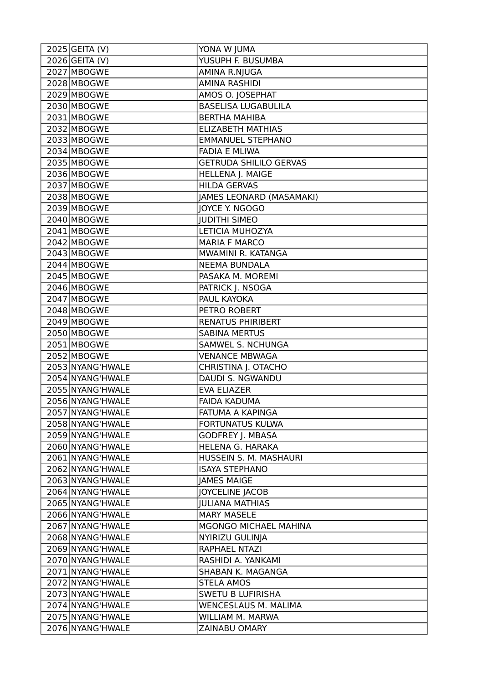| $2025$ GEITA (V) | YONA W JUMA                   |
|------------------|-------------------------------|
| $2026$ GEITA (V) | <b>YUSUPH F. BUSUMBA</b>      |
| 2027 MBOGWE      | AMINA R.NJUGA                 |
| 2028 MBOGWE      | <b>AMINA RASHIDI</b>          |
| 2029 MBOGWE      | AMOS O. JOSEPHAT              |
| 2030 MBOGWE      | <b>BASELISA LUGABULILA</b>    |
| 2031 MBOGWE      | <b>BERTHA MAHIBA</b>          |
| 2032 MBOGWE      | <b>ELIZABETH MATHIAS</b>      |
| 2033 MBOGWE      | <b>EMMANUEL STEPHANO</b>      |
| 2034 MBOGWE      | <b>FADIA E MLIWA</b>          |
| 2035 MBOGWE      | <b>GETRUDA SHILILO GERVAS</b> |
| 2036 MBOGWE      | HELLENA J. MAIGE              |
| 2037 MBOGWE      | <b>HILDA GERVAS</b>           |
| 2038 MBOGWE      | JAMES LEONARD (MASAMAKI)      |
| 2039 MBOGWE      | JOYCE Y. NGOGO                |
| 2040 MBOGWE      | <b>JUDITHI SIMEO</b>          |
| 2041 MBOGWE      | LETICIA MUHOZYA               |
| 2042 MBOGWE      | <b>MARIA F MARCO</b>          |
| 2043 MBOGWE      | MWAMINI R. KATANGA            |
| 2044 MBOGWE      | <b>NEEMA BUNDALA</b>          |
| 2045 MBOGWE      | PASAKA M. MOREMI              |
| 2046 MBOGWE      | PATRICK J. NSOGA              |
| 2047 MBOGWE      | PAUL KAYOKA                   |
| 2048 MBOGWE      | PETRO ROBERT                  |
| 2049 MBOGWE      | <b>RENATUS PHIRIBERT</b>      |
| 2050 MBOGWE      | <b>SABINA MERTUS</b>          |
| 2051 MBOGWE      | SAMWEL S. NCHUNGA             |
| 2052 MBOGWE      | <b>VENANCE MBWAGA</b>         |
| 2053 NYANG'HWALE | CHRISTINA J. OTACHO           |
| 2054 NYANG'HWALE | DAUDI S. NGWANDU              |
| 2055 NYANG'HWALE | <b>EVA ELIAZER</b>            |
| 2056 NYANG'HWALE | <b>FAIDA KADUMA</b>           |
| 2057 NYANG'HWALE | FATUMA A KAPINGA              |
| 2058 NYANG'HWALE | <b>FORTUNATUS KULWA</b>       |
| 2059 NYANG'HWALE | <b>GODFREY J. MBASA</b>       |
| 2060 NYANG'HWALE | HELENA G. HARAKA              |
| 2061 NYANG'HWALE | HUSSEIN S. M. MASHAURI        |
| 2062 NYANG'HWALE | <b>ISAYA STEPHANO</b>         |
| 2063 NYANG'HWALE | <b>JAMES MAIGE</b>            |
| 2064 NYANG'HWALE | <b>JOYCELINE JACOB</b>        |
| 2065 NYANG'HWALE | <b>JULIANA MATHIAS</b>        |
| 2066 NYANG'HWALE | <b>MARY MASELE</b>            |
| 2067 NYANG'HWALE | MGONGO MICHAEL MAHINA         |
| 2068 NYANG'HWALE | NYIRIZU GULINJA               |
| 2069 NYANG'HWALE | RAPHAEL NTAZI                 |
| 2070 NYANG'HWALE | RASHIDI A. YANKAMI            |
| 2071 NYANG'HWALE | SHABAN K. MAGANGA             |
| 2072 NYANG'HWALE | <b>STELA AMOS</b>             |
| 2073 NYANG'HWALE | <b>SWETU B LUFIRISHA</b>      |
| 2074 NYANG'HWALE | <b>WENCESLAUS M. MALIMA</b>   |
| 2075 NYANG'HWALE | WILLIAM M. MARWA              |
| 2076 NYANG'HWALE | ZAINABU OMARY                 |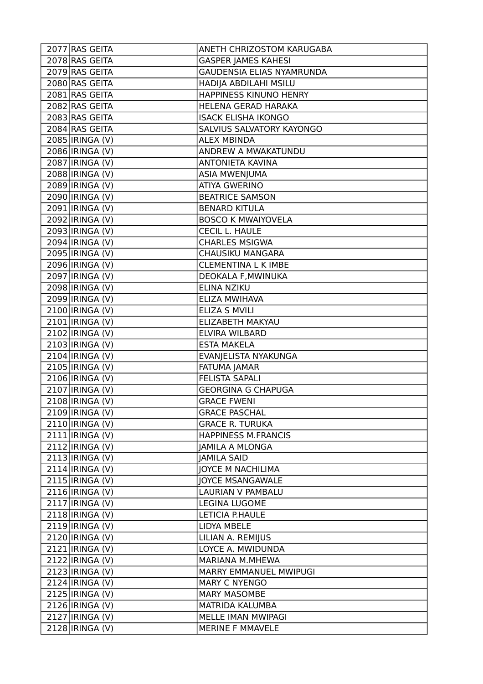| 2077 RAS GEITA               | ANETH CHRIZOSTOM KARUGABA        |
|------------------------------|----------------------------------|
| 2078 RAS GEITA               | <b>GASPER JAMES KAHESI</b>       |
| 2079 RAS GEITA               | <b>GAUDENSIA ELIAS NYAMRUNDA</b> |
| 2080 RAS GEITA               | HADIJA ABDILAHI MSILU            |
| 2081 RAS GEITA               | HAPPINESS KINUNO HENRY           |
| 2082 RAS GEITA               | HELENA GERAD HARAKA              |
| 2083 RAS GEITA               | <b>ISACK ELISHA IKONGO</b>       |
| 2084 RAS GEITA               | SALVIUS SALVATORY KAYONGO        |
| 2085   IRINGA (V)            | <b>ALEX MBINDA</b>               |
| 2086 IRINGA (V)              | ANDREW A MWAKATUNDU              |
| 2087   IRINGA (V)            | <b>ANTONIETA KAVINA</b>          |
| 2088 IRINGA (V)              | <b>ASIA MWENJUMA</b>             |
| 2089 IRINGA (V)              | <b>ATIYA GWERINO</b>             |
| 2090   IRINGA (V)            | <b>BEATRICE SAMSON</b>           |
| 2091   IRINGA (V)            | <b>BENARD KITULA</b>             |
| 2092 IRINGA (V)              | <b>BOSCO K MWAIYOVELA</b>        |
| 2093 IRINGA (V)              | <b>CECIL L. HAULE</b>            |
| 2094 IRINGA (V)              | <b>CHARLES MSIGWA</b>            |
| 2095 IRINGA (V)              | CHAUSIKU MANGARA                 |
| 2096   IRINGA (V)            | <b>CLEMENTINA L K IMBE</b>       |
| 2097 IRINGA (V)              | DEOKALA F, MWINUKA               |
| $2098$  IRINGA (V)           | ELINA NZIKU                      |
| 2099   IRINGA (V)            | ELIZA MWIHAVA                    |
| 2100   IRINGA (V)            | <b>ELIZA S MVILI</b>             |
| $2101$ IRINGA (V)            | ELIZABETH MAKYAU                 |
| 2102   IRINGA (V)            | ELVIRA WILBARD                   |
| 2103   IRINGA (V)            | <b>ESTA MAKELA</b>               |
| $2104$ IRINGA (V)            | EVANJELISTA NYAKUNGA             |
| 2105   IRINGA (V)            | <b>FATUMA JAMAR</b>              |
| 2106   IRINGA (V)            | <b>FELISTA SAPALI</b>            |
| $\overline{2107}$ IRINGA (V) | <b>GEORGINA G CHAPUGA</b>        |
| 2108   IRINGA (V)            | <b>GRACE FWENI</b>               |
| 2109   IRINGA (V)            | <b>GRACE PASCHAL</b>             |
| 2110   IRINGA (V)            | <b>GRACE R. TURUKA</b>           |
| $2111$  IRINGA (V)           | <b>HAPPINESS M.FRANCIS</b>       |
| 2112   IRINGA (V)            | <b>JAMILA A MLONGA</b>           |
| 2113   IRINGA (V)            | <b>JAMILA SAID</b>               |
| $2114$  IRINGA (V)           | <b>JOYCE M NACHILIMA</b>         |
| 2115   IRINGA (V)            | <b>JOYCE MSANGAWALE</b>          |
| 2116 IRINGA (V)              | <b>LAURIAN V PAMBALU</b>         |
| 2117 IRINGA (V)              | LEGINA LUGOME                    |
| $2118$  IRINGA (V)           | LETICIA P.HAULE                  |
| 2119 IRINGA (V)              | LIDYA MBELE                      |
| 2120 IRINGA (V)              | LILIAN A. REMIJUS                |
| 2121   IRINGA (V)            | LOYCE A. MWIDUNDA                |
| 2122 IRINGA (V)              | MARIANA M.MHEWA                  |
| 2123 IRINGA (V)              | MARRY EMMANUEL MWIPUGI           |
| 2124   IRINGA (V)            | <b>MARY C NYENGO</b>             |
| 2125   IRINGA (V)            | <b>MARY MASOMBE</b>              |
| 2126 IRINGA (V)              | MATRIDA KALUMBA                  |
| 2127 IRINGA (V)              | MELLE IMAN MWIPAGI               |
| 2128 IRINGA (V)              | MERINE F MMAVELE                 |
|                              |                                  |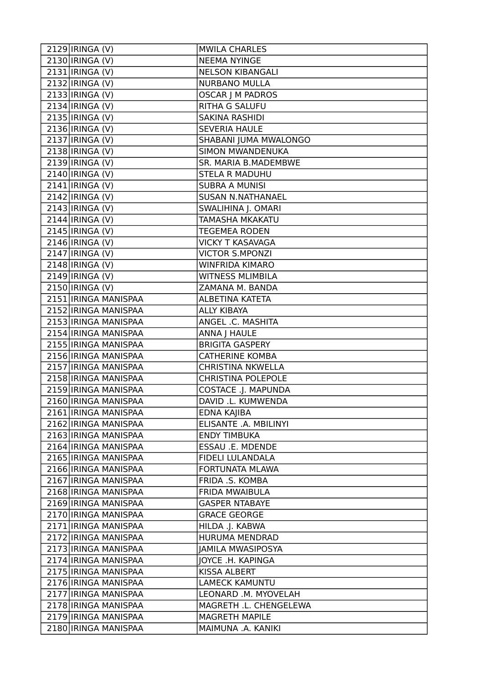| $\overline{2129}$  IRINGA (V) | <b>MWILA CHARLES</b>       |
|-------------------------------|----------------------------|
| 2130   IRINGA (V)             | <b>NEEMA NYINGE</b>        |
| 2131   IRINGA (V)             | <b>NELSON KIBANGALI</b>    |
| 2132   IRINGA (V)             | <b>NURBANO MULLA</b>       |
| 2133   IRINGA (V)             | <b>OSCAR J M PADROS</b>    |
| 2134   IRINGA (V)             | RITHA G SALUFU             |
| 2135   IRINGA (V)             | SAKINA RASHIDI             |
| 2136   IRINGA (V)             | <b>SEVERIA HAULE</b>       |
| 2137   IRINGA (V)             | SHABANI JUMA MWALONGO      |
| $2138$  IRINGA (V)            | SIMON MWANDENUKA           |
| 2139 IRINGA (V)               | SR. MARIA B.MADEMBWE       |
| 2140   IRINGA (V)             | <b>STELA R MADUHU</b>      |
| $2141$  IRINGA (V)            | <b>SUBRA A MUNISI</b>      |
| 2142   IRINGA (V)             | SUSAN N.NATHANAEL          |
| $2143$  IRINGA (V)            | SWALIHINA J. OMARI         |
| $2144$  IRINGA (V)            | TAMASHA MKAKATU            |
| $\overline{21}45$  IRINGA (V) | <b>TEGEMEA RODEN</b>       |
| $\overline{21}46$  IRINGA (V) | <b>VICKY T KASAVAGA</b>    |
| $2147$  IRINGA (V)            | <b>VICTOR S.MPONZI</b>     |
| 2148   IRINGA (V)             | <b>WINFRIDA KIMARO</b>     |
| 2149   IRINGA (V)             | <b>WITNESS MLIMBILA</b>    |
| 2150   IRINGA (V)             | ZAMANA M. BANDA            |
| 2151 IRINGA MANISPAA          | ALBETINA KATETA            |
| 2152 IRINGA MANISPAA          | <b>ALLY KIBAYA</b>         |
| 2153 IRINGA MANISPAA          | ANGEL .C. MASHITA          |
| 2154 IRINGA MANISPAA          | ANNA J HAULE               |
| 2155   IRINGA MANISPAA        | <b>BRIGITA GASPERY</b>     |
| 2156 IRINGA MANISPAA          | <b>CATHERINE KOMBA</b>     |
| 2157 IRINGA MANISPAA          | <b>CHRISTINA NKWELLA</b>   |
| 2158 IRINGA MANISPAA          | <b>CHRISTINA POLEPOLE</b>  |
| 2159 IRINGA MANISPAA          | <b>COSTACE .J. MAPUNDA</b> |
| 2160 IRINGA MANISPAA          | DAVID .L. KUMWENDA         |
| 2161 IRINGA MANISPAA          | EDNA KAJIBA                |
| 2162 IRINGA MANISPAA          | ELISANTE .A. MBILINYI      |
| 2163 IRINGA MANISPAA          | <b>ENDY TIMBUKA</b>        |
| 2164 IRINGA MANISPAA          | ESSAU .E. MDENDE           |
| 2165 IRINGA MANISPAA          | <b>FIDELI LULANDALA</b>    |
| 2166 IRINGA MANISPAA          | <b>FORTUNATA MLAWA</b>     |
| 2167   IRINGA MANISPAA        | FRIDA .S. KOMBA            |
| 2168 IRINGA MANISPAA          | <b>FRIDA MWAIBULA</b>      |
| 2169 IRINGA MANISPAA          | <b>GASPER NTABAYE</b>      |
| 2170   IRINGA MANISPAA        | <b>GRACE GEORGE</b>        |
| 2171 IRINGA MANISPAA          | HILDA .J. KABWA            |
| 2172 IRINGA MANISPAA          | HURUMA MENDRAD             |
| 2173 IRINGA MANISPAA          | <b>JAMILA MWASIPOSYA</b>   |
| 2174 IRINGA MANISPAA          | JOYCE .H. KAPINGA          |
| 2175 IRINGA MANISPAA          | KISSA ALBERT               |
| 2176 IRINGA MANISPAA          | <b>LAMECK KAMUNTU</b>      |
| 2177 IRINGA MANISPAA          | LEONARD .M. MYOVELAH       |
| 2178 IRINGA MANISPAA          | MAGRETH .L. CHENGELEWA     |
| 2179 IRINGA MANISPAA          | <b>MAGRETH MAPILE</b>      |
| 2180 IRINGA MANISPAA          | MAIMUNA .A. KANIKI         |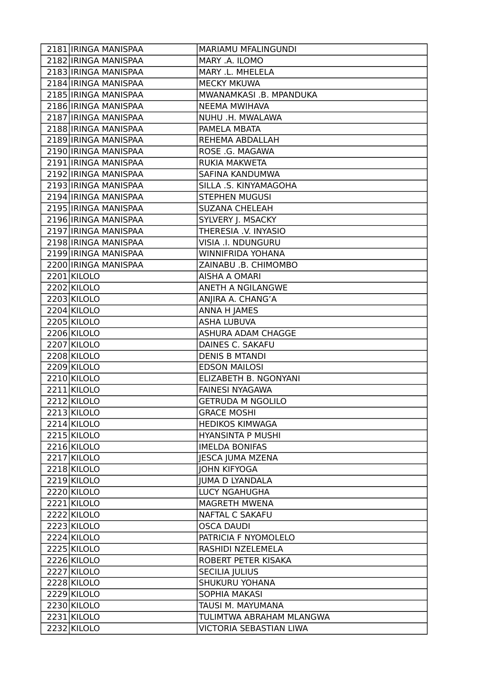| 2181 IRINGA MANISPAA   | MARIAMU MFALINGUNDI            |
|------------------------|--------------------------------|
| 2182 IRINGA MANISPAA   | MARY .A. ILOMO                 |
| 2183 IRINGA MANISPAA   | MARY .L. MHELELA               |
| 2184 IRINGA MANISPAA   | <b>MECKY MKUWA</b>             |
| 2185   IRINGA MANISPAA | MWANAMKASI .B. MPANDUKA        |
| 2186 IRINGA MANISPAA   | <b>NEEMA MWIHAVA</b>           |
| 2187 IRINGA MANISPAA   | NUHU .H. MWALAWA               |
| 2188 IRINGA MANISPAA   | PAMELA MBATA                   |
| 2189 IRINGA MANISPAA   | REHEMA ABDALLAH                |
| 2190 IRINGA MANISPAA   | ROSE .G. MAGAWA                |
| 2191 IRINGA MANISPAA   | <b>RUKIA MAKWETA</b>           |
| 2192 IRINGA MANISPAA   | SAFINA KANDUMWA                |
| 2193 IRINGA MANISPAA   | SILLA .S. KINYAMAGOHA          |
| 2194 IRINGA MANISPAA   | <b>STEPHEN MUGUSI</b>          |
| 2195   IRINGA MANISPAA | <b>SUZANA CHELEAH</b>          |
| 2196 IRINGA MANISPAA   | SYLVERY J. MSACKY              |
| 2197 IRINGA MANISPAA   | THERESIA .V. INYASIO           |
| 2198 IRINGA MANISPAA   | VISIA .I. NDUNGURU             |
| 2199 IRINGA MANISPAA   | <b>WINNIFRIDA YOHANA</b>       |
| 2200 IRINGA MANISPAA   | ZAINABU .B. CHIMOMBO           |
| 2201 KILOLO            | <b>AISHA A OMARI</b>           |
| 2202 KILOLO            | ANETH A NGILANGWE              |
| 2203 KILOLO            | ANJIRA A. CHANG'A              |
| 2204 KILOLO            | ANNA H JAMES                   |
| 2205 KILOLO            | <b>ASHA LUBUVA</b>             |
| 2206 KILOLO            | ASHURA ADAM CHAGGE             |
| 2207 KILOLO            | DAINES C. SAKAFU               |
| 2208 KILOLO            | <b>DENIS B MTANDI</b>          |
| 2209 KILOLO            | <b>EDSON MAILOSI</b>           |
| 2210 KILOLO            | ELIZABETH B. NGONYANI          |
| 2211 KILOLO            | <b>FAINESI NYAGAWA</b>         |
| 2212 KILOLO            | <b>GETRUDA M NGOLILO</b>       |
| 2213 KILOLO            | <b>GRACE MOSHI</b>             |
| 2214 KILOLO            | <b>HEDIKOS KIMWAGA</b>         |
| 2215 KILOLO            | <b>HYANSINTA P MUSHI</b>       |
| 2216 KILOLO            | <b>IMELDA BONIFAS</b>          |
| 2217 KILOLO            | <b>JESCA JUMA MZENA</b>        |
| 2218 KILOLO            | <b>JOHN KIFYOGA</b>            |
| 2219 KILOLO            | <b>JUMA D LYANDALA</b>         |
| 2220 KILOLO            | <b>LUCY NGAHUGHA</b>           |
| 2221 KILOLO            | <b>MAGRETH MWENA</b>           |
| 2222 KILOLO            | NAFTAL C SAKAFU                |
| 2223 KILOLO            | <b>OSCA DAUDI</b>              |
| 2224 KILOLO            | PATRICIA F NYOMOLELO           |
| 2225 KILOLO            | RASHIDI NZELEMELA              |
| 2226 KILOLO            | ROBERT PETER KISAKA            |
| 2227 KILOLO            | <b>SECILIA JULIUS</b>          |
| 2228 KILOLO            | SHUKURU YOHANA                 |
| 2229 KILOLO            | SOPHIA MAKASI                  |
| 2230 KILOLO            | TAUSI M. MAYUMANA              |
| 2231 KILOLO            | TULIMTWA ABRAHAM MLANGWA       |
| 2232 KILOLO            | <b>VICTORIA SEBASTIAN LIWA</b> |
|                        |                                |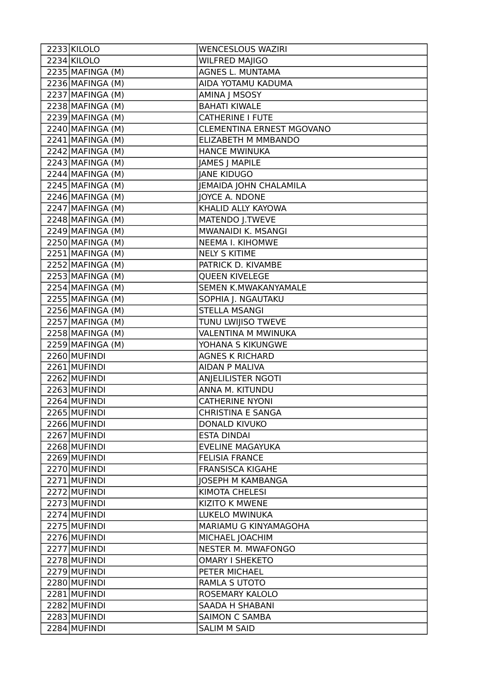| 2233 KILOLO        | <b>WENCESLOUS WAZIRI</b>         |
|--------------------|----------------------------------|
| 2234 KILOLO        | <b>WILFRED MAJIGO</b>            |
| 2235 MAFINGA (M)   | AGNES L. MUNTAMA                 |
| 2236 MAFINGA (M)   | AIDA YOTAMU KADUMA               |
| 2237 MAFINGA (M)   | AMINA J MSOSY                    |
| $2238$ MAFINGA (M) | <b>BAHATI KIWALE</b>             |
| 2239 MAFINGA (M)   | <b>CATHERINE I FUTE</b>          |
| 2240 MAFINGA (M)   | <b>CLEMENTINA ERNEST MGOVANO</b> |
| $2241$ MAFINGA (M) | ELIZABETH M MMBANDO              |
| $2242$ MAFINGA (M) | <b>HANCE MWINUKA</b>             |
| $2243$ MAFINGA (M) | JAMES J MAPILE                   |
| 2244 MAFINGA (M)   | <b>JANE KIDUGO</b>               |
| $2245$ MAFINGA (M) | JEMAIDA JOHN CHALAMILA           |
| 2246 MAFINGA (M)   | JOYCE A. NDONE                   |
| $2247$ MAFINGA (M) | KHALID ALLY KAYOWA               |
| $2248$ MAFINGA (M) | MATENDO J.TWEVE                  |
| $2249$ MAFINGA (M) | MWANAIDI K. MSANGI               |
| 2250 MAFINGA (M)   | <b>NEEMA I. KIHOMWE</b>          |
| $2251$ MAFINGA (M) | <b>NELY S KITIME</b>             |
| $2252$ MAFINGA (M) | PATRICK D. KIVAMBE               |
| $2253$ MAFINGA (M) | <b>QUEEN KIVELEGE</b>            |
| $2254$ MAFINGA (M) | SEMEN K.MWAKANYAMALE             |
| $2255$ MAFINGA (M) | SOPHIA J. NGAUTAKU               |
| 2256 MAFINGA (M)   | <b>STELLA MSANGI</b>             |
| $2257$ MAFINGA (M) | TUNU LWIJISO TWEVE               |
| $2258$ MAFINGA (M) | VALENTINA M MWINUKA              |
| $2259$ MAFINGA (M) | YOHANA S KIKUNGWE                |
| 2260 MUFINDI       | <b>AGNES K RICHARD</b>           |
| 2261 MUFINDI       | <b>AIDAN P MALIVA</b>            |
| 2262 MUFINDI       | ANJELILISTER NGOTI               |
| 2263 MUFINDI       | ANNA M. KITUNDU                  |
| 2264 MUFINDI       | <b>CATHERINE NYONI</b>           |
| 2265 MUFINDI       | <b>CHRISTINA E SANGA</b>         |
| 2266 MUFINDI       | <b>DONALD KIVUKO</b>             |
| 2267 MUFINDI       | <b>ESTA DINDAI</b>               |
| 2268 MUFINDI       | <b>EVELINE MAGAYUKA</b>          |
| 2269 MUFINDI       | <b>FELISIA FRANCE</b>            |
| 2270 MUFINDI       | <b>FRANSISCA KIGAHE</b>          |
| 2271 MUFINDI       | <b>JOSEPH M KAMBANGA</b>         |
| 2272 MUFINDI       | <b>KIMOTA CHELESI</b>            |
| 2273 MUFINDI       | <b>KIZITO K MWENE</b>            |
| 2274 MUFINDI       | LUKELO MWINUKA                   |
| 2275 MUFINDI       | MARIAMU G KINYAMAGOHA            |
| 2276 MUFINDI       | MICHAEL JOACHIM                  |
| 2277 MUFINDI       | NESTER M. MWAFONGO               |
| 2278 MUFINDI       | <b>OMARY I SHEKETO</b>           |
| 2279 MUFINDI       | PETER MICHAEL                    |
| 2280 MUFINDI       | RAMLA S UTOTO                    |
| 2281 MUFINDI       | ROSEMARY KALOLO                  |
| 2282 MUFINDI       | <b>SAADA H SHABANI</b>           |
| 2283 MUFINDI       | <b>SAIMON C SAMBA</b>            |
| 2284 MUFINDI       | <b>SALIM M SAID</b>              |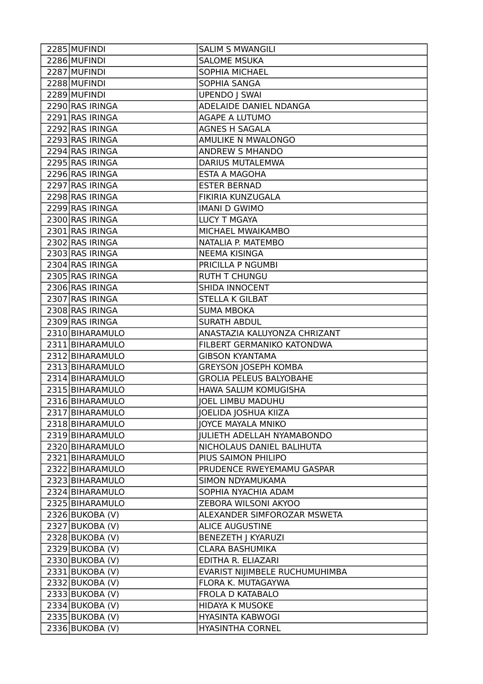| 2285 MUFINDI      | <b>SALIM S MWANGILI</b>           |
|-------------------|-----------------------------------|
| 2286 MUFINDI      | <b>SALOME MSUKA</b>               |
| 2287 MUFINDI      | <b>SOPHIA MICHAEL</b>             |
| 2288 MUFINDI      | SOPHIA SANGA                      |
| 2289 MUFINDI      | <b>UPENDO   SWAI</b>              |
| 2290 RAS IRINGA   | ADELAIDE DANIEL NDANGA            |
| 2291 RAS IRINGA   | <b>AGAPE A LUTUMO</b>             |
| 2292 RAS IRINGA   | <b>AGNES H SAGALA</b>             |
| 2293 RAS IRINGA   | AMULIKE N MWALONGO                |
| 2294 RAS IRINGA   | <b>ANDREW S MHANDO</b>            |
| 2295 RAS IRINGA   | <b>DARIUS MUTALEMWA</b>           |
| 2296 RAS IRINGA   | ESTA A MAGOHA                     |
| 2297 RAS IRINGA   | <b>ESTER BERNAD</b>               |
| 2298 RAS IRINGA   | FIKIRIA KUNZUGALA                 |
| 2299 RAS IRINGA   | <b>IMANI D GWIMO</b>              |
| 2300 RAS IRINGA   | <b>LUCY T MGAYA</b>               |
| 2301 RAS IRINGA   | MICHAEL MWAIKAMBO                 |
| 2302 RAS IRINGA   | NATALIA P. MATEMBO                |
| 2303 RAS IRINGA   | <b>NEEMA KISINGA</b>              |
| 2304 RAS IRINGA   | PRICILLA P NGUMBI                 |
| 2305 RAS IRINGA   | <b>RUTH T CHUNGU</b>              |
| 2306 RAS IRINGA   | <b>SHIDA INNOCENT</b>             |
| 2307 RAS IRINGA   | <b>STELLA K GILBAT</b>            |
| 2308 RAS IRINGA   | <b>SUMA MBOKA</b>                 |
| 2309 RAS IRINGA   | <b>SURATH ABDUL</b>               |
| 2310 BIHARAMULO   | ANASTAZIA KALUYONZA CHRIZANT      |
| 2311 BIHARAMULO   | FILBERT GERMANIKO KATONDWA        |
| 2312 BIHARAMULO   | <b>GIBSON KYANTAMA</b>            |
| 2313 BIHARAMULO   | <b>GREYSON JOSEPH KOMBA</b>       |
| 2314 BIHARAMULO   | <b>GROLIA PELEUS BALYOBAHE</b>    |
| 2315 BIHARAMULO   | HAWA SALUM KOMUGISHA              |
| 2316 BIHARAMULO   | JOEL LIMBU MADUHU                 |
| 2317 BIHARAMULO   | JOELIDA JOSHUA KIIZA              |
| 2318 BIHARAMULO   | JOYCE MAYALA MNIKO                |
| 2319 BIHARAMULO   | <b>JULIETH ADELLAH NYAMABONDO</b> |
| 2320 BIHARAMULO   | NICHOLAUS DANIEL BALIHUTA         |
| 2321 BIHARAMULO   | PIUS SAIMON PHILIPO               |
| 2322 BIHARAMULO   | PRUDENCE RWEYEMAMU GASPAR         |
| 2323 BIHARAMULO   | SIMON NDYAMUKAMA                  |
| 2324 BIHARAMULO   | SOPHIA NYACHIA ADAM               |
| 2325 BIHARAMULO   | ZEBORA WILSONI AKYOO              |
| 2326 BUKOBA (V)   | ALEXANDER SIMFOROZAR MSWETA       |
| $2327$ BUKOBA (V) | <b>ALICE AUGUSTINE</b>            |
| $2328$ BUKOBA (V) | <b>BENEZETH J KYARUZI</b>         |
| 2329 BUKOBA (V)   | CLARA BASHUMIKA                   |
| 2330 BUKOBA (V)   | EDITHA R. ELIAZARI                |
| 2331 BUKOBA (V)   | EVARIST NIJIMBELE RUCHUMUHIMBA    |
| 2332 BUKOBA (V)   | FLORA K. MUTAGAYWA                |
| 2333 BUKOBA (V)   | FROLA D KATABALO                  |
| $2334$ BUKOBA (V) | <b>HIDAYA K MUSOKE</b>            |
| 2335 BUKOBA (V)   | <b>HYASINTA KABWOGI</b>           |
| 2336 BUKOBA (V)   | <b>HYASINTHA CORNEL</b>           |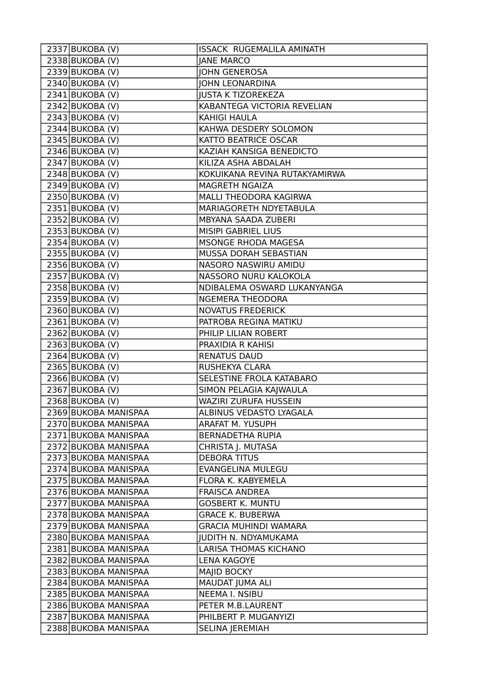| 2337 BUKOBA (V)      | ISSACK RUGEMALILA AMINATH     |
|----------------------|-------------------------------|
| 2338 BUKOBA (V)      | <b>JANE MARCO</b>             |
| $2339$ BUKOBA (V)    | <b>JOHN GENEROSA</b>          |
| 2340 BUKOBA (V)      | <b>JOHN LEONARDINA</b>        |
| 2341 BUKOBA (V)      | <b>JUSTA K TIZOREKEZA</b>     |
| 2342 BUKOBA (V)      | KABANTEGA VICTORIA REVELIAN   |
| 2343 BUKOBA (V)      | <b>KAHIGI HAULA</b>           |
| 2344 BUKOBA (V)      | KAHWA DESDERY SOLOMON         |
| 2345 BUKOBA (V)      | KATTO BEATRICE OSCAR          |
| 2346 BUKOBA (V)      | KAZIAH KANSIGA BENEDICTO      |
| 2347 BUKOBA (V)      | KILIZA ASHA ABDALAH           |
| $2348$ BUKOBA (V)    | KOKUIKANA REVINA RUTAKYAMIRWA |
| $2349$ BUKOBA (V)    | MAGRETH NGAIZA                |
| 2350 BUKOBA (V)      | MALLI THEODORA KAGIRWA        |
| $2351$ BUKOBA (V)    | MARIAGORETH NDYETABULA        |
| 2352 BUKOBA (V)      | MBYANA SAADA ZUBERI           |
| 2353 BUKOBA (V)      | MISIPI GABRIEL LIUS           |
| $2354$ BUKOBA (V)    | MSONGE RHODA MAGESA           |
| 2355 BUKOBA (V)      | MUSSA DORAH SEBASTIAN         |
| 2356 BUKOBA (V)      | NASORO NASWIRU AMIDU          |
| 2357 BUKOBA (V)      | NASSORO NURU KALOKOLA         |
| 2358 BUKOBA (V)      | NDIBALEMA OSWARD LUKANYANGA   |
| 2359 BUKOBA (V)      | NGEMERA THEODORA              |
| $2360$ BUKOBA (V)    | <b>NOVATUS FREDERICK</b>      |
| 2361 BUKOBA (V)      | PATROBA REGINA MATIKU         |
| $2362$ BUKOBA (V)    | PHILIP LILIAN ROBERT          |
| $2363$ BUKOBA (V)    | PRAXIDIA R KAHISI             |
| $2364$ BUKOBA (V)    | <b>RENATUS DAUD</b>           |
| 2365 BUKOBA (V)      | RUSHEKYA CLARA                |
| 2366 BUKOBA (V)      | SELESTINE FROLA KATABARO      |
| 2367 BUKOBA (V)      | SIMON PELAGIA KAJWAULA        |
| $2368$ BUKOBA (V)    | WAZIRI ZURUFA HUSSEIN         |
| 2369 BUKOBA MANISPAA | ALBINUS VEDASTO LYAGALA       |
| 2370 BUKOBA MANISPAA | ARAFAT M. YUSUPH              |
| 2371 BUKOBA MANISPAA | BERNADETHA RUPIA              |
| 2372 BUKOBA MANISPAA | CHRISTA J. MUTASA             |
| 2373 BUKOBA MANISPAA | <b>DEBORA TITUS</b>           |
| 2374 BUKOBA MANISPAA | <b>EVANGELINA MULEGU</b>      |
| 2375 BUKOBA MANISPAA | FLORA K. KABYEMELA            |
| 2376 BUKOBA MANISPAA | <b>FRAISCA ANDREA</b>         |
| 2377 BUKOBA MANISPAA | <b>GOSBERT K. MUNTU</b>       |
| 2378 BUKOBA MANISPAA | <b>GRACE K. BUBERWA</b>       |
| 2379 BUKOBA MANISPAA | <b>GRACIA MUHINDI WAMARA</b>  |
| 2380 BUKOBA MANISPAA | <b>JUDITH N. NDYAMUKAMA</b>   |
| 2381 BUKOBA MANISPAA | <b>LARISA THOMAS KICHANO</b>  |
| 2382 BUKOBA MANISPAA | <b>LENA KAGOYE</b>            |
| 2383 BUKOBA MANISPAA | MAJID BOCKY                   |
| 2384 BUKOBA MANISPAA | MAUDAT JUMA ALI               |
| 2385 BUKOBA MANISPAA | <b>NEEMA I. NSIBU</b>         |
| 2386 BUKOBA MANISPAA | PETER M.B.LAURENT             |
| 2387 BUKOBA MANISPAA | PHILBERT P. MUGANYIZI         |
| 2388 BUKOBA MANISPAA | <b>SELINA JEREMIAH</b>        |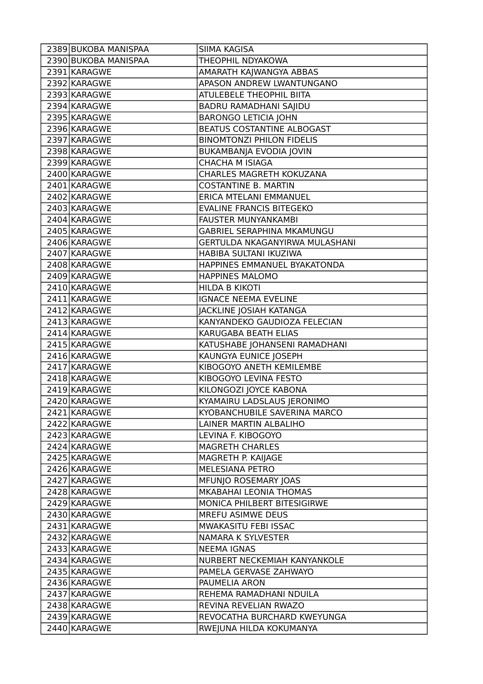| 2389 BUKOBA MANISPAA | SIIMA KAGISA                          |
|----------------------|---------------------------------------|
| 2390 BUKOBA MANISPAA | THEOPHIL NDYAKOWA                     |
| 2391 KARAGWE         | AMARATH KAJWANGYA ABBAS               |
| 2392 KARAGWE         | APASON ANDREW LWANTUNGANO             |
| 2393 KARAGWE         | <b>ATULEBELE THEOPHIL BIITA</b>       |
| 2394 KARAGWE         | BADRU RAMADHANI SAJIDU                |
| 2395 KARAGWE         | <b>BARONGO LETICIA JOHN</b>           |
| 2396 KARAGWE         | BEATUS COSTANTINE ALBOGAST            |
| 2397 KARAGWE         | <b>BINOMTONZI PHILON FIDELIS</b>      |
| 2398 KARAGWE         | BUKAMBANJA EVODIA JOVIN               |
| 2399 KARAGWE         | CHACHA M ISIAGA                       |
| 2400 KARAGWE         | CHARLES MAGRETH KOKUZANA              |
| 2401 KARAGWE         | <b>COSTANTINE B. MARTIN</b>           |
| 2402 KARAGWE         | ERICA MTELANI EMMANUEL                |
| 2403 KARAGWE         | <b>EVALINE FRANCIS BITEGEKO</b>       |
| 2404 KARAGWE         | <b>FAUSTER MUNYANKAMBI</b>            |
| 2405 KARAGWE         | <b>GABRIEL SERAPHINA MKAMUNGU</b>     |
| 2406 KARAGWE         | <b>GERTULDA NKAGANYIRWA MULASHANI</b> |
| 2407 KARAGWE         | HABIBA SULTANI IKUZIWA                |
| 2408 KARAGWE         | HAPPINES EMMANUEL BYAKATONDA          |
| 2409 KARAGWE         | <b>HAPPINES MALOMO</b>                |
| 2410 KARAGWE         | <b>HILDA B KIKOTI</b>                 |
| 2411 KARAGWE         | <b>IGNACE NEEMA EVELINE</b>           |
| 2412 KARAGWE         | JACKLINE JOSIAH KATANGA               |
| 2413 KARAGWE         | KANYANDEKO GAUDIOZA FELECIAN          |
| 2414 KARAGWE         | KARUGABA BEATH ELIAS                  |
| 2415 KARAGWE         | KATUSHABE JOHANSENI RAMADHANI         |
| 2416 KARAGWE         | KAUNGYA EUNICE JOSEPH                 |
| 2417 KARAGWE         | KIBOGOYO ANETH KEMILEMBE              |
| 2418 KARAGWE         | KIBOGOYO LEVINA FESTO                 |
| 2419 KARAGWE         | KILONGOZI JOYCE KABONA                |
| 2420 KARAGWE         | KYAMAIRU LADSLAUS JERONIMO            |
| 2421 KARAGWE         | KYOBANCHUBILE SAVERINA MARCO          |
| 2422 KARAGWE         | LAINER MARTIN ALBALIHO                |
| 2423 KARAGWE         | LEVINA F. KIBOGOYO                    |
| 2424 KARAGWE         | <b>MAGRETH CHARLES</b>                |
| 2425 KARAGWE         | MAGRETH P. KAIJAGE                    |
| 2426 KARAGWE         | MELESIANA PETRO                       |
| 2427 KARAGWE         | MFUNJO ROSEMARY JOAS                  |
| 2428 KARAGWE         | MKABAHAI LEONIA THOMAS                |
| 2429 KARAGWE         | MONICA PHILBERT BITESIGIRWE           |
| 2430 KARAGWE         | MREFU ASIMWE DEUS                     |
| 2431 KARAGWE         | MWAKASITU FEBI ISSAC                  |
| 2432 KARAGWE         | NAMARA K SYLVESTER                    |
| 2433 KARAGWE         | <b>NEEMA IGNAS</b>                    |
| 2434 KARAGWE         | NURBERT NECKEMIAH KANYANKOLE          |
| 2435 KARAGWE         | PAMELA GERVASE ZAHWAYO                |
| 2436 KARAGWE         | PAUMELIA ARON                         |
| 2437 KARAGWE         | REHEMA RAMADHANI NDUILA               |
| 2438 KARAGWE         | REVINA REVELIAN RWAZO                 |
| 2439 KARAGWE         | REVOCATHA BURCHARD KWEYUNGA           |
| 2440 KARAGWE         | RWEJUNA HILDA KOKUMANYA               |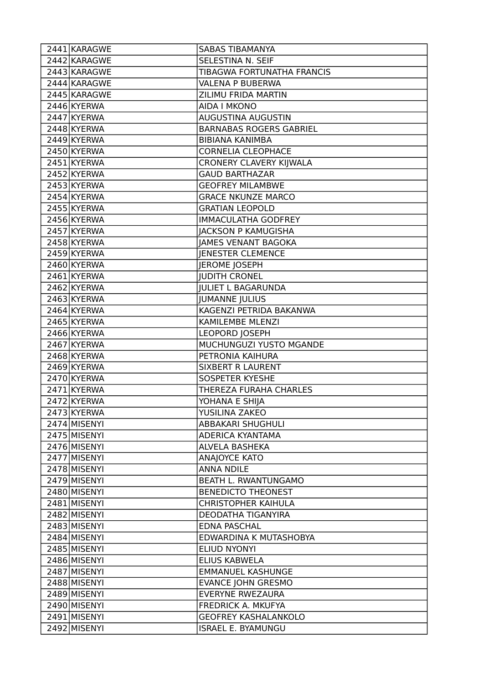| 2441 KARAGWE | <b>SABAS TIBAMANYA</b>         |
|--------------|--------------------------------|
| 2442 KARAGWE | SELESTINA N. SEIF              |
| 2443 KARAGWE | TIBAGWA FORTUNATHA FRANCIS     |
| 2444 KARAGWE | <b>VALENA P BUBERWA</b>        |
| 2445 KARAGWE | ZILIMU FRIDA MARTIN            |
| 2446 KYERWA  | <b>AIDA I MKONO</b>            |
| 2447 KYERWA  | <b>AUGUSTINA AUGUSTIN</b>      |
| 2448 KYERWA  | <b>BARNABAS ROGERS GABRIEL</b> |
| 2449 KYERWA  | <b>BIBIANA KANIMBA</b>         |
| 2450 KYERWA  | <b>CORNELIA CLEOPHACE</b>      |
| 2451 KYERWA  | CRONERY CLAVERY KIJWALA        |
| 2452 KYERWA  | <b>GAUD BARTHAZAR</b>          |
| 2453 KYERWA  | <b>GEOFREY MILAMBWE</b>        |
| 2454 KYERWA  | <b>GRACE NKUNZE MARCO</b>      |
| 2455 KYERWA  | <b>GRATIAN LEOPOLD</b>         |
| 2456 KYERWA  | <b>IMMACULATHA GODFREY</b>     |
| 2457 KYERWA  | <b>JACKSON P KAMUGISHA</b>     |
| 2458 KYERWA  | <b>JAMES VENANT BAGOKA</b>     |
| 2459 KYERWA  | <b>JENESTER CLEMENCE</b>       |
| 2460 KYERWA  | <b>JEROME JOSEPH</b>           |
| 2461 KYERWA  | <b>JUDITH CRONEL</b>           |
| 2462 KYERWA  | <b>JULIET L BAGARUNDA</b>      |
| 2463 KYERWA  | <b>JUMANNE JULIUS</b>          |
| 2464 KYERWA  | KAGENZI PETRIDA BAKANWA        |
| 2465 KYERWA  | <b>KAMILEMBE MLENZI</b>        |
| 2466 KYERWA  | <b>LEOPORD JOSEPH</b>          |
| 2467 KYERWA  | MUCHUNGUZI YUSTO MGANDE        |
| 2468 KYERWA  | PETRONIA KAIHURA               |
| 2469 KYERWA  | <b>SIXBERT R LAURENT</b>       |
| 2470 KYERWA  | SOSPETER KYESHE                |
| 2471 KYERWA  | THEREZA FURAHA CHARLES         |
| 2472 KYERWA  | YOHANA E SHIJA                 |
| 2473 KYERWA  | YUSILINA ZAKEO                 |
| 2474 MISENYI | <b>ABBAKARI SHUGHULI</b>       |
| 2475 MISENYI | ADERICA KYANTAMA               |
| 2476 MISENYI | ALVELA BASHEKA                 |
| 2477 MISENYI | ANAJOYCE KATO                  |
| 2478 MISENYI | <b>ANNA NDILE</b>              |
| 2479 MISENYI | <b>BEATH L. RWANTUNGAMO</b>    |
| 2480 MISENYI | <b>BENEDICTO THEONEST</b>      |
| 2481 MISENYI | CHRISTOPHER KAIHULA            |
| 2482 MISENYI | DEODATHA TIGANYIRA             |
| 2483 MISENYI | <b>EDNA PASCHAL</b>            |
| 2484 MISENYI | EDWARDINA K MUTASHOBYA         |
| 2485 MISENYI | <b>ELIUD NYONYI</b>            |
| 2486 MISENYI | <b>ELIUS KABWELA</b>           |
| 2487 MISENYI | <b>EMMANUEL KASHUNGE</b>       |
| 2488 MISENYI | <b>EVANCE JOHN GRESMO</b>      |
| 2489 MISENYI | <b>EVERYNE RWEZAURA</b>        |
| 2490 MISENYI | FREDRICK A. MKUFYA             |
| 2491 MISENYI | <b>GEOFREY KASHALANKOLO</b>    |
| 2492 MISENYI | <b>ISRAEL E. BYAMUNGU</b>      |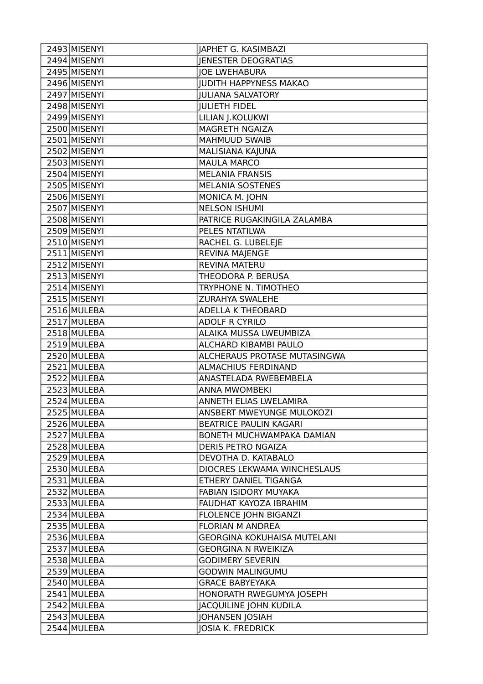| 2493 MISENYI | <b>JAPHET G. KASIMBAZI</b>         |
|--------------|------------------------------------|
| 2494 MISENYI | <b>JENESTER DEOGRATIAS</b>         |
| 2495 MISENYI | <b>JOE LWEHABURA</b>               |
| 2496 MISENYI | <b>JUDITH HAPPYNESS MAKAO</b>      |
| 2497 MISENYI | <b>JULIANA SALVATORY</b>           |
| 2498 MISENYI | <b>JULIETH FIDEL</b>               |
| 2499 MISENYI | LILIAN J.KOLUKWI                   |
| 2500 MISENYI | MAGRETH NGAIZA                     |
| 2501 MISENYI | <b>MAHMUUD SWAIB</b>               |
| 2502 MISENYI | MALISIANA KAJUNA                   |
| 2503 MISENYI | <b>MAULA MARCO</b>                 |
| 2504 MISENYI | <b>MELANIA FRANSIS</b>             |
| 2505 MISENYI | MELANIA SOSTENES                   |
| 2506 MISENYI | MONICA M. JOHN                     |
| 2507 MISENYI | <b>NELSON ISHUMI</b>               |
| 2508 MISENYI | PATRICE RUGAKINGILA ZALAMBA        |
| 2509 MISENYI | PELES NTATILWA                     |
| 2510 MISENYI | RACHEL G. LUBELEJE                 |
| 2511 MISENYI | REVINA MAJENGE                     |
| 2512 MISENYI | <b>REVINA MATERU</b>               |
| 2513 MISENYI | THEODORA P. BERUSA                 |
| 2514 MISENYI | TRYPHONE N. TIMOTHEO               |
| 2515 MISENYI | ZURAHYA SWALEHE                    |
| 2516 MULEBA  | <b>ADELLA K THEOBARD</b>           |
| 2517 MULEBA  | <b>ADOLF R CYRILO</b>              |
| 2518 MULEBA  | ALAIKA MUSSA LWEUMBIZA             |
| 2519 MULEBA  | ALCHARD KIBAMBI PAULO              |
| 2520 MULEBA  | ALCHERAUS PROTASE MUTASINGWA       |
| 2521 MULEBA  | <b>ALMACHIUS FERDINAND</b>         |
| 2522 MULEBA  | ANASTELADA RWEBEMBELA              |
| 2523 MULEBA  | <b>ANNA MWOMBEKI</b>               |
| 2524 MULEBA  | ANNETH ELIAS LWELAMIRA             |
| 2525 MULEBA  | ANSBERT MWEYUNGE MULOKOZI          |
| 2526 MULEBA  | BEATRICE PAULIN KAGARI             |
| 2527 MULEBA  | BONETH MUCHWAMPAKA DAMIAN          |
| 2528 MULEBA  | DERIS PETRO NGAIZA                 |
| 2529 MULEBA  | DEVOTHA D. KATABALO                |
| 2530 MULEBA  | DIOCRES LEKWAMA WINCHESLAUS        |
| 2531 MULEBA  | ETHERY DANIEL TIGANGA              |
| 2532 MULEBA  | FABIAN ISIDORY MUYAKA              |
| 2533 MULEBA  | FAUDHAT KAYOZA IBRAHIM             |
| 2534 MULEBA  | FLOLENCE JOHN BIGANZI              |
| 2535 MULEBA  | <b>FLORIAN M ANDREA</b>            |
| 2536 MULEBA  | <b>GEORGINA KOKUHAISA MUTELANI</b> |
| 2537 MULEBA  | <b>GEORGINA N RWEIKIZA</b>         |
| 2538 MULEBA  | <b>GODIMERY SEVERIN</b>            |
| 2539 MULEBA  | <b>GODWIN MALINGUMU</b>            |
| 2540 MULEBA  | <b>GRACE BABYEYAKA</b>             |
| 2541 MULEBA  | HONORATH RWEGUMYA JOSEPH           |
| 2542 MULEBA  | <b>JACQUILINE JOHN KUDILA</b>      |
| 2543 MULEBA  | <b>JOHANSEN JOSIAH</b>             |
| 2544 MULEBA  | JOSIA K. FREDRICK                  |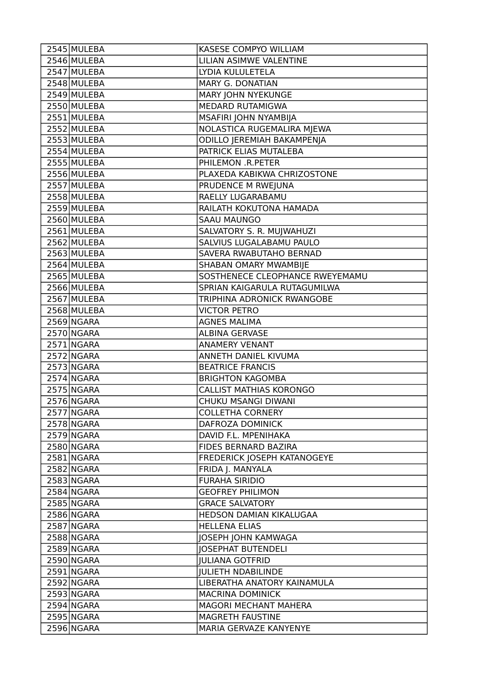| 2545 MULEBA | KASESE COMPYO WILLIAM           |
|-------------|---------------------------------|
| 2546 MULEBA | LILIAN ASIMWE VALENTINE         |
| 2547 MULEBA | LYDIA KULULETELA                |
| 2548 MULEBA | <b>MARY G. DONATIAN</b>         |
| 2549 MULEBA | MARY JOHN NYEKUNGE              |
| 2550 MULEBA | MEDARD RUTAMIGWA                |
| 2551 MULEBA | MSAFIRI JOHN NYAMBIJA           |
| 2552 MULEBA | NOLASTICA RUGEMALIRA MJEWA      |
| 2553 MULEBA | ODILLO JEREMIAH BAKAMPENJA      |
| 2554 MULEBA | PATRICK ELIAS MUTALEBA          |
| 2555 MULEBA | PHILEMON .R.PETER               |
| 2556 MULEBA | PLAXEDA KABIKWA CHRIZOSTONE     |
| 2557 MULEBA | PRUDENCE M RWEJUNA              |
| 2558 MULEBA | RAELLY LUGARABAMU               |
| 2559 MULEBA | RAILATH KOKUTONA HAMADA         |
| 2560 MULEBA | <b>SAAU MAUNGO</b>              |
| 2561 MULEBA | SALVATORY S. R. MUJWAHUZI       |
| 2562 MULEBA | SALVIUS LUGALABAMU PAULO        |
| 2563 MULEBA | SAVERA RWABUTAHO BERNAD         |
| 2564 MULEBA | SHABAN OMARY MWAMBIJE           |
| 2565 MULEBA | SOSTHENECE CLEOPHANCE RWEYEMAMU |
| 2566 MULEBA | SPRIAN KAIGARULA RUTAGUMILWA    |
| 2567 MULEBA | TRIPHINA ADRONICK RWANGOBE      |
| 2568 MULEBA | <b>VICTOR PETRO</b>             |
| 2569 NGARA  | <b>AGNES MALIMA</b>             |
| 2570 NGARA  | <b>ALBINA GERVASE</b>           |
| 2571 NGARA  | <b>ANAMERY VENANT</b>           |
| 2572 NGARA  | ANNETH DANIEL KIVUMA            |
| 2573 NGARA  | <b>BEATRICE FRANCIS</b>         |
| 2574 NGARA  | <b>BRIGHTON KAGOMBA</b>         |
| 2575 NGARA  | <b>CALLIST MATHIAS KORONGO</b>  |
| 2576 NGARA  | CHUKU MSANGI DIWANI             |
| 2577 NGARA  | <b>COLLETHA CORNERY</b>         |
| 2578 NGARA  | DAFROZA DOMINICK                |
| 2579 NGARA  | DAVID F.L. MPENIHAKA            |
| 2580 NGARA  | FIDES BERNARD BAZIRA            |
| 2581 NGARA  | FREDERICK JOSEPH KATANOGEYE     |
| 2582 NGARA  | FRIDA J. MANYALA                |
| 2583 NGARA  | <b>FURAHA SIRIDIO</b>           |
| 2584 NGARA  | <b>GEOFREY PHILIMON</b>         |
| 2585 NGARA  | <b>GRACE SALVATORY</b>          |
| 2586 NGARA  | HEDSON DAMIAN KIKALUGAA         |
| 2587 NGARA  | <b>HELLENA ELIAS</b>            |
| 2588 NGARA  | <b>JOSEPH JOHN KAMWAGA</b>      |
| 2589 NGARA  | <b>JOSEPHAT BUTENDELI</b>       |
| 2590 NGARA  | <b>JULIANA GOTFRID</b>          |
| 2591 NGARA  | <b>JULIETH NDABILINDE</b>       |
| 2592 NGARA  | LIBERATHA ANATORY KAINAMULA     |
| 2593 NGARA  | <b>MACRINA DOMINICK</b>         |
| 2594 NGARA  | MAGORI MECHANT MAHERA           |
| 2595 NGARA  | MAGRETH FAUSTINE                |
| 2596 NGARA  | MARIA GERVAZE KANYENYE          |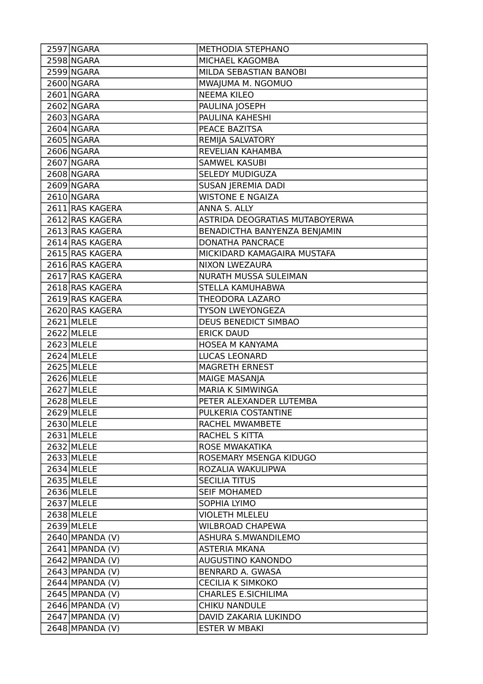| 2597 NGARA        | METHODIA STEPHANO              |
|-------------------|--------------------------------|
| 2598 NGARA        | MICHAEL KAGOMBA                |
| 2599 NGARA        | MILDA SEBASTIAN BANOBI         |
| 2600 NGARA        | MWAJUMA M. NGOMUO              |
| 2601 NGARA        | <b>NEEMA KILEO</b>             |
| 2602 NGARA        | PAULINA JOSEPH                 |
| 2603 NGARA        | PAULINA KAHESHI                |
| 2604 NGARA        | PEACE BAZITSA                  |
| 2605 NGARA        | REMIJA SALVATORY               |
| 2606 NGARA        | REVELIAN KAHAMBA               |
| 2607 NGARA        | <b>SAMWEL KASUBI</b>           |
| 2608 NGARA        | SELEDY MUDIGUZA                |
| 2609 NGARA        | SUSAN JEREMIA DADI             |
| 2610 NGARA        | <b>WISTONE E NGAIZA</b>        |
| 2611 RAS KAGERA   | ANNA S. ALLY                   |
| 2612 RAS KAGERA   | ASTRIDA DEOGRATIAS MUTABOYERWA |
| 2613 RAS KAGERA   | BENADICTHA BANYENZA BENJAMIN   |
| 2614 RAS KAGERA   | <b>DONATHA PANCRACE</b>        |
| 2615 RAS KAGERA   | MICKIDARD KAMAGAIRA MUSTAFA    |
| 2616 RAS KAGERA   | NIXON LWEZAURA                 |
| 2617 RAS KAGERA   | NURATH MUSSA SULEIMAN          |
| 2618 RAS KAGERA   | STELLA KAMUHABWA               |
| 2619 RAS KAGERA   | THEODORA LAZARO                |
| 2620 RAS KAGERA   | <b>TYSON LWEYONGEZA</b>        |
| 2621 MLELE        | <b>DEUS BENEDICT SIMBAO</b>    |
| 2622 MLELE        | <b>ERICK DAUD</b>              |
| 2623 MLELE        | HOSEA M KANYAMA                |
| 2624 MLELE        | LUCAS LEONARD                  |
| 2625 MLELE        | <b>MAGRETH ERNEST</b>          |
| 2626 MLELE        | <b>MAIGE MASANJA</b>           |
| 2627 MLELE        | MARIA K SIMWINGA               |
| 2628 MLELE        | PETER ALEXANDER LUTEMBA        |
| 2629 MLELE        | PULKERIA COSTANTINE            |
| 2630 MLELE        | RACHEL MWAMBETE                |
| 2631 MLELE        | RACHEL S KITTA                 |
| 2632 MLELE        | ROSE MWAKATIKA                 |
| 2633 MLELE        | ROSEMARY MSENGA KIDUGO         |
| 2634 MLELE        | ROZALIA WAKULIPWA              |
| 2635 MLELE        | <b>SECILIA TITUS</b>           |
| $2636$ MLELE      | <b>SEIF MOHAMED</b>            |
| 2637 MLELE        | SOPHIA LYIMO                   |
| 2638 MLELE        | <b>VIOLETH MLELEU</b>          |
| 2639 MLELE        | <b>WILBROAD CHAPEWA</b>        |
| $2640$ MPANDA (V) | ASHURA S.MWANDILEMO            |
| $2641$ MPANDA (V) | <b>ASTERIA MKANA</b>           |
| $2642$ MPANDA (V) | AUGUSTINO KANONDO              |
| $2643$ MPANDA (V) | <b>BENRARD A. GWASA</b>        |
| $2644$ MPANDA (V) | <b>CECILIA K SIMKOKO</b>       |
| $2645$ MPANDA (V) | <b>CHARLES E.SICHILIMA</b>     |
| $2646$ MPANDA (V) | <b>CHIKU NANDULE</b>           |
| $2647$ MPANDA (V) | DAVID ZAKARIA LUKINDO          |
| $2648$ MPANDA (V) | <b>ESTER W MBAKI</b>           |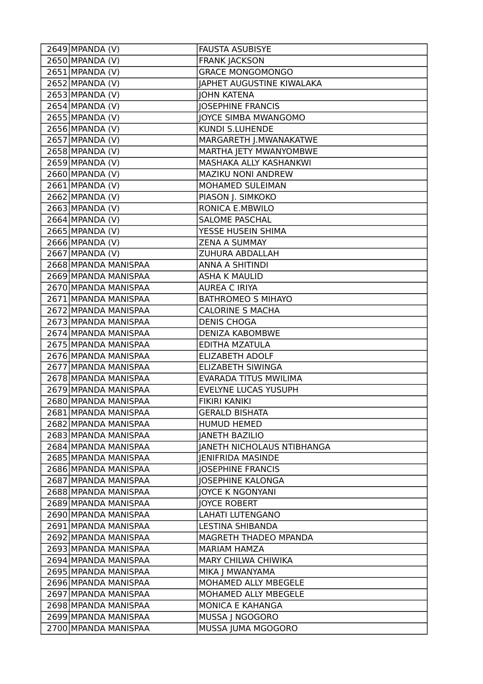| $2649$ MPANDA (V)    | <b>FAUSTA ASUBISYE</b>            |
|----------------------|-----------------------------------|
| $2650$ MPANDA (V)    | <b>FRANK JACKSON</b>              |
| $2651$ MPANDA (V)    | <b>GRACE MONGOMONGO</b>           |
| 2652 MPANDA (V)      | JAPHET AUGUSTINE KIWALAKA         |
| $2653$ MPANDA (V)    | <b>JOHN KATENA</b>                |
| $2654$ MPANDA (V)    | <b>JOSEPHINE FRANCIS</b>          |
| 2655 MPANDA (V)      | <b>JOYCE SIMBA MWANGOMO</b>       |
| 2656 MPANDA (V)      | <b>KUNDI S.LUHENDE</b>            |
| $2657$ MPANDA (V)    | MARGARETH J.MWANAKATWE            |
| $2658$ MPANDA (V)    | MARTHA JETY MWANYOMBWE            |
| $2659$ MPANDA (V)    | MASHAKA ALLY KASHANKWI            |
| 2660 MPANDA (V)      | MAZIKU NONI ANDREW                |
| $2661$ MPANDA (V)    | MOHAMED SULEIMAN                  |
| $2662$ MPANDA (V)    | PIASON J. SIMKOKO                 |
| $2663$ MPANDA (V)    | RONICA E.MBWILO                   |
| $2664$ MPANDA (V)    | SALOME PASCHAL                    |
| 2665 MPANDA (V)      | YESSE HUSEIN SHIMA                |
| 2666 MPANDA (V)      | <b>ZENA A SUMMAY</b>              |
| $2667$ MPANDA (V)    | <b>ZUHURA ABDALLAH</b>            |
| 2668 MPANDA MANISPAA | <b>ANNA A SHITINDI</b>            |
| 2669 MPANDA MANISPAA | <b>ASHA K MAULID</b>              |
| 2670 MPANDA MANISPAA | <b>AUREA C IRIYA</b>              |
| 2671 MPANDA MANISPAA | <b>BATHROMEO S MIHAYO</b>         |
| 2672 MPANDA MANISPAA | <b>CALORINE S MACHA</b>           |
| 2673 MPANDA MANISPAA | <b>DENIS CHOGA</b>                |
| 2674 MPANDA MANISPAA | <b>DENIZA KABOMBWE</b>            |
| 2675 MPANDA MANISPAA | EDITHA MZATULA                    |
| 2676 MPANDA MANISPAA | <b>ELIZABETH ADOLF</b>            |
| 2677 MPANDA MANISPAA | ELIZABETH SIWINGA                 |
| 2678 MPANDA MANISPAA | EVARADA TITUS MWILIMA             |
| 2679 MPANDA MANISPAA | <b>EVELYNE LUCAS YUSUPH</b>       |
| 2680 MPANDA MANISPAA | <b>FIKIRI KANIKI</b>              |
| 2681 MPANDA MANISPAA | <b>GERALD BISHATA</b>             |
| 2682 MPANDA MANISPAA | <b>HUMUD HEMED</b>                |
| 2683 MPANDA MANISPAA | <b>JANETH BAZILIO</b>             |
| 2684 MPANDA MANISPAA | <b>JANETH NICHOLAUS NTIBHANGA</b> |
| 2685 MPANDA MANISPAA | <b>JENIFRIDA MASINDE</b>          |
| 2686 MPANDA MANISPAA | <b>JOSEPHINE FRANCIS</b>          |
| 2687 MPANDA MANISPAA | <b>JOSEPHINE KALONGA</b>          |
| 2688 MPANDA MANISPAA | <b>JOYCE K NGONYANI</b>           |
| 2689 MPANDA MANISPAA | <b>JOYCE ROBERT</b>               |
| 2690 MPANDA MANISPAA | <b>LAHATI LUTENGANO</b>           |
| 2691 MPANDA MANISPAA | <b>LESTINA SHIBANDA</b>           |
| 2692 MPANDA MANISPAA | MAGRETH THADEO MPANDA             |
| 2693 MPANDA MANISPAA | <b>MARIAM HAMZA</b>               |
| 2694 MPANDA MANISPAA | MARY CHILWA CHIWIKA               |
| 2695 MPANDA MANISPAA | MIKA J MWANYAMA                   |
| 2696 MPANDA MANISPAA | MOHAMED ALLY MBEGELE              |
| 2697 MPANDA MANISPAA | MOHAMED ALLY MBEGELE              |
| 2698 MPANDA MANISPAA | MONICA E KAHANGA                  |
| 2699 MPANDA MANISPAA | MUSSA   NGOGORO                   |
| 2700 MPANDA MANISPAA | MUSSA JUMA MGOGORO                |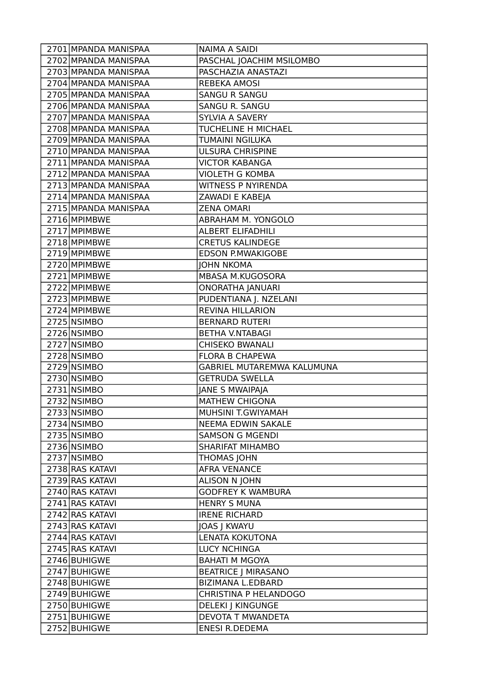| 2701 MPANDA MANISPAA | <b>NAIMA A SAIDI</b>         |
|----------------------|------------------------------|
| 2702 MPANDA MANISPAA | PASCHAL JOACHIM MSILOMBO     |
| 2703 MPANDA MANISPAA | PASCHAZIA ANASTAZI           |
| 2704 MPANDA MANISPAA | <b>REBEKA AMOSI</b>          |
| 2705 MPANDA MANISPAA | <b>SANGU R SANGU</b>         |
| 2706 MPANDA MANISPAA | <b>SANGU R. SANGU</b>        |
| 2707 MPANDA MANISPAA | SYLVIA A SAVERY              |
| 2708 MPANDA MANISPAA | TUCHELINE H MICHAEL          |
| 2709 MPANDA MANISPAA | TUMAINI NGILUKA              |
| 2710 MPANDA MANISPAA | <b>ULSURA CHRISPINE</b>      |
| 2711 MPANDA MANISPAA | <b>VICTOR KABANGA</b>        |
| 2712 MPANDA MANISPAA | <b>VIOLETH G KOMBA</b>       |
| 2713 MPANDA MANISPAA | <b>WITNESS P NYIRENDA</b>    |
| 2714 MPANDA MANISPAA | ZAWADI E KABEJA              |
| 2715 MPANDA MANISPAA | <b>ZENA OMARI</b>            |
| 2716 MPIMBWE         | ABRAHAM M. YONGOLO           |
| 2717 MPIMBWE         | <b>ALBERT ELIFADHILI</b>     |
| 2718 MPIMBWE         | <b>CRETUS KALINDEGE</b>      |
| 2719 MPIMBWE         | <b>EDSON P.MWAKIGOBE</b>     |
| 2720 MPIMBWE         | <b>JOHN NKOMA</b>            |
| 2721 MPIMBWE         | MBASA M.KUGOSORA             |
| 2722 MPIMBWE         | <b>ONORATHA JANUARI</b>      |
| 2723 MPIMBWE         | PUDENTIANA J. NZELANI        |
| 2724 MPIMBWE         | <b>REVINA HILLARION</b>      |
| 2725 NSIMBO          | <b>BERNARD RUTERI</b>        |
| 2726 NSIMBO          | <b>BETHA V.NTABAGI</b>       |
| 2727 NSIMBO          | <b>CHISEKO BWANALI</b>       |
| 2728 NSIMBO          | <b>FLORA B CHAPEWA</b>       |
| 2729 NSIMBO          | GABRIEL MUTAREMWA KALUMUNA   |
| 2730 NSIMBO          | <b>GETRUDA SWELLA</b>        |
| 2731 NSIMBO          | JANE S MWAIPAJA              |
| 2732 NSIMBO          | <b>MATHEW CHIGONA</b>        |
| 2733 NSIMBO          | MUHSINI T.GWIYAMAH           |
| 2734 NSIMBO          | NEEMA EDWIN SAKALE           |
| 2735 NSIMBO          | <b>SAMSON G MGENDI</b>       |
| 2736 NSIMBO          | <b>SHARIFAT MIHAMBO</b>      |
| 2737 NSIMBO          | <b>THOMAS JOHN</b>           |
| 2738 RAS KATAVI      | <b>AFRA VENANCE</b>          |
| 2739 RAS KATAVI      | <b>ALISON N JOHN</b>         |
| 2740 RAS KATAVI      | <b>GODFREY K WAMBURA</b>     |
| 2741 RAS KATAVI      | <b>HENRY S MUNA</b>          |
| 2742 RAS KATAVI      | <b>IRENE RICHARD</b>         |
| 2743 RAS KATAVI      | <b>JOAS J KWAYU</b>          |
| 2744 RAS KATAVI      | LENATA KOKUTONA              |
| 2745 RAS KATAVI      | <b>LUCY NCHINGA</b>          |
| 2746 BUHIGWE         | <b>BAHATI M MGOYA</b>        |
| 2747 BUHIGWE         | <b>BEATRICE   MIRASANO</b>   |
| 2748 BUHIGWE         | <b>BIZIMANA L.EDBARD</b>     |
| 2749 BUHIGWE         | <b>CHRISTINA P HELANDOGO</b> |
| 2750 BUHIGWE         | <b>DELEKI J KINGUNGE</b>     |
| 2751 BUHIGWE         | <b>DEVOTA T MWANDETA</b>     |
| 2752 BUHIGWE         | <b>ENESI R.DEDEMA</b>        |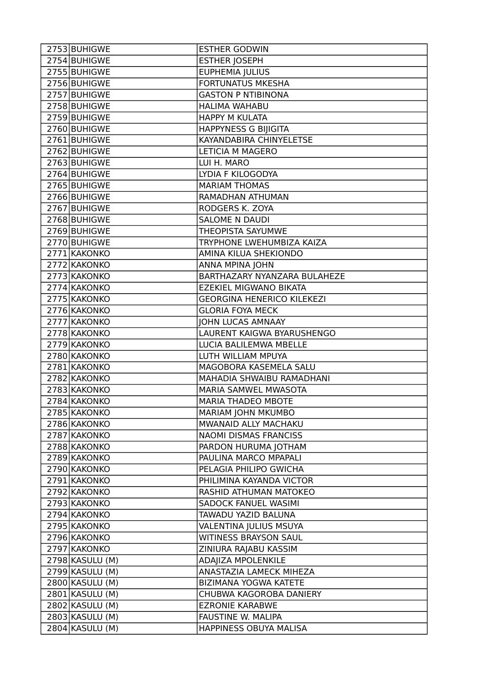| 2754 BUHIGWE<br><b>ESTHER JOSEPH</b><br>2755 BUHIGWE<br>EUPHEMIA JULIUS<br>2756 BUHIGWE<br><b>FORTUNATUS MKESHA</b><br>2757 BUHIGWE<br><b>GASTON P NTIBINONA</b><br>2758 BUHIGWE<br>HALIMA WAHABU<br>2759 BUHIGWE<br><b>HAPPY M KULATA</b><br><b>HAPPYNESS G BIJIGITA</b><br>2760 BUHIGWE<br>2761 BUHIGWE<br>KAYANDABIRA CHINYELETSE<br>2762 BUHIGWE<br><b>LETICIA M MAGERO</b><br>2763 BUHIGWE<br>LUI H. MARO<br>2764 BUHIGWE<br>LYDIA F KILOGODYA<br>2765 BUHIGWE<br><b>MARIAM THOMAS</b> |
|---------------------------------------------------------------------------------------------------------------------------------------------------------------------------------------------------------------------------------------------------------------------------------------------------------------------------------------------------------------------------------------------------------------------------------------------------------------------------------------------|
|                                                                                                                                                                                                                                                                                                                                                                                                                                                                                             |
|                                                                                                                                                                                                                                                                                                                                                                                                                                                                                             |
|                                                                                                                                                                                                                                                                                                                                                                                                                                                                                             |
|                                                                                                                                                                                                                                                                                                                                                                                                                                                                                             |
|                                                                                                                                                                                                                                                                                                                                                                                                                                                                                             |
|                                                                                                                                                                                                                                                                                                                                                                                                                                                                                             |
|                                                                                                                                                                                                                                                                                                                                                                                                                                                                                             |
|                                                                                                                                                                                                                                                                                                                                                                                                                                                                                             |
|                                                                                                                                                                                                                                                                                                                                                                                                                                                                                             |
|                                                                                                                                                                                                                                                                                                                                                                                                                                                                                             |
|                                                                                                                                                                                                                                                                                                                                                                                                                                                                                             |
|                                                                                                                                                                                                                                                                                                                                                                                                                                                                                             |
| RAMADHAN ATHUMAN<br>2766 BUHIGWE                                                                                                                                                                                                                                                                                                                                                                                                                                                            |
| RODGERS K. ZOYA<br>2767 BUHIGWE                                                                                                                                                                                                                                                                                                                                                                                                                                                             |
| 2768 BUHIGWE<br><b>SALOME N DAUDI</b>                                                                                                                                                                                                                                                                                                                                                                                                                                                       |
| THEOPISTA SAYUMWE<br>2769 BUHIGWE                                                                                                                                                                                                                                                                                                                                                                                                                                                           |
| 2770 BUHIGWE<br>TRYPHONE LWEHUMBIZA KAIZA                                                                                                                                                                                                                                                                                                                                                                                                                                                   |
| 2771 KAKONKO<br>AMINA KILUA SHEKIONDO                                                                                                                                                                                                                                                                                                                                                                                                                                                       |
| 2772 KAKONKO<br>ANNA MPINA JOHN                                                                                                                                                                                                                                                                                                                                                                                                                                                             |
| 2773 KAKONKO<br>BARTHAZARY NYANZARA BULAHEZE                                                                                                                                                                                                                                                                                                                                                                                                                                                |
| EZEKIEL MIGWANO BIKATA<br>2774 KAKONKO                                                                                                                                                                                                                                                                                                                                                                                                                                                      |
| 2775 KAKONKO<br><b>GEORGINA HENERICO KILEKEZI</b>                                                                                                                                                                                                                                                                                                                                                                                                                                           |
| 2776 KAKONKO<br><b>GLORIA FOYA MECK</b>                                                                                                                                                                                                                                                                                                                                                                                                                                                     |
| 2777 KAKONKO<br><b>JOHN LUCAS AMNAAY</b>                                                                                                                                                                                                                                                                                                                                                                                                                                                    |
| 2778 KAKONKO<br>LAURENT KAIGWA BYARUSHENGO                                                                                                                                                                                                                                                                                                                                                                                                                                                  |
| 2779 KAKONKO<br>LUCIA BALILEMWA MBELLE                                                                                                                                                                                                                                                                                                                                                                                                                                                      |
| 2780 KAKONKO<br>LUTH WILLIAM MPUYA                                                                                                                                                                                                                                                                                                                                                                                                                                                          |
| 2781 KAKONKO<br>MAGOBORA KASEMELA SALU                                                                                                                                                                                                                                                                                                                                                                                                                                                      |
| 2782 KAKONKO<br>MAHADIA SHWAIBU RAMADHANI                                                                                                                                                                                                                                                                                                                                                                                                                                                   |
| MARIA SAMWEL MWASOTA<br>2783 KAKONKO                                                                                                                                                                                                                                                                                                                                                                                                                                                        |
| 2784 KAKONKO<br><b>MARIA THADEO MBOTE</b>                                                                                                                                                                                                                                                                                                                                                                                                                                                   |
| MARIAM JOHN MKUMBO<br>2785 KAKONKO                                                                                                                                                                                                                                                                                                                                                                                                                                                          |
| 2786 KAKONKO<br>MWANAID ALLY MACHAKU                                                                                                                                                                                                                                                                                                                                                                                                                                                        |
| 2787 KAKONKO<br>NAOMI DISMAS FRANCISS                                                                                                                                                                                                                                                                                                                                                                                                                                                       |
| 2788 KAKONKO<br>PARDON HURUMA JOTHAM                                                                                                                                                                                                                                                                                                                                                                                                                                                        |
| 2789 KAKONKO<br>PAULINA MARCO MPAPALI                                                                                                                                                                                                                                                                                                                                                                                                                                                       |
| 2790 KAKONKO<br>PELAGIA PHILIPO GWICHA                                                                                                                                                                                                                                                                                                                                                                                                                                                      |
| 2791 KAKONKO<br>PHILIMINA KAYANDA VICTOR                                                                                                                                                                                                                                                                                                                                                                                                                                                    |
| 2792 KAKONKO<br>RASHID ATHUMAN MATOKEO                                                                                                                                                                                                                                                                                                                                                                                                                                                      |
| 2793 KAKONKO<br>SADOCK FANUEL WASIMI                                                                                                                                                                                                                                                                                                                                                                                                                                                        |
| 2794 KAKONKO<br>TAWADU YAZID BALUNA                                                                                                                                                                                                                                                                                                                                                                                                                                                         |
| 2795 KAKONKO<br>VALENTINA JULIUS MSUYA                                                                                                                                                                                                                                                                                                                                                                                                                                                      |
| <b>WITINESS BRAYSON SAUL</b><br>2796 KAKONKO                                                                                                                                                                                                                                                                                                                                                                                                                                                |
| 2797 KAKONKO<br>ZINIURA RAJABU KASSIM                                                                                                                                                                                                                                                                                                                                                                                                                                                       |
| 2798 KASULU (M)<br>ADAJIZA MPOLENKILE                                                                                                                                                                                                                                                                                                                                                                                                                                                       |
| 2799 KASULU (M)<br>ANASTAZIA LAMECK MIHEZA                                                                                                                                                                                                                                                                                                                                                                                                                                                  |
| 2800 KASULU (M)<br>BIZIMANA YOGWA KATETE                                                                                                                                                                                                                                                                                                                                                                                                                                                    |
| 2801 KASULU (M)<br>CHUBWA KAGOROBA DANIERY                                                                                                                                                                                                                                                                                                                                                                                                                                                  |
| 2802 KASULU (M)<br><b>EZRONIE KARABWE</b>                                                                                                                                                                                                                                                                                                                                                                                                                                                   |
| 2803 KASULU (M)<br>FAUSTINE W. MALIPA                                                                                                                                                                                                                                                                                                                                                                                                                                                       |
| 2804 KASULU (M)<br>HAPPINESS OBUYA MALISA                                                                                                                                                                                                                                                                                                                                                                                                                                                   |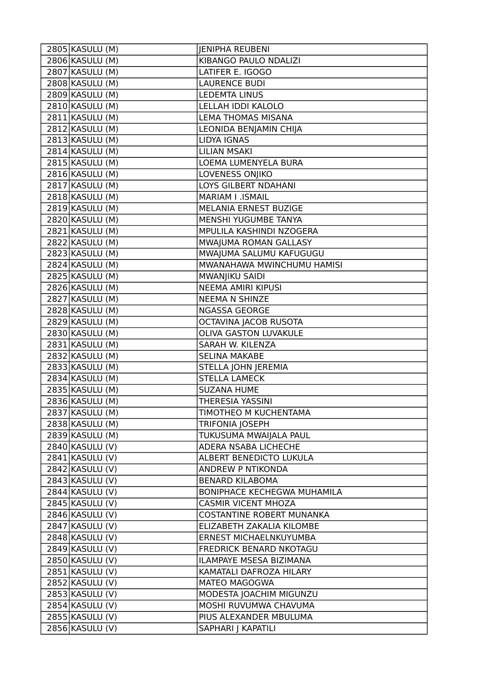| 2805 KASULU (M)   | <b>JENIPHA REUBENI</b>             |
|-------------------|------------------------------------|
| 2806 KASULU (M)   | KIBANGO PAULO NDALIZI              |
| 2807 KASULU (M)   | LATIFER E. IGOGO                   |
| 2808 KASULU (M)   | <b>LAURENCE BUDI</b>               |
| 2809 KASULU (M)   | <b>LEDEMTA LINUS</b>               |
| 2810 KASULU (M)   | LELLAH IDDI KALOLO                 |
| 2811 KASULU (M)   | <b>LEMA THOMAS MISANA</b>          |
| 2812 KASULU (M)   | LEONIDA BENJAMIN CHIJA             |
| 2813 KASULU (M)   | LIDYA IGNAS                        |
| 2814 KASULU (M)   | <b>LILIAN MSAKI</b>                |
| 2815 KASULU (M)   | LOEMA LUMENYELA BURA               |
| 2816 KASULU (M)   | LOVENESS ONJIKO                    |
| 2817 KASULU (M)   | LOYS GILBERT NDAHANI               |
| 2818 KASULU (M)   | MARIAM I .ISMAIL                   |
| 2819 KASULU (M)   | MELANIA ERNEST BUZIGE              |
| 2820 KASULU (M)   | MENSHI YUGUMBE TANYA               |
| $2821$ KASULU (M) | MPULILA KASHINDI NZOGERA           |
| 2822 KASULU (M)   | MWAJUMA ROMAN GALLASY              |
| 2823 KASULU (M)   | MWAJUMA SALUMU KAFUGUGU            |
| 2824 KASULU (M)   | MWANAHAWA MWINCHUMU HAMISI         |
| 2825 KASULU (M)   | MWANJIKU SAIDI                     |
| 2826 KASULU (M)   | <b>NEEMA AMIRI KIPUSI</b>          |
| 2827 KASULU (M)   | <b>NEEMA N SHINZE</b>              |
| 2828 KASULU (M)   | NGASSA GEORGE                      |
| 2829 KASULU (M)   | OCTAVINA JACOB RUSOTA              |
| 2830 KASULU (M)   | <b>OLIVA GASTON LUVAKULE</b>       |
| 2831 KASULU (M)   | SARAH W. KILENZA                   |
| 2832 KASULU (M)   | <b>SELINA MAKABE</b>               |
| 2833 KASULU (M)   | STELLA JOHN JEREMIA                |
| 2834 KASULU (M)   | <b>STELLA LAMECK</b>               |
| 2835 KASULU (M)   | <b>SUZANA HUME</b>                 |
| 2836 KASULU (M)   | THERESIA YASSINI                   |
| 2837 KASULU (M)   | TIMOTHEO M KUCHENTAMA              |
| 2838 KASULU (M)   | TRIFONIA JOSEPH                    |
| 2839 KASULU (M)   | TUKUSUMA MWAIJALA PAUL             |
| 2840 KASULU (V)   | ADERA NSABA LICHECHE               |
| 2841 KASULU (V)   | ALBERT BENEDICTO LUKULA            |
| 2842 KASULU (V)   | ANDREW P NTIKONDA                  |
| 2843 KASULU (V)   | <b>BENARD KILABOMA</b>             |
| 2844 KASULU (V)   | <b>BONIPHACE KECHEGWA MUHAMILA</b> |
| 2845 KASULU (V)   | <b>CASMIR VICENT MHOZA</b>         |
| 2846 KASULU (V)   | COSTANTINE ROBERT MUNANKA          |
| 2847 KASULU (V)   | ELIZABETH ZAKALIA KILOMBE          |
| 2848 KASULU (V)   | ERNEST MICHAELNKUYUMBA             |
| 2849 KASULU (V)   | FREDRICK BENARD NKOTAGU            |
| 2850 KASULU (V)   | ILAMPAYE MSESA BIZIMANA            |
| 2851 KASULU (V)   | KAMATALI DAFROZA HILARY            |
| 2852 KASULU (V)   | MATEO MAGOGWA                      |
| 2853 KASULU (V)   | MODESTA JOACHIM MIGUNZU            |
| 2854 KASULU (V)   | MOSHI RUVUMWA CHAVUMA              |
| 2855 KASULU (V)   | PIUS ALEXANDER MBULUMA             |
| 2856 KASULU (V)   | SAPHARI J KAPATILI                 |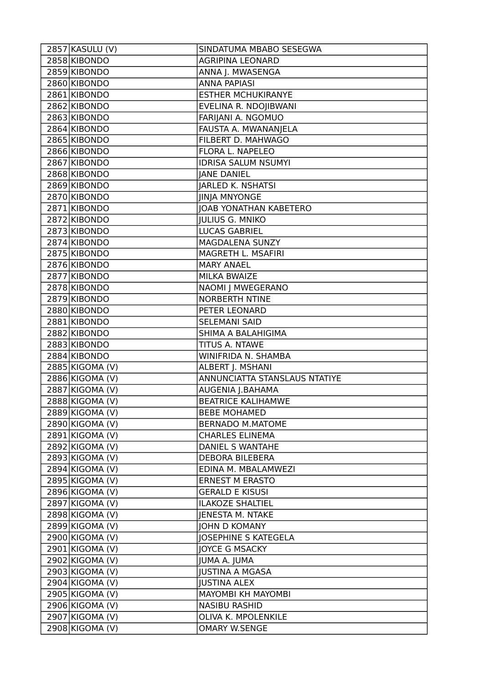| 2857 KASULU (V) | SINDATUMA MBABO SESEGWA       |
|-----------------|-------------------------------|
| 2858 KIBONDO    | <b>AGRIPINA LEONARD</b>       |
| 2859 KIBONDO    | ANNA J. MWASENGA              |
| 2860 KIBONDO    | <b>ANNA PAPIASI</b>           |
| 2861 KIBONDO    | <b>ESTHER MCHUKIRANYE</b>     |
| 2862 KIBONDO    | EVELINA R. NDOJIBWANI         |
| 2863 KIBONDO    | FARIJANI A. NGOMUO            |
| 2864 KIBONDO    | FAUSTA A. MWANANJELA          |
| 2865 KIBONDO    | FILBERT D. MAHWAGO            |
| 2866 KIBONDO    | FLORA L. NAPELEO              |
| 2867 KIBONDO    | <b>IDRISA SALUM NSUMYI</b>    |
| 2868 KIBONDO    | <b>JANE DANIEL</b>            |
| 2869 KIBONDO    | JARLED K. NSHATSI             |
| 2870 KIBONDO    | <b>JINJA MNYONGE</b>          |
| 2871 KIBONDO    | <b>JOAB YONATHAN KABETERO</b> |
| 2872 KIBONDO    | <b>JULIUS G. MNIKO</b>        |
| 2873 KIBONDO    | <b>LUCAS GABRIEL</b>          |
| 2874 KIBONDO    | MAGDALENA SUNZY               |
| 2875 KIBONDO    | MAGRETH L. MSAFIRI            |
| 2876 KIBONDO    | <b>MARY ANAEL</b>             |
| 2877 KIBONDO    | <b>MILKA BWAIZE</b>           |
| 2878 KIBONDO    | NAOMI J MWEGERANO             |
| 2879 KIBONDO    | <b>NORBERTH NTINE</b>         |
| 2880 KIBONDO    | PETER LEONARD                 |
| 2881 KIBONDO    | <b>SELEMANI SAID</b>          |
| 2882 KIBONDO    | SHIMA A BALAHIGIMA            |
| 2883 KIBONDO    | TITUS A. NTAWE                |
| 2884 KIBONDO    | WINIFRIDA N. SHAMBA           |
| 2885 KIGOMA (V) | ALBERT J. MSHANI              |
| 2886 KIGOMA (V) | ANNUNCIATTA STANSLAUS NTATIYE |
| 2887 KIGOMA (V) | AUGENIA J.BAHAMA              |
| 2888 KIGOMA (V) | <b>BEATRICE KALIHAMWE</b>     |
| 2889 KIGOMA (V) | <b>BEBE MOHAMED</b>           |
| 2890 KIGOMA (V) | <b>BERNADO M.MATOME</b>       |
| 2891 KIGOMA (V) | <b>CHARLES ELINEMA</b>        |
| 2892 KIGOMA (V) | DANIEL S WANTAHE              |
| 2893 KIGOMA (V) | <b>DEBORA BILEBERA</b>        |
| 2894 KIGOMA (V) | EDINA M. MBALAMWEZI           |
| 2895 KIGOMA (V) | <b>ERNEST M ERASTO</b>        |
| 2896 KIGOMA (V) | <b>GERALD E KISUSI</b>        |
| 2897 KIGOMA (V) | <b>ILAKOZE SHALTIEL</b>       |
| 2898 KIGOMA (V) | JENESTA M. NTAKE              |
| 2899 KIGOMA (V) | <b>JOHN D KOMANY</b>          |
| 2900 KIGOMA (V) | <b>JOSEPHINE S KATEGELA</b>   |
| 2901 KIGOMA (V) | <b>JOYCE G MSACKY</b>         |
| 2902 KIGOMA (V) | JUMA A. JUMA                  |
| 2903 KIGOMA (V) | <b>JUSTINA A MGASA</b>        |
| 2904 KIGOMA (V) | <b>JUSTINA ALEX</b>           |
| 2905 KIGOMA (V) | MAYOMBI KH MAYOMBI            |
| 2906 KIGOMA (V) | <b>NASIBU RASHID</b>          |
| 2907 KIGOMA (V) | OLIVA K. MPOLENKILE           |
| 2908 KIGOMA (V) | <b>OMARY W.SENGE</b>          |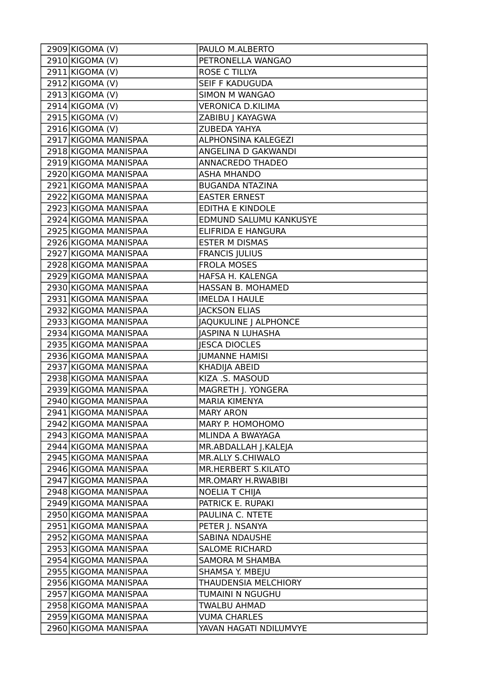| 2909 KIGOMA (V)      | PAULO M.ALBERTO            |
|----------------------|----------------------------|
| 2910 KIGOMA (V)      | PETRONELLA WANGAO          |
| 2911 KIGOMA (V)      | ROSE C TILLYA              |
| 2912 KIGOMA (V)      | SEIF F KADUGUDA            |
| 2913 KIGOMA (V)      | <b>SIMON M WANGAO</b>      |
| 2914 KIGOMA (V)      | <b>VERONICA D.KILIMA</b>   |
| 2915 KIGOMA (V)      | ZABIBU   KAYAGWA           |
| 2916 KIGOMA (V)      | ZUBEDA YAHYA               |
| 2917 KIGOMA MANISPAA | ALPHONSINA KALEGEZI        |
| 2918 KIGOMA MANISPAA | ANGELINA D GAKWANDI        |
| 2919 KIGOMA MANISPAA | ANNACREDO THADEO           |
| 2920 KIGOMA MANISPAA | <b>ASHA MHANDO</b>         |
| 2921 KIGOMA MANISPAA | <b>BUGANDA NTAZINA</b>     |
| 2922 KIGOMA MANISPAA | <b>EASTER ERNEST</b>       |
| 2923 KIGOMA MANISPAA | <b>EDITHA E KINDOLE</b>    |
| 2924 KIGOMA MANISPAA | EDMUND SALUMU KANKUSYE     |
| 2925 KIGOMA MANISPAA | ELIFRIDA E HANGURA         |
| 2926 KIGOMA MANISPAA | <b>ESTER M DISMAS</b>      |
| 2927 KIGOMA MANISPAA | <b>FRANCIS JULIUS</b>      |
| 2928 KIGOMA MANISPAA | <b>FROLA MOSES</b>         |
| 2929 KIGOMA MANISPAA | HAFSA H. KALENGA           |
| 2930 KIGOMA MANISPAA | HASSAN B. MOHAMED          |
| 2931 KIGOMA MANISPAA | <b>IMELDA I HAULE</b>      |
| 2932 KIGOMA MANISPAA | <b>JACKSON ELIAS</b>       |
| 2933 KIGOMA MANISPAA | JAQUKULINE J ALPHONCE      |
| 2934 KIGOMA MANISPAA | <b>JASPINA N LUHASHA</b>   |
| 2935 KIGOMA MANISPAA | <b>JESCA DIOCLES</b>       |
| 2936 KIGOMA MANISPAA | <b>JUMANNE HAMISI</b>      |
| 2937 KIGOMA MANISPAA | <b>KHADIJA ABEID</b>       |
| 2938 KIGOMA MANISPAA | KIZA .S. MASOUD            |
| 2939 KIGOMA MANISPAA | MAGRETH J. YONGERA         |
| 2940 KIGOMA MANISPAA | <b>MARIA KIMENYA</b>       |
| 2941 KIGOMA MANISPAA | <b>MARY ARON</b>           |
| 2942 KIGOMA MANISPAA | MARY P. HOMOHOMO           |
| 2943 KIGOMA MANISPAA | MLINDA A BWAYAGA           |
| 2944 KIGOMA MANISPAA | MR.ABDALLAH J.KALEJA       |
| 2945 KIGOMA MANISPAA | <b>MR.ALLY S.CHIWALO</b>   |
| 2946 KIGOMA MANISPAA | <b>MR.HERBERT S.KILATO</b> |
| 2947 KIGOMA MANISPAA | MR.OMARY H.RWABIBI         |
| 2948 KIGOMA MANISPAA | <b>NOELIA T CHIJA</b>      |
| 2949 KIGOMA MANISPAA | PATRICK E. RUPAKI          |
| 2950 KIGOMA MANISPAA | PAULINA C. NTETE           |
| 2951 KIGOMA MANISPAA | PETER J. NSANYA            |
| 2952 KIGOMA MANISPAA | <b>SABINA NDAUSHE</b>      |
| 2953 KIGOMA MANISPAA | <b>SALOME RICHARD</b>      |
| 2954 KIGOMA MANISPAA | <b>SAMORA M SHAMBA</b>     |
| 2955 KIGOMA MANISPAA | SHAMSA Y. MBEJU            |
| 2956 KIGOMA MANISPAA | THAUDENSIA MELCHIORY       |
| 2957 KIGOMA MANISPAA | TUMAINI N NGUGHU           |
| 2958 KIGOMA MANISPAA | TWALBU AHMAD               |
| 2959 KIGOMA MANISPAA | <b>VUMA CHARLES</b>        |
| 2960 KIGOMA MANISPAA | YAVAN HAGATI NDILUMVYE     |
|                      |                            |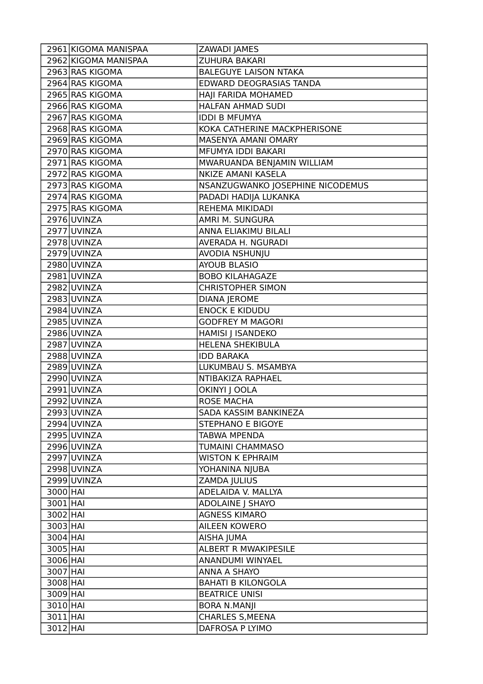| 2961 KIGOMA MANISPAA | ZAWADI JAMES                     |
|----------------------|----------------------------------|
| 2962 KIGOMA MANISPAA | ZUHURA BAKARI                    |
| 2963 RAS KIGOMA      | <b>BALEGUYE LAISON NTAKA</b>     |
| 2964 RAS KIGOMA      | EDWARD DEOGRASIAS TANDA          |
| 2965 RAS KIGOMA      | HAJI FARIDA MOHAMED              |
| 2966 RAS KIGOMA      | HALFAN AHMAD SUDI                |
| 2967 RAS KIGOMA      | <b>IDDI B MFUMYA</b>             |
| 2968 RAS KIGOMA      | KOKA CATHERINE MACKPHERISONE     |
| 2969 RAS KIGOMA      | MASENYA AMANI OMARY              |
| 2970 RAS KIGOMA      | MFUMYA IDDI BAKARI               |
| 2971 RAS KIGOMA      | MWARUANDA BENJAMIN WILLIAM       |
| 2972 RAS KIGOMA      | NKIZE AMANI KASELA               |
| 2973 RAS KIGOMA      | NSANZUGWANKO JOSEPHINE NICODEMUS |
| 2974 RAS KIGOMA      | PADADI HADIJA LUKANKA            |
| 2975 RAS KIGOMA      | REHEMA MIKIDADI                  |
| $2976$ UVINZA        | AMRI M. SUNGURA                  |
| 2977 UVINZA          | ANNA ELIAKIMU BILALI             |
| 2978 UVINZA          | AVERADA H. NGURADI               |
| 2979 UVINZA          | AVODIA NSHUNJU                   |
| 2980 UVINZA          | <b>AYOUB BLASIO</b>              |
| 2981 UVINZA          | <b>BOBO KILAHAGAZE</b>           |
| 2982 UVINZA          | <b>CHRISTOPHER SIMON</b>         |
| 2983 UVINZA          | <b>DIANA JEROME</b>              |
| 2984 UVINZA          | <b>ENOCK E KIDUDU</b>            |
| 2985 UVINZA          | <b>GODFREY M MAGORI</b>          |
| 2986 UVINZA          | <b>HAMISI J ISANDEKO</b>         |
| 2987 UVINZA          | <b>HELENA SHEKIBULA</b>          |
| 2988 UVINZA          | <b>IDD BARAKA</b>                |
| 2989 UVINZA          | LUKUMBAU S. MSAMBYA              |
| 2990 UVINZA          | NTIBAKIZA RAPHAEL                |
| 2991 UVINZA          | OKINYI J OOLA                    |
| 2992 UVINZA          | <b>ROSE MACHA</b>                |
| 2993 UVINZA          | SADA KASSIM BANKINEZA            |
| 2994 UVINZA          | <b>STEPHANO E BIGOYE</b>         |
| 2995 UVINZA          | <b>TABWA MPENDA</b>              |
| 2996 UVINZA          | TUMAINI CHAMMASO                 |
| 2997 UVINZA          | <b>WISTON K EPHRAIM</b>          |
| 2998 UVINZA          | YOHANINA NJUBA                   |
| 2999 UVINZA          | ZAMDA JULIUS                     |
| 3000 HAI             | ADELAIDA V. MALLYA               |
| 3001 HAI             | <b>ADOLAINE   SHAYO</b>          |
| 3002 HAI             | <b>AGNESS KIMARO</b>             |
| 3003 HAI             | <b>AILEEN KOWERO</b>             |
| $3004$ HAI           | AISHA JUMA                       |
| 3005 HAI             | ALBERT R MWAKIPESILE             |
| $3006$ HAI           | ANANDUMI WINYAEL                 |
| 3007 HAI             | <b>ANNA A SHAYO</b>              |
| 3008 HAI             | <b>BAHATI B KILONGOLA</b>        |
| 3009 HAI             | <b>BEATRICE UNISI</b>            |
| 3010 HAI             | <b>BORA N.MANJI</b>              |
| 3011 HAI             | <b>CHARLES S, MEENA</b>          |
| 3012 HAI             | DAFROSA P LYIMO                  |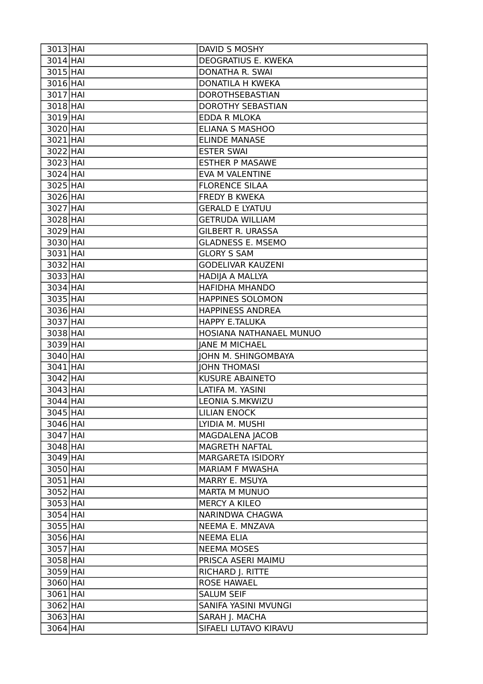| $3013$ $HAI$           | DAVID S MOSHY                           |
|------------------------|-----------------------------------------|
| 3014 HAI               | DEOGRATIUS E. KWEKA                     |
| 3015 HAI               | DONATHA R. SWAI                         |
| $3016$ HAI             | DONATILA H KWEKA                        |
| 3017 HAI               | DOROTHSEBASTIAN                         |
| 3018 HAI               | <b>DOROTHY SEBASTIAN</b>                |
| 3019 HAI               | EDDA R MLOKA                            |
| 3020 HAI               | <b>ELIANA S MASHOO</b>                  |
| 3021 HAI               | <b>ELINDE MANASE</b>                    |
| 3022 HAI               | <b>ESTER SWAI</b>                       |
| 3023 HAI               | <b>ESTHER P MASAWE</b>                  |
| $3024$ HAI             | EVA M VALENTINE                         |
| $3025$ HAI             | <b>FLORENCE SILAA</b>                   |
| 3026 HAI               | <b>FREDY B KWEKA</b>                    |
| 3027 HAI               | <b>GERALD E LYATUU</b>                  |
| 3028 HAI               | <b>GETRUDA WILLIAM</b>                  |
| 3029 HAI               | <b>GILBERT R. URASSA</b>                |
| 3030 HAI               | <b>GLADNESS E. MSEMO</b>                |
| 3031 HAI               | <b>GLORY S SAM</b>                      |
| 3032 HAI               | <b>GODELIVAR KAUZENI</b>                |
| $3033$ HAI             | HADIJA A MALLYA                         |
| 3034 HAI               | <b>HAFIDHA MHANDO</b>                   |
| 3035 HAI               | <b>HAPPINES SOLOMON</b>                 |
| 3036 HAI               | <b>HAPPINESS ANDREA</b>                 |
| 3037 HAI               | <b>HAPPY E.TALUKA</b>                   |
| 3038 HAI               | HOSIANA NATHANAEL MUNUO                 |
| 3039 HAI               | <b>JANE M MICHAEL</b>                   |
| 3040 HAI               | <b>JOHN M. SHINGOMBAYA</b>              |
| 3041 HAI               | <b>JOHN THOMASI</b>                     |
| $3042$ HAI             | <b>KUSURE ABAINETO</b>                  |
| $3043$ HAI             | LATIFA M. YASINI                        |
| $3044$ HAI             | <b>LEONIA S.MKWIZU</b>                  |
| 3045 HAI               | <b>LILIAN ENOCK</b>                     |
| $3046$ HAI             | LYIDIA M. MUSHI                         |
| $3047$ HAI             | <b>MAGDALENA JACOB</b>                  |
| $3048$ HAI             |                                         |
|                        |                                         |
|                        | MAGRETH NAFTAL                          |
| $3049$ HAI             | <b>MARGARETA ISIDORY</b>                |
| 3050 HAI               | <b>MARIAM F MWASHA</b>                  |
| $3051$ HAI             | MARRY E. MSUYA                          |
| $3052$ HAI             | <b>MARTA M MUNUO</b>                    |
| $3053$ HAI             | <b>MERCY A KILEO</b>                    |
| $3054$ HAI             | NARINDWA CHAGWA                         |
| $3055$ HAI             | NEEMA E. MNZAVA                         |
| 3056 HAI               | <b>NEEMA ELIA</b>                       |
| $3057$ HAI             | <b>NEEMA MOSES</b>                      |
| 3058 HAI               | PRISCA ASERI MAIMU                      |
| $3059$ HAI             | RICHARD J. RITTE                        |
| 3060 HAI               | <b>ROSE HAWAEL</b>                      |
| $3061$ HAI             | <b>SALUM SEIF</b>                       |
| $3062$ HAI             | SANIFA YASINI MVUNGI                    |
| $3063$ HAI<br>3064 HAI | SARAH J. MACHA<br>SIFAELI LUTAVO KIRAVU |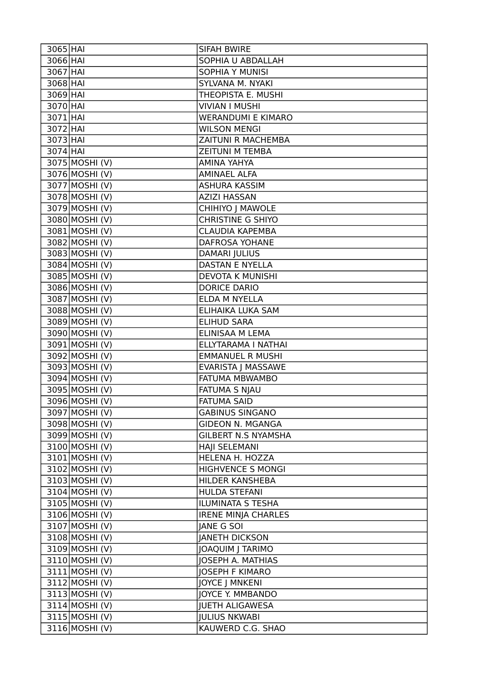| $3065$ HAI                        | SIFAH BWIRE                               |
|-----------------------------------|-------------------------------------------|
| 3066 HAI                          | SOPHIA U ABDALLAH                         |
| 3067 HAI                          | <b>SOPHIA Y MUNISI</b>                    |
| $3068$ HAI                        | SYLVANA M. NYAKI                          |
| 3069 HAI                          | THEOPISTA E. MUSHI                        |
| 3070 HAI                          | <b>VIVIAN I MUSHI</b>                     |
| $3071$ HAI                        | <b>WERANDUMI E KIMARO</b>                 |
| 3072 HAI                          | <b>WILSON MENGI</b>                       |
| $3073$ HAI                        | ZAITUNI R MACHEMBA                        |
| $3074$ HAI                        | <b>ZEITUNI M TEMBA</b>                    |
| 3075 MOSHI (V)                    | AMINA YAHYA                               |
| $\overline{3076}$ MOSHI (V)       | <b>AMINAEL ALFA</b>                       |
| 3077 MOSHI (V)                    | <b>ASHURA KASSIM</b>                      |
| 3078 MOSHI (V)                    | <b>AZIZI HASSAN</b>                       |
| 3079 MOSHI (V)                    | CHIHIYO J MAWOLE                          |
| 3080 MOSHI (V)                    | <b>CHRISTINE G SHIYO</b>                  |
| 3081 MOSHI (V)                    | <b>CLAUDIA KAPEMBA</b>                    |
| 3082 MOSHI (V)                    | <b>DAFROSA YOHANE</b>                     |
| $3083$ MOSHI (V)                  | <b>DAMARI JULIUS</b>                      |
| 3084 MOSHI (V)                    | <b>DASTAN E NYELLA</b>                    |
| 3085 MOSHI (V)                    | DEVOTA K MUNISHI                          |
| 3086 MOSHI (V)                    | <b>DORICE DARIO</b>                       |
| 3087 MOSHI (V)                    | ELDA M NYELLA                             |
| 3088 MOSHI (V)                    | ELIHAIKA LUKA SAM                         |
| 3089 MOSHI (V)                    | <b>ELIHUD SARA</b>                        |
| 3090 MOSHI (V)                    | ELINISAA M LEMA                           |
| 3091 MOSHI (V)                    | ELLYTARAMA I NATHAI                       |
| $\overline{3092}$ MOSHI (V)       | <b>EMMANUEL R MUSHI</b>                   |
|                                   |                                           |
| 3093 MOSHI (V)                    | <b>EVARISTA J MASSAWE</b>                 |
| $\overline{30}94 \vert$ MOSHI (V) | FATUMA MBWAMBO                            |
| 3095 MOSHI (V)                    | <b>FATUMA S NJAU</b>                      |
| 3096 MOSHI (V)                    | <b>FATUMA SAID</b>                        |
| 3097 MOSHI (V)                    | <b>GABINUS SINGANO</b>                    |
| 3098 MOSHI (V)                    | <b>GIDEON N. MGANGA</b>                   |
| 3099 MOSHI (V)                    | <b>GILBERT N.S NYAMSHA</b>                |
| 3100 MOSHI (V)                    | HAJI SELEMANI                             |
| 3101 MOSHI (V)                    | HELENA H. HOZZA                           |
| 3102 MOSHI (V)                    | <b>HIGHVENCE S MONGI</b>                  |
| 3103 MOSHI (V)                    | HILDER KANSHEBA                           |
| 3104 MOSHI (V)                    | HULDA STEFANI                             |
| 3105 MOSHI (V)                    | ILUMINATA S TESHA                         |
| 3106 MOSHI (V)                    | <b>IRENE MINJA CHARLES</b>                |
| 3107 MOSHI (V)                    | <b>JANE G SOI</b>                         |
| 3108 MOSHI (V)                    | <b>JANETH DICKSON</b>                     |
| 3109 MOSHI (V)                    | JOAQUIM J TARIMO                          |
| 3110 MOSHI (V)                    | JOSEPH A. MATHIAS                         |
| 3111 MOSHI (V)                    | <b>JOSEPH F KIMARO</b>                    |
| 3112 MOSHI (V)                    | <b>JOYCE J MNKENI</b>                     |
| 3113 MOSHI (V)                    | JOYCE Y. MMBANDO                          |
| 3114 MOSHI (V)                    | <b>JUETH ALIGAWESA</b>                    |
| 3115 MOSHI (V)<br>3116 MOSHI (V)  | <b>JULIUS NKWABI</b><br>KAUWERD C.G. SHAO |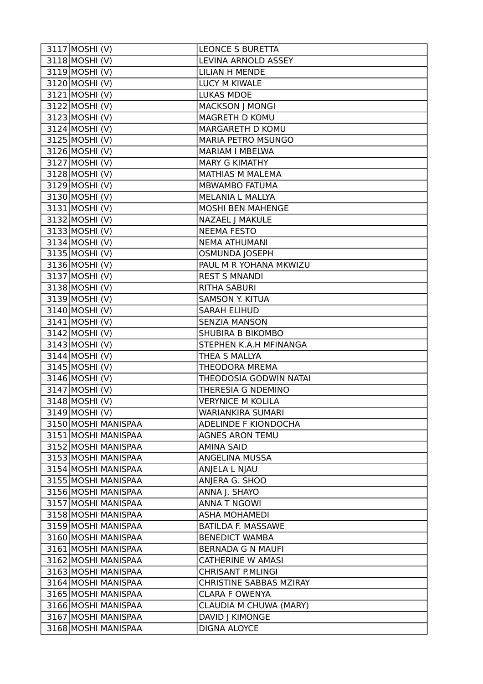| 3117 MOSHI (V)              | <b>LEONCE S BURETTA</b>        |
|-----------------------------|--------------------------------|
| 3118 MOSHI (V)              | LEVINA ARNOLD ASSEY            |
| 3119 MOSHI (V)              | <b>LILIAN H MENDE</b>          |
| 3120 MOSHI (V)              | LUCY M KIWALE                  |
| $3121$ MOSHI (V)            | <b>LUKAS MDOE</b>              |
| $3122$ MOSHI (V)            | <b>MACKSON J MONGI</b>         |
| 3123 MOSHI (V)              | MAGRETH D KOMU                 |
| $3124$ MOSHI (V)            | MARGARETH D KOMU               |
| 3125 MOSHI (V)              | <b>MARIA PETRO MSUNGO</b>      |
| 3126 MOSHI (V)              | <b>MARIAM I MBELWA</b>         |
| 3127 MOSHI (V)              | <b>MARY G KIMATHY</b>          |
| 3128 MOSHI (V)              | MATHIAS M MALEMA               |
| 3129 MOSHI (V)              | MBWAMBO FATUMA                 |
| 3130 MOSHI (V)              | MELANIA L MALLYA               |
| $3131$ MOSHI (V)            | <b>MOSHI BEN MAHENGE</b>       |
| 3132 MOSHI (V)              | NAZAEL J MAKULE                |
| $3133$ MOSHI (V)            | <b>NEEMA FESTO</b>             |
| $3134$ MOSHI (V)            | <b>NEMA ATHUMANI</b>           |
| 3135 MOSHI (V)              | <b>OSMUNDA JOSEPH</b>          |
| 3136 MOSHI (V)              | PAUL M R YOHANA MKWIZU         |
| 3137 MOSHI (V)              | <b>REST S MNANDI</b>           |
| 3138 MOSHI (V)              | <b>RITHA SABURI</b>            |
| 3139 MOSHI (V)              | <b>SAMSON Y. KITUA</b>         |
| 3140 MOSHI (V)              | <b>SARAH ELIHUD</b>            |
| $3141$ MOSHI (V)            | <b>SENZIA MANSON</b>           |
| $\overline{3}142$ MOSHI (V) | SHUBIRA B BIKOMBO              |
| 3143 MOSHI (V)              | STEPHEN K.A.H MFINANGA         |
| 3144 MOSHI (V)              | THEA S MALLYA                  |
| 3145 MOSHI (V)              | THEODORA MREMA                 |
| 3146 MOSHI (V)              | THEODOSIA GODWIN NATAI         |
| 3147 MOSHI (V)              | THERESIA G NDEMINO             |
| 3148 MOSHI (V)              | <b>VERYNICE M KOLILA</b>       |
| 3149 MOSHI (V)              | <b>WARIANKIRA SUMARI</b>       |
| 3150 MOSHI MANISPAA         | ADELINDE F KIONDOCHA           |
| 3151 MOSHI MANISPAA         | <b>AGNES ARON TEMU</b>         |
| 3152 MOSHI MANISPAA         | <b>AMINA SAID</b>              |
| 3153 MOSHI MANISPAA         | ANGELINA MUSSA                 |
| 3154 MOSHI MANISPAA         | ANJELA L NJAU                  |
| 3155 MOSHI MANISPAA         | ANJERA G. SHOO                 |
| 3156 MOSHI MANISPAA         | ANNA J. SHAYO                  |
| 3157 MOSHI MANISPAA         | <b>ANNA T NGOWI</b>            |
| 3158 MOSHI MANISPAA         | <b>ASHA MOHAMEDI</b>           |
| 3159 MOSHI MANISPAA         | <b>BATILDA F. MASSAWE</b>      |
| 3160 MOSHI MANISPAA         | <b>BENEDICT WAMBA</b>          |
| 3161 MOSHI MANISPAA         | <b>BERNADA G N MAUFI</b>       |
| 3162 MOSHI MANISPAA         | <b>CATHERINE W AMASI</b>       |
| 3163 MOSHI MANISPAA         | <b>CHRISANT P.MLINGI</b>       |
| 3164 MOSHI MANISPAA         | <b>CHRISTINE SABBAS MZIRAY</b> |
| 3165 MOSHI MANISPAA         | <b>CLARA F OWENYA</b>          |
| 3166 MOSHI MANISPAA         | CLAUDIA M CHUWA (MARY)         |
| 3167 MOSHI MANISPAA         | DAVID J KIMONGE                |
| 3168 MOSHI MANISPAA         | DIGNA ALOYCE                   |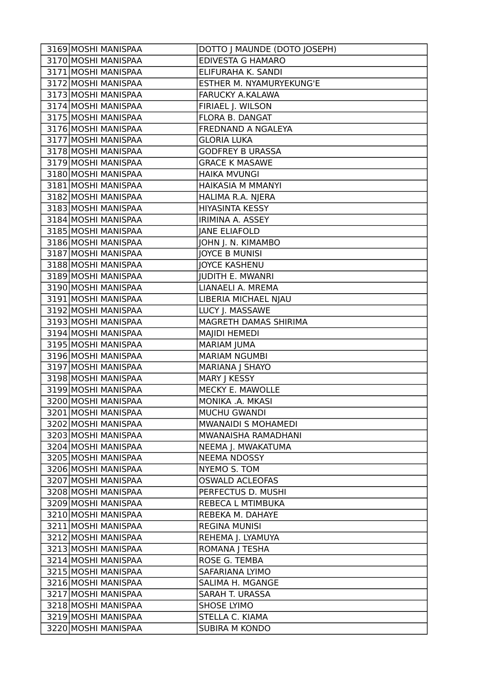| 3169 MOSHI MANISPAA | DOTTO J MAUNDE (DOTO JOSEPH) |
|---------------------|------------------------------|
| 3170 MOSHI MANISPAA | <b>EDIVESTA G HAMARO</b>     |
| 3171 MOSHI MANISPAA | ELIFURAHA K. SANDI           |
| 3172 MOSHI MANISPAA | ESTHER M. NYAMURYEKUNG'E     |
| 3173 MOSHI MANISPAA | FARUCKY A.KALAWA             |
| 3174 MOSHI MANISPAA | FIRIAEL J. WILSON            |
| 3175 MOSHI MANISPAA | FLORA B. DANGAT              |
| 3176 MOSHI MANISPAA | FREDNAND A NGALEYA           |
| 3177 MOSHI MANISPAA | <b>GLORIA LUKA</b>           |
| 3178 MOSHI MANISPAA | <b>GODFREY B URASSA</b>      |
| 3179 MOSHI MANISPAA | <b>GRACE K MASAWE</b>        |
| 3180 MOSHI MANISPAA | <b>HAIKA MVUNGI</b>          |
| 3181 MOSHI MANISPAA | HAIKASIA M MMANYI            |
| 3182 MOSHI MANISPAA | HALIMA R.A. NJERA            |
| 3183 MOSHI MANISPAA | <b>HIYASINTA KESSY</b>       |
| 3184 MOSHI MANISPAA | IRIMINA A. ASSEY             |
| 3185 MOSHI MANISPAA | <b>JANE ELIAFOLD</b>         |
| 3186 MOSHI MANISPAA | JOHN J. N. KIMAMBO           |
| 3187 MOSHI MANISPAA | <b>JOYCE B MUNISI</b>        |
| 3188 MOSHI MANISPAA | <b>JOYCE KASHENU</b>         |
| 3189 MOSHI MANISPAA | <b>JUDITH E. MWANRI</b>      |
| 3190 MOSHI MANISPAA | LIANAELI A. MREMA            |
| 3191 MOSHI MANISPAA | LIBERIA MICHAEL NJAU         |
| 3192 MOSHI MANISPAA | LUCY J. MASSAWE              |
| 3193 MOSHI MANISPAA | MAGRETH DAMAS SHIRIMA        |
| 3194 MOSHI MANISPAA | MAJIDI HEMEDI                |
| 3195 MOSHI MANISPAA | <b>MARIAM JUMA</b>           |
| 3196 MOSHI MANISPAA | <b>MARIAM NGUMBI</b>         |
| 3197 MOSHI MANISPAA | MARIANA J SHAYO              |
| 3198 MOSHI MANISPAA | MARY J KESSY                 |
| 3199 MOSHI MANISPAA | MECKY E. MAWOLLE             |
| 3200 MOSHI MANISPAA | MONIKA .A. MKASI             |
| 3201 MOSHI MANISPAA | <b>MUCHU GWANDI</b>          |
| 3202 MOSHI MANISPAA | <b>MWANAIDI S MOHAMEDI</b>   |
| 3203 MOSHI MANISPAA | MWANAISHA RAMADHANI          |
| 3204 MOSHI MANISPAA | NEEMA J. MWAKATUMA           |
| 3205 MOSHI MANISPAA | <b>NEEMA NDOSSY</b>          |
| 3206 MOSHI MANISPAA | NYEMO S. TOM                 |
| 3207 MOSHI MANISPAA | <b>OSWALD ACLEOFAS</b>       |
| 3208 MOSHI MANISPAA | PERFECTUS D. MUSHI           |
| 3209 MOSHI MANISPAA | REBECA L MTIMBUKA            |
| 3210 MOSHI MANISPAA | REBEKA M. DAHAYE             |
| 3211 MOSHI MANISPAA | <b>REGINA MUNISI</b>         |
| 3212 MOSHI MANISPAA | REHEMA J. LYAMUYA            |
| 3213 MOSHI MANISPAA | ROMANA J TESHA               |
| 3214 MOSHI MANISPAA | ROSE G. TEMBA                |
| 3215 MOSHI MANISPAA | SAFARIANA LYIMO              |
| 3216 MOSHI MANISPAA | SALIMA H. MGANGE             |
| 3217 MOSHI MANISPAA | SARAH T. URASSA              |
| 3218 MOSHI MANISPAA | <b>SHOSE LYIMO</b>           |
| 3219 MOSHI MANISPAA | STELLA C. KIAMA              |
| 3220 MOSHI MANISPAA | <b>SUBIRA M KONDO</b>        |
|                     |                              |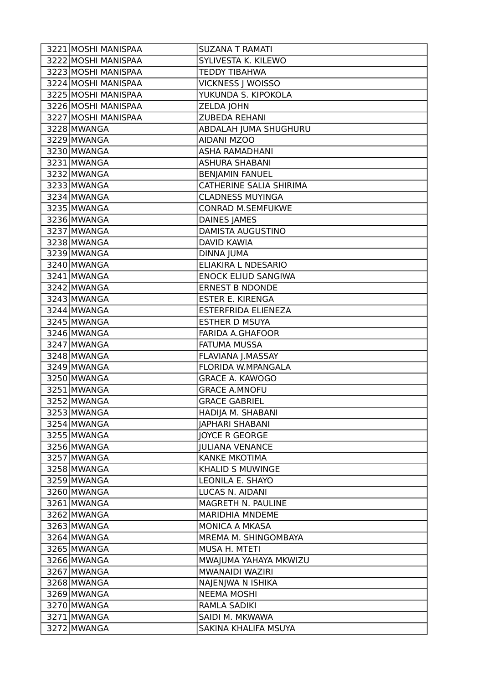| 3221 MOSHI MANISPAA | <b>SUZANA T RAMATI</b>     |
|---------------------|----------------------------|
| 3222 MOSHI MANISPAA | SYLIVESTA K. KILEWO        |
| 3223 MOSHI MANISPAA | <b>TEDDY TIBAHWA</b>       |
| 3224 MOSHI MANISPAA | VICKNESS J WOISSO          |
| 3225 MOSHI MANISPAA | YUKUNDA S. KIPOKOLA        |
| 3226 MOSHI MANISPAA | ZELDA JOHN                 |
| 3227 MOSHI MANISPAA | ZUBEDA REHANI              |
| 3228 MWANGA         | ABDALAH JUMA SHUGHURU      |
| 3229 MWANGA         | <b>AIDANI MZOO</b>         |
| 3230 MWANGA         | <b>ASHA RAMADHANI</b>      |
| 3231 MWANGA         | <b>ASHURA SHABANI</b>      |
| 3232 MWANGA         | <b>BENJAMIN FANUEL</b>     |
| 3233 MWANGA         | CATHERINE SALIA SHIRIMA    |
| 3234 MWANGA         | <b>CLADNESS MUYINGA</b>    |
| 3235 MWANGA         | <b>CONRAD M.SEMFUKWE</b>   |
| 3236 MWANGA         | <b>DAINES JAMES</b>        |
| 3237 MWANGA         | DAMISTA AUGUSTINO          |
| 3238 MWANGA         | <b>DAVID KAWIA</b>         |
| 3239 MWANGA         | <b>DINNA JUMA</b>          |
| 3240 MWANGA         | ELIAKIRA L NDESARIO        |
| 3241 MWANGA         | <b>ENOCK ELIUD SANGIWA</b> |
| 3242 MWANGA         | <b>ERNEST B NDONDE</b>     |
| 3243 MWANGA         | <b>ESTER E. KIRENGA</b>    |
| 3244 MWANGA         | ESTERFRIDA ELIENEZA        |
| 3245 MWANGA         | <b>ESTHER D MSUYA</b>      |
| 3246 MWANGA         | <b>FARIDA A.GHAFOOR</b>    |
| 3247 MWANGA         | <b>FATUMA MUSSA</b>        |
| 3248 MWANGA         | FLAVIANA J.MASSAY          |
| 3249 MWANGA         | FLORIDA W.MPANGALA         |
| 3250 MWANGA         | <b>GRACE A. KAWOGO</b>     |
| 3251 MWANGA         | <b>GRACE A.MNOFU</b>       |
| 3252 MWANGA         | <b>GRACE GABRIEL</b>       |
| 3253 MWANGA         | HADIJA M. SHABANI          |
| 3254 MWANGA         | <b>JAPHARI SHABANI</b>     |
| 3255 MWANGA         | <b>JOYCE R GEORGE</b>      |
| 3256 MWANGA         | <b>JULIANA VENANCE</b>     |
| 3257 MWANGA         | <b>KANKE MKOTIMA</b>       |
| 3258 MWANGA         | <b>KHALID S MUWINGE</b>    |
| 3259 MWANGA         | LEONILA E. SHAYO           |
| 3260 MWANGA         | LUCAS N. AIDANI            |
| 3261 MWANGA         | MAGRETH N. PAULINE         |
| 3262 MWANGA         | <b>MARIDHIA MNDEME</b>     |
| 3263 MWANGA         | MONICA A MKASA             |
| 3264 MWANGA         | MREMA M. SHINGOMBAYA       |
| 3265 MWANGA         | MUSA H. MTETI              |
| 3266 MWANGA         | MWAJUMA YAHAYA MKWIZU      |
| 3267 MWANGA         | MWANAIDI WAZIRI            |
| 3268 MWANGA         | NAJENJWA N ISHIKA          |
| 3269 MWANGA         | <b>NEEMA MOSHI</b>         |
| 3270 MWANGA         | RAMLA SADIKI               |
| 3271 MWANGA         | SAIDI M. MKWAWA            |
| 3272 MWANGA         | SAKINA KHALIFA MSUYA       |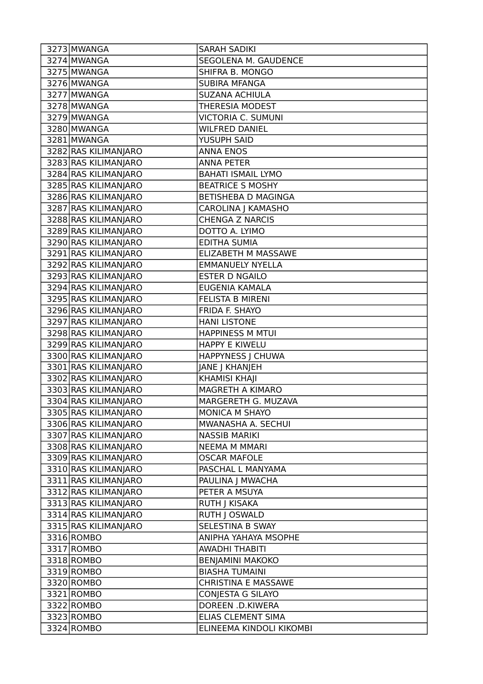| 3273 MWANGA          | <b>SARAH SADIKI</b>        |
|----------------------|----------------------------|
| 3274 MWANGA          | SEGOLENA M. GAUDENCE       |
| 3275 MWANGA          | SHIFRA B. MONGO            |
| 3276 MWANGA          | SUBIRA MFANGA              |
| 3277 MWANGA          | <b>SUZANA ACHIULA</b>      |
| 3278 MWANGA          | <b>THERESIA MODEST</b>     |
| 3279 MWANGA          | <b>VICTORIA C. SUMUNI</b>  |
| 3280 MWANGA          | <b>WILFRED DANIEL</b>      |
| 3281 MWANGA          | YUSUPH SAID                |
| 3282 RAS KILIMANJARO | <b>ANNA ENOS</b>           |
| 3283 RAS KILIMANJARO | <b>ANNA PETER</b>          |
| 3284 RAS KILIMANJARO | <b>BAHATI ISMAIL LYMO</b>  |
| 3285 RAS KILIMANJARO | <b>BEATRICE S MOSHY</b>    |
| 3286 RAS KILIMANJARO | <b>BETISHEBA D MAGINGA</b> |
| 3287 RAS KILIMANJARO | CAROLINA J KAMASHO         |
| 3288 RAS KILIMANJARO | <b>CHENGA Z NARCIS</b>     |
| 3289 RAS KILIMANJARO | DOTTO A. LYIMO             |
| 3290 RAS KILIMANJARO | <b>EDITHA SUMIA</b>        |
| 3291 RAS KILIMANJARO | ELIZABETH M MASSAWE        |
| 3292 RAS KILIMANJARO | <b>EMMANUELY NYELLA</b>    |
| 3293 RAS KILIMANJARO | <b>ESTER D NGAILO</b>      |
| 3294 RAS KILIMANJARO | EUGENIA KAMALA             |
| 3295 RAS KILIMANJARO | <b>FELISTA B MIRENI</b>    |
| 3296 RAS KILIMANJARO | FRIDA F. SHAYO             |
| 3297 RAS KILIMANJARO | <b>HANI LISTONE</b>        |
| 3298 RAS KILIMANJARO | <b>HAPPINESS M MTUI</b>    |
| 3299 RAS KILIMANJARO | <b>HAPPY E KIWELU</b>      |
| 3300 RAS KILIMANJARO | HAPPYNESS J CHUWA          |
| 3301 RAS KILIMANJARO | JANE J KHANJEH             |
| 3302 RAS KILIMANJARO | <b>KHAMISI KHAJI</b>       |
| 3303 RAS KILIMANJARO | MAGRETH A KIMARO           |
| 3304 RAS KILIMANJARO | MARGERETH G. MUZAVA        |
| 3305 RAS KILIMANJARO | MONICA M SHAYO             |
| 3306 RAS KILIMANJARO | MWANASHA A. SECHUI         |
| 3307 RAS KILIMANJARO | <b>NASSIB MARIKI</b>       |
| 3308 RAS KILIMANJARO | <b>NEEMA M MMARI</b>       |
| 3309 RAS KILIMANJARO | <b>OSCAR MAFOLE</b>        |
| 3310 RAS KILIMANJARO | PASCHAL L MANYAMA          |
| 3311 RAS KILIMANJARO | PAULINA J MWACHA           |
| 3312 RAS KILIMANJARO | PETER A MSUYA              |
| 3313 RAS KILIMANJARO | RUTH J KISAKA              |
| 3314 RAS KILIMANJARO | RUTH J OSWALD              |
| 3315 RAS KILIMANJARO | SELESTINA B SWAY           |
| 3316 ROMBO           | ANIPHA YAHAYA MSOPHE       |
| 3317 ROMBO           | AWADHI THABITI             |
| 3318 ROMBO           | <b>BENJAMINI MAKOKO</b>    |
| 3319 ROMBO           | <b>BIASHA TUMAINI</b>      |
| 3320 ROMBO           | <b>CHRISTINA E MASSAWE</b> |
| 3321 ROMBO           | CONJESTA G SILAYO          |
| 3322 ROMBO           | DOREEN .D.KIWERA           |
| 3323 ROMBO           | ELIAS CLEMENT SIMA         |
| 3324 ROMBO           | ELINEEMA KINDOLI KIKOMBI   |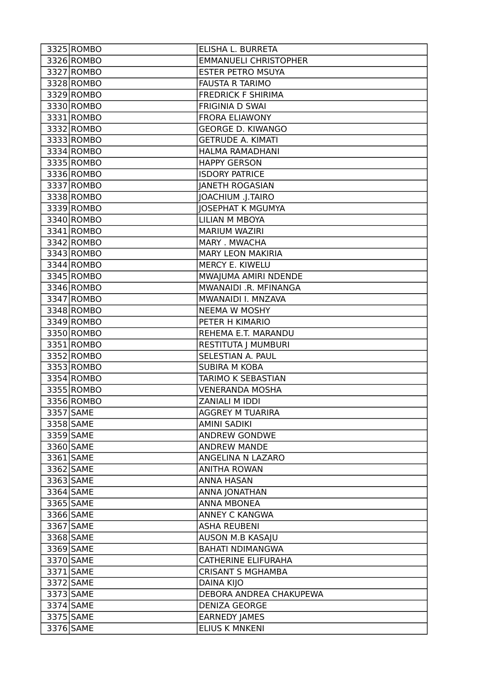| 3325 ROMBO | ELISHA L. BURRETA            |
|------------|------------------------------|
| 3326 ROMBO | <b>EMMANUELI CHRISTOPHER</b> |
| 3327 ROMBO | <b>ESTER PETRO MSUYA</b>     |
| 3328 ROMBO | <b>FAUSTA R TARIMO</b>       |
| 3329 ROMBO | <b>FREDRICK F SHIRIMA</b>    |
| 3330 ROMBO | <b>FRIGINIA D SWAI</b>       |
| 3331 ROMBO | <b>FRORA ELIAWONY</b>        |
| 3332 ROMBO | <b>GEORGE D. KIWANGO</b>     |
| 3333 ROMBO | <b>GETRUDE A. KIMATI</b>     |
| 3334 ROMBO | <b>HALMA RAMADHANI</b>       |
| 3335 ROMBO | <b>HAPPY GERSON</b>          |
| 3336 ROMBO | <b>ISDORY PATRICE</b>        |
| 3337 ROMBO | <b>JANETH ROGASIAN</b>       |
| 3338 ROMBO | JOACHIUM .J.TAIRO            |
| 3339 ROMBO | <b>JOSEPHAT K MGUMYA</b>     |
| 3340 ROMBO | <b>LILIAN M MBOYA</b>        |
| 3341 ROMBO | <b>MARIUM WAZIRI</b>         |
| 3342 ROMBO | MARY . MWACHA                |
| 3343 ROMBO | <b>MARY LEON MAKIRIA</b>     |
| 3344 ROMBO | MERCY E. KIWELU              |
| 3345 ROMBO | MWAJUMA AMIRI NDENDE         |
| 3346 ROMBO | MWANAIDI .R. MFINANGA        |
| 3347 ROMBO | MWANAIDI I. MNZAVA           |
| 3348 ROMBO | <b>NEEMA W MOSHY</b>         |
| 3349 ROMBO | PETER H KIMARIO              |
| 3350 ROMBO | REHEMA E.T. MARANDU          |
| 3351 ROMBO | RESTITUTA J MUMBURI          |
| 3352 ROMBO | SELESTIAN A. PAUL            |
| 3353 ROMBO | <b>SUBIRA M KOBA</b>         |
| 3354 ROMBO | TARIMO K SEBASTIAN           |
| 3355 ROMBO | <b>VENERANDA MOSHA</b>       |
| 3356 ROMBO | ZANIALI M IDDI               |
| 3357 SAME  | <b>AGGREY M TUARIRA</b>      |
| 3358 SAME  | <b>AMINI SADIKI</b>          |
| 3359 SAME  | <b>ANDREW GONDWE</b>         |
| 3360 SAME  | <b>ANDREW MANDE</b>          |
| 3361 SAME  | ANGELINA N LAZARO            |
| 3362 SAME  | <b>ANITHA ROWAN</b>          |
| 3363 SAME  | <b>ANNA HASAN</b>            |
| 3364 SAME  | ANNA JONATHAN                |
| 3365 SAME  | <b>ANNA MBONEA</b>           |
| 3366 SAME  | ANNEY C KANGWA               |
| 3367 SAME  | <b>ASHA REUBENI</b>          |
| 3368 SAME  | AUSON M.B KASAJU             |
| 3369 SAME  | <b>BAHATI NDIMANGWA</b>      |
| 3370 SAME  | <b>CATHERINE ELIFURAHA</b>   |
| 3371 SAME  | <b>CRISANT S MGHAMBA</b>     |
| 3372 SAME  | DAINA KIJO                   |
| 3373 SAME  | DEBORA ANDREA CHAKUPEWA      |
| 3374 SAME  | <b>DENIZA GEORGE</b>         |
| 3375 SAME  | <b>EARNEDY JAMES</b>         |
| 3376 SAME  | <b>ELIUS K MNKENI</b>        |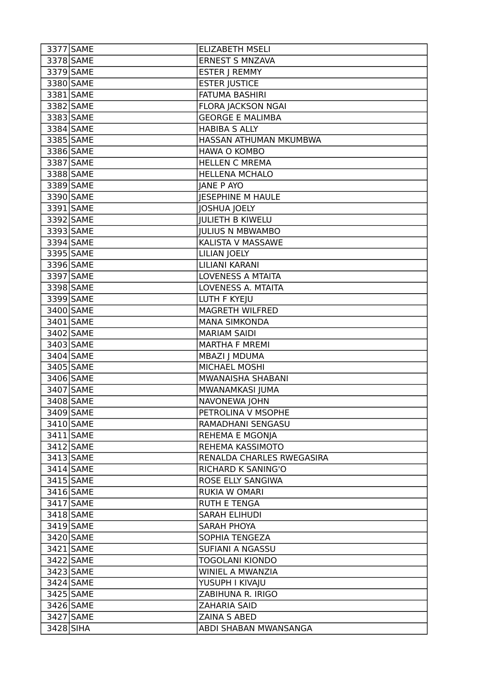| 3377 SAME | <b>ELIZABETH MSELI</b>    |
|-----------|---------------------------|
| 3378 SAME | <b>ERNEST S MNZAVA</b>    |
| 3379 SAME | <b>ESTER J REMMY</b>      |
| 3380 SAME | <b>ESTER JUSTICE</b>      |
| 3381 SAME | <b>FATUMA BASHIRI</b>     |
| 3382 SAME | <b>FLORA JACKSON NGAI</b> |
| 3383 SAME | <b>GEORGE E MALIMBA</b>   |
| 3384 SAME | <b>HABIBA S ALLY</b>      |
| 3385 SAME | HASSAN ATHUMAN MKUMBWA    |
| 3386 SAME | <b>HAWA O KOMBO</b>       |
| 3387 SAME | <b>HELLEN C MREMA</b>     |
| 3388 SAME | <b>HELLENA MCHALO</b>     |
| 3389 SAME | <b>JANE P AYO</b>         |
| 3390 SAME | <b>JESEPHINE M HAULE</b>  |
| 3391 SAME | <b>JOSHUA JOELY</b>       |
| 3392 SAME | <b>JULIETH B KIWELU</b>   |
| 3393 SAME | <b>JULIUS N MBWAMBO</b>   |
| 3394 SAME | KALISTA V MASSAWE         |
| 3395 SAME | <b>LILIAN JOELY</b>       |
| 3396 SAME | LILIANI KARANI            |
| 3397 SAME | <b>LOVENESS A MTAITA</b>  |
| 3398 SAME | LOVENESS A. MTAITA        |
| 3399 SAME | LUTH F KYEJU              |
| 3400 SAME | <b>MAGRETH WILFRED</b>    |
| 3401 SAME | <b>MANA SIMKONDA</b>      |
| 3402 SAME | <b>MARIAM SAIDI</b>       |
| 3403 SAME | <b>MARTHA F MREMI</b>     |
| 3404 SAME | <b>MBAZI   MDUMA</b>      |
| 3405 SAME | MICHAEL MOSHI             |
| 3406 SAME | MWANAISHA SHABANI         |
| 3407 SAME | MWANAMKASI JUMA           |
| 3408 SAME | NAVONEWA JOHN             |
| 3409 SAME | PETROLINA V MSOPHE        |
| 3410 SAME | RAMADHANI SENGASU         |
| 3411 SAME | REHEMA E MGONJA           |
| 3412 SAME | REHEMA KASSIMOTO          |
| 3413 SAME | RENALDA CHARLES RWEGASIRA |
| 3414 SAME | RICHARD K SANING'O        |
| 3415 SAME | ROSE ELLY SANGIWA         |
| 3416 SAME | <b>RUKIA W OMARI</b>      |
| 3417 SAME | <b>RUTH E TENGA</b>       |
| 3418 SAME | <b>SARAH ELIHUDI</b>      |
| 3419 SAME | SARAH PHOYA               |
| 3420 SAME | SOPHIA TENGEZA            |
| 3421 SAME | SUFIANI A NGASSU          |
| 3422 SAME | <b>TOGOLANI KIONDO</b>    |
| 3423 SAME | WINIEL A MWANZIA          |
| 3424 SAME | YUSUPH I KIVAJU           |
| 3425 SAME | ZABIHUNA R. IRIGO         |
| 3426 SAME | <b>ZAHARIA SAID</b>       |
| 3427 SAME | <b>ZAINA S ABED</b>       |
| 3428 SIHA | ABDI SHABAN MWANSANGA     |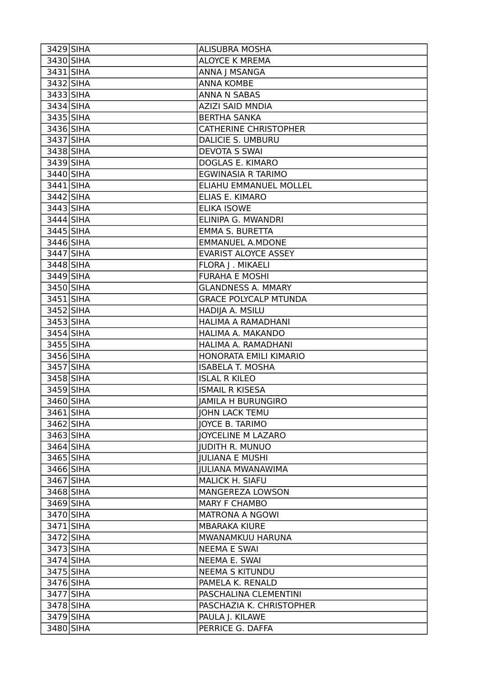| 3429 SIHA | <b>ALISUBRA MOSHA</b>        |
|-----------|------------------------------|
| 3430 SIHA | ALOYCE K MREMA               |
| 3431 SIHA | ANNA J MSANGA                |
| 3432 SIHA | <b>ANNA KOMBE</b>            |
| 3433 SIHA | ANNA N SABAS                 |
| 3434 SIHA | <b>AZIZI SAID MNDIA</b>      |
| 3435 SIHA | <b>BERTHA SANKA</b>          |
| 3436 SIHA | <b>CATHERINE CHRISTOPHER</b> |
| 3437 SIHA | <b>DALICIE S. UMBURU</b>     |
| 3438 SIHA | <b>DEVOTA S SWAI</b>         |
| 3439 SIHA | DOGLAS E. KIMARO             |
| 3440 SIHA | EGWINASIA R TARIMO           |
| 3441 SIHA | ELIAHU EMMANUEL MOLLEL       |
| 3442 SIHA | ELIAS E. KIMARO              |
| 3443 SIHA | <b>ELIKA ISOWE</b>           |
| 3444 SIHA | ELINIPA G. MWANDRI           |
| 3445 SIHA | <b>EMMA S. BURETTA</b>       |
| 3446 SIHA | <b>EMMANUEL A.MDONE</b>      |
| 3447 SIHA | <b>EVARIST ALOYCE ASSEY</b>  |
| 3448 SIHA | FLORA J. MIKAELI             |
| 3449 SIHA | <b>FURAHA E MOSHI</b>        |
| 3450 SIHA | <b>GLANDNESS A. MMARY</b>    |
| 3451 SIHA | <b>GRACE POLYCALP MTUNDA</b> |
| 3452 SIHA | HADIJA A. MSILU              |
| 3453 SIHA | HALIMA A RAMADHANI           |
| 3454 SIHA | HALIMA A. MAKANDO            |
| 3455 SIHA | HALIMA A. RAMADHANI          |
| 3456 SIHA | HONORATA EMILI KIMARIO       |
| 3457 SIHA | <b>ISABELA T. MOSHA</b>      |
| 3458 SIHA | <b>ISLAL R KILEO</b>         |
| 3459 SIHA | <b>ISMAIL R KISESA</b>       |
| 3460 SIHA | <b>JAMILA H BURUNGIRO</b>    |
| 3461 SIHA | <b>JOHN LACK TEMU</b>        |
| 3462 SIHA | JOYCE B. TARIMO              |
| 3463 SIHA | JOYCELINE M LAZARO           |
| 3464 SIHA | <b>JUDITH R. MUNUO</b>       |
| 3465 SIHA | <b>JULIANA E MUSHI</b>       |
| 3466 SIHA | <b>JULIANA MWANAWIMA</b>     |
| 3467 SIHA | MALICK H. SIAFU              |
| 3468 SIHA | MANGEREZA LOWSON             |
| 3469 SIHA | <b>MARY F CHAMBO</b>         |
| 3470 SIHA | <b>MATRONA A NGOWI</b>       |
| 3471 SIHA | <b>MBARAKA KIURE</b>         |
| 3472 SIHA | MWANAMKUU HARUNA             |
| 3473 SIHA | <b>NEEMA E SWAI</b>          |
| 3474 SIHA | NEEMA E. SWAI                |
| 3475 SIHA | <b>NEEMA S KITUNDU</b>       |
| 3476 SIHA | PAMELA K. RENALD             |
| 3477 SIHA | PASCHALINA CLEMENTINI        |
| 3478 SIHA | PASCHAZIA K. CHRISTOPHER     |
| 3479 SIHA | PAULA J. KILAWE              |
| 3480 SIHA | PERRICE G. DAFFA             |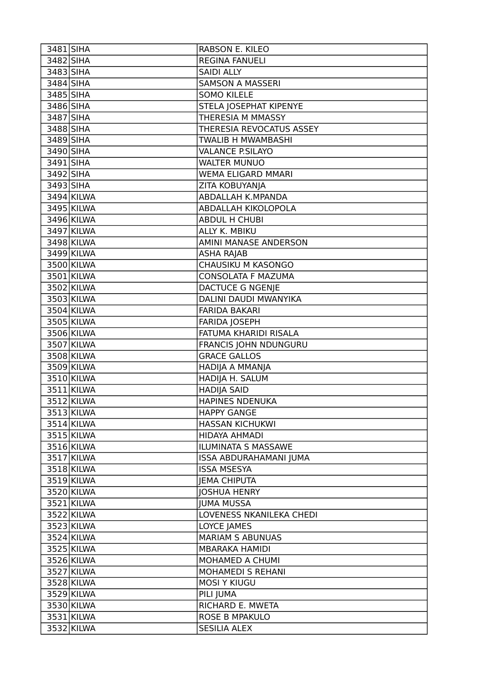| 3481 SIHA    |            | RABSON E. KILEO               |
|--------------|------------|-------------------------------|
| 3482 SIHA    |            | <b>REGINA FANUELI</b>         |
| 3483 SIHA    |            | <b>SAIDI ALLY</b>             |
| 3484 SIHA    |            | <b>SAMSON A MASSERI</b>       |
| 3485 SIHA    |            | <b>SOMO KILELE</b>            |
| 3486 SIHA    |            | STELA JOSEPHAT KIPENYE        |
| 3487 SIHA    |            | THERESIA M MMASSY             |
| 3488 SIHA    |            | THERESIA REVOCATUS ASSEY      |
| 3489 SIHA    |            | TWALIB H MWAMBASHI            |
| 3490 SIHA    |            | <b>VALANCE P.SILAYO</b>       |
| 3491 SIHA    |            | <b>WALTER MUNUO</b>           |
| 3492 SIHA    |            | WEMA ELIGARD MMARI            |
| 3493 SIHA    |            | ZITA KOBUYANJA                |
| $3494$ KILWA |            | <b>ABDALLAH K.MPANDA</b>      |
| 3495 KILWA   |            | ABDALLAH KIKOLOPOLA           |
| 3496 KILWA   |            | <b>ABDUL H CHUBI</b>          |
| 3497 KILWA   |            | ALLY K. MBIKU                 |
| 3498 KILWA   |            | AMINI MANASE ANDERSON         |
| 3499 KILWA   |            | <b>ASHA RAJAB</b>             |
| 3500 KILWA   |            | CHAUSIKU M KASONGO            |
| 3501 KILWA   |            | CONSOLATA F MAZUMA            |
| 3502 KILWA   |            | <b>DACTUCE G NGENJE</b>       |
| 3503 KILWA   |            | DALINI DAUDI MWANYIKA         |
| 3504 KILWA   |            | <b>FARIDA BAKARI</b>          |
| 3505 KILWA   |            | <b>FARIDA JOSEPH</b>          |
| 3506 KILWA   |            | FATUMA KHARIDI RISALA         |
| 3507 KILWA   |            | FRANCIS JOHN NDUNGURU         |
| 3508 KILWA   |            | <b>GRACE GALLOS</b>           |
| 3509 KILWA   |            | HADIJA A MMANJA               |
| 3510 KILWA   |            | HADIJA H. SALUM               |
| 3511 KILWA   |            | <b>HADIJA SAID</b>            |
| 3512 KILWA   |            | <b>HAPINES NDENUKA</b>        |
| 3513 KILWA   |            | <b>HAPPY GANGE</b>            |
| 3514 KILWA   |            | <b>HASSAN KICHUKWI</b>        |
| 3515 KILWA   |            | <b>HIDAYA AHMADI</b>          |
| 3516 KILWA   |            | ILUMINATA S MASSAWE           |
| 3517 KILWA   |            | <b>ISSA ABDURAHAMANI JUMA</b> |
| 3518 KILWA   |            | <b>ISSA MSESYA</b>            |
| 3519 KILWA   |            | <b>JEMA CHIPUTA</b>           |
| 3520 KILWA   |            | <b>JOSHUA HENRY</b>           |
| 3521 KILWA   |            | <b>JUMA MUSSA</b>             |
| 3522 KILWA   |            | LOVENESS NKANILEKA CHEDI      |
|              | 3523 KILWA | LOYCE JAMES                   |
| 3524 KILWA   |            | <b>MARIAM S ABUNUAS</b>       |
|              | 3525 KILWA | <b>MBARAKA HAMIDI</b>         |
| 3526 KILWA   |            | MOHAMED A CHUMI               |
| 3527 KILWA   |            | <b>MOHAMEDI S REHANI</b>      |
| 3528 KILWA   |            | <b>MOSI Y KIUGU</b>           |
| 3529 KILWA   |            | PILI JUMA                     |
| 3530 KILWA   |            | RICHARD E. MWETA              |
| 3531 KILWA   |            | ROSE B MPAKULO                |
| 3532 KILWA   |            | <b>SESILIA ALEX</b>           |
|              |            |                               |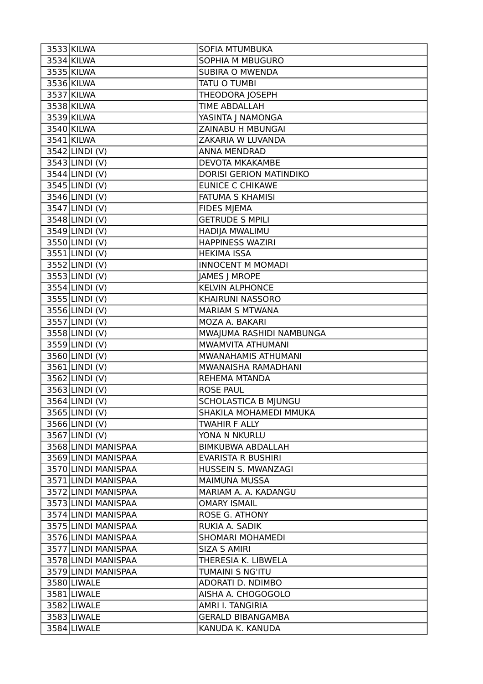| 3533 KILWA                 | SOFIA MTUMBUKA              |
|----------------------------|-----------------------------|
| 3534 KILWA                 | SOPHIA M MBUGURO            |
| 3535 KILWA                 | <b>SUBIRA O MWENDA</b>      |
| 3536 KILWA                 | <b>TATU O TUMBI</b>         |
| 3537 KILWA                 | THEODORA JOSEPH             |
| 3538 KILWA                 | <b>TIME ABDALLAH</b>        |
| 3539 KILWA                 | YASINTA J NAMONGA           |
| 3540 KILWA                 | ZAINABU H MBUNGAI           |
| 3541 KILWA                 | ZAKARIA W LUVANDA           |
| $3542$ LINDI (V)           | <b>ANNA MENDRAD</b>         |
| 3543 LINDI (V)             | DEVOTA MKAKAMBE             |
| 3544 LINDI (V)             | DORISI GERION MATINDIKO     |
| $3545$  LINDI(V)           | <b>EUNICE C CHIKAWE</b>     |
| 3546 LINDI (V)             | <b>FATUMA S KHAMISI</b>     |
| $3547$ LINDI(V)            | <b>FIDES MJEMA</b>          |
| $3548$ LINDI(V)            | <b>GETRUDE S MPILI</b>      |
| 3549 LINDI (V)             | HADIJA MWALIMU              |
| 3550 LINDI (V)             | <b>HAPPINESS WAZIRI</b>     |
| $3551$ LINDI(V)            | <b>HEKIMA ISSA</b>          |
| 3552 LINDI (V)             | <b>INNOCENT M MOMADI</b>    |
| 3553 LINDI (V)             | <b>JAMES   MROPE</b>        |
| 3554 LINDI (V)             | <b>KELVIN ALPHONCE</b>      |
| $3555$  LINDI(V)           | KHAIRUNI NASSORO            |
| 3556 LINDI (V)             | <b>MARIAM S MTWANA</b>      |
| $3557$ LINDI(V)            | MOZA A. BAKARI              |
| $\overline{3558}$ LINDI(V) | MWAJUMA RASHIDI NAMBUNGA    |
|                            |                             |
| 3559 LINDI (V)             | MWAMVITA ATHUMANI           |
| 3560 LINDI (V)             | MWANAHAMIS ATHUMANI         |
| $3561$ LINDI(V)            | MWANAISHA RAMADHANI         |
| $\overline{3562}$ LINDI(V) | <b>REHEMA MTANDA</b>        |
| $3563$ LINDI(V)            | <b>ROSE PAUL</b>            |
| 3564 LINDI (V)             | <b>SCHOLASTICA B MJUNGU</b> |
| 3565 LINDI (V)             | SHAKILA MOHAMEDI MMUKA      |
| $3566$  LINDI $(V)$        | <b>TWAHIR F ALLY</b>        |
| $3567$  LINDI (V)          | YONA N NKURLU               |
| 3568 LINDI MANISPAA        | <b>BIMKUBWA ABDALLAH</b>    |
| 3569 LINDI MANISPAA        | EVARISTA R BUSHIRI          |
| 3570 LINDI MANISPAA        | HUSSEIN S. MWANZAGI         |
| 3571 LINDI MANISPAA        | <b>MAIMUNA MUSSA</b>        |
| 3572 LINDI MANISPAA        | MARIAM A. A. KADANGU        |
| 3573 LINDI MANISPAA        | <b>OMARY ISMAIL</b>         |
| 3574 LINDI MANISPAA        | <b>ROSE G. ATHONY</b>       |
| 3575 LINDI MANISPAA        | RUKIA A. SADIK              |
| 3576 LINDI MANISPAA        | <b>SHOMARI MOHAMEDI</b>     |
| 3577 LINDI MANISPAA        | <b>SIZA S AMIRI</b>         |
| 3578 LINDI MANISPAA        | THERESIA K. LIBWELA         |
| 3579 LINDI MANISPAA        | <b>TUMAINI S NG'ITU</b>     |
| 3580 LIWALE                | ADORATI D. NDIMBO           |
| 3581 LIWALE                | AISHA A. CHOGOGOLO          |
| 3582 LIWALE                | AMRI I. TANGIRIA            |
| 3583 LIWALE                | <b>GERALD BIBANGAMBA</b>    |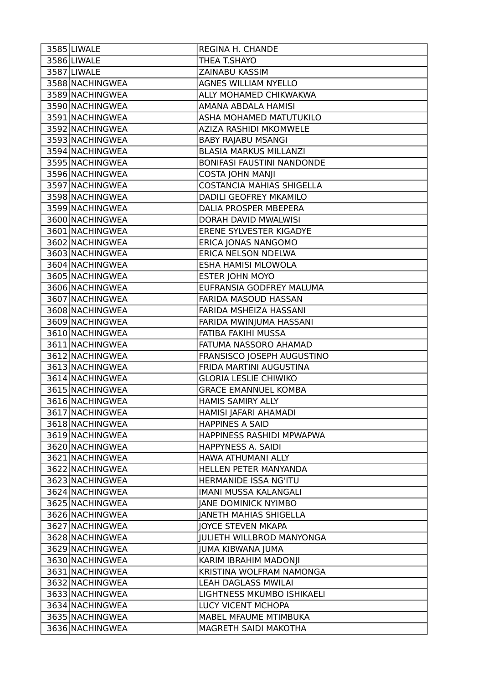| 3586 LIWALE<br>THEA T.SHAYO<br>3587 LIWALE<br><b>ZAINABU KASSIM</b><br>3588 NACHINGWEA<br><b>AGNES WILLIAM NYELLO</b><br>3589 NACHINGWEA<br>ALLY MOHAMED CHIKWAKWA<br>3590 NACHINGWEA<br>AMANA ABDALA HAMISI<br>3591 NACHINGWEA<br>ASHA MOHAMED MATUTUKILO<br>3592 NACHINGWEA<br>AZIZA RASHIDI MKOMWELE<br>3593 NACHINGWEA<br><b>BABY RAJABU MSANGI</b><br>3594 NACHINGWEA<br><b>BLASIA MARKUS MILLANZI</b><br>3595 NACHINGWEA<br><b>BONIFASI FAUSTINI NANDONDE</b><br>3596 NACHINGWEA<br><b>COSTA JOHN MANJI</b><br><b>COSTANCIA MAHIAS SHIGELLA</b><br>3597 NACHINGWEA |
|--------------------------------------------------------------------------------------------------------------------------------------------------------------------------------------------------------------------------------------------------------------------------------------------------------------------------------------------------------------------------------------------------------------------------------------------------------------------------------------------------------------------------------------------------------------------------|
|                                                                                                                                                                                                                                                                                                                                                                                                                                                                                                                                                                          |
|                                                                                                                                                                                                                                                                                                                                                                                                                                                                                                                                                                          |
|                                                                                                                                                                                                                                                                                                                                                                                                                                                                                                                                                                          |
|                                                                                                                                                                                                                                                                                                                                                                                                                                                                                                                                                                          |
|                                                                                                                                                                                                                                                                                                                                                                                                                                                                                                                                                                          |
|                                                                                                                                                                                                                                                                                                                                                                                                                                                                                                                                                                          |
|                                                                                                                                                                                                                                                                                                                                                                                                                                                                                                                                                                          |
|                                                                                                                                                                                                                                                                                                                                                                                                                                                                                                                                                                          |
|                                                                                                                                                                                                                                                                                                                                                                                                                                                                                                                                                                          |
|                                                                                                                                                                                                                                                                                                                                                                                                                                                                                                                                                                          |
|                                                                                                                                                                                                                                                                                                                                                                                                                                                                                                                                                                          |
|                                                                                                                                                                                                                                                                                                                                                                                                                                                                                                                                                                          |
| 3598 NACHINGWEA<br>DADILI GEOFREY MKAMILO                                                                                                                                                                                                                                                                                                                                                                                                                                                                                                                                |
| 3599 NACHINGWEA<br>DALIA PROSPER MBEPERA                                                                                                                                                                                                                                                                                                                                                                                                                                                                                                                                 |
| 3600 NACHINGWEA<br>DORAH DAVID MWALWISI                                                                                                                                                                                                                                                                                                                                                                                                                                                                                                                                  |
| 3601 NACHINGWEA<br>ERENE SYLVESTER KIGADYE                                                                                                                                                                                                                                                                                                                                                                                                                                                                                                                               |
| 3602 NACHINGWEA<br>ERICA JONAS NANGOMO                                                                                                                                                                                                                                                                                                                                                                                                                                                                                                                                   |
| ERICA NELSON NDELWA<br>3603 NACHINGWEA                                                                                                                                                                                                                                                                                                                                                                                                                                                                                                                                   |
| 3604 NACHINGWEA<br>ESHA HAMISI MLOWOLA                                                                                                                                                                                                                                                                                                                                                                                                                                                                                                                                   |
| 3605 NACHINGWEA<br><b>ESTER JOHN MOYO</b>                                                                                                                                                                                                                                                                                                                                                                                                                                                                                                                                |
| 3606 NACHINGWEA<br>EUFRANSIA GODFREY MALUMA                                                                                                                                                                                                                                                                                                                                                                                                                                                                                                                              |
| 3607 NACHINGWEA<br>FARIDA MASOUD HASSAN                                                                                                                                                                                                                                                                                                                                                                                                                                                                                                                                  |
| 3608 NACHINGWEA<br>FARIDA MSHEIZA HASSANI                                                                                                                                                                                                                                                                                                                                                                                                                                                                                                                                |
| 3609 NACHINGWEA<br>FARIDA MWINJUMA HASSANI                                                                                                                                                                                                                                                                                                                                                                                                                                                                                                                               |
| 3610 NACHINGWEA<br>FATIBA FAKIHI MUSSA                                                                                                                                                                                                                                                                                                                                                                                                                                                                                                                                   |
| 3611 NACHINGWEA<br>FATUMA NASSORO AHAMAD                                                                                                                                                                                                                                                                                                                                                                                                                                                                                                                                 |
| FRANSISCO JOSEPH AUGUSTINO<br>3612 NACHINGWEA                                                                                                                                                                                                                                                                                                                                                                                                                                                                                                                            |
| FRIDA MARTINI AUGUSTINA<br>3613 NACHINGWEA                                                                                                                                                                                                                                                                                                                                                                                                                                                                                                                               |
| 3614 NACHINGWEA<br><b>GLORIA LESLIE CHIWIKO</b>                                                                                                                                                                                                                                                                                                                                                                                                                                                                                                                          |
| 3615 NACHINGWEA<br><b>GRACE EMANNUEL KOMBA</b>                                                                                                                                                                                                                                                                                                                                                                                                                                                                                                                           |
| 3616 NACHINGWEA<br><b>HAMIS SAMIRY ALLY</b>                                                                                                                                                                                                                                                                                                                                                                                                                                                                                                                              |
| 3617 NACHINGWEA<br>HAMISI JAFARI AHAMADI                                                                                                                                                                                                                                                                                                                                                                                                                                                                                                                                 |
| 3618 NACHINGWEA<br><b>HAPPINES A SAID</b>                                                                                                                                                                                                                                                                                                                                                                                                                                                                                                                                |
| 3619 NACHINGWEA<br>HAPPINESS RASHIDI MPWAPWA                                                                                                                                                                                                                                                                                                                                                                                                                                                                                                                             |
| 3620 NACHINGWEA<br>HAPPYNESS A. SAIDI                                                                                                                                                                                                                                                                                                                                                                                                                                                                                                                                    |
| 3621 NACHINGWEA<br>HAWA ATHUMANI ALLY                                                                                                                                                                                                                                                                                                                                                                                                                                                                                                                                    |
| 3622 NACHINGWEA<br>HELLEN PETER MANYANDA                                                                                                                                                                                                                                                                                                                                                                                                                                                                                                                                 |
| 3623 NACHINGWEA<br>HERMANIDE ISSA NG'ITU                                                                                                                                                                                                                                                                                                                                                                                                                                                                                                                                 |
| 3624 NACHINGWEA<br><b>IMANI MUSSA KALANGALI</b>                                                                                                                                                                                                                                                                                                                                                                                                                                                                                                                          |
| 3625 NACHINGWEA<br><b>JANE DOMINICK NYIMBO</b>                                                                                                                                                                                                                                                                                                                                                                                                                                                                                                                           |
| 3626 NACHINGWEA<br><b>JANETH MAHIAS SHIGELLA</b>                                                                                                                                                                                                                                                                                                                                                                                                                                                                                                                         |
| 3627 NACHINGWEA<br>JOYCE STEVEN MKAPA                                                                                                                                                                                                                                                                                                                                                                                                                                                                                                                                    |
| 3628 NACHINGWEA<br><b>JULIETH WILLBROD MANYONGA</b>                                                                                                                                                                                                                                                                                                                                                                                                                                                                                                                      |
| 3629 NACHINGWEA<br><b>JUMA KIBWANA JUMA</b>                                                                                                                                                                                                                                                                                                                                                                                                                                                                                                                              |
| 3630 NACHINGWEA<br>KARIM IBRAHIM MADONJI                                                                                                                                                                                                                                                                                                                                                                                                                                                                                                                                 |
| KRISTINA WOLFRAM NAMONGA<br>3631 NACHINGWEA                                                                                                                                                                                                                                                                                                                                                                                                                                                                                                                              |
| 3632 NACHINGWEA<br><b>LEAH DAGLASS MWILAI</b>                                                                                                                                                                                                                                                                                                                                                                                                                                                                                                                            |
| 3633 NACHINGWEA<br>LIGHTNESS MKUMBO ISHIKAELI                                                                                                                                                                                                                                                                                                                                                                                                                                                                                                                            |
| 3634 NACHINGWEA<br>LUCY VICENT MCHOPA                                                                                                                                                                                                                                                                                                                                                                                                                                                                                                                                    |
| 3635 NACHINGWEA<br>MABEL MFAUME MTIMBUKA                                                                                                                                                                                                                                                                                                                                                                                                                                                                                                                                 |
| 3636 NACHINGWEA<br>MAGRETH SAIDI MAKOTHA                                                                                                                                                                                                                                                                                                                                                                                                                                                                                                                                 |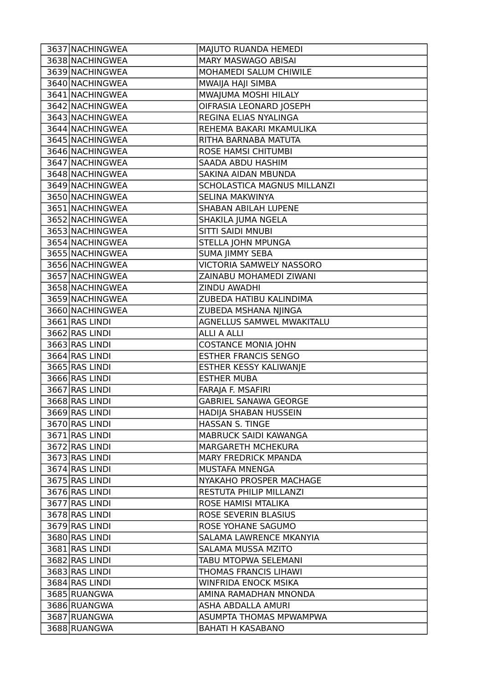| 3637 NACHINGWEA | MAJUTO RUANDA HEMEDI             |
|-----------------|----------------------------------|
| 3638 NACHINGWEA | MARY MASWAGO ABISAI              |
| 3639 NACHINGWEA | MOHAMEDI SALUM CHIWILE           |
| 3640 NACHINGWEA | MWAIJA HAJI SIMBA                |
| 3641 NACHINGWEA | MWAJUMA MOSHI HILALY             |
| 3642 NACHINGWEA | OIFRASIA LEONARD JOSEPH          |
| 3643 NACHINGWEA | REGINA ELIAS NYALINGA            |
| 3644 NACHINGWEA | REHEMA BAKARI MKAMULIKA          |
| 3645 NACHINGWEA | RITHA BARNABA MATUTA             |
| 3646 NACHINGWEA | <b>ROSE HAMSI CHITUMBI</b>       |
| 3647 NACHINGWEA | SAADA ABDU HASHIM                |
| 3648 NACHINGWEA | SAKINA AIDAN MBUNDA              |
| 3649 NACHINGWEA | SCHOLASTICA MAGNUS MILLANZI      |
| 3650 NACHINGWEA | SELINA MAKWINYA                  |
| 3651 NACHINGWEA | <b>SHABAN ABILAH LUPENE</b>      |
| 3652 NACHINGWEA | SHAKILA JUMA NGELA               |
| 3653 NACHINGWEA | <b>SITTI SAIDI MNUBI</b>         |
| 3654 NACHINGWEA | STELLA JOHN MPUNGA               |
| 3655 NACHINGWEA | <b>SUMA JIMMY SEBA</b>           |
| 3656 NACHINGWEA | <b>VICTORIA SAMWELY NASSORO</b>  |
| 3657 NACHINGWEA | ZAINABU MOHAMEDI ZIWANI          |
| 3658 NACHINGWEA | ZINDU AWADHI                     |
| 3659 NACHINGWEA | ZUBEDA HATIBU KALINDIMA          |
| 3660 NACHINGWEA | ZUBEDA MSHANA NJINGA             |
| 3661 RAS LINDI  | <b>AGNELLUS SAMWEL MWAKITALU</b> |
| 3662 RAS LINDI  | <b>ALLI A ALLI</b>               |
| 3663 RAS LINDI  | <b>COSTANCE MONIA JOHN</b>       |
| 3664 RAS LINDI  | <b>ESTHER FRANCIS SENGO</b>      |
| 3665 RAS LINDI  | ESTHER KESSY KALIWANJE           |
| 3666 RAS LINDI  | <b>ESTHER MUBA</b>               |
| 3667 RAS LINDI  | FARAJA F. MSAFIRI                |
| 3668 RAS LINDI  | <b>GABRIEL SANAWA GEORGE</b>     |
| 3669 RAS LINDI  | HADIJA SHABAN HUSSEIN            |
| 3670 RAS LINDI  | HASSAN S. TINGE                  |
| 3671 RAS LINDI  | MABRUCK SAIDI KAWANGA            |
| 3672 RAS LINDI  | MARGARETH MCHEKURA               |
| 3673 RAS LINDI  | <b>MARY FREDRICK MPANDA</b>      |
| 3674 RAS LINDI  | MUSTAFA MNENGA                   |
| 3675 RAS LINDI  | NYAKAHO PROSPER MACHAGE          |
| 3676 RAS LINDI  | RESTUTA PHILIP MILLANZI          |
| 3677 RAS LINDI  | ROSE HAMISI MTALIKA              |
| 3678 RAS LINDI  | ROSE SEVERIN BLASIUS             |
| 3679 RAS LINDI  | ROSE YOHANE SAGUMO               |
| 3680 RAS LINDI  | SALAMA LAWRENCE MKANYIA          |
| 3681 RAS LINDI  | SALAMA MUSSA MZITO               |
| 3682 RAS LINDI  | TABU MTOPWA SELEMANI             |
| 3683 RAS LINDI  | THOMAS FRANCIS LIHAWI            |
| 3684 RAS LINDI  | <b>WINFRIDA ENOCK MSIKA</b>      |
| 3685 RUANGWA    | AMINA RAMADHAN MNONDA            |
| 3686 RUANGWA    | ASHA ABDALLA AMURI               |
| 3687 RUANGWA    | <b>ASUMPTA THOMAS MPWAMPWA</b>   |
| 3688 RUANGWA    | <b>BAHATI H KASABANO</b>         |
|                 |                                  |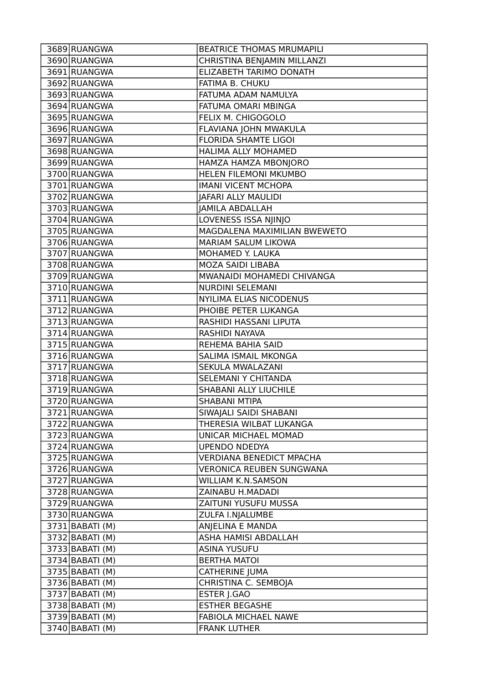| 3690 RUANGWA<br>CHRISTINA BENJAMIN MILLANZI<br>3691 RUANGWA<br>ELIZABETH TARIMO DONATH<br>3692 RUANGWA<br>FATIMA B. CHUKU<br>3693 RUANGWA<br>FATUMA ADAM NAMULYA<br>3694 RUANGWA<br>FATUMA OMARI MBINGA<br>3695 RUANGWA<br>FELIX M. CHIGOGOLO<br>3696 RUANGWA<br>FLAVIANA JOHN MWAKULA<br>3697 RUANGWA<br><b>FLORIDA SHAMTE LIGOI</b> |
|---------------------------------------------------------------------------------------------------------------------------------------------------------------------------------------------------------------------------------------------------------------------------------------------------------------------------------------|
|                                                                                                                                                                                                                                                                                                                                       |
|                                                                                                                                                                                                                                                                                                                                       |
|                                                                                                                                                                                                                                                                                                                                       |
|                                                                                                                                                                                                                                                                                                                                       |
|                                                                                                                                                                                                                                                                                                                                       |
|                                                                                                                                                                                                                                                                                                                                       |
|                                                                                                                                                                                                                                                                                                                                       |
|                                                                                                                                                                                                                                                                                                                                       |
| 3698 RUANGWA<br>HALIMA ALLY MOHAMED                                                                                                                                                                                                                                                                                                   |
| 3699 RUANGWA<br>HAMZA HAMZA MBONJORO                                                                                                                                                                                                                                                                                                  |
| HELEN FILEMONI MKUMBO<br>3700 RUANGWA                                                                                                                                                                                                                                                                                                 |
| 3701 RUANGWA<br><b>IMANI VICENT MCHOPA</b>                                                                                                                                                                                                                                                                                            |
| 3702 RUANGWA<br>JAFARI ALLY MAULIDI                                                                                                                                                                                                                                                                                                   |
| 3703 RUANGWA<br><b>JAMILA ABDALLAH</b>                                                                                                                                                                                                                                                                                                |
| 3704 RUANGWA<br>LOVENESS ISSA NJINJO                                                                                                                                                                                                                                                                                                  |
| MAGDALENA MAXIMILIAN BWEWETO<br>3705 RUANGWA                                                                                                                                                                                                                                                                                          |
| 3706 RUANGWA<br>MARIAM SALUM LIKOWA                                                                                                                                                                                                                                                                                                   |
| 3707 RUANGWA<br>MOHAMED Y. LAUKA                                                                                                                                                                                                                                                                                                      |
| 3708 RUANGWA<br>MOZA SAIDI LIBABA                                                                                                                                                                                                                                                                                                     |
| 3709 RUANGWA<br>MWANAIDI MOHAMEDI CHIVANGA                                                                                                                                                                                                                                                                                            |
| 3710 RUANGWA<br><b>NURDINI SELEMANI</b>                                                                                                                                                                                                                                                                                               |
| NYILIMA ELIAS NICODENUS<br>3711 RUANGWA                                                                                                                                                                                                                                                                                               |
| 3712 RUANGWA<br>PHOIBE PETER LUKANGA                                                                                                                                                                                                                                                                                                  |
| 3713 RUANGWA<br>RASHIDI HASSANI LIPUTA                                                                                                                                                                                                                                                                                                |
| 3714 RUANGWA<br>RASHIDI NAYAVA                                                                                                                                                                                                                                                                                                        |
| 3715 RUANGWA<br>REHEMA BAHIA SAID                                                                                                                                                                                                                                                                                                     |
| 3716 RUANGWA<br><b>SALIMA ISMAIL MKONGA</b>                                                                                                                                                                                                                                                                                           |
| 3717 RUANGWA<br>SEKULA MWALAZANI                                                                                                                                                                                                                                                                                                      |
| 3718 RUANGWA<br>SELEMANI Y CHITANDA                                                                                                                                                                                                                                                                                                   |
| 3719 RUANGWA<br>SHABANI ALLY LIUCHILE                                                                                                                                                                                                                                                                                                 |
| 3720 RUANGWA<br>SHABANI MTIPA                                                                                                                                                                                                                                                                                                         |
| SIWAJALI SAIDI SHABANI<br>3721 RUANGWA                                                                                                                                                                                                                                                                                                |
| 3722 RUANGWA<br>THERESIA WILBAT LUKANGA                                                                                                                                                                                                                                                                                               |
| 3723 RUANGWA<br>UNICAR MICHAEL MOMAD                                                                                                                                                                                                                                                                                                  |
| 3724 RUANGWA<br><b>UPENDO NDEDYA</b>                                                                                                                                                                                                                                                                                                  |
| 3725 RUANGWA<br><b>VERDIANA BENEDICT MPACHA</b>                                                                                                                                                                                                                                                                                       |
| 3726 RUANGWA<br><b>VERONICA REUBEN SUNGWANA</b>                                                                                                                                                                                                                                                                                       |
| 3727 RUANGWA<br><b>WILLIAM K.N.SAMSON</b>                                                                                                                                                                                                                                                                                             |
| 3728 RUANGWA<br>ZAINABU H.MADADI                                                                                                                                                                                                                                                                                                      |
| 3729 RUANGWA<br>ZAITUNI YUSUFU MUSSA                                                                                                                                                                                                                                                                                                  |
| 3730 RUANGWA<br>ZULFA I.NJALUMBE                                                                                                                                                                                                                                                                                                      |
| 3731 BABATI (M)<br>ANJELINA E MANDA                                                                                                                                                                                                                                                                                                   |
| 3732 BABATI (M)<br>ASHA HAMISI ABDALLAH                                                                                                                                                                                                                                                                                               |
| 3733 BABATI (M)<br><b>ASINA YUSUFU</b>                                                                                                                                                                                                                                                                                                |
| 3734 BABATI (M)<br><b>BERTHA MATOI</b>                                                                                                                                                                                                                                                                                                |
| 3735 BABATI (M)<br>CATHERINE JUMA                                                                                                                                                                                                                                                                                                     |
| CHRISTINA C. SEMBOJA<br>3736 BABATI (M)                                                                                                                                                                                                                                                                                               |
| 3737 BABATI (M)<br>ESTER J.GAO                                                                                                                                                                                                                                                                                                        |
| 3738 BABATI (M)<br><b>ESTHER BEGASHE</b>                                                                                                                                                                                                                                                                                              |
| 3739 BABATI (M)<br>FABIOLA MICHAEL NAWE                                                                                                                                                                                                                                                                                               |
| 3740 BABATI (M)<br><b>FRANK LUTHER</b>                                                                                                                                                                                                                                                                                                |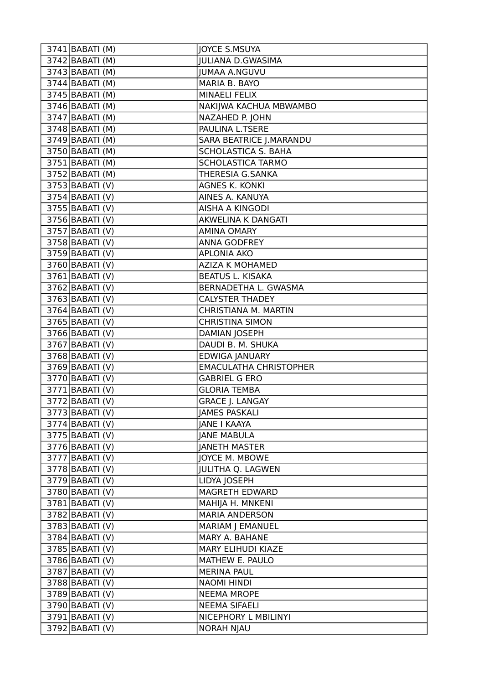| 3741 BABATI (M)              | JOYCE S.MSUYA                 |
|------------------------------|-------------------------------|
| $3742$ BABATI (M)            | <b>JULIANA D.GWASIMA</b>      |
| $3743$ BABATI (M)            | <b>JUMAA A.NGUVU</b>          |
| 3744 BABATI (M)              | MARIA B. BAYO                 |
| 3745 BABATI (M)              | <b>MINAELI FELIX</b>          |
| $3746$ BABATI (M)            | NAKIJWA KACHUA MBWAMBO        |
| 3747 BABATI (M)              | NAZAHED P. JOHN               |
| 3748 BABATI (M)              | PAULINA L.TSERE               |
| 3749 BABATI (M)              | SARA BEATRICE J.MARANDU       |
| 3750 BABATI (M)              | <b>SCHOLASTICA S. BAHA</b>    |
| $3751$  BABATI (M)           | <b>SCHOLASTICA TARMO</b>      |
| $3752$ BABATI (M)            | THERESIA G.SANKA              |
| $3753$ BABATI (V)            | <b>AGNES K. KONKI</b>         |
| 3754 BABATI (V)              | AINES A. KANUYA               |
| 3755 BABATI (V)              | AISHA A KINGODI               |
| 3756 BABATI (V)              | AKWELINA K DANGATI            |
| 3757 BABATI (V)              | <b>AMINA OMARY</b>            |
| 3758 BABATI (V)              | <b>ANNA GODFREY</b>           |
| 3759 BABATI (V)              | <b>APLONIA AKO</b>            |
| 3760 BABATI (V)              | <b>AZIZA K MOHAMED</b>        |
| $3761$ BABATI (V)            | <b>BEATUS L. KISAKA</b>       |
| 3762 BABATI (V)              | BERNADETHA L. GWASMA          |
| $3763$ BABATI (V)            | <b>CALYSTER THADEY</b>        |
| $3764$ BABATI (V)            | CHRISTIANA M. MARTIN          |
| 3765 BABATI (V)              | <b>CHRISTINA SIMON</b>        |
| 3766 BABATI (V)              | DAMIAN JOSEPH                 |
| $3767$ BABATI (V)            | DAUDI B. M. SHUKA             |
| $3768$ BABATI (V)            | EDWIGA JANUARY                |
| 3769 BABATI (V)              | <b>EMACULATHA CHRISTOPHER</b> |
| 3770 BABATI (V)              | <b>GABRIEL G ERO</b>          |
| $\overline{3771}$ BABATI (V) | <b>GLORIA TEMBA</b>           |
| $3772$ BABATI (V)            | <b>GRACE J. LANGAY</b>        |
| 3773 BABATI (V)              | JAMES PASKALI                 |
| $3774$ BABATI (V)            | <b>JANE I KAAYA</b>           |
| $3775$ BABATI (V)            | <b>JANE MABULA</b>            |
| $3776$ BABATI (V)            | <b>JANETH MASTER</b>          |
| $3777$ BABATI (V)            | JOYCE M. MBOWE                |
| 3778 BABATI (V)              | <b>JULITHA Q. LAGWEN</b>      |
| $3779$ BABATI (V)            | LIDYA JOSEPH                  |
| 3780 BABATI (V)              | <b>MAGRETH EDWARD</b>         |
| $3781$ BABATI (V)            | MAHIJA H. MNKENI              |
| 3782 BABATI (V)              | <b>MARIA ANDERSON</b>         |
| 3783 BABATI (V)              | MARIAM J EMANUEL              |
| 3784 BABATI (V)              | MARY A. BAHANE                |
| 3785 BABATI (V)              | MARY ELIHUDI KIAZE            |
| 3786 BABATI (V)              | MATHEW E. PAULO               |
| $3787$ BABATI (V)            | <b>MERINA PAUL</b>            |
| $3788$ BABATI (V)            | <b>NAOMI HINDI</b>            |
| 3789 BABATI (V)              | <b>NEEMA MROPE</b>            |
| 3790 BABATI (V)              | <b>NEEMA SIFAELI</b>          |
| 3791 BABATI (V)              | NICEPHORY L MBILINYI          |
| 3792 BABATI (V)              | <b>NORAH NJAU</b>             |
|                              |                               |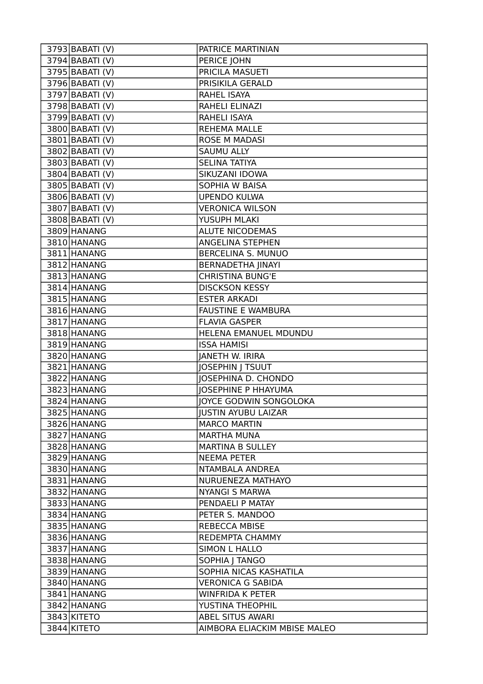| 3793 BABATI (V)              | PATRICE MARTINIAN            |
|------------------------------|------------------------------|
| $3794$ BABATI (V)            | PERICE JOHN                  |
| 3795 BABATI (V)              | <b>PRICILA MASUETI</b>       |
| $\overline{37}96$ BABATI (V) | PRISIKILA GERALD             |
| 3797 BABATI (V)              | RAHEL ISAYA                  |
| 3798 BABATI (V)              | RAHELI ELINAZI               |
| 3799 BABATI (V)              | RAHELI ISAYA                 |
| 3800 BABATI (V)              | <b>REHEMA MALLE</b>          |
| 3801 BABATI (V)              | <b>ROSE M MADASI</b>         |
| 3802 BABATI (V)              | <b>SAUMU ALLY</b>            |
| 3803 BABATI (V)              | <b>SELINA TATIYA</b>         |
| $\overline{3804}$ BABATI (V) | SIKUZANI IDOWA               |
| 3805 BABATI (V)              | SOPHIA W BAISA               |
| 3806 BABATI (V)              | <b>UPENDO KULWA</b>          |
| 3807 BABATI (V)              | <b>VERONICA WILSON</b>       |
| 3808 BABATI (V)              | YUSUPH MLAKI                 |
| 3809 HANANG                  | <b>ALUTE NICODEMAS</b>       |
| 3810 HANANG                  | ANGELINA STEPHEN             |
| 3811 HANANG                  | <b>BERCELINA S. MUNUO</b>    |
| 3812 HANANG                  | <b>BERNADETHA JINAYI</b>     |
| 3813 HANANG                  | <b>CHRISTINA BUNG'E</b>      |
| 3814 HANANG                  | <b>DISCKSON KESSY</b>        |
| 3815 HANANG                  | <b>ESTER ARKADI</b>          |
| 3816 HANANG                  | <b>FAUSTINE E WAMBURA</b>    |
| 3817 HANANG                  | <b>FLAVIA GASPER</b>         |
| 3818 HANANG                  | HELENA EMANUEL MDUNDU        |
| 3819 HANANG                  | <b>ISSA HAMISI</b>           |
| 3820 HANANG                  | <b>JANETH W. IRIRA</b>       |
| 3821 HANANG                  | <b>JOSEPHIN J TSUUT</b>      |
| 3822 HANANG                  | <b>JOSEPHINA D. CHONDO</b>   |
| 3823 HANANG                  | <b>JOSEPHINE P HHAYUMA</b>   |
| 3824 HANANG                  | JOYCE GODWIN SONGOLOKA       |
| 3825 HANANG                  | <b>JUSTIN AYUBU LAIZAR</b>   |
| 3826 HANANG                  | <b>MARCO MARTIN</b>          |
| 3827 HANANG                  | <b>MARTHA MUNA</b>           |
| 3828 HANANG                  | <b>MARTINA B SULLEY</b>      |
| 3829 HANANG                  | <b>NEEMA PETER</b>           |
| 3830 HANANG                  | NTAMBALA ANDREA              |
| 3831 HANANG                  | NURUENEZA MATHAYO            |
| 3832 HANANG                  | <b>NYANGI S MARWA</b>        |
| 3833 HANANG                  | PENDAELI P MATAY             |
| 3834 HANANG                  | PETER S. MANDOO              |
| 3835 HANANG                  | <b>REBECCA MBISE</b>         |
| 3836 HANANG                  | REDEMPTA CHAMMY              |
| 3837 HANANG                  | SIMON L HALLO                |
| 3838 HANANG                  | SOPHIA   TANGO               |
| 3839 HANANG                  | SOPHIA NICAS KASHATILA       |
| 3840 HANANG                  | <b>VERONICA G SABIDA</b>     |
| 3841 HANANG                  | <b>WINFRIDA K PETER</b>      |
| 3842 HANANG                  | YUSTINA THEOPHIL             |
| 3843 KITETO                  | ABEL SITUS AWARI             |
| 3844 KITETO                  | AIMBORA ELIACKIM MBISE MALEO |
|                              |                              |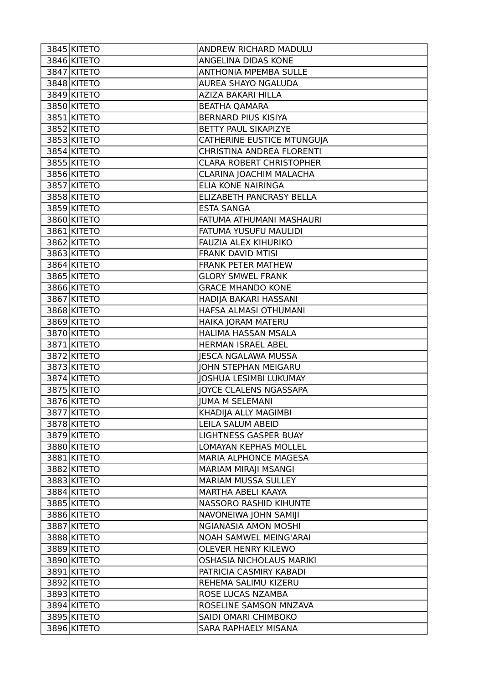| 3845 KITETO | ANDREW RICHARD MADULU            |
|-------------|----------------------------------|
| 3846 KITETO | ANGELINA DIDAS KONE              |
| 3847 KITETO | <b>ANTHONIA MPEMBA SULLE</b>     |
| 3848 KITETO | AUREA SHAYO NGALUDA              |
| 3849 KITETO | AZIZA BAKARI HILLA               |
| 3850 KITETO | <b>BEATHA QAMARA</b>             |
| 3851 KITETO | <b>BERNARD PIUS KISIYA</b>       |
| 3852 KITETO | BETTY PAUL SIKAPIZYE             |
| 3853 KITETO | CATHERINE EUSTICE MTUNGUJA       |
| 3854 KITETO | <b>CHRISTINA ANDREA FLORENTI</b> |
| 3855 KITETO | <b>CLARA ROBERT CHRISTOPHER</b>  |
| 3856 KITETO | CLARINA JOACHIM MALACHA          |
| 3857 KITETO | ELIA KONE NAIRINGA               |
| 3858 KITETO | ELIZABETH PANCRASY BELLA         |
| 3859 KITETO | <b>ESTA SANGA</b>                |
| 3860 KITETO | FATUMA ATHUMANI MASHAURI         |
| 3861 KITETO | FATUMA YUSUFU MAULIDI            |
| 3862 KITETO | FAUZIA ALEX KIHURIKO             |
| 3863 KITETO | FRANK DAVID MTISI                |
| 3864 KITETO | <b>FRANK PETER MATHEW</b>        |
| 3865 KITETO | <b>GLORY SMWEL FRANK</b>         |
| 3866 KITETO | <b>GRACE MHANDO KONE</b>         |
| 3867 KITETO | HADIJA BAKARI HASSANI            |
| 3868 KITETO | HAFSA ALMASI OTHUMANI            |
| 3869 KITETO | HAIKA JORAM MATERU               |
| 3870 KITETO | HALIMA HASSAN MSALA              |
| 3871 KITETO | HERMAN ISRAEL ABEL               |
| 3872 KITETO | <b>JESCA NGALAWA MUSSA</b>       |
| 3873 KITETO | <b>JOHN STEPHAN MEIGARU</b>      |
| 3874 KITETO | <b>JOSHUA LESIMBI LUKUMAY</b>    |
| 3875 KITETO | <b>JOYCE CLALENS NGASSAPA</b>    |
| 3876 KITETO | <b>JUMA M SELEMANI</b>           |
| 3877 KITETO | KHADIJA ALLY MAGIMBI             |
| 3878 KITETO | LEILA SALUM ABEID                |
| 3879 KITETO | LIGHTNESS GASPER BUAY            |
| 3880 KITETO | LOMAYAN KEPHAS MOLLEL            |
| 3881 KITETO | MARIA ALPHONCE MAGESA            |
| 3882 KITETO | MARIAM MIRAJI MSANGI             |
| 3883 KITETO | MARIAM MUSSA SULLEY              |
| 3884 KITETO | MARTHA ABELI KAAYA               |
| 3885 KITETO | NASSORO RASHID KIHUNTE           |
| 3886 KITETO | NAVONEIWA JOHN SAMIJI            |
| 3887 KITETO | <b>NGIANASIA AMON MOSHI</b>      |
| 3888 KITETO | NOAH SAMWEL MEING'ARAI           |
| 3889 KITETO | <b>OLEVER HENRY KILEWO</b>       |
| 3890 KITETO | OSHASIA NICHOLAUS MARIKI         |
| 3891 KITETO | PATRICIA CASMIRY KABADI          |
| 3892 KITETO | REHEMA SALIMU KIZERU             |
| 3893 KITETO | ROSE LUCAS NZAMBA                |
| 3894 KITETO | ROSELINE SAMSON MNZAVA           |
| 3895 KITETO | SAIDI OMARI CHIMBOKO             |
| 3896 KITETO | SARA RAPHAELY MISANA             |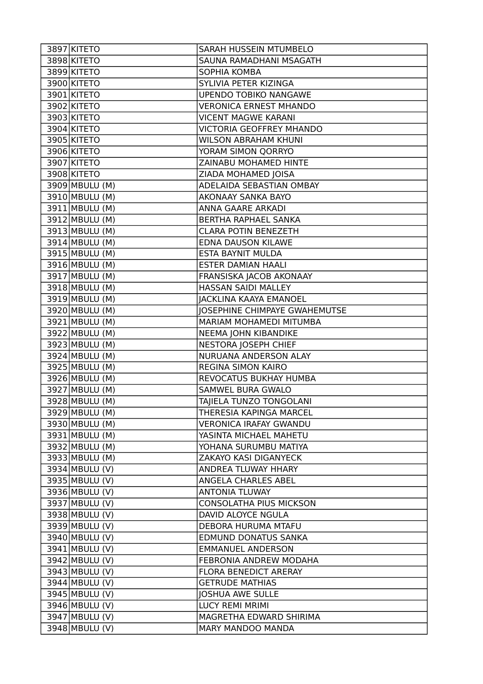| 3897 KITETO    | SARAH HUSSEIN MTUMBELO                       |
|----------------|----------------------------------------------|
| 3898 KITETO    | SAUNA RAMADHANI MSAGATH                      |
| 3899 KITETO    | SOPHIA KOMBA                                 |
| 3900 KITETO    | SYLIVIA PETER KIZINGA                        |
| 3901 KITETO    | <b>UPENDO TOBIKO NANGAWE</b>                 |
| 3902 KITETO    | <b>VERONICA ERNEST MHANDO</b>                |
| 3903 KITETO    | <b>VICENT MAGWE KARANI</b>                   |
| 3904 KITETO    | <b>VICTORIA GEOFFREY MHANDO</b>              |
| 3905 KITETO    | <b>WILSON ABRAHAM KHUNI</b>                  |
| 3906 KITETO    | YORAM SIMON QORRYO                           |
| 3907 KITETO    | ZAINABU MOHAMED HINTE                        |
| 3908 KITETO    | ZIADA MOHAMED JOISA                          |
| 3909 MBULU (M) | ADELAIDA SEBASTIAN OMBAY                     |
| 3910 MBULU (M) | AKONAAY SANKA BAYO                           |
| 3911 MBULU (M) | ANNA GAARE ARKADI                            |
| 3912 MBULU (M) | BERTHA RAPHAEL SANKA                         |
| 3913 MBULU (M) | <b>CLARA POTIN BENEZETH</b>                  |
| 3914 MBULU (M) | <b>EDNA DAUSON KILAWE</b>                    |
| 3915 MBULU (M) | ESTA BAYNIT MULDA                            |
| 3916 MBULU (M) | <b>ESTER DAMIAN HAALI</b>                    |
| 3917 MBULU (M) | FRANSISKA JACOB AKONAAY                      |
| 3918 MBULU (M) | HASSAN SAIDI MALLEY                          |
| 3919 MBULU (M) | <b>JACKLINA KAAYA EMANOEL</b>                |
| 3920 MBULU (M) | <b>JOSEPHINE CHIMPAYE GWAHEMUTSE</b>         |
| 3921 MBULU (M) | MARIAM MOHAMEDI MITUMBA                      |
| 3922 MBULU (M) | NEEMA JOHN KIBANDIKE                         |
| 3923 MBULU (M) | NESTORA JOSEPH CHIEF                         |
| 3924 MBULU (M) | NURUANA ANDERSON ALAY                        |
| 3925 MBULU (M) | REGINA SIMON KAIRO                           |
| 3926 MBULU (M) | REVOCATUS BUKHAY HUMBA                       |
| 3927 MBULU (M) | SAMWEL BURA GWALO                            |
| 3928 MBULU (M) | TAJIELA TUNZO TONGOLANI                      |
| 3929 MBULU (M) | THERESIA KAPINGA MARCEL                      |
| 3930 MBULU (M) | <b>VERONICA IRAFAY GWANDU</b>                |
| 3931 MBULU (M) | YASINTA MICHAEL MAHETU                       |
| 3932 MBULU (M) | YOHANA SURUMBU MATIYA                        |
| 3933 MBULU (M) | ZAKAYO KASI DIGANYECK                        |
| 3934 MBULU (V) | ANDREA TLUWAY HHARY                          |
| 3935 MBULU (V) | ANGELA CHARLES ABEL                          |
| 3936 MBULU (V) | <b>ANTONIA TLUWAY</b>                        |
| 3937 MBULU (V) | <b>CONSOLATHA PIUS MICKSON</b>               |
| 3938 MBULU (V) | DAVID ALOYCE NGULA                           |
| 3939 MBULU (V) | DEBORA HURUMA MTAFU                          |
| 3940 MBULU (V) | EDMUND DONATUS SANKA                         |
| 3941 MBULU (V) | <b>EMMANUEL ANDERSON</b>                     |
| 3942 MBULU (V) | FEBRONIA ANDREW MODAHA                       |
| 3943 MBULU (V) | FLORA BENEDICT ARERAY                        |
| 3944 MBULU (V) | <b>GETRUDE MATHIAS</b>                       |
| 3945 MBULU (V) | <b>JOSHUA AWE SULLE</b>                      |
| 3946 MBULU (V) | <b>LUCY REMI MRIMI</b>                       |
| 3947 MBULU (V) | MAGRETHA EDWARD SHIRIMA<br>MARY MANDOO MANDA |
| 3948 MBULU (V) |                                              |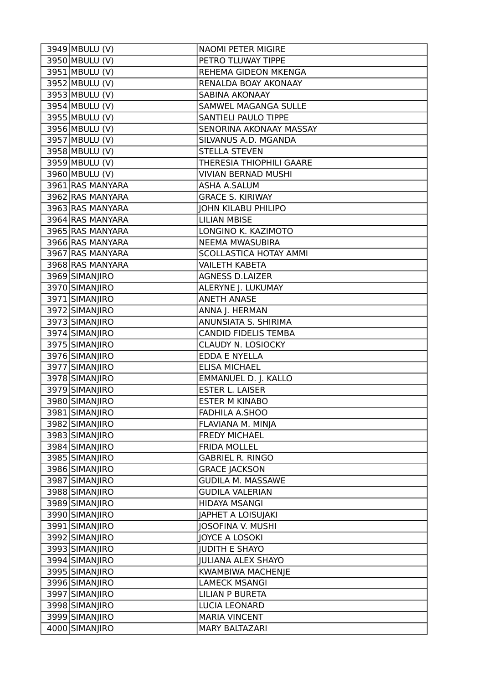| 3949 MBULU (V)              | <b>NAOMI PETER MIGIRE</b>       |
|-----------------------------|---------------------------------|
| 3950 MBULU (V)              | PETRO TLUWAY TIPPE              |
| 3951 MBULU (V)              | REHEMA GIDEON MKENGA            |
| 3952 MBULU (V)              | RENALDA BOAY AKONAAY            |
| 3953 MBULU (V)              | <b>SABINA AKONAAY</b>           |
| 3954 MBULU (V)              | SAMWEL MAGANGA SULLE            |
| 3955 MBULU (V)              | SANTIELI PAULO TIPPE            |
| 3956 MBULU (V)              | SENORINA AKONAAY MASSAY         |
| 3957 MBULU (V)              | SILVANUS A.D. MGANDA            |
| 3958 MBULU (V)              | <b>STELLA STEVEN</b>            |
| $\overline{3959}$ MBULU (V) | <b>THERESIA THIOPHILI GAARE</b> |
| 3960 MBULU (V)              | <b>VIVIAN BERNAD MUSHI</b>      |
| 3961 RAS MANYARA            | ASHA A.SALUM                    |
| 3962 RAS MANYARA            | <b>GRACE S. KIRIWAY</b>         |
| 3963 RAS MANYARA            | <b>JOHN KILABU PHILIPO</b>      |
| 3964 RAS MANYARA            | <b>LILIAN MBISE</b>             |
| 3965 RAS MANYARA            | LONGINO K. KAZIMOTO             |
| 3966 RAS MANYARA            | NEEMA MWASUBIRA                 |
| 3967 RAS MANYARA            | <b>SCOLLASTICA HOTAY AMMI</b>   |
| 3968 RAS MANYARA            | <b>VAILETH KABETA</b>           |
| 3969 SIMANJIRO              | <b>AGNESS D.LAIZER</b>          |
| 3970 SIMANJIRO              | ALERYNE J. LUKUMAY              |
| 3971 SIMANJIRO              | <b>ANETH ANASE</b>              |
| 3972 SIMANJIRO              | ANNA J. HERMAN                  |
| 3973 SIMANJIRO              | ANUNSIATA S. SHIRIMA            |
| 3974 SIMANJIRO              | <b>CANDID FIDELIS TEMBA</b>     |
| 3975 SIMANJIRO              | CLAUDY N. LOSIOCKY              |
| 3976 SIMANJIRO              | EDDA E NYELLA                   |
| 3977 SIMANJIRO              | <b>ELISA MICHAEL</b>            |
| 3978 SIMANJIRO              | EMMANUEL D. J. KALLO            |
| 3979 SIMANJIRO              | <b>ESTER L. LAISER</b>          |
| 3980 SIMANJIRO              | <b>ESTER M KINABO</b>           |
| 3981 SIMANJIRO              | FADHILA A.SHOO                  |
| 3982 SIMANJIRO              | FLAVIANA M. MINJA               |
| 3983 SIMANJIRO              | <b>FREDY MICHAEL</b>            |
| 3984 SIMANJIRO              | <b>FRIDA MOLLEL</b>             |
| 3985 SIMANJIRO              | <b>GABRIEL R. RINGO</b>         |
| 3986 SIMANJIRO              | <b>GRACE JACKSON</b>            |
| 3987 SIMANJIRO              | <b>GUDILA M. MASSAWE</b>        |
| 3988 SIMANJIRO              | <b>GUDILA VALERIAN</b>          |
| 3989 SIMANJIRO              | HIDAYA MSANGI                   |
| 3990 SIMANJIRO              | JAPHET A LOISUJAKI              |
| 3991 SIMANJIRO              | JOSOFINA V. MUSHI               |
| 3992 SIMANJIRO              | JOYCE A LOSOKI                  |
| 3993 SIMANJIRO              | <b>JUDITH E SHAYO</b>           |
| 3994 SIMANJIRO              | <b>JULIANA ALEX SHAYO</b>       |
| 3995 SIMANJIRO              | KWAMBIWA MACHENJE               |
| 3996 SIMANJIRO              | <b>LAMECK MSANGI</b>            |
| 3997 SIMANJIRO              | <b>LILIAN P BURETA</b>          |
| 3998 SIMANJIRO              | LUCIA LEONARD                   |
| 3999 SIMANJIRO              | <b>MARIA VINCENT</b>            |
| 4000 SIMANJIRO              | <b>MARY BALTAZARI</b>           |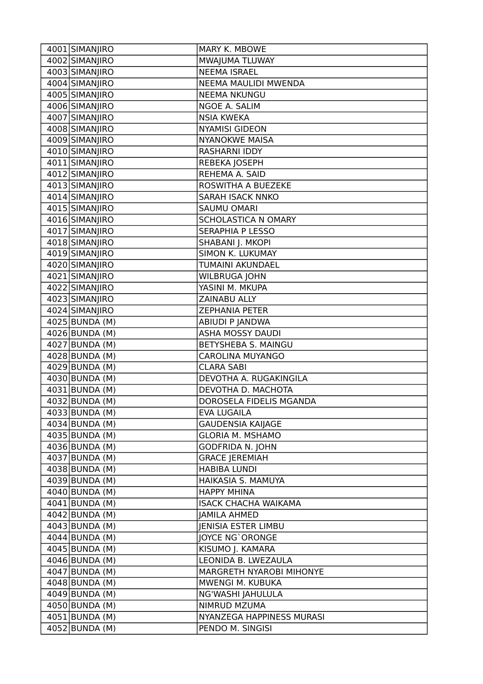| 4001 SIMANJIRO               | MARY K. MBOWE               |
|------------------------------|-----------------------------|
| 4002 SIMANJIRO               | MWAJUMA TLUWAY              |
| 4003 SIMANJIRO               | <b>NEEMA ISRAEL</b>         |
| 4004 SIMANJIRO               | NEEMA MAULIDI MWENDA        |
| 4005 SIMANJIRO               | <b>NEEMA NKUNGU</b>         |
| 4006 SIMANJIRO               | NGOE A. SALIM               |
| 4007 SIMANJIRO               | <b>NSIA KWEKA</b>           |
| 4008 SIMANJIRO               | <b>NYAMISI GIDEON</b>       |
| 4009 SIMANJIRO               | <b>NYANOKWE MAISA</b>       |
| 4010 SIMANJIRO               | <b>RASHARNI IDDY</b>        |
| 4011 SIMANJIRO               | REBEKA JOSEPH               |
| 4012 SIMANJIRO               | REHEMA A. SAID              |
| $\overline{4013}$ SIMANJIRO  | ROSWITHA A BUEZEKE          |
| 4014 SIMANJIRO               | <b>SARAH ISACK NNKO</b>     |
| 4015 SIMANJIRO               | <b>SAUMU OMARI</b>          |
| 4016 SIMANJIRO               | SCHOLASTICA N OMARY         |
| 4017 SIMANJIRO               | <b>SERAPHIA P LESSO</b>     |
| 4018 SIMANJIRO               | SHABANI J. MKOPI            |
| 4019 SIMANJIRO               | SIMON K. LUKUMAY            |
| 4020 SIMANJIRO               | TUMAINI AKUNDAEL            |
| 4021 SIMANJIRO               | WILBRUGA JOHN               |
| 4022 SIMANJIRO               | YASINI M. MKUPA             |
| 4023 SIMANJIRO               | ZAINABU ALLY                |
| 4024 SIMANJIRO               | <b>ZEPHANIA PETER</b>       |
| 4025 BUNDA (M)               | ABIUDI P JANDWA             |
| 4026 BUNDA (M)               | <b>ASHA MOSSY DAUDI</b>     |
| 4027 BUNDA (M)               | BETYSHEBA S. MAINGU         |
| $\overline{40}$ 28 BUNDA (M) | CAROLINA MUYANGO            |
| 4029 BUNDA (M)               | <b>CLARA SABI</b>           |
| 4030 BUNDA (M)               | DEVOTHA A. RUGAKINGILA      |
| 4031 BUNDA (M)               | DEVOTHA D. MACHOTA          |
| 4032 BUNDA (M)               | DOROSELA FIDELIS MGANDA     |
| 4033 BUNDA (M)               | <b>EVA LUGAILA</b>          |
| 4034 BUNDA (M)               | <b>GAUDENSIA KAIJAGE</b>    |
| 4035 BUNDA (M)               | <b>GLORIA M. MSHAMO</b>     |
| 4036 BUNDA (M)               | <b>GODFRIDA N. JOHN</b>     |
| 4037 BUNDA (M)               | <b>GRACE JEREMIAH</b>       |
| 4038 BUNDA (M)               | <b>HABIBA LUNDI</b>         |
| 4039 BUNDA (M)               | HAIKASIA S. MAMUYA          |
| 4040 BUNDA (M)               | <b>HAPPY MHINA</b>          |
| 4041 BUNDA (M)               | <b>ISACK CHACHA WAIKAMA</b> |
| 4042 BUNDA (M)               | <b>JAMILA AHMED</b>         |
| 4043 BUNDA (M)               | <b>JENISIA ESTER LIMBU</b>  |
| $4044$ BUNDA (M)             | JOYCE NG'ORONGE             |
| 4045 BUNDA (M)               | KISUMO J. KAMARA            |
| 4046 BUNDA (M)               | LEONIDA B. LWEZAULA         |
| 4047 BUNDA (M)               | MARGRETH NYAROBI MIHONYE    |
| 4048 BUNDA (M)               | MWENGI M. KUBUKA            |
| 4049 BUNDA (M)               | NG'WASHI JAHULULA           |
| 4050 BUNDA (M)               | NIMRUD MZUMA                |
| 4051 BUNDA (M)               | NYANZEGA HAPPINESS MURASI   |
| 4052 BUNDA (M)               | PENDO M. SINGISI            |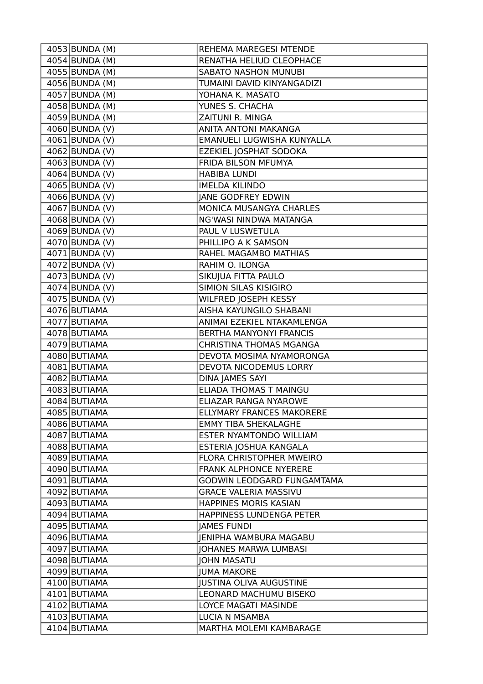| 4053 BUNDA (M)              | REHEMA MAREGESI MTENDE           |
|-----------------------------|----------------------------------|
| 4054 BUNDA (M)              | RENATHA HELIUD CLEOPHACE         |
| 4055 BUNDA (M)              | <b>SABATO NASHON MUNUBI</b>      |
| 4056 BUNDA (M)              | TUMAINI DAVID KINYANGADIZI       |
| 4057 BUNDA (M)              | YOHANA K. MASATO                 |
| 4058 BUNDA (M)              | YUNES S. CHACHA                  |
| $4059$ BUNDA (M)            | ZAITUNI R. MINGA                 |
| 4060 BUNDA (V)              | ANITA ANTONI MAKANGA             |
| $4061$  BUNDA (V)           | EMANUELI LUGWISHA KUNYALLA       |
| 4062 BUNDA (V)              | EZEKIEL JOSPHAT SODOKA           |
| $4063$ BUNDA (V)            | FRIDA BILSON MFUMYA              |
| 4064 BUNDA (V)              | <b>HABIBA LUNDI</b>              |
| 4065 BUNDA (V)              | <b>IMELDA KILINDO</b>            |
| 4066 BUNDA (V)              | <b>JANE GODFREY EDWIN</b>        |
| $4067$ BUNDA (V)            | MONICA MUSANGYA CHARLES          |
| 4068 BUNDA (V)              | NG'WASI NINDWA MATANGA           |
| 4069 BUNDA (V)              | PAUL V LUSWETULA                 |
| 4070 BUNDA (V)              | PHILLIPO A K SAMSON              |
| $\overline{4071}$ BUNDA (V) | RAHEL MAGAMBO MATHIAS            |
| 4072 BUNDA (V)              | RAHIM O. ILONGA                  |
| 4073 BUNDA (V)              | SIKUJUA FITTA PAULO              |
| $\overline{4074}$ BUNDA (V) | SIMION SILAS KISIGIRO            |
| 4075 BUNDA (V)              | WILFRED JOSEPH KESSY             |
| 4076 BUTIAMA                | AISHA KAYUNGILO SHABANI          |
| 4077 BUTIAMA                | ANIMAI EZEKIEL NTAKAMLENGA       |
| 4078 BUTIAMA                | <b>BERTHA MANYONYI FRANCIS</b>   |
| 4079 BUTIAMA                | CHRISTINA THOMAS MGANGA          |
| 4080 BUTIAMA                | DEVOTA MOSIMA NYAMORONGA         |
| 4081 BUTIAMA                | DEVOTA NICODEMUS LORRY           |
| 4082 BUTIAMA                | <b>DINA JAMES SAYI</b>           |
| 4083 BUTIAMA                | ELIADA THOMAS T MAINGU           |
| 4084 BUTIAMA                | ELIAZAR RANGA NYAROWE            |
| 4085 BUTIAMA                | <b>ELLYMARY FRANCES MAKORERE</b> |
| 4086 BUTIAMA                | <b>EMMY TIBA SHEKALAGHE</b>      |
| 4087 BUTIAMA                | ESTER NYAMTONDO WILLIAM          |
| 4088 BUTIAMA                | ESTERIA JOSHUA KANGALA           |
| 4089 BUTIAMA                | FLORA CHRISTOPHER MWEIRO         |
| 4090 BUTIAMA                | <b>FRANK ALPHONCE NYERERE</b>    |
| 4091 BUTIAMA                | GODWIN LEODGARD FUNGAMTAMA       |
| 4092 BUTIAMA                | <b>GRACE VALERIA MASSIVU</b>     |
| 4093 BUTIAMA                | <b>HAPPINES MORIS KASIAN</b>     |
| 4094 BUTIAMA                | HAPPINESS LUNDENGA PETER         |
| 4095 BUTIAMA                | <b>JAMES FUNDI</b>               |
| 4096 BUTIAMA                | JENIPHA WAMBURA MAGABU           |
| 4097 BUTIAMA                | <b>JOHANES MARWA LUMBASI</b>     |
| 4098 BUTIAMA                | <b>JOHN MASATU</b>               |
| 4099 BUTIAMA                | <b>JUMA MAKORE</b>               |
| 4100 BUTIAMA                | <b>JUSTINA OLIVA AUGUSTINE</b>   |
| 4101 BUTIAMA                | LEONARD MACHUMU BISEKO           |
| 4102 BUTIAMA                | LOYCE MAGATI MASINDE             |
| 4103 BUTIAMA                | LUCIA N MSAMBA                   |
| 4104 BUTIAMA                | MARTHA MOLEMI KAMBARAGE          |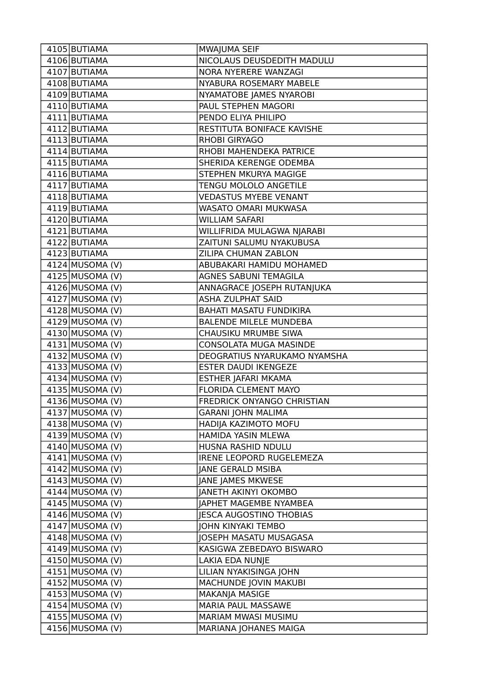| 4105 BUTIAMA      | MWAJUMA SEIF                    |
|-------------------|---------------------------------|
| 4106 BUTIAMA      | NICOLAUS DEUSDEDITH MADULU      |
| 4107 BUTIAMA      | NORA NYERERE WANZAGI            |
| 4108 BUTIAMA      | NYABURA ROSEMARY MABELE         |
| 4109 BUTIAMA      | NYAMATOBE JAMES NYAROBI         |
| 4110 BUTIAMA      | PAUL STEPHEN MAGORI             |
| 4111 BUTIAMA      | PENDO ELIYA PHILIPO             |
| 4112 BUTIAMA      | RESTITUTA BONIFACE KAVISHE      |
| 4113 BUTIAMA      | RHOBI GIRYAGO                   |
| 4114 BUTIAMA      | RHOBI MAHENDEKA PATRICE         |
| 4115 BUTIAMA      | SHERIDA KERENGE ODEMBA          |
| 4116 BUTIAMA      | STEPHEN MKURYA MAGIGE           |
| 4117 BUTIAMA      | TENGU MOLOLO ANGETILE           |
| 4118 BUTIAMA      | <b>VEDASTUS MYEBE VENANT</b>    |
| 4119 BUTIAMA      | WASATO OMARI MUKWASA            |
| 4120 BUTIAMA      | <b>WILLIAM SAFARI</b>           |
| 4121 BUTIAMA      | WILLIFRIDA MULAGWA NJARABI      |
| 4122 BUTIAMA      | ZAITUNI SALUMU NYAKUBUSA        |
| 4123 BUTIAMA      | ZILIPA CHUMAN ZABLON            |
| $4124$ MUSOMA (V) | ABUBAKARI HAMIDU MOHAMED        |
| $4125$ MUSOMA (V) | AGNES SABUNI TEMAGILA           |
| $4126$ MUSOMA (V) | ANNAGRACE JOSEPH RUTANJUKA      |
| $4127$ MUSOMA (V) | <b>ASHA ZULPHAT SAID</b>        |
| 4128 MUSOMA (V)   | <b>BAHATI MASATU FUNDIKIRA</b>  |
| $4129$ MUSOMA (V) | <b>BALENDE MILELE MUNDEBA</b>   |
| $4130$ MUSOMA (V) | CHAUSIKU MRUMBE SIWA            |
| $4131$ MUSOMA (V) | CONSOLATA MUGA MASINDE          |
| 4132 MUSOMA (V)   | DEOGRATIUS NYARUKAMO NYAMSHA    |
| $4133$ MUSOMA (V) | <b>ESTER DAUDI IKENGEZE</b>     |
| 4134 MUSOMA (V)   | ESTHER JAFARI MKAMA             |
| $4135$ MUSOMA (V) | FLORIDA CLEMENT MAYO            |
| 4136 MUSOMA (V)   | FREDRICK ONYANGO CHRISTIAN      |
| 4137 MUSOMA (V)   | <b>GARANI JOHN MALIMA</b>       |
| 4138 MUSOMA (V)   | HADIJA KAZIMOTO MOFU            |
| 4139 MUSOMA (V)   | HAMIDA YASIN MLEWA              |
| $4140$ MUSOMA (V) | HUSNA RASHID NDULU              |
| 4141 MUSOMA (V)   | <b>IRENE LEOPORD RUGELEMEZA</b> |
| 4142 MUSOMA (V)   | <b>JANE GERALD MSIBA</b>        |
| $4143$ MUSOMA (V) | JANE JAMES MKWESE               |
| 4144 MUSOMA (V)   | <b>JANETH AKINYI OKOMBO</b>     |
| 4145 MUSOMA (V)   | JAPHET MAGEMBE NYAMBEA          |
| 4146 MUSOMA (V)   | JESCA AUGOSTINO THOBIAS         |
| 4147 MUSOMA (V)   | JOHN KINYAKI TEMBO              |
| 4148 MUSOMA (V)   | JOSEPH MASATU MUSAGASA          |
| $4149$ MUSOMA (V) | KASIGWA ZEBEDAYO BISWARO        |
| 4150 MUSOMA (V)   | LAKIA EDA NUNJE                 |
| $4151$ MUSOMA (V) | LILIAN NYAKISINGA JOHN          |
| $4152$ MUSOMA (V) | MACHUNDE JOVIN MAKUBI           |
| 4153 MUSOMA (V)   | MAKANJA MASIGE                  |
| $4154$ MUSOMA (V) | MARIA PAUL MASSAWE              |
| 4155 MUSOMA (V)   | MARIAM MWASI MUSIMU             |
| 4156 MUSOMA (V)   | MARIANA JOHANES MAIGA           |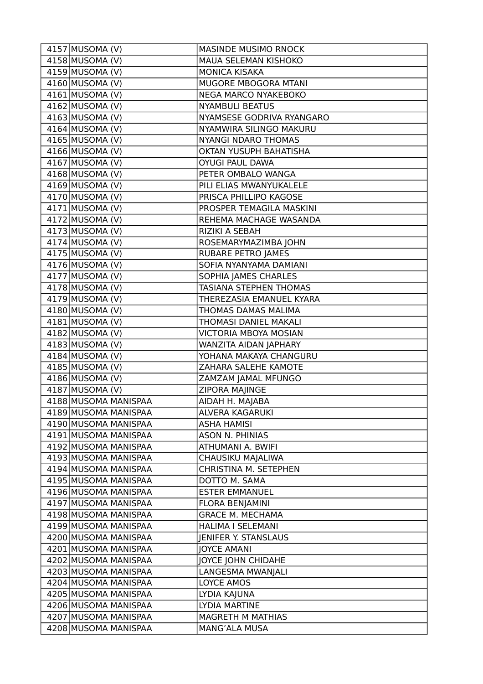| 4157 MUSOMA (V)              | <b>MASINDE MUSIMO RNOCK</b> |
|------------------------------|-----------------------------|
| $4158$ MUSOMA (V)            | MAUA SELEMAN KISHOKO        |
| $4159$ MUSOMA (V)            | <b>MONICA KISAKA</b>        |
| $4160$ MUSOMA (V)            | MUGORE MBOGORA MTANI        |
| $4161$ MUSOMA (V)            | NEGA MARCO NYAKEBOKO        |
| $4162$ MUSOMA (V)            | <b>NYAMBULI BEATUS</b>      |
| $4163$ MUSOMA (V)            | NYAMSESE GODRIVA RYANGARO   |
| $\overline{4164}$ MUSOMA (V) | NYAMWIRA SILINGO MAKURU     |
| $4165$ MUSOMA (V)            | <b>NYANGI NDARO THOMAS</b>  |
| $4166$ MUSOMA (V)            | OKTAN YUSUPH BAHATISHA      |
| $4167$ MUSOMA (V)            | <b>OYUGI PAUL DAWA</b>      |
| $4168$ MUSOMA (V)            | PETER OMBALO WANGA          |
| $4169$ MUSOMA (V)            | PILI ELIAS MWANYUKALELE     |
| $4170$ MUSOMA (V)            | PRISCA PHILLIPO KAGOSE      |
| $4171$ MUSOMA (V)            | PROSPER TEMAGILA MASKINI    |
| 4172 MUSOMA (V)              | REHEMA MACHAGE WASANDA      |
| $4173$ MUSOMA (V)            | RIZIKI A SEBAH              |
| $4174$ MUSOMA (V)            | ROSEMARYMAZIMBA JOHN        |
| 4175 MUSOMA (V)              | <b>RUBARE PETRO JAMES</b>   |
| $4176$ MUSOMA (V)            | SOFIA NYANYAMA DAMIANI      |
| $4177$ MUSOMA (V)            | SOPHIA JAMES CHARLES        |
| $4178$ MUSOMA (V)            | TASIANA STEPHEN THOMAS      |
| $4179$ MUSOMA (V)            | THEREZASIA EMANUEL KYARA    |
| $4180$ MUSOMA (V)            | THOMAS DAMAS MALIMA         |
| $4181$ MUSOMA (V)            | THOMASI DANIEL MAKALI       |
| $4182$ MUSOMA (V)            | VICTORIA MBOYA MOSIAN       |
| $4183$ MUSOMA (V)            | WANZITA AIDAN JAPHARY       |
| $4184$ MUSOMA (V)            | YOHANA MAKAYA CHANGURU      |
| $4185$ MUSOMA (V)            | ZAHARA SALEHE KAMOTE        |
| $4186$ MUSOMA (V)            | ZAMZAM JAMAL MFUNGO         |
| $4187$ MUSOMA (V)            | <b>ZIPORA MAJINGE</b>       |
| 4188 MUSOMA MANISPAA         | AIDAH H. MAJABA             |
| 4189 MUSOMA MANISPAA         | ALVERA KAGARUKI             |
| 4190 MUSOMA MANISPAA         | <b>ASHA HAMISI</b>          |
| 4191 MUSOMA MANISPAA         | <b>ASON N. PHINIAS</b>      |
| 4192 MUSOMA MANISPAA         | ATHUMANI A. BWIFI           |
| 4193 MUSOMA MANISPAA         | CHAUSIKU MAJALIWA           |
| 4194 MUSOMA MANISPAA         | CHRISTINA M. SETEPHEN       |
| 4195 MUSOMA MANISPAA         | DOTTO M. SAMA               |
| 4196 MUSOMA MANISPAA         | <b>ESTER EMMANUEL</b>       |
| 4197 MUSOMA MANISPAA         | FLORA BENJAMINI             |
| 4198 MUSOMA MANISPAA         | <b>GRACE M. MECHAMA</b>     |
| 4199 MUSOMA MANISPAA         | HALIMA I SELEMANI           |
| 4200 MUSOMA MANISPAA         | <b>JENIFER Y. STANSLAUS</b> |
| 4201 MUSOMA MANISPAA         | <b>JOYCE AMANI</b>          |
| 4202 MUSOMA MANISPAA         | JOYCE JOHN CHIDAHE          |
| 4203 MUSOMA MANISPAA         | LANGESMA MWANJALI           |
| 4204 MUSOMA MANISPAA         | LOYCE AMOS                  |
| 4205 MUSOMA MANISPAA         | LYDIA KAJUNA                |
| 4206 MUSOMA MANISPAA         | LYDIA MARTINE               |
| 4207 MUSOMA MANISPAA         | MAGRETH M MATHIAS           |
| 4208 MUSOMA MANISPAA         | MANG'ALA MUSA               |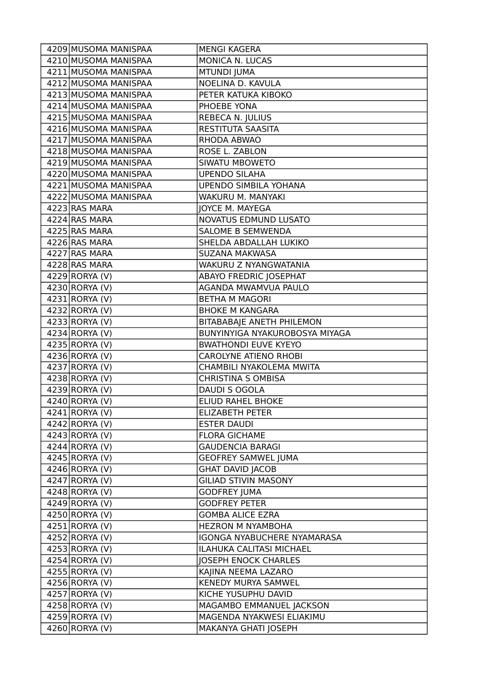| 4209 MUSOMA MANISPAA         | <b>MENGI KAGERA</b>            |
|------------------------------|--------------------------------|
| 4210 MUSOMA MANISPAA         | MONICA N. LUCAS                |
| 4211 MUSOMA MANISPAA         | <b>MTUNDI JUMA</b>             |
| 4212 MUSOMA MANISPAA         | NOELINA D. KAVULA              |
| 4213 MUSOMA MANISPAA         | PETER KATUKA KIBOKO            |
| 4214 MUSOMA MANISPAA         | PHOEBE YONA                    |
| 4215 MUSOMA MANISPAA         | REBECA N. JULIUS               |
| 4216 MUSOMA MANISPAA         | RESTITUTA SAASITA              |
| 4217 MUSOMA MANISPAA         | RHODA ABWAO                    |
| 4218 MUSOMA MANISPAA         | ROSE L. ZABLON                 |
| 4219 MUSOMA MANISPAA         | <b>SIWATU MBOWETO</b>          |
| 4220 MUSOMA MANISPAA         | <b>UPENDO SILAHA</b>           |
| 4221 MUSOMA MANISPAA         | <b>UPENDO SIMBILA YOHANA</b>   |
| 4222 MUSOMA MANISPAA         | WAKURU M. MANYAKI              |
| 4223 RAS MARA                | JOYCE M. MAYEGA                |
| 4224 RAS MARA                | NOVATUS EDMUND LUSATO          |
| 4225 RAS MARA                | SALOME B SEMWENDA              |
| 4226 RAS MARA                | SHELDA ABDALLAH LUKIKO         |
| 4227 RAS MARA                | SUZANA MAKWASA                 |
| 4228 RAS MARA                | WAKURU Z NYANGWATANIA          |
| 4229 RORYA (V)               | <b>ABAYO FREDRIC JOSEPHAT</b>  |
| $\overline{4}$ 230 RORYA (V) | AGANDA MWAMVUA PAULO           |
| 4231 RORYA (V)               | <b>BETHA M MAGORI</b>          |
| 4232 RORYA (V)               | <b>BHOKE M KANGARA</b>         |
| 4233 RORYA (V)               | BITABABAJE ANETH PHILEMON      |
| 4234 RORYA (V)               | BUNYINYIGA NYAKUROBOSYA MIYAGA |
| 4235 RORYA (V)               | <b>BWATHONDI EUVE KYEYO</b>    |
| 4236 RORYA (V)               | <b>CAROLYNE ATIENO RHOBI</b>   |
| 4237 RORYA (V)               | CHAMBILI NYAKOLEMA MWITA       |
| 4238 RORYA (V)               | <b>CHRISTINA S OMBISA</b>      |
| 4239 RORYA (V)               | DAUDI S OGOLA                  |
| 4240 RORYA (V)               | <b>ELIUD RAHEL BHOKE</b>       |
| 4241 RORYA (V)               | <b>ELIZABETH PETER</b>         |
| 4242 RORYA (V)               | <b>ESTER DAUDI</b>             |
| 4243 RORYA (V)               | <b>FLORA GICHAME</b>           |
| 4244 RORYA (V)               | <b>GAUDENCIA BARAGI</b>        |
| 4245 RORYA (V)               | <b>GEOFREY SAMWEL JUMA</b>     |
| 4246 RORYA (V)               | <b>GHAT DAVID JACOB</b>        |
| 4247 RORYA (V)               | <b>GILIAD STIVIN MASONY</b>    |
| 4248 RORYA (V)               | <b>GODFREY JUMA</b>            |
| 4249 RORYA (V)               | <b>GODFREY PETER</b>           |
| 4250 RORYA (V)               | <b>GOMBA ALICE EZRA</b>        |
| 4251 RORYA (V)               | <b>HEZRON M NYAMBOHA</b>       |
| 4252 RORYA (V)               | IGONGA NYABUCHERE NYAMARASA    |
| 4253 RORYA (V)               | ILAHUKA CALITASI MICHAEL       |
| 4254 RORYA (V)               | <b>JOSEPH ENOCK CHARLES</b>    |
| 4255 RORYA (V)               | KAJINA NEEMA LAZARO            |
| 4256 RORYA (V)               | KENEDY MURYA SAMWEL            |
| 4257 RORYA (V)               | KICHE YUSUPHU DAVID            |
| 4258 RORYA (V)               | MAGAMBO EMMANUEL JACKSON       |
| 4259 RORYA (V)               | MAGENDA NYAKWESI ELIAKIMU      |
| 4260 RORYA (V)               | MAKANYA GHATI JOSEPH           |
|                              |                                |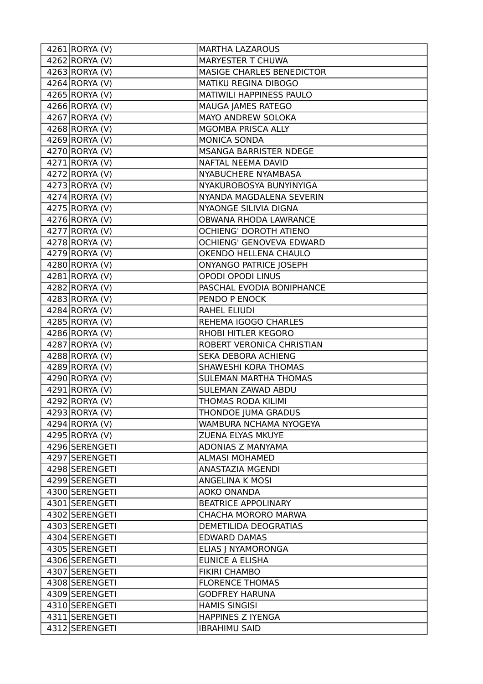| 4261 RORYA (V)              | <b>MARTHA LAZAROUS</b>           |
|-----------------------------|----------------------------------|
| $4262$ RORYA (V)            | <b>MARYESTER T CHUWA</b>         |
| 4263 RORYA (V)              | <b>MASIGE CHARLES BENEDICTOR</b> |
| 4264 RORYA (V)              | MATIKU REGINA DIBOGO             |
| 4265 RORYA (V)              | MATIWILI HAPPINESS PAULO         |
| 4266 RORYA (V)              | MAUGA JAMES RATEGO               |
| 4267 RORYA (V)              | MAYO ANDREW SOLOKA               |
| 4268 RORYA (V)              | MGOMBA PRISCA ALLY               |
| 4269 RORYA (V)              | <b>MONICA SONDA</b>              |
| 4270 RORYA (V)              | <b>MSANGA BARRISTER NDEGE</b>    |
| 4271 RORYA (V)              | NAFTAL NEEMA DAVID               |
| 4272 RORYA (V)              | NYABUCHERE NYAMBASA              |
| 4273 RORYA (V)              | NYAKUROBOSYA BUNYINYIGA          |
| 4274 RORYA (V)              | NYANDA MAGDALENA SEVERIN         |
| 4275 RORYA (V)              | NYAONGE SILIVIA DIGNA            |
| 4276 RORYA (V)              | OBWANA RHODA LAWRANCE            |
| 4277 RORYA (V)              | <b>OCHIENG' DOROTH ATIENO</b>    |
| 4278 RORYA (V)              | OCHIENG' GENOVEVA EDWARD         |
| 4279 RORYA (V)              | OKENDO HELLENA CHAULO            |
| 4280 RORYA (V)              | <b>ONYANGO PATRICE JOSEPH</b>    |
| 4281 RORYA (V)              | <b>OPODI OPODI LINUS</b>         |
| 4282 RORYA (V)              | PASCHAL EVODIA BONIPHANCE        |
| 4283 RORYA (V)              | PENDO P ENOCK                    |
| 4284 RORYA (V)              | RAHEL ELIUDI                     |
| 4285 RORYA (V)              | REHEMA IGOGO CHARLES             |
| 4286 RORYA (V)              | RHOBI HITLER KEGORO              |
| 4287 RORYA (V)              | ROBERT VERONICA CHRISTIAN        |
| 4288 RORYA (V)              | SEKA DEBORA ACHIENG              |
| 4289 RORYA (V)              | SHAWESHI KORA THOMAS             |
| 4290 RORYA (V)              | <b>SULEMAN MARTHA THOMAS</b>     |
| $\overline{4291}$ RORYA (V) | SULEMAN ZAWAD ABDU               |
| 4292 RORYA (V)              | THOMAS RODA KILIMI               |
| 4293 RORYA (V)              | THONDOE JUMA GRADUS              |
| 4294 RORYA (V)              | WAMBURA NCHAMA NYOGEYA           |
| 4295 RORYA (V)              | ZUENA ELYAS MKUYE                |
| 4296 SERENGETI              | ADONIAS Z MANYAMA                |
| 4297 SERENGETI              | <b>ALMASI MOHAMED</b>            |
| 4298 SERENGETI              | ANASTAZIA MGENDI                 |
| 4299 SERENGETI              | ANGELINA K MOSI                  |
| 4300 SERENGETI              | AOKO ONANDA                      |
| 4301 SERENGETI              | <b>BEATRICE APPOLINARY</b>       |
| 4302 SERENGETI              | CHACHA MORORO MARWA              |
| 4303 SERENGETI              | DEMETILIDA DEOGRATIAS            |
| 4304 SERENGETI              | <b>EDWARD DAMAS</b>              |
| 4305 SERENGETI              | ELIAS J NYAMORONGA               |
| 4306 SERENGETI              | <b>EUNICE A ELISHA</b>           |
| 4307 SERENGETI              | <b>FIKIRI CHAMBO</b>             |
| 4308 SERENGETI              | <b>FLORENCE THOMAS</b>           |
| 4309 SERENGETI              | <b>GODFREY HARUNA</b>            |
| 4310 SERENGETI              | <b>HAMIS SINGISI</b>             |
| 4311 SERENGETI              | <b>HAPPINES Z IYENGA</b>         |
| 4312 SERENGETI              | <b>IBRAHIMU SAID</b>             |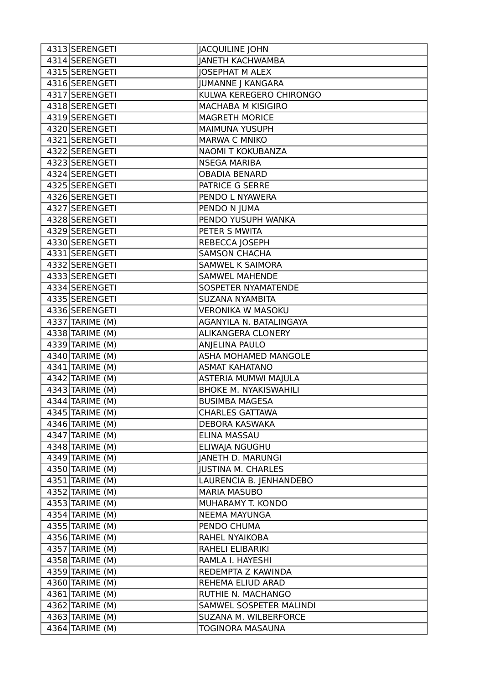| 4313 SERENGETI               | <b>JACQUILINE JOHN</b>       |
|------------------------------|------------------------------|
| 4314 SERENGETI               | <b>JANETH KACHWAMBA</b>      |
| 4315 SERENGETI               | <b>JOSEPHAT M ALEX</b>       |
| 4316 SERENGETI               | <b>JUMANNE J KANGARA</b>     |
| 4317 SERENGETI               | KULWA KEREGERO CHIRONGO      |
| 4318 SERENGETI               | MACHABA M KISIGIRO           |
| 4319 SERENGETI               | <b>MAGRETH MORICE</b>        |
| 4320 SERENGETI               | <b>MAIMUNA YUSUPH</b>        |
| 4321 SERENGETI               | MARWA C MNIKO                |
| 4322 SERENGETI               | NAOMI T KOKUBANZA            |
| 4323 SERENGETI               | <b>NSEGA MARIBA</b>          |
| 4324 SERENGETI               | <b>OBADIA BENARD</b>         |
| 4325 SERENGETI               | PATRICE G SERRE              |
| 4326 SERENGETI               | PENDO L NYAWERA              |
| 4327 SERENGETI               | PENDO N JUMA                 |
| 4328 SERENGETI               | PENDO YUSUPH WANKA           |
| 4329 SERENGETI               | PETER S MWITA                |
| 4330 SERENGETI               | REBECCA JOSEPH               |
| 4331 SERENGETI               | <b>SAMSON CHACHA</b>         |
| 4332 SERENGETI               | SAMWEL K SAIMORA             |
| 4333 SERENGETI               | <b>SAMWEL MAHENDE</b>        |
| 4334 SERENGETI               | SOSPETER NYAMATENDE          |
| 4335 SERENGETI               | SUZANA NYAMBITA              |
| 4336 SERENGETI               | <b>VERONIKA W MASOKU</b>     |
| $\overline{4337}$ TARIME (M) | AGANYILA N. BATALINGAYA      |
| 4338 TARIME (M)              | ALIKANGERA CLONERY           |
| 4339 TARIME (M)              | ANJELINA PAULO               |
| 4340 TARIME (M)              | ASHA MOHAMED MANGOLE         |
| 4341 TARIME (M)              | <b>ASMAT KAHATANO</b>        |
| 4342 TARIME (M)              | ASTERIA MUMWI MAJULA         |
| $4343$ TARIME (M)            | <b>BHOKE M. NYAKISWAHILI</b> |
| 4344 TARIME (M)              | <b>BUSIMBA MAGESA</b>        |
| 4345 TARIME (M)              | <b>CHARLES GATTAWA</b>       |
| 4346 TARIME (M)              | DEBORA KASWAKA               |
| $4347$ TARIME (M)            | ELINA MASSAU                 |
| 4348 TARIME (M)              | ELIWAJA NGUGHU               |
| 4349 TARIME (M)              | <b>JANETH D. MARUNGI</b>     |
| 4350 TARIME (M)              | <b>JUSTINA M. CHARLES</b>    |
| $4351$ TARIME (M)            | LAURENCIA B. JENHANDEBO      |
| $4352$ TARIME (M)            | <b>MARIA MASUBO</b>          |
| 4353 TARIME (M)              | MUHARAMY T. KONDO            |
| 4354 TARIME (M)              | NEEMA MAYUNGA                |
| 4355 TARIME (M)              | PENDO CHUMA                  |
| 4356 TARIME (M)              | RAHEL NYAIKOBA               |
| 4357 TARIME (M)              | RAHELI ELIBARIKI             |
| 4358 TARIME (M)              | RAMLA I. HAYESHI             |
| 4359 TARIME (M)              | REDEMPTA Z KAWINDA           |
| 4360 TARIME (M)              | REHEMA ELIUD ARAD            |
| 4361 TARIME (M)              | RUTHIE N. MACHANGO           |
| 4362 TARIME (M)              | SAMWEL SOSPETER MALINDI      |
| 4363 TARIME (M)              | SUZANA M. WILBERFORCE        |
| 4364 TARIME (M)              | TOGINORA MASAUNA             |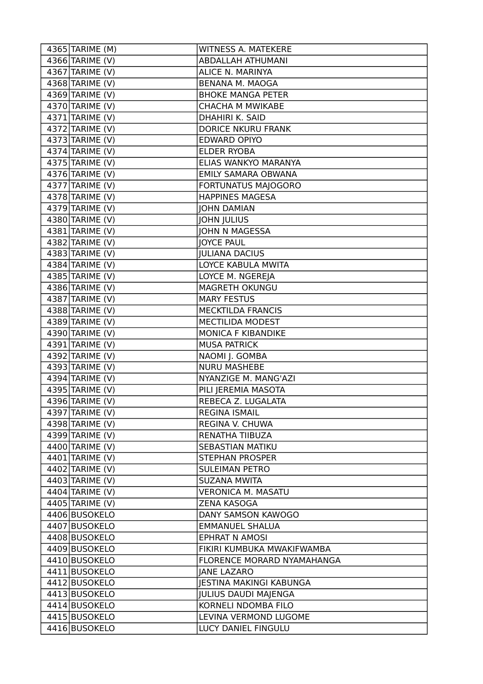| 4365 TARIME (M)              | WITNESS A. MATEKERE            |
|------------------------------|--------------------------------|
| 4366 TARIME (V)              | <b>ABDALLAH ATHUMANI</b>       |
| $4367$ TARIME (V)            | ALICE N. MARINYA               |
| $\overline{4}368$ TARIME (V) | <b>BENANA M. MAOGA</b>         |
| 4369 TARIME (V)              | <b>BHOKE MANGA PETER</b>       |
| 4370 TARIME (V)              | <b>CHACHA M MWIKABE</b>        |
| $\overline{4371}$ TARIME (V) | DHAHIRI K. SAID                |
| $4372$ TARIME (V)            | <b>DORICE NKURU FRANK</b>      |
| $4373$ TARIME (V)            | <b>EDWARD OPIYO</b>            |
| $4374$ TARIME (V)            | <b>ELDER RYOBA</b>             |
| 4375 TARIME (V)              | ELIAS WANKYO MARANYA           |
| 4376 TARIME (V)              | EMILY SAMARA OBWANA            |
| $\overline{4377}$ TARIME (V) | FORTUNATUS MAJOGORO            |
| 4378 TARIME (V)              | <b>HAPPINES MAGESA</b>         |
| $4379$ TARIME (V)            | <b>JOHN DAMIAN</b>             |
| 4380 TARIME (V)              | <b>JOHN JULIUS</b>             |
| 4381 TARIME (V)              | JOHN N MAGESSA                 |
| $4382$ TARIME (V)            | <b>JOYCE PAUL</b>              |
| $4383$ TARIME (V)            | <b>JULIANA DACIUS</b>          |
| 4384 TARIME (V)              | LOYCE KABULA MWITA             |
| 4385 TARIME (V)              | LOYCE M. NGEREJA               |
| 4386 TARIME (V)              | MAGRETH OKUNGU                 |
| 4387 TARIME (V)              | <b>MARY FESTUS</b>             |
| $4388$ TARIME (V)            | MECKTILDA FRANCIS              |
| $4389$ TARIME (V)            | MECTILIDA MODEST               |
| 4390 TARIME (V)              | MONICA F KIBANDIKE             |
| 4391 TARIME (V)              | <b>MUSA PATRICK</b>            |
| 4392 TARIME (V)              | NAOMI J. GOMBA                 |
| 4393 TARIME (V)              | <b>NURU MASHEBE</b>            |
| $4394$ TARIME (V)            | NYANZIGE M. MANG'AZI           |
| 4395 TARIME (V)              | PILI JEREMIA MASOTA            |
| 4396 TARIME (V)              | REBECA Z. LUGALATA             |
| 4397 TARIME (V)              | <b>REGINA ISMAIL</b>           |
| 4398 TARIME (V)              | REGINA V. CHUWA                |
| 4399 TARIME (V)              | RENATHA TIIBUZA                |
| 4400 TARIME (V)              | <b>SEBASTIAN MATIKU</b>        |
| 4401 TARIME (V)              | <b>STEPHAN PROSPER</b>         |
| 4402 TARIME (V)              | <b>SULEIMAN PETRO</b>          |
| 4403 TARIME (V)              | <b>SUZANA MWITA</b>            |
| 4404 TARIME (V)              | <b>VERONICA M. MASATU</b>      |
| 4405 TARIME (V)              | <b>ZENA KASOGA</b>             |
| 4406 BUSOKELO                | DANY SAMSON KAWOGO             |
| 4407 BUSOKELO                | <b>EMMANUEL SHALUA</b>         |
| 4408 BUSOKELO                | <b>EPHRAT N AMOSI</b>          |
| 4409 BUSOKELO                | FIKIRI KUMBUKA MWAKIFWAMBA     |
| 4410 BUSOKELO                | FLORENCE MORARD NYAMAHANGA     |
| 4411 BUSOKELO                | <b>JANE LAZARO</b>             |
| 4412 BUSOKELO                | <b>JESTINA MAKINGI KABUNGA</b> |
| 4413 BUSOKELO                | <b>JULIUS DAUDI MAJENGA</b>    |
| 4414 BUSOKELO                | KORNELI NDOMBA FILO            |
| 4415 BUSOKELO                | LEVINA VERMOND LUGOME          |
| 4416 BUSOKELO                | LUCY DANIEL FINGULU            |
|                              |                                |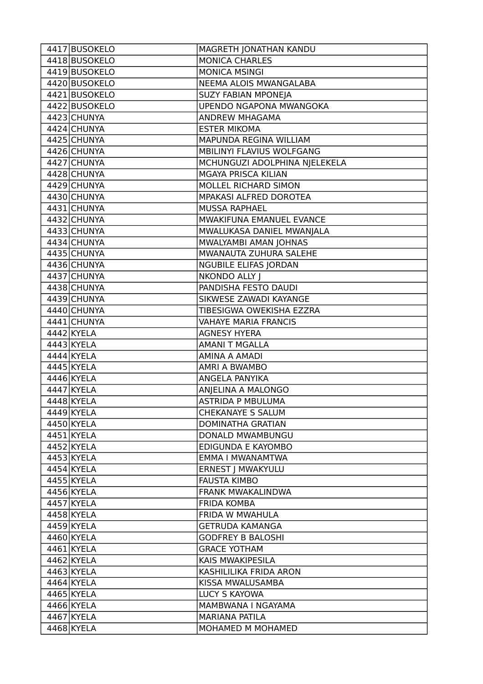| 4417 BUSOKELO | MAGRETH JONATHAN KANDU         |
|---------------|--------------------------------|
| 4418 BUSOKELO | <b>MONICA CHARLES</b>          |
| 4419 BUSOKELO | <b>MONICA MSINGI</b>           |
| 4420 BUSOKELO | NEEMA ALOIS MWANGALABA         |
| 4421 BUSOKELO | <b>SUZY FABIAN MPONEJA</b>     |
| 4422 BUSOKELO | <b>UPENDO NGAPONA MWANGOKA</b> |
| 4423 CHUNYA   | ANDREW MHAGAMA                 |
| 4424 CHUNYA   | <b>ESTER MIKOMA</b>            |
| 4425 CHUNYA   | MAPUNDA REGINA WILLIAM         |
| 4426 CHUNYA   | MBILINYI FLAVIUS WOLFGANG      |
| 4427 CHUNYA   | MCHUNGUZI ADOLPHINA NJELEKELA  |
| 4428 CHUNYA   | <b>MGAYA PRISCA KILIAN</b>     |
| 4429 CHUNYA   | MOLLEL RICHARD SIMON           |
| 4430 CHUNYA   | MPAKASI ALFRED DOROTEA         |
| 4431 CHUNYA   | <b>MUSSA RAPHAEL</b>           |
| 4432 CHUNYA   | MWAKIFUNA EMANUEL EVANCE       |
| 4433 CHUNYA   | MWALUKASA DANIEL MWANJALA      |
| 4434 CHUNYA   | MWALYAMBI AMAN JOHNAS          |
| 4435 CHUNYA   | MWANAUTA ZUHURA SALEHE         |
| 4436 CHUNYA   | <b>NGUBILE ELIFAS JORDAN</b>   |
| 4437 CHUNYA   | NKONDO ALLY J                  |
| 4438 CHUNYA   | PANDISHA FESTO DAUDI           |
| 4439 CHUNYA   | SIKWESE ZAWADI KAYANGE         |
| 4440 CHUNYA   | TIBESIGWA OWEKISHA EZZRA       |
| 4441 CHUNYA   | <b>VAHAYE MARIA FRANCIS</b>    |
| 4442 KYELA    | <b>AGNESY HYERA</b>            |
| 4443 KYELA    | <b>AMANI T MGALLA</b>          |
| 4444 KYELA    | <b>AMINA A AMADI</b>           |
| 4445 KYELA    | AMRI A BWAMBO                  |
| 4446 KYELA    | ANGELA PANYIKA                 |
| 4447 KYELA    | ANJELINA A MALONGO             |
| 4448 KYELA    | <b>ASTRIDA P MBULUMA</b>       |
| 4449 KYELA    | CHEKANAYE S SALUM              |
| 4450 KYELA    | <b>DOMINATHA GRATIAN</b>       |
| 4451 KYELA    | DONALD MWAMBUNGU               |
| 4452 KYELA    | EDIGUNDA E KAYOMBO             |
| 4453 KYELA    | EMMA I MWANAMTWA               |
| 4454 KYELA    | ERNEST   MWAKYULU              |
| 4455 KYELA    | <b>FAUSTA KIMBO</b>            |
| 4456 KYELA    | <b>FRANK MWAKALINDWA</b>       |
| 4457 KYELA    | <b>FRIDA KOMBA</b>             |
| 4458 KYELA    | FRIDA W MWAHULA                |
| 4459 KYELA    | <b>GETRUDA KAMANGA</b>         |
| 4460 KYELA    | <b>GODFREY B BALOSHI</b>       |
| 4461 KYELA    | <b>GRACE YOTHAM</b>            |
| 4462 KYELA    | KAIS MWAKIPESILA               |
| 4463 KYELA    | KASHILILIKA FRIDA ARON         |
| $4464$ KYELA  | KISSA MWALUSAMBA               |
| 4465 KYELA    | LUCY S KAYOWA                  |
| 4466 KYELA    | MAMBWANA I NGAYAMA             |
| 4467 KYELA    | <b>MARIANA PATILA</b>          |
| 4468 KYELA    | MOHAMED M MOHAMED              |
|               |                                |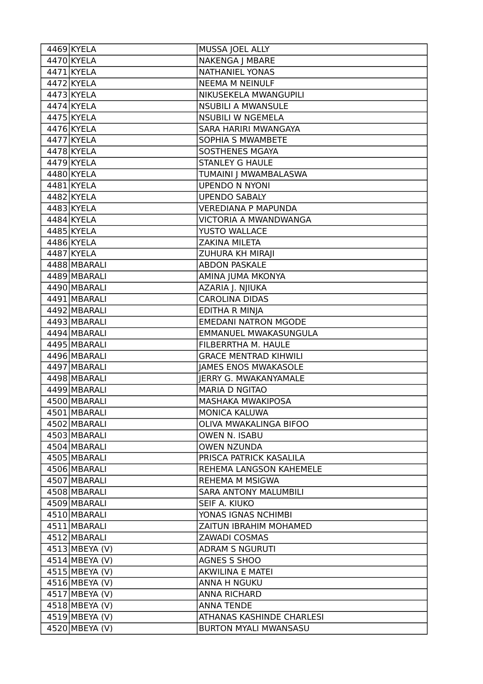| 4469 KYELA       | MUSSA JOEL ALLY              |
|------------------|------------------------------|
| 4470 KYELA       | NAKENGA J MBARE              |
| 4471 KYELA       | <b>NATHANIEL YONAS</b>       |
| 4472 KYELA       | <b>NEEMA M NEINULF</b>       |
| 4473 KYELA       | NIKUSEKELA MWANGUPILI        |
| 4474 KYELA       | <b>NSUBILI A MWANSULE</b>    |
| 4475 KYELA       | <b>NSUBILI W NGEMELA</b>     |
| 4476 KYELA       | SARA HARIRI MWANGAYA         |
| 4477 KYELA       | <b>SOPHIA S MWAMBETE</b>     |
| 4478 KYELA       | <b>SOSTHENES MGAYA</b>       |
| 4479 KYELA       | <b>STANLEY G HAULE</b>       |
| 4480 KYELA       | TUMAINI   MWAMBALASWA        |
| $4481$ KYELA     | <b>UPENDO N NYONI</b>        |
| 4482 KYELA       | <b>UPENDO SABALY</b>         |
| 4483 KYELA       | <b>VEREDIANA P MAPUNDA</b>   |
| 4484 KYELA       | VICTORIA A MWANDWANGA        |
| 4485 KYELA       | YUSTO WALLACE                |
| 4486 KYELA       | ZAKINA MILETA                |
| 4487 KYELA       | ZUHURA KH MIRAJI             |
| 4488 MBARALI     | <b>ABDON PASKALE</b>         |
| 4489 MBARALI     | AMINA JUMA MKONYA            |
| 4490 MBARALI     | AZARIA J. NJIUKA             |
| 4491 MBARALI     | <b>CAROLINA DIDAS</b>        |
| 4492 MBARALI     | <b>EDITHA R MINJA</b>        |
| 4493 MBARALI     | <b>EMEDANI NATRON MGODE</b>  |
| 4494 MBARALI     | EMMANUEL MWAKASUNGULA        |
| 4495 MBARALI     | FILBERRTHA M. HAULE          |
| 4496 MBARALI     | <b>GRACE MENTRAD KIHWILI</b> |
| 4497 MBARALI     | <b>JAMES ENOS MWAKASOLE</b>  |
| 4498 MBARALI     | <b>IERRY G. MWAKANYAMALE</b> |
| 4499 MBARALI     | <b>MARIA D NGITAO</b>        |
| 4500 MBARALI     | <b>MASHAKA MWAKIPOSA</b>     |
| 4501 MBARALI     | <b>MONICA KALUWA</b>         |
| 4502 MBARALI     | OLIVA MWAKALINGA BIFOO       |
| 4503 MBARALI     | OWEN N. ISABU                |
| 4504 MBARALI     | <b>OWEN NZUNDA</b>           |
| 4505 MBARALI     | PRISCA PATRICK KASALILA      |
| 4506 MBARALI     | REHEMA LANGSON KAHEMELE      |
| 4507 MBARALI     | <b>REHEMA M MSIGWA</b>       |
| 4508 MBARALI     | <b>SARA ANTONY MALUMBILI</b> |
| 4509 MBARALI     | SEIF A. KIUKO                |
| 4510 MBARALI     | YONAS IGNAS NCHIMBI          |
| 4511 MBARALI     | ZAITUN IBRAHIM MOHAMED       |
| 4512 MBARALI     | <b>ZAWADI COSMAS</b>         |
| $4513$ MBEYA (V) | <b>ADRAM S NGURUTI</b>       |
| 4514 MBEYA (V)   | <b>AGNES S SHOO</b>          |
| $4515$ MBEYA (V) | <b>AKWILINA E MATEI</b>      |
| $4516$ MBEYA (V) | <b>ANNA H NGUKU</b>          |
| 4517 MBEYA (V)   | <b>ANNA RICHARD</b>          |
| 4518 MBEYA (V)   | <b>ANNA TENDE</b>            |
| 4519 MBEYA (V)   | ATHANAS KASHINDE CHARLESI    |
| 4520 MBEYA (V)   | <b>BURTON MYALI MWANSASU</b> |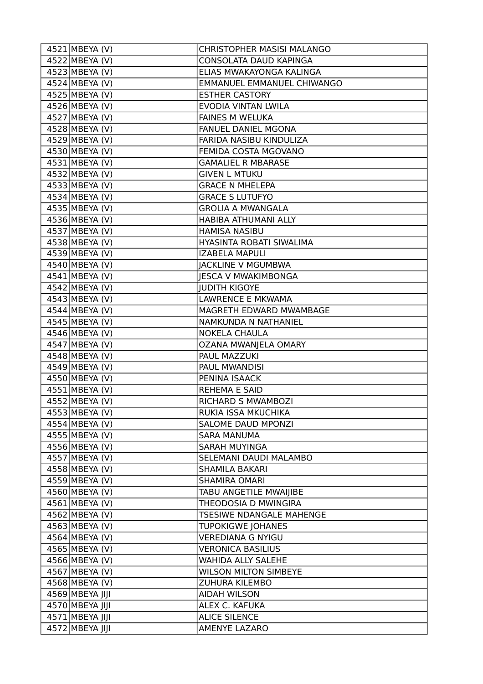| 4521 MBEYA (V)              | CHRISTOPHER MASISI MALANGO   |
|-----------------------------|------------------------------|
| 4522 MBEYA (V)              | CONSOLATA DAUD KAPINGA       |
| 4523 MBEYA (V)              | ELIAS MWAKAYONGA KALINGA     |
| 4524 MBEYA (V)              | EMMANUEL EMMANUEL CHIWANGO   |
| 4525 MBEYA (V)              | <b>ESTHER CASTORY</b>        |
| 4526 MBEYA (V)              | EVODIA VINTAN LWILA          |
| 4527 MBEYA (V)              | <b>FAINES M WELUKA</b>       |
| 4528 MBEYA (V)              | <b>FANUEL DANIEL MGONA</b>   |
| 4529 MBEYA (V)              | FARIDA NASIBU KINDULIZA      |
| 4530 MBEYA (V)              | FEMIDA COSTA MGOVANO         |
| 4531 MBEYA (V)              | <b>GAMALIEL R MBARASE</b>    |
| 4532 MBEYA (V)              | <b>GIVEN L MTUKU</b>         |
| 4533 MBEYA (V)              | <b>GRACE N MHELEPA</b>       |
| 4534 MBEYA (V)              | <b>GRACE S LUTUFYO</b>       |
| 4535 MBEYA (V)              | <b>GROLIA A MWANGALA</b>     |
| 4536 MBEYA (V)              | HABIBA ATHUMANI ALLY         |
| 4537 MBEYA (V)              | <b>HAMISA NASIBU</b>         |
| 4538 MBEYA (V)              | HYASINTA ROBATI SIWALIMA     |
| 4539 MBEYA (V)              | <b>IZABELA MAPULI</b>        |
| 4540 MBEYA (V)              | <b>JACKLINE V MGUMBWA</b>    |
| $\overline{45}41$ MBEYA (V) | <b>JESCA V MWAKIMBONGA</b>   |
| 4542 MBEYA (V)              | <b>JUDITH KIGOYE</b>         |
| 4543 MBEYA (V)              | LAWRENCE E MKWAMA            |
| 4544 MBEYA (V)              | MAGRETH EDWARD MWAMBAGE      |
| 4545 MBEYA (V)              | NAMKUNDA N NATHANIEL         |
| 4546 MBEYA (V)              | <b>NOKELA CHAULA</b>         |
| 4547 MBEYA (V)              | OZANA MWANJELA OMARY         |
| 4548 MBEYA (V)              | PAUL MAZZUKI                 |
| 4549 MBEYA (V)              | PAUL MWANDISI                |
| 4550 MBEYA (V)              | PENINA ISAACK                |
| 4551 MBEYA (V)              | <b>REHEMA E SAID</b>         |
| 4552 MBEYA (V)              | RICHARD S MWAMBOZI           |
| 4553 MBEYA (V)              | RUKIA ISSA MKUCHIKA          |
| 4554 MBEYA (V)              | SALOME DAUD MPONZI           |
| 4555 MBEYA (V)              | <b>SARA MANUMA</b>           |
| 4556 MBEYA (V)              | <b>SARAH MUYINGA</b>         |
| 4557 MBEYA (V)              | SELEMANI DAUDI MALAMBO       |
| 4558 MBEYA (V)              | <b>SHAMILA BAKARI</b>        |
| 4559 MBEYA (V)              | <b>SHAMIRA OMARI</b>         |
| 4560 MBEYA (V)              | TABU ANGETILE MWAIJIBE       |
| 4561 MBEYA (V)              | THEODOSIA D MWINGIRA         |
| 4562 MBEYA (V)              | TSESIWE NDANGALE MAHENGE     |
| 4563 MBEYA (V)              | <b>TUPOKIGWE JOHANES</b>     |
| 4564 MBEYA (V)              | <b>VEREDIANA G NYIGU</b>     |
| 4565 MBEYA (V)              | <b>VERONICA BASILIUS</b>     |
| 4566 MBEYA (V)              | WAHIDA ALLY SALEHE           |
| 4567 MBEYA (V)              | <b>WILSON MILTON SIMBEYE</b> |
| 4568 MBEYA (V)              | <b>ZUHURA KILEMBO</b>        |
| 4569 MBEYA JIJI             | <b>AIDAH WILSON</b>          |
| 4570 MBEYA JIJI             | ALEX C. KAFUKA               |
| 4571 MBEYA JIJI             | <b>ALICE SILENCE</b>         |
| 4572 MBEYA JIJI             | AMENYE LAZARO                |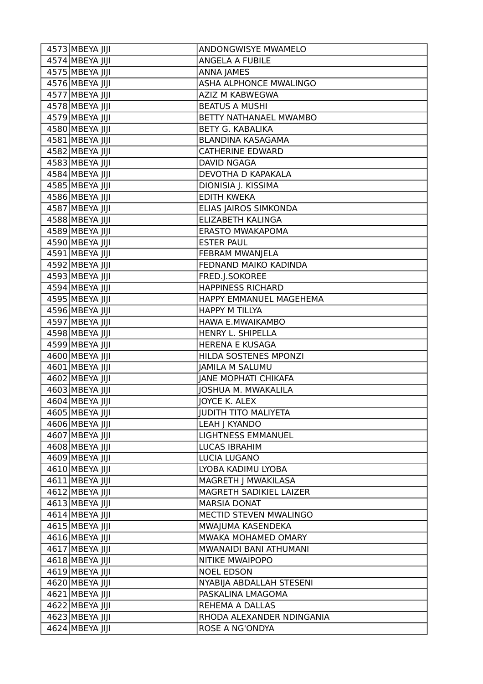| 4573 MBEYA JIJI | <b>ANDONGWISYE MWAMELO</b>    |
|-----------------|-------------------------------|
| 4574 MBEYA JIJI | ANGELA A FUBILE               |
| 4575 MBEYA JIJI | <b>ANNA JAMES</b>             |
| 4576 MBEYA JIJI | <b>ASHA ALPHONCE MWALINGO</b> |
| 4577 MBEYA JIJI | AZIZ M KABWEGWA               |
| 4578 MBEYA JIJI | <b>BEATUS A MUSHI</b>         |
| 4579 MBEYA JIJI | BETTY NATHANAEL MWAMBO        |
| 4580 MBEYA JIJI | <b>BETY G. KABALIKA</b>       |
| 4581 MBEYA JIJI | BLANDINA KASAGAMA             |
| 4582 MBEYA JIJI | <b>CATHERINE EDWARD</b>       |
| 4583 MBEYA JIJI | DAVID NGAGA                   |
| 4584 MBEYA JIJI | DEVOTHA D KAPAKALA            |
| 4585 MBEYA JIJI | DIONISIA J. KISSIMA           |
| 4586 MBEYA JIJI | <b>EDITH KWEKA</b>            |
| 4587 MBEYA JIJI | ELIAS JAIROS SIMKONDA         |
| 4588 MBEYA JIJI | <b>ELIZABETH KALINGA</b>      |
| 4589 MBEYA JIJI | ERASTO MWAKAPOMA              |
| 4590 MBEYA JIJI | <b>ESTER PAUL</b>             |
| 4591 MBEYA JIJI | FEBRAM MWANJELA               |
| 4592 MBEYA JIJI | FEDNAND MAIKO KADINDA         |
| 4593 MBEYA JIJI | FRED.J.SOKOREE                |
| 4594 MBEYA JIJI | <b>HAPPINESS RICHARD</b>      |
| 4595 MBEYA JIJI | HAPPY EMMANUEL MAGEHEMA       |
| 4596 MBEYA JIJI | <b>HAPPY M TILLYA</b>         |
| 4597 MBEYA JIJI | HAWA E.MWAIKAMBO              |
| 4598 MBEYA JIJI | HENRY L. SHIPELLA             |
| 4599 MBEYA JIJI | <b>HERENA E KUSAGA</b>        |
| 4600 MBEYA JIJI | HILDA SOSTENES MPONZI         |
| 4601 MBEYA JIJI | <b>JAMILA M SALUMU</b>        |
| 4602 MBEYA JIJI | <b>JANE MOPHATI CHIKAFA</b>   |
| 4603 MBEYA JIJI | JOSHUA M. MWAKALILA           |
| 4604 MBEYA JIJI | <b>JOYCE K. ALEX</b>          |
| 4605 MBEYA JIJI | <b>JUDITH TITO MALIYETA</b>   |
| 4606 MBEYA JIJI | LEAH   KYANDO                 |
| 4607 MBEYA JIJI | <b>LIGHTNESS EMMANUEL</b>     |
| 4608 MBEYA JIJI | <b>LUCAS IBRAHIM</b>          |
| 4609 MBEYA JIJI | LUCIA LUGANO                  |
| 4610 MBEYA JIJI | LYOBA KADIMU LYOBA            |
| 4611 MBEYA JIJI | MAGRETH J MWAKILASA           |
| 4612 MBEYA JIJI | MAGRETH SADIKIEL LAIZER       |
| 4613 MBEYA JIJI | <b>MARSIA DONAT</b>           |
| 4614 MBEYA JIJI | MECTID STEVEN MWALINGO        |
| 4615 MBEYA JIJI | MWAJUMA KASENDEKA             |
| 4616 MBEYA JIJI | MWAKA MOHAMED OMARY           |
| 4617 MBEYA JIJI | MWANAIDI BANI ATHUMANI        |
| 4618 MBEYA JIJI | NITIKE MWAIPOPO               |
| 4619 MBEYA JIJI | <b>NOEL EDSON</b>             |
| 4620 MBEYA JIJI | NYABIJA ABDALLAH STESENI      |
| 4621 MBEYA JIJI | PASKALINA LMAGOMA             |
| 4622 MBEYA JIJI | REHEMA A DALLAS               |
| 4623 MBEYA JIJI | RHODA ALEXANDER NDINGANIA     |
| 4624 MBEYA JIJI | ROSE A NG'ONDYA               |
|                 |                               |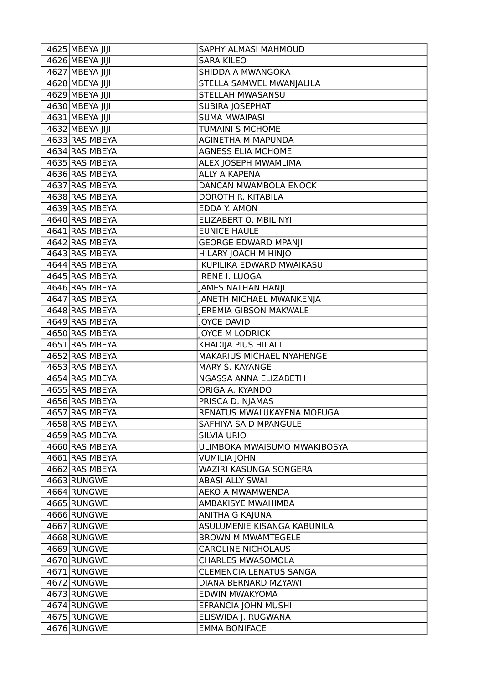| $4625$ MBEYA JIJI            | <b>SAPHY ALMASI MAHMOUD</b>    |
|------------------------------|--------------------------------|
| 4626 MBEYA JIJI              | <b>SARA KILEO</b>              |
| 4627 MBEYA JIJI              | SHIDDA A MWANGOKA              |
| 4628 MBEYA JIJI              | STELLA SAMWEL MWANJALILA       |
| 4629 MBEYA JIJI              | STELLAH MWASANSU               |
| $\overline{4630}$ MBEYA JIJI | SUBIRA JOSEPHAT                |
| 4631 MBEYA JIJI              | <b>SUMA MWAIPASI</b>           |
| 4632 MBEYA JIJI              | TUMAINI S MCHOME               |
| 4633 RAS MBEYA               | AGINETHA M MAPUNDA             |
| 4634 RAS MBEYA               | <b>AGNESS ELIA MCHOME</b>      |
| 4635 RAS MBEYA               | ALEX JOSEPH MWAMLIMA           |
| 4636 RAS MBEYA               | <b>ALLY A KAPENA</b>           |
| 4637 RAS MBEYA               | DANCAN MWAMBOLA ENOCK          |
| 4638 RAS MBEYA               | DOROTH R. KITABILA             |
| 4639 RAS MBEYA               | EDDA Y. AMON                   |
| 4640 RAS MBEYA               | ELIZABERT O. MBILINYI          |
| 4641 RAS MBEYA               | <b>EUNICE HAULE</b>            |
| 4642 RAS MBEYA               | <b>GEORGE EDWARD MPANJI</b>    |
| 4643 RAS MBEYA               | HILARY JOACHIM HINJO           |
| 4644 RAS MBEYA               | IKUPILIKA EDWARD MWAIKASU      |
| 4645 RAS MBEYA               | <b>IRENE I. LUOGA</b>          |
| 4646 RAS MBEYA               | JAMES NATHAN HANJI             |
| 4647 RAS MBEYA               | JANETH MICHAEL MWANKENJA       |
| 4648 RAS MBEYA               | <b>JEREMIA GIBSON MAKWALE</b>  |
| 4649 RAS MBEYA               | <b>JOYCE DAVID</b>             |
| 4650 RAS MBEYA               | JOYCE M LODRICK                |
| 4651 RAS MBEYA               | KHADIJA PIUS HILALI            |
| 4652 RAS MBEYA               | MAKARIUS MICHAEL NYAHENGE      |
| 4653 RAS MBEYA               | MARY S. KAYANGE                |
| 4654 RAS MBEYA               | NGASSA ANNA ELIZABETH          |
| 4655 RAS MBEYA               | ORIGA A. KYANDO                |
| 4656 RAS MBEYA               | PRISCA D. NJAMAS               |
| 4657 RAS MBEYA               | RENATUS MWALUKAYENA MOFUGA     |
| 4658 RAS MBEYA               | SAFHIYA SAID MPANGULE          |
| 4659 RAS MBEYA               | <b>SILVIA URIO</b>             |
| 4660 RAS MBEYA               | ULIMBOKA MWAISUMO MWAKIBOSYA   |
| 4661 RAS MBEYA               | <b>VUMILIA JOHN</b>            |
| 4662 RAS MBEYA               | WAZIRI KASUNGA SONGERA         |
| 4663 RUNGWE                  | <b>ABASI ALLY SWAI</b>         |
| 4664 RUNGWE                  | AEKO A MWAMWENDA               |
| 4665 RUNGWE                  | AMBAKISYE MWAHIMBA             |
| 4666 RUNGWE                  | ANITHA G KAJUNA                |
| 4667 RUNGWE                  | ASULUMENIE KISANGA KABUNILA    |
| 4668 RUNGWE                  | <b>BROWN M MWAMTEGELE</b>      |
| 4669 RUNGWE                  | <b>CAROLINE NICHOLAUS</b>      |
| 4670 RUNGWE                  | <b>CHARLES MWASOMOLA</b>       |
| 4671 RUNGWE                  | <b>CLEMENCIA LENATUS SANGA</b> |
| 4672 RUNGWE                  | DIANA BERNARD MZYAWI           |
| 4673 RUNGWE                  | EDWIN MWAKYOMA                 |
| 4674 RUNGWE                  | EFRANCIA JOHN MUSHI            |
| 4675 RUNGWE                  | ELISWIDA J. RUGWANA            |
| 4676 RUNGWE                  | <b>EMMA BONIFACE</b>           |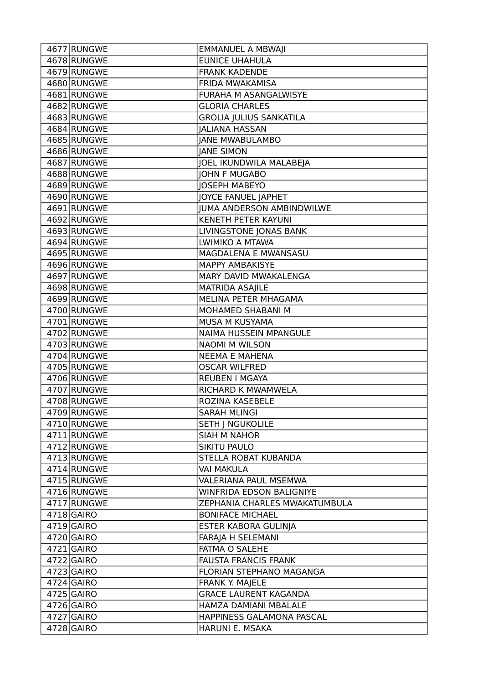| 4677 RUNGWE  | <b>EMMANUEL A MBWAJI</b>         |
|--------------|----------------------------------|
| 4678 RUNGWE  | <b>EUNICE UHAHULA</b>            |
| 4679 RUNGWE  | <b>FRANK KADENDE</b>             |
| 4680 RUNGWE  | FRIDA MWAKAMISA                  |
| 4681 RUNGWE  | FURAHA M ASANGALWISYE            |
| 4682 RUNGWE  | <b>GLORIA CHARLES</b>            |
| 4683 RUNGWE  | <b>GROLIA JULIUS SANKATILA</b>   |
| 4684 RUNGWE  | <b>JALIANA HASSAN</b>            |
| 4685 RUNGWE  | <b>JANE MWABULAMBO</b>           |
| 4686 RUNGWE  | <b>JANE SIMON</b>                |
| 4687 RUNGWE  | <b>JOEL IKUNDWILA MALABEJA</b>   |
| 4688 RUNGWE  | <b>JOHN F MUGABO</b>             |
| 4689 RUNGWE  | <b>JOSEPH MABEYO</b>             |
| 4690 RUNGWE  | JOYCE FANUEL JAPHET              |
| 4691 RUNGWE  | <b>JUMA ANDERSON AMBINDWILWE</b> |
| 4692 RUNGWE  | KENETH PETER KAYUNI              |
| 4693 RUNGWE  | LIVINGSTONE JONAS BANK           |
| 4694 RUNGWE  | LWIMIKO A MTAWA                  |
| 4695 RUNGWE  | MAGDALENA E MWANSASU             |
| 4696 RUNGWE  | <b>MAPPY AMBAKISYE</b>           |
| 4697 RUNGWE  | MARY DAVID MWAKALENGA            |
| 4698 RUNGWE  | MATRIDA ASAJILE                  |
| 4699 RUNGWE  | <b>MELINA PETER MHAGAMA</b>      |
| 4700 RUNGWE  | MOHAMED SHABANI M                |
| 4701 RUNGWE  | MUSA M KUSYAMA                   |
| 4702 RUNGWE  | NAIMA HUSSEIN MPANGULE           |
| 4703 RUNGWE  | <b>NAOMI M WILSON</b>            |
| 4704 RUNGWE  | <b>NEEMA E MAHENA</b>            |
| 4705 RUNGWE  | <b>OSCAR WILFRED</b>             |
| 4706 RUNGWE  | REUBEN I MGAYA                   |
| 4707 RUNGWE  | RICHARD K MWAMWELA               |
| 4708 RUNGWE  | ROZINA KASEBELE                  |
| 4709 RUNGWE  | <b>SARAH MLINGI</b>              |
| 4710 RUNGWE  | <b>SETH J NGUKOLILE</b>          |
| 4711 RUNGWE  | <b>SIAH M NAHOR</b>              |
| 4712 RUNGWE  | <b>SIKITU PAULO</b>              |
| 4713 RUNGWE  | STELLA ROBAT KUBANDA             |
| 4714 RUNGWE  | <b>VAI MAKULA</b>                |
| 4715 RUNGWE  | <b>VALERIANA PAUL MSEMWA</b>     |
| 4716 RUNGWE  | WINFRIDA EDSON BALIGNIYE         |
| 4717 RUNGWE  | ZEPHANIA CHARLES MWAKATUMBULA    |
| $4718$ GAIRO | <b>BONIFACE MICHAEL</b>          |
| $4719$ GAIRO | ESTER KABORA GULINJA             |
| 4720 GAIRO   | FARAJA H SELEMANI                |
| $4721$ GAIRO | FATMA O SALEHE                   |
| $4722$ GAIRO | <b>FAUSTA FRANCIS FRANK</b>      |
| 4723 GAIRO   | FLORIAN STEPHANO MAGANGA         |
| $4724$ GAIRO | FRANK Y. MAJELE                  |
| 4725 GAIRO   | <b>GRACE LAURENT KAGANDA</b>     |
| 4726 GAIRO   | HAMZA DAMIANI MBALALE            |
| 4727 GAIRO   | HAPPINESS GALAMONA PASCAL        |
| 4728 GAIRO   | HARUNI E. MSAKA                  |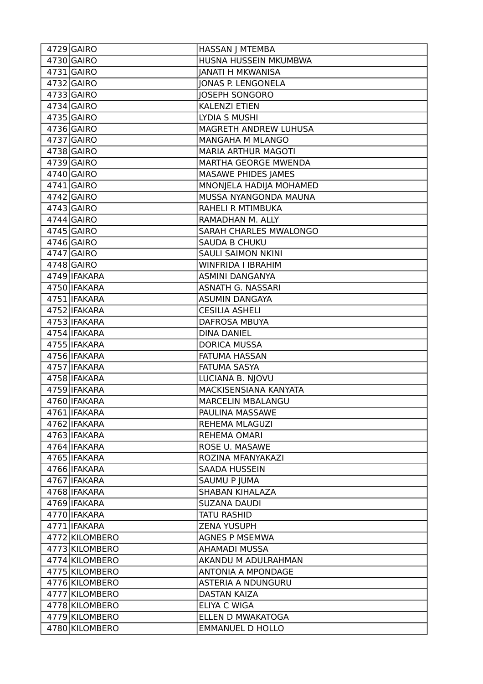| 4729 GAIRO     | HASSAN J MTEMBA            |
|----------------|----------------------------|
| 4730 GAIRO     | HUSNA HUSSEIN MKUMBWA      |
| 4731 GAIRO     | <b>JANATI H MKWANISA</b>   |
| 4732 GAIRO     | <b>JONAS P. LENGONELA</b>  |
| 4733 GAIRO     | <b>JOSEPH SONGORO</b>      |
| $4734$ GAIRO   | <b>KALENZI ETIEN</b>       |
| 4735 GAIRO     | LYDIA S MUSHI              |
| 4736 GAIRO     | MAGRETH ANDREW LUHUSA      |
| 4737 GAIRO     | <b>MANGAHA M MLANGO</b>    |
| 4738 GAIRO     | <b>MARIA ARTHUR MAGOTI</b> |
| 4739 GAIRO     | MARTHA GEORGE MWENDA       |
| 4740 GAIRO     | MASAWE PHIDES JAMES        |
| 4741 GAIRO     | MNONJELA HADIJA MOHAMED    |
| 4742 GAIRO     | MUSSA NYANGONDA MAUNA      |
| 4743 GAIRO     | RAHELI R MTIMBUKA          |
| $4744$ GAIRO   | RAMADHAN M. ALLY           |
| $4745$ GAIRO   | SARAH CHARLES MWALONGO     |
| 4746 GAIRO     | <b>SAUDA B CHUKU</b>       |
| $4747$ GAIRO   | <b>SAULI SAIMON NKINI</b>  |
| $4748$ GAIRO   | WINFRIDA I IBRAHIM         |
| 4749 IFAKARA   | <b>ASMINI DANGANYA</b>     |
| 4750 IFAKARA   | ASNATH G. NASSARI          |
| 4751   IFAKARA | <b>ASUMIN DANGAYA</b>      |
| 4752 IFAKARA   | <b>CESILIA ASHELI</b>      |
| 4753 IFAKARA   | DAFROSA MBUYA              |
| 4754 IFAKARA   | <b>DINA DANIEL</b>         |
| 4755   IFAKARA | <b>DORICA MUSSA</b>        |
| 4756 IFAKARA   | FATUMA HASSAN              |
| 4757   IFAKARA | <b>FATUMA SASYA</b>        |
| 4758 IFAKARA   | LUCIANA B. NJOVU           |
| 4759 IFAKARA   | MACKISENSIANA KANYATA      |
| 4760   IFAKARA | MARCELIN MBALANGU          |
| 4761 IFAKARA   | PAULINA MASSAWE            |
| 4762 IFAKARA   | REHEMA MLAGUZI             |
| 4763 IFAKARA   | <b>REHEMA OMARI</b>        |
| 4764 IFAKARA   | ROSE U. MASAWE             |
| 4765 IFAKARA   | ROZINA MFANYAKAZI          |
| 4766 IFAKARA   | <b>SAADA HUSSEIN</b>       |
| 4767 IFAKARA   | SAUMU P JUMA               |
| 4768 IFAKARA   | SHABAN KIHALAZA            |
| 4769 IFAKARA   | <b>SUZANA DAUDI</b>        |
| 4770   IFAKARA | <b>TATU RASHID</b>         |
| 4771 IFAKARA   | <b>ZENA YUSUPH</b>         |
| 4772 KILOMBERO | <b>AGNES P MSEMWA</b>      |
| 4773 KILOMBERO | <b>AHAMADI MUSSA</b>       |
| 4774 KILOMBERO | AKANDU M ADULRAHMAN        |
| 4775 KILOMBERO | <b>ANTONIA A MPONDAGE</b>  |
| 4776 KILOMBERO | <b>ASTERIA A NDUNGURU</b>  |
| 4777 KILOMBERO | <b>DASTAN KAIZA</b>        |
| 4778 KILOMBERO | ELIYA C WIGA               |
| 4779 KILOMBERO | ELLEN D MWAKATOGA          |
| 4780 KILOMBERO | <b>EMMANUEL D HOLLO</b>    |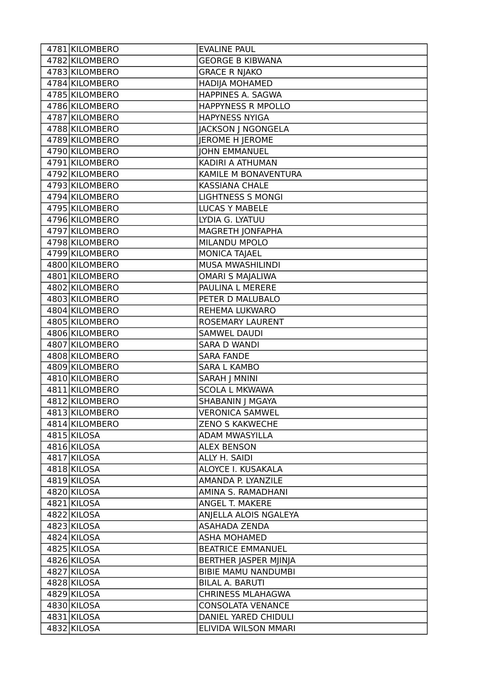| 4781 KILOMBERO | <b>EVALINE PAUL</b>        |
|----------------|----------------------------|
| 4782 KILOMBERO | <b>GEORGE B KIBWANA</b>    |
| 4783 KILOMBERO | <b>GRACE R NJAKO</b>       |
| 4784 KILOMBERO | <b>HADIJA MOHAMED</b>      |
| 4785 KILOMBERO | HAPPINES A. SAGWA          |
| 4786 KILOMBERO | HAPPYNESS R MPOLLO         |
| 4787 KILOMBERO | <b>HAPYNESS NYIGA</b>      |
| 4788 KILOMBERO | JACKSON J NGONGELA         |
| 4789 KILOMBERO | JEROME H JEROME            |
| 4790 KILOMBERO | <b>JOHN EMMANUEL</b>       |
| 4791 KILOMBERO | KADIRI A ATHUMAN           |
| 4792 KILOMBERO | KAMILE M BONAVENTURA       |
| 4793 KILOMBERO | <b>KASSIANA CHALE</b>      |
| 4794 KILOMBERO | <b>LIGHTNESS S MONGI</b>   |
| 4795 KILOMBERO | LUCAS Y MABELE             |
| 4796 KILOMBERO | LYDIA G. LYATUU            |
| 4797 KILOMBERO | MAGRETH JONFAPHA           |
| 4798 KILOMBERO | MILANDU MPOLO              |
| 4799 KILOMBERO | <b>MONICA TAJAEL</b>       |
| 4800 KILOMBERO | MUSA MWASHILINDI           |
| 4801 KILOMBERO | <b>OMARI S MAJALIWA</b>    |
| 4802 KILOMBERO | PAULINA L MERERE           |
| 4803 KILOMBERO | PETER D MALUBALO           |
| 4804 KILOMBERO | REHEMA LUKWARO             |
| 4805 KILOMBERO | ROSEMARY LAURENT           |
| 4806 KILOMBERO | <b>SAMWEL DAUDI</b>        |
| 4807 KILOMBERO | <b>SARA D WANDI</b>        |
| 4808 KILOMBERO | <b>SARA FANDE</b>          |
| 4809 KILOMBERO | <b>SARA L KAMBO</b>        |
| 4810 KILOMBERO | <b>SARAH   MNINI</b>       |
| 4811 KILOMBERO | <b>SCOLA L MKWAWA</b>      |
| 4812 KILOMBERO | SHABANIN J MGAYA           |
| 4813 KILOMBERO | <b>VERONICA SAMWEL</b>     |
| 4814 KILOMBERO | <b>ZENO S KAKWECHE</b>     |
| 4815 KILOSA    | ADAM MWASYILLA             |
| 4816 KILOSA    | <b>ALEX BENSON</b>         |
| 4817 KILOSA    | ALLY H. SAIDI              |
| 4818 KILOSA    | ALOYCE I. KUSAKALA         |
| 4819 KILOSA    | AMANDA P. LYANZILE         |
| 4820 KILOSA    | AMINA S. RAMADHANI         |
| 4821 KILOSA    | ANGEL T. MAKERE            |
| 4822 KILOSA    | ANJELLA ALOIS NGALEYA      |
| 4823 KILOSA    | <b>ASAHADA ZENDA</b>       |
| 4824 KILOSA    | <b>ASHA MOHAMED</b>        |
| 4825 KILOSA    | <b>BEATRICE EMMANUEL</b>   |
| 4826 KILOSA    | BERTHER JASPER MJINJA      |
| 4827 KILOSA    | <b>BIBIE MAMU NANDUMBI</b> |
| 4828 KILOSA    | <b>BILAL A. BARUTI</b>     |
| 4829 KILOSA    | <b>CHRINESS MLAHAGWA</b>   |
| 4830 KILOSA    | <b>CONSOLATA VENANCE</b>   |
| 4831 KILOSA    | DANIEL YARED CHIDULI       |
| 4832 KILOSA    | ELIVIDA WILSON MMARI       |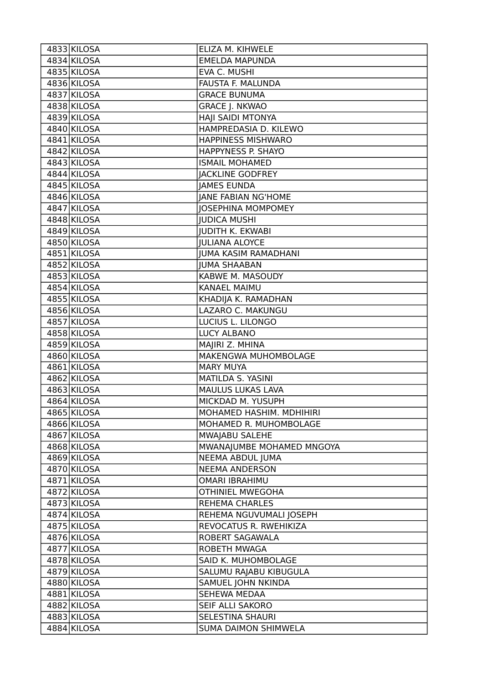| 4833 KILOSA | ELIZA M. KIHWELE            |
|-------------|-----------------------------|
| 4834 KILOSA | <b>EMELDA MAPUNDA</b>       |
| 4835 KILOSA | EVA C. MUSHI                |
| 4836 KILOSA | FAUSTA F. MALUNDA           |
| 4837 KILOSA | <b>GRACE BUNUMA</b>         |
| 4838 KILOSA | <b>GRACE J. NKWAO</b>       |
| 4839 KILOSA | HAJI SAIDI MTONYA           |
| 4840 KILOSA | HAMPREDASIA D. KILEWO       |
| 4841 KILOSA | <b>HAPPINESS MISHWARO</b>   |
| 4842 KILOSA | HAPPYNESS P. SHAYO          |
| 4843 KILOSA | <b>ISMAIL MOHAMED</b>       |
| 4844 KILOSA | <b>JACKLINE GODFREY</b>     |
| 4845 KILOSA | <b>JAMES EUNDA</b>          |
| 4846 KILOSA | <b>JANE FABIAN NG'HOME</b>  |
| 4847 KILOSA | <b>JOSEPHINA MOMPOMEY</b>   |
| 4848 KILOSA | <b>JUDICA MUSHI</b>         |
| 4849 KILOSA | <b>JUDITH K. EKWABI</b>     |
| 4850 KILOSA | <b>JULIANA ALOYCE</b>       |
| 4851 KILOSA | <b>JUMA KASIM RAMADHANI</b> |
| 4852 KILOSA | <b>JUMA SHAABAN</b>         |
| 4853 KILOSA | KABWE M. MASOUDY            |
| 4854 KILOSA | <b>KANAEL MAIMU</b>         |
| 4855 KILOSA | KHADIJA K. RAMADHAN         |
| 4856 KILOSA | <b>LAZARO C. MAKUNGU</b>    |
| 4857 KILOSA | LUCIUS L. LILONGO           |
| 4858 KILOSA | <b>LUCY ALBANO</b>          |
| 4859 KILOSA | MAJIRI Z. MHINA             |
| 4860 KILOSA | MAKENGWA MUHOMBOLAGE        |
| 4861 KILOSA | <b>MARY MUYA</b>            |
| 4862 KILOSA | MATILDA S. YASINI           |
| 4863 KILOSA | MAULUS LUKAS LAVA           |
| 4864 KILOSA | MICKDAD M. YUSUPH           |
| 4865 KILOSA | MOHAMED HASHIM. MDHIHIRI    |
| 4866 KILOSA | MOHAMED R. MUHOMBOLAGE      |
| 4867 KILOSA | MWAJABU SALEHE              |
| 4868 KILOSA | MWANAJUMBE MOHAMED MNGOYA   |
| 4869 KILOSA | NEEMA ABDUL JUMA            |
| 4870 KILOSA | <b>NEEMA ANDERSON</b>       |
| 4871 KILOSA | <b>OMARI IBRAHIMU</b>       |
| 4872 KILOSA | <b>OTHINIEL MWEGOHA</b>     |
| 4873 KILOSA | <b>REHEMA CHARLES</b>       |
| 4874 KILOSA | REHEMA NGUVUMALI JOSEPH     |
| 4875 KILOSA | REVOCATUS R. RWEHIKIZA      |
| 4876 KILOSA | ROBERT SAGAWALA             |
| 4877 KILOSA | ROBETH MWAGA                |
| 4878 KILOSA | SAID K. MUHOMBOLAGE         |
| 4879 KILOSA | SALUMU RAJABU KIBUGULA      |
| 4880 KILOSA | SAMUEL JOHN NKINDA          |
| 4881 KILOSA | SEHEWA MEDAA                |
| 4882 KILOSA | SEIF ALLI SAKORO            |
| 4883 KILOSA | <b>SELESTINA SHAURI</b>     |
| 4884 KILOSA | <b>SUMA DAIMON SHIMWELA</b> |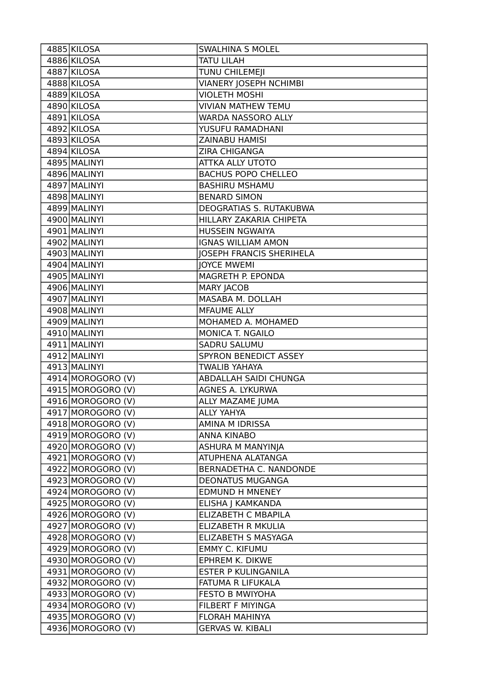| 4885 KILOSA                            | <b>SWALHINA S MOLEL</b>                          |
|----------------------------------------|--------------------------------------------------|
| 4886 KILOSA                            | <b>TATU LILAH</b>                                |
| 4887 KILOSA                            | TUNU CHILEMEJI                                   |
| 4888 KILOSA                            | <b>VIANERY JOSEPH NCHIMBI</b>                    |
| 4889 KILOSA                            | <b>VIOLETH MOSHI</b>                             |
| 4890 KILOSA                            | <b>VIVIAN MATHEW TEMU</b>                        |
| 4891 KILOSA                            | WARDA NASSORO ALLY                               |
| 4892 KILOSA                            | YUSUFU RAMADHANI                                 |
| 4893 KILOSA                            | ZAINABU HAMISI                                   |
| 4894 KILOSA                            | ZIRA CHIGANGA                                    |
| 4895 MALINYI                           | <b>ATTKA ALLY UTOTO</b>                          |
| 4896 MALINYI                           | <b>BACHUS POPO CHELLEO</b>                       |
| 4897 MALINYI                           | <b>BASHIRU MSHAMU</b>                            |
| 4898 MALINYI                           | <b>BENARD SIMON</b>                              |
| 4899 MALINYI                           | DEOGRATIAS S. RUTAKUBWA                          |
| 4900 MALINYI                           | HILLARY ZAKARIA CHIPETA                          |
| 4901 MALINYI                           | <b>HUSSEIN NGWAIYA</b>                           |
| 4902 MALINYI                           | <b>IGNAS WILLIAM AMON</b>                        |
| 4903 MALINYI                           | <b>JOSEPH FRANCIS SHERIHELA</b>                  |
| 4904 MALINYI                           | <b>JOYCE MWEMI</b>                               |
| 4905 MALINYI                           | MAGRETH P. EPONDA                                |
| 4906 MALINYI                           | <b>MARY JACOB</b>                                |
| 4907 MALINYI                           | MASABA M. DOLLAH                                 |
| 4908 MALINYI                           | <b>MFAUME ALLY</b>                               |
| 4909 MALINYI                           | MOHAMED A. MOHAMED                               |
| 4910 MALINYI                           | MONICA T. NGAILO                                 |
| 4911 MALINYI                           | <b>SADRU SALUMU</b>                              |
| 4912 MALINYI                           | SPYRON BENEDICT ASSEY                            |
| 4913 MALINYI                           | <b>TWALIB YAHAYA</b>                             |
| $\overline{49}14$ MOROGORO (V)         | <b>ABDALLAH SAIDI CHUNGA</b>                     |
| 4915 MOROGORO (V)                      | AGNES A. LYKURWA                                 |
| 4916 MOROGORO (V)                      | ALLY MAZAME JUMA                                 |
| 4917 MOROGORO (V)                      | <b>ALLY YAHYA</b>                                |
| 4918 MOROGORO (V)                      | AMINA M IDRISSA                                  |
| 4919 MOROGORO (V)                      | <b>ANNA KINABO</b>                               |
| 4920 MOROGORO (V)                      | ASHURA M MANYINJA                                |
| 4921 MOROGORO (V)                      | ATUPHENA ALATANGA                                |
| 4922 MOROGORO (V)                      | BERNADETHA C. NANDONDE                           |
| 4923 MOROGORO (V)                      | <b>DEONATUS MUGANGA</b>                          |
| 4924 MOROGORO (V)                      | <b>EDMUND H MNENEY</b>                           |
| 4925 MOROGORO (V)                      | ELISHA J KAMKANDA                                |
| 4926 MOROGORO (V)                      | <b>ELIZABETH C MBAPILA</b>                       |
|                                        |                                                  |
| 4927 MOROGORO (V)                      | ELIZABETH R MKULIA                               |
| 4928 MOROGORO (V)                      | ELIZABETH S MASYAGA                              |
| 4929 MOROGORO (V)                      | <b>EMMY C. KIFUMU</b>                            |
| 4930 MOROGORO (V)                      | EPHREM K. DIKWE                                  |
| 4931 MOROGORO (V)                      | <b>ESTER P KULINGANILA</b>                       |
| 4932 MOROGORO (V)                      | FATUMA R LIFUKALA                                |
| 4933 MOROGORO (V)                      | <b>FESTO B MWIYOHA</b>                           |
| 4934 MOROGORO (V)                      | FILBERT F MIYINGA                                |
| 4935 MOROGORO (V)<br>4936 MOROGORO (V) | <b>FLORAH MAHINYA</b><br><b>GERVAS W. KIBALI</b> |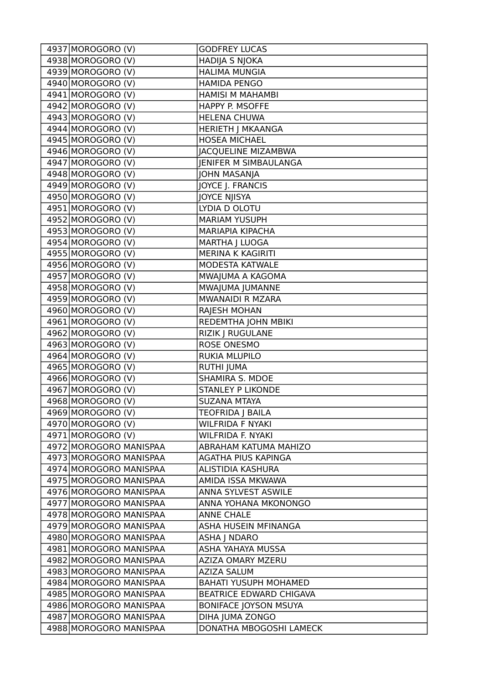| 4937 MOROGORO (V)      | <b>GODFREY LUCAS</b>         |
|------------------------|------------------------------|
| 4938 MOROGORO (V)      | <b>HADIJA S NJOKA</b>        |
| 4939 MOROGORO (V)      | <b>HALIMA MUNGIA</b>         |
| 4940 MOROGORO (V)      | <b>HAMIDA PENGO</b>          |
| 4941 MOROGORO (V)      | <b>HAMISI M MAHAMBI</b>      |
| 4942 MOROGORO (V)      | HAPPY P. MSOFFE              |
| 4943 MOROGORO (V)      | <b>HELENA CHUWA</b>          |
| 4944 MOROGORO (V)      | <b>HERIETH J MKAANGA</b>     |
| 4945 MOROGORO (V)      | <b>HOSEA MICHAEL</b>         |
| 4946 MOROGORO (V)      | <b>JACQUELINE MIZAMBWA</b>   |
| 4947 MOROGORO (V)      | <b>JENIFER M SIMBAULANGA</b> |
| 4948 MOROGORO (V)      | <b>JOHN MASANJA</b>          |
| 4949 MOROGORO (V)      | JOYCE J. FRANCIS             |
| 4950 MOROGORO (V)      | <b>JOYCE NJISYA</b>          |
| 4951 MOROGORO (V)      | LYDIA D OLOTU                |
| 4952 MOROGORO (V)      | <b>MARIAM YUSUPH</b>         |
| 4953 MOROGORO (V)      | <b>MARIAPIA KIPACHA</b>      |
| 4954 MOROGORO (V)      | MARTHA   LUOGA               |
| 4955 MOROGORO (V)      | MERINA K KAGIRITI            |
| 4956 MOROGORO (V)      | MODESTA KATWALE              |
| 4957 MOROGORO (V)      | MWAJUMA A KAGOMA             |
| 4958 MOROGORO (V)      | MWAJUMA JUMANNE              |
| 4959 MOROGORO (V)      | MWANAIDI R MZARA             |
| 4960 MOROGORO (V)      | RAJESH MOHAN                 |
| 4961 MOROGORO (V)      | REDEMTHA JOHN MBIKI          |
| 4962 MOROGORO (V)      | RIZIK J RUGULANE             |
| 4963 MOROGORO (V)      | ROSE ONESMO                  |
| 4964 MOROGORO (V)      | RUKIA MLUPILO                |
| 4965 MOROGORO (V)      | <b>RUTHI JUMA</b>            |
| 4966 MOROGORO (V)      | SHAMIRA S. MDOE              |
| 4967 MOROGORO (V)      | <b>STANLEY P LIKONDE</b>     |
| 4968 MOROGORO (V)      | <b>SUZANA MTAYA</b>          |
| 4969 MOROGORO (V)      | TEOFRIDA J BAILA             |
| 4970 MOROGORO (V)      | <b>WILFRIDA F NYAKI</b>      |
| 4971 MOROGORO (V)      | WILFRIDA F. NYAKI            |
| 4972 MOROGORO MANISPAA | ABRAHAM KATUMA MAHIZO        |
| 4973 MOROGORO MANISPAA | AGATHA PIUS KAPINGA          |
| 4974 MOROGORO MANISPAA | ALISTIDIA KASHURA            |
| 4975 MOROGORO MANISPAA | AMIDA ISSA MKWAWA            |
| 4976 MOROGORO MANISPAA | ANNA SYLVEST ASWILE          |
| 4977 MOROGORO MANISPAA | ANNA YOHANA MKONONGO         |
| 4978 MOROGORO MANISPAA | <b>ANNE CHALE</b>            |
| 4979 MOROGORO MANISPAA | ASHA HUSEIN MFINANGA         |
| 4980 MOROGORO MANISPAA | ASHA J NDARO                 |
| 4981 MOROGORO MANISPAA | ASHA YAHAYA MUSSA            |
| 4982 MOROGORO MANISPAA | <b>AZIZA OMARY MZERU</b>     |
| 4983 MOROGORO MANISPAA | <b>AZIZA SALUM</b>           |
| 4984 MOROGORO MANISPAA | <b>BAHATI YUSUPH MOHAMED</b> |
| 4985 MOROGORO MANISPAA | BEATRICE EDWARD CHIGAVA      |
| 4986 MOROGORO MANISPAA | <b>BONIFACE JOYSON MSUYA</b> |
| 4987 MOROGORO MANISPAA | DIHA JUMA ZONGO              |
| 4988 MOROGORO MANISPAA | DONATHA MBOGOSHI LAMECK      |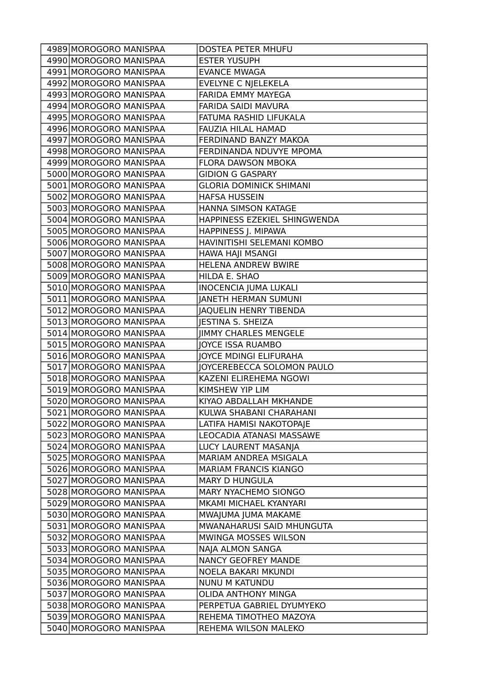| 4990 MOROGORO MANISPAA<br><b>ESTER YUSUPH</b><br>4991 MOROGORO MANISPAA<br><b>EVANCE MWAGA</b><br>EVELYNE C NJELEKELA<br>4992 MOROGORO MANISPAA<br>4993 MOROGORO MANISPAA<br>FARIDA EMMY MAYEGA<br>4994 MOROGORO MANISPAA<br>FARIDA SAIDI MAVURA<br>4995 MOROGORO MANISPAA<br>FATUMA RASHID LIFUKALA<br>4996 MOROGORO MANISPAA<br>FAUZIA HILAL HAMAD<br>4997 MOROGORO MANISPAA<br>FERDINAND BANZY MAKOA<br>4998 MOROGORO MANISPAA<br>FERDINANDA NDUVYE MPOMA<br>4999 MOROGORO MANISPAA<br>FLORA DAWSON MBOKA<br><b>GIDION G GASPARY</b><br>5000 MOROGORO MANISPAA<br>5001 MOROGORO MANISPAA<br><b>GLORIA DOMINICK SHIMANI</b><br>5002 MOROGORO MANISPAA<br><b>HAFSA HUSSEIN</b><br>5003 MOROGORO MANISPAA<br>HANNA SIMSON KATAGE<br>5004 MOROGORO MANISPAA<br>HAPPINESS EZEKIEL SHINGWENDA<br>5005 MOROGORO MANISPAA<br>HAPPINESS J. MIPAWA<br>5006 MOROGORO MANISPAA<br>HAVINITISHI SELEMANI KOMBO<br>5007 MOROGORO MANISPAA<br>HAWA HAJI MSANGI<br>5008 MOROGORO MANISPAA<br><b>HELENA ANDREW BWIRE</b><br>5009 MOROGORO MANISPAA<br>HILDA E. SHAO<br>5010 MOROGORO MANISPAA<br><b>INOCENCIA JUMA LUKALI</b><br>5011 MOROGORO MANISPAA<br><b>JANETH HERMAN SUMUNI</b><br>5012 MOROGORO MANISPAA<br>JAQUELIN HENRY TIBENDA<br><b>JESTINA S. SHEIZA</b><br>5013 MOROGORO MANISPAA<br>5014 MOROGORO MANISPAA<br><b>JIMMY CHARLES MENGELE</b><br>5015 MOROGORO MANISPAA<br>JOYCE ISSA RUAMBO<br><b>JOYCE MDINGI ELIFURAHA</b><br>5016 MOROGORO MANISPAA<br><b>JOYCEREBECCA SOLOMON PAULO</b><br>5017 MOROGORO MANISPAA<br>5018 MOROGORO MANISPAA<br>KAZENI ELIREHEMA NGOWI<br>5019 MOROGORO MANISPAA<br>KIMSHEW YIP LIM<br>5020 MOROGORO MANISPAA<br>KIYAO ABDALLAH MKHANDE<br>5021 MOROGORO MANISPAA<br>KULWA SHABANI CHARAHANI<br>5022 MOROGORO MANISPAA<br>LATIFA HAMISI NAKOTOPAJE<br>5023 MOROGORO MANISPAA<br>LEOCADIA ATANASI MASSAWE<br>5024 MOROGORO MANISPAA<br>LUCY LAURENT MASANJA<br>5025 MOROGORO MANISPAA<br>MARIAM ANDREA MSIGALA<br>5026 MOROGORO MANISPAA<br><b>MARIAM FRANCIS KIANGO</b><br>5027 MOROGORO MANISPAA<br><b>MARY D HUNGULA</b><br>5028 MOROGORO MANISPAA<br>MARY NYACHEMO SIONGO<br>5029 MOROGORO MANISPAA<br>MKAMI MICHAEL KYANYARI<br>5030 MOROGORO MANISPAA<br>MWAJUMA JUMA MAKAME<br>5031 MOROGORO MANISPAA<br>MWANAHARUSI SAID MHUNGUTA<br>5032 MOROGORO MANISPAA<br>MWINGA MOSSES WILSON<br>5033 MOROGORO MANISPAA<br>NAJA ALMON SANGA<br>5034 MOROGORO MANISPAA | 4989 MOROGORO MANISPAA | <b>DOSTEA PETER MHUFU</b> |
|------------------------------------------------------------------------------------------------------------------------------------------------------------------------------------------------------------------------------------------------------------------------------------------------------------------------------------------------------------------------------------------------------------------------------------------------------------------------------------------------------------------------------------------------------------------------------------------------------------------------------------------------------------------------------------------------------------------------------------------------------------------------------------------------------------------------------------------------------------------------------------------------------------------------------------------------------------------------------------------------------------------------------------------------------------------------------------------------------------------------------------------------------------------------------------------------------------------------------------------------------------------------------------------------------------------------------------------------------------------------------------------------------------------------------------------------------------------------------------------------------------------------------------------------------------------------------------------------------------------------------------------------------------------------------------------------------------------------------------------------------------------------------------------------------------------------------------------------------------------------------------------------------------------------------------------------------------------------------------------------------------------------------------------------------------------------------------------------------------------------------------------------------------------------------------------------------------------------------------------------------------------------------------------------------------------------------------------------------------------------------------------------------|------------------------|---------------------------|
|                                                                                                                                                                                                                                                                                                                                                                                                                                                                                                                                                                                                                                                                                                                                                                                                                                                                                                                                                                                                                                                                                                                                                                                                                                                                                                                                                                                                                                                                                                                                                                                                                                                                                                                                                                                                                                                                                                                                                                                                                                                                                                                                                                                                                                                                                                                                                                                                      |                        |                           |
|                                                                                                                                                                                                                                                                                                                                                                                                                                                                                                                                                                                                                                                                                                                                                                                                                                                                                                                                                                                                                                                                                                                                                                                                                                                                                                                                                                                                                                                                                                                                                                                                                                                                                                                                                                                                                                                                                                                                                                                                                                                                                                                                                                                                                                                                                                                                                                                                      |                        |                           |
|                                                                                                                                                                                                                                                                                                                                                                                                                                                                                                                                                                                                                                                                                                                                                                                                                                                                                                                                                                                                                                                                                                                                                                                                                                                                                                                                                                                                                                                                                                                                                                                                                                                                                                                                                                                                                                                                                                                                                                                                                                                                                                                                                                                                                                                                                                                                                                                                      |                        |                           |
|                                                                                                                                                                                                                                                                                                                                                                                                                                                                                                                                                                                                                                                                                                                                                                                                                                                                                                                                                                                                                                                                                                                                                                                                                                                                                                                                                                                                                                                                                                                                                                                                                                                                                                                                                                                                                                                                                                                                                                                                                                                                                                                                                                                                                                                                                                                                                                                                      |                        |                           |
|                                                                                                                                                                                                                                                                                                                                                                                                                                                                                                                                                                                                                                                                                                                                                                                                                                                                                                                                                                                                                                                                                                                                                                                                                                                                                                                                                                                                                                                                                                                                                                                                                                                                                                                                                                                                                                                                                                                                                                                                                                                                                                                                                                                                                                                                                                                                                                                                      |                        |                           |
|                                                                                                                                                                                                                                                                                                                                                                                                                                                                                                                                                                                                                                                                                                                                                                                                                                                                                                                                                                                                                                                                                                                                                                                                                                                                                                                                                                                                                                                                                                                                                                                                                                                                                                                                                                                                                                                                                                                                                                                                                                                                                                                                                                                                                                                                                                                                                                                                      |                        |                           |
|                                                                                                                                                                                                                                                                                                                                                                                                                                                                                                                                                                                                                                                                                                                                                                                                                                                                                                                                                                                                                                                                                                                                                                                                                                                                                                                                                                                                                                                                                                                                                                                                                                                                                                                                                                                                                                                                                                                                                                                                                                                                                                                                                                                                                                                                                                                                                                                                      |                        |                           |
|                                                                                                                                                                                                                                                                                                                                                                                                                                                                                                                                                                                                                                                                                                                                                                                                                                                                                                                                                                                                                                                                                                                                                                                                                                                                                                                                                                                                                                                                                                                                                                                                                                                                                                                                                                                                                                                                                                                                                                                                                                                                                                                                                                                                                                                                                                                                                                                                      |                        |                           |
|                                                                                                                                                                                                                                                                                                                                                                                                                                                                                                                                                                                                                                                                                                                                                                                                                                                                                                                                                                                                                                                                                                                                                                                                                                                                                                                                                                                                                                                                                                                                                                                                                                                                                                                                                                                                                                                                                                                                                                                                                                                                                                                                                                                                                                                                                                                                                                                                      |                        |                           |
|                                                                                                                                                                                                                                                                                                                                                                                                                                                                                                                                                                                                                                                                                                                                                                                                                                                                                                                                                                                                                                                                                                                                                                                                                                                                                                                                                                                                                                                                                                                                                                                                                                                                                                                                                                                                                                                                                                                                                                                                                                                                                                                                                                                                                                                                                                                                                                                                      |                        |                           |
|                                                                                                                                                                                                                                                                                                                                                                                                                                                                                                                                                                                                                                                                                                                                                                                                                                                                                                                                                                                                                                                                                                                                                                                                                                                                                                                                                                                                                                                                                                                                                                                                                                                                                                                                                                                                                                                                                                                                                                                                                                                                                                                                                                                                                                                                                                                                                                                                      |                        |                           |
|                                                                                                                                                                                                                                                                                                                                                                                                                                                                                                                                                                                                                                                                                                                                                                                                                                                                                                                                                                                                                                                                                                                                                                                                                                                                                                                                                                                                                                                                                                                                                                                                                                                                                                                                                                                                                                                                                                                                                                                                                                                                                                                                                                                                                                                                                                                                                                                                      |                        |                           |
|                                                                                                                                                                                                                                                                                                                                                                                                                                                                                                                                                                                                                                                                                                                                                                                                                                                                                                                                                                                                                                                                                                                                                                                                                                                                                                                                                                                                                                                                                                                                                                                                                                                                                                                                                                                                                                                                                                                                                                                                                                                                                                                                                                                                                                                                                                                                                                                                      |                        |                           |
|                                                                                                                                                                                                                                                                                                                                                                                                                                                                                                                                                                                                                                                                                                                                                                                                                                                                                                                                                                                                                                                                                                                                                                                                                                                                                                                                                                                                                                                                                                                                                                                                                                                                                                                                                                                                                                                                                                                                                                                                                                                                                                                                                                                                                                                                                                                                                                                                      |                        |                           |
|                                                                                                                                                                                                                                                                                                                                                                                                                                                                                                                                                                                                                                                                                                                                                                                                                                                                                                                                                                                                                                                                                                                                                                                                                                                                                                                                                                                                                                                                                                                                                                                                                                                                                                                                                                                                                                                                                                                                                                                                                                                                                                                                                                                                                                                                                                                                                                                                      |                        |                           |
|                                                                                                                                                                                                                                                                                                                                                                                                                                                                                                                                                                                                                                                                                                                                                                                                                                                                                                                                                                                                                                                                                                                                                                                                                                                                                                                                                                                                                                                                                                                                                                                                                                                                                                                                                                                                                                                                                                                                                                                                                                                                                                                                                                                                                                                                                                                                                                                                      |                        |                           |
|                                                                                                                                                                                                                                                                                                                                                                                                                                                                                                                                                                                                                                                                                                                                                                                                                                                                                                                                                                                                                                                                                                                                                                                                                                                                                                                                                                                                                                                                                                                                                                                                                                                                                                                                                                                                                                                                                                                                                                                                                                                                                                                                                                                                                                                                                                                                                                                                      |                        |                           |
|                                                                                                                                                                                                                                                                                                                                                                                                                                                                                                                                                                                                                                                                                                                                                                                                                                                                                                                                                                                                                                                                                                                                                                                                                                                                                                                                                                                                                                                                                                                                                                                                                                                                                                                                                                                                                                                                                                                                                                                                                                                                                                                                                                                                                                                                                                                                                                                                      |                        |                           |
|                                                                                                                                                                                                                                                                                                                                                                                                                                                                                                                                                                                                                                                                                                                                                                                                                                                                                                                                                                                                                                                                                                                                                                                                                                                                                                                                                                                                                                                                                                                                                                                                                                                                                                                                                                                                                                                                                                                                                                                                                                                                                                                                                                                                                                                                                                                                                                                                      |                        |                           |
|                                                                                                                                                                                                                                                                                                                                                                                                                                                                                                                                                                                                                                                                                                                                                                                                                                                                                                                                                                                                                                                                                                                                                                                                                                                                                                                                                                                                                                                                                                                                                                                                                                                                                                                                                                                                                                                                                                                                                                                                                                                                                                                                                                                                                                                                                                                                                                                                      |                        |                           |
|                                                                                                                                                                                                                                                                                                                                                                                                                                                                                                                                                                                                                                                                                                                                                                                                                                                                                                                                                                                                                                                                                                                                                                                                                                                                                                                                                                                                                                                                                                                                                                                                                                                                                                                                                                                                                                                                                                                                                                                                                                                                                                                                                                                                                                                                                                                                                                                                      |                        |                           |
|                                                                                                                                                                                                                                                                                                                                                                                                                                                                                                                                                                                                                                                                                                                                                                                                                                                                                                                                                                                                                                                                                                                                                                                                                                                                                                                                                                                                                                                                                                                                                                                                                                                                                                                                                                                                                                                                                                                                                                                                                                                                                                                                                                                                                                                                                                                                                                                                      |                        |                           |
|                                                                                                                                                                                                                                                                                                                                                                                                                                                                                                                                                                                                                                                                                                                                                                                                                                                                                                                                                                                                                                                                                                                                                                                                                                                                                                                                                                                                                                                                                                                                                                                                                                                                                                                                                                                                                                                                                                                                                                                                                                                                                                                                                                                                                                                                                                                                                                                                      |                        |                           |
|                                                                                                                                                                                                                                                                                                                                                                                                                                                                                                                                                                                                                                                                                                                                                                                                                                                                                                                                                                                                                                                                                                                                                                                                                                                                                                                                                                                                                                                                                                                                                                                                                                                                                                                                                                                                                                                                                                                                                                                                                                                                                                                                                                                                                                                                                                                                                                                                      |                        |                           |
|                                                                                                                                                                                                                                                                                                                                                                                                                                                                                                                                                                                                                                                                                                                                                                                                                                                                                                                                                                                                                                                                                                                                                                                                                                                                                                                                                                                                                                                                                                                                                                                                                                                                                                                                                                                                                                                                                                                                                                                                                                                                                                                                                                                                                                                                                                                                                                                                      |                        |                           |
|                                                                                                                                                                                                                                                                                                                                                                                                                                                                                                                                                                                                                                                                                                                                                                                                                                                                                                                                                                                                                                                                                                                                                                                                                                                                                                                                                                                                                                                                                                                                                                                                                                                                                                                                                                                                                                                                                                                                                                                                                                                                                                                                                                                                                                                                                                                                                                                                      |                        |                           |
|                                                                                                                                                                                                                                                                                                                                                                                                                                                                                                                                                                                                                                                                                                                                                                                                                                                                                                                                                                                                                                                                                                                                                                                                                                                                                                                                                                                                                                                                                                                                                                                                                                                                                                                                                                                                                                                                                                                                                                                                                                                                                                                                                                                                                                                                                                                                                                                                      |                        |                           |
|                                                                                                                                                                                                                                                                                                                                                                                                                                                                                                                                                                                                                                                                                                                                                                                                                                                                                                                                                                                                                                                                                                                                                                                                                                                                                                                                                                                                                                                                                                                                                                                                                                                                                                                                                                                                                                                                                                                                                                                                                                                                                                                                                                                                                                                                                                                                                                                                      |                        |                           |
|                                                                                                                                                                                                                                                                                                                                                                                                                                                                                                                                                                                                                                                                                                                                                                                                                                                                                                                                                                                                                                                                                                                                                                                                                                                                                                                                                                                                                                                                                                                                                                                                                                                                                                                                                                                                                                                                                                                                                                                                                                                                                                                                                                                                                                                                                                                                                                                                      |                        |                           |
|                                                                                                                                                                                                                                                                                                                                                                                                                                                                                                                                                                                                                                                                                                                                                                                                                                                                                                                                                                                                                                                                                                                                                                                                                                                                                                                                                                                                                                                                                                                                                                                                                                                                                                                                                                                                                                                                                                                                                                                                                                                                                                                                                                                                                                                                                                                                                                                                      |                        |                           |
|                                                                                                                                                                                                                                                                                                                                                                                                                                                                                                                                                                                                                                                                                                                                                                                                                                                                                                                                                                                                                                                                                                                                                                                                                                                                                                                                                                                                                                                                                                                                                                                                                                                                                                                                                                                                                                                                                                                                                                                                                                                                                                                                                                                                                                                                                                                                                                                                      |                        |                           |
|                                                                                                                                                                                                                                                                                                                                                                                                                                                                                                                                                                                                                                                                                                                                                                                                                                                                                                                                                                                                                                                                                                                                                                                                                                                                                                                                                                                                                                                                                                                                                                                                                                                                                                                                                                                                                                                                                                                                                                                                                                                                                                                                                                                                                                                                                                                                                                                                      |                        |                           |
|                                                                                                                                                                                                                                                                                                                                                                                                                                                                                                                                                                                                                                                                                                                                                                                                                                                                                                                                                                                                                                                                                                                                                                                                                                                                                                                                                                                                                                                                                                                                                                                                                                                                                                                                                                                                                                                                                                                                                                                                                                                                                                                                                                                                                                                                                                                                                                                                      |                        |                           |
|                                                                                                                                                                                                                                                                                                                                                                                                                                                                                                                                                                                                                                                                                                                                                                                                                                                                                                                                                                                                                                                                                                                                                                                                                                                                                                                                                                                                                                                                                                                                                                                                                                                                                                                                                                                                                                                                                                                                                                                                                                                                                                                                                                                                                                                                                                                                                                                                      |                        |                           |
|                                                                                                                                                                                                                                                                                                                                                                                                                                                                                                                                                                                                                                                                                                                                                                                                                                                                                                                                                                                                                                                                                                                                                                                                                                                                                                                                                                                                                                                                                                                                                                                                                                                                                                                                                                                                                                                                                                                                                                                                                                                                                                                                                                                                                                                                                                                                                                                                      |                        |                           |
|                                                                                                                                                                                                                                                                                                                                                                                                                                                                                                                                                                                                                                                                                                                                                                                                                                                                                                                                                                                                                                                                                                                                                                                                                                                                                                                                                                                                                                                                                                                                                                                                                                                                                                                                                                                                                                                                                                                                                                                                                                                                                                                                                                                                                                                                                                                                                                                                      |                        |                           |
|                                                                                                                                                                                                                                                                                                                                                                                                                                                                                                                                                                                                                                                                                                                                                                                                                                                                                                                                                                                                                                                                                                                                                                                                                                                                                                                                                                                                                                                                                                                                                                                                                                                                                                                                                                                                                                                                                                                                                                                                                                                                                                                                                                                                                                                                                                                                                                                                      |                        |                           |
|                                                                                                                                                                                                                                                                                                                                                                                                                                                                                                                                                                                                                                                                                                                                                                                                                                                                                                                                                                                                                                                                                                                                                                                                                                                                                                                                                                                                                                                                                                                                                                                                                                                                                                                                                                                                                                                                                                                                                                                                                                                                                                                                                                                                                                                                                                                                                                                                      |                        |                           |
|                                                                                                                                                                                                                                                                                                                                                                                                                                                                                                                                                                                                                                                                                                                                                                                                                                                                                                                                                                                                                                                                                                                                                                                                                                                                                                                                                                                                                                                                                                                                                                                                                                                                                                                                                                                                                                                                                                                                                                                                                                                                                                                                                                                                                                                                                                                                                                                                      |                        |                           |
|                                                                                                                                                                                                                                                                                                                                                                                                                                                                                                                                                                                                                                                                                                                                                                                                                                                                                                                                                                                                                                                                                                                                                                                                                                                                                                                                                                                                                                                                                                                                                                                                                                                                                                                                                                                                                                                                                                                                                                                                                                                                                                                                                                                                                                                                                                                                                                                                      |                        |                           |
|                                                                                                                                                                                                                                                                                                                                                                                                                                                                                                                                                                                                                                                                                                                                                                                                                                                                                                                                                                                                                                                                                                                                                                                                                                                                                                                                                                                                                                                                                                                                                                                                                                                                                                                                                                                                                                                                                                                                                                                                                                                                                                                                                                                                                                                                                                                                                                                                      |                        |                           |
|                                                                                                                                                                                                                                                                                                                                                                                                                                                                                                                                                                                                                                                                                                                                                                                                                                                                                                                                                                                                                                                                                                                                                                                                                                                                                                                                                                                                                                                                                                                                                                                                                                                                                                                                                                                                                                                                                                                                                                                                                                                                                                                                                                                                                                                                                                                                                                                                      |                        |                           |
|                                                                                                                                                                                                                                                                                                                                                                                                                                                                                                                                                                                                                                                                                                                                                                                                                                                                                                                                                                                                                                                                                                                                                                                                                                                                                                                                                                                                                                                                                                                                                                                                                                                                                                                                                                                                                                                                                                                                                                                                                                                                                                                                                                                                                                                                                                                                                                                                      |                        |                           |
|                                                                                                                                                                                                                                                                                                                                                                                                                                                                                                                                                                                                                                                                                                                                                                                                                                                                                                                                                                                                                                                                                                                                                                                                                                                                                                                                                                                                                                                                                                                                                                                                                                                                                                                                                                                                                                                                                                                                                                                                                                                                                                                                                                                                                                                                                                                                                                                                      |                        |                           |
|                                                                                                                                                                                                                                                                                                                                                                                                                                                                                                                                                                                                                                                                                                                                                                                                                                                                                                                                                                                                                                                                                                                                                                                                                                                                                                                                                                                                                                                                                                                                                                                                                                                                                                                                                                                                                                                                                                                                                                                                                                                                                                                                                                                                                                                                                                                                                                                                      |                        | NANCY GEOFREY MANDE       |
| 5035 MOROGORO MANISPAA<br>NOELA BAKARI MKUNDI                                                                                                                                                                                                                                                                                                                                                                                                                                                                                                                                                                                                                                                                                                                                                                                                                                                                                                                                                                                                                                                                                                                                                                                                                                                                                                                                                                                                                                                                                                                                                                                                                                                                                                                                                                                                                                                                                                                                                                                                                                                                                                                                                                                                                                                                                                                                                        |                        |                           |
| 5036 MOROGORO MANISPAA<br>NUNU M KATUNDU                                                                                                                                                                                                                                                                                                                                                                                                                                                                                                                                                                                                                                                                                                                                                                                                                                                                                                                                                                                                                                                                                                                                                                                                                                                                                                                                                                                                                                                                                                                                                                                                                                                                                                                                                                                                                                                                                                                                                                                                                                                                                                                                                                                                                                                                                                                                                             |                        |                           |
| <b>OLIDA ANTHONY MINGA</b><br>5037 MOROGORO MANISPAA                                                                                                                                                                                                                                                                                                                                                                                                                                                                                                                                                                                                                                                                                                                                                                                                                                                                                                                                                                                                                                                                                                                                                                                                                                                                                                                                                                                                                                                                                                                                                                                                                                                                                                                                                                                                                                                                                                                                                                                                                                                                                                                                                                                                                                                                                                                                                 |                        |                           |
| 5038 MOROGORO MANISPAA<br>PERPETUA GABRIEL DYUMYEKO                                                                                                                                                                                                                                                                                                                                                                                                                                                                                                                                                                                                                                                                                                                                                                                                                                                                                                                                                                                                                                                                                                                                                                                                                                                                                                                                                                                                                                                                                                                                                                                                                                                                                                                                                                                                                                                                                                                                                                                                                                                                                                                                                                                                                                                                                                                                                  |                        |                           |
| 5039 MOROGORO MANISPAA<br>REHEMA TIMOTHEO MAZOYA                                                                                                                                                                                                                                                                                                                                                                                                                                                                                                                                                                                                                                                                                                                                                                                                                                                                                                                                                                                                                                                                                                                                                                                                                                                                                                                                                                                                                                                                                                                                                                                                                                                                                                                                                                                                                                                                                                                                                                                                                                                                                                                                                                                                                                                                                                                                                     |                        |                           |
| 5040 MOROGORO MANISPAA<br>REHEMA WILSON MALEKO                                                                                                                                                                                                                                                                                                                                                                                                                                                                                                                                                                                                                                                                                                                                                                                                                                                                                                                                                                                                                                                                                                                                                                                                                                                                                                                                                                                                                                                                                                                                                                                                                                                                                                                                                                                                                                                                                                                                                                                                                                                                                                                                                                                                                                                                                                                                                       |                        |                           |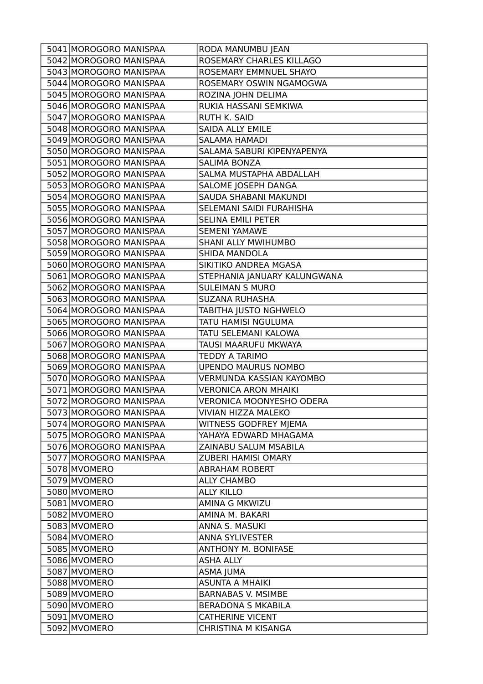| ROSEMARY CHARLES KILLAGO<br>5042 MOROGORO MANISPAA<br>5043 MOROGORO MANISPAA<br>ROSEMARY EMMNUEL SHAYO<br>5044 MOROGORO MANISPAA<br>ROSEMARY OSWIN NGAMOGWA<br>5045 MOROGORO MANISPAA<br>ROZINA JOHN DELIMA<br>5046 MOROGORO MANISPAA<br>RUKIA HASSANI SEMKIWA<br>5047 MOROGORO MANISPAA<br>RUTH K. SAID<br>5048 MOROGORO MANISPAA<br><b>SAIDA ALLY EMILE</b><br>5049 MOROGORO MANISPAA<br><b>SALAMA HAMADI</b><br>5050 MOROGORO MANISPAA<br>SALAMA SABURI KIPENYAPENYA<br>5051 MOROGORO MANISPAA<br><b>SALIMA BONZA</b><br>5052 MOROGORO MANISPAA<br>SALMA MUSTAPHA ABDALLAH<br>5053 MOROGORO MANISPAA<br>SALOME JOSEPH DANGA<br>5054 MOROGORO MANISPAA<br>SAUDA SHABANI MAKUNDI<br>5055 MOROGORO MANISPAA<br>SELEMANI SAIDI FURAHISHA<br>5056 MOROGORO MANISPAA<br><b>SELINA EMILI PETER</b><br>5057 MOROGORO MANISPAA<br><b>SEMENI YAMAWE</b><br>5058 MOROGORO MANISPAA<br><b>SHANI ALLY MWIHUMBO</b><br>5059 MOROGORO MANISPAA<br>SHIDA MANDOLA<br>5060 MOROGORO MANISPAA<br>SIKITIKO ANDREA MGASA<br>5061 MOROGORO MANISPAA<br>STEPHANIA JANUARY KALUNGWANA<br>5062 MOROGORO MANISPAA<br><b>SULEIMAN S MURO</b><br>5063 MOROGORO MANISPAA<br><b>SUZANA RUHASHA</b><br>5064 MOROGORO MANISPAA<br>TABITHA JUSTO NGHWELO<br>5065 MOROGORO MANISPAA<br>TATU HAMISI NGULUMA<br>5066 MOROGORO MANISPAA<br>TATU SELEMANI KALOWA<br>5067 MOROGORO MANISPAA<br>TAUSI MAARUFU MKWAYA<br>5068 MOROGORO MANISPAA<br><b>TEDDY A TARIMO</b><br>5069 MOROGORO MANISPAA<br><b>UPENDO MAURUS NOMBO</b><br>5070 MOROGORO MANISPAA<br><b>VERMUNDA KASSIAN KAYOMBO</b><br>5071 MOROGORO MANISPAA<br><b>VERONICA ARON MHAIKI</b><br>5072 MOROGORO MANISPAA<br><b>VERONICA MOONYESHO ODERA</b><br>5073 MOROGORO MANISPAA<br>VIVIAN HIZZA MALEKO<br>5074 MOROGORO MANISPAA<br><b>WITNESS GODFREY MJEMA</b><br>5075 MOROGORO MANISPAA<br>YAHAYA EDWARD MHAGAMA<br>5076 MOROGORO MANISPAA<br>ZAINABU SALUM MSABILA<br>5077 MOROGORO MANISPAA<br>ZUBERI HAMISI OMARY<br>5078 MVOMERO<br><b>ABRAHAM ROBERT</b><br>5079 MVOMERO<br><b>ALLY CHAMBO</b><br>5080 MVOMERO<br><b>ALLY KILLO</b><br>5081 MVOMERO<br>AMINA G MKWIZU<br>5082 MVOMERO<br>AMINA M. BAKARI<br>5083 MVOMERO<br>ANNA S. MASUKI<br>5084 MVOMERO<br><b>ANNA SYLIVESTER</b><br>5085 MVOMERO<br>ANTHONY M. BONIFASE<br>5086 MVOMERO<br><b>ASHA ALLY</b><br>5087 MVOMERO<br>ASMA JUMA | 5041 MOROGORO MANISPAA | RODA MANUMBU JEAN   |
|------------------------------------------------------------------------------------------------------------------------------------------------------------------------------------------------------------------------------------------------------------------------------------------------------------------------------------------------------------------------------------------------------------------------------------------------------------------------------------------------------------------------------------------------------------------------------------------------------------------------------------------------------------------------------------------------------------------------------------------------------------------------------------------------------------------------------------------------------------------------------------------------------------------------------------------------------------------------------------------------------------------------------------------------------------------------------------------------------------------------------------------------------------------------------------------------------------------------------------------------------------------------------------------------------------------------------------------------------------------------------------------------------------------------------------------------------------------------------------------------------------------------------------------------------------------------------------------------------------------------------------------------------------------------------------------------------------------------------------------------------------------------------------------------------------------------------------------------------------------------------------------------------------------------------------------------------------------------------------------------------------------------------------------------------------------------------------------------------------------------------------------------------------------------------------------------------------------------------------------------------------------------------------------------------------------------------|------------------------|---------------------|
|                                                                                                                                                                                                                                                                                                                                                                                                                                                                                                                                                                                                                                                                                                                                                                                                                                                                                                                                                                                                                                                                                                                                                                                                                                                                                                                                                                                                                                                                                                                                                                                                                                                                                                                                                                                                                                                                                                                                                                                                                                                                                                                                                                                                                                                                                                                              |                        |                     |
|                                                                                                                                                                                                                                                                                                                                                                                                                                                                                                                                                                                                                                                                                                                                                                                                                                                                                                                                                                                                                                                                                                                                                                                                                                                                                                                                                                                                                                                                                                                                                                                                                                                                                                                                                                                                                                                                                                                                                                                                                                                                                                                                                                                                                                                                                                                              |                        |                     |
|                                                                                                                                                                                                                                                                                                                                                                                                                                                                                                                                                                                                                                                                                                                                                                                                                                                                                                                                                                                                                                                                                                                                                                                                                                                                                                                                                                                                                                                                                                                                                                                                                                                                                                                                                                                                                                                                                                                                                                                                                                                                                                                                                                                                                                                                                                                              |                        |                     |
|                                                                                                                                                                                                                                                                                                                                                                                                                                                                                                                                                                                                                                                                                                                                                                                                                                                                                                                                                                                                                                                                                                                                                                                                                                                                                                                                                                                                                                                                                                                                                                                                                                                                                                                                                                                                                                                                                                                                                                                                                                                                                                                                                                                                                                                                                                                              |                        |                     |
|                                                                                                                                                                                                                                                                                                                                                                                                                                                                                                                                                                                                                                                                                                                                                                                                                                                                                                                                                                                                                                                                                                                                                                                                                                                                                                                                                                                                                                                                                                                                                                                                                                                                                                                                                                                                                                                                                                                                                                                                                                                                                                                                                                                                                                                                                                                              |                        |                     |
|                                                                                                                                                                                                                                                                                                                                                                                                                                                                                                                                                                                                                                                                                                                                                                                                                                                                                                                                                                                                                                                                                                                                                                                                                                                                                                                                                                                                                                                                                                                                                                                                                                                                                                                                                                                                                                                                                                                                                                                                                                                                                                                                                                                                                                                                                                                              |                        |                     |
|                                                                                                                                                                                                                                                                                                                                                                                                                                                                                                                                                                                                                                                                                                                                                                                                                                                                                                                                                                                                                                                                                                                                                                                                                                                                                                                                                                                                                                                                                                                                                                                                                                                                                                                                                                                                                                                                                                                                                                                                                                                                                                                                                                                                                                                                                                                              |                        |                     |
|                                                                                                                                                                                                                                                                                                                                                                                                                                                                                                                                                                                                                                                                                                                                                                                                                                                                                                                                                                                                                                                                                                                                                                                                                                                                                                                                                                                                                                                                                                                                                                                                                                                                                                                                                                                                                                                                                                                                                                                                                                                                                                                                                                                                                                                                                                                              |                        |                     |
|                                                                                                                                                                                                                                                                                                                                                                                                                                                                                                                                                                                                                                                                                                                                                                                                                                                                                                                                                                                                                                                                                                                                                                                                                                                                                                                                                                                                                                                                                                                                                                                                                                                                                                                                                                                                                                                                                                                                                                                                                                                                                                                                                                                                                                                                                                                              |                        |                     |
|                                                                                                                                                                                                                                                                                                                                                                                                                                                                                                                                                                                                                                                                                                                                                                                                                                                                                                                                                                                                                                                                                                                                                                                                                                                                                                                                                                                                                                                                                                                                                                                                                                                                                                                                                                                                                                                                                                                                                                                                                                                                                                                                                                                                                                                                                                                              |                        |                     |
|                                                                                                                                                                                                                                                                                                                                                                                                                                                                                                                                                                                                                                                                                                                                                                                                                                                                                                                                                                                                                                                                                                                                                                                                                                                                                                                                                                                                                                                                                                                                                                                                                                                                                                                                                                                                                                                                                                                                                                                                                                                                                                                                                                                                                                                                                                                              |                        |                     |
|                                                                                                                                                                                                                                                                                                                                                                                                                                                                                                                                                                                                                                                                                                                                                                                                                                                                                                                                                                                                                                                                                                                                                                                                                                                                                                                                                                                                                                                                                                                                                                                                                                                                                                                                                                                                                                                                                                                                                                                                                                                                                                                                                                                                                                                                                                                              |                        |                     |
|                                                                                                                                                                                                                                                                                                                                                                                                                                                                                                                                                                                                                                                                                                                                                                                                                                                                                                                                                                                                                                                                                                                                                                                                                                                                                                                                                                                                                                                                                                                                                                                                                                                                                                                                                                                                                                                                                                                                                                                                                                                                                                                                                                                                                                                                                                                              |                        |                     |
|                                                                                                                                                                                                                                                                                                                                                                                                                                                                                                                                                                                                                                                                                                                                                                                                                                                                                                                                                                                                                                                                                                                                                                                                                                                                                                                                                                                                                                                                                                                                                                                                                                                                                                                                                                                                                                                                                                                                                                                                                                                                                                                                                                                                                                                                                                                              |                        |                     |
|                                                                                                                                                                                                                                                                                                                                                                                                                                                                                                                                                                                                                                                                                                                                                                                                                                                                                                                                                                                                                                                                                                                                                                                                                                                                                                                                                                                                                                                                                                                                                                                                                                                                                                                                                                                                                                                                                                                                                                                                                                                                                                                                                                                                                                                                                                                              |                        |                     |
|                                                                                                                                                                                                                                                                                                                                                                                                                                                                                                                                                                                                                                                                                                                                                                                                                                                                                                                                                                                                                                                                                                                                                                                                                                                                                                                                                                                                                                                                                                                                                                                                                                                                                                                                                                                                                                                                                                                                                                                                                                                                                                                                                                                                                                                                                                                              |                        |                     |
|                                                                                                                                                                                                                                                                                                                                                                                                                                                                                                                                                                                                                                                                                                                                                                                                                                                                                                                                                                                                                                                                                                                                                                                                                                                                                                                                                                                                                                                                                                                                                                                                                                                                                                                                                                                                                                                                                                                                                                                                                                                                                                                                                                                                                                                                                                                              |                        |                     |
|                                                                                                                                                                                                                                                                                                                                                                                                                                                                                                                                                                                                                                                                                                                                                                                                                                                                                                                                                                                                                                                                                                                                                                                                                                                                                                                                                                                                                                                                                                                                                                                                                                                                                                                                                                                                                                                                                                                                                                                                                                                                                                                                                                                                                                                                                                                              |                        |                     |
|                                                                                                                                                                                                                                                                                                                                                                                                                                                                                                                                                                                                                                                                                                                                                                                                                                                                                                                                                                                                                                                                                                                                                                                                                                                                                                                                                                                                                                                                                                                                                                                                                                                                                                                                                                                                                                                                                                                                                                                                                                                                                                                                                                                                                                                                                                                              |                        |                     |
|                                                                                                                                                                                                                                                                                                                                                                                                                                                                                                                                                                                                                                                                                                                                                                                                                                                                                                                                                                                                                                                                                                                                                                                                                                                                                                                                                                                                                                                                                                                                                                                                                                                                                                                                                                                                                                                                                                                                                                                                                                                                                                                                                                                                                                                                                                                              |                        |                     |
|                                                                                                                                                                                                                                                                                                                                                                                                                                                                                                                                                                                                                                                                                                                                                                                                                                                                                                                                                                                                                                                                                                                                                                                                                                                                                                                                                                                                                                                                                                                                                                                                                                                                                                                                                                                                                                                                                                                                                                                                                                                                                                                                                                                                                                                                                                                              |                        |                     |
|                                                                                                                                                                                                                                                                                                                                                                                                                                                                                                                                                                                                                                                                                                                                                                                                                                                                                                                                                                                                                                                                                                                                                                                                                                                                                                                                                                                                                                                                                                                                                                                                                                                                                                                                                                                                                                                                                                                                                                                                                                                                                                                                                                                                                                                                                                                              |                        |                     |
|                                                                                                                                                                                                                                                                                                                                                                                                                                                                                                                                                                                                                                                                                                                                                                                                                                                                                                                                                                                                                                                                                                                                                                                                                                                                                                                                                                                                                                                                                                                                                                                                                                                                                                                                                                                                                                                                                                                                                                                                                                                                                                                                                                                                                                                                                                                              |                        |                     |
|                                                                                                                                                                                                                                                                                                                                                                                                                                                                                                                                                                                                                                                                                                                                                                                                                                                                                                                                                                                                                                                                                                                                                                                                                                                                                                                                                                                                                                                                                                                                                                                                                                                                                                                                                                                                                                                                                                                                                                                                                                                                                                                                                                                                                                                                                                                              |                        |                     |
|                                                                                                                                                                                                                                                                                                                                                                                                                                                                                                                                                                                                                                                                                                                                                                                                                                                                                                                                                                                                                                                                                                                                                                                                                                                                                                                                                                                                                                                                                                                                                                                                                                                                                                                                                                                                                                                                                                                                                                                                                                                                                                                                                                                                                                                                                                                              |                        |                     |
|                                                                                                                                                                                                                                                                                                                                                                                                                                                                                                                                                                                                                                                                                                                                                                                                                                                                                                                                                                                                                                                                                                                                                                                                                                                                                                                                                                                                                                                                                                                                                                                                                                                                                                                                                                                                                                                                                                                                                                                                                                                                                                                                                                                                                                                                                                                              |                        |                     |
|                                                                                                                                                                                                                                                                                                                                                                                                                                                                                                                                                                                                                                                                                                                                                                                                                                                                                                                                                                                                                                                                                                                                                                                                                                                                                                                                                                                                                                                                                                                                                                                                                                                                                                                                                                                                                                                                                                                                                                                                                                                                                                                                                                                                                                                                                                                              |                        |                     |
|                                                                                                                                                                                                                                                                                                                                                                                                                                                                                                                                                                                                                                                                                                                                                                                                                                                                                                                                                                                                                                                                                                                                                                                                                                                                                                                                                                                                                                                                                                                                                                                                                                                                                                                                                                                                                                                                                                                                                                                                                                                                                                                                                                                                                                                                                                                              |                        |                     |
|                                                                                                                                                                                                                                                                                                                                                                                                                                                                                                                                                                                                                                                                                                                                                                                                                                                                                                                                                                                                                                                                                                                                                                                                                                                                                                                                                                                                                                                                                                                                                                                                                                                                                                                                                                                                                                                                                                                                                                                                                                                                                                                                                                                                                                                                                                                              |                        |                     |
|                                                                                                                                                                                                                                                                                                                                                                                                                                                                                                                                                                                                                                                                                                                                                                                                                                                                                                                                                                                                                                                                                                                                                                                                                                                                                                                                                                                                                                                                                                                                                                                                                                                                                                                                                                                                                                                                                                                                                                                                                                                                                                                                                                                                                                                                                                                              |                        |                     |
|                                                                                                                                                                                                                                                                                                                                                                                                                                                                                                                                                                                                                                                                                                                                                                                                                                                                                                                                                                                                                                                                                                                                                                                                                                                                                                                                                                                                                                                                                                                                                                                                                                                                                                                                                                                                                                                                                                                                                                                                                                                                                                                                                                                                                                                                                                                              |                        |                     |
|                                                                                                                                                                                                                                                                                                                                                                                                                                                                                                                                                                                                                                                                                                                                                                                                                                                                                                                                                                                                                                                                                                                                                                                                                                                                                                                                                                                                                                                                                                                                                                                                                                                                                                                                                                                                                                                                                                                                                                                                                                                                                                                                                                                                                                                                                                                              |                        |                     |
|                                                                                                                                                                                                                                                                                                                                                                                                                                                                                                                                                                                                                                                                                                                                                                                                                                                                                                                                                                                                                                                                                                                                                                                                                                                                                                                                                                                                                                                                                                                                                                                                                                                                                                                                                                                                                                                                                                                                                                                                                                                                                                                                                                                                                                                                                                                              |                        |                     |
|                                                                                                                                                                                                                                                                                                                                                                                                                                                                                                                                                                                                                                                                                                                                                                                                                                                                                                                                                                                                                                                                                                                                                                                                                                                                                                                                                                                                                                                                                                                                                                                                                                                                                                                                                                                                                                                                                                                                                                                                                                                                                                                                                                                                                                                                                                                              |                        |                     |
|                                                                                                                                                                                                                                                                                                                                                                                                                                                                                                                                                                                                                                                                                                                                                                                                                                                                                                                                                                                                                                                                                                                                                                                                                                                                                                                                                                                                                                                                                                                                                                                                                                                                                                                                                                                                                                                                                                                                                                                                                                                                                                                                                                                                                                                                                                                              |                        |                     |
|                                                                                                                                                                                                                                                                                                                                                                                                                                                                                                                                                                                                                                                                                                                                                                                                                                                                                                                                                                                                                                                                                                                                                                                                                                                                                                                                                                                                                                                                                                                                                                                                                                                                                                                                                                                                                                                                                                                                                                                                                                                                                                                                                                                                                                                                                                                              |                        |                     |
|                                                                                                                                                                                                                                                                                                                                                                                                                                                                                                                                                                                                                                                                                                                                                                                                                                                                                                                                                                                                                                                                                                                                                                                                                                                                                                                                                                                                                                                                                                                                                                                                                                                                                                                                                                                                                                                                                                                                                                                                                                                                                                                                                                                                                                                                                                                              |                        |                     |
|                                                                                                                                                                                                                                                                                                                                                                                                                                                                                                                                                                                                                                                                                                                                                                                                                                                                                                                                                                                                                                                                                                                                                                                                                                                                                                                                                                                                                                                                                                                                                                                                                                                                                                                                                                                                                                                                                                                                                                                                                                                                                                                                                                                                                                                                                                                              |                        |                     |
|                                                                                                                                                                                                                                                                                                                                                                                                                                                                                                                                                                                                                                                                                                                                                                                                                                                                                                                                                                                                                                                                                                                                                                                                                                                                                                                                                                                                                                                                                                                                                                                                                                                                                                                                                                                                                                                                                                                                                                                                                                                                                                                                                                                                                                                                                                                              |                        |                     |
|                                                                                                                                                                                                                                                                                                                                                                                                                                                                                                                                                                                                                                                                                                                                                                                                                                                                                                                                                                                                                                                                                                                                                                                                                                                                                                                                                                                                                                                                                                                                                                                                                                                                                                                                                                                                                                                                                                                                                                                                                                                                                                                                                                                                                                                                                                                              |                        |                     |
|                                                                                                                                                                                                                                                                                                                                                                                                                                                                                                                                                                                                                                                                                                                                                                                                                                                                                                                                                                                                                                                                                                                                                                                                                                                                                                                                                                                                                                                                                                                                                                                                                                                                                                                                                                                                                                                                                                                                                                                                                                                                                                                                                                                                                                                                                                                              |                        |                     |
|                                                                                                                                                                                                                                                                                                                                                                                                                                                                                                                                                                                                                                                                                                                                                                                                                                                                                                                                                                                                                                                                                                                                                                                                                                                                                                                                                                                                                                                                                                                                                                                                                                                                                                                                                                                                                                                                                                                                                                                                                                                                                                                                                                                                                                                                                                                              |                        |                     |
|                                                                                                                                                                                                                                                                                                                                                                                                                                                                                                                                                                                                                                                                                                                                                                                                                                                                                                                                                                                                                                                                                                                                                                                                                                                                                                                                                                                                                                                                                                                                                                                                                                                                                                                                                                                                                                                                                                                                                                                                                                                                                                                                                                                                                                                                                                                              |                        |                     |
|                                                                                                                                                                                                                                                                                                                                                                                                                                                                                                                                                                                                                                                                                                                                                                                                                                                                                                                                                                                                                                                                                                                                                                                                                                                                                                                                                                                                                                                                                                                                                                                                                                                                                                                                                                                                                                                                                                                                                                                                                                                                                                                                                                                                                                                                                                                              |                        |                     |
|                                                                                                                                                                                                                                                                                                                                                                                                                                                                                                                                                                                                                                                                                                                                                                                                                                                                                                                                                                                                                                                                                                                                                                                                                                                                                                                                                                                                                                                                                                                                                                                                                                                                                                                                                                                                                                                                                                                                                                                                                                                                                                                                                                                                                                                                                                                              |                        |                     |
|                                                                                                                                                                                                                                                                                                                                                                                                                                                                                                                                                                                                                                                                                                                                                                                                                                                                                                                                                                                                                                                                                                                                                                                                                                                                                                                                                                                                                                                                                                                                                                                                                                                                                                                                                                                                                                                                                                                                                                                                                                                                                                                                                                                                                                                                                                                              |                        |                     |
| 5088 MVOMERO<br><b>ASUNTA A MHAIKI</b>                                                                                                                                                                                                                                                                                                                                                                                                                                                                                                                                                                                                                                                                                                                                                                                                                                                                                                                                                                                                                                                                                                                                                                                                                                                                                                                                                                                                                                                                                                                                                                                                                                                                                                                                                                                                                                                                                                                                                                                                                                                                                                                                                                                                                                                                                       |                        |                     |
| 5089 MVOMERO<br><b>BARNABAS V. MSIMBE</b>                                                                                                                                                                                                                                                                                                                                                                                                                                                                                                                                                                                                                                                                                                                                                                                                                                                                                                                                                                                                                                                                                                                                                                                                                                                                                                                                                                                                                                                                                                                                                                                                                                                                                                                                                                                                                                                                                                                                                                                                                                                                                                                                                                                                                                                                                    |                        |                     |
| 5090 MVOMERO<br><b>BERADONA S MKABILA</b>                                                                                                                                                                                                                                                                                                                                                                                                                                                                                                                                                                                                                                                                                                                                                                                                                                                                                                                                                                                                                                                                                                                                                                                                                                                                                                                                                                                                                                                                                                                                                                                                                                                                                                                                                                                                                                                                                                                                                                                                                                                                                                                                                                                                                                                                                    |                        |                     |
| 5091 MVOMERO<br><b>CATHERINE VICENT</b>                                                                                                                                                                                                                                                                                                                                                                                                                                                                                                                                                                                                                                                                                                                                                                                                                                                                                                                                                                                                                                                                                                                                                                                                                                                                                                                                                                                                                                                                                                                                                                                                                                                                                                                                                                                                                                                                                                                                                                                                                                                                                                                                                                                                                                                                                      |                        |                     |
| 5092 MVOMERO                                                                                                                                                                                                                                                                                                                                                                                                                                                                                                                                                                                                                                                                                                                                                                                                                                                                                                                                                                                                                                                                                                                                                                                                                                                                                                                                                                                                                                                                                                                                                                                                                                                                                                                                                                                                                                                                                                                                                                                                                                                                                                                                                                                                                                                                                                                 |                        | CHRISTINA M KISANGA |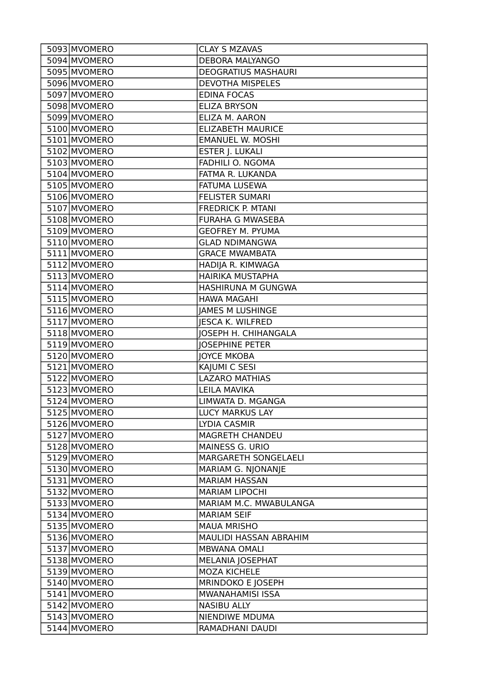| 5093 MVOMERO | <b>CLAY S MZAVAS</b>        |
|--------------|-----------------------------|
| 5094 MVOMERO | <b>DEBORA MALYANGO</b>      |
| 5095 MVOMERO | <b>DEOGRATIUS MASHAURI</b>  |
| 5096 MVOMERO | <b>DEVOTHA MISPELES</b>     |
| 5097 MVOMERO | <b>EDINA FOCAS</b>          |
| 5098 MVOMERO | <b>ELIZA BRYSON</b>         |
| 5099 MVOMERO | ELIZA M. AARON              |
| 5100 MVOMERO | <b>ELIZABETH MAURICE</b>    |
| 5101 MVOMERO | <b>EMANUEL W. MOSHI</b>     |
| 5102 MVOMERO | ESTER J. LUKALI             |
| 5103 MVOMERO | FADHILI O. NGOMA            |
| 5104 MVOMERO | FATMA R. LUKANDA            |
| 5105 MVOMERO | <b>FATUMA LUSEWA</b>        |
| 5106 MVOMERO | <b>FELISTER SUMARI</b>      |
| 5107 MVOMERO | <b>FREDRICK P. MTANI</b>    |
| 5108 MVOMERO | <b>FURAHA G MWASEBA</b>     |
| 5109 MVOMERO | <b>GEOFREY M. PYUMA</b>     |
| 5110 MVOMERO | <b>GLAD NDIMANGWA</b>       |
| 5111 MVOMERO | <b>GRACE MWAMBATA</b>       |
| 5112 MVOMERO | HADIJA R. KIMWAGA           |
| 5113 MVOMERO | HAIRIKA MUSTAPHA            |
| 5114 MVOMERO | HASHIRUNA M GUNGWA          |
| 5115 MVOMERO | <b>HAWA MAGAHI</b>          |
| 5116 MVOMERO | <b>JAMES M LUSHINGE</b>     |
| 5117 MVOMERO | <b>JESCA K. WILFRED</b>     |
| 5118 MVOMERO | <b>JOSEPH H. CHIHANGALA</b> |
| 5119 MVOMERO | <b>JOSEPHINE PETER</b>      |
| 5120 MVOMERO | <b>JOYCE MKOBA</b>          |
| 5121 MVOMERO | KAJUMI C SESI               |
| 5122 MVOMERO | <b>LAZARO MATHIAS</b>       |
| 5123 MVOMERO | <b>LEILA MAVIKA</b>         |
| 5124 MVOMERO | LIMWATA D. MGANGA           |
| 5125 MVOMERO | <b>LUCY MARKUS LAY</b>      |
| 5126 MVOMERO | LYDIA CASMIR                |
| 5127 MVOMERO | <b>MAGRETH CHANDEU</b>      |
| 5128 MVOMERO | MAINESS G. URIO             |
| 5129 MVOMERO | MARGARETH SONGELAELI        |
| 5130 MVOMERO | MARIAM G. NJONANJE          |
| 5131 MVOMERO | <b>MARIAM HASSAN</b>        |
| 5132 MVOMERO | <b>MARIAM LIPOCHI</b>       |
| 5133 MVOMERO | MARIAM M.C. MWABULANGA      |
| 5134 MVOMERO | <b>MARIAM SEIF</b>          |
| 5135 MVOMERO | <b>MAUA MRISHO</b>          |
| 5136 MVOMERO | MAULIDI HASSAN ABRAHIM      |
| 5137 MVOMERO | <b>MBWANA OMALI</b>         |
| 5138 MVOMERO | MELANIA JOSEPHAT            |
| 5139 MVOMERO | <b>MOZA KICHELE</b>         |
| 5140 MVOMERO | MRINDOKO E JOSEPH           |
| 5141 MVOMERO | MWANAHAMISI ISSA            |
| 5142 MVOMERO | <b>NASIBU ALLY</b>          |
| 5143 MVOMERO | NIENDIWE MDUMA              |
| 5144 MVOMERO | RAMADHANI DAUDI             |
|              |                             |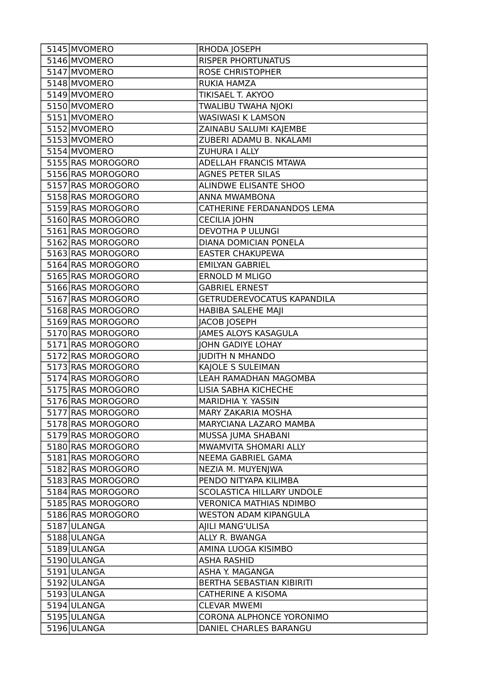| 5145 MVOMERO      | RHODA JOSEPH                   |
|-------------------|--------------------------------|
| 5146 MVOMERO      | <b>RISPER PHORTUNATUS</b>      |
| 5147 MVOMERO      | <b>ROSE CHRISTOPHER</b>        |
| 5148 MVOMERO      | <b>RUKIA HAMZA</b>             |
| 5149 MVOMERO      | TIKISAEL T. AKYOO              |
| 5150 MVOMERO      | TWALIBU TWAHA NJOKI            |
| 5151 MVOMERO      | WASIWASI K LAMSON              |
| 5152 MVOMERO      | ZAINABU SALUMI KAJEMBE         |
| 5153 MVOMERO      | ZUBERI ADAMU B. NKALAMI        |
| 5154 MVOMERO      | ZUHURA I ALLY                  |
| 5155 RAS MOROGORO | ADELLAH FRANCIS MTAWA          |
| 5156 RAS MOROGORO | <b>AGNES PETER SILAS</b>       |
| 5157 RAS MOROGORO | ALINDWE ELISANTE SHOO          |
| 5158 RAS MOROGORO | ANNA MWAMBONA                  |
| 5159 RAS MOROGORO | CATHERINE FERDANANDOS LEMA     |
| 5160 RAS MOROGORO | <b>CECILIA JOHN</b>            |
| 5161 RAS MOROGORO | <b>DEVOTHA P ULUNGI</b>        |
| 5162 RAS MOROGORO | DIANA DOMICIAN PONELA          |
| 5163 RAS MOROGORO | <b>EASTER CHAKUPEWA</b>        |
| 5164 RAS MOROGORO | <b>EMILYAN GABRIEL</b>         |
| 5165 RAS MOROGORO | <b>ERNOLD M MLIGO</b>          |
| 5166 RAS MOROGORO | <b>GABRIEL ERNEST</b>          |
| 5167 RAS MOROGORO | GETRUDEREVOCATUS KAPANDILA     |
| 5168 RAS MOROGORO | HABIBA SALEHE MAJI             |
| 5169 RAS MOROGORO | JACOB JOSEPH                   |
| 5170 RAS MOROGORO | <b>JAMES ALOYS KASAGULA</b>    |
| 5171 RAS MOROGORO | JOHN GADIYE LOHAY              |
| 5172 RAS MOROGORO | <b>JUDITH N MHANDO</b>         |
| 5173 RAS MOROGORO | KAJOLE S SULEIMAN              |
| 5174 RAS MOROGORO | LEAH RAMADHAN MAGOMBA          |
| 5175 RAS MOROGORO | LISIA SABHA KICHECHE           |
| 5176 RAS MOROGORO | <b>MARIDHIA Y. YASSIN</b>      |
| 5177 RAS MOROGORO | MARY ZAKARIA MOSHA             |
| 5178 RAS MOROGORO | MARYCIANA LAZARO MAMBA         |
| 5179 RAS MOROGORO | MUSSA JUMA SHABANI             |
| 5180 RAS MOROGORO | MWAMVITA SHOMARI ALLY          |
| 5181 RAS MOROGORO | NEEMA GABRIEL GAMA             |
| 5182 RAS MOROGORO | NEZIA M. MUYENJWA              |
| 5183 RAS MOROGORO | PENDO NITYAPA KILIMBA          |
| 5184 RAS MOROGORO | SCOLASTICA HILLARY UNDOLE      |
| 5185 RAS MOROGORO | <b>VERONICA MATHIAS NDIMBO</b> |
| 5186 RAS MOROGORO | <b>WESTON ADAM KIPANGULA</b>   |
| 5187 ULANGA       | AJILI MANG'ULISA               |
| 5188ULANGA        | ALLY R. BWANGA                 |
| 5189 ULANGA       | AMINA LUOGA KISIMBO            |
| 5190 ULANGA       | <b>ASHA RASHID</b>             |
| 5191 ULANGA       | ASHA Y. MAGANGA                |
| 5192 ULANGA       | BERTHA SEBASTIAN KIBIRITI      |
| 5193 ULANGA       | <b>CATHERINE A KISOMA</b>      |
| 5194 ULANGA       | <b>CLEVAR MWEMI</b>            |
| 5195 ULANGA       | CORONA ALPHONCE YORONIMO       |
| 5196 ULANGA       | DANIEL CHARLES BARANGU         |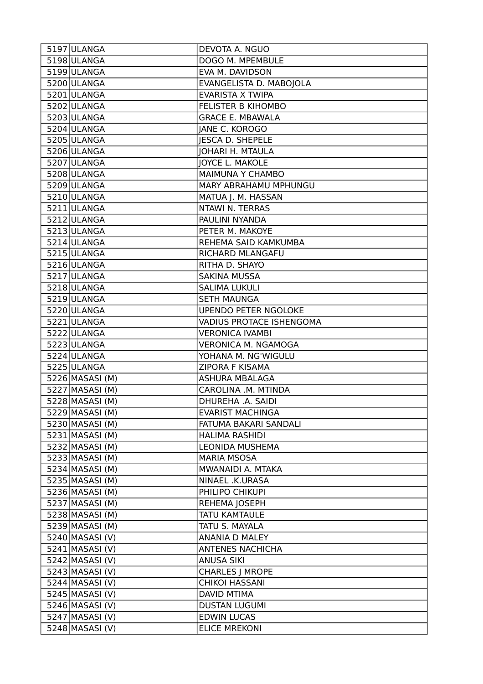| 5197 ULANGA       | DEVOTA A. NGUO              |
|-------------------|-----------------------------|
| 5198 ULANGA       | DOGO M. MPEMBULE            |
| 5199 ULANGA       | EVA M. DAVIDSON             |
| 5200 ULANGA       | EVANGELISTA D. MABOJOLA     |
| 5201 ULANGA       | <b>EVARISTA X TWIPA</b>     |
| 5202 ULANGA       | <b>FELISTER B KIHOMBO</b>   |
| 5203 ULANGA       | <b>GRACE E. MBAWALA</b>     |
| 5204 ULANGA       | JANE C. KOROGO              |
| 5205 ULANGA       | <b>JESCA D. SHEPELE</b>     |
| 5206 ULANGA       | <b>JOHARI H. MTAULA</b>     |
| 5207 ULANGA       | <b>JOYCE L. MAKOLE</b>      |
| 5208 ULANGA       | <b>MAIMUNA Y CHAMBO</b>     |
| 5209 ULANGA       | MARY ABRAHAMU MPHUNGU       |
| 5210 ULANGA       | MATUA J. M. HASSAN          |
| 5211 ULANGA       | NTAWI N. TERRAS             |
| 5212 ULANGA       | PAULINI NYANDA              |
| 5213 ULANGA       | PETER M. MAKOYE             |
| 5214 ULANGA       | REHEMA SAID KAMKUMBA        |
| 5215 ULANGA       | RICHARD MLANGAFU            |
| 5216 ULANGA       | RITHA D. SHAYO              |
| 5217 ULANGA       | <b>SAKINA MUSSA</b>         |
| 5218 ULANGA       | <b>SALIMA LUKULI</b>        |
| 5219 ULANGA       | <b>SETH MAUNGA</b>          |
| 5220 ULANGA       | <b>UPENDO PETER NGOLOKE</b> |
| 5221 ULANGA       | VADIUS PROTACE ISHENGOMA    |
| 5222 ULANGA       | <b>VERONICA IVAMBI</b>      |
| 5223 ULANGA       | <b>VERONICA M. NGAMOGA</b>  |
| 5224 ULANGA       | YOHANA M. NG'WIGULU         |
| 5225 ULANGA       | <b>ZIPORA F KISAMA</b>      |
| 5226 MASASI (M)   | ASHURA MBALAGA              |
| 5227 MASASI (M)   | CAROLINA .M. MTINDA         |
| 5228 MASASI (M)   | DHUREHA .A. SAIDI           |
| 5229 MASASI (M)   | <b>EVARIST MACHINGA</b>     |
| 5230 MASASI (M)   | FATUMA BAKARI SANDALI       |
| $5231$ MASASI (M) | <b>HALIMA RASHIDI</b>       |
| 5232 MASASI (M)   | <b>LEONIDA MUSHEMA</b>      |
| 5233 MASASI (M)   | <b>MARIA MSOSA</b>          |
| 5234 MASASI (M)   | MWANAIDI A. MTAKA           |
| 5235 MASASI (M)   | NINAEL .K.URASA             |
| 5236 MASASI (M)   | PHILIPO CHIKUPI             |
| 5237 MASASI (M)   | REHEMA JOSEPH               |
| 5238 MASASI (M)   | TATU KAMTAULE               |
| 5239 MASASI (M)   | TATU S. MAYALA              |
| 5240 MASASI (V)   | ANANIA D MALEY              |
| $5241$ MASASI (V) | <b>ANTENES NACHICHA</b>     |
| $5242$ MASASI (V) | <b>ANUSA SIKI</b>           |
| $5243$ MASASI (V) | <b>CHARLES J MROPE</b>      |
| 5244 MASASI (V)   | <b>CHIKOI HASSANI</b>       |
| 5245 MASASI (V)   | <b>DAVID MTIMA</b>          |
| 5246 MASASI (V)   | <b>DUSTAN LUGUMI</b>        |
| 5247 MASASI (V)   | <b>EDWIN LUCAS</b>          |
| 5248 MASASI (V)   | <b>ELICE MREKONI</b>        |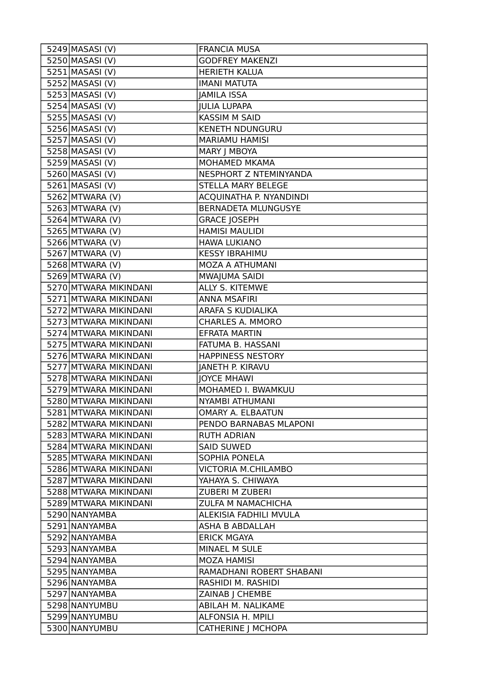| 5249 MASASI (V)       | <b>FRANCIA MUSA</b>        |
|-----------------------|----------------------------|
| 5250 MASASI (V)       | <b>GODFREY MAKENZI</b>     |
| $5251$ MASASI (V)     | <b>HERIETH KALUA</b>       |
| 5252 MASASI (V)       | <b>IMANI MATUTA</b>        |
| 5253 MASASI (V)       | <b>JAMILA ISSA</b>         |
| 5254 MASASI (V)       | <b>JULIA LUPAPA</b>        |
| 5255 MASASI (V)       | <b>KASSIM M SAID</b>       |
| 5256 MASASI (V)       | <b>KENETH NDUNGURU</b>     |
| 5257 MASASI (V)       | <b>MARIAMU HAMISI</b>      |
| 5258 MASASI (V)       | MARY   MBOYA               |
| 5259 MASASI (V)       | MOHAMED MKAMA              |
| 5260 MASASI (V)       | NESPHORT Z NTEMINYANDA     |
| $5261$ MASASI (V)     | STELLA MARY BELEGE         |
| 5262 MTWARA (V)       | ACQUINATHA P. NYANDINDI    |
| $5263$ MTWARA (V)     | <b>BERNADETA MLUNGUSYE</b> |
| 5264 MTWARA (V)       | <b>GRACE JOSEPH</b>        |
| 5265 MTWARA (V)       | <b>HAMISI MAULIDI</b>      |
| 5266 MTWARA (V)       | <b>HAWA LUKIANO</b>        |
| 5267 MTWARA (V)       | <b>KESSY IBRAHIMU</b>      |
| 5268 MTWARA (V)       | MOZA A ATHUMANI            |
| 5269 MTWARA (V)       | MWAJUMA SAIDI              |
| 5270 MTWARA MIKINDANI | ALLY S. KITEMWE            |
| 5271 MTWARA MIKINDANI | <b>ANNA MSAFIRI</b>        |
| 5272 MTWARA MIKINDANI | ARAFA S KUDIALIKA          |
| 5273 MTWARA MIKINDANI | <b>CHARLES A. MMORO</b>    |
| 5274 MTWARA MIKINDANI | <b>EFRATA MARTIN</b>       |
| 5275 MTWARA MIKINDANI | FATUMA B. HASSANI          |
| 5276 MTWARA MIKINDANI | <b>HAPPINESS NESTORY</b>   |
| 5277 MTWARA MIKINDANI | <b>JANETH P. KIRAVU</b>    |
| 5278 MTWARA MIKINDANI | <b>JOYCE MHAWI</b>         |
| 5279 MTWARA MIKINDANI | MOHAMED I. BWAMKUU         |
| 5280 MTWARA MIKINDANI | NYAMBI ATHUMANI            |
| 5281 MTWARA MIKINDANI | OMARY A. ELBAATUN          |
| 5282 MTWARA MIKINDANI | PENDO BARNABAS MLAPONI     |
| 5283 MTWARA MIKINDANI | <b>RUTH ADRIAN</b>         |
| 5284 MTWARA MIKINDANI | <b>SAID SUWED</b>          |
| 5285 MTWARA MIKINDANI | SOPHIA PONELA              |
| 5286 MTWARA MIKINDANI | <b>VICTORIA M.CHILAMBO</b> |
| 5287 MTWARA MIKINDANI | YAHAYA S. CHIWAYA          |
| 5288 MTWARA MIKINDANI | <b>ZUBERI M ZUBERI</b>     |
| 5289 MTWARA MIKINDANI | <b>ZULFA M NAMACHICHA</b>  |
| 5290 NANYAMBA         | ALEKISIA FADHILI MVULA     |
| 5291 NANYAMBA         | ASHA B ABDALLAH            |
| 5292 NANYAMBA         | <b>ERICK MGAYA</b>         |
| 5293 NANYAMBA         | MINAEL M SULE              |
| 5294 NANYAMBA         | <b>MOZA HAMISI</b>         |
| 5295 NANYAMBA         | RAMADHANI ROBERT SHABANI   |
| 5296 NANYAMBA         | RASHIDI M. RASHIDI         |
| 5297 NANYAMBA         | ZAINAB   CHEMBE            |
| 5298 NANYUMBU         | ABILAH M. NALIKAME         |
| 5299 NANYUMBU         | ALFONSIA H. MPILI          |
| 5300 NANYUMBU         | <b>CATHERINE J MCHOPA</b>  |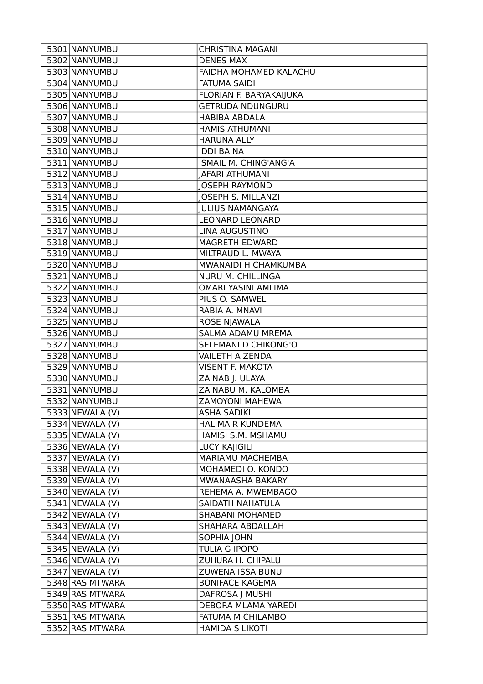| 5301 NANYUMBU      | <b>CHRISTINA MAGANI</b>    |
|--------------------|----------------------------|
| 5302 NANYUMBU      | <b>DENES MAX</b>           |
| 5303 NANYUMBU      | FAIDHA MOHAMED KALACHU     |
| 5304 NANYUMBU      | <b>FATUMA SAIDI</b>        |
| 5305 NANYUMBU      | FLORIAN F. BARYAKAIJUKA    |
| 5306 NANYUMBU      | <b>GETRUDA NDUNGURU</b>    |
| 5307 NANYUMBU      | <b>HABIBA ABDALA</b>       |
| 5308 NANYUMBU      | <b>HAMIS ATHUMANI</b>      |
| 5309 NANYUMBU      | <b>HARUNA ALLY</b>         |
| 5310 NANYUMBU      | <b>IDDI BAINA</b>          |
| 5311 NANYUMBU      | ISMAIL M. CHING'ANG'A      |
| 5312 NANYUMBU      | <b>JAFARI ATHUMANI</b>     |
| 5313 NANYUMBU      | <b>JOSEPH RAYMOND</b>      |
| 5314 NANYUMBU      | <b>JOSEPH S. MILLANZI</b>  |
| 5315 NANYUMBU      | <b>JULIUS NAMANGAYA</b>    |
| 5316 NANYUMBU      | <b>LEONARD LEONARD</b>     |
| 5317 NANYUMBU      | LINA AUGUSTINO             |
| 5318 NANYUMBU      | <b>MAGRETH EDWARD</b>      |
| 5319 NANYUMBU      | MILTRAUD L. MWAYA          |
| 5320 NANYUMBU      | MWANAIDI H CHAMKUMBA       |
| 5321 NANYUMBU      | NURU M. CHILLINGA          |
| 5322 NANYUMBU      | <b>OMARI YASINI AMLIMA</b> |
| 5323 NANYUMBU      | PIUS O. SAMWEL             |
| 5324 NANYUMBU      | RABIA A. MNAVI             |
| 5325 NANYUMBU      | ROSE NJAWALA               |
| 5326 NANYUMBU      | SALMA ADAMU MREMA          |
| 5327 NANYUMBU      | SELEMANI D CHIKONG'O       |
| 5328 NANYUMBU      | <b>VAILETH A ZENDA</b>     |
| 5329 NANYUMBU      | <b>VISENT F. MAKOTA</b>    |
| 5330 NANYUMBU      | ZAINAB J. ULAYA            |
| 5331 NANYUMBU      | ZAINABU M. KALOMBA         |
| 5332 NANYUMBU      | ZAMOYONI MAHEWA            |
| 5333 NEWALA (V)    | <b>ASHA SADIKI</b>         |
| $5334$ NEWALA (V)  | <b>HALIMA R KUNDEMA</b>    |
| 5335 NEWALA (V)    | HAMISI S.M. MSHAMU         |
| $5336$ NEWALA (V)  | <b>LUCY KAJIGILI</b>       |
| 5337 NEWALA (V)    | MARIAMU MACHEMBA           |
| $5338$ NEWALA (V)  | MOHAMEDI O. KONDO          |
| $5339$ NEWALA (V)  | MWANAASHA BAKARY           |
| $5340$ NEWALA (V)  | REHEMA A. MWEMBAGO         |
| $5341$  NEWALA (V) | SAIDATH NAHATULA           |
| $5342$ NEWALA (V)  | SHABANI MOHAMED            |
| $5343$ NEWALA (V)  | SHAHARA ABDALLAH           |
| $5344$  NEWALA (V) | SOPHIA JOHN                |
| 5345 NEWALA (V)    | TULIA G IPOPO              |
| $5346$ NEWALA (V)  | ZUHURA H. CHIPALU          |
| $5347$ NEWALA (V)  | ZUWENA ISSA BUNU           |
| 5348 RAS MTWARA    | <b>BONIFACE KAGEMA</b>     |
| 5349 RAS MTWARA    | DAFROSA J MUSHI            |
| 5350 RAS MTWARA    | DEBORA MLAMA YAREDI        |
| 5351 RAS MTWARA    | FATUMA M CHILAMBO          |
| 5352 RAS MTWARA    | <b>HAMIDA S LIKOTI</b>     |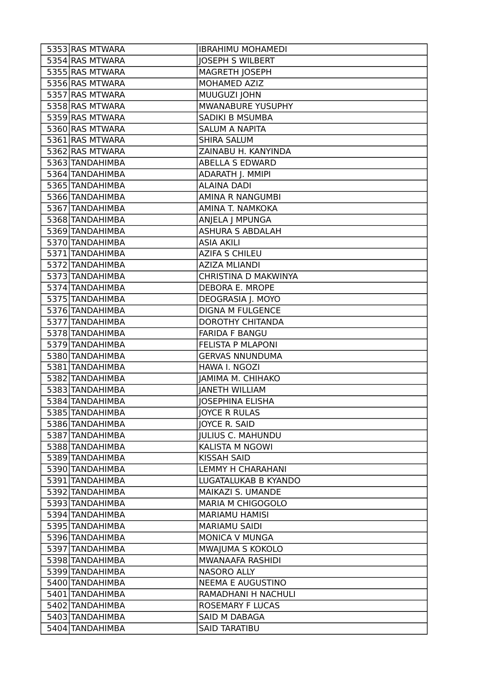| 5353 RAS MTWARA | <b>IBRAHIMU MOHAMEDI</b> |
|-----------------|--------------------------|
| 5354 RAS MTWARA | <b>JOSEPH S WILBERT</b>  |
| 5355 RAS MTWARA | <b>MAGRETH JOSEPH</b>    |
| 5356 RAS MTWARA | MOHAMED AZIZ             |
| 5357 RAS MTWARA | MUUGUZI JOHN             |
| 5358 RAS MTWARA | MWANABURE YUSUPHY        |
| 5359 RAS MTWARA | SADIKI B MSUMBA          |
| 5360 RAS MTWARA | <b>SALUM A NAPITA</b>    |
| 5361 RAS MTWARA | <b>SHIRA SALUM</b>       |
| 5362 RAS MTWARA | ZAINABU H. KANYINDA      |
| 5363 TANDAHIMBA | <b>ABELLA S EDWARD</b>   |
| 5364 TANDAHIMBA | ADARATH J. MMIPI         |
| 5365 TANDAHIMBA | <b>ALAINA DADI</b>       |
| 5366 TANDAHIMBA | AMINA R NANGUMBI         |
| 5367 TANDAHIMBA | AMINA T. NAMKOKA         |
| 5368 TANDAHIMBA | ANJELA J MPUNGA          |
| 5369 TANDAHIMBA | <b>ASHURA S ABDALAH</b>  |
| 5370 TANDAHIMBA | <b>ASIA AKILI</b>        |
| 5371 TANDAHIMBA | <b>AZIFA S CHILEU</b>    |
| 5372 TANDAHIMBA | <b>AZIZA MLIANDI</b>     |
| 5373 TANDAHIMBA | CHRISTINA D MAKWINYA     |
| 5374 TANDAHIMBA | DEBORA E. MROPE          |
| 5375 TANDAHIMBA | DEOGRASIA J. MOYO        |
| 5376 TANDAHIMBA | <b>DIGNA M FULGENCE</b>  |
| 5377 TANDAHIMBA | <b>DOROTHY CHITANDA</b>  |
| 5378 TANDAHIMBA | <b>FARIDA F BANGU</b>    |
| 5379 TANDAHIMBA | FELISTA P MLAPONI        |
| 5380 TANDAHIMBA | <b>GERVAS NNUNDUMA</b>   |
| 5381 TANDAHIMBA | HAWA I. NGOZI            |
| 5382 TANDAHIMBA | JAMIMA M. CHIHAKO        |
| 5383 TANDAHIMBA | <b>JANETH WILLIAM</b>    |
| 5384 TANDAHIMBA | <b>JOSEPHINA ELISHA</b>  |
| 5385 TANDAHIMBA | <b>JOYCE R RULAS</b>     |
| 5386 TANDAHIMBA | <b>JOYCE R. SAID</b>     |
| 5387 TANDAHIMBA | <b>JULIUS C. MAHUNDU</b> |
| 5388 TANDAHIMBA | KALISTA M NGOWI          |
| 5389 TANDAHIMBA | <b>KISSAH SAID</b>       |
| 5390 TANDAHIMBA | LEMMY H CHARAHANI        |
| 5391 TANDAHIMBA | LUGATALUKAB B KYANDO     |
| 5392 TANDAHIMBA | MAIKAZI S. UMANDE        |
| 5393 TANDAHIMBA | MARIA M CHIGOGOLO        |
| 5394 TANDAHIMBA | <b>MARIAMU HAMISI</b>    |
| 5395 TANDAHIMBA | <b>MARIAMU SAIDI</b>     |
| 5396 TANDAHIMBA | <b>MONICA V MUNGA</b>    |
| 5397 TANDAHIMBA | MWAJUMA S KOKOLO         |
| 5398 TANDAHIMBA | MWANAAFA RASHIDI         |
| 5399 TANDAHIMBA | NASORO ALLY              |
| 5400 TANDAHIMBA | NEEMA E AUGUSTINO        |
| 5401 TANDAHIMBA | RAMADHANI H NACHULI      |
| 5402 TANDAHIMBA | <b>ROSEMARY F LUCAS</b>  |
| 5403 TANDAHIMBA | <b>SAID M DABAGA</b>     |
| 5404 TANDAHIMBA | <b>SAID TARATIBU</b>     |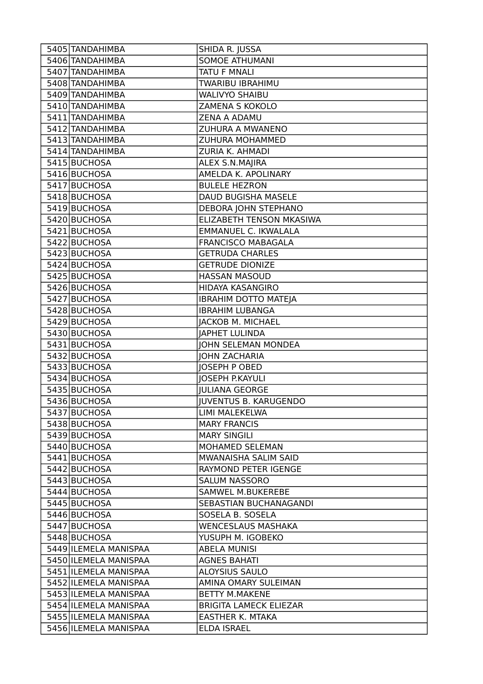| 5405 TANDAHIMBA       | SHIDA R. JUSSA                |
|-----------------------|-------------------------------|
| 5406 TANDAHIMBA       | <b>SOMOE ATHUMANI</b>         |
| 5407 TANDAHIMBA       | <b>TATU F MNALI</b>           |
| 5408 TANDAHIMBA       | <b>TWARIBU IBRAHIMU</b>       |
| 5409 TANDAHIMBA       | <b>WALIVYO SHAIBU</b>         |
| 5410 TANDAHIMBA       | ZAMENA S KOKOLO               |
| 5411 TANDAHIMBA       | ZENA A ADAMU                  |
| 5412 TANDAHIMBA       | ZUHURA A MWANENO              |
| 5413 TANDAHIMBA       | ZUHURA MOHAMMED               |
| 5414 TANDAHIMBA       | ZURIA K. AHMADI               |
| 5415 BUCHOSA          | ALEX S.N.MAJIRA               |
| 5416 BUCHOSA          | AMELDA K. APOLINARY           |
| 5417 BUCHOSA          | <b>BULELE HEZRON</b>          |
| 5418 BUCHOSA          | DAUD BUGISHA MASELE           |
| 5419 BUCHOSA          | DEBORA JOHN STEPHANO          |
| 5420 BUCHOSA          | ELIZABETH TENSON MKASIWA      |
| 5421 BUCHOSA          | EMMANUEL C. IKWALALA          |
| 5422 BUCHOSA          | FRANCISCO MABAGALA            |
| 5423 BUCHOSA          | <b>GETRUDA CHARLES</b>        |
| 5424 BUCHOSA          | <b>GETRUDE DIONIZE</b>        |
| 5425 BUCHOSA          | <b>HASSAN MASOUD</b>          |
| 5426 BUCHOSA          | HIDAYA KASANGIRO              |
| 5427 BUCHOSA          | <b>IBRAHIM DOTTO MATEJA</b>   |
| 5428 BUCHOSA          | <b>IBRAHIM LUBANGA</b>        |
| 5429 BUCHOSA          | <b>JACKOB M. MICHAEL</b>      |
| 5430 BUCHOSA          | <b>JAPHET LULINDA</b>         |
| 5431 BUCHOSA          | <b>JOHN SELEMAN MONDEA</b>    |
| 5432 BUCHOSA          | <b>JOHN ZACHARIA</b>          |
| 5433 BUCHOSA          | <b>JOSEPH P OBED</b>          |
| 5434 BUCHOSA          | <b>JOSEPH P.KAYULI</b>        |
| 5435 BUCHOSA          | <b>JULIANA GEORGE</b>         |
| 5436 BUCHOSA          | <b>JUVENTUS B. KARUGENDO</b>  |
| 5437 BUCHOSA          | LIMI MALEKELWA                |
| 5438 BUCHOSA          | <b>MARY FRANCIS</b>           |
| 5439 BUCHOSA          | <b>MARY SINGILI</b>           |
| 5440 BUCHOSA          | MOHAMED SELEMAN               |
| 5441 BUCHOSA          | MWANAISHA SALIM SAID          |
| 5442 BUCHOSA          | <b>RAYMOND PETER IGENGE</b>   |
| 5443 BUCHOSA          | <b>SALUM NASSORO</b>          |
| 5444 BUCHOSA          | <b>SAMWEL M.BUKEREBE</b>      |
| 5445 BUCHOSA          | SEBASTIAN BUCHANAGANDI        |
| 5446 BUCHOSA          | SOSELA B. SOSELA              |
| 5447 BUCHOSA          | <b>WENCESLAUS MASHAKA</b>     |
| 5448 BUCHOSA          | YUSUPH M. IGOBEKO             |
| 5449 ILEMELA MANISPAA | <b>ABELA MUNISI</b>           |
| 5450 ILEMELA MANISPAA | <b>AGNES BAHATI</b>           |
| 5451 ILEMELA MANISPAA | <b>ALOYSIUS SAULO</b>         |
| 5452 ILEMELA MANISPAA | AMINA OMARY SULEIMAN          |
| 5453 ILEMELA MANISPAA | <b>BETTY M.MAKENE</b>         |
| 5454 ILEMELA MANISPAA | <b>BRIGITA LAMECK ELIEZAR</b> |
| 5455 ILEMELA MANISPAA | <b>EASTHER K. MTAKA</b>       |
| 5456 ILEMELA MANISPAA | ELDA ISRAEL                   |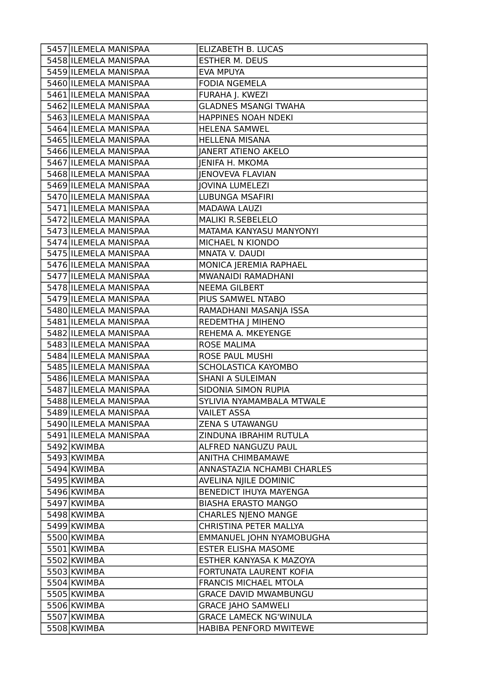| 5457 ILEMELA MANISPAA | ELIZABETH B. LUCAS            |
|-----------------------|-------------------------------|
| 5458 ILEMELA MANISPAA | <b>ESTHER M. DEUS</b>         |
| 5459 ILEMELA MANISPAA | <b>EVA MPUYA</b>              |
| 5460 ILEMELA MANISPAA | <b>FODIA NGEMELA</b>          |
| 5461 ILEMELA MANISPAA | FURAHA J. KWEZI               |
| 5462 ILEMELA MANISPAA | <b>GLADNES MSANGI TWAHA</b>   |
| 5463 ILEMELA MANISPAA | HAPPINES NOAH NDEKI           |
| 5464 ILEMELA MANISPAA | <b>HELENA SAMWEL</b>          |
| 5465 ILEMELA MANISPAA | <b>HELLENA MISANA</b>         |
| 5466 ILEMELA MANISPAA | <b>JANERT ATIENO AKELO</b>    |
| 5467 ILEMELA MANISPAA | <b>JENIFA H. MKOMA</b>        |
| 5468 ILEMELA MANISPAA | <b>IENOVEVA FLAVIAN</b>       |
| 5469 ILEMELA MANISPAA | <b>JOVINA LUMELEZI</b>        |
| 5470 ILEMELA MANISPAA | LUBUNGA MSAFIRI               |
| 5471 ILEMELA MANISPAA | <b>MADAWA LAUZI</b>           |
| 5472 ILEMELA MANISPAA | <b>MALIKI R.SEBELELO</b>      |
| 5473 ILEMELA MANISPAA | MATAMA KANYASU MANYONYI       |
| 5474 ILEMELA MANISPAA | MICHAEL N KIONDO              |
| 5475 ILEMELA MANISPAA | MNATA V. DAUDI                |
| 5476 ILEMELA MANISPAA | MONICA JEREMIA RAPHAEL        |
| 5477 ILEMELA MANISPAA | MWANAIDI RAMADHANI            |
| 5478 ILEMELA MANISPAA | <b>NEEMA GILBERT</b>          |
| 5479 ILEMELA MANISPAA | PIUS SAMWEL NTABO             |
| 5480 ILEMELA MANISPAA | RAMADHANI MASANJA ISSA        |
| 5481 ILEMELA MANISPAA | REDEMTHA J MIHENO             |
| 5482 ILEMELA MANISPAA | REHEMA A. MKEYENGE            |
|                       |                               |
| 5483 ILEMELA MANISPAA | <b>ROSE MALIMA</b>            |
| 5484 ILEMELA MANISPAA | ROSE PAUL MUSHI               |
| 5485 ILEMELA MANISPAA | SCHOLASTICA KAYOMBO           |
| 5486 ILEMELA MANISPAA | <b>SHANI A SULEIMAN</b>       |
| 5487 ILEMELA MANISPAA | SIDONIA SIMON RUPIA           |
| 5488 ILEMELA MANISPAA | SYLIVIA NYAMAMBALA MTWALE     |
| 5489 ILEMELA MANISPAA | <b>VAILET ASSA</b>            |
| 5490 ILEMELA MANISPAA | ZENA S UTAWANGU               |
| 5491 ILEMELA MANISPAA | ZINDUNA IBRAHIM RUTULA        |
| 5492 KWIMBA           | ALFRED NANGUZU PAUL           |
| 5493 KWIMBA           | ANITHA CHIMBAMAWE             |
| 5494 KWIMBA           | ANNASTAZIA NCHAMBI CHARLES    |
| 5495 KWIMBA           | AVELINA NJILE DOMINIC         |
| 5496 KWIMBA           | <b>BENEDICT IHUYA MAYENGA</b> |
| 5497 KWIMBA           | <b>BIASHA ERASTO MANGO</b>    |
| 5498 KWIMBA           | <b>CHARLES NJENO MANGE</b>    |
| 5499 KWIMBA           | CHRISTINA PETER MALLYA        |
| 5500 KWIMBA           | EMMANUEL JOHN NYAMOBUGHA      |
| 5501 KWIMBA           | <b>ESTER ELISHA MASOME</b>    |
| 5502 KWIMBA           | ESTHER KANYASA K MAZOYA       |
| 5503 KWIMBA           | FORTUNATA LAURENT KOFIA       |
| 5504 KWIMBA           | FRANCIS MICHAEL MTOLA         |
| 5505 KWIMBA           | <b>GRACE DAVID MWAMBUNGU</b>  |
| 5506 KWIMBA           | <b>GRACE JAHO SAMWELI</b>     |
| 5507 KWIMBA           | <b>GRACE LAMECK NG'WINULA</b> |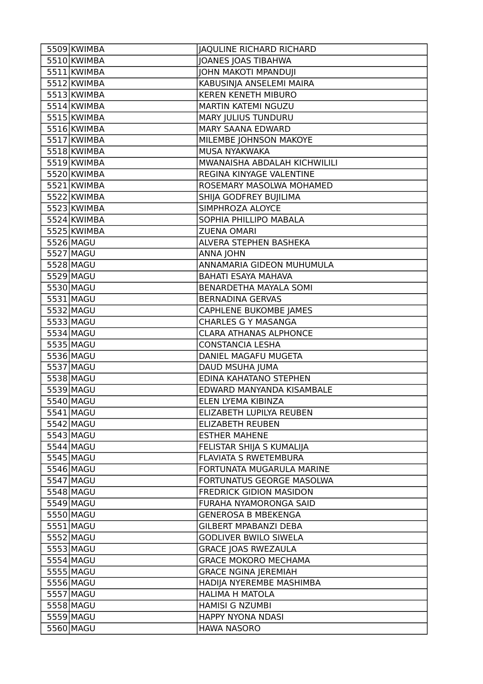| 5509 KWIMBA | JAQULINE RICHARD RICHARD       |
|-------------|--------------------------------|
| 5510 KWIMBA | JOANES JOAS TIBAHWA            |
| 5511 KWIMBA | JOHN MAKOTI MPANDUJI           |
| 5512 KWIMBA | KABUSINJA ANSELEMI MAIRA       |
| 5513 KWIMBA | <b>KEREN KENETH MIBURO</b>     |
| 5514 KWIMBA | MARTIN KATEMI NGUZU            |
| 5515 KWIMBA | <b>MARY JULIUS TUNDURU</b>     |
| 5516 KWIMBA | MARY SAANA EDWARD              |
| 5517 KWIMBA | MILEMBE JOHNSON MAKOYE         |
| 5518 KWIMBA | <b>MUSA NYAKWAKA</b>           |
| 5519 KWIMBA | MWANAISHA ABDALAH KICHWILILI   |
| 5520 KWIMBA | REGINA KINYAGE VALENTINE       |
| 5521 KWIMBA | ROSEMARY MASOLWA MOHAMED       |
| 5522 KWIMBA | SHIJA GODFREY BUJILIMA         |
| 5523 KWIMBA | SIMPHROZA ALOYCE               |
| 5524 KWIMBA | SOPHIA PHILLIPO MABALA         |
| 5525 KWIMBA | <b>ZUENA OMARI</b>             |
| 5526 MAGU   | ALVERA STEPHEN BASHEKA         |
| 5527 MAGU   | <b>ANNA JOHN</b>               |
| 5528 MAGU   | ANNAMARIA GIDEON MUHUMULA      |
| 5529 MAGU   | <b>BAHATI ESAYA MAHAVA</b>     |
| 5530 MAGU   | BENARDETHA MAYALA SOMI         |
| 5531 MAGU   | <b>BERNADINA GERVAS</b>        |
| 5532 MAGU   | <b>CAPHLENE BUKOMBE JAMES</b>  |
| 5533 MAGU   | <b>CHARLES G Y MASANGA</b>     |
| 5534 MAGU   | <b>CLARA ATHANAS ALPHONCE</b>  |
| 5535 MAGU   | <b>CONSTANCIA LESHA</b>        |
| 5536 MAGU   | DANIEL MAGAFU MUGETA           |
| 5537 MAGU   | DAUD MSUHA JUMA                |
| 5538 MAGU   | EDINA KAHATANO STEPHEN         |
| 5539 MAGU   | EDWARD MANYANDA KISAMBALE      |
| 5540 MAGU   | ELEN LYEMA KIBINZA             |
| 5541 MAGU   | ELIZABETH LUPILYA REUBEN       |
| 5542 MAGU   | ELIZABETH REUBEN               |
| 5543 MAGU   | <b>ESTHER MAHENE</b>           |
| 5544 MAGU   | FELISTAR SHIJA S KUMALIJA      |
| 5545 MAGU   | FLAVIATA S RWETEMBURA          |
| 5546 MAGU   | FORTUNATA MUGARULA MARINE      |
| 5547 MAGU   | FORTUNATUS GEORGE MASOLWA      |
| 5548 MAGU   | <b>FREDRICK GIDION MASIDON</b> |
| 5549 MAGU   | FURAHA NYAMORONGA SAID         |
| 5550 MAGU   | <b>GENEROSA B MBEKENGA</b>     |
| 5551 MAGU   | <b>GILBERT MPABANZI DEBA</b>   |
| 5552 MAGU   | <b>GODLIVER BWILO SIWELA</b>   |
| 5553 MAGU   | <b>GRACE JOAS RWEZAULA</b>     |
| 5554 MAGU   | <b>GRACE MOKORO MECHAMA</b>    |
| 5555 MAGU   | <b>GRACE NGINA JEREMIAH</b>    |
| 5556 MAGU   | HADIJA NYEREMBE MASHIMBA       |
| 5557 MAGU   | <b>HALIMA H MATOLA</b>         |
| 5558 MAGU   | <b>HAMISI G NZUMBI</b>         |
| 5559 MAGU   | HAPPY NYONA NDASI              |
| 5560 MAGU   | <b>HAWA NASORO</b>             |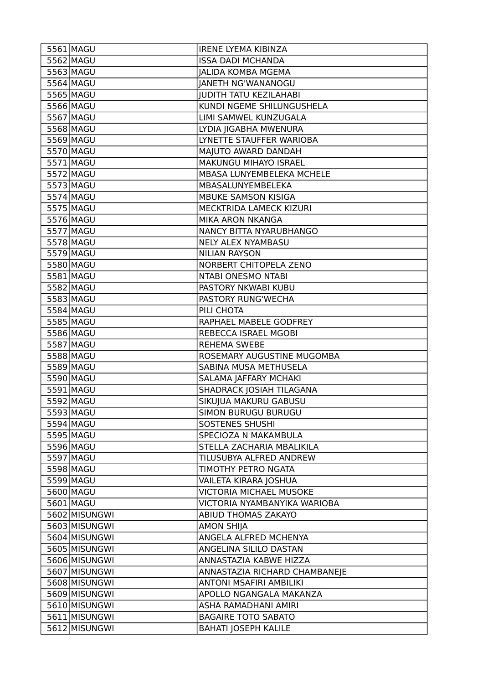| 5561 MAGU                      | <b>IRENE LYEMA KIBINZA</b>                                      |
|--------------------------------|-----------------------------------------------------------------|
| 5562 MAGU                      | <b>ISSA DADI MCHANDA</b>                                        |
| 5563 MAGU                      | <b>JALIDA KOMBA MGEMA</b>                                       |
| 5564 MAGU                      | <b>JANETH NG'WANANOGU</b>                                       |
| 5565 MAGU                      | <b>JUDITH TATU KEZILAHABI</b>                                   |
| 5566 MAGU                      | KUNDI NGEME SHILUNGUSHELA                                       |
| 5567 MAGU                      | LIMI SAMWEL KUNZUGALA                                           |
| 5568 MAGU                      | LYDIA JIGABHA MWENURA                                           |
| 5569 MAGU                      | LYNETTE STAUFFER WARIOBA                                        |
| 5570 MAGU                      | MAJUTO AWARD DANDAH                                             |
| 5571 MAGU                      | MAKUNGU MIHAYO ISRAEL                                           |
| 5572 MAGU                      | MBASA LUNYEMBELEKA MCHELE                                       |
| 5573 MAGU                      | MBASALUNYEMBELEKA                                               |
| 5574 MAGU                      | MBUKE SAMSON KISIGA                                             |
| 5575 MAGU                      | MECKTRIDA LAMECK KIZURI                                         |
| 5576 MAGU                      | MIKA ARON NKANGA                                                |
| 5577 MAGU                      | NANCY BITTA NYARUBHANGO                                         |
| 5578 MAGU                      | NELY ALEX NYAMBASU                                              |
| 5579 MAGU                      | <b>NILIAN RAYSON</b>                                            |
| 5580 MAGU                      | NORBERT CHITOPELA ZENO                                          |
| 5581 MAGU                      | NTABI ONESMO NTABI                                              |
| 5582 MAGU                      | PASTORY NKWABI KUBU                                             |
| 5583 MAGU                      | PASTORY RUNG'WECHA                                              |
| 5584 MAGU                      | PILI CHOTA                                                      |
| 5585 MAGU                      | RAPHAEL MABELE GODFREY                                          |
| 5586 MAGU                      | REBECCA ISRAEL MGOBI                                            |
| 5587 MAGU                      | REHEMA SWEBE                                                    |
| 5588 MAGU                      | ROSEMARY AUGUSTINE MUGOMBA                                      |
| 5589 MAGU                      | SABINA MUSA METHUSELA                                           |
| 5590 MAGU                      | SALAMA JAFFARY MCHAKI                                           |
| 5591 MAGU                      | SHADRACK JOSIAH TILAGANA                                        |
| 5592 MAGU                      | SIKUJUA MAKURU GABUSU                                           |
| 5593 MAGU                      | SIMON BURUGU BURUGU                                             |
| 5594 MAGU                      | SOSTENES SHUSHI                                                 |
| 5595 MAGU                      | SPECIOZA N MAKAMBULA                                            |
| 5596 MAGU                      | STELLA ZACHARIA MBALIKILA                                       |
| 5597 MAGU                      | TILUSUBYA ALFRED ANDREW                                         |
| 5598 MAGU                      | TIMOTHY PETRO NGATA                                             |
| 5599 MAGU                      |                                                                 |
|                                | VAILETA KIRARA JOSHUA                                           |
| 5600 MAGU                      | <b>VICTORIA MICHAEL MUSOKE</b>                                  |
| 5601 MAGU                      | VICTORIA NYAMBANYIKA WARIOBA                                    |
|                                | ABIUD THOMAS ZAKAYO                                             |
| 5602 MISUNGWI<br>5603 MISUNGWI |                                                                 |
| 5604 MISUNGWI                  | <b>AMON SHIJA</b><br>ANGELA ALFRED MCHENYA                      |
| 5605 MISUNGWI                  | ANGELINA SILILO DASTAN                                          |
| 5606 MISUNGWI                  | ANNASTAZIA KABWE HIZZA                                          |
| 5607 MISUNGWI                  |                                                                 |
| 5608 MISUNGWI                  | ANNASTAZIA RICHARD CHAMBANEJE<br><b>ANTONI MSAFIRI AMBILIKI</b> |
| 5609 MISUNGWI                  | APOLLO NGANGALA MAKANZA                                         |
| 5610 MISUNGWI                  | ASHA RAMADHANI AMIRI                                            |
| 5611 MISUNGWI                  | <b>BAGAIRE TOTO SABATO</b>                                      |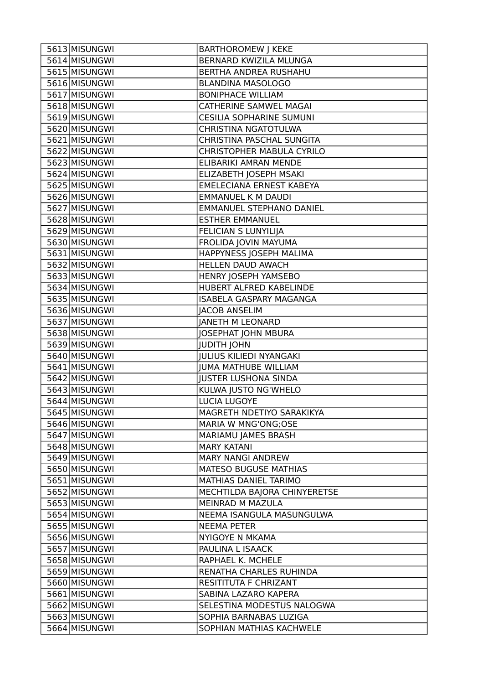| 5613 MISUNGWI                  | <b>BARTHOROMEW J KEKE</b>                          |
|--------------------------------|----------------------------------------------------|
| 5614 MISUNGWI                  | BERNARD KWIZILA MLUNGA                             |
| 5615 MISUNGWI                  | BERTHA ANDREA RUSHAHU                              |
| 5616 MISUNGWI                  | <b>BLANDINA MASOLOGO</b>                           |
| 5617 MISUNGWI                  | <b>BONIPHACE WILLIAM</b>                           |
| 5618 MISUNGWI                  | <b>CATHERINE SAMWEL MAGAI</b>                      |
| 5619 MISUNGWI                  | <b>CESILIA SOPHARINE SUMUNI</b>                    |
| 5620 MISUNGWI                  | CHRISTINA NGATOTULWA                               |
| 5621 MISUNGWI                  | CHRISTINA PASCHAL SUNGITA                          |
| 5622 MISUNGWI                  | CHRISTOPHER MABULA CYRILO                          |
| 5623 MISUNGWI                  | ELIBARIKI AMRAN MENDE                              |
| 5624 MISUNGWI                  | ELIZABETH JOSEPH MSAKI                             |
| 5625 MISUNGWI                  | <b>EMELECIANA ERNEST KABEYA</b>                    |
| 5626 MISUNGWI                  | <b>EMMANUEL K M DAUDI</b>                          |
| 5627 MISUNGWI                  | <b>EMMANUEL STEPHANO DANIEL</b>                    |
| 5628 MISUNGWI                  | <b>ESTHER EMMANUEL</b>                             |
| 5629 MISUNGWI                  | FELICIAN S LUNYILIJA                               |
| 5630 MISUNGWI                  | FROLIDA JOVIN MAYUMA                               |
| 5631 MISUNGWI                  | HAPPYNESS JOSEPH MALIMA                            |
| 5632 MISUNGWI                  | HELLEN DAUD AWACH                                  |
| 5633 MISUNGWI                  | HENRY JOSEPH YAMSEBO                               |
| 5634 MISUNGWI                  | HUBERT ALFRED KABELINDE                            |
| 5635 MISUNGWI                  | <b>ISABELA GASPARY MAGANGA</b>                     |
| 5636 MISUNGWI                  | <b>JACOB ANSELIM</b>                               |
| 5637 MISUNGWI                  | <b>JANETH M LEONARD</b>                            |
| 5638 MISUNGWI                  | <b>JOSEPHAT JOHN MBURA</b>                         |
|                                |                                                    |
| 5639 MISUNGWI                  | <b>JUDITH JOHN</b>                                 |
| 5640 MISUNGWI                  | <b>JULIUS KILIEDI NYANGAKI</b>                     |
| 5641 MISUNGWI                  | <b>JUMA MATHUBE WILLIAM</b>                        |
| 5642 MISUNGWI                  | <b>JUSTER LUSHONA SINDA</b>                        |
| 5643 MISUNGWI                  | KULWA JUSTO NG'WHELO                               |
| 5644 MISUNGWI                  | LUCIA LUGOYE                                       |
| 5645 MISUNGWI                  | MAGRETH NDETIYO SARAKIKYA                          |
| 5646 MISUNGWI                  | MARIA W MNG'ONG;OSE                                |
| 5647 MISUNGWI                  | MARIAMU JAMES BRASH                                |
| 5648 MISUNGWI                  | <b>MARY KATANI</b>                                 |
| 5649 MISUNGWI                  | <b>MARY NANGI ANDREW</b>                           |
| 5650 MISUNGWI                  | MATESO BUGUSE MATHIAS                              |
| 5651 MISUNGWI                  | MATHIAS DANIEL TARIMO                              |
| 5652 MISUNGWI                  | MECHTILDA BAJORA CHINYERETSE                       |
| 5653 MISUNGWI                  | MEINRAD M MAZULA                                   |
| 5654 MISUNGWI                  | NEEMA ISANGULA MASUNGULWA                          |
| 5655 MISUNGWI                  | <b>NEEMA PETER</b>                                 |
| 5656 MISUNGWI                  | NYIGOYE N MKAMA                                    |
| 5657 MISUNGWI                  | PAULINA L ISAACK                                   |
| 5658 MISUNGWI                  | RAPHAEL K. MCHELE                                  |
| 5659 MISUNGWI                  | RENATHA CHARLES RUHINDA                            |
| 5660 MISUNGWI                  | RESITITUTA F CHRIZANT                              |
| 5661 MISUNGWI                  | SABINA LAZARO KAPERA                               |
| 5662 MISUNGWI                  | SELESTINA MODESTUS NALOGWA                         |
| 5663 MISUNGWI<br>5664 MISUNGWI | SOPHIA BARNABAS LUZIGA<br>SOPHIAN MATHIAS KACHWELE |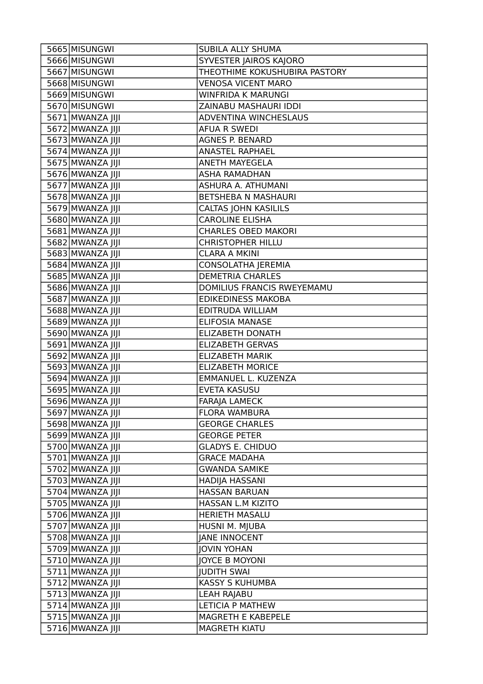| 5665 MISUNGWI    | <b>SUBILA ALLY SHUMA</b>      |
|------------------|-------------------------------|
| 5666 MISUNGWI    | SYVESTER JAIROS KAJORO        |
| 5667 MISUNGWI    | THEOTHIME KOKUSHUBIRA PASTORY |
| 5668 MISUNGWI    | <b>VENOSA VICENT MARO</b>     |
| 5669 MISUNGWI    | <b>WINFRIDA K MARUNGI</b>     |
| 5670 MISUNGWI    | ZAINABU MASHAURI IDDI         |
| 5671 MWANZA JIJI | ADVENTINA WINCHESLAUS         |
| 5672 MWANZA JIJI | <b>AFUA R SWEDI</b>           |
| 5673 MWANZA JIJI | <b>AGNES P. BENARD</b>        |
| 5674 MWANZA JIJI | <b>ANASTEL RAPHAEL</b>        |
| 5675 MWANZA JIJI | <b>ANETH MAYEGELA</b>         |
| 5676 MWANZA JIJI | <b>ASHA RAMADHAN</b>          |
| 5677 MWANZA JIJI | ASHURA A. ATHUMANI            |
| 5678 MWANZA JIJI | BETSHEBA N MASHAURI           |
| 5679 MWANZA JIJI | <b>CALTAS JOHN KASILILS</b>   |
| 5680 MWANZA JIJI | <b>CAROLINE ELISHA</b>        |
| 5681 MWANZA JIJI | <b>CHARLES OBED MAKORI</b>    |
| 5682 MWANZA JIJI | <b>CHRISTOPHER HILLU</b>      |
| 5683 MWANZA JIJI | <b>CLARA A MKINI</b>          |
| 5684 MWANZA JIJI | <b>CONSOLATHA JEREMIA</b>     |
| 5685 MWANZA JIJI | <b>DEMETRIA CHARLES</b>       |
| 5686 MWANZA JIJI | DOMILIUS FRANCIS RWEYEMAMU    |
| 5687 MWANZA JIJI | <b>EDIKEDINESS MAKOBA</b>     |
| 5688 MWANZA JIJI | EDITRUDA WILLIAM              |
| 5689 MWANZA JIJI | <b>ELIFOSIA MANASE</b>        |
| 5690 MWANZA JIJI | <b>ELIZABETH DONATH</b>       |
| 5691 MWANZA JIJI | <b>ELIZABETH GERVAS</b>       |
| 5692 MWANZA JIJI | <b>ELIZABETH MARIK</b>        |
| 5693 MWANZA JIJI | <b>ELIZABETH MORICE</b>       |
| 5694 MWANZA JIJI | EMMANUEL L. KUZENZA           |
| 5695 MWANZA JIJI | <b>EVETA KASUSU</b>           |
| 5696 MWANZA JIJI | <b>FARAJA LAMECK</b>          |
| 5697 MWANZA JIJI | FLORA WAMBURA                 |
| 5698 MWANZA JIJI | <b>GEORGE CHARLES</b>         |
| 5699 MWANZA JIJI | <b>GEORGE PETER</b>           |
| 5700 MWANZA JIJI | <b>GLADYS E. CHIDUO</b>       |
| 5701 MWANZA JIJI | <b>GRACE MADAHA</b>           |
| 5702 MWANZA JIJI | <b>GWANDA SAMIKE</b>          |
| 5703 MWANZA JIJI | HADIJA HASSANI                |
| 5704 MWANZA JIJI | <b>HASSAN BARUAN</b>          |
| 5705 MWANZA JIJI | HASSAN L.M KIZITO             |
| 5706 MWANZA JIJI | HERIETH MASALU                |
| 5707 MWANZA JIJI | HUSNI M. MJUBA                |
| 5708 MWANZA JIJI | <b>JANE INNOCENT</b>          |
| 5709 MWANZA JIJI | <b>JOVIN YOHAN</b>            |
| 5710 MWANZA JIJI | JOYCE B MOYONI                |
| 5711 MWANZA JIJI | <b>JUDITH SWAI</b>            |
| 5712 MWANZA JIJI | KASSY S KUHUMBA               |
| 5713 MWANZA JIJI | <b>LEAH RAJABU</b>            |
| 5714 MWANZA JIJI | <b>LETICIA P MATHEW</b>       |
| 5715 MWANZA JIJI | MAGRETH E KABEPELE            |
| 5716 MWANZA JIJI | <b>MAGRETH KIATU</b>          |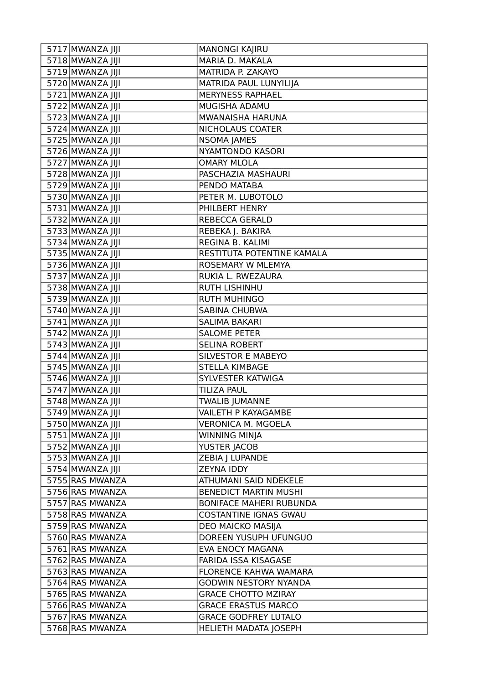| 5717 MWANZA JIJI | <b>MANONGI KAJIRU</b>          |
|------------------|--------------------------------|
| 5718 MWANZA JIJI | MARIA D. MAKALA                |
| 5719 MWANZA JIJI | MATRIDA P. ZAKAYO              |
| 5720 MWANZA JIJI | MATRIDA PAUL LUNYILIJA         |
| 5721 MWANZA JIJI | <b>MERYNESS RAPHAEL</b>        |
| 5722 MWANZA JIJI | MUGISHA ADAMU                  |
| 5723 MWANZA JIJI | MWANAISHA HARUNA               |
| 5724 MWANZA JIJI | NICHOLAUS COATER               |
| 5725 MWANZA JIJI | <b>NSOMA JAMES</b>             |
| 5726 MWANZA JIJI | NYAMTONDO KASORI               |
| 5727 MWANZA JIJI | <b>OMARY MLOLA</b>             |
| 5728 MWANZA JIJI | PASCHAZIA MASHAURI             |
| 5729 MWANZA JIJI | PENDO MATABA                   |
| 5730 MWANZA JIJI | PETER M. LUBOTOLO              |
| 5731 MWANZA JIJI | PHILBERT HENRY                 |
| 5732 MWANZA JIJI | <b>REBECCA GERALD</b>          |
| 5733 MWANZA JIJI | REBEKA J. BAKIRA               |
| 5734 MWANZA JIJI | REGINA B. KALIMI               |
| 5735 MWANZA JIJI | RESTITUTA POTENTINE KAMALA     |
| 5736 MWANZA JIJI | ROSEMARY W MLEMYA              |
| 5737 MWANZA JIJI | RUKIA L. RWEZAURA              |
| 5738 MWANZA JIJI | <b>RUTH LISHINHU</b>           |
| 5739 MWANZA JIJI | <b>RUTH MUHINGO</b>            |
| 5740 MWANZA JIJI | <b>SABINA CHUBWA</b>           |
| 5741 MWANZA JIJI | <b>SALIMA BAKARI</b>           |
| 5742 MWANZA JIJI | <b>SALOME PETER</b>            |
| 5743 MWANZA JIJI | <b>SELINA ROBERT</b>           |
| 5744 MWANZA JIJI | <b>SILVESTOR E MABEYO</b>      |
| 5745 MWANZA JIJI | <b>STELLA KIMBAGE</b>          |
| 5746 MWANZA JIJI | SYLVESTER KATWIGA              |
| 5747 MWANZA JIJI | <b>TILIZA PAUL</b>             |
| 5748 MWANZA JIJI | TWALIB JUMANNE                 |
| 5749 MWANZA JIJI | VAILETH P KAYAGAMBE            |
| 5750 MWANZA JIJI | <b>VERONICA M. MGOELA</b>      |
| 5751 MWANZA JIJI | <b>WINNING MINJA</b>           |
| 5752 MWANZA JIJI | YUSTER JACOB                   |
| 5753 MWANZA JIJI | ZEBIA J LUPANDE                |
| 5754 MWANZA JIJI | <b>ZEYNA IDDY</b>              |
| 5755 RAS MWANZA  | ATHUMANI SAID NDEKELE          |
| 5756 RAS MWANZA  | <b>BENEDICT MARTIN MUSHI</b>   |
| 5757 RAS MWANZA  | <b>BONIFACE MAHERI RUBUNDA</b> |
| 5758 RAS MWANZA  | <b>COSTANTINE IGNAS GWAU</b>   |
| 5759 RAS MWANZA  | DEO MAICKO MASIJA              |
| 5760 RAS MWANZA  | DOREEN YUSUPH UFUNGUO          |
| 5761 RAS MWANZA  | EVA ENOCY MAGANA               |
| 5762 RAS MWANZA  | FARIDA ISSA KISAGASE           |
| 5763 RAS MWANZA  | FLORENCE KAHWA WAMARA          |
| 5764 RAS MWANZA  | <b>GODWIN NESTORY NYANDA</b>   |
| 5765 RAS MWANZA  | <b>GRACE CHOTTO MZIRAY</b>     |
| 5766 RAS MWANZA  | <b>GRACE ERASTUS MARCO</b>     |
| 5767 RAS MWANZA  | <b>GRACE GODFREY LUTALO</b>    |
| 5768 RAS MWANZA  | HELIETH MADATA JOSEPH          |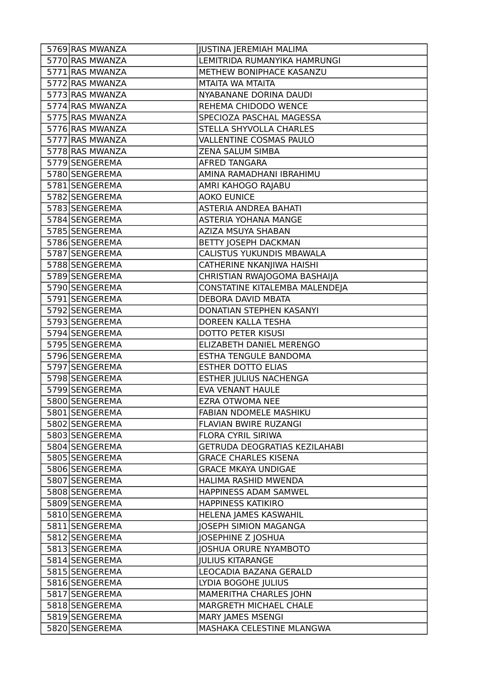| 5769 RAS MWANZA | <b>JUSTINA JEREMIAH MALIMA</b>       |
|-----------------|--------------------------------------|
| 5770 RAS MWANZA | LEMITRIDA RUMANYIKA HAMRUNGI         |
| 5771 RAS MWANZA | METHEW BONIPHACE KASANZU             |
| 5772 RAS MWANZA | MTAITA WA MTAITA                     |
| 5773 RAS MWANZA | NYABANANE DORINA DAUDI               |
| 5774 RAS MWANZA | REHEMA CHIDODO WENCE                 |
| 5775 RAS MWANZA | SPECIOZA PASCHAL MAGESSA             |
| 5776 RAS MWANZA | STELLA SHYVOLLA CHARLES              |
| 5777 RAS MWANZA | VALLENTINE COSMAS PAULO              |
| 5778 RAS MWANZA | ZENA SALUM SIMBA                     |
| 5779 SENGEREMA  | AFRED TANGARA                        |
| 5780 SENGEREMA  | AMINA RAMADHANI IBRAHIMU             |
| 5781 SENGEREMA  | AMRI KAHOGO RAJABU                   |
| 5782 SENGEREMA  | <b>AOKO EUNICE</b>                   |
| 5783 SENGEREMA  | ASTERIA ANDREA BAHATI                |
| 5784 SENGEREMA  | <b>ASTERIA YOHANA MANGE</b>          |
| 5785 SENGEREMA  | AZIZA MSUYA SHABAN                   |
| 5786 SENGEREMA  | BETTY JOSEPH DACKMAN                 |
| 5787 SENGEREMA  | CALISTUS YUKUNDIS MBAWALA            |
| 5788 SENGEREMA  | CATHERINE NKANJIWA HAISHI            |
| 5789 SENGEREMA  | CHRISTIAN RWAJOGOMA BASHAIJA         |
| 5790 SENGEREMA  | CONSTATINE KITALEMBA MALENDEJA       |
| 5791 SENGEREMA  | DEBORA DAVID MBATA                   |
| 5792 SENGEREMA  | DONATIAN STEPHEN KASANYI             |
| 5793 SENGEREMA  | DOREEN KALLA TESHA                   |
| 5794 SENGEREMA  | <b>DOTTO PETER KISUSI</b>            |
| 5795 SENGEREMA  | ELIZABETH DANIEL MERENGO             |
| 5796 SENGEREMA  | ESTHA TENGULE BANDOMA                |
| 5797 SENGEREMA  | <b>ESTHER DOTTO ELIAS</b>            |
| 5798 SENGEREMA  | <b>ESTHER JULIUS NACHENGA</b>        |
| 5799 SENGEREMA  | <b>EVA VENANT HAULE</b>              |
| 5800 SENGEREMA  | <b>EZRA OTWOMA NEE</b>               |
| 5801 SENGEREMA  | FABIAN NDOMELE MASHIKU               |
| 5802 SENGEREMA  | FLAVIAN BWIRE RUZANGI                |
| 5803 SENGEREMA  | FLORA CYRIL SIRIWA                   |
| 5804 SENGEREMA  | <b>GETRUDA DEOGRATIAS KEZILAHABI</b> |
| 5805 SENGEREMA  | <b>GRACE CHARLES KISENA</b>          |
| 5806 SENGEREMA  | <b>GRACE MKAYA UNDIGAE</b>           |
| 5807 SENGEREMA  | HALIMA RASHID MWENDA                 |
| 5808 SENGEREMA  | HAPPINESS ADAM SAMWEL                |
| 5809 SENGEREMA  | <b>HAPPINESS KATIKIRO</b>            |
| 5810 SENGEREMA  | HELENA JAMES KASWAHIL                |
| 5811 SENGEREMA  | <b>JOSEPH SIMION MAGANGA</b>         |
| 5812 SENGEREMA  | JOSEPHINE Z JOSHUA                   |
| 5813 SENGEREMA  | JOSHUA ORURE NYAMBOTO                |
| 5814 SENGEREMA  | <b>JULIUS KITARANGE</b>              |
| 5815 SENGEREMA  | LEOCADIA BAZANA GERALD               |
| 5816 SENGEREMA  | LYDIA BOGOHE JULIUS                  |
| 5817 SENGEREMA  | MAMERITHA CHARLES JOHN               |
| 5818 SENGEREMA  | MARGRETH MICHAEL CHALE               |
| 5819 SENGEREMA  | MARY JAMES MSENGI                    |
| 5820 SENGEREMA  | MASHAKA CELESTINE MLANGWA            |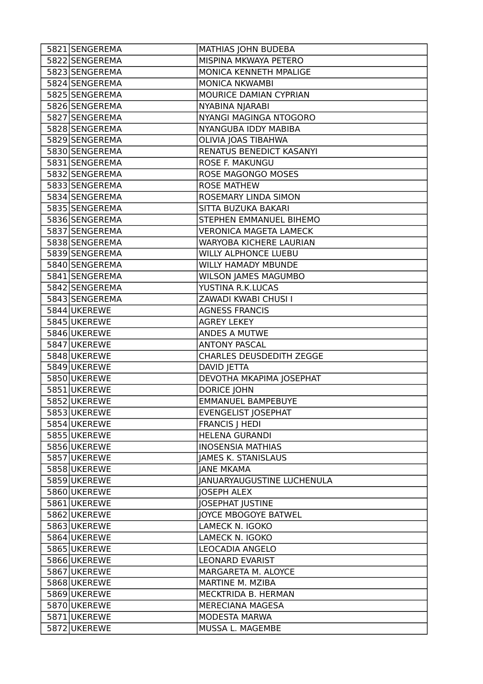| 5821 SENGEREMA | MATHIAS JOHN BUDEBA             |
|----------------|---------------------------------|
| 5822 SENGEREMA | MISPINA MKWAYA PETERO           |
| 5823 SENGEREMA | MONICA KENNETH MPALIGE          |
| 5824 SENGEREMA | <b>MONICA NKWAMBI</b>           |
| 5825 SENGEREMA | MOURICE DAMIAN CYPRIAN          |
| 5826 SENGEREMA | NYABINA NJARABI                 |
| 5827 SENGEREMA | NYANGI MAGINGA NTOGORO          |
| 5828 SENGEREMA | NYANGUBA IDDY MABIBA            |
| 5829 SENGEREMA | OLIVIA JOAS TIBAHWA             |
| 5830 SENGEREMA | RENATUS BENEDICT KASANYI        |
| 5831 SENGEREMA | ROSE F. MAKUNGU                 |
| 5832 SENGEREMA | <b>ROSE MAGONGO MOSES</b>       |
| 5833 SENGEREMA | <b>ROSE MATHEW</b>              |
| 5834 SENGEREMA | ROSEMARY LINDA SIMON            |
| 5835 SENGEREMA | SITTA BUZUKA BAKARI             |
| 5836 SENGEREMA | STEPHEN EMMANUEL BIHEMO         |
| 5837 SENGEREMA | <b>VERONICA MAGETA LAMECK</b>   |
| 5838 SENGEREMA | <b>WARYOBA KICHERE LAURIAN</b>  |
| 5839 SENGEREMA | <b>WILLY ALPHONCE LUEBU</b>     |
| 5840 SENGEREMA | WILLY HAMADY MBUNDE             |
| 5841 SENGEREMA | <b>WILSON JAMES MAGUMBO</b>     |
| 5842 SENGEREMA | YUSTINA R.K.LUCAS               |
| 5843 SENGEREMA | ZAWADI KWABI CHUSI I            |
| 5844 UKEREWE   | <b>AGNESS FRANCIS</b>           |
| 5845 UKEREWE   | <b>AGREY LEKEY</b>              |
| 5846UKEREWE    | ANDES A MUTWE                   |
| 5847 UKEREWE   | <b>ANTONY PASCAL</b>            |
| 5848 UKEREWE   | <b>CHARLES DEUSDEDITH ZEGGE</b> |
| 5849 UKEREWE   | DAVID JETTA                     |
| 5850 UKEREWE   | DEVOTHA MKAPIMA JOSEPHAT        |
| 5851 UKEREWE   | <b>DORICE JOHN</b>              |
| 5852 UKEREWE   | <b>EMMANUEL BAMPEBUYE</b>       |
| 5853 UKEREWE   | <b>EVENGELIST JOSEPHAT</b>      |
| 5854 UKEREWE   | <b>FRANCIS   HEDI</b>           |
| 5855 UKEREWE   | <b>HELENA GURANDI</b>           |
| 5856UKEREWE    | <b>INOSENSIA MATHIAS</b>        |
| 5857 UKEREWE   | <b>JAMES K. STANISLAUS</b>      |
| 5858UKEREWE    | <b>JANE MKAMA</b>               |
| 5859UKEREWE    | JANUARYAUGUSTINE LUCHENULA      |
| 5860 UKEREWE   | <b>IOSEPH ALEX</b>              |
| 5861 UKEREWE   | <b>JOSEPHAT JUSTINE</b>         |
| 5862 UKEREWE   | JOYCE MBOGOYE BATWEL            |
| 5863UKEREWE    | LAMECK N. IGOKO                 |
| 5864 UKEREWE   | LAMECK N. IGOKO                 |
| 5865 UKEREWE   | LEOCADIA ANGELO                 |
| 5866UKEREWE    | <b>LEONARD EVARIST</b>          |
| 5867 UKEREWE   | MARGARETA M. ALOYCE             |
| 5868 UKEREWE   | MARTINE M. MZIBA                |
| 5869UKEREWE    | MECKTRIDA B. HERMAN             |
| 5870 UKEREWE   | <b>MERECIANA MAGESA</b>         |
| 5871 UKEREWE   | MODESTA MARWA                   |
| 5872 UKEREWE   | MUSSA L. MAGEMBE                |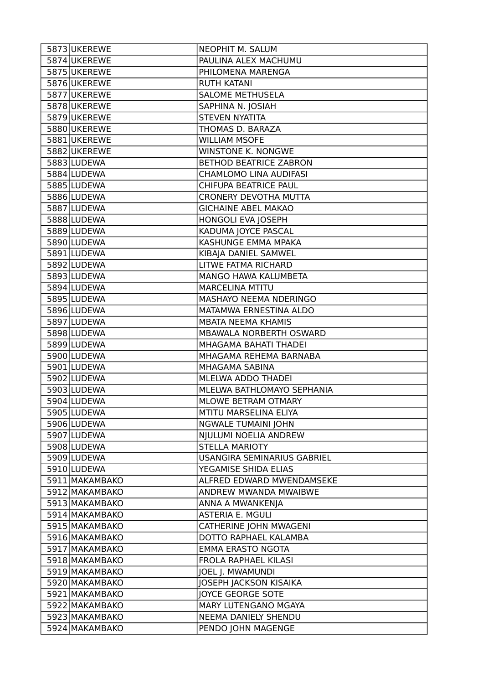| 5873 UKEREWE   | NEOPHIT M. SALUM              |
|----------------|-------------------------------|
| 5874 UKEREWE   | PAULINA ALEX MACHUMU          |
| 5875 UKEREWE   | PHILOMENA MARENGA             |
| 5876UKEREWE    | <b>RUTH KATANI</b>            |
| 5877 UKEREWE   | <b>SALOME METHUSELA</b>       |
| 5878UKEREWE    | SAPHINA N. JOSIAH             |
| 5879 UKEREWE   | <b>STEVEN NYATITA</b>         |
| 5880 UKEREWE   | THOMAS D. BARAZA              |
| 5881 UKEREWE   | <b>WILLIAM MSOFE</b>          |
| 5882 UKEREWE   | WINSTONE K. NONGWE            |
| 5883 LUDEWA    | <b>BETHOD BEATRICE ZABRON</b> |
| 5884 LUDEWA    | CHAMLOMO LINA AUDIFASI        |
| 5885 LUDEWA    | CHIFUPA BEATRICE PAUL         |
| 5886 LUDEWA    | <b>CRONERY DEVOTHA MUTTA</b>  |
| 5887 LUDEWA    | <b>GICHAINE ABEL MAKAO</b>    |
| 5888 LUDEWA    | HONGOLI EVA JOSEPH            |
| 5889 LUDEWA    | KADUMA JOYCE PASCAL           |
| 5890 LUDEWA    | KASHUNGE EMMA MPAKA           |
| 5891 LUDEWA    | KIBAJA DANIEL SAMWEL          |
| 5892 LUDEWA    | LITWE FATMA RICHARD           |
| 5893 LUDEWA    | MANGO HAWA KALUMBETA          |
| 5894 LUDEWA    | <b>MARCELINA MTITU</b>        |
| 5895 LUDEWA    | MASHAYO NEEMA NDERINGO        |
| 5896 LUDEWA    | MATAMWA ERNESTINA ALDO        |
| 5897 LUDEWA    | MBATA NEEMA KHAMIS            |
| 5898 LUDEWA    | MBAWALA NORBERTH OSWARD       |
| 5899 LUDEWA    | MHAGAMA BAHATI THADEI         |
| 5900 LUDEWA    | MHAGAMA REHEMA BARNABA        |
| 5901 LUDEWA    | MHAGAMA SABINA                |
| 5902 LUDEWA    | MLELWA ADDO THADEI            |
| 5903 LUDEWA    | MLELWA BATHLOMAYO SEPHANIA    |
| 5904 LUDEWA    | <b>MLOWE BETRAM OTMARY</b>    |
| 5905 LUDEWA    | MTITU MARSELINA ELIYA         |
| 5906 LUDEWA    | NGWALE TUMAINI JOHN           |
| 5907 LUDEWA    | NJULUMI NOELIA ANDREW         |
| 5908 LUDEWA    | <b>STELLA MARIOTY</b>         |
| 5909 LUDEWA    | USANGIRA SEMINARIUS GABRIEL   |
| 5910 LUDEWA    | YEGAMISE SHIDA ELIAS          |
| 5911 MAKAMBAKO | ALFRED EDWARD MWENDAMSEKE     |
| 5912 MAKAMBAKO | ANDREW MWANDA MWAIBWE         |
| 5913 MAKAMBAKO | ANNA A MWANKENJA              |
| 5914 MAKAMBAKO | ASTERIA E. MGULI              |
| 5915 MAKAMBAKO | CATHERINE JOHN MWAGENI        |
| 5916 MAKAMBAKO | DOTTO RAPHAEL KALAMBA         |
| 5917 MAKAMBAKO | EMMA ERASTO NGOTA             |
| 5918 MAKAMBAKO | FROLA RAPHAEL KILASI          |
| 5919 MAKAMBAKO | JOEL J. MWAMUNDI              |
| 5920 MAKAMBAKO | JOSEPH JACKSON KISAIKA        |
| 5921 MAKAMBAKO | JOYCE GEORGE SOTE             |
| 5922 MAKAMBAKO | MARY LUTENGANO MGAYA          |
| 5923 MAKAMBAKO | NEEMA DANIELY SHENDU          |
| 5924 MAKAMBAKO | PENDO JOHN MAGENGE            |
|                |                               |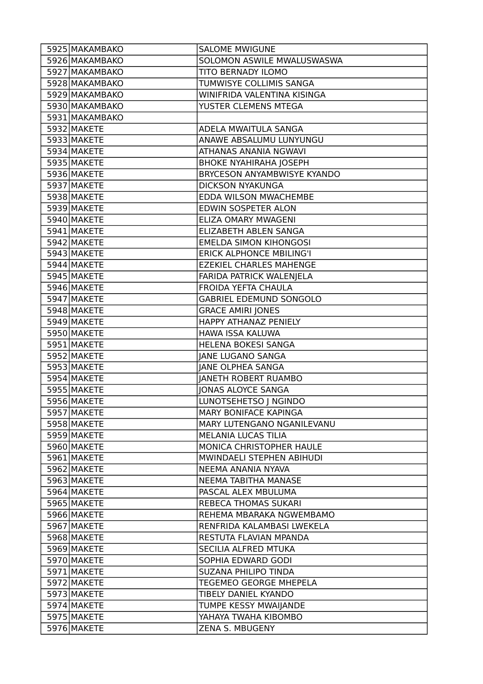| 5925 MAKAMBAKO | <b>SALOME MWIGUNE</b>           |
|----------------|---------------------------------|
| 5926 MAKAMBAKO | SOLOMON ASWILE MWALUSWASWA      |
| 5927 MAKAMBAKO | TITO BERNADY ILOMO              |
| 5928 MAKAMBAKO | TUMWISYE COLLIMIS SANGA         |
| 5929 MAKAMBAKO | WINIFRIDA VALENTINA KISINGA     |
| 5930 MAKAMBAKO | YUSTER CLEMENS MTEGA            |
| 5931 MAKAMBAKO |                                 |
| 5932 MAKETE    | ADELA MWAITULA SANGA            |
| 5933 MAKETE    | ANAWE ABSALUMU LUNYUNGU         |
| 5934 MAKETE    | ATHANAS ANANIA NGWAVI           |
| 5935 MAKETE    | <b>BHOKE NYAHIRAHA JOSEPH</b>   |
| 5936 MAKETE    | BRYCESON ANYAMBWISYE KYANDO     |
| 5937 MAKETE    | <b>DICKSON NYAKUNGA</b>         |
| 5938 MAKETE    | EDDA WILSON MWACHEMBE           |
| 5939 MAKETE    | EDWIN SOSPETER ALON             |
| 5940 MAKETE    | ELIZA OMARY MWAGENI             |
| 5941 MAKETE    | <b>ELIZABETH ABLEN SANGA</b>    |
| 5942 MAKETE    | <b>EMELDA SIMON KIHONGOSI</b>   |
| 5943 MAKETE    | <b>ERICK ALPHONCE MBILING'I</b> |
| 5944 MAKETE    | <b>EZEKIEL CHARLES MAHENGE</b>  |
| 5945 MAKETE    | FARIDA PATRICK WALENJELA        |
| 5946 MAKETE    | FROIDA YEFTA CHAULA             |
| 5947 MAKETE    | <b>GABRIEL EDEMUND SONGOLO</b>  |
| 5948 MAKETE    | <b>GRACE AMIRI JONES</b>        |
| 5949 MAKETE    | HAPPY ATHANAZ PENIELY           |
| 5950 MAKETE    | HAWA ISSA KALUWA                |
| 5951 MAKETE    | HELENA BOKESI SANGA             |
| 5952 MAKETE    | <b>JANE LUGANO SANGA</b>        |
| 5953 MAKETE    | <b>JANE OLPHEA SANGA</b>        |
| 5954 MAKETE    | <b>JANETH ROBERT RUAMBO</b>     |
| 5955 MAKETE    | <b>JONAS ALOYCE SANGA</b>       |
| 5956 MAKETE    | LUNOTSEHETSO   NGINDO           |
| 5957 MAKETE    | <b>MARY BONIFACE KAPINGA</b>    |
| 5958 MAKETE    | MARY LUTENGANO NGANILEVANU      |
| 5959 MAKETE    | MELANIA LUCAS TILIA             |
| 5960 MAKETE    | MONICA CHRISTOPHER HAULE        |
| 5961 MAKETE    | MWINDAELI STEPHEN ABIHUDI       |
| 5962 MAKETE    | NEEMA ANANIA NYAVA              |
| 5963 MAKETE    | NEEMA TABITHA MANASE            |
| 5964 MAKETE    | PASCAL ALEX MBULUMA             |
| 5965 MAKETE    | <b>REBECA THOMAS SUKARI</b>     |
| 5966 MAKETE    | REHEMA MBARAKA NGWEMBAMO        |
| 5967 MAKETE    | RENFRIDA KALAMBASI LWEKELA      |
| 5968 MAKETE    | RESTUTA FLAVIAN MPANDA          |
| 5969 MAKETE    | SECILIA ALFRED MTUKA            |
| 5970 MAKETE    | SOPHIA EDWARD GODI              |
| 5971 MAKETE    | <b>SUZANA PHILIPO TINDA</b>     |
| 5972 MAKETE    | TEGEMEO GEORGE MHEPELA          |
| 5973 MAKETE    | TIBELY DANIEL KYANDO            |
| 5974 MAKETE    | TUMPE KESSY MWAIJANDE           |
| 5975 MAKETE    | YAHAYA TWAHA KIBOMBO            |
| 5976 MAKETE    | ZENA S. MBUGENY                 |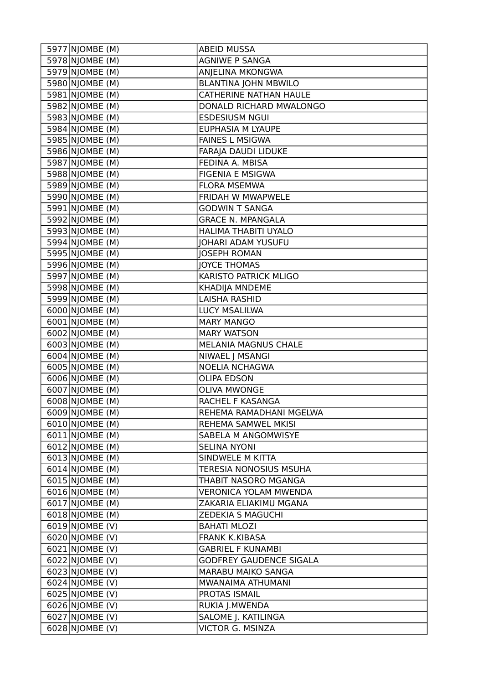| 5978 NJOMBE (M)<br>AGNIWE P SANGA<br>5979 NJOMBE (M)<br>ANJELINA MKONGWA<br>5980 NJOMBE (M)<br><b>BLANTINA JOHN MBWILO</b><br>5981 NJOMBE (M)<br><b>CATHERINE NATHAN HAULE</b><br>5982 NJOMBE (M)<br>DONALD RICHARD MWALONGO<br>5983 NJOMBE (M)<br><b>ESDESIUSM NGUI</b><br>5984 NJOMBE (M)<br><b>EUPHASIA M LYAUPE</b><br>5985 NJOMBE (M)<br><b>FAINES L MSIGWA</b><br>5986 NJOMBE (M)<br>FARAJA DAUDI LIDUKE<br>5987 NJOMBE (M)<br>FEDINA A. MBISA<br>5988 NJOMBE (M)<br><b>FIGENIA E MSIGWA</b><br>5989 NJOMBE (M)<br><b>FLORA MSEMWA</b><br>5990 NJOMBE (M)<br>FRIDAH W MWAPWELE<br>5991 NJOMBE (M)<br><b>GODWIN T SANGA</b><br>5992 NJOMBE (M)<br><b>GRACE N. MPANGALA</b><br>5993 NJOMBE (M)<br>HALIMA THABITI UYALO<br>5994 NJOMBE (M)<br><b>JOHARI ADAM YUSUFU</b><br>5995 NJOMBE (M)<br><b>JOSEPH ROMAN</b><br>5996 NJOMBE (M)<br><b>JOYCE THOMAS</b><br>5997 NJOMBE (M)<br>KARISTO PATRICK MLIGO<br>5998 NJOMBE (M)<br><b>KHADIJA MNDEME</b><br>5999 NJOMBE (M)<br><b>LAISHA RASHID</b><br>6000 NJOMBE (M)<br><b>LUCY MSALILWA</b><br>6001 NJOMBE (M)<br><b>MARY MANGO</b><br>6002 NJOMBE (M)<br><b>MARY WATSON</b><br>6003 NJOMBE (M)<br>MELANIA MAGNUS CHALE<br>6004 NJOMBE (M)<br>NIWAEL J MSANGI<br>6005 NJOMBE (M)<br>NOELIA NCHAGWA<br>6006 NJOMBE (M)<br><b>OLIPA EDSON</b><br>$\overline{6007}$ NJOMBE (M)<br><b>OLIVA MWONGE</b><br>6008 NJOMBE (M)<br>RACHEL F KASANGA<br>6009 NJOMBE (M)<br>REHEMA RAMADHANI MGELWA<br>$6010$  NJOMBE (M)<br>REHEMA SAMWEL MKISI<br>$6011$  NJOMBE (M)<br>SABELA M ANGOMWISYE<br>6012 NJOMBE (M)<br><b>SELINA NYONI</b><br>$6013$  NJOMBE (M)<br>SINDWELE M KITTA<br>6014 NJOMBE (M)<br><b>TERESIA NONOSIUS MSUHA</b><br>$6015$ NJOMBE (M)<br>THABIT NASORO MGANGA<br>$6016$  NJOMBE (M)<br><b>VERONICA YOLAM MWENDA</b><br>6017 NJOMBE (M)<br>ZAKARIA ELIAKIMU MGANA<br>6018 NJOMBE (M)<br>ZEDEKIA S MAGUCHI<br>$\overline{6019}$ NJOMBE (V)<br><b>BAHATI MLOZI</b><br>6020 NJOMBE (V)<br><b>FRANK K.KIBASA</b><br>$6021$  NJOMBE (V)<br><b>GABRIEL F KUNAMBI</b><br>6022 NJOMBE (V)<br><b>GODFREY GAUDENCE SIGALA</b><br>6023 NJOMBE (V)<br>MARABU MAIKO SANGA<br>$6024$  NJOMBE (V)<br>MWANAIMA ATHUMANI<br>6025 NJOMBE (V)<br>PROTAS ISMAIL<br>6026 NJOMBE (V)<br>RUKIA J.MWENDA<br>SALOME J. KATILINGA<br>$6027$ NJOMBE (V) | 5977 NJOMBE (M) | <b>ABEID MUSSA</b>      |
|---------------------------------------------------------------------------------------------------------------------------------------------------------------------------------------------------------------------------------------------------------------------------------------------------------------------------------------------------------------------------------------------------------------------------------------------------------------------------------------------------------------------------------------------------------------------------------------------------------------------------------------------------------------------------------------------------------------------------------------------------------------------------------------------------------------------------------------------------------------------------------------------------------------------------------------------------------------------------------------------------------------------------------------------------------------------------------------------------------------------------------------------------------------------------------------------------------------------------------------------------------------------------------------------------------------------------------------------------------------------------------------------------------------------------------------------------------------------------------------------------------------------------------------------------------------------------------------------------------------------------------------------------------------------------------------------------------------------------------------------------------------------------------------------------------------------------------------------------------------------------------------------------------------------------------------------------------------------------------------------------------------------------------------------------------------------------------------------------------------------------------------------------------------------------------------------------------------------------------------------------------------------------------------|-----------------|-------------------------|
|                                                                                                                                                                                                                                                                                                                                                                                                                                                                                                                                                                                                                                                                                                                                                                                                                                                                                                                                                                                                                                                                                                                                                                                                                                                                                                                                                                                                                                                                                                                                                                                                                                                                                                                                                                                                                                                                                                                                                                                                                                                                                                                                                                                                                                                                                       |                 |                         |
|                                                                                                                                                                                                                                                                                                                                                                                                                                                                                                                                                                                                                                                                                                                                                                                                                                                                                                                                                                                                                                                                                                                                                                                                                                                                                                                                                                                                                                                                                                                                                                                                                                                                                                                                                                                                                                                                                                                                                                                                                                                                                                                                                                                                                                                                                       |                 |                         |
|                                                                                                                                                                                                                                                                                                                                                                                                                                                                                                                                                                                                                                                                                                                                                                                                                                                                                                                                                                                                                                                                                                                                                                                                                                                                                                                                                                                                                                                                                                                                                                                                                                                                                                                                                                                                                                                                                                                                                                                                                                                                                                                                                                                                                                                                                       |                 |                         |
|                                                                                                                                                                                                                                                                                                                                                                                                                                                                                                                                                                                                                                                                                                                                                                                                                                                                                                                                                                                                                                                                                                                                                                                                                                                                                                                                                                                                                                                                                                                                                                                                                                                                                                                                                                                                                                                                                                                                                                                                                                                                                                                                                                                                                                                                                       |                 |                         |
|                                                                                                                                                                                                                                                                                                                                                                                                                                                                                                                                                                                                                                                                                                                                                                                                                                                                                                                                                                                                                                                                                                                                                                                                                                                                                                                                                                                                                                                                                                                                                                                                                                                                                                                                                                                                                                                                                                                                                                                                                                                                                                                                                                                                                                                                                       |                 |                         |
|                                                                                                                                                                                                                                                                                                                                                                                                                                                                                                                                                                                                                                                                                                                                                                                                                                                                                                                                                                                                                                                                                                                                                                                                                                                                                                                                                                                                                                                                                                                                                                                                                                                                                                                                                                                                                                                                                                                                                                                                                                                                                                                                                                                                                                                                                       |                 |                         |
|                                                                                                                                                                                                                                                                                                                                                                                                                                                                                                                                                                                                                                                                                                                                                                                                                                                                                                                                                                                                                                                                                                                                                                                                                                                                                                                                                                                                                                                                                                                                                                                                                                                                                                                                                                                                                                                                                                                                                                                                                                                                                                                                                                                                                                                                                       |                 |                         |
|                                                                                                                                                                                                                                                                                                                                                                                                                                                                                                                                                                                                                                                                                                                                                                                                                                                                                                                                                                                                                                                                                                                                                                                                                                                                                                                                                                                                                                                                                                                                                                                                                                                                                                                                                                                                                                                                                                                                                                                                                                                                                                                                                                                                                                                                                       |                 |                         |
|                                                                                                                                                                                                                                                                                                                                                                                                                                                                                                                                                                                                                                                                                                                                                                                                                                                                                                                                                                                                                                                                                                                                                                                                                                                                                                                                                                                                                                                                                                                                                                                                                                                                                                                                                                                                                                                                                                                                                                                                                                                                                                                                                                                                                                                                                       |                 |                         |
|                                                                                                                                                                                                                                                                                                                                                                                                                                                                                                                                                                                                                                                                                                                                                                                                                                                                                                                                                                                                                                                                                                                                                                                                                                                                                                                                                                                                                                                                                                                                                                                                                                                                                                                                                                                                                                                                                                                                                                                                                                                                                                                                                                                                                                                                                       |                 |                         |
|                                                                                                                                                                                                                                                                                                                                                                                                                                                                                                                                                                                                                                                                                                                                                                                                                                                                                                                                                                                                                                                                                                                                                                                                                                                                                                                                                                                                                                                                                                                                                                                                                                                                                                                                                                                                                                                                                                                                                                                                                                                                                                                                                                                                                                                                                       |                 |                         |
|                                                                                                                                                                                                                                                                                                                                                                                                                                                                                                                                                                                                                                                                                                                                                                                                                                                                                                                                                                                                                                                                                                                                                                                                                                                                                                                                                                                                                                                                                                                                                                                                                                                                                                                                                                                                                                                                                                                                                                                                                                                                                                                                                                                                                                                                                       |                 |                         |
|                                                                                                                                                                                                                                                                                                                                                                                                                                                                                                                                                                                                                                                                                                                                                                                                                                                                                                                                                                                                                                                                                                                                                                                                                                                                                                                                                                                                                                                                                                                                                                                                                                                                                                                                                                                                                                                                                                                                                                                                                                                                                                                                                                                                                                                                                       |                 |                         |
|                                                                                                                                                                                                                                                                                                                                                                                                                                                                                                                                                                                                                                                                                                                                                                                                                                                                                                                                                                                                                                                                                                                                                                                                                                                                                                                                                                                                                                                                                                                                                                                                                                                                                                                                                                                                                                                                                                                                                                                                                                                                                                                                                                                                                                                                                       |                 |                         |
|                                                                                                                                                                                                                                                                                                                                                                                                                                                                                                                                                                                                                                                                                                                                                                                                                                                                                                                                                                                                                                                                                                                                                                                                                                                                                                                                                                                                                                                                                                                                                                                                                                                                                                                                                                                                                                                                                                                                                                                                                                                                                                                                                                                                                                                                                       |                 |                         |
|                                                                                                                                                                                                                                                                                                                                                                                                                                                                                                                                                                                                                                                                                                                                                                                                                                                                                                                                                                                                                                                                                                                                                                                                                                                                                                                                                                                                                                                                                                                                                                                                                                                                                                                                                                                                                                                                                                                                                                                                                                                                                                                                                                                                                                                                                       |                 |                         |
|                                                                                                                                                                                                                                                                                                                                                                                                                                                                                                                                                                                                                                                                                                                                                                                                                                                                                                                                                                                                                                                                                                                                                                                                                                                                                                                                                                                                                                                                                                                                                                                                                                                                                                                                                                                                                                                                                                                                                                                                                                                                                                                                                                                                                                                                                       |                 |                         |
|                                                                                                                                                                                                                                                                                                                                                                                                                                                                                                                                                                                                                                                                                                                                                                                                                                                                                                                                                                                                                                                                                                                                                                                                                                                                                                                                                                                                                                                                                                                                                                                                                                                                                                                                                                                                                                                                                                                                                                                                                                                                                                                                                                                                                                                                                       |                 |                         |
|                                                                                                                                                                                                                                                                                                                                                                                                                                                                                                                                                                                                                                                                                                                                                                                                                                                                                                                                                                                                                                                                                                                                                                                                                                                                                                                                                                                                                                                                                                                                                                                                                                                                                                                                                                                                                                                                                                                                                                                                                                                                                                                                                                                                                                                                                       |                 |                         |
|                                                                                                                                                                                                                                                                                                                                                                                                                                                                                                                                                                                                                                                                                                                                                                                                                                                                                                                                                                                                                                                                                                                                                                                                                                                                                                                                                                                                                                                                                                                                                                                                                                                                                                                                                                                                                                                                                                                                                                                                                                                                                                                                                                                                                                                                                       |                 |                         |
|                                                                                                                                                                                                                                                                                                                                                                                                                                                                                                                                                                                                                                                                                                                                                                                                                                                                                                                                                                                                                                                                                                                                                                                                                                                                                                                                                                                                                                                                                                                                                                                                                                                                                                                                                                                                                                                                                                                                                                                                                                                                                                                                                                                                                                                                                       |                 |                         |
|                                                                                                                                                                                                                                                                                                                                                                                                                                                                                                                                                                                                                                                                                                                                                                                                                                                                                                                                                                                                                                                                                                                                                                                                                                                                                                                                                                                                                                                                                                                                                                                                                                                                                                                                                                                                                                                                                                                                                                                                                                                                                                                                                                                                                                                                                       |                 |                         |
|                                                                                                                                                                                                                                                                                                                                                                                                                                                                                                                                                                                                                                                                                                                                                                                                                                                                                                                                                                                                                                                                                                                                                                                                                                                                                                                                                                                                                                                                                                                                                                                                                                                                                                                                                                                                                                                                                                                                                                                                                                                                                                                                                                                                                                                                                       |                 |                         |
|                                                                                                                                                                                                                                                                                                                                                                                                                                                                                                                                                                                                                                                                                                                                                                                                                                                                                                                                                                                                                                                                                                                                                                                                                                                                                                                                                                                                                                                                                                                                                                                                                                                                                                                                                                                                                                                                                                                                                                                                                                                                                                                                                                                                                                                                                       |                 |                         |
|                                                                                                                                                                                                                                                                                                                                                                                                                                                                                                                                                                                                                                                                                                                                                                                                                                                                                                                                                                                                                                                                                                                                                                                                                                                                                                                                                                                                                                                                                                                                                                                                                                                                                                                                                                                                                                                                                                                                                                                                                                                                                                                                                                                                                                                                                       |                 |                         |
|                                                                                                                                                                                                                                                                                                                                                                                                                                                                                                                                                                                                                                                                                                                                                                                                                                                                                                                                                                                                                                                                                                                                                                                                                                                                                                                                                                                                                                                                                                                                                                                                                                                                                                                                                                                                                                                                                                                                                                                                                                                                                                                                                                                                                                                                                       |                 |                         |
|                                                                                                                                                                                                                                                                                                                                                                                                                                                                                                                                                                                                                                                                                                                                                                                                                                                                                                                                                                                                                                                                                                                                                                                                                                                                                                                                                                                                                                                                                                                                                                                                                                                                                                                                                                                                                                                                                                                                                                                                                                                                                                                                                                                                                                                                                       |                 |                         |
|                                                                                                                                                                                                                                                                                                                                                                                                                                                                                                                                                                                                                                                                                                                                                                                                                                                                                                                                                                                                                                                                                                                                                                                                                                                                                                                                                                                                                                                                                                                                                                                                                                                                                                                                                                                                                                                                                                                                                                                                                                                                                                                                                                                                                                                                                       |                 |                         |
|                                                                                                                                                                                                                                                                                                                                                                                                                                                                                                                                                                                                                                                                                                                                                                                                                                                                                                                                                                                                                                                                                                                                                                                                                                                                                                                                                                                                                                                                                                                                                                                                                                                                                                                                                                                                                                                                                                                                                                                                                                                                                                                                                                                                                                                                                       |                 |                         |
|                                                                                                                                                                                                                                                                                                                                                                                                                                                                                                                                                                                                                                                                                                                                                                                                                                                                                                                                                                                                                                                                                                                                                                                                                                                                                                                                                                                                                                                                                                                                                                                                                                                                                                                                                                                                                                                                                                                                                                                                                                                                                                                                                                                                                                                                                       |                 |                         |
|                                                                                                                                                                                                                                                                                                                                                                                                                                                                                                                                                                                                                                                                                                                                                                                                                                                                                                                                                                                                                                                                                                                                                                                                                                                                                                                                                                                                                                                                                                                                                                                                                                                                                                                                                                                                                                                                                                                                                                                                                                                                                                                                                                                                                                                                                       |                 |                         |
|                                                                                                                                                                                                                                                                                                                                                                                                                                                                                                                                                                                                                                                                                                                                                                                                                                                                                                                                                                                                                                                                                                                                                                                                                                                                                                                                                                                                                                                                                                                                                                                                                                                                                                                                                                                                                                                                                                                                                                                                                                                                                                                                                                                                                                                                                       |                 |                         |
|                                                                                                                                                                                                                                                                                                                                                                                                                                                                                                                                                                                                                                                                                                                                                                                                                                                                                                                                                                                                                                                                                                                                                                                                                                                                                                                                                                                                                                                                                                                                                                                                                                                                                                                                                                                                                                                                                                                                                                                                                                                                                                                                                                                                                                                                                       |                 |                         |
|                                                                                                                                                                                                                                                                                                                                                                                                                                                                                                                                                                                                                                                                                                                                                                                                                                                                                                                                                                                                                                                                                                                                                                                                                                                                                                                                                                                                                                                                                                                                                                                                                                                                                                                                                                                                                                                                                                                                                                                                                                                                                                                                                                                                                                                                                       |                 |                         |
|                                                                                                                                                                                                                                                                                                                                                                                                                                                                                                                                                                                                                                                                                                                                                                                                                                                                                                                                                                                                                                                                                                                                                                                                                                                                                                                                                                                                                                                                                                                                                                                                                                                                                                                                                                                                                                                                                                                                                                                                                                                                                                                                                                                                                                                                                       |                 |                         |
|                                                                                                                                                                                                                                                                                                                                                                                                                                                                                                                                                                                                                                                                                                                                                                                                                                                                                                                                                                                                                                                                                                                                                                                                                                                                                                                                                                                                                                                                                                                                                                                                                                                                                                                                                                                                                                                                                                                                                                                                                                                                                                                                                                                                                                                                                       |                 |                         |
|                                                                                                                                                                                                                                                                                                                                                                                                                                                                                                                                                                                                                                                                                                                                                                                                                                                                                                                                                                                                                                                                                                                                                                                                                                                                                                                                                                                                                                                                                                                                                                                                                                                                                                                                                                                                                                                                                                                                                                                                                                                                                                                                                                                                                                                                                       |                 |                         |
|                                                                                                                                                                                                                                                                                                                                                                                                                                                                                                                                                                                                                                                                                                                                                                                                                                                                                                                                                                                                                                                                                                                                                                                                                                                                                                                                                                                                                                                                                                                                                                                                                                                                                                                                                                                                                                                                                                                                                                                                                                                                                                                                                                                                                                                                                       |                 |                         |
|                                                                                                                                                                                                                                                                                                                                                                                                                                                                                                                                                                                                                                                                                                                                                                                                                                                                                                                                                                                                                                                                                                                                                                                                                                                                                                                                                                                                                                                                                                                                                                                                                                                                                                                                                                                                                                                                                                                                                                                                                                                                                                                                                                                                                                                                                       |                 |                         |
|                                                                                                                                                                                                                                                                                                                                                                                                                                                                                                                                                                                                                                                                                                                                                                                                                                                                                                                                                                                                                                                                                                                                                                                                                                                                                                                                                                                                                                                                                                                                                                                                                                                                                                                                                                                                                                                                                                                                                                                                                                                                                                                                                                                                                                                                                       |                 |                         |
|                                                                                                                                                                                                                                                                                                                                                                                                                                                                                                                                                                                                                                                                                                                                                                                                                                                                                                                                                                                                                                                                                                                                                                                                                                                                                                                                                                                                                                                                                                                                                                                                                                                                                                                                                                                                                                                                                                                                                                                                                                                                                                                                                                                                                                                                                       |                 |                         |
|                                                                                                                                                                                                                                                                                                                                                                                                                                                                                                                                                                                                                                                                                                                                                                                                                                                                                                                                                                                                                                                                                                                                                                                                                                                                                                                                                                                                                                                                                                                                                                                                                                                                                                                                                                                                                                                                                                                                                                                                                                                                                                                                                                                                                                                                                       |                 |                         |
|                                                                                                                                                                                                                                                                                                                                                                                                                                                                                                                                                                                                                                                                                                                                                                                                                                                                                                                                                                                                                                                                                                                                                                                                                                                                                                                                                                                                                                                                                                                                                                                                                                                                                                                                                                                                                                                                                                                                                                                                                                                                                                                                                                                                                                                                                       |                 |                         |
|                                                                                                                                                                                                                                                                                                                                                                                                                                                                                                                                                                                                                                                                                                                                                                                                                                                                                                                                                                                                                                                                                                                                                                                                                                                                                                                                                                                                                                                                                                                                                                                                                                                                                                                                                                                                                                                                                                                                                                                                                                                                                                                                                                                                                                                                                       |                 |                         |
|                                                                                                                                                                                                                                                                                                                                                                                                                                                                                                                                                                                                                                                                                                                                                                                                                                                                                                                                                                                                                                                                                                                                                                                                                                                                                                                                                                                                                                                                                                                                                                                                                                                                                                                                                                                                                                                                                                                                                                                                                                                                                                                                                                                                                                                                                       |                 |                         |
|                                                                                                                                                                                                                                                                                                                                                                                                                                                                                                                                                                                                                                                                                                                                                                                                                                                                                                                                                                                                                                                                                                                                                                                                                                                                                                                                                                                                                                                                                                                                                                                                                                                                                                                                                                                                                                                                                                                                                                                                                                                                                                                                                                                                                                                                                       |                 |                         |
|                                                                                                                                                                                                                                                                                                                                                                                                                                                                                                                                                                                                                                                                                                                                                                                                                                                                                                                                                                                                                                                                                                                                                                                                                                                                                                                                                                                                                                                                                                                                                                                                                                                                                                                                                                                                                                                                                                                                                                                                                                                                                                                                                                                                                                                                                       |                 |                         |
|                                                                                                                                                                                                                                                                                                                                                                                                                                                                                                                                                                                                                                                                                                                                                                                                                                                                                                                                                                                                                                                                                                                                                                                                                                                                                                                                                                                                                                                                                                                                                                                                                                                                                                                                                                                                                                                                                                                                                                                                                                                                                                                                                                                                                                                                                       |                 |                         |
|                                                                                                                                                                                                                                                                                                                                                                                                                                                                                                                                                                                                                                                                                                                                                                                                                                                                                                                                                                                                                                                                                                                                                                                                                                                                                                                                                                                                                                                                                                                                                                                                                                                                                                                                                                                                                                                                                                                                                                                                                                                                                                                                                                                                                                                                                       |                 |                         |
|                                                                                                                                                                                                                                                                                                                                                                                                                                                                                                                                                                                                                                                                                                                                                                                                                                                                                                                                                                                                                                                                                                                                                                                                                                                                                                                                                                                                                                                                                                                                                                                                                                                                                                                                                                                                                                                                                                                                                                                                                                                                                                                                                                                                                                                                                       |                 |                         |
|                                                                                                                                                                                                                                                                                                                                                                                                                                                                                                                                                                                                                                                                                                                                                                                                                                                                                                                                                                                                                                                                                                                                                                                                                                                                                                                                                                                                                                                                                                                                                                                                                                                                                                                                                                                                                                                                                                                                                                                                                                                                                                                                                                                                                                                                                       | 6028 NJOMBE (V) | <b>VICTOR G. MSINZA</b> |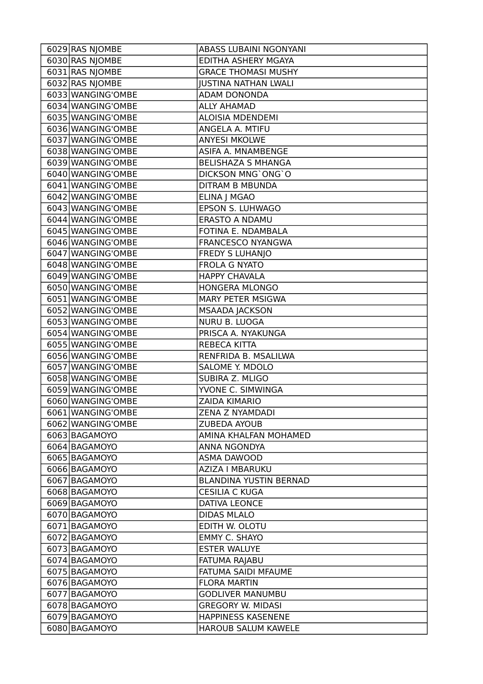| 6029 RAS NJOMBE   | ABASS LUBAINI NGONYANI        |
|-------------------|-------------------------------|
| 6030 RAS NJOMBE   | EDITHA ASHERY MGAYA           |
| 6031 RAS NJOMBE   | <b>GRACE THOMASI MUSHY</b>    |
| 6032 RAS NJOMBE   | <b>JUSTINA NATHAN LWALI</b>   |
| 6033 WANGING'OMBE | ADAM DONONDA                  |
| 6034 WANGING'OMBE | <b>ALLY AHAMAD</b>            |
| 6035 WANGING'OMBE | <b>ALOISIA MDENDEMI</b>       |
| 6036 WANGING'OMBE | ANGELA A. MTIFU               |
| 6037 WANGING'OMBE | <b>ANYESI MKOLWE</b>          |
| 6038 WANGING'OMBE | ASIFA A. MNAMBENGE            |
| 6039 WANGING'OMBE | <b>BELISHAZA S MHANGA</b>     |
| 6040 WANGING'OMBE | DICKSON MNG'ONG'O             |
| 6041 WANGING'OMBE | <b>DITRAM B MBUNDA</b>        |
| 6042 WANGING'OMBE | ELINA J MGAO                  |
| 6043 WANGING'OMBE | EPSON S. LUHWAGO              |
| 6044 WANGING'OMBE | <b>ERASTO A NDAMU</b>         |
| 6045 WANGING'OMBE | FOTINA E. NDAMBALA            |
| 6046 WANGING'OMBE | FRANCESCO NYANGWA             |
| 6047 WANGING'OMBE | <b>FREDY S LUHANJO</b>        |
| 6048 WANGING'OMBE | <b>FROLA G NYATO</b>          |
| 6049 WANGING'OMBE | <b>HAPPY CHAVALA</b>          |
| 6050 WANGING'OMBE | <b>HONGERA MLONGO</b>         |
| 6051 WANGING'OMBE | <b>MARY PETER MSIGWA</b>      |
| 6052 WANGING'OMBE | <b>MSAADA JACKSON</b>         |
| 6053 WANGING'OMBE | NURU B. LUOGA                 |
| 6054 WANGING'OMBE | PRISCA A. NYAKUNGA            |
| 6055 WANGING'OMBE | REBECA KITTA                  |
| 6056 WANGING'OMBE | RENFRIDA B. MSALILWA          |
| 6057 WANGING'OMBE | SALOME Y. MDOLO               |
| 6058 WANGING'OMBE | SUBIRA Z. MLIGO               |
| 6059 WANGING'OMBE | YVONE C. SIMWINGA             |
| 6060 WANGING'OMBE | <b>ZAIDA KIMARIO</b>          |
| 6061 WANGING'OMBE | ZENA Z NYAMDADI               |
| 6062 WANGING'OMBE | <b>ZUBEDA AYOUB</b>           |
| 6063 BAGAMOYO     | AMINA KHALFAN MOHAMED         |
| 6064 BAGAMOYO     | ANNA NGONDYA                  |
| 6065 BAGAMOYO     |                               |
|                   | ASMA DAWOOD                   |
| 6066 BAGAMOYO     | <b>AZIZA I MBARUKU</b>        |
| 6067 BAGAMOYO     | <b>BLANDINA YUSTIN BERNAD</b> |
| 6068 BAGAMOYO     | <b>CESILIA C KUGA</b>         |
| 6069 BAGAMOYO     | <b>DATIVA LEONCE</b>          |
| 6070 BAGAMOYO     | <b>DIDAS MLALO</b>            |
| 6071 BAGAMOYO     | EDITH W. OLOTU                |
| 6072 BAGAMOYO     | <b>EMMY C. SHAYO</b>          |
| 6073 BAGAMOYO     | <b>ESTER WALUYE</b>           |
| 6074 BAGAMOYO     | FATUMA RAJABU                 |
| 6075 BAGAMOYO     | FATUMA SAIDI MFAUME           |
| 6076 BAGAMOYO     | <b>FLORA MARTIN</b>           |
| 6077 BAGAMOYO     | <b>GODLIVER MANUMBU</b>       |
| 6078 BAGAMOYO     | <b>GREGORY W. MIDASI</b>      |
| 6079 BAGAMOYO     | HAPPINESS KASENENE            |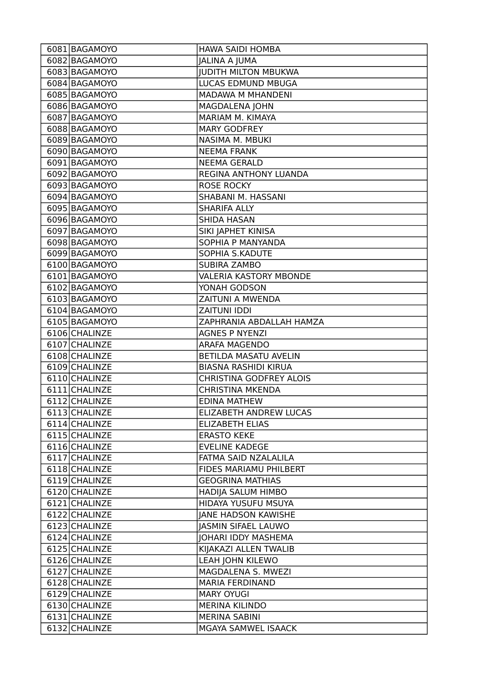| 6081 BAGAMOYO | HAWA SAIDI HOMBA               |
|---------------|--------------------------------|
| 6082 BAGAMOYO | <b>JALINA A JUMA</b>           |
| 6083 BAGAMOYO | <b>JUDITH MILTON MBUKWA</b>    |
| 6084 BAGAMOYO | LUCAS EDMUND MBUGA             |
| 6085 BAGAMOYO | <b>MADAWA M MHANDENI</b>       |
| 6086 BAGAMOYO | <b>MAGDALENA JOHN</b>          |
| 6087 BAGAMOYO | MARIAM M. KIMAYA               |
| 6088 BAGAMOYO | <b>MARY GODFREY</b>            |
| 6089 BAGAMOYO | NASIMA M. MBUKI                |
| 6090 BAGAMOYO | <b>NEEMA FRANK</b>             |
| 6091 BAGAMOYO | <b>NEEMA GERALD</b>            |
| 6092 BAGAMOYO | REGINA ANTHONY LUANDA          |
| 6093 BAGAMOYO | <b>ROSE ROCKY</b>              |
| 6094 BAGAMOYO | SHABANI M. HASSANI             |
| 6095 BAGAMOYO | <b>SHARIFA ALLY</b>            |
| 6096 BAGAMOYO | <b>SHIDA HASAN</b>             |
| 6097 BAGAMOYO | SIKI JAPHET KINISA             |
| 6098 BAGAMOYO | SOPHIA P MANYANDA              |
| 6099 BAGAMOYO | SOPHIA S.KADUTE                |
| 6100 BAGAMOYO | <b>SUBIRA ZAMBO</b>            |
| 6101 BAGAMOYO | <b>VALERIA KASTORY MBONDE</b>  |
| 6102 BAGAMOYO | YONAH GODSON                   |
| 6103 BAGAMOYO | ZAITUNI A MWENDA               |
| 6104 BAGAMOYO | <b>ZAITUNI IDDI</b>            |
| 6105 BAGAMOYO | ZAPHRANIA ABDALLAH HAMZA       |
| 6106 CHALINZE | <b>AGNES P NYENZI</b>          |
| 6107 CHALINZE | ARAFA MAGENDO                  |
| 6108 CHALINZE | <b>BETILDA MASATU AVELIN</b>   |
| 6109 CHALINZE | <b>BIASNA RASHIDI KIRUA</b>    |
| 6110 CHALINZE | <b>CHRISTINA GODFREY ALOIS</b> |
| 6111 CHALINZE | <b>CHRISTINA MKENDA</b>        |
| 6112 CHALINZE | <b>EDINA MATHEW</b>            |
| 6113 CHALINZE | ELIZABETH ANDREW LUCAS         |
| 6114 CHALINZE | <b>ELIZABETH ELIAS</b>         |
| 6115 CHALINZE | <b>ERASTO KEKE</b>             |
| 6116 CHALINZE | <b>EVELINE KADEGE</b>          |
| 6117 CHALINZE | FATMA SAID NZALALILA           |
| 6118 CHALINZE | FIDES MARIAMU PHILBERT         |
| 6119 CHALINZE | <b>GEOGRINA MATHIAS</b>        |
| 6120 CHALINZE | HADIJA SALUM HIMBO             |
| 6121 CHALINZE | HIDAYA YUSUFU MSUYA            |
| 6122 CHALINZE | JANE HADSON KAWISHE            |
| 6123 CHALINZE | <b>JASMIN SIFAEL LAUWO</b>     |
| 6124 CHALINZE | <b>JOHARI IDDY MASHEMA</b>     |
| 6125 CHALINZE | KIJAKAZI ALLEN TWALIB          |
| 6126 CHALINZE | LEAH JOHN KILEWO               |
| 6127 CHALINZE | MAGDALENA S. MWEZI             |
| 6128 CHALINZE | <b>MARIA FERDINAND</b>         |
| 6129 CHALINZE | <b>MARY OYUGI</b>              |
| 6130 CHALINZE | <b>MERINA KILINDO</b>          |
| 6131 CHALINZE | <b>MERINA SABINI</b>           |
| 6132 CHALINZE | MGAYA SAMWEL ISAACK            |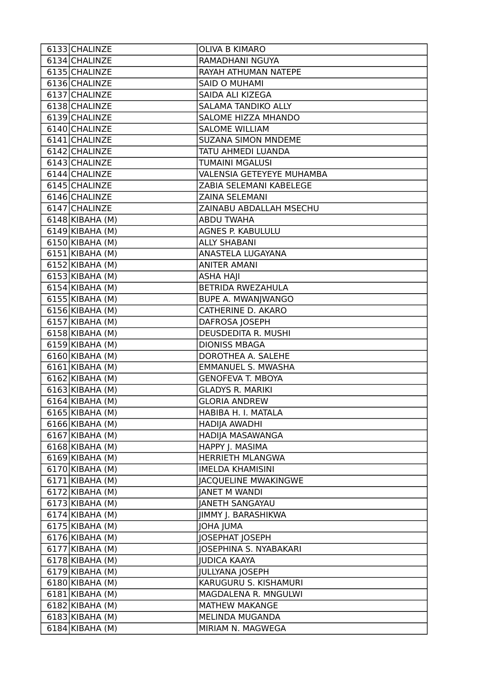| 6133 CHALINZE        | <b>OLIVA B KIMARO</b>       |
|----------------------|-----------------------------|
| 6134 CHALINZE        | RAMADHANI NGUYA             |
| 6135 CHALINZE        | RAYAH ATHUMAN NATEPE        |
| 6136 CHALINZE        | SAID O MUHAMI               |
| 6137 CHALINZE        | SAIDA ALI KIZEGA            |
| 6138 CHALINZE        | SALAMA TANDIKO ALLY         |
| 6139 CHALINZE        | SALOME HIZZA MHANDO         |
| 6140 CHALINZE        | <b>SALOME WILLIAM</b>       |
| 6141 CHALINZE        | <b>SUZANA SIMON MNDEME</b>  |
| 6142 CHALINZE        | TATU AHMEDI LUANDA          |
| 6143 CHALINZE        | TUMAINI MGALUSI             |
| 6144 CHALINZE        | VALENSIA GETEYEYE MUHAMBA   |
| 6145 CHALINZE        | ZABIA SELEMANI KABELEGE     |
| 6146 CHALINZE        | ZAINA SELEMANI              |
| 6147 CHALINZE        | ZAINABU ABDALLAH MSECHU     |
| $6148$ KIBAHA (M)    | <b>ABDU TWAHA</b>           |
| 6149 KIBAHA (M)      | AGNES P. KABULULU           |
| $6150$ KIBAHA (M)    | <b>ALLY SHABANI</b>         |
| $6151$ KIBAHA (M)    | ANASTELA LUGAYANA           |
| 6152 KIBAHA (M)      | <b>ANITER AMANI</b>         |
| $6153$ KIBAHA (M)    | <b>ASHA HAJI</b>            |
| $6154$ KIBAHA (M)    | BETRIDA RWEZAHULA           |
| $6155$ KIBAHA (M)    | BUPE A. MWANJWANGO          |
| $6156$ KIBAHA (M)    | CATHERINE D. AKARO          |
| $6157$ KIBAHA (M)    | DAFROSA JOSEPH              |
| 6158 KIBAHA (M)      | DEUSDEDITA R. MUSHI         |
| $6159$ KIBAHA (M)    | <b>DIONISS MBAGA</b>        |
| $6160$ KIBAHA (M)    | DOROTHEA A. SALEHE          |
| $6161$ KIBAHA (M)    | <b>EMMANUEL S. MWASHA</b>   |
| $6162$ KIBAHA (M)    | <b>GENOFEVA T. MBOYA</b>    |
| $6163$ KIBAHA (M)    | <b>GLADYS R. MARIKI</b>     |
| $6164$ KIBAHA (M)    | <b>GLORIA ANDREW</b>        |
| $6165$  KIBAHA (M)   | HABIBA H. I. MATALA         |
| $6166$ KIBAHA (M)    | HADIJA AWADHI               |
| 6167 KIBAHA (M)      | HADIJA MASAWANGA            |
| $6168$ KIBAHA (M)    | HAPPY J. MASIMA             |
| $6169$  KIBAHA $(M)$ | <b>HERRIETH MLANGWA</b>     |
| $6170$  KIBAHA $(M)$ | <b>IMELDA KHAMISINI</b>     |
| $6171$  KIBAHA (M)   | <b>JACQUELINE MWAKINGWE</b> |
| $6172$ KIBAHA (M)    | <b>JANET M WANDI</b>        |
| $6173$  KIBAHA (M)   | <b>JANETH SANGAYAU</b>      |
| $6174$ KIBAHA (M)    | JIMMY J. BARASHIKWA         |
| 6175 KIBAHA (M)      | JOHA JUMA                   |
| $6176$  KIBAHA $(M)$ | <b>JOSEPHAT JOSEPH</b>      |
| $6177$ KIBAHA (M)    | JOSEPHINA S. NYABAKARI      |
| $6178$ KIBAHA (M)    | <b>JUDICA KAAYA</b>         |
| 6179 KIBAHA (M)      | <b>JULLYANA JOSEPH</b>      |
| $6180$  KIBAHA $(M)$ | KARUGURU S. KISHAMURI       |
| $6181$  KIBAHA $(M)$ | MAGDALENA R. MNGULWI        |
| 6182 KIBAHA (M)      | <b>MATHEW MAKANGE</b>       |
| $6183$  KIBAHA (M)   | MELINDA MUGANDA             |
| $6184$ KIBAHA (M)    | MIRIAM N. MAGWEGA           |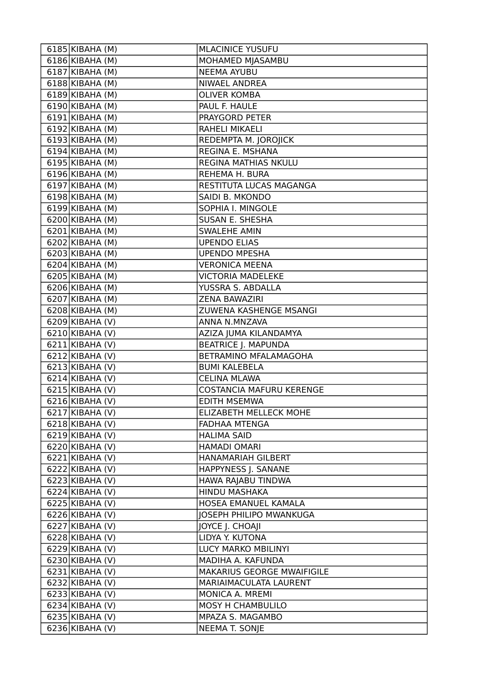| 6185 KIBAHA (M)               | <b>MLACINICE YUSUFU</b>         |
|-------------------------------|---------------------------------|
| $6186$ KIBAHA (M)             | MOHAMED MJASAMBU                |
| $6187$ KIBAHA (M)             | <b>NEEMA AYUBU</b>              |
| 6188 KIBAHA (M)               | NIWAEL ANDREA                   |
| $6189$ KIBAHA (M)             | <b>OLIVER KOMBA</b>             |
| $6190$ KIBAHA (M)             | PAUL F. HAULE                   |
| 6191 KIBAHA (M)               | PRAYGORD PETER                  |
| 6192 KIBAHA (M)               | RAHELI MIKAELI                  |
| $6193$ KIBAHA (M)             | REDEMPTA M. JOROJICK            |
| $6194$ KIBAHA (M)             | REGINA E. MSHANA                |
| $6195$ KIBAHA (M)             | REGINA MATHIAS NKULU            |
| $6196$ KIBAHA (M)             | REHEMA H. BURA                  |
| $\overline{6}$ 197 KIBAHA (M) | RESTITUTA LUCAS MAGANGA         |
| 6198 KIBAHA (M)               | SAIDI B. MKONDO                 |
| $6199$ KIBAHA (M)             | SOPHIA I. MINGOLE               |
| $6200$ KIBAHA (M)             | <b>SUSAN E. SHESHA</b>          |
| $6201$ KIBAHA (M)             | <b>SWALEHE AMIN</b>             |
| 6202 KIBAHA (M)               | <b>UPENDO ELIAS</b>             |
| $6203$ KIBAHA (M)             | <b>UPENDO MPESHA</b>            |
| 6204 KIBAHA (M)               | <b>VERONICA MEENA</b>           |
| 6205 KIBAHA (M)               | <b>VICTORIA MADELEKE</b>        |
| 6206 KIBAHA (M)               | YUSSRA S. ABDALLA               |
| 6207 KIBAHA (M)               | <b>ZENA BAWAZIRI</b>            |
| 6208 KIBAHA (M)               | ZUWENA KASHENGE MSANGI          |
| $6209$ KIBAHA (V)             | ANNA N.MNZAVA                   |
| 6210 KIBAHA (V)               | AZIZA JUMA KILANDAMYA           |
| $6211$ KIBAHA (V)             | <b>BEATRICE J. MAPUNDA</b>      |
| $6212$ KIBAHA (V)             | BETRAMINO MFALAMAGOHA           |
| $6213$ KIBAHA (V)             | <b>BUMI KALEBELA</b>            |
| $6214$ KIBAHA (V)             | <b>CELINA MLAWA</b>             |
| $6215$ KIBAHA (V)             | <b>COSTANCIA MAFURU KERENGE</b> |
| $6216$ KIBAHA (V)             | <b>EDITH MSEMWA</b>             |
| 6217 KIBAHA (V)               | ELIZABETH MELLECK MOHE          |
| 6218 KIBAHA (V)               | <b>FADHAA MTENGA</b>            |
| $6219$ KIBAHA (V)             | <b>HALIMA SAID</b>              |
| $6220$  KIBAHA (V)            | <b>HAMADI OMARI</b>             |
| $6221$  KIBAHA (V)            | HANAMARIAH GILBERT              |
| $6222$  KIBAHA (V)            | HAPPYNESS J. SANANE             |
| $6223$ KIBAHA (V)             | HAWA RAJABU TINDWA              |
| $6224$ KIBAHA (V)             | <b>HINDU MASHAKA</b>            |
| 6225 KIBAHA (V)               | HOSEA EMANUEL KAMALA            |
| $6226$ KIBAHA (V)             | JOSEPH PHILIPO MWANKUGA         |
| 6227 KIBAHA (V)               | JOYCE J. CHOAJI                 |
| $6228$ KIBAHA (V)             | LIDYA Y. KUTONA                 |
| $6229$ KIBAHA (V)             | LUCY MARKO MBILINYI             |
| $6230$  KIBAHA (V)            | MADIHA A. KAFUNDA               |
| $6231$  KIBAHA (V)            | MAKARIUS GEORGE MWAIFIGILE      |
| $6232$  KIBAHA (V)            | MARIAIMACULATA LAURENT          |
| $6233$ KIBAHA (V)             | MONICA A. MREMI                 |
| $6234$ KIBAHA (V)             | MOSY H CHAMBULILO               |
| $6235$ KIBAHA (V)             | MPAZA S. MAGAMBO                |
| $6236$ KIBAHA (V)             | NEEMA T. SONJE                  |
|                               |                                 |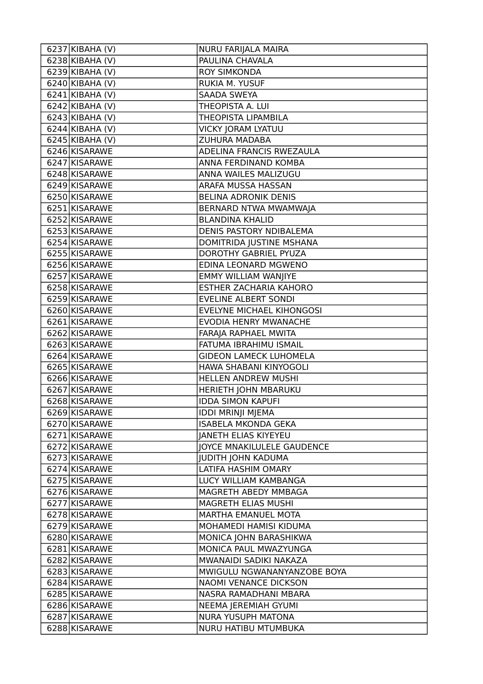| $\overline{6237}$ KIBAHA (V) | NURU FARIJALA MAIRA           |
|------------------------------|-------------------------------|
| $6238$ KIBAHA (V)            | PAULINA CHAVALA               |
| $6239$ KIBAHA (V)            | <b>ROY SIMKONDA</b>           |
| 6240 KIBAHA (V)              | RUKIA M. YUSUF                |
| $\overline{6241}$ KIBAHA (V) | <b>SAADA SWEYA</b>            |
| $\overline{6242}$ KIBAHA (V) | THEOPISTA A. LUI              |
| $6243$ KIBAHA (V)            | THEOPISTA LIPAMBILA           |
| $\overline{6244}$ KIBAHA (V) | VICKY JORAM LYATUU            |
| $6245$ KIBAHA (V)            | <b>ZUHURA MADABA</b>          |
| 6246 KISARAWE                | ADELINA FRANCIS RWEZAULA      |
| 6247 KISARAWE                | ANNA FERDINAND KOMBA          |
| 6248 KISARAWE                | ANNA WAILES MALIZUGU          |
| 6249 KISARAWE                | ARAFA MUSSA HASSAN            |
| 6250 KISARAWE                | <b>BELINA ADRONIK DENIS</b>   |
| 6251 KISARAWE                | BERNARD NTWA MWAMWAJA         |
| 6252 KISARAWE                | <b>BLANDINA KHALID</b>        |
| 6253 KISARAWE                | DENIS PASTORY NDIBALEMA       |
| 6254 KISARAWE                | DOMITRIDA JUSTINE MSHANA      |
| 6255 KISARAWE                | DOROTHY GABRIEL PYUZA         |
| 6256 KISARAWE                | EDINA LEONARD MGWENO          |
| 6257 KISARAWE                | EMMY WILLIAM WANJIYE          |
| 6258 KISARAWE                | ESTHER ZACHARIA KAHORO        |
| 6259 KISARAWE                | <b>EVELINE ALBERT SONDI</b>   |
| 6260 KISARAWE                | EVELYNE MICHAEL KIHONGOSI     |
| 6261 KISARAWE                | EVODIA HENRY MWANACHE         |
| 6262 KISARAWE                | FARAJA RAPHAEL MWITA          |
| 6263 KISARAWE                | FATUMA IBRAHIMU ISMAIL        |
| 6264 KISARAWE                | <b>GIDEON LAMECK LUHOMELA</b> |
| 6265 KISARAWE                | HAWA SHABANI KINYOGOLI        |
| 6266 KISARAWE                | <b>HELLEN ANDREW MUSHI</b>    |
| 6267 KISARAWE                | HERIETH JOHN MBARUKU          |
| 6268 KISARAWE                | <b>IDDA SIMON KAPUFI</b>      |
| 6269 KISARAWE                | <b>IDDI MRINJI MJEMA</b>      |
| 6270 KISARAWE                | <b>ISABELA MKONDA GEKA</b>    |
| 6271 KISARAWE                | <b>JANETH ELIAS KIYEYEU</b>   |
| 6272 KISARAWE                | JOYCE MNAKILULELE GAUDENCE    |
| 6273 KISARAWE                | <b>JUDITH JOHN KADUMA</b>     |
| 6274 KISARAWE                | LATIFA HASHIM OMARY           |
| 6275 KISARAWE                | LUCY WILLIAM KAMBANGA         |
| 6276 KISARAWE                | MAGRETH ABEDY MMBAGA          |
| 6277 KISARAWE                | MAGRETH ELIAS MUSHI           |
| 6278 KISARAWE                | MARTHA EMANUEL MOTA           |
| 6279 KISARAWE                | MOHAMEDI HAMISI KIDUMA        |
| 6280 KISARAWE                | MONICA JOHN BARASHIKWA        |
| 6281 KISARAWE                | MONICA PAUL MWAZYUNGA         |
| 6282 KISARAWE                | MWANAIDI SADIKI NAKAZA        |
| 6283 KISARAWE                | MWIGULU NGWANANYANZOBE BOYA   |
| 6284 KISARAWE                | NAOMI VENANCE DICKSON         |
| 6285 KISARAWE                | NASRA RAMADHANI MBARA         |
| 6286 KISARAWE                | NEEMA JEREMIAH GYUMI          |
| 6287 KISARAWE                | <b>NURA YUSUPH MATONA</b>     |
| 6288 KISARAWE                | NURU HATIBU MTUMBUKA          |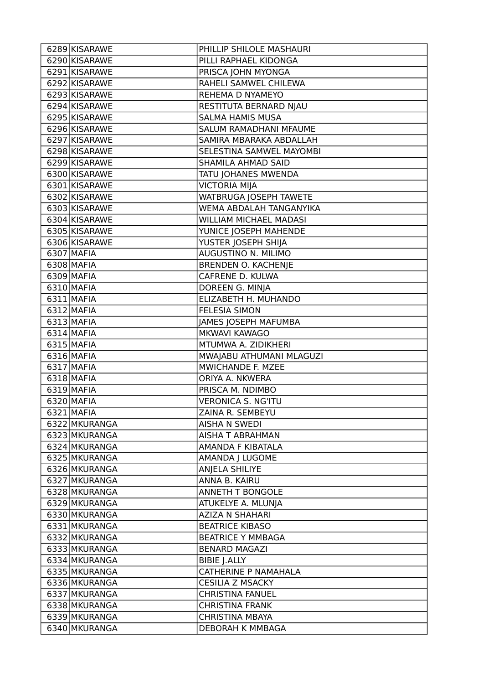| 6289 KISARAWE | PHILLIP SHILOLE MASHAURI      |
|---------------|-------------------------------|
| 6290 KISARAWE | PILLI RAPHAEL KIDONGA         |
| 6291 KISARAWE | PRISCA JOHN MYONGA            |
| 6292 KISARAWE | RAHELI SAMWEL CHILEWA         |
| 6293 KISARAWE | REHEMA D NYAMEYO              |
| 6294 KISARAWE | RESTITUTA BERNARD NJAU        |
| 6295 KISARAWE | <b>SALMA HAMIS MUSA</b>       |
| 6296 KISARAWE | SALUM RAMADHANI MFAUME        |
| 6297 KISARAWE | SAMIRA MBARAKA ABDALLAH       |
| 6298 KISARAWE | SELESTINA SAMWEL MAYOMBI      |
| 6299 KISARAWE | SHAMILA AHMAD SAID            |
| 6300 KISARAWE | TATU JOHANES MWENDA           |
| 6301 KISARAWE | VICTORIA MIJA                 |
| 6302 KISARAWE | WATBRUGA JOSEPH TAWETE        |
| 6303 KISARAWE | WEMA ABDALAH TANGANYIKA       |
| 6304 KISARAWE | <b>WILLIAM MICHAEL MADASI</b> |
| 6305 KISARAWE | YUNICE JOSEPH MAHENDE         |
| 6306 KISARAWE | YUSTER JOSEPH SHIJA           |
| 6307 MAFIA    | AUGUSTINO N. MILIMO           |
| 6308 MAFIA    | <b>BRENDEN O. KACHENJE</b>    |
| 6309 MAFIA    | CAFRENE D. KULWA              |
| 6310 MAFIA    | DOREEN G. MINJA               |
| 6311 MAFIA    | ELIZABETH H. MUHANDO          |
| 6312 MAFIA    | <b>FELESIA SIMON</b>          |
| 6313 MAFIA    | JAMES JOSEPH MAFUMBA          |
| $6314$ MAFIA  | MKWAVI KAWAGO                 |
| 6315 MAFIA    | MTUMWA A. ZIDIKHERI           |
| 6316 MAFIA    | MWAJABU ATHUMANI MLAGUZI      |
| 6317 MAFIA    | MWICHANDE F. MZEE             |
| 6318 MAFIA    | ORIYA A. NKWERA               |
| 6319 MAFIA    | PRISCA M. NDIMBO              |
| 6320 MAFIA    | VERONICA S. NG'ITU            |
| 6321 MAFIA    | ZAINA R. SEMBEYU              |
| 6322 MKURANGA | AISHA N SWEDI                 |
| 6323 MKURANGA | AISHA T ABRAHMAN              |
| 6324 MKURANGA | AMANDA F KIBATALA             |
| 6325 MKURANGA | AMANDA J LUGOME               |
| 6326 MKURANGA | ANJELA SHILIYE                |
| 6327 MKURANGA | ANNA B. KAIRU                 |
| 6328 MKURANGA | <b>ANNETH T BONGOLE</b>       |
| 6329 MKURANGA | ATUKELYE A. MLUNJA            |
| 6330 MKURANGA | <b>AZIZA N SHAHARI</b>        |
| 6331 MKURANGA | <b>BEATRICE KIBASO</b>        |
| 6332 MKURANGA | <b>BEATRICE Y MMBAGA</b>      |
| 6333 MKURANGA | <b>BENARD MAGAZI</b>          |
| 6334 MKURANGA | <b>BIBIE J.ALLY</b>           |
| 6335 MKURANGA | CATHERINE P NAMAHALA          |
| 6336 MKURANGA | <b>CESILIA Z MSACKY</b>       |
| 6337 MKURANGA | <b>CHRISTINA FANUEL</b>       |
| 6338 MKURANGA | <b>CHRISTINA FRANK</b>        |
| 6339 MKURANGA | <b>CHRISTINA MBAYA</b>        |
| 6340 MKURANGA | DEBORAH K MMBAGA              |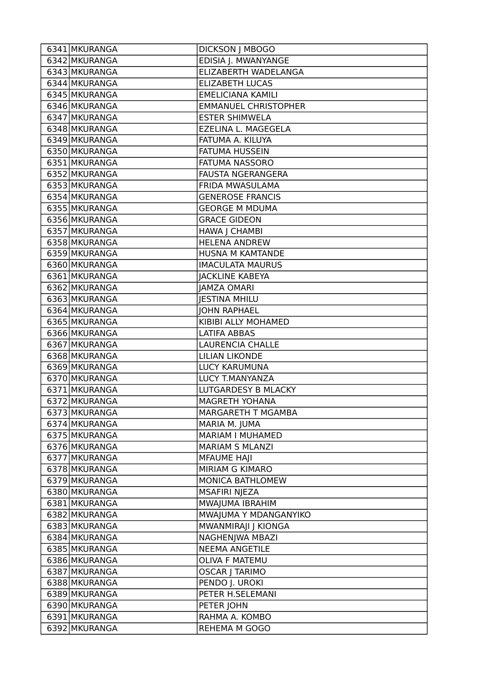| 6341 MKURANGA | <b>DICKSON J MBOGO</b>      |
|---------------|-----------------------------|
| 6342 MKURANGA | EDISIA J. MWANYANGE         |
| 6343 MKURANGA | ELIZABERTH WADELANGA        |
| 6344 MKURANGA | <b>ELIZABETH LUCAS</b>      |
| 6345 MKURANGA | <b>EMELICIANA KAMILI</b>    |
| 6346 MKURANGA | <b>EMMANUEL CHRISTOPHER</b> |
| 6347 MKURANGA | <b>ESTER SHIMWELA</b>       |
| 6348 MKURANGA | EZELINA L. MAGEGELA         |
| 6349 MKURANGA | FATUMA A. KILUYA            |
| 6350 MKURANGA | <b>FATUMA HUSSEIN</b>       |
| 6351 MKURANGA | <b>FATUMA NASSORO</b>       |
| 6352 MKURANGA | <b>FAUSTA NGERANGERA</b>    |
| 6353 MKURANGA | FRIDA MWASULAMA             |
| 6354 MKURANGA | <b>GENEROSE FRANCIS</b>     |
| 6355 MKURANGA | <b>GEORGE M MDUMA</b>       |
| 6356 MKURANGA | <b>GRACE GIDEON</b>         |
| 6357 MKURANGA | HAWA J CHAMBI               |
| 6358 MKURANGA | <b>HELENA ANDREW</b>        |
| 6359 MKURANGA | HUSNA M KAMTANDE            |
| 6360 MKURANGA | <b>IMACULATA MAURUS</b>     |
| 6361 MKURANGA | <b>JACKLINE KABEYA</b>      |
| 6362 MKURANGA | <b>JAMZA OMARI</b>          |
| 6363 MKURANGA | <b>JESTINA MHILU</b>        |
| 6364 MKURANGA | <b>JOHN RAPHAEL</b>         |
| 6365 MKURANGA | KIBIBI ALLY MOHAMED         |
| 6366 MKURANGA | <b>LATIFA ABBAS</b>         |
| 6367 MKURANGA | <b>LAURENCIA CHALLE</b>     |
| 6368 MKURANGA | <b>LILIAN LIKONDE</b>       |
| 6369 MKURANGA | LUCY KARUMUNA               |
| 6370 MKURANGA | LUCY T.MANYANZA             |
| 6371 MKURANGA | LUTGARDESY B MLACKY         |
| 6372 MKURANGA | <b>MAGRETH YOHANA</b>       |
| 6373 MKURANGA | MARGARETH T MGAMBA          |
| 6374 MKURANGA | MARIA M. JUMA               |
| 6375 MKURANGA | MARIAM I MUHAMED            |
| 6376 MKURANGA | <b>MARIAM S MLANZI</b>      |
| 6377 MKURANGA | <b>MFAUME HAJI</b>          |
| 6378 MKURANGA | MIRIAM G KIMARO             |
| 6379 MKURANGA | MONICA BATHLOMEW            |
| 6380 MKURANGA | <b>MSAFIRI NJEZA</b>        |
| 6381 MKURANGA | MWAJUMA IBRAHIM             |
| 6382 MKURANGA | MWAJUMA Y MDANGANYIKO       |
| 6383 MKURANGA | MWANMIRAJI J KIONGA         |
| 6384 MKURANGA | NAGHENJWA MBAZI             |
| 6385 MKURANGA | <b>NEEMA ANGETILE</b>       |
| 6386 MKURANGA | OLIVA F MATEMU              |
| 6387 MKURANGA | <b>OSCAR   TARIMO</b>       |
| 6388 MKURANGA | PENDO J. UROKI              |
| 6389 MKURANGA | PETER H.SELEMANI            |
| 6390 MKURANGA | PETER JOHN                  |
| 6391 MKURANGA | RAHMA A. KOMBO              |
| 6392 MKURANGA | REHEMA M GOGO               |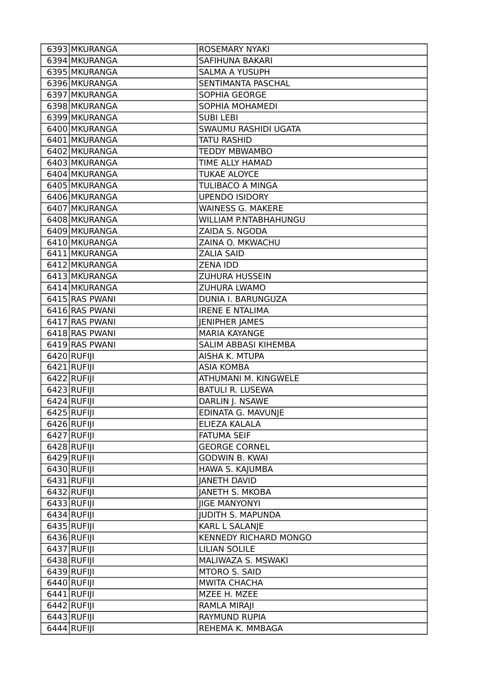| 6393 MKURANGA                  | ROSEMARY NYAKI                    |
|--------------------------------|-----------------------------------|
| 6394 MKURANGA                  | <b>SAFIHUNA BAKARI</b>            |
| 6395 MKURANGA                  | <b>SALMA A YUSUPH</b>             |
| 6396 MKURANGA                  | SENTIMANTA PASCHAL                |
| 6397 MKURANGA                  | SOPHIA GEORGE                     |
| 6398 MKURANGA                  | SOPHIA MOHAMEDI                   |
| 6399 MKURANGA                  | <b>SUBI LEBI</b>                  |
| 6400 MKURANGA                  | SWAUMU RASHIDI UGATA              |
| 6401 MKURANGA                  | <b>TATU RASHID</b>                |
| 6402 MKURANGA                  | <b>TEDDY MBWAMBO</b>              |
| 6403 MKURANGA                  | TIME ALLY HAMAD                   |
| 6404 MKURANGA                  | <b>TUKAE ALOYCE</b>               |
| 6405 MKURANGA                  | <b>TULIBACO A MINGA</b>           |
| 6406 MKURANGA                  | <b>UPENDO ISIDORY</b>             |
| 6407 MKURANGA                  | <b>WAINESS G. MAKERE</b>          |
| 6408 MKURANGA                  | WILLIAM P.NTABHAHUNGU             |
| 6409 MKURANGA                  | ZAIDA S. NGODA                    |
| 6410 MKURANGA                  | ZAINA O. MKWACHU                  |
| 6411 MKURANGA                  | <b>ZALIA SAID</b>                 |
| 6412 MKURANGA                  | <b>ZENA IDD</b>                   |
| 6413 MKURANGA                  | <b>ZUHURA HUSSEIN</b>             |
| 6414 MKURANGA                  | ZUHURA LWAMO                      |
| 6415 RAS PWANI                 | DUNIA I. BARUNGUZA                |
| 6416 RAS PWANI                 | <b>IRENE E NTALIMA</b>            |
| 6417 RAS PWANI                 | JENIPHER JAMES                    |
| 6418 RAS PWANI                 | <b>MARIA KAYANGE</b>              |
|                                |                                   |
| 6419 RAS PWANI                 | SALIM ABBASI KIHEMBA              |
| 6420 RUFIJI                    | AISHA K. MTUPA                    |
| 6421 RUFIJI                    | <b>ASIA KOMBA</b>                 |
| 6422 RUFIJI                    | ATHUMANI M. KINGWELE              |
| 6423 RUFIJI                    | <b>BATULI R. LUSEWA</b>           |
| 6424 RUFIJI                    | DARLIN J. NSAWE                   |
| 6425 RUFIJI                    | EDINATA G. MAVUNJE                |
| $6426$ RUFIJI                  | ELIEZA KALALA                     |
| 6427 RUFIJI                    | <b>FATUMA SEIF</b>                |
| $6428$ RUFIJI                  | <b>GEORGE CORNEL</b>              |
| $6429$ RUFIJI                  | <b>GODWIN B. KWAI</b>             |
| 6430 RUFIJI                    | HAWA S. KAJUMBA                   |
| $6431$ RUFIJI                  | <b>JANETH DAVID</b>               |
| 6432 RUFIJI                    | <b>JANETH S. MKOBA</b>            |
| 6433 RUFIJI                    | <b>JIGE MANYONYI</b>              |
| $6434$ RUFIJI                  | <b>JUDITH S. MAPUNDA</b>          |
| 6435 RUFIJI                    | KARL L SALANJE                    |
| 6436 RUFIJI                    | <b>KENNEDY RICHARD MONGO</b>      |
| $6437$ RUFIJI                  | <b>LILIAN SOLILE</b>              |
| 6438 RUFIJI                    | MALIWAZA S. MSWAKI                |
| 6439 RUFIJI                    | MTORO S. SAID                     |
| $6440$ RUFIJI                  | <b>MWITA CHACHA</b>               |
| $6441$ RUFIJI                  | MZEE H. MZEE                      |
| 6442 RUFIJI                    | RAMLA MIRAJI                      |
| $6443$ RUFIJI<br>$6444$ RUFIJI | RAYMUND RUPIA<br>REHEMA K. MMBAGA |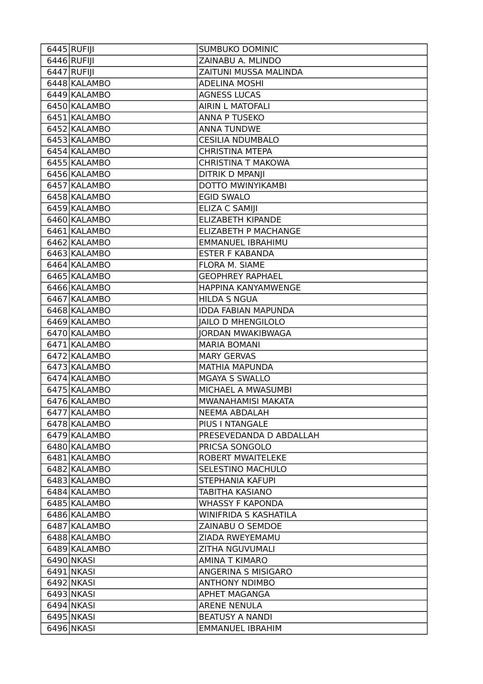| 6446 RUFIJI<br>ZAINABU A. MLINDO<br>$6447$ RUFIJI<br><b>ZAITUNI MUSSA MALINDA</b><br>6448 KALAMBO<br><b>ADELINA MOSHI</b><br>6449 KALAMBO<br><b>AGNESS LUCAS</b><br>6450 KALAMBO<br><b>AIRIN L MATOFALI</b><br>6451 KALAMBO<br><b>ANNA P TUSEKO</b><br>6452 KALAMBO<br><b>ANNA TUNDWE</b><br>6453 KALAMBO<br><b>CESILIA NDUMBALO</b><br>6454 KALAMBO<br><b>CHRISTINA MTEPA</b><br>6455 KALAMBO<br><b>CHRISTINA T MAKOWA</b><br>6456 KALAMBO<br><b>DITRIK D MPANJI</b><br>DOTTO MWINYIKAMBI<br>6457 KALAMBO<br>6458 KALAMBO<br><b>EGID SWALO</b><br>6459 KALAMBO<br>ELIZA C SAMIJI<br>6460 KALAMBO<br>ELIZABETH KIPANDE<br>6461 KALAMBO<br><b>ELIZABETH P MACHANGE</b><br>6462 KALAMBO<br>EMMANUEL IBRAHIMU<br>6463 KALAMBO<br><b>ESTER F KABANDA</b><br>6464 KALAMBO<br>FLORA M. SIAME<br>6465 KALAMBO<br><b>GEOPHREY RAPHAEL</b> |
|-----------------------------------------------------------------------------------------------------------------------------------------------------------------------------------------------------------------------------------------------------------------------------------------------------------------------------------------------------------------------------------------------------------------------------------------------------------------------------------------------------------------------------------------------------------------------------------------------------------------------------------------------------------------------------------------------------------------------------------------------------------------------------------------------------------------------------------|
|                                                                                                                                                                                                                                                                                                                                                                                                                                                                                                                                                                                                                                                                                                                                                                                                                                   |
|                                                                                                                                                                                                                                                                                                                                                                                                                                                                                                                                                                                                                                                                                                                                                                                                                                   |
|                                                                                                                                                                                                                                                                                                                                                                                                                                                                                                                                                                                                                                                                                                                                                                                                                                   |
|                                                                                                                                                                                                                                                                                                                                                                                                                                                                                                                                                                                                                                                                                                                                                                                                                                   |
|                                                                                                                                                                                                                                                                                                                                                                                                                                                                                                                                                                                                                                                                                                                                                                                                                                   |
|                                                                                                                                                                                                                                                                                                                                                                                                                                                                                                                                                                                                                                                                                                                                                                                                                                   |
|                                                                                                                                                                                                                                                                                                                                                                                                                                                                                                                                                                                                                                                                                                                                                                                                                                   |
|                                                                                                                                                                                                                                                                                                                                                                                                                                                                                                                                                                                                                                                                                                                                                                                                                                   |
|                                                                                                                                                                                                                                                                                                                                                                                                                                                                                                                                                                                                                                                                                                                                                                                                                                   |
|                                                                                                                                                                                                                                                                                                                                                                                                                                                                                                                                                                                                                                                                                                                                                                                                                                   |
|                                                                                                                                                                                                                                                                                                                                                                                                                                                                                                                                                                                                                                                                                                                                                                                                                                   |
|                                                                                                                                                                                                                                                                                                                                                                                                                                                                                                                                                                                                                                                                                                                                                                                                                                   |
|                                                                                                                                                                                                                                                                                                                                                                                                                                                                                                                                                                                                                                                                                                                                                                                                                                   |
|                                                                                                                                                                                                                                                                                                                                                                                                                                                                                                                                                                                                                                                                                                                                                                                                                                   |
|                                                                                                                                                                                                                                                                                                                                                                                                                                                                                                                                                                                                                                                                                                                                                                                                                                   |
|                                                                                                                                                                                                                                                                                                                                                                                                                                                                                                                                                                                                                                                                                                                                                                                                                                   |
|                                                                                                                                                                                                                                                                                                                                                                                                                                                                                                                                                                                                                                                                                                                                                                                                                                   |
|                                                                                                                                                                                                                                                                                                                                                                                                                                                                                                                                                                                                                                                                                                                                                                                                                                   |
|                                                                                                                                                                                                                                                                                                                                                                                                                                                                                                                                                                                                                                                                                                                                                                                                                                   |
|                                                                                                                                                                                                                                                                                                                                                                                                                                                                                                                                                                                                                                                                                                                                                                                                                                   |
| 6466 KALAMBO<br>HAPPINA KANYAMWENGE                                                                                                                                                                                                                                                                                                                                                                                                                                                                                                                                                                                                                                                                                                                                                                                               |
| <b>HILDA S NGUA</b><br>6467 KALAMBO                                                                                                                                                                                                                                                                                                                                                                                                                                                                                                                                                                                                                                                                                                                                                                                               |
| 6468 KALAMBO<br><b>IDDA FABIAN MAPUNDA</b>                                                                                                                                                                                                                                                                                                                                                                                                                                                                                                                                                                                                                                                                                                                                                                                        |
| 6469 KALAMBO<br><b>JAILO D MHENGILOLO</b>                                                                                                                                                                                                                                                                                                                                                                                                                                                                                                                                                                                                                                                                                                                                                                                         |
| 6470 KALAMBO<br><b>JORDAN MWAKIBWAGA</b>                                                                                                                                                                                                                                                                                                                                                                                                                                                                                                                                                                                                                                                                                                                                                                                          |
| 6471 KALAMBO<br><b>MARIA BOMANI</b>                                                                                                                                                                                                                                                                                                                                                                                                                                                                                                                                                                                                                                                                                                                                                                                               |
| 6472 KALAMBO<br><b>MARY GERVAS</b>                                                                                                                                                                                                                                                                                                                                                                                                                                                                                                                                                                                                                                                                                                                                                                                                |
| 6473 KALAMBO<br><b>MATHIA MAPUNDA</b>                                                                                                                                                                                                                                                                                                                                                                                                                                                                                                                                                                                                                                                                                                                                                                                             |
| 6474 KALAMBO<br><b>MGAYA S SWALLO</b>                                                                                                                                                                                                                                                                                                                                                                                                                                                                                                                                                                                                                                                                                                                                                                                             |
| 6475 KALAMBO<br>MICHAEL A MWASUMBI                                                                                                                                                                                                                                                                                                                                                                                                                                                                                                                                                                                                                                                                                                                                                                                                |
| 6476 KALAMBO<br>MWANAHAMISI MAKATA                                                                                                                                                                                                                                                                                                                                                                                                                                                                                                                                                                                                                                                                                                                                                                                                |
| 6477 KALAMBO<br><b>NEEMA ABDALAH</b>                                                                                                                                                                                                                                                                                                                                                                                                                                                                                                                                                                                                                                                                                                                                                                                              |
| 6478 KALAMBO<br>PIUS I NTANGALE                                                                                                                                                                                                                                                                                                                                                                                                                                                                                                                                                                                                                                                                                                                                                                                                   |
| 6479 KALAMBO<br>PRESEVEDANDA D ABDALLAH                                                                                                                                                                                                                                                                                                                                                                                                                                                                                                                                                                                                                                                                                                                                                                                           |
| 6480 KALAMBO<br>PRICSA SONGOLO                                                                                                                                                                                                                                                                                                                                                                                                                                                                                                                                                                                                                                                                                                                                                                                                    |
| 6481 KALAMBO<br><b>ROBERT MWAITELEKE</b>                                                                                                                                                                                                                                                                                                                                                                                                                                                                                                                                                                                                                                                                                                                                                                                          |
| 6482 KALAMBO<br><b>SELESTINO MACHULO</b>                                                                                                                                                                                                                                                                                                                                                                                                                                                                                                                                                                                                                                                                                                                                                                                          |
| 6483 KALAMBO<br>STEPHANIA KAFUPI                                                                                                                                                                                                                                                                                                                                                                                                                                                                                                                                                                                                                                                                                                                                                                                                  |
| 6484 KALAMBO<br><b>TABITHA KASIANO</b>                                                                                                                                                                                                                                                                                                                                                                                                                                                                                                                                                                                                                                                                                                                                                                                            |
| 6485 KALAMBO<br><b>WHASSY F KAPONDA</b>                                                                                                                                                                                                                                                                                                                                                                                                                                                                                                                                                                                                                                                                                                                                                                                           |
| <b>WINIFRIDA S KASHATILA</b><br>6486 KALAMBO                                                                                                                                                                                                                                                                                                                                                                                                                                                                                                                                                                                                                                                                                                                                                                                      |
| 6487 KALAMBO<br>ZAINABU O SEMDOE                                                                                                                                                                                                                                                                                                                                                                                                                                                                                                                                                                                                                                                                                                                                                                                                  |
| 6488 KALAMBO<br>ZIADA RWEYEMAMU                                                                                                                                                                                                                                                                                                                                                                                                                                                                                                                                                                                                                                                                                                                                                                                                   |
| 6489 KALAMBO<br>ZITHA NGUVUMALI                                                                                                                                                                                                                                                                                                                                                                                                                                                                                                                                                                                                                                                                                                                                                                                                   |
| 6490 NKASI<br><b>AMINA T KIMARO</b>                                                                                                                                                                                                                                                                                                                                                                                                                                                                                                                                                                                                                                                                                                                                                                                               |
| 6491 NKASI<br>ANGERINA S MISIGARO                                                                                                                                                                                                                                                                                                                                                                                                                                                                                                                                                                                                                                                                                                                                                                                                 |
| 6492 NKASI<br><b>ANTHONY NDIMBO</b>                                                                                                                                                                                                                                                                                                                                                                                                                                                                                                                                                                                                                                                                                                                                                                                               |
| 6493 NKASI<br>APHET MAGANGA                                                                                                                                                                                                                                                                                                                                                                                                                                                                                                                                                                                                                                                                                                                                                                                                       |
| 6494 NKASI<br><b>ARENE NENULA</b>                                                                                                                                                                                                                                                                                                                                                                                                                                                                                                                                                                                                                                                                                                                                                                                                 |
| 6495 NKASI<br><b>BEATUSY A NANDI</b>                                                                                                                                                                                                                                                                                                                                                                                                                                                                                                                                                                                                                                                                                                                                                                                              |
| 6496 NKASI<br><b>EMMANUEL IBRAHIM</b>                                                                                                                                                                                                                                                                                                                                                                                                                                                                                                                                                                                                                                                                                                                                                                                             |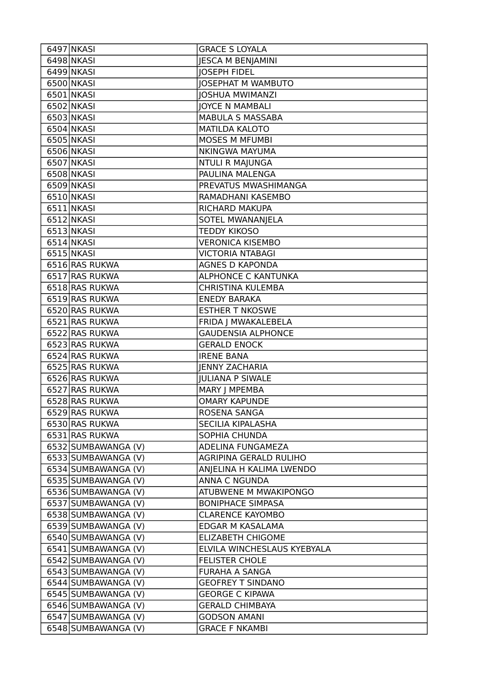| 6497 NKASI                                 | <b>GRACE S LOYALA</b>                        |
|--------------------------------------------|----------------------------------------------|
| 6498 NKASI                                 | <b>JESCA M BENJAMINI</b>                     |
| 6499 NKASI                                 | <b>JOSEPH FIDEL</b>                          |
| 6500 NKASI                                 | <b>IOSEPHAT M WAMBUTO</b>                    |
| 6501 NKASI                                 | <b>JOSHUA MWIMANZI</b>                       |
| 6502 NKASI                                 | <b>JOYCE N MAMBALI</b>                       |
| 6503 NKASI                                 | <b>MABULA S MASSABA</b>                      |
| 6504 NKASI                                 | <b>MATILDA KALOTO</b>                        |
| 6505 NKASI                                 | <b>MOSES M MFUMBI</b>                        |
| 6506 NKASI                                 | <b>NKINGWA MAYUMA</b>                        |
| 6507 NKASI                                 | <b>NTULI R MAJUNGA</b>                       |
| 6508 NKASI                                 | PAULINA MALENGA                              |
| 6509 NKASI                                 | PREVATUS MWASHIMANGA                         |
| 6510 NKASI                                 | RAMADHANI KASEMBO                            |
| 6511 NKASI                                 | RICHARD MAKUPA                               |
| 6512 NKASI                                 | SOTEL MWANANJELA                             |
| 6513 NKASI                                 | <b>TEDDY KIKOSO</b>                          |
| 6514 NKASI                                 | <b>VERONICA KISEMBO</b>                      |
| 6515 NKASI                                 | <b>VICTORIA NTABAGI</b>                      |
| 6516 RAS RUKWA                             | <b>AGNES D KAPONDA</b>                       |
| 6517 RAS RUKWA                             | <b>ALPHONCE C KANTUNKA</b>                   |
| 6518 RAS RUKWA                             | <b>CHRISTINA KULEMBA</b>                     |
| 6519 RAS RUKWA                             | <b>ENEDY BARAKA</b>                          |
| 6520 RAS RUKWA                             | <b>ESTHER T NKOSWE</b>                       |
| 6521 RAS RUKWA                             | FRIDA J MWAKALEBELA                          |
| 6522 RAS RUKWA                             | <b>GAUDENSIA ALPHONCE</b>                    |
| 6523 RAS RUKWA                             | <b>GERALD ENOCK</b>                          |
| 6524 RAS RUKWA                             | <b>IRENE BANA</b>                            |
| 6525 RAS RUKWA                             | <b>JENNY ZACHARIA</b>                        |
| 6526 RAS RUKWA                             | <b>JULIANA P SIWALE</b>                      |
| 6527 RAS RUKWA                             | MARY J MPEMBA                                |
| 6528 RAS RUKWA                             | <b>OMARY KAPUNDE</b>                         |
| 6529 RAS RUKWA                             | ROSENA SANGA                                 |
| 6530 RAS RUKWA                             | SECILIA KIPALASHA                            |
| 6531 RAS RUKWA                             | SOPHIA CHUNDA                                |
| 6532 SUMBAWANGA (V)                        | ADELINA FUNGAMEZA                            |
| 6533 SUMBAWANGA (V)                        | AGRIPINA GERALD RULIHO                       |
| 6534 SUMBAWANGA (V)                        | ANJELINA H KALIMA LWENDO                     |
| 6535 SUMBAWANGA (V)                        | ANNA C NGUNDA                                |
| 6536 SUMBAWANGA (V)                        | ATUBWENE M MWAKIPONGO                        |
| 6537 SUMBAWANGA (V)                        | <b>BONIPHACE SIMPASA</b>                     |
| 6538 SUMBAWANGA (V)                        | <b>CLARENCE KAYOMBO</b>                      |
| 6539 SUMBAWANGA (V)                        | EDGAR M KASALAMA                             |
| 6540 SUMBAWANGA (V)                        | <b>ELIZABETH CHIGOME</b>                     |
| 6541 SUMBAWANGA (V)                        | ELVILA WINCHESLAUS KYEBYALA                  |
| 6542 SUMBAWANGA (V)                        | <b>FELISTER CHOLE</b>                        |
| 6543 SUMBAWANGA (V)                        | <b>FURAHA A SANGA</b>                        |
| 6544 SUMBAWANGA (V)                        |                                              |
|                                            | <b>GEOFREY T SINDANO</b>                     |
| 6545 SUMBAWANGA (V)                        | <b>GEORGE C KIPAWA</b>                       |
| 6546 SUMBAWANGA (V)                        | <b>GERALD CHIMBAYA</b>                       |
| 6547 SUMBAWANGA (V)<br>6548 SUMBAWANGA (V) | <b>GODSON AMANI</b><br><b>GRACE F NKAMBI</b> |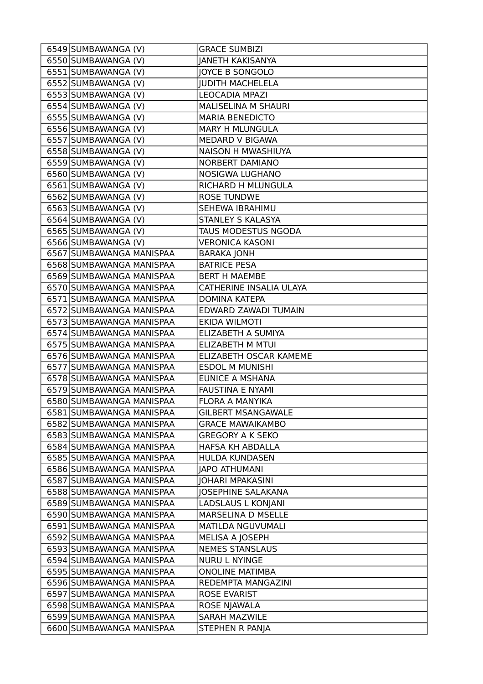| 6549 SUMBAWANGA (V)      | <b>GRACE SUMBIZI</b>       |
|--------------------------|----------------------------|
| 6550 SUMBAWANGA (V)      | <b>JANETH KAKISANYA</b>    |
| 6551 SUMBAWANGA (V)      | JOYCE B SONGOLO            |
| 6552 SUMBAWANGA (V)      | <b>JUDITH MACHELELA</b>    |
| 6553 SUMBAWANGA (V)      | <b>LEOCADIA MPAZI</b>      |
| 6554 SUMBAWANGA (V)      | <b>MALISELINA M SHAURI</b> |
| 6555 SUMBAWANGA (V)      | <b>MARIA BENEDICTO</b>     |
| 6556 SUMBAWANGA (V)      | <b>MARY H MLUNGULA</b>     |
| 6557 SUMBAWANGA (V)      | MEDARD V BIGAWA            |
| 6558 SUMBAWANGA (V)      | NAISON H MWASHIUYA         |
| 6559 SUMBAWANGA (V)      | <b>NORBERT DAMIANO</b>     |
| 6560 SUMBAWANGA (V)      | <b>NOSIGWA LUGHANO</b>     |
| 6561 SUMBAWANGA (V)      | RICHARD H MLUNGULA         |
| 6562 SUMBAWANGA (V)      | <b>ROSE TUNDWE</b>         |
| 6563 SUMBAWANGA (V)      | SEHEWA IBRAHIMU            |
| 6564 SUMBAWANGA (V)      | STANLEY S KALASYA          |
| 6565 SUMBAWANGA (V)      | TAUS MODESTUS NGODA        |
| 6566 SUMBAWANGA (V)      | <b>VERONICA KASONI</b>     |
| 6567 SUMBAWANGA MANISPAA | <b>BARAKA JONH</b>         |
| 6568 SUMBAWANGA MANISPAA | <b>BATRICE PESA</b>        |
| 6569 SUMBAWANGA MANISPAA | <b>BERT H MAEMBE</b>       |
| 6570 SUMBAWANGA MANISPAA | CATHERINE INSALIA ULAYA    |
| 6571 SUMBAWANGA MANISPAA | <b>DOMINA KATEPA</b>       |
| 6572 SUMBAWANGA MANISPAA | EDWARD ZAWADI TUMAIN       |
| 6573 SUMBAWANGA MANISPAA | EKIDA WILMOTI              |
| 6574 SUMBAWANGA MANISPAA | ELIZABETH A SUMIYA         |
| 6575 SUMBAWANGA MANISPAA | <b>ELIZABETH M MTUI</b>    |
| 6576 SUMBAWANGA MANISPAA | ELIZABETH OSCAR KAMEME     |
| 6577 SUMBAWANGA MANISPAA | <b>ESDOL M MUNISHI</b>     |
| 6578 SUMBAWANGA MANISPAA | <b>EUNICE A MSHANA</b>     |
| 6579 SUMBAWANGA MANISPAA | <b>FAUSTINA E NYAMI</b>    |
| 6580 SUMBAWANGA MANISPAA | FLORA A MANYIKA            |
| 6581 SUMBAWANGA MANISPAA | <b>GILBERT MSANGAWALE</b>  |
| 6582 SUMBAWANGA MANISPAA | <b>GRACE MAWAIKAMBO</b>    |
| 6583 SUMBAWANGA MANISPAA | <b>GREGORY A K SEKO</b>    |
| 6584 SUMBAWANGA MANISPAA | HAFSA KH ABDALLA           |
| 6585 SUMBAWANGA MANISPAA | <b>HULDA KUNDASEN</b>      |
| 6586 SUMBAWANGA MANISPAA | <b>JAPO ATHUMANI</b>       |
| 6587 SUMBAWANGA MANISPAA | <b>JOHARI MPAKASINI</b>    |
| 6588 SUMBAWANGA MANISPAA | JOSEPHINE SALAKANA         |
| 6589 SUMBAWANGA MANISPAA | <b>LADSLAUS L KONJANI</b>  |
| 6590 SUMBAWANGA MANISPAA | MARSELINA D MSELLE         |
| 6591 SUMBAWANGA MANISPAA | MATILDA NGUVUMALI          |
| 6592 SUMBAWANGA MANISPAA | MELISA A JOSEPH            |
| 6593 SUMBAWANGA MANISPAA | <b>NEMES STANSLAUS</b>     |
| 6594 SUMBAWANGA MANISPAA | <b>NURU L NYINGE</b>       |
| 6595 SUMBAWANGA MANISPAA | <b>ONOLINE MATIMBA</b>     |
| 6596 SUMBAWANGA MANISPAA | REDEMPTA MANGAZINI         |
| 6597 SUMBAWANGA MANISPAA | ROSE EVARIST               |
| 6598 SUMBAWANGA MANISPAA | ROSE NJAWALA               |
| 6599 SUMBAWANGA MANISPAA | SARAH MAZWILE              |
| 6600 SUMBAWANGA MANISPAA | STEPHEN R PANJA            |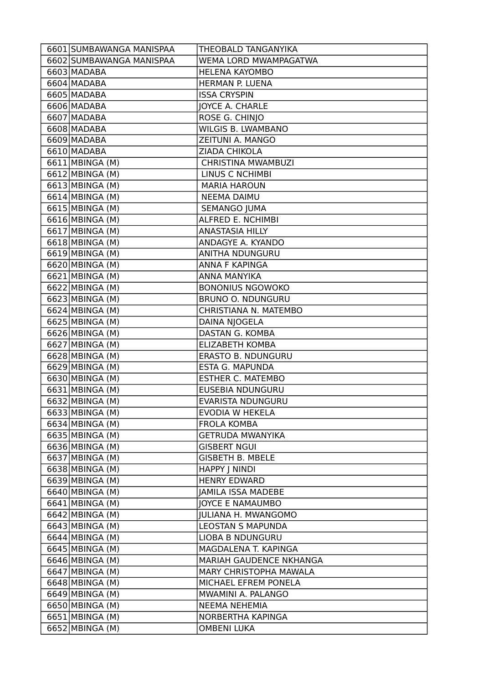| 6601 SUMBAWANGA MANISPAA | THEOBALD TANGANYIKA        |
|--------------------------|----------------------------|
| 6602 SUMBAWANGA MANISPAA | WEMA LORD MWAMPAGATWA      |
| 6603 MADABA              | <b>HELENA KAYOMBO</b>      |
| 6604 MADABA              | HERMAN P. LUENA            |
| 6605 MADABA              | <b>ISSA CRYSPIN</b>        |
| 6606 MADABA              | JOYCE A. CHARLE            |
| 6607 MADABA              | ROSE G. CHINJO             |
| 6608 MADABA              | WILGIS B. LWAMBANO         |
| 6609 MADABA              | ZEITUNI A. MANGO           |
| 6610 MADABA              | ZIADA CHIKOLA              |
| 6611 MBINGA (M)          | <b>CHRISTINA MWAMBUZI</b>  |
| 6612 MBINGA (M)          | LINUS C NCHIMBI            |
| 6613 MBINGA (M)          | <b>MARIA HAROUN</b>        |
| 6614 MBINGA (M)          | <b>NEEMA DAIMU</b>         |
| 6615 MBINGA (M)          | <b>SEMANGO JUMA</b>        |
| 6616 MBINGA (M)          | ALFRED E. NCHIMBI          |
| 6617 MBINGA (M)          | ANASTASIA HILLY            |
| 6618 MBINGA (M)          | ANDAGYE A. KYANDO          |
| 6619 MBINGA (M)          | ANITHA NDUNGURU            |
| 6620 MBINGA (M)          | ANNA F KAPINGA             |
| 6621 MBINGA (M)          | ANNA MANYIKA               |
| 6622 MBINGA (M)          | <b>BONONIUS NGOWOKO</b>    |
| 6623 MBINGA (M)          | <b>BRUNO O. NDUNGURU</b>   |
| 6624 MBINGA (M)          | CHRISTIANA N. MATEMBO      |
| 6625 MBINGA (M)          | DAINA NJOGELA              |
| 6626 MBINGA (M)          | DASTAN G. KOMBA            |
| 6627 MBINGA (M)          | <b>ELIZABETH KOMBA</b>     |
| 6628 MBINGA (M)          | ERASTO B. NDUNGURU         |
| 6629 MBINGA (M)          | ESTA G. MAPUNDA            |
| 6630 MBINGA (M)          | <b>ESTHER C. MATEMBO</b>   |
| $6631$ MBINGA (M)        | <b>EUSEBIA NDUNGURU</b>    |
| 6632 MBINGA (M)          | EVARISTA NDUNGURU          |
| 6633 MBINGA (M)          | EVODIA W HEKELA            |
| 6634 MBINGA (M)          | <b>FROLA KOMBA</b>         |
| 6635 MBINGA (M)          | <b>GETRUDA MWANYIKA</b>    |
| 6636 MBINGA (M)          | <b>GISBERT NGUI</b>        |
| 6637 MBINGA (M)          | <b>GISBETH B. MBELE</b>    |
| 6638 MBINGA (M)          | <b>HAPPY   NINDI</b>       |
| 6639 MBINGA (M)          | <b>HENRY EDWARD</b>        |
| 6640 MBINGA (M)          | <b>JAMILA ISSA MADEBE</b>  |
| 6641 MBINGA (M)          | <b>JOYCE E NAMAUMBO</b>    |
| 6642 MBINGA (M)          | <b>JULIANA H. MWANGOMO</b> |
| 6643 MBINGA (M)          | <b>LEOSTAN S MAPUNDA</b>   |
| 6644 MBINGA (M)          | LIOBA B NDUNGURU           |
| 6645 MBINGA (M)          | MAGDALENA T. KAPINGA       |
| 6646 MBINGA (M)          | MARIAH GAUDENCE NKHANGA    |
| 6647 MBINGA (M)          | MARY CHRISTOPHA MAWALA     |
| 6648 MBINGA (M)          | MICHAEL EFREM PONELA       |
| 6649 MBINGA (M)          | MWAMINI A. PALANGO         |
| 6650 MBINGA (M)          | <b>NEEMA NEHEMIA</b>       |
| 6651 MBINGA (M)          | NORBERTHA KAPINGA          |
| 6652 MBINGA (M)          | <b>OMBENI LUKA</b>         |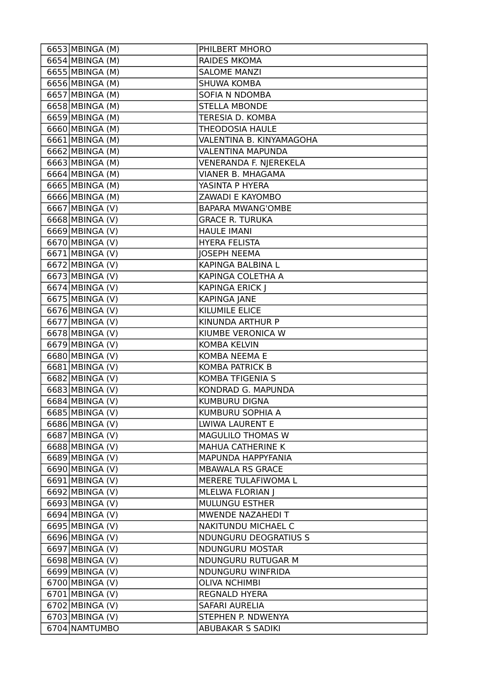| 6654 MBINGA (M)<br><b>RAIDES MKOMA</b><br>6655 MBINGA (M)<br><b>SALOME MANZI</b><br>$\overline{6656}$ MBINGA (M)<br><b>SHUWA KOMBA</b><br>6657 MBINGA (M)<br>SOFIA N NDOMBA<br>6658 MBINGA (M)<br><b>STELLA MBONDE</b><br>6659 MBINGA (M)<br>TERESIA D. KOMBA<br>6660 MBINGA (M)<br><b>THEODOSIA HAULE</b><br>6661 MBINGA (M)<br>VALENTINA B. KINYAMAGOHA<br>6662 MBINGA (M)<br><b>VALENTINA MAPUNDA</b><br>6663 MBINGA (M)<br>VENERANDA F. NJEREKELA<br>6664 MBINGA (M)<br><b>VIANER B. MHAGAMA</b><br>6665 MBINGA (M)<br>YASINTA P HYERA<br>6666 MBINGA (M)<br>ZAWADI E KAYOMBO<br>6667 MBINGA (V)<br><b>BAPARA MWANG'OMBE</b><br>6668 MBINGA (V)<br><b>GRACE R. TURUKA</b><br>6669 MBINGA (V)<br><b>HAULE IMANI</b><br>6670 MBINGA (V)<br><b>HYERA FELISTA</b><br>6671 MBINGA (V)<br><b>JOSEPH NEEMA</b><br>6672 MBINGA (V)<br>KAPINGA BALBINA L<br>6673 MBINGA (V)<br>KAPINGA COLETHA A<br>6674 MBINGA (V)<br><b>KAPINGA ERICK J</b><br>6675 MBINGA (V)<br><b>KAPINGA JANE</b><br>6676 MBINGA (V)<br>KILUMILE ELICE<br>$\overline{6677}$ MBINGA (V)<br>KINUNDA ARTHUR P<br>6678 MBINGA (V)<br>KIUMBE VERONICA W<br>6679 MBINGA (V)<br><b>KOMBA KELVIN</b><br>6680 MBINGA (V)<br>KOMBA NEEMA E<br>6681 MBINGA (V)<br><b>KOMBA PATRICK B</b><br>6682 MBINGA (V)<br><b>KOMBA TFIGENIA S</b><br>6683 MBINGA (V)<br>KONDRAD G. MAPUNDA<br>6684 MBINGA (V)<br><b>KUMBURU DIGNA</b><br>KUMBURU SOPHIA A<br>6685 MBINGA (V)<br>6686 MBINGA (V)<br>LWIWA LAURENT E<br>6687 MBINGA (V)<br>MAGULILO THOMAS W<br>6688 MBINGA (V)<br>MAHUA CATHERINE K<br>6689 MBINGA (V)<br>MAPUNDA HAPPYFANIA<br>6690 MBINGA (V)<br>MBAWALA RS GRACE<br>6691 MBINGA (V)<br>MERERE TULAFIWOMA L<br>6692 MBINGA (V)<br><b>MLELWA FLORIAN  </b><br><b>MULUNGU ESTHER</b><br>6693 MBINGA (V)<br>6694 MBINGA (V)<br>MWENDE NAZAHEDI T<br>6695 MBINGA (V)<br>NAKITUNDU MICHAEL C<br>6696 MBINGA (V)<br><b>NDUNGURU DEOGRATIUS S</b><br>6697 MBINGA (V)<br>NDUNGURU MOSTAR<br>6698 MBINGA (V)<br>NDUNGURU RUTUGAR M<br>6699 MBINGA (V)<br>NDUNGURU WINFRIDA<br>6700 MBINGA (V)<br><b>OLIVA NCHIMBI</b><br>6701 MBINGA (V)<br><b>REGNALD HYERA</b><br>6702 MBINGA (V)<br>SAFARI AURELIA<br>6703 MBINGA (V)<br>STEPHEN P. NDWENYA | 6653 MBINGA (M) | PHILBERT MHORO    |
|---------------------------------------------------------------------------------------------------------------------------------------------------------------------------------------------------------------------------------------------------------------------------------------------------------------------------------------------------------------------------------------------------------------------------------------------------------------------------------------------------------------------------------------------------------------------------------------------------------------------------------------------------------------------------------------------------------------------------------------------------------------------------------------------------------------------------------------------------------------------------------------------------------------------------------------------------------------------------------------------------------------------------------------------------------------------------------------------------------------------------------------------------------------------------------------------------------------------------------------------------------------------------------------------------------------------------------------------------------------------------------------------------------------------------------------------------------------------------------------------------------------------------------------------------------------------------------------------------------------------------------------------------------------------------------------------------------------------------------------------------------------------------------------------------------------------------------------------------------------------------------------------------------------------------------------------------------------------------------------------------------------------------------------------------------------------------------------------------------------------------------------------------------------------------------------------------|-----------------|-------------------|
|                                                                                                                                                                                                                                                                                                                                                                                                                                                                                                                                                                                                                                                                                                                                                                                                                                                                                                                                                                                                                                                                                                                                                                                                                                                                                                                                                                                                                                                                                                                                                                                                                                                                                                                                                                                                                                                                                                                                                                                                                                                                                                                                                                                                   |                 |                   |
|                                                                                                                                                                                                                                                                                                                                                                                                                                                                                                                                                                                                                                                                                                                                                                                                                                                                                                                                                                                                                                                                                                                                                                                                                                                                                                                                                                                                                                                                                                                                                                                                                                                                                                                                                                                                                                                                                                                                                                                                                                                                                                                                                                                                   |                 |                   |
|                                                                                                                                                                                                                                                                                                                                                                                                                                                                                                                                                                                                                                                                                                                                                                                                                                                                                                                                                                                                                                                                                                                                                                                                                                                                                                                                                                                                                                                                                                                                                                                                                                                                                                                                                                                                                                                                                                                                                                                                                                                                                                                                                                                                   |                 |                   |
|                                                                                                                                                                                                                                                                                                                                                                                                                                                                                                                                                                                                                                                                                                                                                                                                                                                                                                                                                                                                                                                                                                                                                                                                                                                                                                                                                                                                                                                                                                                                                                                                                                                                                                                                                                                                                                                                                                                                                                                                                                                                                                                                                                                                   |                 |                   |
|                                                                                                                                                                                                                                                                                                                                                                                                                                                                                                                                                                                                                                                                                                                                                                                                                                                                                                                                                                                                                                                                                                                                                                                                                                                                                                                                                                                                                                                                                                                                                                                                                                                                                                                                                                                                                                                                                                                                                                                                                                                                                                                                                                                                   |                 |                   |
|                                                                                                                                                                                                                                                                                                                                                                                                                                                                                                                                                                                                                                                                                                                                                                                                                                                                                                                                                                                                                                                                                                                                                                                                                                                                                                                                                                                                                                                                                                                                                                                                                                                                                                                                                                                                                                                                                                                                                                                                                                                                                                                                                                                                   |                 |                   |
|                                                                                                                                                                                                                                                                                                                                                                                                                                                                                                                                                                                                                                                                                                                                                                                                                                                                                                                                                                                                                                                                                                                                                                                                                                                                                                                                                                                                                                                                                                                                                                                                                                                                                                                                                                                                                                                                                                                                                                                                                                                                                                                                                                                                   |                 |                   |
|                                                                                                                                                                                                                                                                                                                                                                                                                                                                                                                                                                                                                                                                                                                                                                                                                                                                                                                                                                                                                                                                                                                                                                                                                                                                                                                                                                                                                                                                                                                                                                                                                                                                                                                                                                                                                                                                                                                                                                                                                                                                                                                                                                                                   |                 |                   |
|                                                                                                                                                                                                                                                                                                                                                                                                                                                                                                                                                                                                                                                                                                                                                                                                                                                                                                                                                                                                                                                                                                                                                                                                                                                                                                                                                                                                                                                                                                                                                                                                                                                                                                                                                                                                                                                                                                                                                                                                                                                                                                                                                                                                   |                 |                   |
|                                                                                                                                                                                                                                                                                                                                                                                                                                                                                                                                                                                                                                                                                                                                                                                                                                                                                                                                                                                                                                                                                                                                                                                                                                                                                                                                                                                                                                                                                                                                                                                                                                                                                                                                                                                                                                                                                                                                                                                                                                                                                                                                                                                                   |                 |                   |
|                                                                                                                                                                                                                                                                                                                                                                                                                                                                                                                                                                                                                                                                                                                                                                                                                                                                                                                                                                                                                                                                                                                                                                                                                                                                                                                                                                                                                                                                                                                                                                                                                                                                                                                                                                                                                                                                                                                                                                                                                                                                                                                                                                                                   |                 |                   |
|                                                                                                                                                                                                                                                                                                                                                                                                                                                                                                                                                                                                                                                                                                                                                                                                                                                                                                                                                                                                                                                                                                                                                                                                                                                                                                                                                                                                                                                                                                                                                                                                                                                                                                                                                                                                                                                                                                                                                                                                                                                                                                                                                                                                   |                 |                   |
|                                                                                                                                                                                                                                                                                                                                                                                                                                                                                                                                                                                                                                                                                                                                                                                                                                                                                                                                                                                                                                                                                                                                                                                                                                                                                                                                                                                                                                                                                                                                                                                                                                                                                                                                                                                                                                                                                                                                                                                                                                                                                                                                                                                                   |                 |                   |
|                                                                                                                                                                                                                                                                                                                                                                                                                                                                                                                                                                                                                                                                                                                                                                                                                                                                                                                                                                                                                                                                                                                                                                                                                                                                                                                                                                                                                                                                                                                                                                                                                                                                                                                                                                                                                                                                                                                                                                                                                                                                                                                                                                                                   |                 |                   |
|                                                                                                                                                                                                                                                                                                                                                                                                                                                                                                                                                                                                                                                                                                                                                                                                                                                                                                                                                                                                                                                                                                                                                                                                                                                                                                                                                                                                                                                                                                                                                                                                                                                                                                                                                                                                                                                                                                                                                                                                                                                                                                                                                                                                   |                 |                   |
|                                                                                                                                                                                                                                                                                                                                                                                                                                                                                                                                                                                                                                                                                                                                                                                                                                                                                                                                                                                                                                                                                                                                                                                                                                                                                                                                                                                                                                                                                                                                                                                                                                                                                                                                                                                                                                                                                                                                                                                                                                                                                                                                                                                                   |                 |                   |
|                                                                                                                                                                                                                                                                                                                                                                                                                                                                                                                                                                                                                                                                                                                                                                                                                                                                                                                                                                                                                                                                                                                                                                                                                                                                                                                                                                                                                                                                                                                                                                                                                                                                                                                                                                                                                                                                                                                                                                                                                                                                                                                                                                                                   |                 |                   |
|                                                                                                                                                                                                                                                                                                                                                                                                                                                                                                                                                                                                                                                                                                                                                                                                                                                                                                                                                                                                                                                                                                                                                                                                                                                                                                                                                                                                                                                                                                                                                                                                                                                                                                                                                                                                                                                                                                                                                                                                                                                                                                                                                                                                   |                 |                   |
|                                                                                                                                                                                                                                                                                                                                                                                                                                                                                                                                                                                                                                                                                                                                                                                                                                                                                                                                                                                                                                                                                                                                                                                                                                                                                                                                                                                                                                                                                                                                                                                                                                                                                                                                                                                                                                                                                                                                                                                                                                                                                                                                                                                                   |                 |                   |
|                                                                                                                                                                                                                                                                                                                                                                                                                                                                                                                                                                                                                                                                                                                                                                                                                                                                                                                                                                                                                                                                                                                                                                                                                                                                                                                                                                                                                                                                                                                                                                                                                                                                                                                                                                                                                                                                                                                                                                                                                                                                                                                                                                                                   |                 |                   |
|                                                                                                                                                                                                                                                                                                                                                                                                                                                                                                                                                                                                                                                                                                                                                                                                                                                                                                                                                                                                                                                                                                                                                                                                                                                                                                                                                                                                                                                                                                                                                                                                                                                                                                                                                                                                                                                                                                                                                                                                                                                                                                                                                                                                   |                 |                   |
|                                                                                                                                                                                                                                                                                                                                                                                                                                                                                                                                                                                                                                                                                                                                                                                                                                                                                                                                                                                                                                                                                                                                                                                                                                                                                                                                                                                                                                                                                                                                                                                                                                                                                                                                                                                                                                                                                                                                                                                                                                                                                                                                                                                                   |                 |                   |
|                                                                                                                                                                                                                                                                                                                                                                                                                                                                                                                                                                                                                                                                                                                                                                                                                                                                                                                                                                                                                                                                                                                                                                                                                                                                                                                                                                                                                                                                                                                                                                                                                                                                                                                                                                                                                                                                                                                                                                                                                                                                                                                                                                                                   |                 |                   |
|                                                                                                                                                                                                                                                                                                                                                                                                                                                                                                                                                                                                                                                                                                                                                                                                                                                                                                                                                                                                                                                                                                                                                                                                                                                                                                                                                                                                                                                                                                                                                                                                                                                                                                                                                                                                                                                                                                                                                                                                                                                                                                                                                                                                   |                 |                   |
|                                                                                                                                                                                                                                                                                                                                                                                                                                                                                                                                                                                                                                                                                                                                                                                                                                                                                                                                                                                                                                                                                                                                                                                                                                                                                                                                                                                                                                                                                                                                                                                                                                                                                                                                                                                                                                                                                                                                                                                                                                                                                                                                                                                                   |                 |                   |
|                                                                                                                                                                                                                                                                                                                                                                                                                                                                                                                                                                                                                                                                                                                                                                                                                                                                                                                                                                                                                                                                                                                                                                                                                                                                                                                                                                                                                                                                                                                                                                                                                                                                                                                                                                                                                                                                                                                                                                                                                                                                                                                                                                                                   |                 |                   |
|                                                                                                                                                                                                                                                                                                                                                                                                                                                                                                                                                                                                                                                                                                                                                                                                                                                                                                                                                                                                                                                                                                                                                                                                                                                                                                                                                                                                                                                                                                                                                                                                                                                                                                                                                                                                                                                                                                                                                                                                                                                                                                                                                                                                   |                 |                   |
|                                                                                                                                                                                                                                                                                                                                                                                                                                                                                                                                                                                                                                                                                                                                                                                                                                                                                                                                                                                                                                                                                                                                                                                                                                                                                                                                                                                                                                                                                                                                                                                                                                                                                                                                                                                                                                                                                                                                                                                                                                                                                                                                                                                                   |                 |                   |
|                                                                                                                                                                                                                                                                                                                                                                                                                                                                                                                                                                                                                                                                                                                                                                                                                                                                                                                                                                                                                                                                                                                                                                                                                                                                                                                                                                                                                                                                                                                                                                                                                                                                                                                                                                                                                                                                                                                                                                                                                                                                                                                                                                                                   |                 |                   |
|                                                                                                                                                                                                                                                                                                                                                                                                                                                                                                                                                                                                                                                                                                                                                                                                                                                                                                                                                                                                                                                                                                                                                                                                                                                                                                                                                                                                                                                                                                                                                                                                                                                                                                                                                                                                                                                                                                                                                                                                                                                                                                                                                                                                   |                 |                   |
|                                                                                                                                                                                                                                                                                                                                                                                                                                                                                                                                                                                                                                                                                                                                                                                                                                                                                                                                                                                                                                                                                                                                                                                                                                                                                                                                                                                                                                                                                                                                                                                                                                                                                                                                                                                                                                                                                                                                                                                                                                                                                                                                                                                                   |                 |                   |
|                                                                                                                                                                                                                                                                                                                                                                                                                                                                                                                                                                                                                                                                                                                                                                                                                                                                                                                                                                                                                                                                                                                                                                                                                                                                                                                                                                                                                                                                                                                                                                                                                                                                                                                                                                                                                                                                                                                                                                                                                                                                                                                                                                                                   |                 |                   |
|                                                                                                                                                                                                                                                                                                                                                                                                                                                                                                                                                                                                                                                                                                                                                                                                                                                                                                                                                                                                                                                                                                                                                                                                                                                                                                                                                                                                                                                                                                                                                                                                                                                                                                                                                                                                                                                                                                                                                                                                                                                                                                                                                                                                   |                 |                   |
|                                                                                                                                                                                                                                                                                                                                                                                                                                                                                                                                                                                                                                                                                                                                                                                                                                                                                                                                                                                                                                                                                                                                                                                                                                                                                                                                                                                                                                                                                                                                                                                                                                                                                                                                                                                                                                                                                                                                                                                                                                                                                                                                                                                                   |                 |                   |
|                                                                                                                                                                                                                                                                                                                                                                                                                                                                                                                                                                                                                                                                                                                                                                                                                                                                                                                                                                                                                                                                                                                                                                                                                                                                                                                                                                                                                                                                                                                                                                                                                                                                                                                                                                                                                                                                                                                                                                                                                                                                                                                                                                                                   |                 |                   |
|                                                                                                                                                                                                                                                                                                                                                                                                                                                                                                                                                                                                                                                                                                                                                                                                                                                                                                                                                                                                                                                                                                                                                                                                                                                                                                                                                                                                                                                                                                                                                                                                                                                                                                                                                                                                                                                                                                                                                                                                                                                                                                                                                                                                   |                 |                   |
|                                                                                                                                                                                                                                                                                                                                                                                                                                                                                                                                                                                                                                                                                                                                                                                                                                                                                                                                                                                                                                                                                                                                                                                                                                                                                                                                                                                                                                                                                                                                                                                                                                                                                                                                                                                                                                                                                                                                                                                                                                                                                                                                                                                                   |                 |                   |
|                                                                                                                                                                                                                                                                                                                                                                                                                                                                                                                                                                                                                                                                                                                                                                                                                                                                                                                                                                                                                                                                                                                                                                                                                                                                                                                                                                                                                                                                                                                                                                                                                                                                                                                                                                                                                                                                                                                                                                                                                                                                                                                                                                                                   |                 |                   |
|                                                                                                                                                                                                                                                                                                                                                                                                                                                                                                                                                                                                                                                                                                                                                                                                                                                                                                                                                                                                                                                                                                                                                                                                                                                                                                                                                                                                                                                                                                                                                                                                                                                                                                                                                                                                                                                                                                                                                                                                                                                                                                                                                                                                   |                 |                   |
|                                                                                                                                                                                                                                                                                                                                                                                                                                                                                                                                                                                                                                                                                                                                                                                                                                                                                                                                                                                                                                                                                                                                                                                                                                                                                                                                                                                                                                                                                                                                                                                                                                                                                                                                                                                                                                                                                                                                                                                                                                                                                                                                                                                                   |                 |                   |
|                                                                                                                                                                                                                                                                                                                                                                                                                                                                                                                                                                                                                                                                                                                                                                                                                                                                                                                                                                                                                                                                                                                                                                                                                                                                                                                                                                                                                                                                                                                                                                                                                                                                                                                                                                                                                                                                                                                                                                                                                                                                                                                                                                                                   |                 |                   |
|                                                                                                                                                                                                                                                                                                                                                                                                                                                                                                                                                                                                                                                                                                                                                                                                                                                                                                                                                                                                                                                                                                                                                                                                                                                                                                                                                                                                                                                                                                                                                                                                                                                                                                                                                                                                                                                                                                                                                                                                                                                                                                                                                                                                   |                 |                   |
|                                                                                                                                                                                                                                                                                                                                                                                                                                                                                                                                                                                                                                                                                                                                                                                                                                                                                                                                                                                                                                                                                                                                                                                                                                                                                                                                                                                                                                                                                                                                                                                                                                                                                                                                                                                                                                                                                                                                                                                                                                                                                                                                                                                                   |                 |                   |
|                                                                                                                                                                                                                                                                                                                                                                                                                                                                                                                                                                                                                                                                                                                                                                                                                                                                                                                                                                                                                                                                                                                                                                                                                                                                                                                                                                                                                                                                                                                                                                                                                                                                                                                                                                                                                                                                                                                                                                                                                                                                                                                                                                                                   |                 |                   |
|                                                                                                                                                                                                                                                                                                                                                                                                                                                                                                                                                                                                                                                                                                                                                                                                                                                                                                                                                                                                                                                                                                                                                                                                                                                                                                                                                                                                                                                                                                                                                                                                                                                                                                                                                                                                                                                                                                                                                                                                                                                                                                                                                                                                   |                 |                   |
|                                                                                                                                                                                                                                                                                                                                                                                                                                                                                                                                                                                                                                                                                                                                                                                                                                                                                                                                                                                                                                                                                                                                                                                                                                                                                                                                                                                                                                                                                                                                                                                                                                                                                                                                                                                                                                                                                                                                                                                                                                                                                                                                                                                                   |                 |                   |
|                                                                                                                                                                                                                                                                                                                                                                                                                                                                                                                                                                                                                                                                                                                                                                                                                                                                                                                                                                                                                                                                                                                                                                                                                                                                                                                                                                                                                                                                                                                                                                                                                                                                                                                                                                                                                                                                                                                                                                                                                                                                                                                                                                                                   |                 |                   |
|                                                                                                                                                                                                                                                                                                                                                                                                                                                                                                                                                                                                                                                                                                                                                                                                                                                                                                                                                                                                                                                                                                                                                                                                                                                                                                                                                                                                                                                                                                                                                                                                                                                                                                                                                                                                                                                                                                                                                                                                                                                                                                                                                                                                   |                 |                   |
|                                                                                                                                                                                                                                                                                                                                                                                                                                                                                                                                                                                                                                                                                                                                                                                                                                                                                                                                                                                                                                                                                                                                                                                                                                                                                                                                                                                                                                                                                                                                                                                                                                                                                                                                                                                                                                                                                                                                                                                                                                                                                                                                                                                                   |                 |                   |
|                                                                                                                                                                                                                                                                                                                                                                                                                                                                                                                                                                                                                                                                                                                                                                                                                                                                                                                                                                                                                                                                                                                                                                                                                                                                                                                                                                                                                                                                                                                                                                                                                                                                                                                                                                                                                                                                                                                                                                                                                                                                                                                                                                                                   |                 |                   |
|                                                                                                                                                                                                                                                                                                                                                                                                                                                                                                                                                                                                                                                                                                                                                                                                                                                                                                                                                                                                                                                                                                                                                                                                                                                                                                                                                                                                                                                                                                                                                                                                                                                                                                                                                                                                                                                                                                                                                                                                                                                                                                                                                                                                   | 6704 NAMTUMBO   | ABUBAKAR S SADIKI |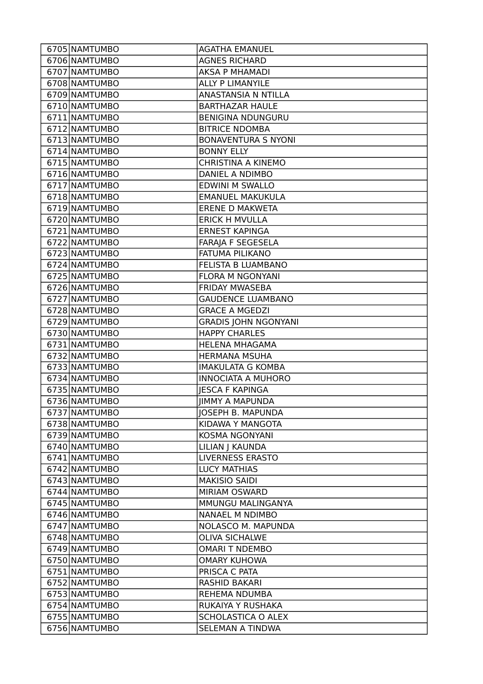| 6705 NAMTUMBO                  | <b>AGATHA EMANUEL</b>                  |
|--------------------------------|----------------------------------------|
| 6706 NAMTUMBO                  | <b>AGNES RICHARD</b>                   |
| 6707 NAMTUMBO                  | <b>AKSA P MHAMADI</b>                  |
| 6708 NAMTUMBO                  | <b>ALLY P LIMANYILE</b>                |
| 6709 NAMTUMBO                  | <b>ANASTANSIA N NTILLA</b>             |
| 6710 NAMTUMBO                  | <b>BARTHAZAR HAULE</b>                 |
| 6711 NAMTUMBO                  | <b>BENIGINA NDUNGURU</b>               |
| 6712 NAMTUMBO                  | <b>BITRICE NDOMBA</b>                  |
| 6713 NAMTUMBO                  | <b>BONAVENTURA S NYONI</b>             |
| 6714 NAMTUMBO                  | <b>BONNY ELLY</b>                      |
| 6715 NAMTUMBO                  | <b>CHRISTINA A KINEMO</b>              |
| 6716 NAMTUMBO                  | DANIEL A NDIMBO                        |
| 6717 NAMTUMBO                  | <b>EDWINI M SWALLO</b>                 |
| 6718 NAMTUMBO                  | <b>EMANUEL MAKUKULA</b>                |
| 6719 NAMTUMBO                  | <b>ERENE D MAKWETA</b>                 |
| 6720 NAMTUMBO                  | <b>ERICK H MVULLA</b>                  |
| 6721 NAMTUMBO                  | <b>ERNEST KAPINGA</b>                  |
| 6722 NAMTUMBO                  | FARAJA F SEGESELA                      |
| 6723 NAMTUMBO                  | FATUMA PILIKANO                        |
| 6724 NAMTUMBO                  | FELISTA B LUAMBANO                     |
| 6725 NAMTUMBO                  | <b>FLORA M NGONYANI</b>                |
| 6726 NAMTUMBO                  | FRIDAY MWASEBA                         |
| 6727 NAMTUMBO                  | <b>GAUDENCE LUAMBANO</b>               |
| 6728 NAMTUMBO                  | <b>GRACE A MGEDZI</b>                  |
| 6729 NAMTUMBO                  | <b>GRADIS JOHN NGONYANI</b>            |
| 6730 NAMTUMBO                  | <b>HAPPY CHARLES</b>                   |
|                                |                                        |
| 6731 NAMTUMBO                  | <b>HELENA MHAGAMA</b>                  |
| 6732 NAMTUMBO                  | <b>HERMANA MSUHA</b>                   |
| 6733 NAMTUMBO                  | <b>IMAKULATA G KOMBA</b>               |
| 6734 NAMTUMBO                  | <b>INNOCIATA A MUHORO</b>              |
| 6735 NAMTUMBO                  | <b>IESCA F KAPINGA</b>                 |
| 6736 NAMTUMBO                  | <b>JIMMY A MAPUNDA</b>                 |
| 6737 NAMTUMBO                  | <b>JOSEPH B. MAPUNDA</b>               |
| 6738 NAMTUMBO                  | KIDAWA Y MANGOTA                       |
| 6739 NAMTUMBO                  | KOSMA NGONYANI                         |
| 6740 NAMTUMBO                  | LILIAN J KAUNDA                        |
| 6741 NAMTUMBO                  | <b>LIVERNESS ERASTO</b>                |
| 6742 NAMTUMBO                  | <b>LUCY MATHIAS</b>                    |
| 6743 NAMTUMBO                  | <b>MAKISIO SAIDI</b>                   |
| 6744 NAMTUMBO                  | <b>MIRIAM OSWARD</b>                   |
| 6745 NAMTUMBO                  | MMUNGU MALINGANYA                      |
| 6746 NAMTUMBO                  | NANAEL M NDIMBO                        |
| 6747 NAMTUMBO                  | NOLASCO M. MAPUNDA                     |
| 6748 NAMTUMBO                  | <b>OLIVA SICHALWE</b>                  |
| 6749 NAMTUMBO                  | <b>OMARI T NDEMBO</b>                  |
| 6750 NAMTUMBO                  | <b>OMARY KUHOWA</b>                    |
| 6751 NAMTUMBO                  | PRISCA C PATA                          |
| 6752 NAMTUMBO                  | RASHID BAKARI                          |
| 6753 NAMTUMBO                  | <b>REHEMA NDUMBA</b>                   |
| 6754 NAMTUMBO                  | RUKAIYA Y RUSHAKA                      |
| 6755 NAMTUMBO<br>6756 NAMTUMBO | SCHOLASTICA O ALEX<br>SELEMAN A TINDWA |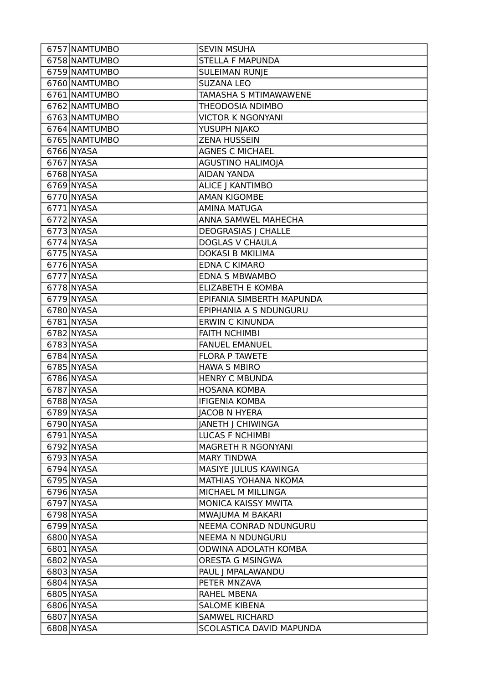| 6757 NAMTUMBO | <b>SEVIN MSUHA</b>         |
|---------------|----------------------------|
| 6758 NAMTUMBO | <b>STELLA F MAPUNDA</b>    |
| 6759 NAMTUMBO | <b>SULEIMAN RUNJE</b>      |
| 6760 NAMTUMBO | <b>SUZANA LEO</b>          |
| 6761 NAMTUMBO | TAMASHA S MTIMAWAWENE      |
| 6762 NAMTUMBO | THEODOSIA NDIMBO           |
| 6763 NAMTUMBO | <b>VICTOR K NGONYANI</b>   |
| 6764 NAMTUMBO | YUSUPH NJAKO               |
| 6765 NAMTUMBO | <b>ZENA HUSSEIN</b>        |
| 6766 NYASA    | <b>AGNES C MICHAEL</b>     |
| 6767 NYASA    | <b>AGUSTINO HALIMOJA</b>   |
| 6768 NYASA    | <b>AIDAN YANDA</b>         |
| 6769 NYASA    | <b>ALICE J KANTIMBO</b>    |
| $6770$ NYASA  | <b>AMAN KIGOMBE</b>        |
| 6771 NYASA    | <b>AMINA MATUGA</b>        |
| 6772 NYASA    | ANNA SAMWEL MAHECHA        |
| 6773 NYASA    | <b>DEOGRASIAS J CHALLE</b> |
| 6774 NYASA    | <b>DOGLAS V CHAULA</b>     |
| 6775 NYASA    | <b>DOKASI B MKILIMA</b>    |
| 6776 NYASA    | <b>EDNA C KIMARO</b>       |
| 6777 NYASA    | <b>EDNA S MBWAMBO</b>      |
| 6778 NYASA    | <b>ELIZABETH E KOMBA</b>   |
| 6779 NYASA    | EPIFANIA SIMBERTH MAPUNDA  |
| 6780 NYASA    | EPIPHANIA A S NDUNGURU     |
| 6781 NYASA    | <b>ERWIN C KINUNDA</b>     |
| 6782 NYASA    | <b>FAITH NCHIMBI</b>       |
| 6783 NYASA    | <b>FANUEL EMANUEL</b>      |
| 6784 NYASA    | <b>FLORA P TAWETE</b>      |
| 6785 NYASA    | <b>HAWA S MBIRO</b>        |
| 6786 NYASA    | <b>HENRY C MBUNDA</b>      |
| 6787 NYASA    | <b>HOSANA KOMBA</b>        |
| 6788 NYASA    | <b>IFIGENIA KOMBA</b>      |
| 6789 NYASA    | <b>JACOB N HYERA</b>       |
| 6790 NYASA    | JANETH J CHIWINGA          |
| 6791 NYASA    | <b>LUCAS F NCHIMBI</b>     |
| 6792 NYASA    | MAGRETH R NGONYANI         |
| 6793 NYASA    | <b>MARY TINDWA</b>         |
| 6794 NYASA    | MASIYE JULIUS KAWINGA      |
| 6795 NYASA    | MATHIAS YOHANA NKOMA       |
| 6796 NYASA    | MICHAEL M MILLINGA         |
| 6797 NYASA    | MONICA KAISSY MWITA        |
| 6798 NYASA    | MWAJUMA M BAKARI           |
| 6799 NYASA    | NEEMA CONRAD NDUNGURU      |
| 6800 NYASA    | <b>NEEMA N NDUNGURU</b>    |
| 6801 NYASA    | ODWINA ADOLATH KOMBA       |
| 6802 NYASA    | ORESTA G MSINGWA           |
| 6803 NYASA    | PAUL   MPALAWANDU          |
| 6804 NYASA    | PETER MNZAVA               |
| 6805 NYASA    | RAHEL MBENA                |
| 6806 NYASA    | <b>SALOME KIBENA</b>       |
| 6807 NYASA    | <b>SAMWEL RICHARD</b>      |
| 6808 NYASA    | SCOLASTICA DAVID MAPUNDA   |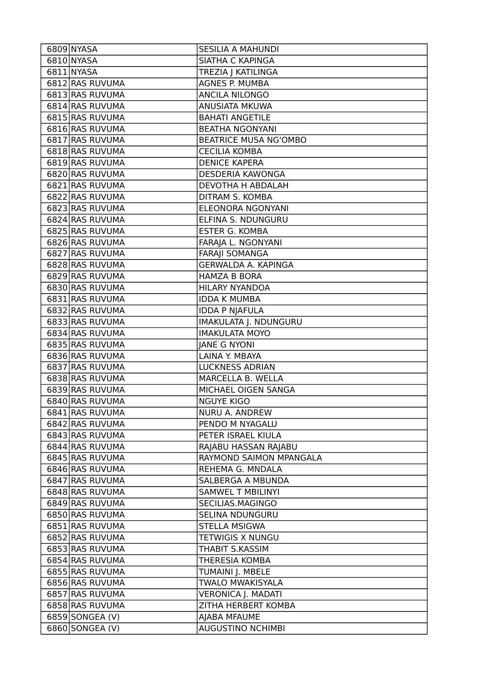| 6809 NYASA      | SESILIA A MAHUNDI            |
|-----------------|------------------------------|
| 6810 NYASA      | SIATHA C KAPINGA             |
| 6811 NYASA      | TREZIA J KATILINGA           |
| 6812 RAS RUVUMA | AGNES P. MUMBA               |
| 6813 RAS RUVUMA | ANCILA NILONGO               |
| 6814 RAS RUVUMA | ANUSIATA MKUWA               |
| 6815 RAS RUVUMA | <b>BAHATI ANGETILE</b>       |
| 6816 RAS RUVUMA | <b>BEATHA NGONYANI</b>       |
| 6817 RAS RUVUMA | <b>BEATRICE MUSA NG'OMBO</b> |
| 6818 RAS RUVUMA | <b>CECILIA KOMBA</b>         |
| 6819 RAS RUVUMA | <b>DENICE KAPERA</b>         |
| 6820 RAS RUVUMA | <b>DESDERIA KAWONGA</b>      |
| 6821 RAS RUVUMA | <b>DEVOTHA H ABDALAH</b>     |
| 6822 RAS RUVUMA | DITRAM S. KOMBA              |
| 6823 RAS RUVUMA | ELEONORA NGONYANI            |
| 6824 RAS RUVUMA | ELFINA S. NDUNGURU           |
| 6825 RAS RUVUMA | <b>ESTER G. KOMBA</b>        |
| 6826 RAS RUVUMA | FARAJA L. NGONYANI           |
| 6827 RAS RUVUMA | <b>FARAJI SOMANGA</b>        |
| 6828 RAS RUVUMA | <b>GERWALDA A. KAPINGA</b>   |
| 6829 RAS RUVUMA | <b>HAMZA B BORA</b>          |
| 6830 RAS RUVUMA | HILARY NYANDOA               |
| 6831 RAS RUVUMA | <b>IDDA K MUMBA</b>          |
| 6832 RAS RUVUMA | <b>IDDA P NJAFULA</b>        |
| 6833 RAS RUVUMA | IMAKULATA J. NDUNGURU        |
| 6834 RAS RUVUMA | <b>IMAKULATA MOYO</b>        |
|                 |                              |
| 6835 RAS RUVUMA | <b>JANE G NYONI</b>          |
| 6836 RAS RUVUMA | LAINA Y. MBAYA               |
| 6837 RAS RUVUMA | <b>LUCKNESS ADRIAN</b>       |
| 6838 RAS RUVUMA | MARCELLA B. WELLA            |
| 6839 RAS RUVUMA | MICHAEL OIGEN SANGA          |
| 6840 RAS RUVUMA | <b>NGUYE KIGO</b>            |
| 6841 RAS RUVUMA | <b>NURU A. ANDREW</b>        |
| 6842 RAS RUVUMA | PENDO M NYAGALU              |
| 6843 RAS RUVUMA | PETER ISRAEL KIULA           |
| 6844 RAS RUVUMA | RAJABU HASSAN RAJABU         |
| 6845 RAS RUVUMA | RAYMOND SAIMON MPANGALA      |
| 6846 RAS RUVUMA | REHEMA G. MNDALA             |
| 6847 RAS RUVUMA | SALBERGA A MBUNDA            |
| 6848 RAS RUVUMA | <b>SAMWEL T MBILINYI</b>     |
| 6849 RAS RUVUMA | SECILIAS.MAGINGO             |
| 6850 RAS RUVUMA | SELINA NDUNGURU              |
| 6851 RAS RUVUMA | <b>STELLA MSIGWA</b>         |
| 6852 RAS RUVUMA | <b>TETWIGIS X NUNGU</b>      |
| 6853 RAS RUVUMA | THABIT S.KASSIM              |
| 6854 RAS RUVUMA | <b>THERESIA KOMBA</b>        |
| 6855 RAS RUVUMA | TUMAINI J. MBELE             |
| 6856 RAS RUVUMA | <b>TWALO MWAKISYALA</b>      |
| 6857 RAS RUVUMA | <b>VERONICA J. MADATI</b>    |
| 6858 RAS RUVUMA | ZITHA HERBERT KOMBA          |
| 6859 SONGEA (V) | AJABA MFAUME                 |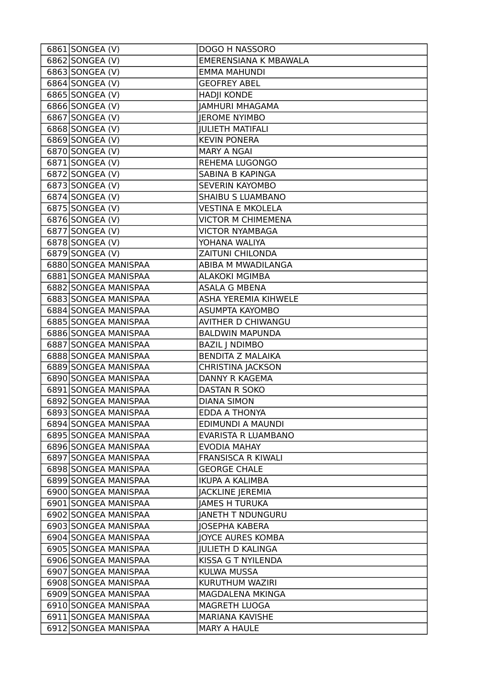| 6861 SONGEA (V)      | DOGO H NASSORO               |
|----------------------|------------------------------|
| 6862 SONGEA (V)      | <b>EMERENSIANA K MBAWALA</b> |
| 6863 SONGEA (V)      | <b>EMMA MAHUNDI</b>          |
| 6864 SONGEA (V)      | <b>GEOFREY ABEL</b>          |
| 6865 SONGEA (V)      | <b>HADJI KONDE</b>           |
| 6866 SONGEA (V)      | <b>JAMHURI MHAGAMA</b>       |
| 6867 SONGEA (V)      | <b>JEROME NYIMBO</b>         |
| 6868 SONGEA (V)      | <b>JULIETH MATIFALI</b>      |
| 6869 SONGEA (V)      | <b>KEVIN PONERA</b>          |
| 6870 SONGEA (V)      | <b>MARY A NGAI</b>           |
| 6871 SONGEA (V)      | REHEMA LUGONGO               |
| 6872 SONGEA (V)      | SABINA B KAPINGA             |
| 6873 SONGEA (V)      | <b>SEVERIN KAYOMBO</b>       |
| 6874 SONGEA (V)      | SHAIBU S LUAMBANO            |
| 6875 SONGEA (V)      | <b>VESTINA E MKOLELA</b>     |
| 6876 SONGEA (V)      | <b>VICTOR M CHIMEMENA</b>    |
| 6877 SONGEA (V)      | <b>VICTOR NYAMBAGA</b>       |
| 6878 SONGEA (V)      | YOHANA WALIYA                |
| 6879 SONGEA (V)      | <b>ZAITUNI CHILONDA</b>      |
| 6880 SONGEA MANISPAA | ABIBA M MWADILANGA           |
| 6881 SONGEA MANISPAA | <b>ALAKOKI MGIMBA</b>        |
| 6882 SONGEA MANISPAA | <b>ASALA G MBENA</b>         |
| 6883 SONGEA MANISPAA | <b>ASHA YEREMIA KIHWELE</b>  |
| 6884 SONGEA MANISPAA | ASUMPTA KAYOMBO              |
| 6885 SONGEA MANISPAA | AVITHER D CHIWANGU           |
| 6886 SONGEA MANISPAA | <b>BALDWIN MAPUNDA</b>       |
| 6887 SONGEA MANISPAA | <b>BAZIL   NDIMBO</b>        |
| 6888 SONGEA MANISPAA | <b>BENDITA Z MALAIKA</b>     |
| 6889 SONGEA MANISPAA | <b>CHRISTINA JACKSON</b>     |
| 6890 SONGEA MANISPAA | DANNY R KAGEMA               |
| 6891 SONGEA MANISPAA | <b>DASTAN R SOKO</b>         |
| 6892 SONGEA MANISPAA | <b>DIANA SIMON</b>           |
| 6893 SONGEA MANISPAA | EDDA A THONYA                |
| 6894 SONGEA MANISPAA | EDIMUNDI A MAUNDI            |
| 6895 SONGEA MANISPAA | EVARISTA R LUAMBANO          |
| 6896 SONGEA MANISPAA | EVODIA MAHAY                 |
| 6897 SONGEA MANISPAA | <b>FRANSISCA R KIWALI</b>    |
| 6898 SONGEA MANISPAA | <b>GEORGE CHALE</b>          |
| 6899 SONGEA MANISPAA | <b>IKUPA A KALIMBA</b>       |
| 6900 SONGEA MANISPAA | <b>JACKLINE JEREMIA</b>      |
| 6901 SONGEA MANISPAA | <b>JAMES H TURUKA</b>        |
| 6902 SONGEA MANISPAA | JANETH T NDUNGURU            |
| 6903 SONGEA MANISPAA | <b>JOSEPHA KABERA</b>        |
| 6904 SONGEA MANISPAA | <b>JOYCE AURES KOMBA</b>     |
| 6905 SONGEA MANISPAA | <b>JULIETH D KALINGA</b>     |
| 6906 SONGEA MANISPAA | KISSA G T NYILENDA           |
| 6907 SONGEA MANISPAA | <b>KULWA MUSSA</b>           |
| 6908 SONGEA MANISPAA | KURUTHUM WAZIRI              |
| 6909 SONGEA MANISPAA | MAGDALENA MKINGA             |
| 6910 SONGEA MANISPAA | MAGRETH LUOGA                |
| 6911 SONGEA MANISPAA | <b>MARIANA KAVISHE</b>       |
| 6912 SONGEA MANISPAA | <b>MARY A HAULE</b>          |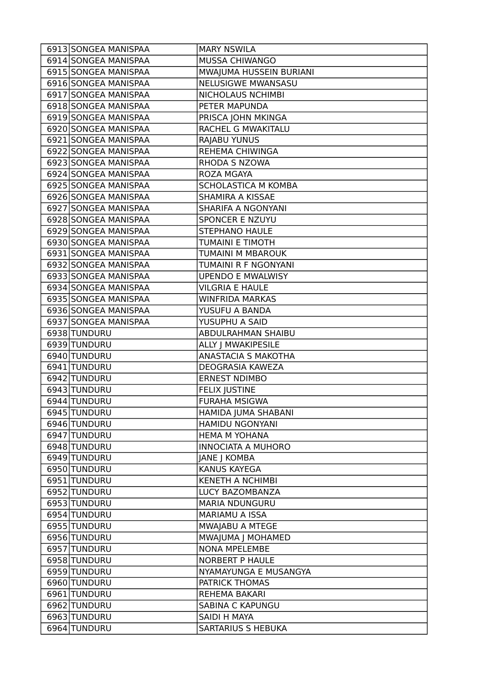| 6914 SONGEA MANISPAA<br>MUSSA CHIWANGO<br>6915 SONGEA MANISPAA<br>MWAJUMA HUSSEIN BURIANI<br><b>NELUSIGWE MWANSASU</b><br>6916 SONGEA MANISPAA<br>6917 SONGEA MANISPAA<br>NICHOLAUS NCHIMBI<br>6918 SONGEA MANISPAA<br>PETER MAPUNDA<br>6919 SONGEA MANISPAA<br>PRISCA JOHN MKINGA<br>RACHEL G MWAKITALU<br>6920 SONGEA MANISPAA<br>6921 SONGEA MANISPAA<br>RAJABU YUNUS<br>REHEMA CHIWINGA<br>6922 SONGEA MANISPAA<br>6923 SONGEA MANISPAA<br>RHODA S NZOWA<br>6924 SONGEA MANISPAA<br>ROZA MGAYA<br>6925 SONGEA MANISPAA<br>SCHOLASTICA M KOMBA<br>6926 SONGEA MANISPAA<br>SHAMIRA A KISSAE<br>6927 SONGEA MANISPAA<br>SHARIFA A NGONYANI<br>6928 SONGEA MANISPAA<br><b>SPONCER E NZUYU</b><br>6929 SONGEA MANISPAA<br><b>STEPHANO HAULE</b><br>6930 SONGEA MANISPAA<br><b>TUMAINI E TIMOTH</b><br>6931 SONGEA MANISPAA<br>TUMAINI M MBAROUK<br>TUMAINI R F NGONYANI<br>6932 SONGEA MANISPAA<br>6933 SONGEA MANISPAA<br><b>UPENDO E MWALWISY</b><br>6934 SONGEA MANISPAA<br><b>VILGRIA E HAULE</b><br>6935 SONGEA MANISPAA<br><b>WINFRIDA MARKAS</b><br>6936 SONGEA MANISPAA<br>YUSUFU A BANDA<br>6937 SONGEA MANISPAA<br>YUSUPHU A SAID<br>6938 TUNDURU<br>ABDULRAHMAN SHAIBU<br>6939 TUNDURU<br>ALLY J MWAKIPESILE<br>6940 TUNDURU<br>ANASTACIA S MAKOTHA<br>6941 TUNDURU<br>DEOGRASIA KAWEZA<br>6942 TUNDURU<br><b>ERNEST NDIMBO</b><br>6943 TUNDURU<br><b>FELIX JUSTINE</b><br>6944 TUNDURU<br><b>FURAHA MSIGWA</b><br>HAMIDA JUMA SHABANI<br>6945 TUNDURU<br>6946 TUNDURU<br>HAMIDU NGONYANI<br>6947 TUNDURU<br><b>HEMA M YOHANA</b><br>6948 TUNDURU<br><b>INNOCIATA A MUHORO</b><br>6949 TUNDURU<br><b>JANE J KOMBA</b><br>6950 TUNDURU<br><b>KANUS KAYEGA</b><br>6951 TUNDURU<br><b>KENETH A NCHIMBI</b><br>6952 TUNDURU<br>LUCY BAZOMBANZA<br>6953 TUNDURU<br><b>MARIA NDUNGURU</b><br>6954 TUNDURU<br>MARIAMU A ISSA<br>6955 TUNDURU<br>MWAJABU A MTEGE<br>6956 TUNDURU<br>MWAJUMA J MOHAMED<br>6957 TUNDURU<br><b>NONA MPELEMBE</b><br>6958 TUNDURU<br><b>NORBERT P HAULE</b><br>6959 TUNDURU<br>NYAMAYUNGA E MUSANGYA<br>6960 TUNDURU<br>PATRICK THOMAS<br>6961 TUNDURU<br>REHEMA BAKARI<br>6962 TUNDURU<br><b>SABINA C KAPUNGU</b><br>6963 TUNDURU<br>SAIDI H MAYA | 6913 SONGEA MANISPAA | <b>MARY NSWILA</b> |
|----------------------------------------------------------------------------------------------------------------------------------------------------------------------------------------------------------------------------------------------------------------------------------------------------------------------------------------------------------------------------------------------------------------------------------------------------------------------------------------------------------------------------------------------------------------------------------------------------------------------------------------------------------------------------------------------------------------------------------------------------------------------------------------------------------------------------------------------------------------------------------------------------------------------------------------------------------------------------------------------------------------------------------------------------------------------------------------------------------------------------------------------------------------------------------------------------------------------------------------------------------------------------------------------------------------------------------------------------------------------------------------------------------------------------------------------------------------------------------------------------------------------------------------------------------------------------------------------------------------------------------------------------------------------------------------------------------------------------------------------------------------------------------------------------------------------------------------------------------------------------------------------------------------------------------------------------------------------------------------------------------------------------------------------------------------------------------------------------------------------------------------------------------------------------------|----------------------|--------------------|
|                                                                                                                                                                                                                                                                                                                                                                                                                                                                                                                                                                                                                                                                                                                                                                                                                                                                                                                                                                                                                                                                                                                                                                                                                                                                                                                                                                                                                                                                                                                                                                                                                                                                                                                                                                                                                                                                                                                                                                                                                                                                                                                                                                                  |                      |                    |
|                                                                                                                                                                                                                                                                                                                                                                                                                                                                                                                                                                                                                                                                                                                                                                                                                                                                                                                                                                                                                                                                                                                                                                                                                                                                                                                                                                                                                                                                                                                                                                                                                                                                                                                                                                                                                                                                                                                                                                                                                                                                                                                                                                                  |                      |                    |
|                                                                                                                                                                                                                                                                                                                                                                                                                                                                                                                                                                                                                                                                                                                                                                                                                                                                                                                                                                                                                                                                                                                                                                                                                                                                                                                                                                                                                                                                                                                                                                                                                                                                                                                                                                                                                                                                                                                                                                                                                                                                                                                                                                                  |                      |                    |
|                                                                                                                                                                                                                                                                                                                                                                                                                                                                                                                                                                                                                                                                                                                                                                                                                                                                                                                                                                                                                                                                                                                                                                                                                                                                                                                                                                                                                                                                                                                                                                                                                                                                                                                                                                                                                                                                                                                                                                                                                                                                                                                                                                                  |                      |                    |
|                                                                                                                                                                                                                                                                                                                                                                                                                                                                                                                                                                                                                                                                                                                                                                                                                                                                                                                                                                                                                                                                                                                                                                                                                                                                                                                                                                                                                                                                                                                                                                                                                                                                                                                                                                                                                                                                                                                                                                                                                                                                                                                                                                                  |                      |                    |
|                                                                                                                                                                                                                                                                                                                                                                                                                                                                                                                                                                                                                                                                                                                                                                                                                                                                                                                                                                                                                                                                                                                                                                                                                                                                                                                                                                                                                                                                                                                                                                                                                                                                                                                                                                                                                                                                                                                                                                                                                                                                                                                                                                                  |                      |                    |
|                                                                                                                                                                                                                                                                                                                                                                                                                                                                                                                                                                                                                                                                                                                                                                                                                                                                                                                                                                                                                                                                                                                                                                                                                                                                                                                                                                                                                                                                                                                                                                                                                                                                                                                                                                                                                                                                                                                                                                                                                                                                                                                                                                                  |                      |                    |
|                                                                                                                                                                                                                                                                                                                                                                                                                                                                                                                                                                                                                                                                                                                                                                                                                                                                                                                                                                                                                                                                                                                                                                                                                                                                                                                                                                                                                                                                                                                                                                                                                                                                                                                                                                                                                                                                                                                                                                                                                                                                                                                                                                                  |                      |                    |
|                                                                                                                                                                                                                                                                                                                                                                                                                                                                                                                                                                                                                                                                                                                                                                                                                                                                                                                                                                                                                                                                                                                                                                                                                                                                                                                                                                                                                                                                                                                                                                                                                                                                                                                                                                                                                                                                                                                                                                                                                                                                                                                                                                                  |                      |                    |
|                                                                                                                                                                                                                                                                                                                                                                                                                                                                                                                                                                                                                                                                                                                                                                                                                                                                                                                                                                                                                                                                                                                                                                                                                                                                                                                                                                                                                                                                                                                                                                                                                                                                                                                                                                                                                                                                                                                                                                                                                                                                                                                                                                                  |                      |                    |
|                                                                                                                                                                                                                                                                                                                                                                                                                                                                                                                                                                                                                                                                                                                                                                                                                                                                                                                                                                                                                                                                                                                                                                                                                                                                                                                                                                                                                                                                                                                                                                                                                                                                                                                                                                                                                                                                                                                                                                                                                                                                                                                                                                                  |                      |                    |
|                                                                                                                                                                                                                                                                                                                                                                                                                                                                                                                                                                                                                                                                                                                                                                                                                                                                                                                                                                                                                                                                                                                                                                                                                                                                                                                                                                                                                                                                                                                                                                                                                                                                                                                                                                                                                                                                                                                                                                                                                                                                                                                                                                                  |                      |                    |
|                                                                                                                                                                                                                                                                                                                                                                                                                                                                                                                                                                                                                                                                                                                                                                                                                                                                                                                                                                                                                                                                                                                                                                                                                                                                                                                                                                                                                                                                                                                                                                                                                                                                                                                                                                                                                                                                                                                                                                                                                                                                                                                                                                                  |                      |                    |
|                                                                                                                                                                                                                                                                                                                                                                                                                                                                                                                                                                                                                                                                                                                                                                                                                                                                                                                                                                                                                                                                                                                                                                                                                                                                                                                                                                                                                                                                                                                                                                                                                                                                                                                                                                                                                                                                                                                                                                                                                                                                                                                                                                                  |                      |                    |
|                                                                                                                                                                                                                                                                                                                                                                                                                                                                                                                                                                                                                                                                                                                                                                                                                                                                                                                                                                                                                                                                                                                                                                                                                                                                                                                                                                                                                                                                                                                                                                                                                                                                                                                                                                                                                                                                                                                                                                                                                                                                                                                                                                                  |                      |                    |
|                                                                                                                                                                                                                                                                                                                                                                                                                                                                                                                                                                                                                                                                                                                                                                                                                                                                                                                                                                                                                                                                                                                                                                                                                                                                                                                                                                                                                                                                                                                                                                                                                                                                                                                                                                                                                                                                                                                                                                                                                                                                                                                                                                                  |                      |                    |
|                                                                                                                                                                                                                                                                                                                                                                                                                                                                                                                                                                                                                                                                                                                                                                                                                                                                                                                                                                                                                                                                                                                                                                                                                                                                                                                                                                                                                                                                                                                                                                                                                                                                                                                                                                                                                                                                                                                                                                                                                                                                                                                                                                                  |                      |                    |
|                                                                                                                                                                                                                                                                                                                                                                                                                                                                                                                                                                                                                                                                                                                                                                                                                                                                                                                                                                                                                                                                                                                                                                                                                                                                                                                                                                                                                                                                                                                                                                                                                                                                                                                                                                                                                                                                                                                                                                                                                                                                                                                                                                                  |                      |                    |
|                                                                                                                                                                                                                                                                                                                                                                                                                                                                                                                                                                                                                                                                                                                                                                                                                                                                                                                                                                                                                                                                                                                                                                                                                                                                                                                                                                                                                                                                                                                                                                                                                                                                                                                                                                                                                                                                                                                                                                                                                                                                                                                                                                                  |                      |                    |
|                                                                                                                                                                                                                                                                                                                                                                                                                                                                                                                                                                                                                                                                                                                                                                                                                                                                                                                                                                                                                                                                                                                                                                                                                                                                                                                                                                                                                                                                                                                                                                                                                                                                                                                                                                                                                                                                                                                                                                                                                                                                                                                                                                                  |                      |                    |
|                                                                                                                                                                                                                                                                                                                                                                                                                                                                                                                                                                                                                                                                                                                                                                                                                                                                                                                                                                                                                                                                                                                                                                                                                                                                                                                                                                                                                                                                                                                                                                                                                                                                                                                                                                                                                                                                                                                                                                                                                                                                                                                                                                                  |                      |                    |
|                                                                                                                                                                                                                                                                                                                                                                                                                                                                                                                                                                                                                                                                                                                                                                                                                                                                                                                                                                                                                                                                                                                                                                                                                                                                                                                                                                                                                                                                                                                                                                                                                                                                                                                                                                                                                                                                                                                                                                                                                                                                                                                                                                                  |                      |                    |
|                                                                                                                                                                                                                                                                                                                                                                                                                                                                                                                                                                                                                                                                                                                                                                                                                                                                                                                                                                                                                                                                                                                                                                                                                                                                                                                                                                                                                                                                                                                                                                                                                                                                                                                                                                                                                                                                                                                                                                                                                                                                                                                                                                                  |                      |                    |
|                                                                                                                                                                                                                                                                                                                                                                                                                                                                                                                                                                                                                                                                                                                                                                                                                                                                                                                                                                                                                                                                                                                                                                                                                                                                                                                                                                                                                                                                                                                                                                                                                                                                                                                                                                                                                                                                                                                                                                                                                                                                                                                                                                                  |                      |                    |
|                                                                                                                                                                                                                                                                                                                                                                                                                                                                                                                                                                                                                                                                                                                                                                                                                                                                                                                                                                                                                                                                                                                                                                                                                                                                                                                                                                                                                                                                                                                                                                                                                                                                                                                                                                                                                                                                                                                                                                                                                                                                                                                                                                                  |                      |                    |
|                                                                                                                                                                                                                                                                                                                                                                                                                                                                                                                                                                                                                                                                                                                                                                                                                                                                                                                                                                                                                                                                                                                                                                                                                                                                                                                                                                                                                                                                                                                                                                                                                                                                                                                                                                                                                                                                                                                                                                                                                                                                                                                                                                                  |                      |                    |
|                                                                                                                                                                                                                                                                                                                                                                                                                                                                                                                                                                                                                                                                                                                                                                                                                                                                                                                                                                                                                                                                                                                                                                                                                                                                                                                                                                                                                                                                                                                                                                                                                                                                                                                                                                                                                                                                                                                                                                                                                                                                                                                                                                                  |                      |                    |
|                                                                                                                                                                                                                                                                                                                                                                                                                                                                                                                                                                                                                                                                                                                                                                                                                                                                                                                                                                                                                                                                                                                                                                                                                                                                                                                                                                                                                                                                                                                                                                                                                                                                                                                                                                                                                                                                                                                                                                                                                                                                                                                                                                                  |                      |                    |
|                                                                                                                                                                                                                                                                                                                                                                                                                                                                                                                                                                                                                                                                                                                                                                                                                                                                                                                                                                                                                                                                                                                                                                                                                                                                                                                                                                                                                                                                                                                                                                                                                                                                                                                                                                                                                                                                                                                                                                                                                                                                                                                                                                                  |                      |                    |
|                                                                                                                                                                                                                                                                                                                                                                                                                                                                                                                                                                                                                                                                                                                                                                                                                                                                                                                                                                                                                                                                                                                                                                                                                                                                                                                                                                                                                                                                                                                                                                                                                                                                                                                                                                                                                                                                                                                                                                                                                                                                                                                                                                                  |                      |                    |
|                                                                                                                                                                                                                                                                                                                                                                                                                                                                                                                                                                                                                                                                                                                                                                                                                                                                                                                                                                                                                                                                                                                                                                                                                                                                                                                                                                                                                                                                                                                                                                                                                                                                                                                                                                                                                                                                                                                                                                                                                                                                                                                                                                                  |                      |                    |
|                                                                                                                                                                                                                                                                                                                                                                                                                                                                                                                                                                                                                                                                                                                                                                                                                                                                                                                                                                                                                                                                                                                                                                                                                                                                                                                                                                                                                                                                                                                                                                                                                                                                                                                                                                                                                                                                                                                                                                                                                                                                                                                                                                                  |                      |                    |
|                                                                                                                                                                                                                                                                                                                                                                                                                                                                                                                                                                                                                                                                                                                                                                                                                                                                                                                                                                                                                                                                                                                                                                                                                                                                                                                                                                                                                                                                                                                                                                                                                                                                                                                                                                                                                                                                                                                                                                                                                                                                                                                                                                                  |                      |                    |
|                                                                                                                                                                                                                                                                                                                                                                                                                                                                                                                                                                                                                                                                                                                                                                                                                                                                                                                                                                                                                                                                                                                                                                                                                                                                                                                                                                                                                                                                                                                                                                                                                                                                                                                                                                                                                                                                                                                                                                                                                                                                                                                                                                                  |                      |                    |
|                                                                                                                                                                                                                                                                                                                                                                                                                                                                                                                                                                                                                                                                                                                                                                                                                                                                                                                                                                                                                                                                                                                                                                                                                                                                                                                                                                                                                                                                                                                                                                                                                                                                                                                                                                                                                                                                                                                                                                                                                                                                                                                                                                                  |                      |                    |
|                                                                                                                                                                                                                                                                                                                                                                                                                                                                                                                                                                                                                                                                                                                                                                                                                                                                                                                                                                                                                                                                                                                                                                                                                                                                                                                                                                                                                                                                                                                                                                                                                                                                                                                                                                                                                                                                                                                                                                                                                                                                                                                                                                                  |                      |                    |
|                                                                                                                                                                                                                                                                                                                                                                                                                                                                                                                                                                                                                                                                                                                                                                                                                                                                                                                                                                                                                                                                                                                                                                                                                                                                                                                                                                                                                                                                                                                                                                                                                                                                                                                                                                                                                                                                                                                                                                                                                                                                                                                                                                                  |                      |                    |
|                                                                                                                                                                                                                                                                                                                                                                                                                                                                                                                                                                                                                                                                                                                                                                                                                                                                                                                                                                                                                                                                                                                                                                                                                                                                                                                                                                                                                                                                                                                                                                                                                                                                                                                                                                                                                                                                                                                                                                                                                                                                                                                                                                                  |                      |                    |
|                                                                                                                                                                                                                                                                                                                                                                                                                                                                                                                                                                                                                                                                                                                                                                                                                                                                                                                                                                                                                                                                                                                                                                                                                                                                                                                                                                                                                                                                                                                                                                                                                                                                                                                                                                                                                                                                                                                                                                                                                                                                                                                                                                                  |                      |                    |
|                                                                                                                                                                                                                                                                                                                                                                                                                                                                                                                                                                                                                                                                                                                                                                                                                                                                                                                                                                                                                                                                                                                                                                                                                                                                                                                                                                                                                                                                                                                                                                                                                                                                                                                                                                                                                                                                                                                                                                                                                                                                                                                                                                                  |                      |                    |
|                                                                                                                                                                                                                                                                                                                                                                                                                                                                                                                                                                                                                                                                                                                                                                                                                                                                                                                                                                                                                                                                                                                                                                                                                                                                                                                                                                                                                                                                                                                                                                                                                                                                                                                                                                                                                                                                                                                                                                                                                                                                                                                                                                                  |                      |                    |
|                                                                                                                                                                                                                                                                                                                                                                                                                                                                                                                                                                                                                                                                                                                                                                                                                                                                                                                                                                                                                                                                                                                                                                                                                                                                                                                                                                                                                                                                                                                                                                                                                                                                                                                                                                                                                                                                                                                                                                                                                                                                                                                                                                                  |                      |                    |
|                                                                                                                                                                                                                                                                                                                                                                                                                                                                                                                                                                                                                                                                                                                                                                                                                                                                                                                                                                                                                                                                                                                                                                                                                                                                                                                                                                                                                                                                                                                                                                                                                                                                                                                                                                                                                                                                                                                                                                                                                                                                                                                                                                                  |                      |                    |
|                                                                                                                                                                                                                                                                                                                                                                                                                                                                                                                                                                                                                                                                                                                                                                                                                                                                                                                                                                                                                                                                                                                                                                                                                                                                                                                                                                                                                                                                                                                                                                                                                                                                                                                                                                                                                                                                                                                                                                                                                                                                                                                                                                                  |                      |                    |
|                                                                                                                                                                                                                                                                                                                                                                                                                                                                                                                                                                                                                                                                                                                                                                                                                                                                                                                                                                                                                                                                                                                                                                                                                                                                                                                                                                                                                                                                                                                                                                                                                                                                                                                                                                                                                                                                                                                                                                                                                                                                                                                                                                                  |                      |                    |
|                                                                                                                                                                                                                                                                                                                                                                                                                                                                                                                                                                                                                                                                                                                                                                                                                                                                                                                                                                                                                                                                                                                                                                                                                                                                                                                                                                                                                                                                                                                                                                                                                                                                                                                                                                                                                                                                                                                                                                                                                                                                                                                                                                                  |                      |                    |
|                                                                                                                                                                                                                                                                                                                                                                                                                                                                                                                                                                                                                                                                                                                                                                                                                                                                                                                                                                                                                                                                                                                                                                                                                                                                                                                                                                                                                                                                                                                                                                                                                                                                                                                                                                                                                                                                                                                                                                                                                                                                                                                                                                                  |                      |                    |
|                                                                                                                                                                                                                                                                                                                                                                                                                                                                                                                                                                                                                                                                                                                                                                                                                                                                                                                                                                                                                                                                                                                                                                                                                                                                                                                                                                                                                                                                                                                                                                                                                                                                                                                                                                                                                                                                                                                                                                                                                                                                                                                                                                                  |                      |                    |
|                                                                                                                                                                                                                                                                                                                                                                                                                                                                                                                                                                                                                                                                                                                                                                                                                                                                                                                                                                                                                                                                                                                                                                                                                                                                                                                                                                                                                                                                                                                                                                                                                                                                                                                                                                                                                                                                                                                                                                                                                                                                                                                                                                                  |                      |                    |
|                                                                                                                                                                                                                                                                                                                                                                                                                                                                                                                                                                                                                                                                                                                                                                                                                                                                                                                                                                                                                                                                                                                                                                                                                                                                                                                                                                                                                                                                                                                                                                                                                                                                                                                                                                                                                                                                                                                                                                                                                                                                                                                                                                                  |                      |                    |
|                                                                                                                                                                                                                                                                                                                                                                                                                                                                                                                                                                                                                                                                                                                                                                                                                                                                                                                                                                                                                                                                                                                                                                                                                                                                                                                                                                                                                                                                                                                                                                                                                                                                                                                                                                                                                                                                                                                                                                                                                                                                                                                                                                                  | 6964 TUNDURU         | SARTARIUS S HEBUKA |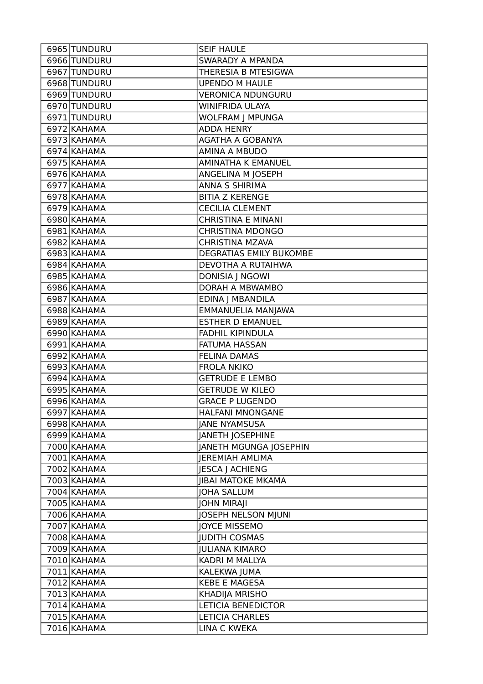| 6965 TUNDURU               | <b>SEIF HAULE</b>                             |
|----------------------------|-----------------------------------------------|
| 6966 TUNDURU               | <b>SWARADY A MPANDA</b>                       |
| 6967 TUNDURU               | THERESIA B MTESIGWA                           |
| 6968 TUNDURU               | <b>UPENDO M HAULE</b>                         |
| 6969 TUNDURU               | <b>VERONICA NDUNGURU</b>                      |
| 6970 TUNDURU               | WINIFRIDA ULAYA                               |
| 6971 TUNDURU               | WOLFRAM J MPUNGA                              |
| 6972 KAHAMA                | <b>ADDA HENRY</b>                             |
| 6973 KAHAMA                | AGATHA A GOBANYA                              |
| 6974 KAHAMA                | AMINA A MBUDO                                 |
| 6975 KAHAMA                | AMINATHA K EMANUEL                            |
| 6976 KAHAMA                | ANGELINA M JOSEPH                             |
| 6977 KAHAMA                | <b>ANNA S SHIRIMA</b>                         |
| 6978 KAHAMA                | <b>BITIA Z KERENGE</b>                        |
| $6979$ KAHAMA              | <b>CECILIA CLEMENT</b>                        |
| 6980 KAHAMA                | <b>CHRISTINA E MINANI</b>                     |
| 6981 KAHAMA                | <b>CHRISTINA MDONGO</b>                       |
| 6982 KAHAMA                | <b>CHRISTINA MZAVA</b>                        |
| 6983 KAHAMA                | DEGRATIAS EMILY BUKOMBE                       |
| 6984 KAHAMA                | DEVOTHA A RUTAIHWA                            |
| 6985 KAHAMA                | <b>DONISIA J NGOWI</b>                        |
| 6986 KAHAMA                | DORAH A MBWAMBO                               |
| 6987 KAHAMA                | EDINA J MBANDILA                              |
| 6988 KAHAMA                | EMMANUELIA MANJAWA                            |
| 6989 KAHAMA                | <b>ESTHER D EMANUEL</b>                       |
| 6990 KAHAMA                | FADHIL KIPINDULA                              |
|                            |                                               |
| 6991 KAHAMA                | <b>FATUMA HASSAN</b>                          |
| 6992 KAHAMA                | <b>FELINA DAMAS</b>                           |
| 6993 KAHAMA                | <b>FROLA NKIKO</b>                            |
| 6994 KAHAMA                | <b>GETRUDE E LEMBO</b>                        |
| 6995 KAHAMA                | <b>GETRUDE W KILEO</b>                        |
| 6996 KAHAMA                | <b>GRACE P LUGENDO</b>                        |
| 6997 KAHAMA                | HALFANI MNONGANE                              |
| 6998 KAHAMA                | <b>JANE NYAMSUSA</b>                          |
| 6999 KAHAMA                | <b>JANETH JOSEPHINE</b>                       |
| 7000 KAHAMA                | JANETH MGUNGA JOSEPHIN                        |
| 7001 KAHAMA                | <b>IEREMIAH AMLIMA</b>                        |
| 7002 KAHAMA                | <b>JESCA J ACHIENG</b>                        |
| 7003 KAHAMA                | <b>JIBAI MATOKE MKAMA</b>                     |
| 7004 KAHAMA                | <b>JOHA SALLUM</b>                            |
| 7005 KAHAMA                | <b>JOHN MIRAJI</b>                            |
| 7006 KAHAMA                | JOSEPH NELSON MJUNI                           |
| 7007 KAHAMA                | <b>JOYCE MISSEMO</b>                          |
| 7008 KAHAMA                | <b>JUDITH COSMAS</b>                          |
| 7009 KAHAMA                | <b>JULIANA KIMARO</b>                         |
| 7010 KAHAMA                | KADRI M MALLYA                                |
| 7011 KAHAMA                | KALEKWA JUMA                                  |
| 7012 KAHAMA                | <b>KEBE E MAGESA</b>                          |
| 7013 KAHAMA                | KHADIJA MRISHO                                |
| 7014 KAHAMA                | <b>LETICIA BENEDICTOR</b>                     |
| 7015 KAHAMA<br>7016 KAHAMA | <b>LETICIA CHARLES</b><br><b>LINA C KWEKA</b> |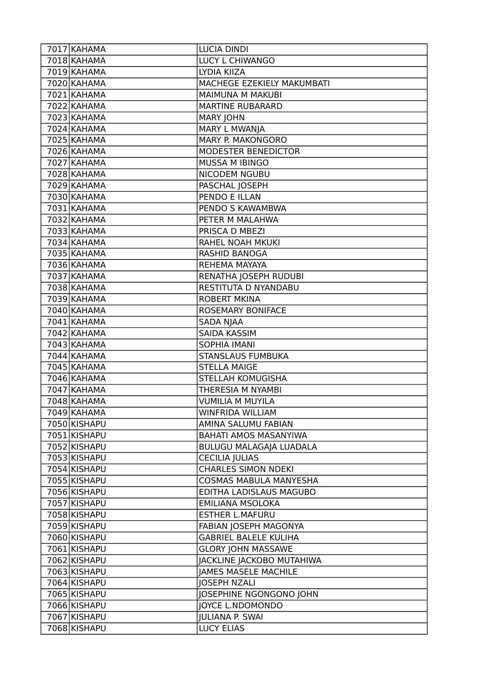| 7017 KAHAMA  | <b>LUCIA DINDI</b>             |
|--------------|--------------------------------|
| 7018 KAHAMA  | LUCY L CHIWANGO                |
| 7019 KAHAMA  | LYDIA KIIZA                    |
| 7020 KAHAMA  | MACHEGE EZEKIELY MAKUMBATI     |
| 7021 KAHAMA  | <b>MAIMUNA M MAKUBI</b>        |
| 7022 KAHAMA  | <b>MARTINE RUBARARD</b>        |
| 7023 KAHAMA  | <b>MARY JOHN</b>               |
| 7024 KAHAMA  | MARY L MWANJA                  |
| 7025 KAHAMA  | <b>MARY P. MAKONGORO</b>       |
| 7026 KAHAMA  | MODESTER BENEDICTOR            |
| 7027 KAHAMA  | MUSSA M IBINGO                 |
| 7028 KAHAMA  | NICODEM NGUBU                  |
| 7029 KAHAMA  | PASCHAL JOSEPH                 |
| 7030 KAHAMA  | PENDO E ILLAN                  |
| 7031 KAHAMA  | PENDO S KAWAMBWA               |
| 7032 KAHAMA  | PETER M MALAHWA                |
| 7033 KAHAMA  | PRISCA D MBEZI                 |
| 7034 KAHAMA  | RAHEL NOAH MKUKI               |
| 7035 KAHAMA  | <b>RASHID BANOGA</b>           |
| 7036 KAHAMA  | REHEMA MAYAYA                  |
| 7037 KAHAMA  | RENATHA JOSEPH RUDUBI          |
| 7038 KAHAMA  | RESTITUTA D NYANDABU           |
| 7039 KAHAMA  | <b>ROBERT MKINA</b>            |
| 7040 KAHAMA  | ROSEMARY BONIFACE              |
| 7041 KAHAMA  | <b>SADA NJAA</b>               |
| 7042 KAHAMA  | <b>SAIDA KASSIM</b>            |
| 7043 KAHAMA  | <b>SOPHIA IMANI</b>            |
| 7044 KAHAMA  | <b>STANSLAUS FUMBUKA</b>       |
| 7045 KAHAMA  | <b>STELLA MAIGE</b>            |
| 7046 KAHAMA  | STELLAH KOMUGISHA              |
| 7047 KAHAMA  | THERESIA M NYAMBI              |
| 7048 KAHAMA  | <b>VUMILIA M MUYILA</b>        |
| 7049 KAHAMA  | WINFRIDA WILLIAM               |
| 7050 KISHAPU | AMINA SALUMU FABIAN            |
| 7051 KISHAPU | BAHATI AMOS MASANYIWA          |
| 7052 KISHAPU | <b>BULUGU MALAGAJA LUADALA</b> |
| 7053 KISHAPU | <b>CECILIA JULIAS</b>          |
| 7054 KISHAPU | <b>CHARLES SIMON NDEKI</b>     |
| 7055 KISHAPU | <b>COSMAS MABULA MANYESHA</b>  |
| 7056 KISHAPU | EDITHA LADISLAUS MAGUBO        |
| 7057 KISHAPU | EMILIANA MSOLOKA               |
| 7058 KISHAPU | <b>ESTHER L.MAFURU</b>         |
| 7059 KISHAPU | FABIAN JOSEPH MAGONYA          |
| 7060 KISHAPU | <b>GABRIEL BALELE KULIHA</b>   |
| 7061 KISHAPU | <b>GLORY JOHN MASSAWE</b>      |
| 7062 KISHAPU | JACKLINE JACKOBO MUTAHIWA      |
| 7063 KISHAPU | <b>JAMES MASELE MACHILE</b>    |
| 7064 KISHAPU | <b>JOSEPH NZALI</b>            |
| 7065 KISHAPU | JOSEPHINE NGONGONO JOHN        |
| 7066 KISHAPU | <b>JOYCE L.NDOMONDO</b>        |
| 7067 KISHAPU | <b>JULIANA P. SWAI</b>         |
| 7068 KISHAPU | <b>LUCY ELIAS</b>              |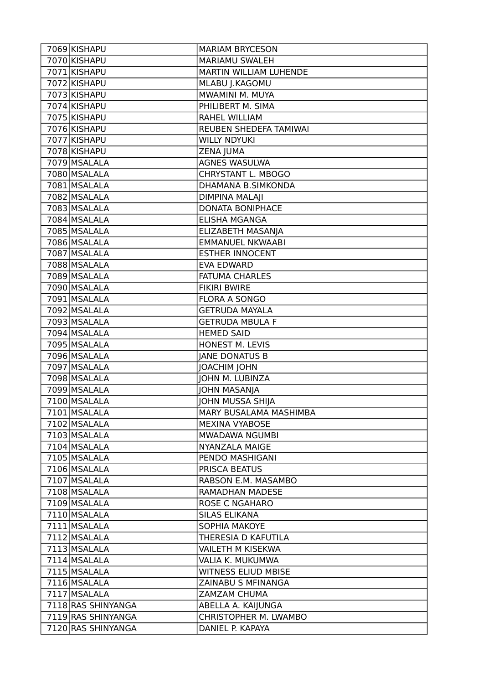| 7069 KISHAPU       | <b>MARIAM BRYCESON</b>     |
|--------------------|----------------------------|
| 7070 KISHAPU       | MARIAMU SWALEH             |
| 7071 KISHAPU       | MARTIN WILLIAM LUHENDE     |
| 7072 KISHAPU       | MLABU J.KAGOMU             |
| 7073 KISHAPU       | MWAMINI M. MUYA            |
| 7074 KISHAPU       | PHILIBERT M. SIMA          |
| 7075 KISHAPU       | RAHEL WILLIAM              |
| 7076 KISHAPU       | REUBEN SHEDEFA TAMIWAI     |
| 7077 KISHAPU       | <b>WILLY NDYUKI</b>        |
| 7078 KISHAPU       | ZENA JUMA                  |
| 7079 MSALALA       | AGNES WASULWA              |
| 7080 MSALALA       | CHRYSTANT L. MBOGO         |
| 7081 MSALALA       | DHAMANA B.SIMKONDA         |
| 7082 MSALALA       | <b>DIMPINA MALAJI</b>      |
| 7083 MSALALA       | <b>DONATA BONIPHACE</b>    |
| 7084 MSALALA       | <b>ELISHA MGANGA</b>       |
| 7085 MSALALA       | ELIZABETH MASANJA          |
| 7086 MSALALA       | <b>EMMANUEL NKWAABI</b>    |
| 7087 MSALALA       | <b>ESTHER INNOCENT</b>     |
| 7088 MSALALA       | <b>EVA EDWARD</b>          |
| 7089 MSALALA       | <b>FATUMA CHARLES</b>      |
| 7090 MSALALA       | <b>FIKIRI BWIRE</b>        |
| 7091 MSALALA       | <b>FLORA A SONGO</b>       |
| 7092 MSALALA       | <b>GETRUDA MAYALA</b>      |
| 7093 MSALALA       | <b>GETRUDA MBULA F</b>     |
| 7094 MSALALA       | <b>HEMED SAID</b>          |
| 7095 MSALALA       | HONEST M. LEVIS            |
| 7096 MSALALA       | <b>JANE DONATUS B</b>      |
| 7097 MSALALA       | JOACHIM JOHN               |
| 7098 MSALALA       | JOHN M. LUBINZA            |
| 7099 MSALALA       | <b>JOHN MASANJA</b>        |
| 7100 MSALALA       | <b>JOHN MUSSA SHIJA</b>    |
| 7101 MSALALA       | MARY BUSALAMA MASHIMBA     |
| 7102 MSALALA       | <b>MEXINA VYABOSE</b>      |
| 7103 MSALALA       | MWADAWA NGUMBI             |
| 7104 MSALALA       | NYANZALA MAIGE             |
| 7105 MSALALA       | PENDO MASHIGANI            |
| 7106 MSALALA       | PRISCA BEATUS              |
| 7107 MSALALA       | RABSON E.M. MASAMBO        |
| 7108 MSALALA       | RAMADHAN MADESE            |
| 7109 MSALALA       | <b>ROSE C NGAHARO</b>      |
| 7110 MSALALA       | <b>SILAS ELIKANA</b>       |
| 7111 MSALALA       | <b>SOPHIA MAKOYE</b>       |
| 7112 MSALALA       | THERESIA D KAFUTILA        |
| 7113 MSALALA       | VAILETH M KISEKWA          |
| 7114 MSALALA       | VALIA K. MUKUMWA           |
| 7115 MSALALA       | <b>WITNESS ELIUD MBISE</b> |
| 7116 MSALALA       | ZAINABU S MFINANGA         |
| 7117 MSALALA       | ZAMZAM CHUMA               |
| 7118 RAS SHINYANGA | ABELLA A. KAIJUNGA         |
| 7119 RAS SHINYANGA | CHRISTOPHER M. LWAMBO      |
| 7120 RAS SHINYANGA | DANIEL P. KAPAYA           |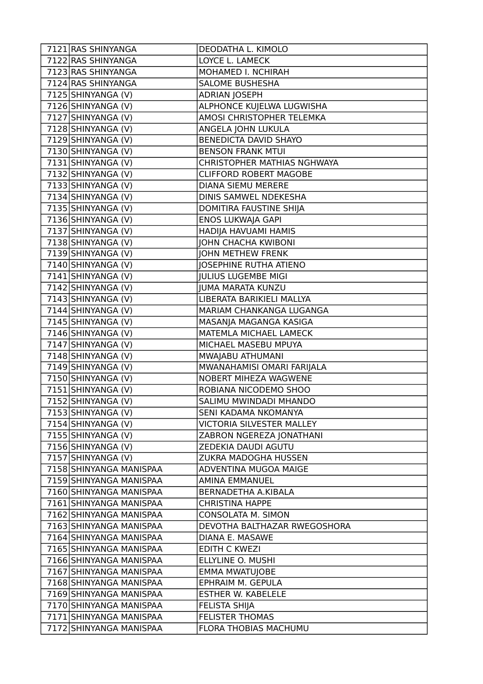| 7121 RAS SHINYANGA      | DEODATHA L. KIMOLO               |
|-------------------------|----------------------------------|
| 7122 RAS SHINYANGA      | LOYCE L. LAMECK                  |
| 7123 RAS SHINYANGA      | MOHAMED I. NCHIRAH               |
| 7124 RAS SHINYANGA      | <b>SALOME BUSHESHA</b>           |
| 7125 SHINYANGA (V)      | <b>ADRIAN JOSEPH</b>             |
| 7126 SHINYANGA (V)      | ALPHONCE KUJELWA LUGWISHA        |
| 7127 SHINYANGA (V)      | AMOSI CHRISTOPHER TELEMKA        |
| 7128 SHINYANGA (V)      | ANGELA JOHN LUKULA               |
| 7129 SHINYANGA (V)      | BENEDICTA DAVID SHAYO            |
| 7130 SHINYANGA (V)      | <b>BENSON FRANK MTUI</b>         |
| 7131 SHINYANGA (V)      | CHRISTOPHER MATHIAS NGHWAYA      |
| 7132 SHINYANGA (V)      | <b>CLIFFORD ROBERT MAGOBE</b>    |
| 7133 SHINYANGA (V)      | DIANA SIEMU MERERE               |
| 7134 SHINYANGA (V)      | DINIS SAMWEL NDEKESHA            |
| 7135 SHINYANGA (V)      | DOMITIRA FAUSTINE SHIJA          |
| 7136 SHINYANGA (V)      | ENOS LUKWAJA GAPI                |
| 7137 SHINYANGA (V)      | HADIJA HAVUAMI HAMIS             |
| 7138 SHINYANGA (V)      | <b>JOHN CHACHA KWIBONI</b>       |
| 7139 SHINYANGA (V)      | <b>JOHN METHEW FRENK</b>         |
| 7140 SHINYANGA (V)      | <b>JOSEPHINE RUTHA ATIENO</b>    |
| 7141 SHINYANGA (V)      | <b>JULIUS LUGEMBE MIGI</b>       |
| 7142 SHINYANGA (V)      | <b>JUMA MARATA KUNZU</b>         |
| 7143 SHINYANGA (V)      | LIBERATA BARIKIELI MALLYA        |
| 7144 SHINYANGA (V)      | MARIAM CHANKANGA LUGANGA         |
| 7145 SHINYANGA (V)      | MASANJA MAGANGA KASIGA           |
| 7146 SHINYANGA (V)      | MATEMLA MICHAEL LAMECK           |
| 7147 SHINYANGA (V)      | MICHAEL MASEBU MPUYA             |
| 7148 SHINYANGA (V)      | MWAJABU ATHUMANI                 |
| 7149 SHINYANGA (V)      | MWANAHAMISI OMARI FARIJALA       |
| 7150 SHINYANGA (V)      | NOBERT MIHEZA WAGWENE            |
| 7151 SHINYANGA (V)      | ROBIANA NICODEMO SHOO            |
| 7152 SHINYANGA (V)      | SALIMU MWINDADI MHANDO           |
| 7153 SHINYANGA (V)      | SENI KADAMA NKOMANYA             |
| 7154 SHINYANGA (V)      | <b>VICTORIA SILVESTER MALLEY</b> |
| 7155 SHINYANGA (V)      | ZABRON NGEREZA JONATHANI         |
| 7156 SHINYANGA (V)      | ZEDEKIA DAUDI AGUTU              |
| 7157 SHINYANGA (V)      | ZUKRA MADOGHA HUSSEN             |
| 7158 SHINYANGA MANISPAA | ADVENTINA MUGOA MAIGE            |
| 7159 SHINYANGA MANISPAA | AMINA EMMANUEL                   |
| 7160 SHINYANGA MANISPAA | BERNADETHA A.KIBALA              |
| 7161 SHINYANGA MANISPAA | <b>CHRISTINA HAPPE</b>           |
| 7162 SHINYANGA MANISPAA | CONSOLATA M. SIMON               |
| 7163 SHINYANGA MANISPAA | DEVOTHA BALTHAZAR RWEGOSHORA     |
| 7164 SHINYANGA MANISPAA | DIANA E. MASAWE                  |
| 7165 SHINYANGA MANISPAA | <b>EDITH C KWEZI</b>             |
| 7166 SHINYANGA MANISPAA | ELLYLINE O. MUSHI                |
| 7167 SHINYANGA MANISPAA | <b>EMMA MWATUJOBE</b>            |
| 7168 SHINYANGA MANISPAA | EPHRAIM M. GEPULA                |
| 7169 SHINYANGA MANISPAA | <b>ESTHER W. KABELELE</b>        |
| 7170 SHINYANGA MANISPAA | <b>FELISTA SHIJA</b>             |
| 7171 SHINYANGA MANISPAA | <b>FELISTER THOMAS</b>           |
| 7172 SHINYANGA MANISPAA | FLORA THOBIAS MACHUMU            |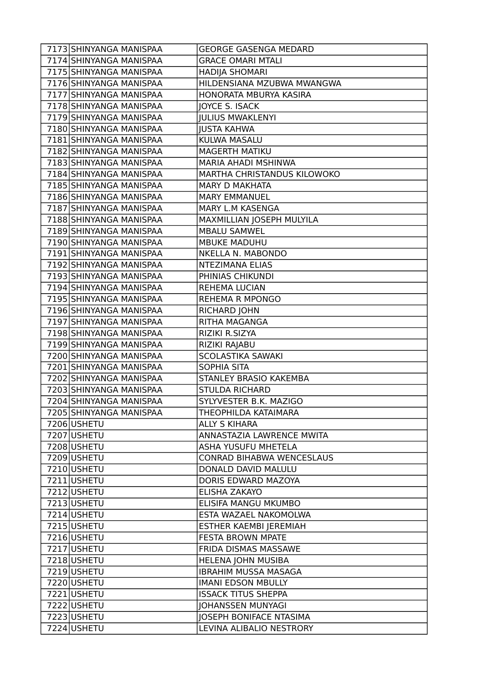| 7173 SHINYANGA MANISPAA | <b>GEORGE GASENGA MEDARD</b>     |
|-------------------------|----------------------------------|
| 7174 SHINYANGA MANISPAA | <b>GRACE OMARI MTALI</b>         |
| 7175 SHINYANGA MANISPAA | <b>HADIJA SHOMARI</b>            |
| 7176 SHINYANGA MANISPAA | HILDENSIANA MZUBWA MWANGWA       |
| 7177 SHINYANGA MANISPAA | HONORATA MBURYA KASIRA           |
| 7178 SHINYANGA MANISPAA | JOYCE S. ISACK                   |
| 7179 SHINYANGA MANISPAA | <b>JULIUS MWAKLENYI</b>          |
| 7180 SHINYANGA MANISPAA | <b>JUSTA KAHWA</b>               |
| 7181 SHINYANGA MANISPAA | KULWA MASALU                     |
| 7182 SHINYANGA MANISPAA | <b>MAGERTH MATIKU</b>            |
| 7183 SHINYANGA MANISPAA | <b>MARIA AHADI MSHINWA</b>       |
| 7184 SHINYANGA MANISPAA | MARTHA CHRISTANDUS KILOWOKO      |
| 7185 SHINYANGA MANISPAA | <b>MARY D MAKHATA</b>            |
| 7186 SHINYANGA MANISPAA | <b>MARY EMMANUEL</b>             |
| 7187 SHINYANGA MANISPAA | MARY L.M KASENGA                 |
| 7188 SHINYANGA MANISPAA | MAXMILLIAN JOSEPH MULYILA        |
| 7189 SHINYANGA MANISPAA | <b>MBALU SAMWEL</b>              |
| 7190 SHINYANGA MANISPAA | <b>MBUKE MADUHU</b>              |
| 7191 SHINYANGA MANISPAA | NKELLA N. MABONDO                |
| 7192 SHINYANGA MANISPAA | <b>NTEZIMANA ELIAS</b>           |
| 7193 SHINYANGA MANISPAA | PHINIAS CHIKUNDI                 |
| 7194 SHINYANGA MANISPAA | <b>REHEMA LUCIAN</b>             |
| 7195 SHINYANGA MANISPAA | <b>REHEMA R MPONGO</b>           |
| 7196 SHINYANGA MANISPAA | RICHARD JOHN                     |
| 7197 SHINYANGA MANISPAA | RITHA MAGANGA                    |
| 7198 SHINYANGA MANISPAA | RIZIKI R.SIZYA                   |
| 7199 SHINYANGA MANISPAA | RIZIKI RAJABU                    |
| 7200 SHINYANGA MANISPAA | <b>SCOLASTIKA SAWAKI</b>         |
| 7201 SHINYANGA MANISPAA | <b>SOPHIA SITA</b>               |
| 7202 SHINYANGA MANISPAA | STANLEY BRASIO KAKEMBA           |
| 7203 SHINYANGA MANISPAA | <b>STULDA RICHARD</b>            |
| 7204 SHINYANGA MANISPAA | SYLYVESTER B.K. MAZIGO           |
| 7205 SHINYANGA MANISPAA | THEOPHILDA KATAIMARA             |
| 7206 USHETU             | <b>ALLY S KIHARA</b>             |
| 7207 USHETU             | ANNASTAZIA LAWRENCE MWITA        |
| 7208 USHETU             | ASHA YUSUFU MHETELA              |
| 7209 USHETU             | <b>CONRAD BIHABWA WENCESLAUS</b> |
| 7210 USHETU             | DONALD DAVID MALULU              |
| 7211 USHETU             | DORIS EDWARD MAZOYA              |
| 7212 USHETU             | ELISHA ZAKAYO                    |
| 7213 USHETU             | ELISIFA MANGU MKUMBO             |
| 7214 USHETU             | ESTA WAZAEL NAKOMOLWA            |
| 7215 USHETU             | ESTHER KAEMBI JEREMIAH           |
| 7216 USHETU             | <b>FESTA BROWN MPATE</b>         |
| 7217 USHETU             | FRIDA DISMAS MASSAWE             |
| 7218 USHETU             | <b>HELENA JOHN MUSIBA</b>        |
| 7219 USHETU             | <b>IBRAHIM MUSSA MASAGA</b>      |
| 7220 USHETU             | <b>IMANI EDSON MBULLY</b>        |
| 7221 USHETU             | <b>ISSACK TITUS SHEPPA</b>       |
| 7222 USHETU             | <b>JOHANSSEN MUNYAGI</b>         |
| 7223 USHETU             | <b>JOSEPH BONIFACE NTASIMA</b>   |
| 7224 USHETU             | LEVINA ALIBALIO NESTRORY         |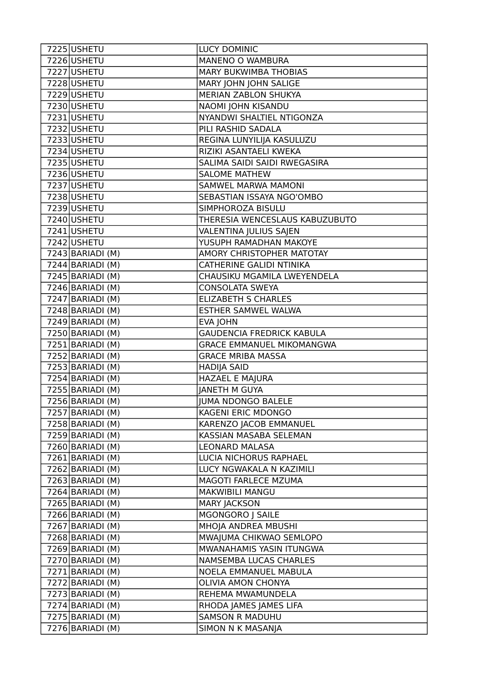| 7225 USHETU                    | <b>LUCY DOMINIC</b>              |
|--------------------------------|----------------------------------|
| 7226 USHETU                    | MANENO O WAMBURA                 |
| 7227 USHETU                    | <b>MARY BUKWIMBA THOBIAS</b>     |
| 7228 USHETU                    | MARY JOHN JOHN SALIGE            |
| 7229 USHETU                    | MERIAN ZABLON SHUKYA             |
| 7230 USHETU                    | NAOMI JOHN KISANDU               |
| 7231 USHETU                    | NYANDWI SHALTIEL NTIGONZA        |
| 7232 USHETU                    | PILI RASHID SADALA               |
| 7233 USHETU                    | REGINA LUNYILIJA KASULUZU        |
| 7234 USHETU                    | RIZIKI ASANTAELI KWEKA           |
| 7235 USHETU                    | SALIMA SAIDI SAIDI RWEGASIRA     |
| 7236 USHETU                    | <b>SALOME MATHEW</b>             |
| 7237 USHETU                    | <b>SAMWEL MARWA MAMONI</b>       |
| 7238 USHETU                    | SEBASTIAN ISSAYA NGO'OMBO        |
| 7239 USHETU                    | SIMPHOROZA BISULU                |
| 7240 USHETU                    | THERESIA WENCESLAUS KABUZUBUTO   |
| 7241 USHETU                    | VALENTINA JULIUS SAJEN           |
| 7242 USHETU                    | YUSUPH RAMADHAN MAKOYE           |
| 7243 BARIADI (M)               | AMORY CHRISTOPHER MATOTAY        |
| $7244$ BARIADI (M)             | CATHERINE GALIDI NTINIKA         |
| $7245$ BARIADI (M)             | CHAUSIKU MGAMILA LWEYENDELA      |
| $\overline{72}46$  BARIADI (M) | <b>CONSOLATA SWEYA</b>           |
| $7247$ BARIADI (M)             | <b>ELIZABETH S CHARLES</b>       |
| $7248$ BARIADI (M)             | ESTHER SAMWEL WALWA              |
| $7249$ BARIADI (M)             | <b>EVA JOHN</b>                  |
| 7250 BARIADI (M)               | <b>GAUDENCIA FREDRICK KABULA</b> |
| $7251$ BARIADI (M)             | <b>GRACE EMMANUEL MIKOMANGWA</b> |
| 7252 BARIADI (M)               | <b>GRACE MRIBA MASSA</b>         |
| $\overline{72}53$ BARIADI (M)  | <b>HADIJA SAID</b>               |
| $\overline{7254}$ BARIADI (M)  | HAZAEL E MAJURA                  |
| 7255 BARIADI (M)               | <b>JANETH M GUYA</b>             |
| 7256 BARIADI (M)               | <b>JUMA NDONGO BALELE</b>        |
| 7257 BARIADI (M)               | KAGENI ERIC MDONGO               |
| 7258 BARIADI (M)               | KARENZO JACOB EMMANUEL           |
| $7259$ BARIADI (M)             | KASSIAN MASABA SELEMAN           |
| $7260$ BARIADI (M)             | LEONARD MALASA                   |
| 7261 BARIADI (M)               | LUCIA NICHORUS RAPHAEL           |
| 7262 BARIADI (M)               | LUCY NGWAKALA N KAZIMILI         |
| $7263$ BARIADI (M)             | MAGOTI FARLECE MZUMA             |
| $7264$ BARIADI (M)             | <b>MAKWIBILI MANGU</b>           |
| $7265$ BARIADI (M)             | <b>MARY JACKSON</b>              |
| $7266$ BARIADI (M)             | MGONGORO J SAILE                 |
| 7267 BARIADI (M)               | MHOJA ANDREA MBUSHI              |
| 7268 BARIADI (M)               | MWAJUMA CHIKWAO SEMLOPO          |
| $7269$ BARIADI (M)             | MWANAHAMIS YASIN ITUNGWA         |
| 7270 BARIADI (M)               | NAMSEMBA LUCAS CHARLES           |
| $7271$  BARIADI (M)            | NOELA EMMANUEL MABULA            |
| $7272$ BARIADI (M)             | OLIVIA AMON CHONYA               |
| $7273$ BARIADI (M)             | REHEMA MWAMUNDELA                |
| 7274 BARIADI (M)               | RHODA JAMES JAMES LIFA           |
| $7275$ BARIADI (M)             | SAMSON R MADUHU                  |
| $7276$ BARIADI (M)             | SIMON N K MASANJA                |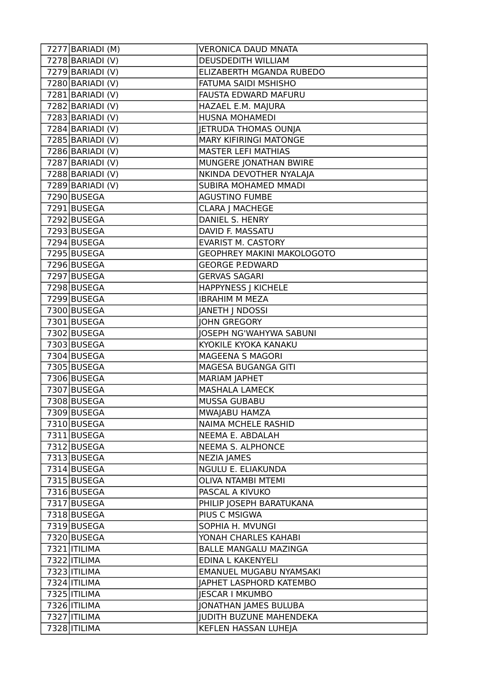| 7277 BARIADI (M)              | <b>VERONICA DAUD MNATA</b>        |
|-------------------------------|-----------------------------------|
| 7278 BARIADI (V)              | DEUSDEDITH WILLIAM                |
| $\overline{7279}$ BARIADI (V) | ELIZABERTH MGANDA RUBEDO          |
| 7280 BARIADI (V)              | FATUMA SAIDI MSHISHO              |
| $7281$  BARIADI (V)           | FAUSTA EDWARD MAFURU              |
| 7282 BARIADI (V)              | HAZAEL E.M. MAJURA                |
| 7283 BARIADI (V)              | HUSNA MOHAMEDI                    |
| $7284$ BARIADI (V)            | JETRUDA THOMAS OUNJA              |
| 7285 BARIADI (V)              | <b>MARY KIFIRINGI MATONGE</b>     |
| 7286 BARIADI (V)              | <b>MASTER LEFI MATHIAS</b>        |
| 7287 BARIADI (V)              | MUNGERE JONATHAN BWIRE            |
| 7288 BARIADI (V)              | NKINDA DEVOTHER NYALAJA           |
| 7289 BARIADI (V)              | SUBIRA MOHAMED MMADI              |
| 7290 BUSEGA                   | <b>AGUSTINO FUMBE</b>             |
| 7291 BUSEGA                   | <b>CLARA J MACHEGE</b>            |
| 7292 BUSEGA                   | DANIEL S. HENRY                   |
| 7293 BUSEGA                   | DAVID F. MASSATU                  |
| 7294 BUSEGA                   | <b>EVARIST M. CASTORY</b>         |
| 7295 BUSEGA                   | <b>GEOPHREY MAKINI MAKOLOGOTO</b> |
| 7296 BUSEGA                   | <b>GEORGE P.EDWARD</b>            |
| 7297 BUSEGA                   | <b>GERVAS SAGARI</b>              |
| 7298 BUSEGA                   | <b>HAPPYNESS J KICHELE</b>        |
| 7299 BUSEGA                   | <b>IBRAHIM M MEZA</b>             |
| 7300 BUSEGA                   | JANETH J NDOSSI                   |
| 7301 BUSEGA                   | <b>JOHN GREGORY</b>               |
| 7302 BUSEGA                   | <b>JOSEPH NG'WAHYWA SABUNI</b>    |
| 7303 BUSEGA                   | KYOKILE KYOKA KANAKU              |
| 7304 BUSEGA                   | MAGEENA S MAGORI                  |
| 7305 BUSEGA                   | MAGESA BUGANGA GITI               |
| 7306 BUSEGA                   | <b>MARIAM JAPHET</b>              |
| 7307 BUSEGA                   | <b>MASHALA LAMECK</b>             |
| 7308 BUSEGA                   | <b>MUSSA GUBABU</b>               |
| 7309 BUSEGA                   | MWAJABU HAMZA                     |
| 7310 BUSEGA                   | <b>NAIMA MCHELE RASHID</b>        |
| 7311 BUSEGA                   | NEEMA E. ABDALAH                  |
| 7312 BUSEGA                   | NEEMA S. ALPHONCE                 |
| 7313 BUSEGA                   | <b>NEZIA JAMES</b>                |
| 7314 BUSEGA                   | NGULU E. ELIAKUNDA                |
| 7315 BUSEGA                   | <b>OLIVA NTAMBI MTEMI</b>         |
| 7316 BUSEGA                   | PASCAL A KIVUKO                   |
| 7317 BUSEGA                   | PHILIP JOSEPH BARATUKANA          |
| 7318 BUSEGA                   | PIUS C MSIGWA                     |
| 7319 BUSEGA                   | SOPHIA H. MVUNGI                  |
| 7320 BUSEGA                   | YONAH CHARLES KAHABI              |
| 7321   ITILIMA                | <b>BALLE MANGALU MAZINGA</b>      |
| 7322 ITILIMA                  | EDINA L KAKENYELI                 |
| 7323   ITILIMA                | EMANUEL MUGABU NYAMSAKI           |
| 7324   ITILIMA                | JAPHET LASPHORD KATEMBO           |
| 7325   ITILIMA                | <b>JESCAR I MKUMBO</b>            |
| 7326 ITILIMA                  | <b>JONATHAN JAMES BULUBA</b>      |
| 7327 ITILIMA                  | <b>JUDITH BUZUNE MAHENDEKA</b>    |
| 7328 ITILIMA                  | KEFLEN HASSAN LUHEJA              |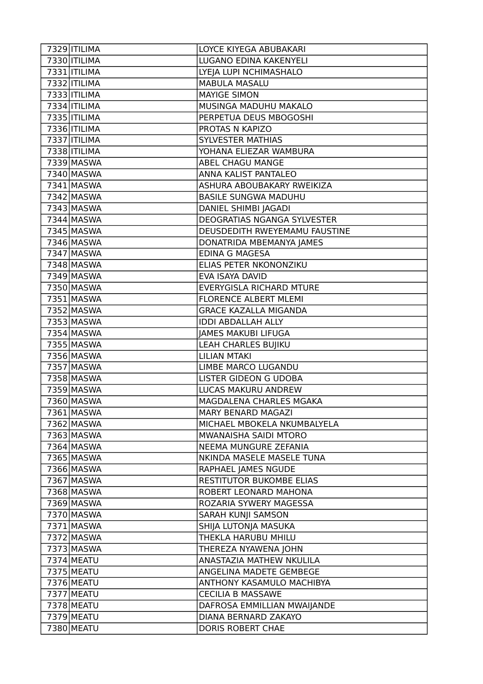| 7329 ITILIMA             | LOYCE KIYEGA ABUBAKARI                           |
|--------------------------|--------------------------------------------------|
| 7330 <b>ITILIMA</b>      | LUGANO EDINA KAKENYELI                           |
| 7331   ITILIMA           | LYEJA LUPI NCHIMASHALO                           |
| 7332 ITILIMA             | MABULA MASALU                                    |
| 7333 <b>ITILIMA</b>      | <b>MAYIGE SIMON</b>                              |
| 7334 ITILIMA             | MUSINGA MADUHU MAKALO                            |
| 7335   ITILIMA           | PERPETUA DEUS MBOGOSHI                           |
| 7336 ITILIMA             | PROTAS N KAPIZO                                  |
| 7337   ITILIMA           | <b>SYLVESTER MATHIAS</b>                         |
| 7338   ITILIMA           | YOHANA ELIEZAR WAMBURA                           |
| 7339 MASWA               | <b>ABEL CHAGU MANGE</b>                          |
| 7340 MASWA               | ANNA KALIST PANTALEO                             |
| 7341 MASWA               | ASHURA ABOUBAKARY RWEIKIZA                       |
| 7342 MASWA               | <b>BASILE SUNGWA MADUHU</b>                      |
| 7343 MASWA               | DANIEL SHIMBI JAGADI                             |
| 7344 MASWA               | DEOGRATIAS NGANGA SYLVESTER                      |
| 7345 MASWA               | DEUSDEDITH RWEYEMAMU FAUSTINE                    |
| 7346 MASWA               | DONATRIDA MBEMANYA JAMES                         |
| 7347 MASWA               | <b>EDINA G MAGESA</b>                            |
| 7348 MASWA               | ELIAS PETER NKONONZIKU                           |
| 7349 MASWA               | EVA ISAYA DAVID                                  |
| 7350 MASWA               | <b>EVERYGISLA RICHARD MTURE</b>                  |
| 7351 MASWA               | <b>FLORENCE ALBERT MLEMI</b>                     |
| 7352 MASWA               | <b>GRACE KAZALLA MIGANDA</b>                     |
| 7353 MASWA               | <b>IDDI ABDALLAH ALLY</b>                        |
| 7354 MASWA               | <b>JAMES MAKUBI LIFUGA</b>                       |
| 7355 MASWA               | LEAH CHARLES BUJIKU                              |
|                          |                                                  |
| 7356 MASWA               | <b>LILIAN MTAKI</b>                              |
| 7357 MASWA               | LIMBE MARCO LUGANDU                              |
| 7358 MASWA               | <b>LISTER GIDEON G UDOBA</b>                     |
| 7359 MASWA               | LUCAS MAKURU ANDREW                              |
| 7360 MASWA               | MAGDALENA CHARLES MGAKA                          |
| 7361 MASWA               | MARY BENARD MAGAZI                               |
| 7362 MASWA               | MICHAEL MBOKELA NKUMBALYELA                      |
| 7363 MASWA               | MWANAISHA SAIDI MTORO                            |
| 7364 MASWA               | NEEMA MUNGURE ZEFANIA                            |
| 7365 MASWA               | NKINDA MASELE MASELE TUNA                        |
| 7366 MASWA               | RAPHAEL JAMES NGUDE                              |
| 7367 MASWA               | RESTITUTOR BUKOMBE ELIAS                         |
| 7368 MASWA               | ROBERT LEONARD MAHONA                            |
| 7369 MASWA               | ROZARIA SYWERY MAGESSA                           |
| 7370 MASWA               | SARAH KUNJI SAMSON                               |
| 7371 MASWA               | SHIJA LUTONJA MASUKA                             |
| 7372 MASWA               | THEKLA HARUBU MHILU                              |
| 7373 MASWA               | THEREZA NYAWENA JOHN                             |
| 7374 MEATU               | ANASTAZIA MATHEW NKULILA                         |
| 7375 MEATU               | ANGELINA MADETE GEMBEGE                          |
| 7376 MEATU               | ANTHONY KASAMULO MACHIBYA                        |
| 7377 MEATU               | <b>CECILIA B MASSAWE</b>                         |
| 7378 MEATU               | DAFROSA EMMILLIAN MWAIJANDE                      |
| 7379 MEATU<br>7380 MEATU | DIANA BERNARD ZAKAYO<br><b>DORIS ROBERT CHAE</b> |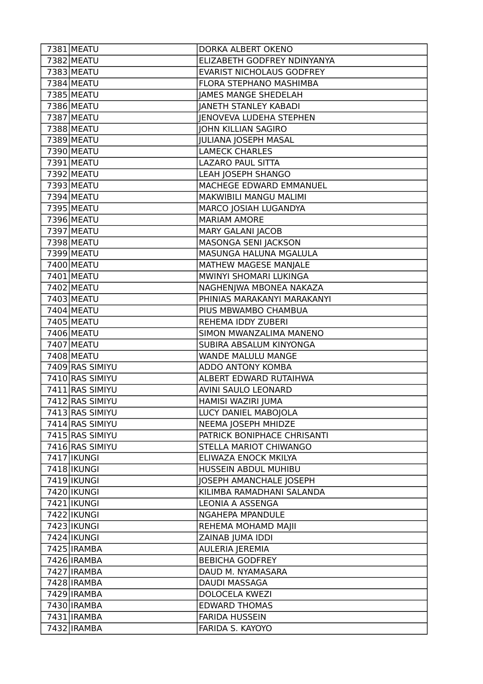| 7381 MEATU                         | DORKA ALBERT OKENO                                 |
|------------------------------------|----------------------------------------------------|
| 7382 MEATU                         | ELIZABETH GODFREY NDINYANYA                        |
| 7383 MEATU                         | <b>EVARIST NICHOLAUS GODFREY</b>                   |
| 7384 MEATU                         | FLORA STEPHANO MASHIMBA                            |
| 7385 MEATU                         | <b>JAMES MANGE SHEDELAH</b>                        |
| 7386 MEATU                         | <b>JANETH STANLEY KABADI</b>                       |
| 7387 MEATU                         | <b>JENOVEVA LUDEHA STEPHEN</b>                     |
| 7388 MEATU                         | <b>JOHN KILLIAN SAGIRO</b>                         |
| 7389 MEATU                         | <b>JULIANA JOSEPH MASAL</b>                        |
| 7390 MEATU                         | <b>LAMECK CHARLES</b>                              |
| 7391 MEATU                         | <b>LAZARO PAUL SITTA</b>                           |
| 7392 MEATU                         | LEAH JOSEPH SHANGO                                 |
| 7393 MEATU                         | MACHEGE EDWARD EMMANUEL                            |
| 7394 MEATU                         | <b>MAKWIBILI MANGU MALIMI</b>                      |
| 7395 MEATU                         | MARCO JOSIAH LUGANDYA                              |
| 7396 MEATU                         | <b>MARIAM AMORE</b>                                |
| 7397 MEATU                         | <b>MARY GALANI JACOB</b>                           |
| 7398 MEATU                         | MASONGA SENI JACKSON                               |
| 7399 MEATU                         | MASUNGA HALUNA MGALULA                             |
| 7400 MEATU                         | MATHEW MAGESE MANJALE                              |
| 7401 MEATU                         | <b>MWINYI SHOMARI LUKINGA</b>                      |
| 7402 MEATU                         | NAGHENJWA MBONEA NAKAZA                            |
| 7403 MEATU                         | PHINIAS MARAKANYI MARAKANYI                        |
| 7404 MEATU                         | PIUS MBWAMBO CHAMBUA                               |
| 7405 MEATU                         | REHEMA IDDY ZUBERI                                 |
| 7406 MEATU                         | SIMON MWANZALIMA MANENO                            |
| 7407 MEATU                         | SUBIRA ABSALUM KINYONGA                            |
| 7408 MEATU                         | WANDE MALULU MANGE                                 |
| 7409 RAS SIMIYU                    | ADDO ANTONY KOMBA                                  |
| 7410 RAS SIMIYU                    | ALBERT EDWARD RUTAIHWA                             |
| 7411 RAS SIMIYU                    | AVINI SAULO LEONARD                                |
| 7412 RAS SIMIYU                    | HAMISI WAZIRI JUMA                                 |
| 7413 RAS SIMIYU<br>7414 RAS SIMIYU | LUCY DANIEL MABOJOLA                               |
| 7415 RAS SIMIYU                    | NEEMA JOSEPH MHIDZE<br>PATRICK BONIPHACE CHRISANTI |
| 7416 RAS SIMIYU                    | STELLA MARIOT CHIWANGO                             |
| 7417   IKUNGI                      | ELIWAZA ENOCK MKILYA                               |
| 7418   IKUNGI                      | HUSSEIN ABDUL MUHIBU                               |
| 7419   IKUNGI                      | JOSEPH AMANCHALE JOSEPH                            |
| 7420   IKUNGI                      | KILIMBA RAMADHANI SALANDA                          |
| 7421   IKUNGI                      | LEONIA A ASSENGA                                   |
| 7422   IKUNGI                      | NGAHEPA MPANDULE                                   |
| 7423   IKUNGI                      | REHEMA MOHAMD MAJII                                |
| 7424 IKUNGI                        | ZAINAB JUMA IDDI                                   |
| 7425   IRAMBA                      | <b>AULERIA JEREMIA</b>                             |
| 7426 IRAMBA                        | <b>BEBICHA GODFREY</b>                             |
| 7427 IRAMBA                        | DAUD M. NYAMASARA                                  |
| 7428   IRAMBA                      | DAUDI MASSAGA                                      |
| 7429 IRAMBA                        | <b>DOLOCELA KWEZI</b>                              |
| 7430 IRAMBA                        | <b>EDWARD THOMAS</b>                               |
| 7431 IRAMBA                        | <b>FARIDA HUSSEIN</b>                              |
| 7432 IRAMBA                        | FARIDA S. KAYOYO                                   |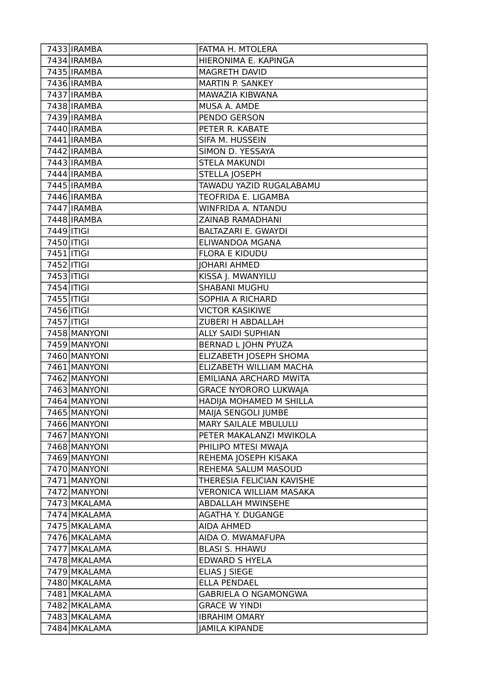|                          | 7433 IRAMBA                 | FATMA H. MTOLERA               |
|--------------------------|-----------------------------|--------------------------------|
|                          | 7434 IRAMBA                 | HIERONIMA E. KAPINGA           |
|                          | 7435   IRAMBA               | MAGRETH DAVID                  |
|                          | 7436 IRAMBA                 | MARTIN P. SANKEY               |
|                          | 7437 IRAMBA                 | MAWAZIA KIBWANA                |
|                          | 7438 IRAMBA                 | MUSA A. AMDE                   |
|                          | 7439 IRAMBA                 | PENDO GERSON                   |
|                          | $\overline{7}$ 440   IRAMBA | PETER R. KABATE                |
|                          | 7441   IRAMBA               | SIFA M. HUSSEIN                |
|                          | 7442 IRAMBA                 | SIMON D. YESSAYA               |
|                          | 7443 IRAMBA                 | <b>STELA MAKUNDI</b>           |
|                          | 7444 IRAMBA                 | <b>STELLA JOSEPH</b>           |
|                          | 7445 IRAMBA                 | TAWADU YAZID RUGALABAMU        |
|                          | 7446 IRAMBA                 | TEOFRIDA E. LIGAMBA            |
|                          | 7447 IRAMBA                 | WINFRIDA A. NTANDU             |
|                          | 7448 IRAMBA                 | <b>ZAINAB RAMADHANI</b>        |
| 7449   ITIGI             |                             | <b>BALTAZARI E. GWAYDI</b>     |
| 7450   ITIGI             |                             | ELIWANDOA MGANA                |
| 7451   ITIGI             |                             | <b>FLORA E KIDUDU</b>          |
| $\overline{74}52$  ITIGI |                             | <b>JOHARI AHMED</b>            |
| 7453   ITIGI             |                             | KISSA J. MWANYILU              |
| 7454 ITIGI               |                             | <b>SHABANI MUGHU</b>           |
| 7455   ITIGI             |                             | SOPHIA A RICHARD               |
| 7456   ITIGI             |                             | <b>VICTOR KASIKIWE</b>         |
| 7457 ITIGI               |                             | ZUBERI H ABDALLAH              |
|                          | 7458 MANYONI                | <b>ALLY SAIDI SUPHIAN</b>      |
|                          | 7459 MANYONI                | <b>BERNAD L JOHN PYUZA</b>     |
|                          | 7460 MANYONI                | ELIZABETH JOSEPH SHOMA         |
|                          | 7461 MANYONI                | ELIZABETH WILLIAM MACHA        |
|                          | 7462 MANYONI                | EMILIANA ARCHARD MWITA         |
|                          | 7463 MANYONI                | <b>GRACE NYORORO LUKWAJA</b>   |
|                          | 7464 MANYONI                | HADIJA MOHAMED M SHILLA        |
|                          | 7465 MANYONI                | MAIJA SENGOLI JUMBE            |
|                          | 7466 MANYONI                | <b>MARY SAILALE MBULULU</b>    |
|                          | 7467 MANYONI                | PETER MAKALANZI MWIKOLA        |
|                          | 7468 MANYONI                | PHILIPO MTESI MWAJA            |
|                          | 7469 MANYONI                | REHEMA JOSEPH KISAKA           |
|                          | 7470 MANYONI                | REHEMA SALUM MASOUD            |
|                          | 7471 MANYONI                | THERESIA FELICIAN KAVISHE      |
|                          | 7472 MANYONI                | <b>VERONICA WILLIAM MASAKA</b> |
|                          | 7473 MKALAMA                | <b>ABDALLAH MWINSEHE</b>       |
|                          | 7474 MKALAMA                | <b>AGATHA Y. DUGANGE</b>       |
|                          | 7475 MKALAMA                | <b>AIDA AHMED</b>              |
|                          | 7476 MKALAMA                | AIDA O. MWAMAFUPA              |
|                          | 7477 MKALAMA                | <b>BLASI S. HHAWU</b>          |
|                          | 7478 MKALAMA                | <b>EDWARD S HYELA</b>          |
|                          | 7479 MKALAMA                | <b>ELIAS J SIEGE</b>           |
|                          | 7480 MKALAMA                | <b>ELLA PENDAEL</b>            |
|                          | 7481 MKALAMA                | GABRIELA O NGAMONGWA           |
|                          | 7482 MKALAMA                | <b>GRACE W YINDI</b>           |
|                          | 7483 MKALAMA                | <b>IBRAHIM OMARY</b>           |
|                          | 7484 MKALAMA                | <b>JAMILA KIPANDE</b>          |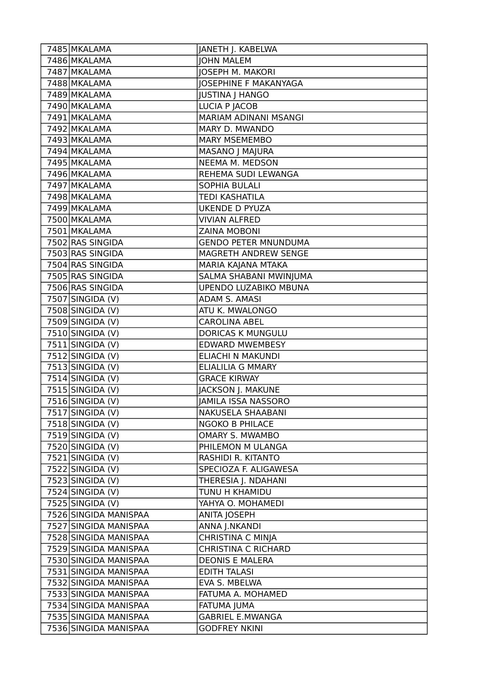| 7485 MKALAMA          | JANETH J. KABELWA           |
|-----------------------|-----------------------------|
| 7486 MKALAMA          | <b>JOHN MALEM</b>           |
| 7487 MKALAMA          | <b>JOSEPH M. MAKORI</b>     |
| 7488 MKALAMA          | JOSEPHINE F MAKANYAGA       |
| 7489 MKALAMA          | <b>JUSTINA J HANGO</b>      |
| 7490 MKALAMA          | LUCIA P JACOB               |
| 7491 MKALAMA          | MARIAM ADINANI MSANGI       |
| 7492 MKALAMA          | MARY D. MWANDO              |
| 7493 MKALAMA          | <b>MARY MSEMEMBO</b>        |
| 7494 MKALAMA          | MASANO J MAJURA             |
| 7495 MKALAMA          | <b>NEEMA M. MEDSON</b>      |
| 7496 MKALAMA          | REHEMA SUDI LEWANGA         |
| 7497 MKALAMA          | <b>SOPHIA BULALI</b>        |
| 7498 MKALAMA          | <b>TEDI KASHATILA</b>       |
| 7499 MKALAMA          | <b>UKENDE D PYUZA</b>       |
| 7500 MKALAMA          | <b>VIVIAN ALFRED</b>        |
| 7501 MKALAMA          | <b>ZAINA MOBONI</b>         |
| 7502 RAS SINGIDA      | <b>GENDO PETER MNUNDUMA</b> |
| 7503 RAS SINGIDA      | MAGRETH ANDREW SENGE        |
| 7504 RAS SINGIDA      | MARIA KAJANA MTAKA          |
| 7505 RAS SINGIDA      | SALMA SHABANI MWINJUMA      |
| 7506 RAS SINGIDA      | UPENDO LUZABIKO MBUNA       |
| 7507 SINGIDA (V)      | ADAM S. AMASI               |
| 7508 SINGIDA (V)      | ATU K. MWALONGO             |
| 7509 SINGIDA (V)      | <b>CAROLINA ABEL</b>        |
| 7510 SINGIDA (V)      | DORICAS K MUNGULU           |
| $7511$ SINGIDA (V)    | <b>EDWARD MWEMBESY</b>      |
| 7512 SINGIDA (V)      | ELIACHI N MAKUNDI           |
| 7513 SINGIDA (V)      | <b>ELIALILIA G MMARY</b>    |
| 7514 SINGIDA (V)      | <b>GRACE KIRWAY</b>         |
| 7515 SINGIDA (V)      | JACKSON J. MAKUNE           |
| 7516 SINGIDA (V)      | <b>JAMILA ISSA NASSORO</b>  |
| 7517 SINGIDA (V)      | NAKUSELA SHAABANI           |
| 7518 SINGIDA (V)      | <b>NGOKO B PHILACE</b>      |
| 7519 SINGIDA (V)      | OMARY S. MWAMBO             |
| 7520 SINGIDA (V)      | PHILEMON M ULANGA           |
| $7521$ SINGIDA (V)    | RASHIDI R. KITANTO          |
| 7522 SINGIDA (V)      | SPECIOZA F. ALIGAWESA       |
| 7523 SINGIDA (V)      | THERESIA J. NDAHANI         |
| $7524$ SINGIDA (V)    | TUNU H KHAMIDU              |
| 7525 SINGIDA (V)      | YAHYA O. MOHAMEDI           |
| 7526 SINGIDA MANISPAA | <b>ANITA JOSEPH</b>         |
| 7527 SINGIDA MANISPAA | ANNA J.NKANDI               |
| 7528 SINGIDA MANISPAA | CHRISTINA C MINJA           |
| 7529 SINGIDA MANISPAA | <b>CHRISTINA C RICHARD</b>  |
| 7530 SINGIDA MANISPAA | <b>DEONIS E MALERA</b>      |
| 7531 SINGIDA MANISPAA | <b>EDITH TALASI</b>         |
| 7532 SINGIDA MANISPAA | EVA S. MBELWA               |
| 7533 SINGIDA MANISPAA | FATUMA A. MOHAMED           |
| 7534 SINGIDA MANISPAA | FATUMA JUMA                 |
| 7535 SINGIDA MANISPAA | <b>GABRIEL E.MWANGA</b>     |
| 7536 SINGIDA MANISPAA | <b>GODFREY NKINI</b>        |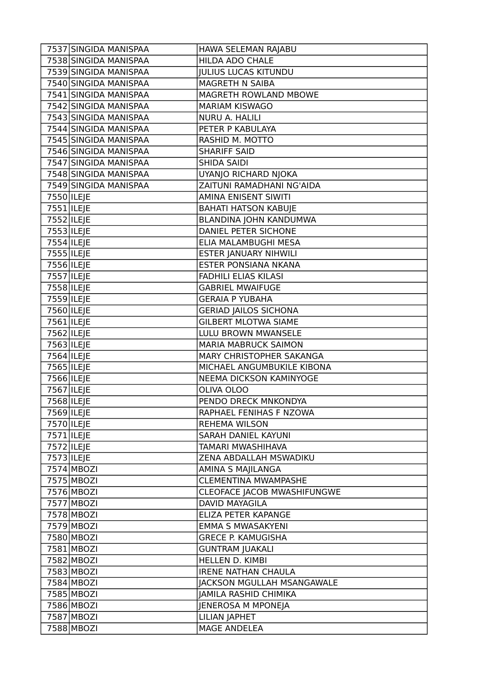|                          | 7537 SINGIDA MANISPAA | HAWA SELEMAN RAJABU          |
|--------------------------|-----------------------|------------------------------|
|                          | 7538 SINGIDA MANISPAA | <b>HILDA ADO CHALE</b>       |
|                          | 7539 SINGIDA MANISPAA | <b>JULIUS LUCAS KITUNDU</b>  |
|                          | 7540 SINGIDA MANISPAA | MAGRETH N SAIBA              |
|                          | 7541 SINGIDA MANISPAA | MAGRETH ROWLAND MBOWE        |
|                          | 7542 SINGIDA MANISPAA | <b>MARIAM KISWAGO</b>        |
|                          | 7543 SINGIDA MANISPAA | <b>NURU A. HALILI</b>        |
|                          | 7544 SINGIDA MANISPAA | PETER P KABULAYA             |
|                          | 7545 SINGIDA MANISPAA | RASHID M. MOTTO              |
|                          | 7546 SINGIDA MANISPAA | <b>SHARIFF SAID</b>          |
|                          | 7547 SINGIDA MANISPAA | <b>SHIDA SAIDI</b>           |
|                          | 7548 SINGIDA MANISPAA | UYANJO RICHARD NJOKA         |
|                          | 7549 SINGIDA MANISPAA | ZAITUNI RAMADHANI NG'AIDA    |
| 7550   ILEJE             |                       | AMINA ENISENT SIWITI         |
| $\overline{7551}$  ILEJE |                       | <b>BAHATI HATSON KABUJE</b>  |
| 7552 ILEJE               |                       | BLANDINA JOHN KANDUMWA       |
| 7553   ILEJE             |                       | DANIEL PETER SICHONE         |
| $7554$  ILEJE            |                       | ELIA MALAMBUGHI MESA         |
| 7555 ILEJE               |                       | <b>ESTER JANUARY NIHWILI</b> |
| 7556 ILEJE               |                       | ESTER PONSIANA NKANA         |
| 7557 ILEJE               |                       | <b>FADHILI ELIAS KILASI</b>  |
| 7558 ILEJE               |                       | <b>GABRIEL MWAIFUGE</b>      |
| 7559 ILEJE               |                       | <b>GERAIA P YUBAHA</b>       |
| 7560   ILEJE             |                       | <b>GERIAD JAILOS SICHONA</b> |
| 7561   ILEJE             |                       | <b>GILBERT MLOTWA SIAME</b>  |
| 7562 ILEJE               |                       | LULU BROWN MWANSELE          |
| 7563 ILEJE               |                       | <b>MARIA MABRUCK SAIMON</b>  |
| 7564 ILEJE               |                       | MARY CHRISTOPHER SAKANGA     |
| 7565 ILEJE               |                       | MICHAEL ANGUMBUKILE KIBONA   |
| 7566 ILEJE               |                       | NEEMA DICKSON KAMINYOGE      |
| 7567   ILEJE             |                       | OLIVA OLOO                   |
| 7568 ILEJE               |                       | PENDO DRECK MNKONDYA         |
| 7569 ILEJE               |                       | RAPHAEL FENIHAS F NZOWA      |
| 7570   ILEJE             |                       | <b>REHEMA WILSON</b>         |
| 7571   ILEJE             |                       | SARAH DANIEL KAYUNI          |
| 7572 ILEJE               |                       | TAMARI MWASHIHAVA            |
| 7573 ILEJE               |                       | ZENA ABDALLAH MSWADIKU       |
| 7574 MBOZI               |                       | AMINA S MAJILANGA            |
| 7575 MBOZI               |                       | <b>CLEMENTINA MWAMPASHE</b>  |
| 7576 MBOZI               |                       | CLEOFACE JACOB MWASHIFUNGWE  |
| 7577 MBOZI               |                       | <b>DAVID MAYAGILA</b>        |
| 7578 MBOZI               |                       | ELIZA PETER KAPANGE          |
| 7579 MBOZI               |                       | <b>EMMA S MWASAKYENI</b>     |
| 7580 MBOZI               |                       | <b>GRECE P. KAMUGISHA</b>    |
| 7581 MBOZI               |                       | <b>GUNTRAM JUAKALI</b>       |
| 7582 MBOZI               |                       | HELLEN D. KIMBI              |
| 7583 MBOZI               |                       | <b>IRENE NATHAN CHAULA</b>   |
| 7584 MBOZI               |                       | JACKSON MGULLAH MSANGAWALE   |
| 7585 MBOZI               |                       | JAMILA RASHID CHIMIKA        |
| 7586 MBOZI               |                       | JENEROSA M MPONEJA           |
| 7587 MBOZI               |                       | <b>LILIAN JAPHET</b>         |
| 7588 MBOZI               |                       | MAGE ANDELEA                 |
|                          |                       |                              |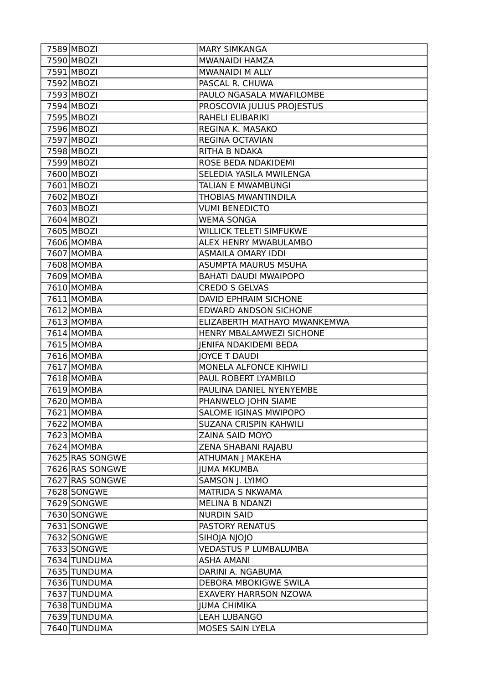| 7589 MBOZI      | <b>MARY SIMKANGA</b>           |
|-----------------|--------------------------------|
| 7590 MBOZI      | MWANAIDI HAMZA                 |
| 7591 MBOZI      | MWANAIDI M ALLY                |
| 7592 MBOZI      | PASCAL R. CHUWA                |
| 7593 MBOZI      | PAULO NGASALA MWAFILOMBE       |
| 7594 MBOZI      | PROSCOVIA JULIUS PROJESTUS     |
| 7595 MBOZI      | RAHELI ELIBARIKI               |
| 7596 MBOZI      | REGINA K. MASAKO               |
| 7597 MBOZI      | <b>REGINA OCTAVIAN</b>         |
| 7598 MBOZI      | RITHA B NDAKA                  |
| 7599 MBOZI      | <b>ROSE BEDA NDAKIDEMI</b>     |
| 7600 MBOZI      | SELEDIA YASILA MWILENGA        |
| 7601 MBOZI      | <b>TALIAN E MWAMBUNGI</b>      |
| 7602 MBOZI      | <b>THOBIAS MWANTINDILA</b>     |
| 7603 MBOZI      | <b>VUMI BENEDICTO</b>          |
| 7604 MBOZI      | <b>WEMA SONGA</b>              |
| 7605 MBOZI      | <b>WILLICK TELETI SIMFUKWE</b> |
| 7606 MOMBA      | ALEX HENRY MWABULAMBO          |
| 7607 MOMBA      | <b>ASMAILA OMARY IDDI</b>      |
| 7608 MOMBA      | <b>ASUMPTA MAURUS MSUHA</b>    |
| 7609 MOMBA      | <b>BAHATI DAUDI MWAIPOPO</b>   |
| 7610 MOMBA      | <b>CREDO S GELVAS</b>          |
| 7611 MOMBA      | DAVID EPHRAIM SICHONE          |
| 7612 MOMBA      | EDWARD ANDSON SICHONE          |
| 7613 MOMBA      | ELIZABERTH MATHAYO MWANKEMWA   |
| 7614 MOMBA      | HENRY MBALAMWEZI SICHONE       |
| 7615 MOMBA      | <b>JENIFA NDAKIDEMI BEDA</b>   |
| 7616 MOMBA      | <b>JOYCE T DAUDI</b>           |
| 7617 MOMBA      | MONELA ALFONCE KIHWILI         |
| 7618 MOMBA      | PAUL ROBERT LYAMBILO           |
| 7619 MOMBA      | PAULINA DANIEL NYENYEMBE       |
| 7620 MOMBA      | PHANWELO JOHN SIAME            |
| 7621 MOMBA      | SALOME IGINAS MWIPOPO          |
| 7622 MOMBA      | SUZANA CRISPIN KAHWILI         |
| 7623 MOMBA      | ZAINA SAID MOYO                |
| 7624 MOMBA      | ZENA SHABANI RAJABU            |
| 7625 RAS SONGWE | ATHUMAN J MAKEHA               |
| 7626 RAS SONGWE | <b>IUMA MKUMBA</b>             |
| 7627 RAS SONGWE | SAMSON J. LYIMO                |
| 7628 SONGWE     | MATRIDA S NKWAMA               |
| 7629 SONGWE     | <b>MELINA B NDANZI</b>         |
| 7630 SONGWE     | <b>NURDIN SAID</b>             |
| 7631 SONGWE     | PASTORY RENATUS                |
| 7632 SONGWE     | SIHOJA NJOJO                   |
| 7633 SONGWE     | <b>VEDASTUS P LUMBALUMBA</b>   |
| 7634 TUNDUMA    | <b>ASHA AMANI</b>              |
| 7635 TUNDUMA    | DARINI A. NGABUMA              |
| 7636 TUNDUMA    | DEBORA MBOKIGWE SWILA          |
| 7637 TUNDUMA    | EXAVERY HARRSON NZOWA          |
| 7638 TUNDUMA    | <b>JUMA CHIMIKA</b>            |
| 7639 TUNDUMA    | <b>LEAH LUBANGO</b>            |
| 7640 TUNDUMA    | MOSES SAIN LYELA               |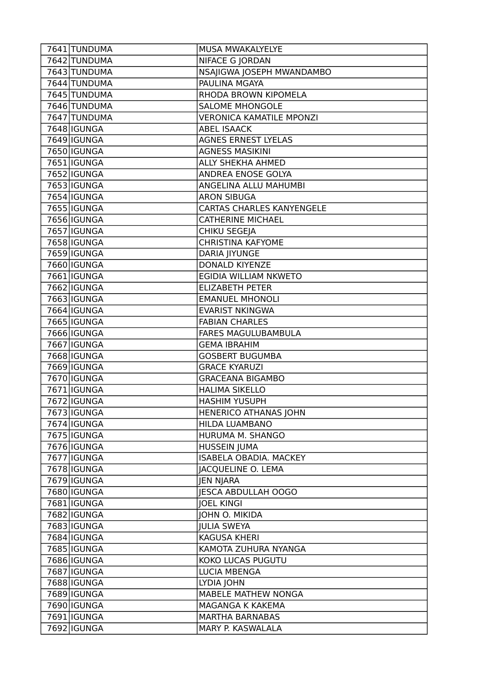| 7641 TUNDUMA       | MUSA MWAKALYELYE                 |
|--------------------|----------------------------------|
| 7642 TUNDUMA       | NIFACE G JORDAN                  |
| 7643 TUNDUMA       | NSAJIGWA JOSEPH MWANDAMBO        |
| 7644 TUNDUMA       | PAULINA MGAYA                    |
| 7645 TUNDUMA       | RHODA BROWN KIPOMELA             |
| 7646 TUNDUMA       | <b>SALOME MHONGOLE</b>           |
| 7647 TUNDUMA       | <b>VERONICA KAMATILE MPONZI</b>  |
| 7648   IGUNGA      | <b>ABEL ISAACK</b>               |
| 7649 IGUNGA        | <b>AGNES ERNEST LYELAS</b>       |
| 7650 IGUNGA        | <b>AGNESS MASIKINI</b>           |
| 7651   IGUNGA      | <b>ALLY SHEKHA AHMED</b>         |
| 7652 IGUNGA        | ANDREA ENOSE GOLYA               |
| 7653 IGUNGA        | ANGELINA ALLU MAHUMBI            |
| 7654   IGUNGA      | <b>ARON SIBUGA</b>               |
| 7655   IGUNGA      | <b>CARTAS CHARLES KANYENGELE</b> |
| 7656 IGUNGA        | <b>CATHERINE MICHAEL</b>         |
| 7657 IGUNGA        | CHIKU SEGEJA                     |
| 7658 IGUNGA        | <b>CHRISTINA KAFYOME</b>         |
| 7659 IGUNGA        | <b>DARIA JIYUNGE</b>             |
| 7660   IGUNGA      | <b>DONALD KIYENZE</b>            |
| 7661   IGUNGA      | EGIDIA WILLIAM NKWETO            |
| 7662   IGUNGA      | <b>ELIZABETH PETER</b>           |
| 7663 IGUNGA        | <b>EMANUEL MHONOLI</b>           |
| 7664 IGUNGA        | <b>EVARIST NKINGWA</b>           |
| 7665   IGUNGA      | <b>FABIAN CHARLES</b>            |
| 7666 IGUNGA        | <b>FARES MAGULUBAMBULA</b>       |
| 7667 IGUNGA        | <b>GEMA IBRAHIM</b>              |
| 7668   IGUNGA      | <b>GOSBERT BUGUMBA</b>           |
| 7669 IGUNGA        | <b>GRACE KYARUZI</b>             |
| 7670 IGUNGA        | <b>GRACEANA BIGAMBO</b>          |
| 7671 IGUNGA        | <b>HALIMA SIKELLO</b>            |
| 7672 IGUNGA        | <b>HASHIM YUSUPH</b>             |
| 7673   IGUNGA      | HENERICO ATHANAS JOHN            |
| 7674 IGUNGA        | HILDA LUAMBANO                   |
| 7675 IGUNGA        | HURUMA M. SHANGO                 |
| 7676 IGUNGA        | <b>HUSSEIN JUMA</b>              |
| 7677 IGUNGA        | <b>ISABELA OBADIA. MACKEY</b>    |
| 7678 <b>IGUNGA</b> | <b>JACQUELINE O. LEMA</b>        |
| 7679   IGUNGA      | <b>JEN NJARA</b>                 |
| 7680   IGUNGA      | <b>IESCA ABDULLAH OOGO</b>       |
| 7681   IGUNGA      | <b>JOEL KINGI</b>                |
| 7682   IGUNGA      | JOHN O. MIKIDA                   |
| 7683   IGUNGA      | <b>JULIA SWEYA</b>               |
| 7684   IGUNGA      | <b>KAGUSA KHERI</b>              |
| 7685   IGUNGA      | KAMOTA ZUHURA NYANGA             |
| 7686   IGUNGA      | KOKO LUCAS PUGUTU                |
| 7687 IGUNGA        | <b>LUCIA MBENGA</b>              |
| 7688   IGUNGA      | LYDIA JOHN                       |
| 7689   IGUNGA      | MABELE MATHEW NONGA              |
| 7690   IGUNGA      | MAGANGA K KAKEMA                 |
| 7691   IGUNGA      | <b>MARTHA BARNABAS</b>           |
| 7692 IGUNGA        | MARY P. KASWALALA                |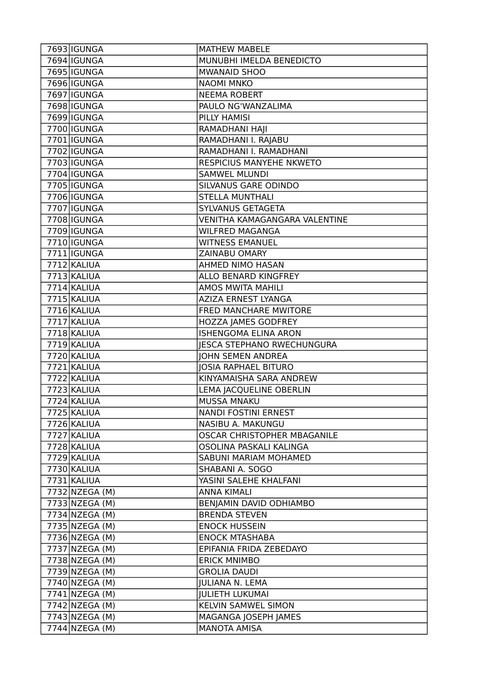| 7693 IGUNGA    | <b>MATHEW MABELE</b>                 |
|----------------|--------------------------------------|
| 7694 IGUNGA    | MUNUBHI IMELDA BENEDICTO             |
| 7695   IGUNGA  | <b>MWANAID SHOO</b>                  |
| 7696 IGUNGA    | <b>NAOMI MNKO</b>                    |
| 7697 IGUNGA    | <b>NEEMA ROBERT</b>                  |
| 7698   IGUNGA  | PAULO NG'WANZALIMA                   |
| 7699 IGUNGA    | PILLY HAMISI                         |
| 7700   IGUNGA  | RAMADHANI HAJI                       |
| 7701   IGUNGA  | RAMADHANI I. RAJABU                  |
| 7702 IGUNGA    | RAMADHANI I. RAMADHANI               |
| 7703 IGUNGA    | RESPICIUS MANYEHE NKWETO             |
| 7704 IGUNGA    | <b>SAMWEL MLUNDI</b>                 |
| 7705   IGUNGA  | SILVANUS GARE ODINDO                 |
| 7706 IGUNGA    | <b>STELLA MUNTHALI</b>               |
| 7707 IGUNGA    | SYLVANUS GETAGETA                    |
| 7708   IGUNGA  | <b>VENITHA KAMAGANGARA VALENTINE</b> |
| 7709 IGUNGA    | <b>WILFRED MAGANGA</b>               |
| 7710   IGUNGA  | <b>WITNESS EMANUEL</b>               |
| 7711   IGUNGA  | ZAINABU OMARY                        |
| $7712$ KALIUA  | AHMED NIMO HASAN                     |
| 7713 KALIUA    | ALLO BENARD KINGFREY                 |
| 7714 KALIUA    | <b>AMOS MWITA MAHILI</b>             |
| 7715 KALIUA    | AZIZA ERNEST LYANGA                  |
| 7716 KALIUA    | FRED MANCHARE MWITORE                |
| 7717 KALIUA    | HOZZA JAMES GODFREY                  |
| 7718 KALIUA    | <b>ISHENGOMA ELINA ARON</b>          |
| 7719 KALIUA    | <b>JESCA STEPHANO RWECHUNGURA</b>    |
| 7720 KALIUA    | <b>JOHN SEMEN ANDREA</b>             |
| 7721 KALIUA    | <b>JOSIA RAPHAEL BITURO</b>          |
| 7722 KALIUA    | KINYAMAISHA SARA ANDREW              |
| $7723$ KALIUA  | LEMA JACQUELINE OBERLIN              |
| 7724 KALIUA    | <b>MUSSA MNAKU</b>                   |
| 7725 KALIUA    | NANDI FOSTINI ERNEST                 |
| 7726 KALIUA    | NASIBU A. MAKUNGU                    |
| 7727 KALIUA    | OSCAR CHRISTOPHER MBAGANILE          |
| 7728 KALIUA    | OSOLINA PASKALI KALINGA              |
| 7729 KALIUA    | SABUNI MARIAM MOHAMED                |
| 7730 KALIUA    | SHABANI A. SOGO                      |
| 7731 KALIUA    | YASINI SALEHE KHALFANI               |
| 7732 NZEGA (M) | <b>ANNA KIMALI</b>                   |
| 7733 NZEGA (M) | BENJAMIN DAVID ODHIAMBO              |
| 7734 NZEGA (M) | <b>BRENDA STEVEN</b>                 |
| 7735 NZEGA (M) | <b>ENOCK HUSSEIN</b>                 |
| 7736 NZEGA (M) | <b>ENOCK MTASHABA</b>                |
| 7737 NZEGA (M) | EPIFANIA FRIDA ZEBEDAYO              |
| 7738 NZEGA (M) | <b>ERICK MNIMBO</b>                  |
| 7739 NZEGA (M) | <b>GROLIA DAUDI</b>                  |
| 7740 NZEGA (M) | <b>JULIANA N. LEMA</b>               |
| 7741 NZEGA (M) | <b>JULIETH LUKUMAI</b>               |
| 7742 NZEGA (M) | KELVIN SAMWEL SIMON                  |
| 7743 NZEGA (M) | MAGANGA JOSEPH JAMES                 |
| 7744 NZEGA (M) | <b>MANOTA AMISA</b>                  |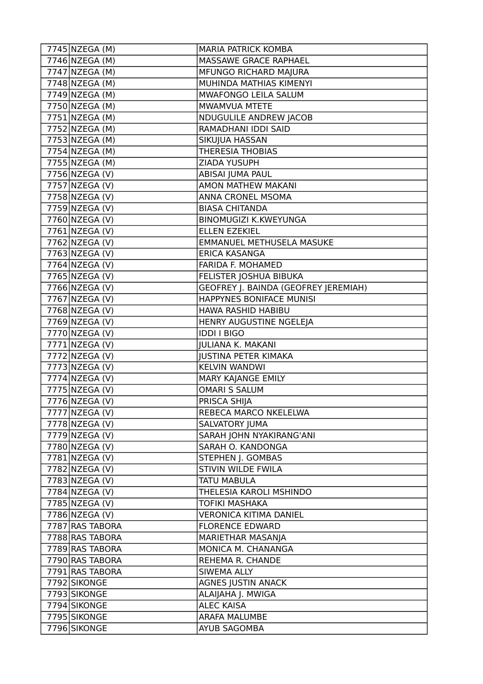| 7745 NZEGA (M)               | <b>MARIA PATRICK KOMBA</b>                  |
|------------------------------|---------------------------------------------|
| 7746 NZEGA (M)               | MASSAWE GRACE RAPHAEL                       |
| 7747 NZEGA (M)               | MFUNGO RICHARD MAJURA                       |
| $\overline{77}$ 48 NZEGA (M) | MUHINDA MATHIAS KIMENYI                     |
| 7749 NZEGA (M)               | MWAFONGO LEILA SALUM                        |
| 7750 NZEGA (M)               | MWAMVUA MTETE                               |
| $7751$ NZEGA (M)             | NDUGULILE ANDREW JACOB                      |
| 7752 NZEGA (M)               | RAMADHANI IDDI SAID                         |
| 7753 NZEGA (M)               | SIKUJUA HASSAN                              |
| $7754$ NZEGA (M)             | <b>THERESIA THOBIAS</b>                     |
| 7755 NZEGA (M)               | ZIADA YUSUPH                                |
| 7756 NZEGA (V)               | ABISAI JUMA PAUL                            |
| 7757 NZEGA (V)               | AMON MATHEW MAKANI                          |
| 7758 NZEGA (V)               | ANNA CRONEL MSOMA                           |
| 7759 NZEGA (V)               | <b>BIASA CHITANDA</b>                       |
| 7760 NZEGA (V)               | <b>BINOMUGIZI K.KWEYUNGA</b>                |
| 7761 NZEGA (V)               | <b>ELLEN EZEKIEL</b>                        |
| 7762 NZEGA (V)               | EMMANUEL METHUSELA MASUKE                   |
| 7763 NZEGA (V)               | <b>ERICA KASANGA</b>                        |
| 7764 NZEGA (V)               | FARIDA F. MOHAMED                           |
| 7765 NZEGA (V)               | FELISTER JOSHUA BIBUKA                      |
| 7766 NZEGA (V)               | <b>GEOFREY J. BAINDA (GEOFREY JEREMIAH)</b> |
| 7767 NZEGA (V)               | HAPPYNES BONIFACE MUNISI                    |
| 7768 NZEGA (V)               | HAWA RASHID HABIBU                          |
| 7769 NZEGA (V)               | HENRY AUGUSTINE NGELEJA                     |
| 7770 NZEGA (V)               | <b>IDDI I BIGO</b>                          |
| 7771 NZEGA (V)               | <b>JULIANA K. MAKANI</b>                    |
| 7772 NZEGA (V)               | <b>JUSTINA PETER KIMAKA</b>                 |
| 7773 NZEGA (V)               | <b>KELVIN WANDWI</b>                        |
| $7774$ NZEGA (V)             | MARY KAJANGE EMILY                          |
| 7775 NZEGA (V)               | <b>OMARI S SALUM</b>                        |
| 7776 NZEGA (V)               | PRISCA SHIJA                                |
| 7777 NZEGA (V)               | REBECA MARCO NKELELWA                       |
| 7778 NZEGA (V)               | SALVATORY JUMA                              |
| 7779 NZEGA (V)               | SARAH JOHN NYAKIRANG'ANI                    |
| 7780 NZEGA (V)               | SARAH O. KANDONGA                           |
| 7781 NZEGA (V)               | STEPHEN J. GOMBAS                           |
| 7782 NZEGA (V)               | STIVIN WILDE FWILA                          |
| 7783 NZEGA (V)               | <b>TATU MABULA</b>                          |
| 7784 NZEGA (V)               | THELESIA KAROLI MSHINDO                     |
| 7785 NZEGA (V)               | <b>TOFIKI MASHAKA</b>                       |
| 7786 NZEGA (V)               | <b>VERONICA KITIMA DANIEL</b>               |
| 7787 RAS TABORA              | <b>FLORENCE EDWARD</b>                      |
| 7788 RAS TABORA              | MARIETHAR MASANJA                           |
| 7789 RAS TABORA              | MONICA M. CHANANGA                          |
| 7790 RAS TABORA              | REHEMA R. CHANDE                            |
| 7791 RAS TABORA              | SIWEMA ALLY                                 |
| 7792 SIKONGE                 | <b>AGNES JUSTIN ANACK</b>                   |
| 7793 SIKONGE                 | ALAIJAHA J. MWIGA                           |
| 7794 SIKONGE                 | <b>ALEC KAISA</b>                           |
| 7795 SIKONGE                 | <b>ARAFA MALUMBE</b>                        |
| 7796 SIKONGE                 | AYUB SAGOMBA                                |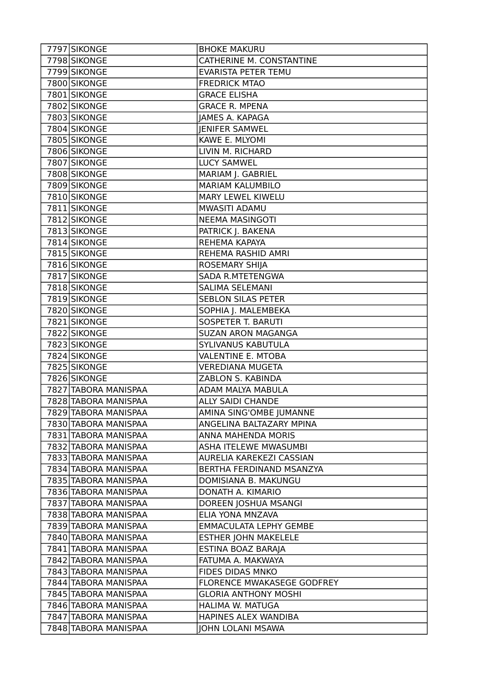| 7797 SIKONGE         | <b>BHOKE MAKURU</b>           |
|----------------------|-------------------------------|
| 7798 SIKONGE         | CATHERINE M. CONSTANTINE      |
| 7799 SIKONGE         | EVARISTA PETER TEMU           |
| 7800 SIKONGE         | <b>FREDRICK MTAO</b>          |
| 7801 SIKONGE         | <b>GRACE ELISHA</b>           |
| 7802 SIKONGE         | <b>GRACE R. MPENA</b>         |
| 7803 SIKONGE         | <b>JAMES A. KAPAGA</b>        |
| 7804 SIKONGE         | <b>JENIFER SAMWEL</b>         |
| 7805 SIKONGE         | KAWE E. MLYOMI                |
| 7806 SIKONGE         | LIVIN M. RICHARD              |
| 7807 SIKONGE         | <b>LUCY SAMWEL</b>            |
| 7808 SIKONGE         | MARIAM J. GABRIEL             |
| 7809 SIKONGE         | <b>MARIAM KALUMBILO</b>       |
| 7810 SIKONGE         | MARY LEWEL KIWELU             |
| 7811 SIKONGE         | MWASITI ADAMU                 |
| 7812 SIKONGE         | <b>NEEMA MASINGOTI</b>        |
| 7813 SIKONGE         | PATRICK J. BAKENA             |
| 7814 SIKONGE         | REHEMA KAPAYA                 |
| 7815 SIKONGE         | REHEMA RASHID AMRI            |
| 7816 SIKONGE         | <b>ROSEMARY SHIJA</b>         |
| 7817 SIKONGE         | SADA R.MTETENGWA              |
| 7818 SIKONGE         | <b>SALIMA SELEMANI</b>        |
| 7819 SIKONGE         | <b>SEBLON SILAS PETER</b>     |
| 7820 SIKONGE         | SOPHIA J. MALEMBEKA           |
| 7821 SIKONGE         | <b>SOSPETER T. BARUTI</b>     |
| 7822 SIKONGE         | <b>SUZAN ARON MAGANGA</b>     |
| 7823 SIKONGE         | SYLIVANUS KABUTULA            |
| 7824 SIKONGE         | <b>VALENTINE E. MTOBA</b>     |
| 7825 SIKONGE         | <b>VEREDIANA MUGETA</b>       |
| 7826 SIKONGE         | ZABLON S. KABINDA             |
| 7827 TABORA MANISPAA | ADAM MALYA MABULA             |
| 7828 TABORA MANISPAA | <b>ALLY SAIDI CHANDE</b>      |
| 7829 TABORA MANISPAA | AMINA SING'OMBE JUMANNE       |
| 7830 TABORA MANISPAA | ANGELINA BALTAZARY MPINA      |
| 7831 TABORA MANISPAA | ANNA MAHENDA MORIS            |
| 7832 TABORA MANISPAA | ASHA ITELEWE MWASUMBI         |
| 7833 TABORA MANISPAA | AURELIA KAREKEZI CASSIAN      |
| 7834 TABORA MANISPAA | BERTHA FERDINAND MSANZYA      |
| 7835 TABORA MANISPAA | DOMISIANA B. MAKUNGU          |
| 7836 TABORA MANISPAA | DONATH A. KIMARIO             |
| 7837 TABORA MANISPAA | DOREEN JOSHUA MSANGI          |
| 7838 TABORA MANISPAA | ELIA YONA MNZAVA              |
| 7839 TABORA MANISPAA | <b>EMMACULATA LEPHY GEMBE</b> |
| 7840 TABORA MANISPAA | <b>ESTHER JOHN MAKELELE</b>   |
| 7841 TABORA MANISPAA | ESTINA BOAZ BARAJA            |
| 7842 TABORA MANISPAA | FATUMA A. MAKWAYA             |
| 7843 TABORA MANISPAA | FIDES DIDAS MNKO              |
| 7844 TABORA MANISPAA | FLORENCE MWAKASEGE GODFREY    |
| 7845 TABORA MANISPAA | <b>GLORIA ANTHONY MOSHI</b>   |
| 7846 TABORA MANISPAA | HALIMA W. MATUGA              |
| 7847 TABORA MANISPAA | HAPINES ALEX WANDIBA          |
| 7848 TABORA MANISPAA | JOHN LOLANI MSAWA             |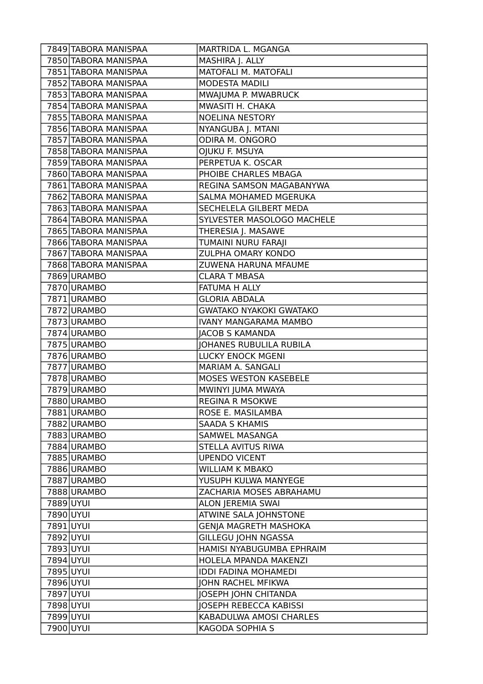|           | 7849 TABORA MANISPAA | MARTRIDA L. MGANGA             |
|-----------|----------------------|--------------------------------|
|           | 7850 TABORA MANISPAA | MASHIRA J. ALLY                |
|           | 7851 TABORA MANISPAA | MATOFALI M. MATOFALI           |
|           | 7852 TABORA MANISPAA | <b>MODESTA MADILI</b>          |
|           | 7853 TABORA MANISPAA | MWAJUMA P. MWABRUCK            |
|           | 7854 TABORA MANISPAA | MWASITI H. CHAKA               |
|           | 7855 TABORA MANISPAA | <b>NOELINA NESTORY</b>         |
|           | 7856 TABORA MANISPAA | NYANGUBA J. MTANI              |
|           | 7857 TABORA MANISPAA | ODIRA M. ONGORO                |
|           | 7858 TABORA MANISPAA | OJUKU F. MSUYA                 |
|           | 7859 TABORA MANISPAA | PERPETUA K. OSCAR              |
|           | 7860 TABORA MANISPAA | PHOIBE CHARLES MBAGA           |
|           | 7861 TABORA MANISPAA | REGINA SAMSON MAGABANYWA       |
|           | 7862 TABORA MANISPAA | SALMA MOHAMED MGERUKA          |
|           | 7863 TABORA MANISPAA | SECHELELA GILBERT MEDA         |
|           | 7864 TABORA MANISPAA | SYLVESTER MASOLOGO MACHELE     |
|           | 7865 TABORA MANISPAA | THERESIA J. MASAWE             |
|           | 7866 TABORA MANISPAA | TUMAINI NURU FARAJI            |
|           | 7867 TABORA MANISPAA | ZULPHA OMARY KONDO             |
|           | 7868 TABORA MANISPAA | ZUWENA HARUNA MFAUME           |
|           | 7869 URAMBO          | <b>CLARA T MBASA</b>           |
|           | 7870 URAMBO          | FATUMA H ALLY                  |
|           | 7871 URAMBO          | <b>GLORIA ABDALA</b>           |
|           | 7872 URAMBO          | <b>GWATAKO NYAKOKI GWATAKO</b> |
|           | 7873 URAMBO          | <b>IVANY MANGARAMA MAMBO</b>   |
|           | 7874 URAMBO          | <b>JACOB S KAMANDA</b>         |
|           | 7875 URAMBO          | <b>JOHANES RUBULILA RUBILA</b> |
|           | 7876 URAMBO          | <b>LUCKY ENOCK MGENI</b>       |
|           | 7877 URAMBO          | MARIAM A. SANGALI              |
|           | 7878 URAMBO          | MOSES WESTON KASEBELE          |
|           | 7879 URAMBO          | MWINYI JUMA MWAYA              |
|           | 7880 URAMBO          | <b>REGINA R MSOKWE</b>         |
|           | 7881 URAMBO          | ROSE E. MASILAMBA              |
|           | 7882 URAMBO          | <b>SAADA S KHAMIS</b>          |
|           | 7883 URAMBO          | SAMWEL MASANGA                 |
|           | 7884 URAMBO          | STELLA AVITUS RIWA             |
|           | 7885 URAMBO          | <b>UPENDO VICENT</b>           |
|           | 7886 URAMBO          | <b>WILLIAM K MBAKO</b>         |
|           | 7887 URAMBO          | YUSUPH KULWA MANYEGE           |
|           | 7888 URAMBO          | ZACHARIA MOSES ABRAHAMU        |
| 7889 UYUI |                      | ALON JEREMIA SWAI              |
| 7890 UYUI |                      | ATWINE SALA JOHNSTONE          |
| 7891 UYUI |                      | <b>GENJA MAGRETH MASHOKA</b>   |
| 7892 UYUI |                      | <b>GILLEGU JOHN NGASSA</b>     |
| 7893 UYUI |                      | HAMISI NYABUGUMBA EPHRAIM      |
| 7894 UYUI |                      | HOLELA MPANDA MAKENZI          |
| 7895 UYUI |                      | <b>IDDI FADINA MOHAMEDI</b>    |
| 7896 UYUI |                      | JOHN RACHEL MFIKWA             |
| 7897 UYUI |                      | JOSEPH JOHN CHITANDA           |
| 7898 UYUI |                      | <b>JOSEPH REBECCA KABISSI</b>  |
| 7899 UYUI |                      | KABADULWA AMOSI CHARLES        |
| 7900 UYUI |                      | KAGODA SOPHIA S                |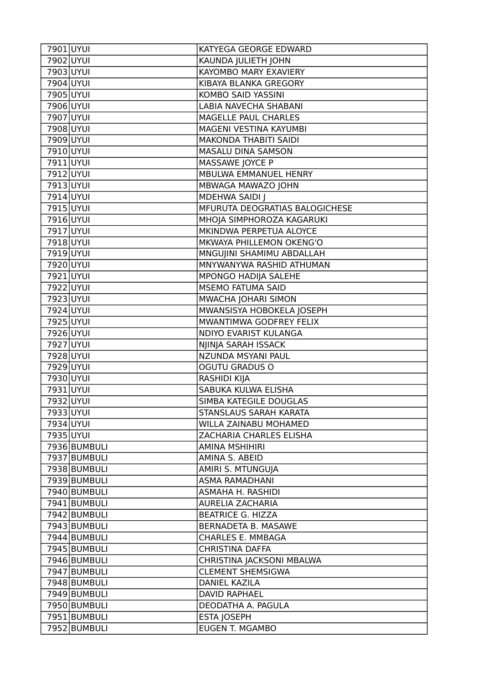|                              | KATYEGA GEORGE EDWARD                        |
|------------------------------|----------------------------------------------|
| 7902 UYUI                    | KAUNDA JULIETH JOHN                          |
| 7903 UYUI                    | KAYOMBO MARY EXAVIERY                        |
| 7904 UYUI                    | KIBAYA BLANKA GREGORY                        |
| 7905 UYUI                    | KOMBO SAID YASSINI                           |
| 7906 UYUI                    | LABIA NAVECHA SHABANI                        |
| 7907 UYUI                    | MAGELLE PAUL CHARLES                         |
| 7908 UYUI                    | MAGENI VESTINA KAYUMBI                       |
| 7909 UYUI                    | <b>MAKONDA THABITI SAIDI</b>                 |
| 7910 UYUI                    | MASALU DINA SAMSON                           |
| 7911 UYUI                    | MASSAWE JOYCE P                              |
| 7912 UYUI                    | MBULWA EMMANUEL HENRY                        |
| 7913 UYUI                    | MBWAGA MAWAZO JOHN                           |
| 7914 UYUI                    | <b>MDEHWA SAIDI J</b>                        |
| 7915 UYUI                    | MFURUTA DEOGRATIAS BALOGICHESE               |
| 7916 UYUI                    | MHOJA SIMPHOROZA KAGARUKI                    |
| 7917 UYUI                    | MKINDWA PERPETUA ALOYCE                      |
| $\overline{79}18$ UYUI       | MKWAYA PHILLEMON OKENG'O                     |
| 7919 UYUI                    | MNGUJINI SHAMIMU ABDALLAH                    |
| 7920 UYUI                    | MNYWANYWA RASHID ATHUMAN                     |
| 7921 UYUI                    | MPONGO HADIJA SALEHE                         |
| 7922 UYUI                    | MSEMO FATUMA SAID                            |
| 7923 UYUI                    | MWACHA JOHARI SIMON                          |
| 7924 UYUI                    | MWANSISYA HOBOKELA JOSEPH                    |
| 7925 UYUI                    | MWANTIMWA GODFREY FELIX                      |
| 7926 UYUI                    | NDIYO EVARIST KULANGA                        |
| 7927 UYUI                    | NJINJA SARAH ISSACK                          |
| 7928 UYUI                    | NZUNDA MSYANI PAUL                           |
| 7929 UYUI                    | <b>OGUTU GRADUS O</b>                        |
| 7930 UYUI                    | RASHIDI KIJA                                 |
| 7931 UYUI                    | SABUKA KULWA ELISHA                          |
| 7932 UYUI                    | SIMBA KATEGILE DOUGLAS                       |
| 7933 UYUI                    |                                              |
|                              | STANSLAUS SARAH KARATA                       |
| 7934 UYUI                    | WILLA ZAINABU MOHAMED                        |
| 7935 UYUI                    | ZACHARIA CHARLES ELISHA                      |
| 7936 BUMBULI                 | <b>AMINA MSHIHIRI</b>                        |
| 7937 BUMBULI                 | AMINA S. ABEID                               |
| 7938 BUMBULI                 | AMIRI S. MTUNGUJA                            |
| 7939 BUMBULI                 | <b>ASMA RAMADHANI</b>                        |
| 7940 BUMBULI                 | ASMAHA H. RASHIDI                            |
| 7941 BUMBULI                 | <b>AURELIA ZACHARIA</b>                      |
| 7942 BUMBULI                 | <b>BEATRICE G. HIZZA</b>                     |
| 7943 BUMBULI                 | BERNADETA B. MASAWE                          |
| 7944 BUMBULI                 | CHARLES E. MMBAGA                            |
| 7945 BUMBULI                 | <b>CHRISTINA DAFFA</b>                       |
| 7946 BUMBULI                 | CHRISTINA JACKSONI MBALWA                    |
| 7947 BUMBULI                 | <b>CLEMENT SHEMSIGWA</b>                     |
| 7948 BUMBULI                 | DANIEL KAZILA                                |
| 7949 BUMBULI                 | <b>DAVID RAPHAEL</b>                         |
| 7950 BUMBULI                 | DEODATHA A. PAGULA                           |
| 7951 BUMBULI<br>7952 BUMBULI | <b>ESTA JOSEPH</b><br><b>EUGEN T. MGAMBO</b> |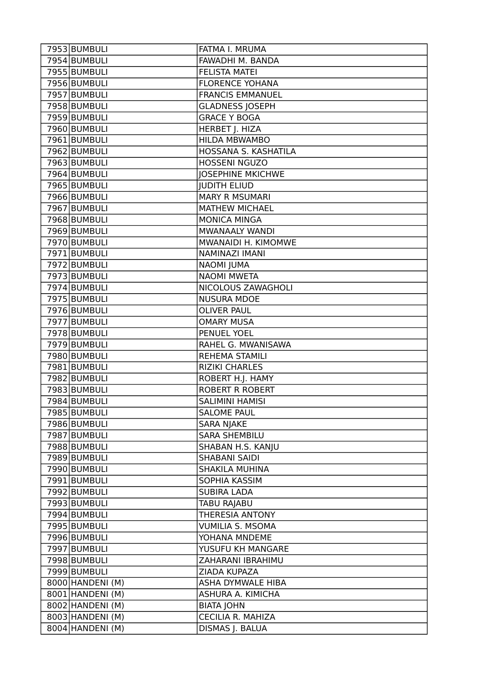| 7953 BUMBULI               | FATMA I. MRUMA           |
|----------------------------|--------------------------|
| 7954 BUMBULI               | FAWADHI M. BANDA         |
| 7955 BUMBULI               | <b>FELISTA MATEI</b>     |
| 7956 BUMBULI               | <b>FLORENCE YOHANA</b>   |
| 7957 BUMBULI               | <b>FRANCIS EMMANUEL</b>  |
| 7958 BUMBULI               | <b>GLADNESS JOSEPH</b>   |
| 7959 BUMBULI               | <b>GRACE Y BOGA</b>      |
| 7960 BUMBULI               | HERBET J. HIZA           |
| 7961 BUMBULI               | HILDA MBWAMBO            |
| 7962 BUMBULI               | HOSSANA S. KASHATILA     |
| 7963 BUMBULI               | <b>HOSSENI NGUZO</b>     |
| 7964 BUMBULI               | <b>JOSEPHINE MKICHWE</b> |
| 7965 BUMBULI               | <b>JUDITH ELIUD</b>      |
| 7966 BUMBULI               | <b>MARY R MSUMARI</b>    |
| 7967 BUMBULI               | <b>MATHEW MICHAEL</b>    |
| 7968 BUMBULI               | <b>MONICA MINGA</b>      |
| 7969 BUMBULI               | <b>MWANAALY WANDI</b>    |
| 7970 BUMBULI               | MWANAIDI H. KIMOMWE      |
| 7971 BUMBULI               | NAMINAZI IMANI           |
| 7972 BUMBULI               | <b>NAOMI JUMA</b>        |
| 7973 BUMBULI               | <b>NAOMI MWETA</b>       |
| 7974 BUMBULI               | NICOLOUS ZAWAGHOLI       |
| 7975 BUMBULI               | <b>NUSURA MDOE</b>       |
| $\overline{797}$ 6 BUMBULI | <b>OLIVER PAUL</b>       |
| 7977 BUMBULI               | <b>OMARY MUSA</b>        |
| 7978 BUMBULI               | PENUEL YOEL              |
| 7979 BUMBULI               | RAHEL G. MWANISAWA       |
| $7980$ BUMBULI             | <b>REHEMA STAMILI</b>    |
| 7981 BUMBULI               | <b>RIZIKI CHARLES</b>    |
| 7982 BUMBULI               | ROBERT H.J. HAMY         |
| 7983 BUMBULI               | <b>ROBERT R ROBERT</b>   |
| 7984 BUMBULI               | <b>SALIMINI HAMISI</b>   |
| 7985 BUMBULI               | <b>SALOME PAUL</b>       |
| 7986 BUMBULI               | SARA NJAKE               |
| 7987 BUMBULI               | <b>SARA SHEMBILU</b>     |
| 7988 BUMBULI               | SHABAN H.S. KANJU        |
| 7989 BUMBULI               | <b>SHABANI SAIDI</b>     |
| 7990 BUMBULI               | SHAKILA MUHINA           |
| 7991 BUMBULI               | SOPHIA KASSIM            |
| 7992 BUMBULI               | <b>SUBIRA LADA</b>       |
| 7993 BUMBULI               | <b>TABU RAJABU</b>       |
| 7994 BUMBULI               | THERESIA ANTONY          |
| 7995 BUMBULI               | <b>VUMILIA S. MSOMA</b>  |
| 7996 BUMBULI               | YOHANA MNDEME            |
| 7997 BUMBULI               | YUSUFU KH MANGARE        |
| 7998 BUMBULI               | ZAHARANI IBRAHIMU        |
| 7999 BUMBULI               | ZIADA KUPAZA             |
| 8000 HANDENI (M)           | ASHA DYMWALE HIBA        |
| 8001   HANDENI (M)         | ASHURA A. KIMICHA        |
| 8002 HANDENI (M)           | <b>BIATA JOHN</b>        |
| 8003 HANDENI (M)           | CECILIA R. MAHIZA        |
| 8004 HANDENI (M)           | DISMAS J. BALUA          |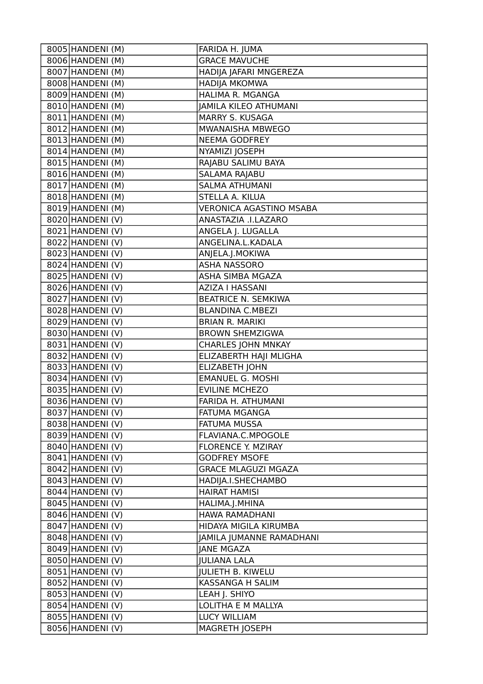| 8005 HANDENI (M)              | FARIDA H. JUMA                 |
|-------------------------------|--------------------------------|
| 8006 HANDENI (M)              | <b>GRACE MAVUCHE</b>           |
| 8007 HANDENI (M)              | HADIJA JAFARI MNGEREZA         |
| 8008 HANDENI (M)              | <b>HADIJA MKOMWA</b>           |
| 8009 HANDENI (M)              | HALIMA R. MGANGA               |
| 8010 HANDENI (M)              | JAMILA KILEO ATHUMANI          |
| 8011 HANDENI (M)              | MARRY S. KUSAGA                |
| 8012 HANDENI (M)              | MWANAISHA MBWEGO               |
| 8013 HANDENI (M)              | <b>NEEMA GODFREY</b>           |
| 8014 HANDENI (M)              | NYAMIZI JOSEPH                 |
| 8015 HANDENI (M)              | RAJABU SALIMU BAYA             |
| 8016 HANDENI (M)              | SALAMA RAJABU                  |
| 8017 HANDENI (M)              | <b>SALMA ATHUMANI</b>          |
| 8018 HANDENI (M)              | STELLA A. KILUA                |
| 8019 HANDENI (M)              | <b>VERONICA AGASTINO MSABA</b> |
| 8020 HANDENI (V)              | ANASTAZIA .I.LAZARO            |
| 8021 HANDENI (V)              | ANGELA J. LUGALLA              |
| 8022 HANDENI (V)              | ANGELINA.L.KADALA              |
| 8023 HANDENI (V)              | ANJELA.J.MOKIWA                |
| 8024 HANDENI (V)              | <b>ASHA NASSORO</b>            |
| 8025 HANDENI (V)              | ASHA SIMBA MGAZA               |
| 8026 HANDENI (V)              | <b>AZIZA I HASSANI</b>         |
| 8027 HANDENI (V)              | <b>BEATRICE N. SEMKIWA</b>     |
| 8028 HANDENI (V)              | <b>BLANDINA C.MBEZI</b>        |
| 8029 HANDENI (V)              | <b>BRIAN R. MARIKI</b>         |
| 8030 HANDENI (V)              | <b>BROWN SHEMZIGWA</b>         |
| 8031 HANDENI (V)              | <b>CHARLES JOHN MNKAY</b>      |
| 8032 HANDENI (V)              | ELIZABERTH HAJI MLIGHA         |
| 8033 HANDENI (V)              | <b>ELIZABETH JOHN</b>          |
| $\overline{8034}$ HANDENI (V) | <b>EMANUEL G. MOSHI</b>        |
| 8035 HANDENI (V)              | <b>EVILINE MCHEZO</b>          |
| 8036 HANDENI (V)              | FARIDA H. ATHUMANI             |
| 8037 HANDENI (V)              | FATUMA MGANGA                  |
| 8038 HANDENI (V)              | FATUMA MUSSA                   |
| 8039 HANDENI (V)              | FLAVIANA.C.MPOGOLE             |
| 8040 HANDENI (V)              | FLORENCE Y. MZIRAY             |
| 8041   HANDENI (V)            | <b>GODFREY MSOFE</b>           |
| 8042 HANDENI (V)              | <b>GRACE MLAGUZI MGAZA</b>     |
| 8043 HANDENI (V)              | HADIJA.I.SHECHAMBO             |
| 8044 HANDENI (V)              | <b>HAIRAT HAMISI</b>           |
| 8045 HANDENI (V)              | HALIMA.J.MHINA                 |
| 8046 HANDENI (V)              | HAWA RAMADHANI                 |
| 8047   HANDENI (V)            | HIDAYA MIGILA KIRUMBA          |
| 8048 HANDENI (V)              | JAMILA JUMANNE RAMADHANI       |
| 8049 HANDENI (V)              | <b>JANE MGAZA</b>              |
| 8050 HANDENI (V)              | <b>JULIANA LALA</b>            |
| 8051 HANDENI (V)              | <b>JULIETH B. KIWELU</b>       |
| 8052 HANDENI (V)              | KASSANGA H SALIM               |
| 8053 HANDENI (V)              | LEAH J. SHIYO                  |
| 8054 HANDENI (V)              | LOLITHA E M MALLYA             |
| 8055 HANDENI (V)              | LUCY WILLIAM                   |
| 8056 HANDENI (V)              | MAGRETH JOSEPH                 |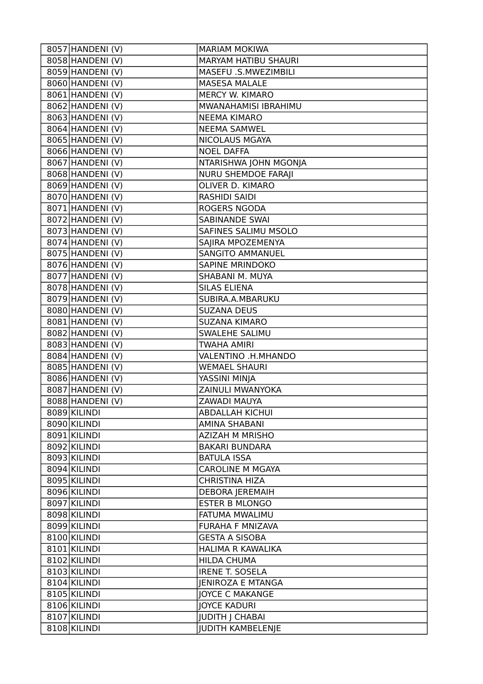| 8057 HANDENI (V)              | <b>MARIAM MOKIWA</b>        |
|-------------------------------|-----------------------------|
| 8058 HANDENI (V)              | <b>MARYAM HATIBU SHAURI</b> |
| 8059 HANDENI (V)              | MASEFU .S.MWEZIMBILI        |
| 8060 HANDENI (V)              | <b>MASESA MALALE</b>        |
| 8061 HANDENI (V)              | MERCY W. KIMARO             |
| 8062 HANDENI (V)              | MWANAHAMISI IBRAHIMU        |
| 8063 HANDENI (V)              | <b>NEEMA KIMARO</b>         |
| $\overline{8064}$ HANDENI (V) | <b>NEEMA SAMWEL</b>         |
| 8065 HANDENI (V)              | <b>NICOLAUS MGAYA</b>       |
| 8066 HANDENI (V)              | <b>NOEL DAFFA</b>           |
| 8067 HANDENI (V)              | NTARISHWA JOHN MGONJA       |
| 8068 HANDENI (V)              | NURU SHEMDOE FARAJI         |
| 8069 HANDENI (V)              | OLIVER D. KIMARO            |
| 8070 HANDENI (V)              | <b>RASHIDI SAIDI</b>        |
| 8071 HANDENI (V)              | <b>ROGERS NGODA</b>         |
| 8072 HANDENI (V)              | <b>SABINANDE SWAI</b>       |
| 8073 HANDENI (V)              | SAFINES SALIMU MSOLO        |
| 8074 HANDENI (V)              | SAJIRA MPOZEMENYA           |
| 8075 HANDENI (V)              | <b>SANGITO AMMANUEL</b>     |
| 8076 HANDENI (V)              | <b>SAPINE MRINDOKO</b>      |
| 8077 HANDENI (V)              | SHABANI M. MUYA             |
| 8078 HANDENI (V)              | <b>SILAS ELIENA</b>         |
| 8079 HANDENI (V)              | SUBIRA.A.MBARUKU            |
| 8080 HANDENI (V)              | <b>SUZANA DEUS</b>          |
| 8081 HANDENI (V)              | <b>SUZANA KIMARO</b>        |
| 8082 HANDENI (V)              | SWALEHE SALIMU              |
| 8083 HANDENI (V)              | <b>TWAHA AMIRI</b>          |
| 8084 HANDENI (V)              | VALENTINO .H.MHANDO         |
| 8085 HANDENI (V)              | <b>WEMAEL SHAURI</b>        |
| $\overline{8086}$ HANDENI (V) | YASSINI MINJA               |
| 8087 HANDENI (V)              | ZAINULI MWANYOKA            |
| 8088 HANDENI (V)              | ZAWADI MAUYA                |
| 8089 KILINDI                  | <b>ABDALLAH KICHUI</b>      |
| 8090 KILINDI                  | <b>AMINA SHABANI</b>        |
| 8091 KILINDI                  | <b>AZIZAH M MRISHO</b>      |
| 8092 KILINDI                  | <b>BAKARI BUNDARA</b>       |
| 8093 KILINDI                  | <b>BATULA ISSA</b>          |
| 8094 KILINDI                  | <b>CAROLINE M MGAYA</b>     |
| 8095 KILINDI                  | <b>CHRISTINA HIZA</b>       |
| 8096 KILINDI                  | <b>DEBORA JEREMAIH</b>      |
| 8097 KILINDI                  | <b>ESTER B MLONGO</b>       |
| 8098 KILINDI                  | FATUMA MWALIMU              |
| 8099 KILINDI                  | <b>FURAHA F MNIZAVA</b>     |
| 8100 KILINDI                  | <b>GESTA A SISOBA</b>       |
| 8101 KILINDI                  | HALIMA R KAWALIKA           |
| 8102 KILINDI                  | <b>HILDA CHUMA</b>          |
| 8103 KILINDI                  | <b>IRENE T. SOSELA</b>      |
| 8104 KILINDI                  | <b>JENIROZA E MTANGA</b>    |
| 8105 KILINDI                  | <b>JOYCE C MAKANGE</b>      |
| 8106 KILINDI                  | <b>JOYCE KADURI</b>         |
| 8107 KILINDI                  | <b>JUDITH   CHABAI</b>      |
| 8108 KILINDI                  | <b>JUDITH KAMBELENJE</b>    |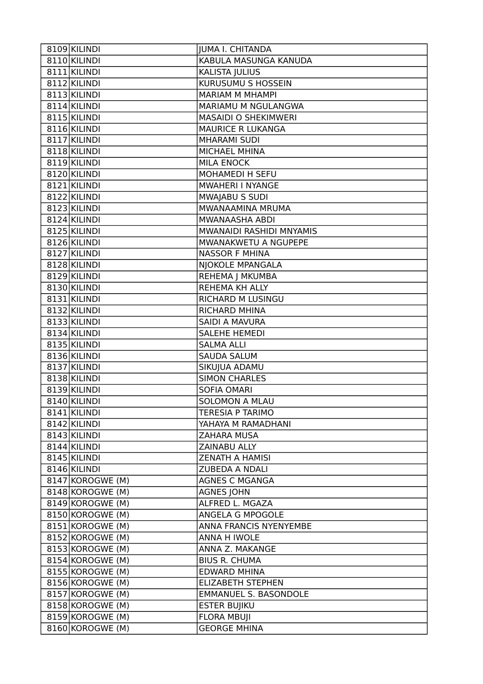| 8109 KILINDI              | <b>JUMA I. CHITANDA</b>      |
|---------------------------|------------------------------|
| 8110 KILINDI              | KABULA MASUNGA KANUDA        |
| 8111 KILINDI              | KALISTA JULIUS               |
| 8112 KILINDI              | KURUSUMU S HOSSEIN           |
| 8113 KILINDI              | <b>MARIAM M MHAMPI</b>       |
| 8114 KILINDI              | MARIAMU M NGULANGWA          |
| 8115 KILINDI              | <b>MASAIDI O SHEKIMWERI</b>  |
| 8116 KILINDI              | <b>MAURICE R LUKANGA</b>     |
| 8117 KILINDI              | <b>MHARAMI SUDI</b>          |
| 8118 KILINDI              | MICHAEL MHINA                |
| 8119 KILINDI              | <b>MILA ENOCK</b>            |
| 8120 KILINDI              | MOHAMEDI H SEFU              |
| 8121 KILINDI              | MWAHERI I NYANGE             |
| 8122 KILINDI              | MWAJABU S SUDI               |
| 8123 KILINDI              | MWANAAMINA MRUMA             |
| 8124 KILINDI              | MWANAASHA ABDI               |
| 8125 KILINDI              | MWANAIDI RASHIDI MNYAMIS     |
| 8126 KILINDI              | MWANAKWETU A NGUPEPE         |
| 8127 KILINDI              | <b>NASSOR F MHINA</b>        |
| 8128 KILINDI              | NJOKOLE MPANGALA             |
| 8129 KILINDI              | REHEMA J MKUMBA              |
| 8130 KILINDI              | REHEMA KH ALLY               |
| 8131 KILINDI              | RICHARD M LUSINGU            |
| 8132 KILINDI              | RICHARD MHINA                |
| $\overline{8133}$ KILINDI | SAIDI A MAVURA               |
| 8134 KILINDI              | <b>SALEHE HEMEDI</b>         |
| 8135 KILINDI              | <b>SALMA ALLI</b>            |
| 8136 KILINDI              | <b>SAUDA SALUM</b>           |
| 8137 KILINDI              | SIKUJUA ADAMU                |
| 8138 KILINDI              | <b>SIMON CHARLES</b>         |
| 8139 KILINDI              | <b>SOFIA OMARI</b>           |
| 8140 KILINDI              | <b>SOLOMON A MLAU</b>        |
| 8141 KILINDI              | TERESIA P TARIMO             |
| 8142 KILINDI              | YAHAYA M RAMADHANI           |
| 8143 KILINDI              | <b>ZAHARA MUSA</b>           |
| 8144 KILINDI              | ZAINABU ALLY                 |
| 8145 KILINDI              | <b>ZENATH A HAMISI</b>       |
| 8146 KILINDI              | <b>ZUBEDA A NDALI</b>        |
| 8147 KOROGWE (M)          | <b>AGNES C MGANGA</b>        |
| 8148 KOROGWE (M)          | <b>AGNES JOHN</b>            |
| 8149 KOROGWE (M)          | ALFRED L. MGAZA              |
| 8150 KOROGWE (M)          | ANGELA G MPOGOLE             |
| 8151 KOROGWE (M)          | ANNA FRANCIS NYENYEMBE       |
| 8152 KOROGWE (M)          | ANNA H IWOLE                 |
| 8153 KOROGWE (M)          | ANNA Z. MAKANGE              |
| 8154 KOROGWE (M)          | <b>BIUS R. CHUMA</b>         |
| 8155 KOROGWE (M)          | <b>EDWARD MHINA</b>          |
| 8156 KOROGWE (M)          | <b>ELIZABETH STEPHEN</b>     |
| 8157 KOROGWE (M)          | <b>EMMANUEL S. BASONDOLE</b> |
| 8158 KOROGWE (M)          | <b>ESTER BUJIKU</b>          |
| 8159 KOROGWE (M)          | <b>FLORA MBUJI</b>           |
| 8160 KOROGWE (M)          | <b>GEORGE MHINA</b>          |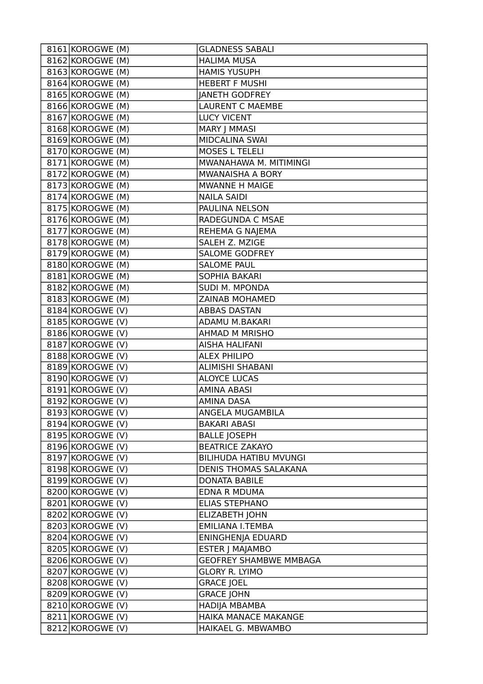| 8161 KOROGWE (M)   | <b>GLADNESS SABALI</b>        |
|--------------------|-------------------------------|
| 8162 KOROGWE (M)   | <b>HALIMA MUSA</b>            |
| 8163 KOROGWE (M)   | <b>HAMIS YUSUPH</b>           |
| 8164 KOROGWE (M)   | <b>HEBERT F MUSHI</b>         |
| 8165 KOROGWE (M)   | <b>JANETH GODFREY</b>         |
| 8166 KOROGWE (M)   | <b>LAURENT C MAEMBE</b>       |
| 8167 KOROGWE (M)   | <b>LUCY VICENT</b>            |
| 8168 KOROGWE (M)   | MARY J MMASI                  |
| 8169 KOROGWE (M)   | MIDCALINA SWAI                |
| 8170 KOROGWE (M)   | <b>MOSES L TELELI</b>         |
| 8171 KOROGWE (M)   | MWANAHAWA M. MITIMINGI        |
| 8172 KOROGWE (M)   | MWANAISHA A BORY              |
| 8173 KOROGWE (M)   | MWANNE H MAIGE                |
| 8174 KOROGWE (M)   | <b>NAILA SAIDI</b>            |
| 8175 KOROGWE (M)   | PAULINA NELSON                |
| 8176 KOROGWE (M)   | RADEGUNDA C MSAE              |
| 8177 KOROGWE (M)   | REHEMA G NAJEMA               |
| 8178 KOROGWE (M)   | SALEH Z. MZIGE                |
| 8179 KOROGWE (M)   | <b>SALOME GODFREY</b>         |
| 8180 KOROGWE (M)   | <b>SALOME PAUL</b>            |
| 8181 KOROGWE (M)   | SOPHIA BAKARI                 |
| 8182 KOROGWE (M)   | <b>SUDI M. MPONDA</b>         |
| 8183 KOROGWE (M)   | <b>ZAINAB MOHAMED</b>         |
| 8184 KOROGWE (V)   | <b>ABBAS DASTAN</b>           |
| 8185 KOROGWE (V)   | ADAMU M.BAKARI                |
| 8186 KOROGWE (V)   | <b>AHMAD M MRISHO</b>         |
| 8187 KOROGWE (V)   | <b>AISHA HALIFANI</b>         |
| 8188 KOROGWE (V)   | <b>ALEX PHILIPO</b>           |
| 8189 KOROGWE (V)   | ALIMISHI SHABANI              |
| 8190 KOROGWE (V)   | <b>ALOYCE LUCAS</b>           |
| 8191 KOROGWE (V)   | <b>AMINA ABASI</b>            |
| 8192 KOROGWE (V)   | AMINA DASA                    |
| 8193 KOROGWE (V)   | ANGELA MUGAMBILA              |
| 8194 KOROGWE (V)   | <b>BAKARI ABASI</b>           |
| 8195 KOROGWE (V)   | <b>BALLE JOSEPH</b>           |
| 8196 KOROGWE (V)   | <b>BEATRICE ZAKAYO</b>        |
| $8197$ KOROGWE (V) | <b>BILIHUDA HATIBU MVUNGI</b> |
| 8198 KOROGWE (V)   | <b>DENIS THOMAS SALAKANA</b>  |
| 8199 KOROGWE (V)   | <b>DONATA BABILE</b>          |
| 8200 KOROGWE (V)   | <b>EDNA R MDUMA</b>           |
| 8201 KOROGWE (V)   | <b>ELIAS STEPHANO</b>         |
| 8202 KOROGWE (V)   | <b>ELIZABETH JOHN</b>         |
| 8203 KOROGWE (V)   | <b>EMILIANA I.TEMBA</b>       |
| 8204 KOROGWE (V)   | ENINGHENJA EDUARD             |
| 8205 KOROGWE (V)   | <b>ESTER J MAJAMBO</b>        |
| 8206 KOROGWE (V)   | <b>GEOFREY SHAMBWE MMBAGA</b> |
| 8207 KOROGWE (V)   | <b>GLORY R. LYIMO</b>         |
| 8208 KOROGWE (V)   | <b>GRACE JOEL</b>             |
| 8209 KOROGWE (V)   | <b>GRACE JOHN</b>             |
| 8210 KOROGWE (V)   | <b>HADIJA MBAMBA</b>          |
| 8211 KOROGWE (V)   | HAIKA MANACE MAKANGE          |
| 8212 KOROGWE (V)   | HAIKAEL G. MBWAMBO            |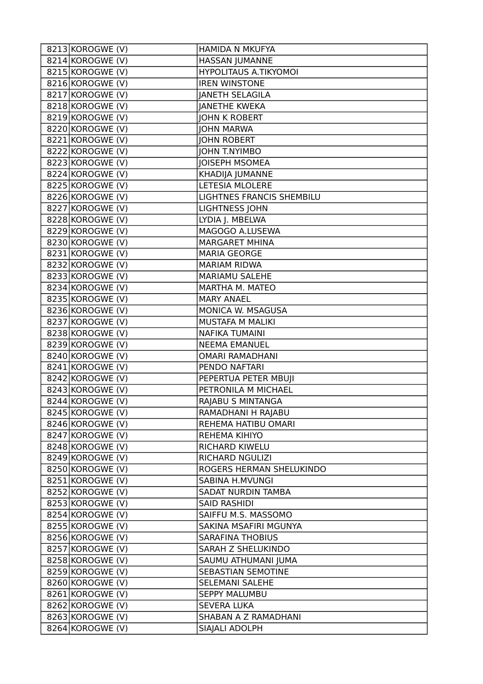| 8213 KOROGWE (V)   | HAMIDA N MKUFYA              |
|--------------------|------------------------------|
| 8214 KOROGWE (V)   | HASSAN JUMANNE               |
| 8215 KOROGWE (V)   | <b>HYPOLITAUS A.TIKYOMOI</b> |
| 8216 KOROGWE (V)   | <b>IREN WINSTONE</b>         |
| 8217 KOROGWE (V)   | <b>JANETH SELAGILA</b>       |
| 8218 KOROGWE (V)   | <b>JANETHE KWEKA</b>         |
| 8219 KOROGWE (V)   | <b>JOHN K ROBERT</b>         |
| 8220 KOROGWE (V)   | <b>JOHN MARWA</b>            |
| 8221 KOROGWE (V)   | <b>JOHN ROBERT</b>           |
| 8222 KOROGWE (V)   | <b>JOHN T.NYIMBO</b>         |
| 8223 KOROGWE (V)   | <b>JOISEPH MSOMEA</b>        |
| 8224 KOROGWE (V)   | KHADIJA JUMANNE              |
| $8225$ KOROGWE (V) | LETESIA MLOLERE              |
| 8226 KOROGWE (V)   | LIGHTNES FRANCIS SHEMBILU    |
| 8227 KOROGWE (V)   | <b>LIGHTNESS JOHN</b>        |
| 8228 KOROGWE (V)   | LYDIA J. MBELWA              |
| 8229 KOROGWE (V)   | MAGOGO A.LUSEWA              |
| 8230 KOROGWE (V)   | <b>MARGARET MHINA</b>        |
| 8231 KOROGWE (V)   | <b>MARIA GEORGE</b>          |
| 8232 KOROGWE (V)   | <b>MARIAM RIDWA</b>          |
| 8233 KOROGWE (V)   | MARIAMU SALEHE               |
| $8234$ KOROGWE (V) | MARTHA M. MATEO              |
| 8235 KOROGWE (V)   | <b>MARY ANAEL</b>            |
| 8236 KOROGWE (V)   | MONICA W. MSAGUSA            |
| 8237 KOROGWE (V)   | MUSTAFA M MALIKI             |
| 8238 KOROGWE (V)   | <b>NAFIKA TUMAINI</b>        |
| 8239 KOROGWE (V)   | <b>NEEMA EMANUEL</b>         |
| 8240 KOROGWE (V)   | <b>OMARI RAMADHANI</b>       |
| 8241 KOROGWE (V)   | PENDO NAFTARI                |
| $8242$ KOROGWE (V) | PEPERTUA PETER MBUJI         |
| $8243$ KOROGWE (V) | PETRONILA M MICHAEL          |
| 8244 KOROGWE (V)   | RAJABU S MINTANGA            |
| 8245 KOROGWE (V)   | RAMADHANI H RAJABU           |
| 8246 KOROGWE (V)   | REHEMA HATIBU OMARI          |
| 8247 KOROGWE (V)   | REHEMA KIHIYO                |
| 8248 KOROGWE (V)   | RICHARD KIWELU               |
| 8249 KOROGWE (V)   | <b>RICHARD NGULIZI</b>       |
| 8250 KOROGWE (V)   | ROGERS HERMAN SHELUKINDO     |
| 8251 KOROGWE (V)   | <b>SABINA H.MVUNGI</b>       |
| 8252 KOROGWE (V)   | SADAT NURDIN TAMBA           |
| 8253 KOROGWE (V)   | <b>SAID RASHIDI</b>          |
| 8254 KOROGWE (V)   | SAIFFU M.S. MASSOMO          |
| 8255 KOROGWE (V)   | SAKINA MSAFIRI MGUNYA        |
| 8256 KOROGWE (V)   | <b>SARAFINA THOBIUS</b>      |
| 8257 KOROGWE (V)   | SARAH Z SHELUKINDO           |
| 8258 KOROGWE (V)   | SAUMU ATHUMANI JUMA          |
| 8259 KOROGWE (V)   | SEBASTIAN SEMOTINE           |
| 8260 KOROGWE (V)   | SELEMANI SALEHE              |
| 8261 KOROGWE (V)   | <b>SEPPY MALUMBU</b>         |
| 8262 KOROGWE (V)   | SEVERA LUKA                  |
| 8263 KOROGWE (V)   | SHABAN A Z RAMADHANI         |
| 8264 KOROGWE (V)   | SIAJALI ADOLPH               |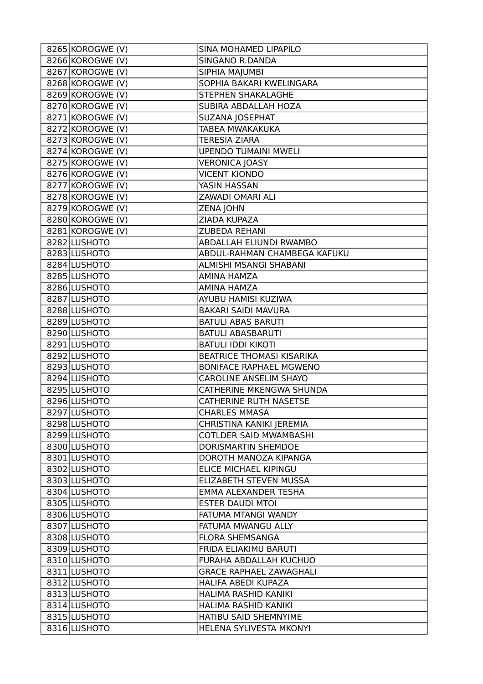| 8265 KOROGWE (V)   | SINA MOHAMED LIPAPILO            |
|--------------------|----------------------------------|
| 8266 KOROGWE (V)   | SINGANO R.DANDA                  |
| 8267 KOROGWE (V)   | SIPHIA MAJUMBI                   |
| 8268 KOROGWE (V)   | SOPHIA BAKARI KWELINGARA         |
| $8269$ KOROGWE (V) | STEPHEN SHAKALAGHE               |
| 8270 KOROGWE (V)   | SUBIRA ABDALLAH HOZA             |
| 8271 KOROGWE (V)   | SUZANA JOSEPHAT                  |
| 8272 KOROGWE (V)   | TABEA MWAKAKUKA                  |
| 8273 KOROGWE (V)   | <b>TERESIA ZIARA</b>             |
| 8274 KOROGWE (V)   | <b>UPENDO TUMAINI MWELI</b>      |
| $8275$ KOROGWE (V) | <b>VERONICA JOASY</b>            |
| 8276 KOROGWE (V)   | <b>VICENT KIONDO</b>             |
| 8277 KOROGWE (V)   | YASIN HASSAN                     |
| 8278 KOROGWE (V)   | ZAWADI OMARI ALI                 |
| $8279$ KOROGWE (V) | <b>ZENA JOHN</b>                 |
| 8280 KOROGWE (V)   | ZIADA KUPAZA                     |
| 8281 KOROGWE (V)   | ZUBEDA REHANI                    |
| 8282 LUSHOTO       | ABDALLAH ELIUNDI RWAMBO          |
| 8283 LUSHOTO       | ABDUL-RAHMAN CHAMBEGA KAFUKU     |
| 8284 LUSHOTO       | ALMISHI MSANGI SHABANI           |
| 8285 LUSHOTO       | <b>AMINA HAMZA</b>               |
| 8286 LUSHOTO       | AMINA HAMZA                      |
| 8287 LUSHOTO       | AYUBU HAMISI KUZIWA              |
| 8288 LUSHOTO       | <b>BAKARI SAIDI MAVURA</b>       |
| 8289 LUSHOTO       | <b>BATULI ABAS BARUTI</b>        |
| 8290 LUSHOTO       | <b>BATULI ABASBARUTI</b>         |
| 8291 LUSHOTO       | <b>BATULI IDDI KIKOTI</b>        |
| 8292 LUSHOTO       | <b>BEATRICE THOMASI KISARIKA</b> |
| 8293 LUSHOTO       | <b>BONIFACE RAPHAEL MGWENO</b>   |
| 8294 LUSHOTO       | <b>CAROLINE ANSELIM SHAYO</b>    |
| 8295 LUSHOTO       | CATHERINE MKENGWA SHUNDA         |
| 8296 LUSHOTO       | <b>CATHERINE RUTH NASETSE</b>    |
| 8297 LUSHOTO       | <b>CHARLES MMASA</b>             |
| 8298 LUSHOTO       | CHRISTINA KANIKI JEREMIA         |
| 8299 LUSHOTO       | <b>COTLDER SAID MWAMBASHI</b>    |
| 8300 LUSHOTO       | DORISMARTIN SHEMDOE              |
| 8301 LUSHOTO       | DOROTH MANOZA KIPANGA            |
| 8302 LUSHOTO       | ELICE MICHAEL KIPINGU            |
| 8303 LUSHOTO       | ELIZABETH STEVEN MUSSA           |
| 8304 LUSHOTO       | EMMA ALEXANDER TESHA             |
| 8305 LUSHOTO       | <b>ESTER DAUDI MTOI</b>          |
| 8306 LUSHOTO       | FATUMA MTANGI WANDY              |
| 8307 LUSHOTO       | FATUMA MWANGU ALLY               |
| 8308 LUSHOTO       | <b>FLORA SHEMSANGA</b>           |
| 8309 LUSHOTO       | FRIDA ELIAKIMU BARUTI            |
| 8310 LUSHOTO       | FURAHA ABDALLAH KUCHUO           |
| 8311 LUSHOTO       | <b>GRACE RAPHAEL ZAWAGHALI</b>   |
| 8312 LUSHOTO       | HALIFA ABEDI KUPAZA              |
| 8313 LUSHOTO       | HALIMA RASHID KANIKI             |
| 8314 LUSHOTO       | HALIMA RASHID KANIKI             |
| 8315 LUSHOTO       | HATIBU SAID SHEMNYIME            |
| 8316 LUSHOTO       | HELENA SYLIVESTA MKONYI          |
|                    |                                  |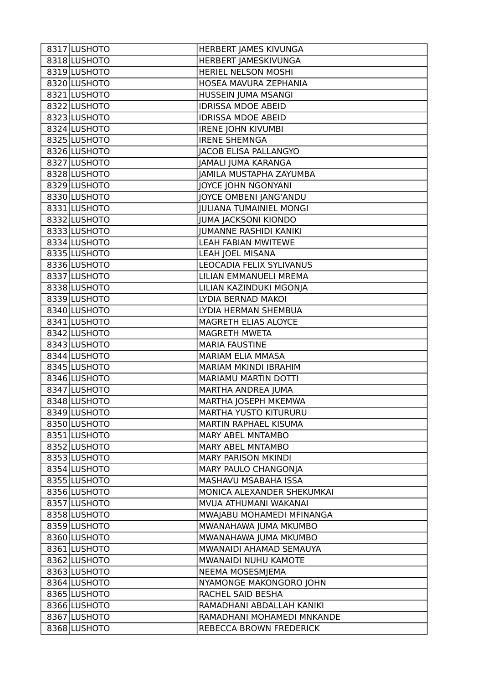| 8317 LUSHOTO | HERBERT JAMES KIVUNGA          |
|--------------|--------------------------------|
| 8318 LUSHOTO | HERBERT JAMESKIVUNGA           |
| 8319 LUSHOTO | HERIEL NELSON MOSHI            |
| 8320 LUSHOTO | HOSEA MAVURA ZEPHANIA          |
| 8321 LUSHOTO | HUSSEIN JUMA MSANGI            |
| 8322 LUSHOTO | <b>IDRISSA MDOE ABEID</b>      |
| 8323 LUSHOTO | <b>IDRISSA MDOE ABEID</b>      |
| 8324 LUSHOTO | <b>IRENE JOHN KIVUMBI</b>      |
| 8325 LUSHOTO | <b>IRENE SHEMNGA</b>           |
| 8326 LUSHOTO | JACOB ELISA PALLANGYO          |
| 8327 LUSHOTO | JAMALI JUMA KARANGA            |
| 8328 LUSHOTO | JAMILA MUSTAPHA ZAYUMBA        |
| 8329 LUSHOTO | JOYCE JOHN NGONYANI            |
| 8330 LUSHOTO | JOYCE OMBENI JANG'ANDU         |
| 8331 LUSHOTO | <b>JULIANA TUMAINIEL MONGI</b> |
| 8332 LUSHOTO | <b>JUMA JACKSONI KIONDO</b>    |
| 8333 LUSHOTO | <b>JUMANNE RASHIDI KANIKI</b>  |
| 8334 LUSHOTO | <b>LEAH FABIAN MWITEWE</b>     |
| 8335 LUSHOTO | LEAH JOEL MISANA               |
| 8336 LUSHOTO | LEOCADIA FELIX SYLIVANUS       |
| 8337 LUSHOTO | LILIAN EMMANUELI MREMA         |
| 8338 LUSHOTO | LILIAN KAZINDUKI MGONJA        |
| 8339 LUSHOTO | LYDIA BERNAD MAKOI             |
| 8340 LUSHOTO | LYDIA HERMAN SHEMBUA           |
| 8341 LUSHOTO | MAGRETH ELIAS ALOYCE           |
| 8342 LUSHOTO | MAGRETH MWETA                  |
| 8343 LUSHOTO | <b>MARIA FAUSTINE</b>          |
| 8344 LUSHOTO | <b>MARIAM ELIA MMASA</b>       |
| 8345 LUSHOTO | MARIAM MKINDI IBRAHIM          |
| 8346 LUSHOTO | MARIAMU MARTIN DOTTI           |
| 8347 LUSHOTO | MARTHA ANDREA JUMA             |
| 8348 LUSHOTO | MARTHA JOSEPH MKEMWA           |
| 8349 LUSHOTO | MARTHA YUSTO KITURURU          |
| 8350 LUSHOTO | MARTIN RAPHAEL KISUMA          |
| 8351 LUSHOTO | MARY ABEL MNTAMBO              |
| 8352 LUSHOTO | MARY ABEL MNTAMBO              |
| 8353 LUSHOTO | <b>MARY PARISON MKINDI</b>     |
| 8354 LUSHOTO | MARY PAULO CHANGONJA           |
| 8355 LUSHOTO | MASHAVU MSABAHA ISSA           |
| 8356 LUSHOTO | MONICA ALEXANDER SHEKUMKAI     |
| 8357 LUSHOTO | MVUA ATHUMANI WAKANAI          |
| 8358 LUSHOTO | MWAJABU MOHAMEDI MFINANGA      |
| 8359 LUSHOTO | MWANAHAWA JUMA MKUMBO          |
| 8360 LUSHOTO | MWANAHAWA JUMA MKUMBO          |
| 8361 LUSHOTO | MWANAIDI AHAMAD SEMAUYA        |
| 8362 LUSHOTO | MWANAIDI NUHU KAMOTE           |
| 8363 LUSHOTO | NEEMA MOSESMJEMA               |
| 8364 LUSHOTO | NYAMONGE MAKONGORO JOHN        |
| 8365 LUSHOTO | RACHEL SAID BESHA              |
| 8366 LUSHOTO | RAMADHANI ABDALLAH KANIKI      |
| 8367 LUSHOTO | RAMADHANI MOHAMEDI MNKANDE     |
| 8368 LUSHOTO | REBECCA BROWN FREDERICK        |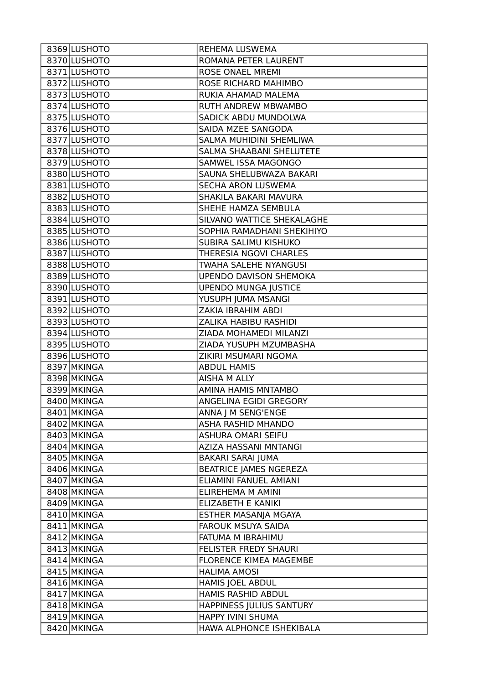| 8369 LUSHOTO | REHEMA LUSWEMA                |
|--------------|-------------------------------|
| 8370 LUSHOTO | ROMANA PETER LAURENT          |
| 8371 LUSHOTO | <b>ROSE ONAEL MREMI</b>       |
| 8372 LUSHOTO | ROSE RICHARD MAHIMBO          |
| 8373 LUSHOTO | RUKIA AHAMAD MALEMA           |
| 8374 LUSHOTO | RUTH ANDREW MBWAMBO           |
| 8375 LUSHOTO | SADICK ABDU MUNDOLWA          |
| 8376 LUSHOTO | SAIDA MZEE SANGODA            |
| 8377 LUSHOTO | SALMA MUHIDINI SHEMLIWA       |
| 8378 LUSHOTO | SALMA SHAABANI SHELUTETE      |
| 8379 LUSHOTO | SAMWEL ISSA MAGONGO           |
| 8380 LUSHOTO | SAUNA SHELUBWAZA BAKARI       |
| 8381 LUSHOTO | <b>SECHA ARON LUSWEMA</b>     |
| 8382 LUSHOTO | SHAKILA BAKARI MAVURA         |
| 8383 LUSHOTO | SHEHE HAMZA SEMBULA           |
| 8384 LUSHOTO | SILVANO WATTICE SHEKALAGHE    |
| 8385 LUSHOTO | SOPHIA RAMADHANI SHEKIHIYO    |
| 8386 LUSHOTO | SUBIRA SALIMU KISHUKO         |
| 8387 LUSHOTO | THERESIA NGOVI CHARLES        |
| 8388 LUSHOTO | TWAHA SALEHE NYANGUSI         |
| 8389 LUSHOTO | <b>UPENDO DAVISON SHEMOKA</b> |
| 8390 LUSHOTO | <b>UPENDO MUNGA JUSTICE</b>   |
| 8391 LUSHOTO | YUSUPH JUMA MSANGI            |
| 8392 LUSHOTO | ZAKIA IBRAHIM ABDI            |
| 8393 LUSHOTO | ZALIKA HABIBU RASHIDI         |
| 8394 LUSHOTO | ZIADA MOHAMEDI MILANZI        |
| 8395 LUSHOTO | ZIADA YUSUPH MZUMBASHA        |
| 8396 LUSHOTO | ZIKIRI MSUMARI NGOMA          |
| 8397 MKINGA  | <b>ABDUL HAMIS</b>            |
| 8398 MKINGA  | AISHA M ALLY                  |
| 8399 MKINGA  | AMINA HAMIS MNTAMBO           |
| 8400 MKINGA  | ANGELINA EGIDI GREGORY        |
| 8401 MKINGA  | ANNA J M SENG'ENGE            |
| 8402 MKINGA  | <b>ASHA RASHID MHANDO</b>     |
| 8403 MKINGA  | <b>ASHURA OMARI SEIFU</b>     |
| 8404 MKINGA  | AZIZA HASSANI MNTANGI         |
| 8405 MKINGA  | <b>BAKARI SARAI JUMA</b>      |
| 8406 MKINGA  | <b>BEATRICE JAMES NGEREZA</b> |
| 8407 MKINGA  | ELIAMINI FANUEL AMIANI        |
| 8408 MKINGA  | ELIREHEMA M AMINI             |
| 8409 MKINGA  | ELIZABETH E KANIKI            |
| 8410 MKINGA  | ESTHER MASANJA MGAYA          |
| 8411 MKINGA  | <b>FAROUK MSUYA SAIDA</b>     |
| 8412 MKINGA  | FATUMA M IBRAHIMU             |
| 8413 MKINGA  | FELISTER FREDY SHAURI         |
| 8414 MKINGA  | <b>FLORENCE KIMEA MAGEMBE</b> |
| 8415 MKINGA  | <b>HALIMA AMOSI</b>           |
| 8416 MKINGA  | <b>HAMIS JOEL ABDUL</b>       |
| 8417 MKINGA  | HAMIS RASHID ABDUL            |
| 8418 MKINGA  | HAPPINESS JULIUS SANTURY      |
| 8419 MKINGA  | HAPPY IVINI SHUMA             |
| 8420 MKINGA  | HAWA ALPHONCE ISHEKIBALA      |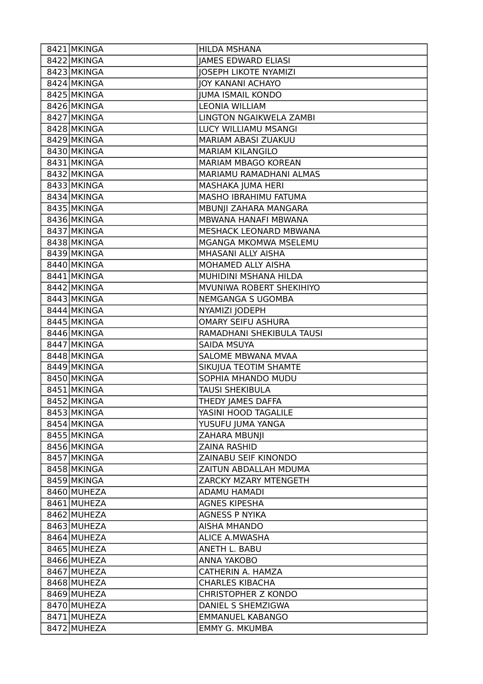| 8421 MKINGA | HILDA MSHANA                 |
|-------------|------------------------------|
| 8422 MKINGA | <b>JAMES EDWARD ELIASI</b>   |
| 8423 MKINGA | <b>JOSEPH LIKOTE NYAMIZI</b> |
| 8424 MKINGA | JOY KANANI ACHAYO            |
| 8425 MKINGA | <b>JUMA ISMAIL KONDO</b>     |
| 8426 MKINGA | <b>LEONIA WILLIAM</b>        |
| 8427 MKINGA | LINGTON NGAIKWELA ZAMBI      |
| 8428 MKINGA | LUCY WILLIAMU MSANGI         |
| 8429 MKINGA | MARIAM ABASI ZUAKUU          |
| 8430 MKINGA | <b>MARIAM KILANGILO</b>      |
| 8431 MKINGA | MARIAM MBAGO KOREAN          |
| 8432 MKINGA | MARIAMU RAMADHANI ALMAS      |
| 8433 MKINGA | MASHAKA JUMA HERI            |
| 8434 MKINGA | MASHO IBRAHIMU FATUMA        |
| 8435 MKINGA | MBUNJI ZAHARA MANGARA        |
| 8436 MKINGA | MBWANA HANAFI MBWANA         |
| 8437 MKINGA | MESHACK LEONARD MBWANA       |
| 8438 MKINGA | MGANGA MKOMWA MSELEMU        |
| 8439 MKINGA | MHASANI ALLY AISHA           |
| 8440 MKINGA | MOHAMED ALLY AISHA           |
| 8441 MKINGA | MUHIDINI MSHANA HILDA        |
| 8442 MKINGA | MVUNIWA ROBERT SHEKIHIYO     |
| 8443 MKINGA | NEMGANGA S UGOMBA            |
| 8444 MKINGA | NYAMIZI JODEPH               |
| 8445 MKINGA | <b>OMARY SEIFU ASHURA</b>    |
| 8446 MKINGA | RAMADHANI SHEKIBULA TAUSI    |
| 8447 MKINGA | SAIDA MSUYA                  |
| 8448 MKINGA | SALOME MBWANA MVAA           |
| 8449 MKINGA | SIKUJUA TEOTIM SHAMTE        |
| 8450 MKINGA | SOPHIA MHANDO MUDU           |
| 8451 MKINGA | <b>TAUSI SHEKIBULA</b>       |
| 8452 MKINGA | THEDY JAMES DAFFA            |
| 8453 MKINGA | YASINI HOOD TAGALILE         |
| 8454 MKINGA | YUSUFU JUMA YANGA            |
| 8455 MKINGA | <b>ZAHARA MBUNJI</b>         |
| 8456 MKINGA | <b>ZAINA RASHID</b>          |
| 8457 MKINGA | ZAINABU SEIF KINONDO         |
| 8458 MKINGA | ZAITUN ABDALLAH MDUMA        |
| 8459 MKINGA | ZARCKY MZARY MTENGETH        |
| 8460 MUHEZA | <b>ADAMU HAMADI</b>          |
| 8461 MUHEZA | <b>AGNES KIPESHA</b>         |
| 8462 MUHEZA | <b>AGNESS P NYIKA</b>        |
| 8463 MUHEZA | <b>AISHA MHANDO</b>          |
| 8464 MUHEZA | <b>ALICE A.MWASHA</b>        |
| 8465 MUHEZA | ANETH L. BABU                |
| 8466 MUHEZA | ANNA YAKOBO                  |
| 8467 MUHEZA | CATHERIN A. HAMZA            |
| 8468 MUHEZA | <b>CHARLES KIBACHA</b>       |
| 8469 MUHEZA | <b>CHRISTOPHER Z KONDO</b>   |
| 8470 MUHEZA | DANIEL S SHEMZIGWA           |
| 8471 MUHEZA | <b>EMMANUEL KABANGO</b>      |
| 8472 MUHEZA | <b>EMMY G. MKUMBA</b>        |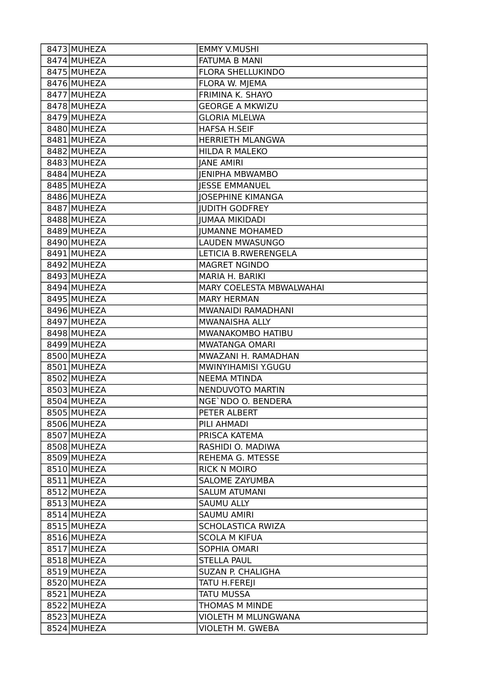| 8473 MUHEZA | <b>EMMY V.MUSHI</b>      |
|-------------|--------------------------|
| 8474 MUHEZA | <b>FATUMA B MANI</b>     |
| 8475 MUHEZA | <b>FLORA SHELLUKINDO</b> |
| 8476 MUHEZA | FLORA W. MJEMA           |
| 8477 MUHEZA | FRIMINA K. SHAYO         |
| 8478 MUHEZA | <b>GEORGE A MKWIZU</b>   |
| 8479 MUHEZA | <b>GLORIA MLELWA</b>     |
| 8480 MUHEZA | <b>HAFSA H.SEIF</b>      |
| 8481 MUHEZA | <b>HERRIETH MLANGWA</b>  |
| 8482 MUHEZA | <b>HILDA R MALEKO</b>    |
| 8483 MUHEZA | <b>JANE AMIRI</b>        |
| 8484 MUHEZA | <b>JENIPHA MBWAMBO</b>   |
| 8485 MUHEZA | <b>IESSE EMMANUEL</b>    |
| 8486 MUHEZA | <b>JOSEPHINE KIMANGA</b> |
| 8487 MUHEZA | <b>JUDITH GODFREY</b>    |
| 8488 MUHEZA | <b>JUMAA MIKIDADI</b>    |
| 8489 MUHEZA | <b>JUMANNE MOHAMED</b>   |
| 8490 MUHEZA | LAUDEN MWASUNGO          |
| 8491 MUHEZA | LETICIA B.RWERENGELA     |
| 8492 MUHEZA | <b>MAGRET NGINDO</b>     |
| 8493 MUHEZA | MARIA H. BARIKI          |
| 8494 MUHEZA | MARY COELESTA MBWALWAHAI |
| 8495 MUHEZA | <b>MARY HERMAN</b>       |
| 8496 MUHEZA | MWANAIDI RAMADHANI       |
| 8497 MUHEZA | MWANAISHA ALLY           |
| 8498 MUHEZA | MWANAKOMBO HATIBU        |
| 8499 MUHEZA | <b>MWATANGA OMARI</b>    |
| 8500 MUHEZA | MWAZANI H. RAMADHAN      |
| 8501 MUHEZA | MWINYIHAMISI Y.GUGU      |
| 8502 MUHEZA | <b>NEEMA MTINDA</b>      |
| 8503 MUHEZA | NENDUVOTO MARTIN         |
| 8504 MUHEZA | NGE`NDO O. BENDERA       |
| 8505 MUHEZA | PETER ALBERT             |
| 8506 MUHEZA | PILI AHMADI              |
| 8507 MUHEZA | PRISCA KATEMA            |
| 8508 MUHEZA | RASHIDI O. MADIWA        |
| 8509 MUHEZA | REHEMA G. MTESSE         |
| 8510 MUHEZA | <b>RICK N MOIRO</b>      |
| 8511 MUHEZA | <b>SALOME ZAYUMBA</b>    |
| 8512 MUHEZA | <b>SALUM ATUMANI</b>     |
| 8513 MUHEZA | <b>SAUMU ALLY</b>        |
| 8514 MUHEZA | <b>SAUMU AMIRI</b>       |
| 8515 MUHEZA | SCHOLASTICA RWIZA        |
| 8516 MUHEZA | <b>SCOLA M KIFUA</b>     |
| 8517 MUHEZA | SOPHIA OMARI             |
| 8518 MUHEZA | <b>STELLA PAUL</b>       |
| 8519 MUHEZA | SUZAN P. CHALIGHA        |
| 8520 MUHEZA | TATU H.FEREJI            |
| 8521 MUHEZA | TATU MUSSA               |
| 8522 MUHEZA | THOMAS M MINDE           |
| 8523 MUHEZA | VIOLETH M MLUNGWANA      |
| 8524 MUHEZA | <b>VIOLETH M. GWEBA</b>  |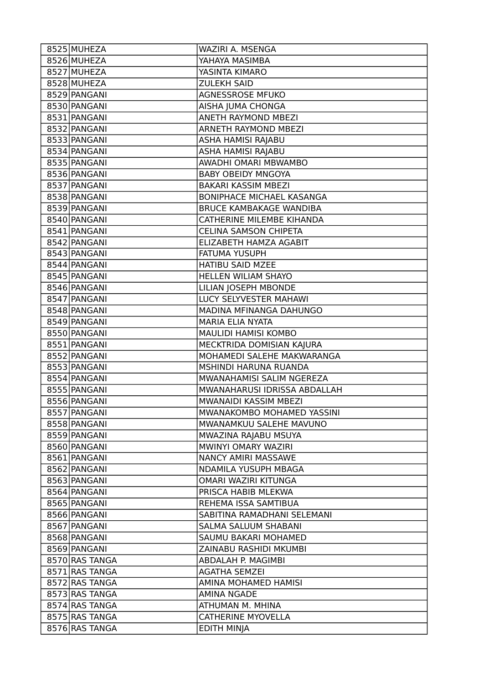| 8525 MUHEZA    | WAZIRI A. MSENGA                 |
|----------------|----------------------------------|
| 8526 MUHEZA    | YAHAYA MASIMBA                   |
| 8527 MUHEZA    | YASINTA KIMARO                   |
| 8528 MUHEZA    | <b>ZULEKH SAID</b>               |
| 8529 PANGANI   | <b>AGNESSROSE MFUKO</b>          |
| 8530 PANGANI   | AISHA JUMA CHONGA                |
| 8531 PANGANI   | ANETH RAYMOND MBEZI              |
| 8532 PANGANI   | <b>ARNETH RAYMOND MBEZI</b>      |
| 8533 PANGANI   | ASHA HAMISI RAJABU               |
| 8534 PANGANI   | ASHA HAMISI RAJABU               |
| 8535 PANGANI   | AWADHI OMARI MBWAMBO             |
| 8536 PANGANI   | <b>BABY OBEIDY MNGOYA</b>        |
| 8537 PANGANI   | BAKARI KASSIM MBEZI              |
| 8538 PANGANI   | <b>BONIPHACE MICHAEL KASANGA</b> |
| 8539 PANGANI   | <b>BRUCE KAMBAKAGE WANDIBA</b>   |
| 8540 PANGANI   | CATHERINE MILEMBE KIHANDA        |
| 8541 PANGANI   | <b>CELINA SAMSON CHIPETA</b>     |
| 8542 PANGANI   | ELIZABETH HAMZA AGABIT           |
| 8543 PANGANI   | FATUMA YUSUPH                    |
| 8544 PANGANI   | <b>HATIBU SAID MZEE</b>          |
| 8545 PANGANI   | HELLEN WILIAM SHAYO              |
| 8546 PANGANI   | LILIAN JOSEPH MBONDE             |
| 8547 PANGANI   | LUCY SELYVESTER MAHAWI           |
| 8548 PANGANI   | MADINA MFINANGA DAHUNGO          |
| 8549 PANGANI   | MARIA ELIA NYATA                 |
| 8550 PANGANI   | MAULIDI HAMISI KOMBO             |
| 8551 PANGANI   | MECKTRIDA DOMISIAN KAJURA        |
| 8552 PANGANI   | MOHAMEDI SALEHE MAKWARANGA       |
| 8553 PANGANI   | MSHINDI HARUNA RUANDA            |
| 8554 PANGANI   | MWANAHAMISI SALIM NGEREZA        |
| 8555 PANGANI   | MWANAHARUSI IDRISSA ABDALLAH     |
| 8556 PANGANI   | MWANAIDI KASSIM MBEZI            |
| 8557 PANGANI   | MWANAKOMBO MOHAMED YASSINI       |
| 8558 PANGANI   | MWANAMKUU SALEHE MAVUNO          |
| 8559 PANGANI   | MWAZINA RAJABU MSUYA             |
| 8560 PANGANI   | MWINYI OMARY WAZIRI              |
| 8561 PANGANI   | NANCY AMIRI MASSAWE              |
| 8562 PANGANI   | NDAMILA YUSUPH MBAGA             |
| 8563 PANGANI   | OMARI WAZIRI KITUNGA             |
| 8564 PANGANI   | PRISCA HABIB MLEKWA              |
| 8565 PANGANI   | REHEMA ISSA SAMTIBUA             |
| 8566 PANGANI   | SABITINA RAMADHANI SELEMANI      |
| 8567 PANGANI   | SALMA SALUUM SHABANI             |
| 8568 PANGANI   | SAUMU BAKARI MOHAMED             |
| 8569 PANGANI   | ZAINABU RASHIDI MKUMBI           |
| 8570 RAS TANGA | ABDALAH P. MAGIMBI               |
| 8571 RAS TANGA | <b>AGATHA SEMZEI</b>             |
| 8572 RAS TANGA | AMINA MOHAMED HAMISI             |
| 8573 RAS TANGA | <b>AMINA NGADE</b>               |
| 8574 RAS TANGA | ATHUMAN M. MHINA                 |
| 8575 RAS TANGA | <b>CATHERINE MYOVELLA</b>        |
| 8576 RAS TANGA | <b>EDITH MINJA</b>               |
|                |                                  |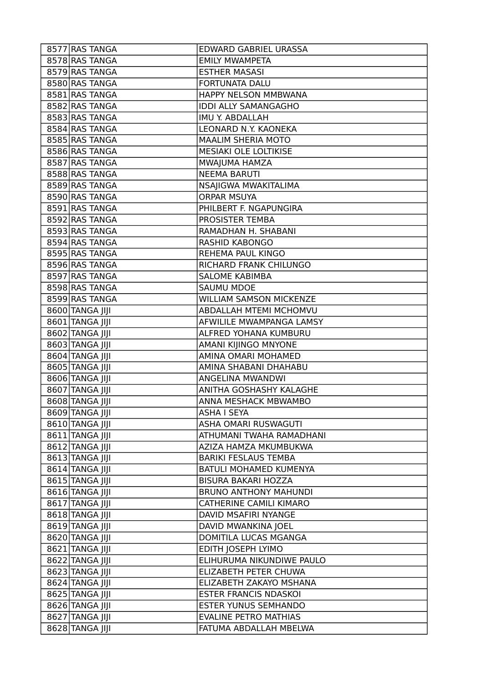| 8577 RAS TANGA  | EDWARD GABRIEL URASSA          |
|-----------------|--------------------------------|
| 8578 RAS TANGA  | <b>EMILY MWAMPETA</b>          |
| 8579 RAS TANGA  | <b>ESTHER MASASI</b>           |
| 8580 RAS TANGA  | <b>FORTUNATA DALU</b>          |
| 8581 RAS TANGA  | HAPPY NELSON MMBWANA           |
| 8582 RAS TANGA  | <b>IDDI ALLY SAMANGAGHO</b>    |
| 8583 RAS TANGA  | IMU Y. ABDALLAH                |
| 8584 RAS TANGA  | LEONARD N.Y. KAONEKA           |
| 8585 RAS TANGA  | <b>MAALIM SHERIA MOTO</b>      |
| 8586 RAS TANGA  | MESIAKI OLE LOLTIKISE          |
| 8587 RAS TANGA  | MWAJUMA HAMZA                  |
| 8588 RAS TANGA  | <b>NEEMA BARUTI</b>            |
| 8589 RAS TANGA  | NSAJIGWA MWAKITALIMA           |
| 8590 RAS TANGA  | <b>ORPAR MSUYA</b>             |
| 8591 RAS TANGA  | PHILBERT F. NGAPUNGIRA         |
| 8592 RAS TANGA  | PROSISTER TEMBA                |
| 8593 RAS TANGA  | RAMADHAN H. SHABANI            |
| 8594 RAS TANGA  | RASHID KABONGO                 |
| 8595 RAS TANGA  | REHEMA PAUL KINGO              |
| 8596 RAS TANGA  | RICHARD FRANK CHILUNGO         |
| 8597 RAS TANGA  | <b>SALOME KABIMBA</b>          |
| 8598 RAS TANGA  | <b>SAUMU MDOE</b>              |
| 8599 RAS TANGA  | <b>WILLIAM SAMSON MICKENZE</b> |
| 8600 TANGA JIJI | ABDALLAH MTEMI MCHOMVU         |
| 8601 TANGA JIJI | AFWILILE MWAMPANGA LAMSY       |
| 8602 TANGA JIJI | ALFRED YOHANA KUMBURU          |
| 8603 TANGA JIJI | AMANI KIJINGO MNYONE           |
| 8604 TANGA JIJI | AMINA OMARI MOHAMED            |
| 8605 TANGA JIJI | AMINA SHABANI DHAHABU          |
| 8606 TANGA JIJI | ANGELINA MWANDWI               |
| 8607 TANGA JIJI | ANITHA GOSHASHY KALAGHE        |
| 8608 TANGA IIII | ANNA MESHACK MBWAMBO           |
| 8609 TANGA JIJI | <b>ASHA I SEYA</b>             |
| 8610 TANGA JIJI | ASHA OMARI RUSWAGUTI           |
| 8611 TANGA JIJI | ATHUMANI TWAHA RAMADHANI       |
| 8612 TANGA JIJI | AZIZA HAMZA MKUMBUKWA          |
| 8613 TANGA JIJI | <b>BARIKI FESLAUS TEMBA</b>    |
| 8614 TANGA JIJI | BATULI MOHAMED KUMENYA         |
| 8615 TANGA JIJI | <b>BISURA BAKARI HOZZA</b>     |
| 8616 TANGA JIJI | <b>BRUNO ANTHONY MAHUNDI</b>   |
| 8617 TANGA JIJI | <b>CATHERINE CAMILI KIMARO</b> |
| 8618 TANGA JIJI | DAVID MSAFIRI NYANGE           |
| 8619 TANGA JIJI | DAVID MWANKINA JOEL            |
| 8620 TANGA JIJI | DOMITILA LUCAS MGANGA          |
| 8621 TANGA JIJI | EDITH JOSEPH LYIMO             |
| 8622 TANGA JIJI | ELIHURUMA NIKUNDIWE PAULO      |
| 8623 TANGA JIJI | ELIZABETH PETER CHUWA          |
| 8624 TANGA JIJI | ELIZABETH ZAKAYO MSHANA        |
| 8625 TANGA JIJI | <b>ESTER FRANCIS NDASKOI</b>   |
| 8626 TANGA JIJI | <b>ESTER YUNUS SEMHANDO</b>    |
| 8627 TANGA JIJI | <b>EVALINE PETRO MATHIAS</b>   |
| 8628 TANGA JIJI | FATUMA ABDALLAH MBELWA         |
|                 |                                |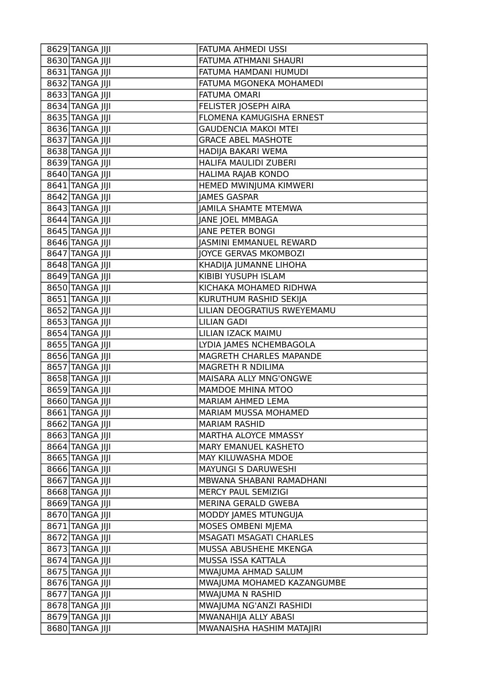| 8629 TANGA JIJI | FATUMA AHMEDI USSI             |
|-----------------|--------------------------------|
| 8630 TANGA JIJI | FATUMA ATHMANI SHAURI          |
| 8631 TANGA JIJI | FATUMA HAMDANI HUMUDI          |
| 8632 TANGA JIJI | FATUMA MGONEKA MOHAMEDI        |
| 8633 TANGA JIJI | <b>FATUMA OMARI</b>            |
| 8634 TANGA JIJI | FELISTER JOSEPH AIRA           |
| 8635 TANGA JIJI | FLOMENA KAMUGISHA ERNEST       |
| 8636 TANGA JIJI | <b>GAUDENCIA MAKOI MTEI</b>    |
| 8637 TANGA JIJI | <b>GRACE ABEL MASHOTE</b>      |
| 8638 TANGA JIJI | HADIJA BAKARI WEMA             |
| 8639 TANGA JIJI | HALIFA MAULIDI ZUBERI          |
| 8640 TANGA JIJI | HALIMA RAJAB KONDO             |
| 8641 TANGA JIJI | HEMED MWINJUMA KIMWERI         |
| 8642 TANGA JIJI | <b>JAMES GASPAR</b>            |
| 8643 TANGA JIJI | <b>JAMILA SHAMTE MTEMWA</b>    |
| 8644 TANGA JIJI | JANE JOEL MMBAGA               |
| 8645 TANGA JIJI | <b>JANE PETER BONGI</b>        |
| 8646 TANGA JIJI | <b>JASMINI EMMANUEL REWARD</b> |
| 8647 TANGA JIJI | JOYCE GERVAS MKOMBOZI          |
| 8648 TANGA JIJI | KHADIJA JUMANNE LIHOHA         |
| 8649 TANGA JIJI | KIBIBI YUSUPH ISLAM            |
| 8650 TANGA JIJI | KICHAKA MOHAMED RIDHWA         |
| 8651 TANGA JIJI | KURUTHUM RASHID SEKIJA         |
| 8652 TANGA JIJI | LILIAN DEOGRATIUS RWEYEMAMU    |
| 8653 TANGA JIJI | <b>LILIAN GADI</b>             |
| 8654 TANGA JIJI | LILIAN IZACK MAIMU             |
| 8655 TANGA JIJI | LYDIA JAMES NCHEMBAGOLA        |
| 8656 TANGA JIJI | MAGRETH CHARLES MAPANDE        |
| 8657 TANGA JIJI | MAGRETH R NDILIMA              |
| 8658 TANGA JIJI | MAISARA ALLY MNG'ONGWE         |
| 8659 TANGA JIJI | <b>MAMDOE MHINA MTOO</b>       |
| 8660 TANGA JIJI | MARIAM AHMED LEMA              |
| 8661 TANGA JIJI | MARIAM MUSSA MOHAMED           |
| 8662 TANGA JIJI | <b>MARIAM RASHID</b>           |
| 8663 TANGA JIJI | MARTHA ALOYCE MMASSY           |
| 8664 TANGA JIJI | MARY EMANUEL KASHETO           |
| 8665 TANGA JIJI | MAY KILUWASHA MDOE             |
| 8666 TANGA JIJI | <b>MAYUNGI S DARUWESHI</b>     |
| 8667 TANGA JIJI | MBWANA SHABANI RAMADHANI       |
| 8668 TANGA JIJI | <b>MERCY PAUL SEMIZIGI</b>     |
| 8669 TANGA JIJI | MERINA GERALD GWEBA            |
| 8670 TANGA JIJI | MODDY JAMES MTUNGUJA           |
| 8671 TANGA JIJI | MOSES OMBENI MJEMA             |
| 8672 TANGA JIJI | <b>MSAGATI MSAGATI CHARLES</b> |
| 8673 TANGA JIJI | MUSSA ABUSHEHE MKENGA          |
| 8674 TANGA JIJI | MUSSA ISSA KATTALA             |
| 8675 TANGA JIJI | MWAJUMA AHMAD SALUM            |
| 8676 TANGA JIJI | MWAJUMA MOHAMED KAZANGUMBE     |
| 8677 TANGA JIJI | MWAJUMA N RASHID               |
| 8678 TANGA JIJI | MWAJUMA NG'ANZI RASHIDI        |
| 8679 TANGA JIJI | MWANAHIJA ALLY ABASI           |
| 8680 TANGA JIJI | MWANAISHA HASHIM MATAJIRI      |